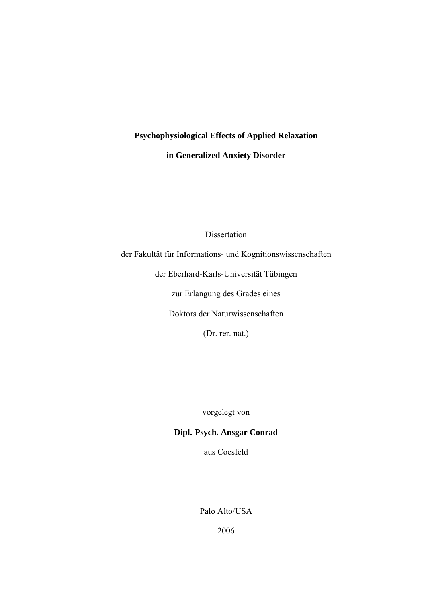# **Psychophysiological Effects of Applied Relaxation**

**in Generalized Anxiety Disorder** 

Dissertation

der Fakultät für Informations- und Kognitionswissenschaften

der Eberhard-Karls-Universität Tübingen

zur Erlangung des Grades eines

Doktors der Naturwissenschaften

(Dr. rer. nat.)

vorgelegt von

### **Dipl.-Psych. Ansgar Conrad**

aus Coesfeld

Palo Alto/USA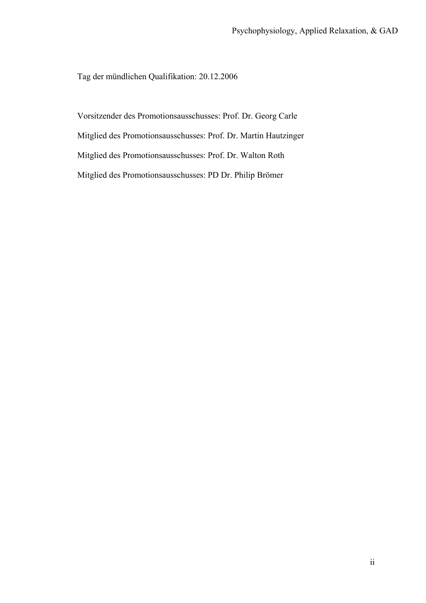Tag der mündlichen Qualifikation: 20.12.2006

Vorsitzender des Promotionsausschusses: Prof. Dr. Georg Carle Mitglied des Promotionsausschusses: Prof. Dr. Martin Hautzinger Mitglied des Promotionsausschusses: Prof. Dr. Walton Roth Mitglied des Promotionsausschusses: PD Dr. Philip Brömer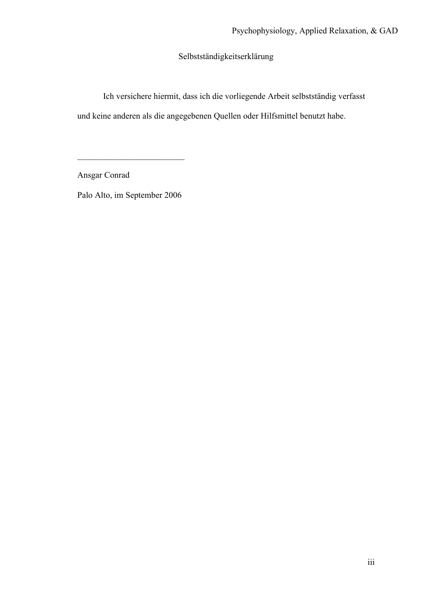Selbstständigkeitserklärung

Ich versichere hiermit, dass ich die vorliegende Arbeit selbstständig verfasst und keine anderen als die angegebenen Quellen oder Hilfsmittel benutzt habe.

Ansgar Conrad

Palo Alto, im September 2006

 $\mathcal{L}_\text{max}$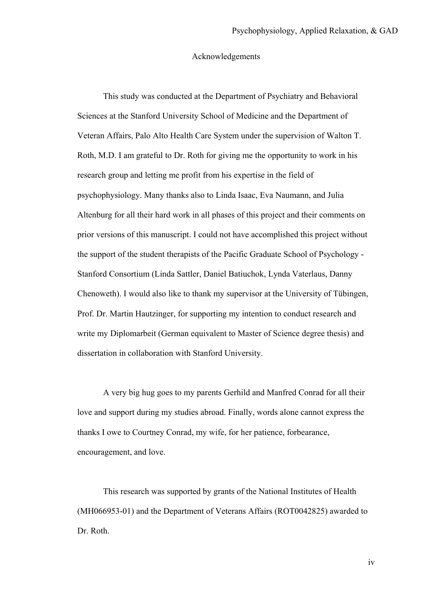#### Acknowledgements

This study was conducted at the Department of Psychiatry and Behavioral Sciences at the Stanford University School of Medicine and the Department of Veteran Affairs, Palo Alto Health Care System under the supervision of Walton T. Roth, M.D. I am grateful to Dr. Roth for giving me the opportunity to work in his research group and letting me profit from his expertise in the field of psychophysiology. Many thanks also to Linda Isaac, Eva Naumann, and Julia Altenburg for all their hard work in all phases of this project and their comments on prior versions of this manuscript. I could not have accomplished this project without the support of the student therapists of the Pacific Graduate School of Psychology - Stanford Consortium (Linda Sattler, Daniel Batiuchok, Lynda Vaterlaus, Danny Chenoweth). I would also like to thank my supervisor at the University of Tübingen, Prof. Dr. Martin Hautzinger, for supporting my intention to conduct research and write my Diplomarbeit (German equivalent to Master of Science degree thesis) and dissertation in collaboration with Stanford University.

A very big hug goes to my parents Gerhild and Manfred Conrad for all their love and support during my studies abroad. Finally, words alone cannot express the thanks I owe to Courtney Conrad, my wife, for her patience, forbearance, encouragement, and love.

This research was supported by grants of the National Institutes of Health (MH066953-01) and the Department of Veterans Affairs (ROT0042825) awarded to Dr. Roth.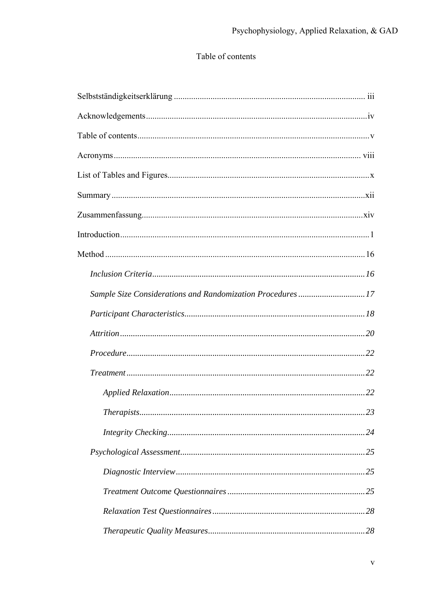## Table of contents

| Sample Size Considerations and Randomization Procedures17 |     |
|-----------------------------------------------------------|-----|
|                                                           |     |
|                                                           |     |
|                                                           |     |
|                                                           |     |
|                                                           |     |
|                                                           | .23 |
|                                                           |     |
|                                                           |     |
|                                                           |     |
|                                                           |     |
|                                                           |     |
|                                                           |     |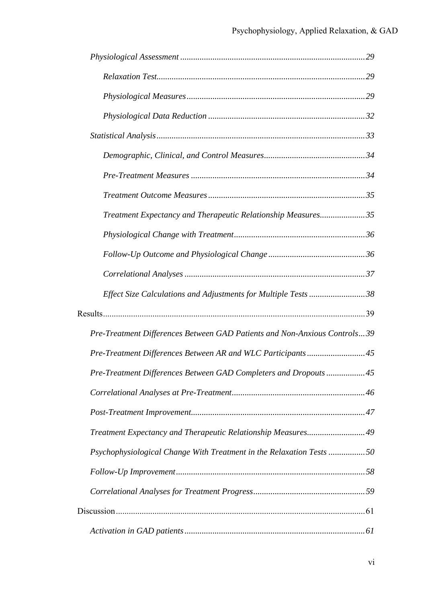| Treatment Expectancy and Therapeutic Relationship Measures35               |
|----------------------------------------------------------------------------|
|                                                                            |
|                                                                            |
|                                                                            |
| Effect Size Calculations and Adjustments for Multiple Tests 38             |
|                                                                            |
| Pre-Treatment Differences Between GAD Patients and Non-Anxious Controls 39 |
| Pre-Treatment Differences Between AR and WLC Participants45                |
| Pre-Treatment Differences Between GAD Completers and Dropouts  45          |
|                                                                            |
|                                                                            |
| Treatment Expectancy and Therapeutic Relationship Measures49               |
| Psychophysiological Change With Treatment in the Relaxation Tests 50       |
|                                                                            |
|                                                                            |
|                                                                            |
|                                                                            |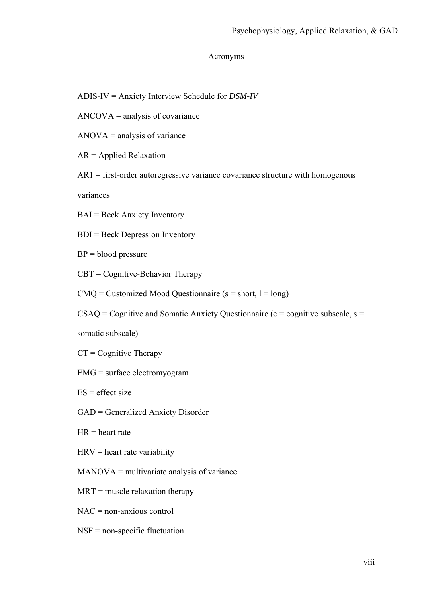#### Acronyms

- ADIS-IV = Anxiety Interview Schedule for *DSM-IV*
- ANCOVA = analysis of covariance
- $ANOVA =$  analysis of variance
- AR = Applied Relaxation
- $AR1 =$  first-order autoregressive variance covariance structure with homogenous

variances

- BAI = Beck Anxiety Inventory
- BDI = Beck Depression Inventory
- $BP = blood pressure$
- CBT = Cognitive-Behavior Therapy
- $CMQ =$  Customized Mood Questionnaire ( $s = short$ ,  $l = long$ )
- $CSAQ = Cognitive$  and Somatic Anxiety Questionnaire (c = cognitive subscale, s =

somatic subscale)

- $CT = Cognitive$  Therapy
- EMG = surface electromyogram
- $ES = effect size$
- GAD = Generalized Anxiety Disorder
- $HR = heart$  rate
- $HRV =$  heart rate variability
- MANOVA = multivariate analysis of variance
- $MRT$  = muscle relaxation therapy
- NAC = non-anxious control
- NSF = non-specific fluctuation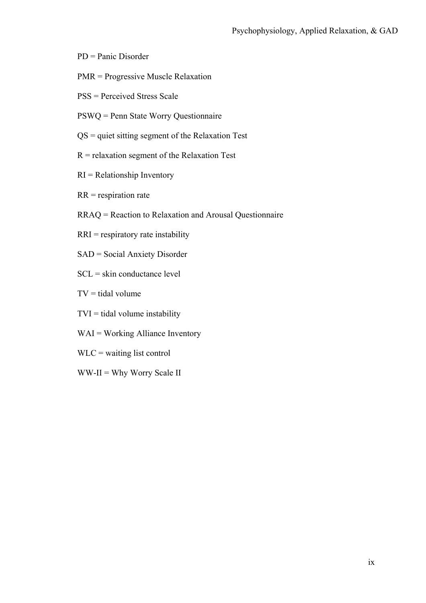- PD = Panic Disorder
- PMR = Progressive Muscle Relaxation
- PSS = Perceived Stress Scale
- PSWQ = Penn State Worry Questionnaire
- QS = quiet sitting segment of the Relaxation Test
- R = relaxation segment of the Relaxation Test
- $RI = Relationship Inventory$
- $RR =$  respiration rate
- RRAQ = Reaction to Relaxation and Arousal Questionnaire
- RRI = respiratory rate instability
- SAD = Social Anxiety Disorder
- SCL = skin conductance level
- $TV =$  tidal volume
- $TVI =$  tidal volume instability
- WAI = Working Alliance Inventory
- WLC = waiting list control
- WW-II = Why Worry Scale II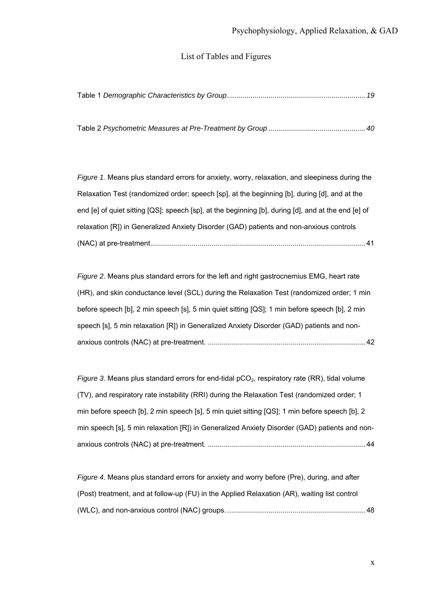#### List of Tables and Figures

|--|--|--|--|--|

Table 2 *Psychometric Measures at Pre-Treatment by Group .................................................40*

*Figure 1.* Means plus standard errors for anxiety, worry, relaxation, and sleepiness during the Relaxation Test (randomized order; speech [sp], at the beginning [b], during [d], and at the end [e] of quiet sitting [QS]; speech [sp], at the beginning [b], during [d], and at the end [e] of relaxation [R]) in Generalized Anxiety Disorder (GAD) patients and non-anxious controls (NAC) at pre-treatment.............................................................................................................41

*Figure 2*. Means plus standard errors for the left and right gastrocnemius EMG, heart rate (HR), and skin conductance level (SCL) during the Relaxation Test (randomized order; 1 min before speech [b], 2 min speech [s], 5 min quiet sitting [QS]; 1 min before speech [b], 2 min speech [s], 5 min relaxation [R]) in Generalized Anxiety Disorder (GAD) patients and nonanxious controls (NAC) at pre-treatment. ................................................................................42

*Figure 3*. Means plus standard errors for end-tidal  $pCO<sub>2</sub>$ , respiratory rate (RR), tidal volume (TV), and respiratory rate instability (RRI) during the Relaxation Test (randomized order; 1 min before speech [b], 2 min speech [s], 5 min quiet sitting [QS]; 1 min before speech [b], 2 min speech [s], 5 min relaxation [R]) in Generalized Anxiety Disorder (GAD) patients and nonanxious controls (NAC) at pre-treatment. ................................................................................44

*Figure 4*. Means plus standard errors for anxiety and worry before (Pre), during, and after (Post) treatment, and at follow-up (FU) in the Applied Relaxation (AR), waiting list control (WLC), and non-anxious control (NAC) groups. ......................................................................48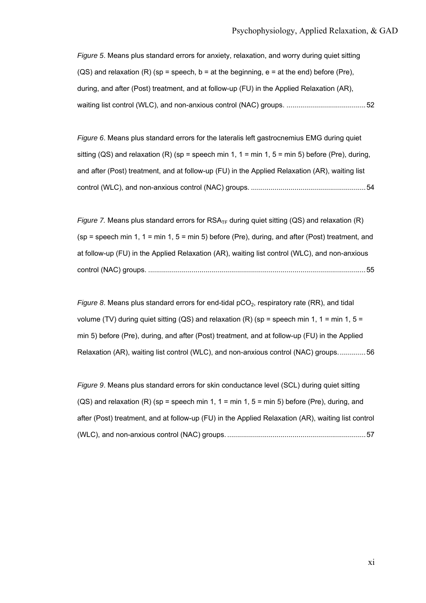*Figure 5*. Means plus standard errors for anxiety, relaxation, and worry during quiet sitting  $(QS)$  and relaxation  $(R)$  (sp = speech, b = at the beginning, e = at the end) before (Pre), during, and after (Post) treatment, and at follow-up (FU) in the Applied Relaxation (AR), waiting list control (WLC), and non-anxious control (NAC) groups. ........................................52

*Figure 6*. Means plus standard errors for the lateralis left gastrocnemius EMG during quiet sitting (QS) and relaxation (R) (sp = speech min 1, 1 = min 1, 5 = min 5) before (Pre), during, and after (Post) treatment, and at follow-up (FU) in the Applied Relaxation (AR), waiting list control (WLC), and non-anxious control (NAC) groups. ..........................................................54

*Figure 7.* Means plus standard errors for  $RSA_{TF}$  during quiet sitting (QS) and relaxation (R)  $(sp = speech min 1, 1 = min 1, 5 = min 5)$  before (Pre), during, and after (Post) treatment, and at follow-up (FU) in the Applied Relaxation (AR), waiting list control (WLC), and non-anxious control (NAC) groups. ..............................................................................................................55

*Figure 8*. Means plus standard errors for end-tidal pCO<sub>2</sub>, respiratory rate (RR), and tidal volume (TV) during quiet sitting (QS) and relaxation (R) (sp = speech min 1, 1 = min 1, 5 = min 5) before (Pre), during, and after (Post) treatment, and at follow-up (FU) in the Applied Relaxation (AR), waiting list control (WLC), and non-anxious control (NAC) groups..............56

*Figure 9*. Means plus standard errors for skin conductance level (SCL) during quiet sitting  $(QS)$  and relaxation  $(R)$  (sp = speech min 1, 1 = min 1, 5 = min 5) before (Pre), during, and after (Post) treatment, and at follow-up (FU) in the Applied Relaxation (AR), waiting list control (WLC), and non-anxious control (NAC) groups. ......................................................................57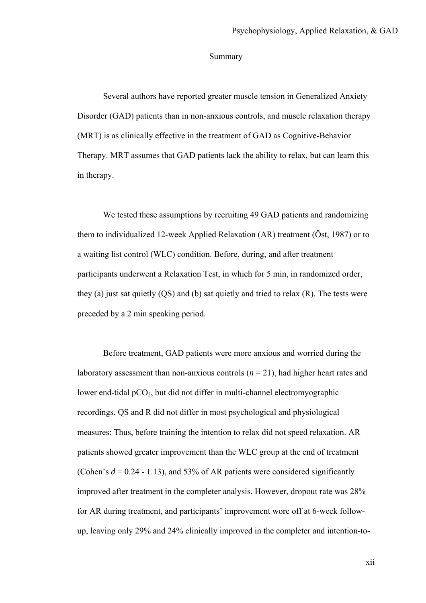#### Summary

Several authors have reported greater muscle tension in Generalized Anxiety Disorder (GAD) patients than in non-anxious controls, and muscle relaxation therapy (MRT) is as clinically effective in the treatment of GAD as Cognitive-Behavior Therapy. MRT assumes that GAD patients lack the ability to relax, but can learn this in therapy.

We tested these assumptions by recruiting 49 GAD patients and randomizing them to individualized 12-week Applied Relaxation (AR) treatment (Öst, 1987) or to a waiting list control (WLC) condition. Before, during, and after treatment participants underwent a Relaxation Test, in which for 5 min, in randomized order, they (a) just sat quietly (QS) and (b) sat quietly and tried to relax (R). The tests were preceded by a 2 min speaking period.

Before treatment, GAD patients were more anxious and worried during the laboratory assessment than non-anxious controls (*n* = 21), had higher heart rates and lower end-tidal  $pCO<sub>2</sub>$ , but did not differ in multi-channel electromyographic recordings. QS and R did not differ in most psychological and physiological measures: Thus, before training the intention to relax did not speed relaxation. AR patients showed greater improvement than the WLC group at the end of treatment (Cohen's  $d = 0.24 - 1.13$ ), and 53% of AR patients were considered significantly improved after treatment in the completer analysis. However, dropout rate was 28% for AR during treatment, and participants' improvement wore off at 6-week followup, leaving only 29% and 24% clinically improved in the completer and intention-to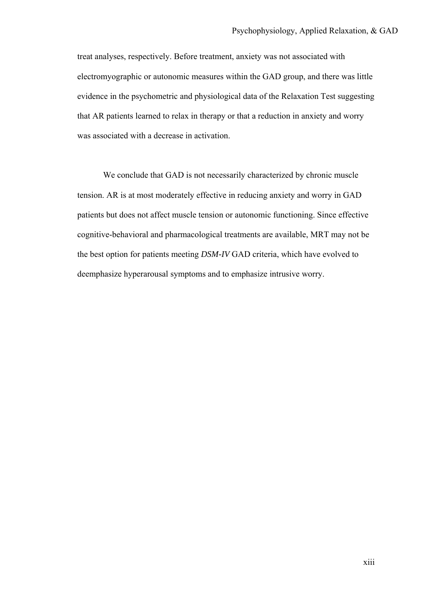treat analyses, respectively. Before treatment, anxiety was not associated with electromyographic or autonomic measures within the GAD group, and there was little evidence in the psychometric and physiological data of the Relaxation Test suggesting that AR patients learned to relax in therapy or that a reduction in anxiety and worry was associated with a decrease in activation.

We conclude that GAD is not necessarily characterized by chronic muscle tension. AR is at most moderately effective in reducing anxiety and worry in GAD patients but does not affect muscle tension or autonomic functioning. Since effective cognitive-behavioral and pharmacological treatments are available, MRT may not be the best option for patients meeting *DSM-IV* GAD criteria, which have evolved to deemphasize hyperarousal symptoms and to emphasize intrusive worry.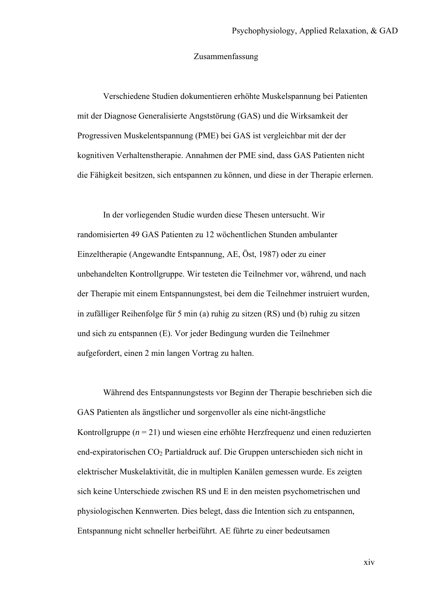#### Zusammenfassung

Verschiedene Studien dokumentieren erhöhte Muskelspannung bei Patienten mit der Diagnose Generalisierte Angststörung (GAS) und die Wirksamkeit der Progressiven Muskelentspannung (PME) bei GAS ist vergleichbar mit der der kognitiven Verhaltenstherapie. Annahmen der PME sind, dass GAS Patienten nicht die Fähigkeit besitzen, sich entspannen zu können, und diese in der Therapie erlernen.

In der vorliegenden Studie wurden diese Thesen untersucht. Wir randomisierten 49 GAS Patienten zu 12 wöchentlichen Stunden ambulanter Einzeltherapie (Angewandte Entspannung, AE, Öst, 1987) oder zu einer unbehandelten Kontrollgruppe. Wir testeten die Teilnehmer vor, während, und nach der Therapie mit einem Entspannungstest, bei dem die Teilnehmer instruiert wurden, in zufälliger Reihenfolge für 5 min (a) ruhig zu sitzen (RS) und (b) ruhig zu sitzen und sich zu entspannen (E). Vor jeder Bedingung wurden die Teilnehmer aufgefordert, einen 2 min langen Vortrag zu halten.

Während des Entspannungstests vor Beginn der Therapie beschrieben sich die GAS Patienten als ängstlicher und sorgenvoller als eine nicht-ängstliche Kontrollgruppe (*n* = 21) und wiesen eine erhöhte Herzfrequenz und einen reduzierten end-expiratorischen CO<sub>2</sub> Partialdruck auf. Die Gruppen unterschieden sich nicht in elektrischer Muskelaktivität, die in multiplen Kanälen gemessen wurde. Es zeigten sich keine Unterschiede zwischen RS und E in den meisten psychometrischen und physiologischen Kennwerten. Dies belegt, dass die Intention sich zu entspannen, Entspannung nicht schneller herbeiführt. AE führte zu einer bedeutsamen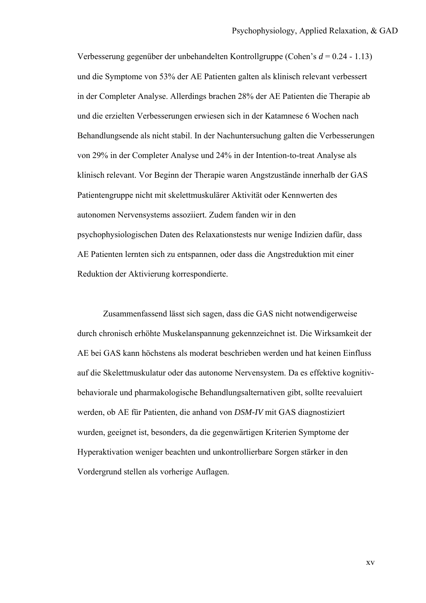Verbesserung gegenüber der unbehandelten Kontrollgruppe (Cohen's *d* = 0.24 - 1.13) und die Symptome von 53% der AE Patienten galten als klinisch relevant verbessert in der Completer Analyse. Allerdings brachen 28% der AE Patienten die Therapie ab und die erzielten Verbesserungen erwiesen sich in der Katamnese 6 Wochen nach Behandlungsende als nicht stabil. In der Nachuntersuchung galten die Verbesserungen von 29% in der Completer Analyse und 24% in der Intention-to-treat Analyse als klinisch relevant. Vor Beginn der Therapie waren Angstzustände innerhalb der GAS Patientengruppe nicht mit skelettmuskulärer Aktivität oder Kennwerten des autonomen Nervensystems assoziiert. Zudem fanden wir in den psychophysiologischen Daten des Relaxationstests nur wenige Indizien dafür, dass AE Patienten lernten sich zu entspannen, oder dass die Angstreduktion mit einer Reduktion der Aktivierung korrespondierte.

Zusammenfassend lässt sich sagen, dass die GAS nicht notwendigerweise durch chronisch erhöhte Muskelanspannung gekennzeichnet ist. Die Wirksamkeit der AE bei GAS kann höchstens als moderat beschrieben werden und hat keinen Einfluss auf die Skelettmuskulatur oder das autonome Nervensystem. Da es effektive kognitivbehaviorale und pharmakologische Behandlungsalternativen gibt, sollte reevaluiert werden, ob AE für Patienten, die anhand von *DSM-IV* mit GAS diagnostiziert wurden, geeignet ist, besonders, da die gegenwärtigen Kriterien Symptome der Hyperaktivation weniger beachten und unkontrollierbare Sorgen stärker in den Vordergrund stellen als vorherige Auflagen.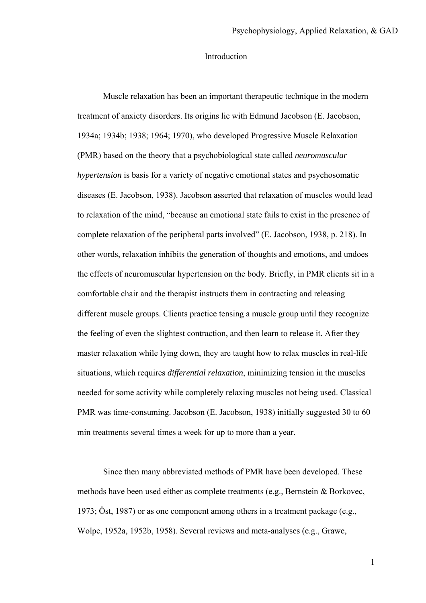#### Introduction

Muscle relaxation has been an important therapeutic technique in the modern treatment of anxiety disorders. Its origins lie with Edmund Jacobson (E. Jacobson, 1934a; 1934b; 1938; 1964; 1970), who developed Progressive Muscle Relaxation (PMR) based on the theory that a psychobiological state called *neuromuscular hypertension* is basis for a variety of negative emotional states and psychosomatic diseases (E. Jacobson, 1938). Jacobson asserted that relaxation of muscles would lead to relaxation of the mind, "because an emotional state fails to exist in the presence of complete relaxation of the peripheral parts involved" (E. Jacobson, 1938, p. 218). In other words, relaxation inhibits the generation of thoughts and emotions, and undoes the effects of neuromuscular hypertension on the body. Briefly, in PMR clients sit in a comfortable chair and the therapist instructs them in contracting and releasing different muscle groups. Clients practice tensing a muscle group until they recognize the feeling of even the slightest contraction, and then learn to release it. After they master relaxation while lying down, they are taught how to relax muscles in real-life situations, which requires *differential relaxation*, minimizing tension in the muscles needed for some activity while completely relaxing muscles not being used. Classical PMR was time-consuming. Jacobson (E. Jacobson, 1938) initially suggested 30 to 60 min treatments several times a week for up to more than a year.

Since then many abbreviated methods of PMR have been developed. These methods have been used either as complete treatments (e.g., Bernstein & Borkovec, 1973; Öst, 1987) or as one component among others in a treatment package (e.g., Wolpe, 1952a, 1952b, 1958). Several reviews and meta-analyses (e.g., Grawe,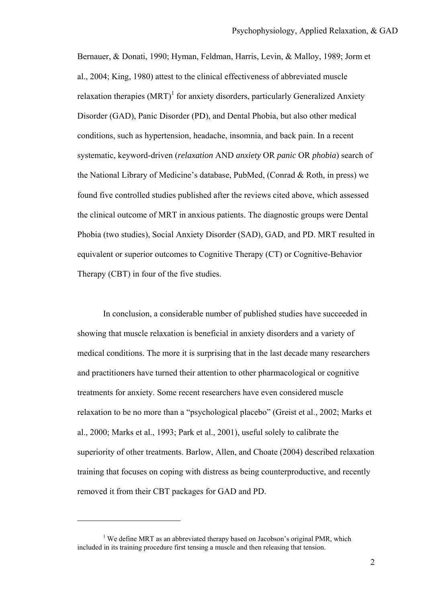Bernauer, & Donati, 1990; Hyman, Feldman, Harris, Levin, & Malloy, 1989; Jorm et al., 2004; King, 1980) attest to the clinical effectiveness of abbreviated muscle relaxation therapies  $(MRT)^1$  for anxiety disorders, particularly Generalized Anxiety Disorder (GAD), Panic Disorder (PD), and Dental Phobia, but also other medical conditions, such as hypertension, headache, insomnia, and back pain. In a recent systematic, keyword-driven (*relaxation* AND *anxiety* OR *panic* OR *phobia*) search of the National Library of Medicine's database, PubMed, (Conrad & Roth, in press) we found five controlled studies published after the reviews cited above, which assessed the clinical outcome of MRT in anxious patients. The diagnostic groups were Dental Phobia (two studies), Social Anxiety Disorder (SAD), GAD, and PD. MRT resulted in equivalent or superior outcomes to Cognitive Therapy (CT) or Cognitive-Behavior Therapy (CBT) in four of the five studies.

In conclusion, a considerable number of published studies have succeeded in showing that muscle relaxation is beneficial in anxiety disorders and a variety of medical conditions. The more it is surprising that in the last decade many researchers and practitioners have turned their attention to other pharmacological or cognitive treatments for anxiety. Some recent researchers have even considered muscle relaxation to be no more than a "psychological placebo" (Greist et al., 2002; Marks et al., 2000; Marks et al., 1993; Park et al., 2001), useful solely to calibrate the superiority of other treatments. Barlow, Allen, and Choate (2004) described relaxation training that focuses on coping with distress as being counterproductive, and recently removed it from their CBT packages for GAD and PD.

 $\overline{a}$ 

<sup>&</sup>lt;sup>1</sup> We define MRT as an abbreviated therapy based on Jacobson's original PMR, which included in its training procedure first tensing a muscle and then releasing that tension.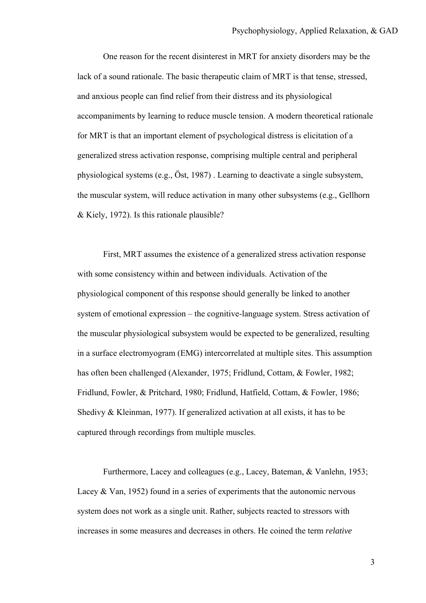One reason for the recent disinterest in MRT for anxiety disorders may be the lack of a sound rationale. The basic therapeutic claim of MRT is that tense, stressed, and anxious people can find relief from their distress and its physiological accompaniments by learning to reduce muscle tension. A modern theoretical rationale for MRT is that an important element of psychological distress is elicitation of a generalized stress activation response, comprising multiple central and peripheral physiological systems (e.g., Öst, 1987) . Learning to deactivate a single subsystem, the muscular system, will reduce activation in many other subsystems (e.g., Gellhorn & Kiely, 1972). Is this rationale plausible?

First, MRT assumes the existence of a generalized stress activation response with some consistency within and between individuals. Activation of the physiological component of this response should generally be linked to another system of emotional expression – the cognitive-language system. Stress activation of the muscular physiological subsystem would be expected to be generalized, resulting in a surface electromyogram (EMG) intercorrelated at multiple sites. This assumption has often been challenged (Alexander, 1975; Fridlund, Cottam, & Fowler, 1982; Fridlund, Fowler, & Pritchard, 1980; Fridlund, Hatfield, Cottam, & Fowler, 1986; Shedivy & Kleinman, 1977). If generalized activation at all exists, it has to be captured through recordings from multiple muscles.

Furthermore, Lacey and colleagues (e.g., Lacey, Bateman, & Vanlehn, 1953; Lacey  $& Van, 1952$  found in a series of experiments that the autonomic nervous system does not work as a single unit. Rather, subjects reacted to stressors with increases in some measures and decreases in others. He coined the term *relative*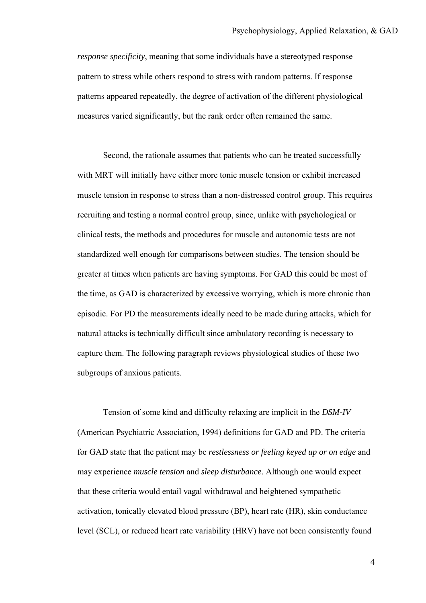*response specificity*, meaning that some individuals have a stereotyped response pattern to stress while others respond to stress with random patterns. If response patterns appeared repeatedly, the degree of activation of the different physiological measures varied significantly, but the rank order often remained the same.

Second, the rationale assumes that patients who can be treated successfully with MRT will initially have either more tonic muscle tension or exhibit increased muscle tension in response to stress than a non-distressed control group. This requires recruiting and testing a normal control group, since, unlike with psychological or clinical tests, the methods and procedures for muscle and autonomic tests are not standardized well enough for comparisons between studies. The tension should be greater at times when patients are having symptoms. For GAD this could be most of the time, as GAD is characterized by excessive worrying, which is more chronic than episodic. For PD the measurements ideally need to be made during attacks, which for natural attacks is technically difficult since ambulatory recording is necessary to capture them. The following paragraph reviews physiological studies of these two subgroups of anxious patients.

Tension of some kind and difficulty relaxing are implicit in the *DSM-IV* (American Psychiatric Association, 1994) definitions for GAD and PD. The criteria for GAD state that the patient may be *restlessness or feeling keyed up or on edge* and may experience *muscle tension* and *sleep disturbance*. Although one would expect that these criteria would entail vagal withdrawal and heightened sympathetic activation, tonically elevated blood pressure (BP), heart rate (HR), skin conductance level (SCL), or reduced heart rate variability (HRV) have not been consistently found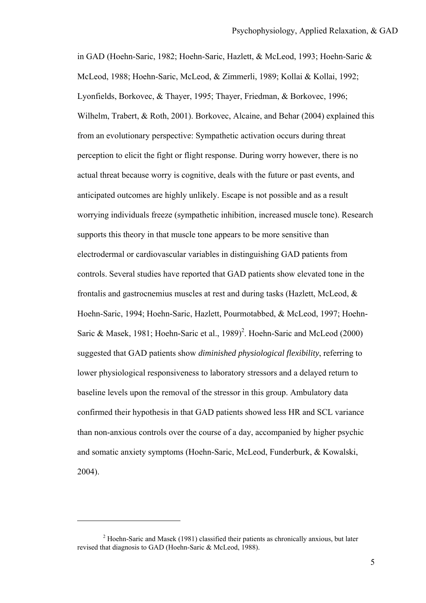in GAD (Hoehn-Saric, 1982; Hoehn-Saric, Hazlett, & McLeod, 1993; Hoehn-Saric & McLeod, 1988; Hoehn-Saric, McLeod, & Zimmerli, 1989; Kollai & Kollai, 1992; Lyonfields, Borkovec, & Thayer, 1995; Thayer, Friedman, & Borkovec, 1996; Wilhelm, Trabert, & Roth, 2001). Borkovec, Alcaine, and Behar (2004) explained this from an evolutionary perspective: Sympathetic activation occurs during threat perception to elicit the fight or flight response. During worry however, there is no actual threat because worry is cognitive, deals with the future or past events, and anticipated outcomes are highly unlikely. Escape is not possible and as a result worrying individuals freeze (sympathetic inhibition, increased muscle tone). Research supports this theory in that muscle tone appears to be more sensitive than electrodermal or cardiovascular variables in distinguishing GAD patients from controls. Several studies have reported that GAD patients show elevated tone in the frontalis and gastrocnemius muscles at rest and during tasks (Hazlett, McLeod, & Hoehn-Saric, 1994; Hoehn-Saric, Hazlett, Pourmotabbed, & McLeod, 1997; Hoehn-Saric & Masek, 1981; Hoehn-Saric et al., 1989)<sup>2</sup>. Hoehn-Saric and McLeod (2000) suggested that GAD patients show *diminished physiological flexibility*, referring to lower physiological responsiveness to laboratory stressors and a delayed return to baseline levels upon the removal of the stressor in this group. Ambulatory data confirmed their hypothesis in that GAD patients showed less HR and SCL variance than non-anxious controls over the course of a day, accompanied by higher psychic and somatic anxiety symptoms (Hoehn-Saric, McLeod, Funderburk, & Kowalski, 2004).

 $\overline{a}$ 

 $2$  Hoehn-Saric and Masek (1981) classified their patients as chronically anxious, but later revised that diagnosis to GAD (Hoehn-Saric & McLeod, 1988).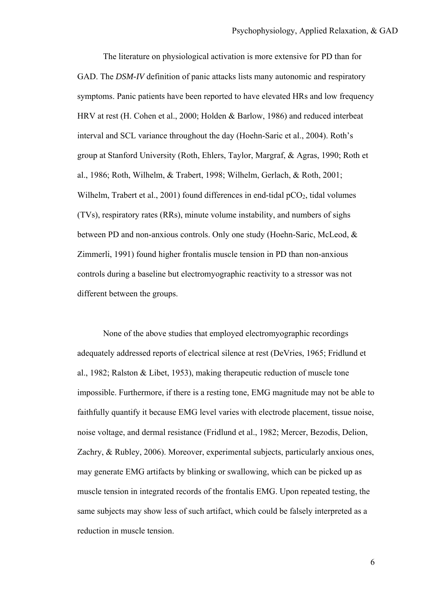The literature on physiological activation is more extensive for PD than for GAD. The *DSM-IV* definition of panic attacks lists many autonomic and respiratory symptoms. Panic patients have been reported to have elevated HRs and low frequency HRV at rest (H. Cohen et al., 2000; Holden & Barlow, 1986) and reduced interbeat interval and SCL variance throughout the day (Hoehn-Saric et al., 2004). Roth's group at Stanford University (Roth, Ehlers, Taylor, Margraf, & Agras, 1990; Roth et al., 1986; Roth, Wilhelm, & Trabert, 1998; Wilhelm, Gerlach, & Roth, 2001; Wilhelm, Trabert et al., 2001) found differences in end-tidal  $pCO<sub>2</sub>$ , tidal volumes (TVs), respiratory rates (RRs), minute volume instability, and numbers of sighs between PD and non-anxious controls. Only one study (Hoehn-Saric, McLeod, & Zimmerli, 1991) found higher frontalis muscle tension in PD than non-anxious controls during a baseline but electromyographic reactivity to a stressor was not different between the groups.

None of the above studies that employed electromyographic recordings adequately addressed reports of electrical silence at rest (DeVries, 1965; Fridlund et al., 1982; Ralston & Libet, 1953), making therapeutic reduction of muscle tone impossible. Furthermore, if there is a resting tone, EMG magnitude may not be able to faithfully quantify it because EMG level varies with electrode placement, tissue noise, noise voltage, and dermal resistance (Fridlund et al., 1982; Mercer, Bezodis, Delion, Zachry, & Rubley, 2006). Moreover, experimental subjects, particularly anxious ones, may generate EMG artifacts by blinking or swallowing, which can be picked up as muscle tension in integrated records of the frontalis EMG. Upon repeated testing, the same subjects may show less of such artifact, which could be falsely interpreted as a reduction in muscle tension.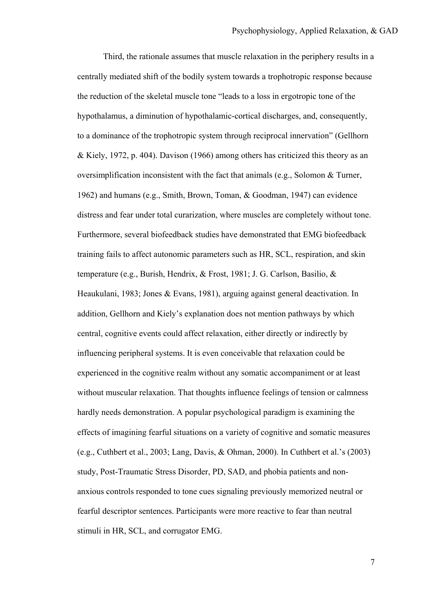Third, the rationale assumes that muscle relaxation in the periphery results in a centrally mediated shift of the bodily system towards a trophotropic response because the reduction of the skeletal muscle tone "leads to a loss in ergotropic tone of the hypothalamus, a diminution of hypothalamic-cortical discharges, and, consequently, to a dominance of the trophotropic system through reciprocal innervation" (Gellhorn & Kiely, 1972, p. 404). Davison (1966) among others has criticized this theory as an oversimplification inconsistent with the fact that animals (e.g., Solomon  $&$  Turner, 1962) and humans (e.g., Smith, Brown, Toman, & Goodman, 1947) can evidence distress and fear under total curarization, where muscles are completely without tone. Furthermore, several biofeedback studies have demonstrated that EMG biofeedback training fails to affect autonomic parameters such as HR, SCL, respiration, and skin temperature (e.g., Burish, Hendrix, & Frost, 1981; J. G. Carlson, Basilio, & Heaukulani, 1983; Jones & Evans, 1981), arguing against general deactivation. In addition, Gellhorn and Kiely's explanation does not mention pathways by which central, cognitive events could affect relaxation, either directly or indirectly by influencing peripheral systems. It is even conceivable that relaxation could be experienced in the cognitive realm without any somatic accompaniment or at least without muscular relaxation. That thoughts influence feelings of tension or calmness hardly needs demonstration. A popular psychological paradigm is examining the effects of imagining fearful situations on a variety of cognitive and somatic measures (e.g., Cuthbert et al., 2003; Lang, Davis, & Ohman, 2000). In Cuthbert et al.'s (2003) study, Post-Traumatic Stress Disorder, PD, SAD, and phobia patients and nonanxious controls responded to tone cues signaling previously memorized neutral or fearful descriptor sentences. Participants were more reactive to fear than neutral stimuli in HR, SCL, and corrugator EMG.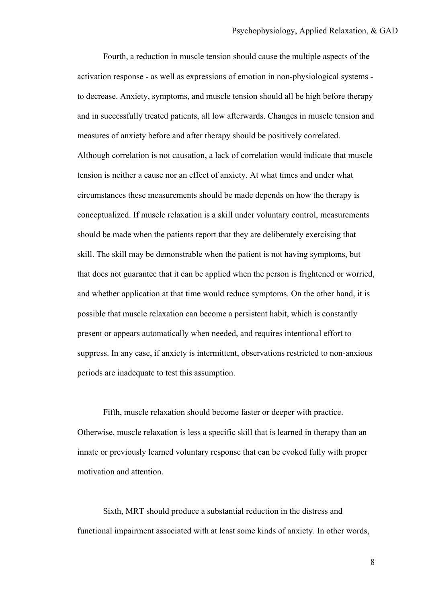Fourth, a reduction in muscle tension should cause the multiple aspects of the activation response - as well as expressions of emotion in non-physiological systems to decrease. Anxiety, symptoms, and muscle tension should all be high before therapy and in successfully treated patients, all low afterwards. Changes in muscle tension and measures of anxiety before and after therapy should be positively correlated. Although correlation is not causation, a lack of correlation would indicate that muscle tension is neither a cause nor an effect of anxiety. At what times and under what circumstances these measurements should be made depends on how the therapy is conceptualized. If muscle relaxation is a skill under voluntary control, measurements should be made when the patients report that they are deliberately exercising that skill. The skill may be demonstrable when the patient is not having symptoms, but that does not guarantee that it can be applied when the person is frightened or worried, and whether application at that time would reduce symptoms. On the other hand, it is possible that muscle relaxation can become a persistent habit, which is constantly present or appears automatically when needed, and requires intentional effort to suppress. In any case, if anxiety is intermittent, observations restricted to non-anxious periods are inadequate to test this assumption.

Fifth, muscle relaxation should become faster or deeper with practice. Otherwise, muscle relaxation is less a specific skill that is learned in therapy than an innate or previously learned voluntary response that can be evoked fully with proper motivation and attention.

Sixth, MRT should produce a substantial reduction in the distress and functional impairment associated with at least some kinds of anxiety. In other words,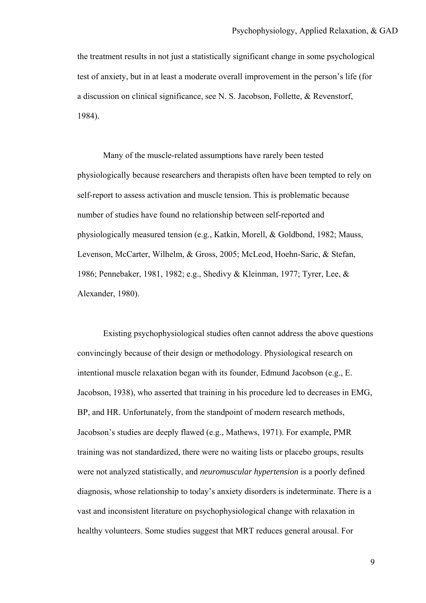the treatment results in not just a statistically significant change in some psychological test of anxiety, but in at least a moderate overall improvement in the person's life (for a discussion on clinical significance, see N. S. Jacobson, Follette, & Revenstorf, 1984).

Many of the muscle-related assumptions have rarely been tested physiologically because researchers and therapists often have been tempted to rely on self-report to assess activation and muscle tension. This is problematic because number of studies have found no relationship between self-reported and physiologically measured tension (e.g., Katkin, Morell, & Goldbond, 1982; Mauss, Levenson, McCarter, Wilhelm, & Gross, 2005; McLeod, Hoehn-Saric, & Stefan, 1986; Pennebaker, 1981, 1982; e.g., Shedivy & Kleinman, 1977; Tyrer, Lee, & Alexander, 1980).

Existing psychophysiological studies often cannot address the above questions convincingly because of their design or methodology. Physiological research on intentional muscle relaxation began with its founder, Edmund Jacobson (e.g., E. Jacobson, 1938), who asserted that training in his procedure led to decreases in EMG, BP, and HR. Unfortunately, from the standpoint of modern research methods, Jacobson's studies are deeply flawed (e.g., Mathews, 1971). For example, PMR training was not standardized, there were no waiting lists or placebo groups, results were not analyzed statistically, and *neuromuscular hypertension* is a poorly defined diagnosis, whose relationship to today's anxiety disorders is indeterminate. There is a vast and inconsistent literature on psychophysiological change with relaxation in healthy volunteers. Some studies suggest that MRT reduces general arousal. For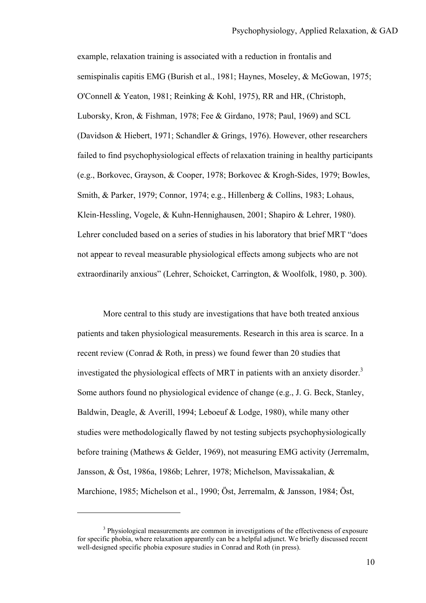example, relaxation training is associated with a reduction in frontalis and semispinalis capitis EMG (Burish et al., 1981; Haynes, Moseley, & McGowan, 1975; O'Connell & Yeaton, 1981; Reinking & Kohl, 1975), RR and HR, (Christoph, Luborsky, Kron, & Fishman, 1978; Fee & Girdano, 1978; Paul, 1969) and SCL (Davidson & Hiebert, 1971; Schandler & Grings, 1976). However, other researchers failed to find psychophysiological effects of relaxation training in healthy participants (e.g., Borkovec, Grayson, & Cooper, 1978; Borkovec & Krogh-Sides, 1979; Bowles, Smith, & Parker, 1979; Connor, 1974; e.g., Hillenberg & Collins, 1983; Lohaus, Klein-Hessling, Vogele, & Kuhn-Hennighausen, 2001; Shapiro & Lehrer, 1980). Lehrer concluded based on a series of studies in his laboratory that brief MRT "does not appear to reveal measurable physiological effects among subjects who are not extraordinarily anxious" (Lehrer, Schoicket, Carrington, & Woolfolk, 1980, p. 300).

More central to this study are investigations that have both treated anxious patients and taken physiological measurements. Research in this area is scarce. In a recent review (Conrad & Roth, in press) we found fewer than 20 studies that investigated the physiological effects of MRT in patients with an anxiety disorder.<sup>3</sup> Some authors found no physiological evidence of change (e.g., J. G. Beck, Stanley, Baldwin, Deagle, & Averill, 1994; Leboeuf & Lodge, 1980), while many other studies were methodologically flawed by not testing subjects psychophysiologically before training (Mathews & Gelder, 1969), not measuring EMG activity (Jerremalm, Jansson, & Öst, 1986a, 1986b; Lehrer, 1978; Michelson, Mavissakalian, & Marchione, 1985; Michelson et al., 1990; Öst, Jerremalm, & Jansson, 1984; Öst,

 $\overline{a}$ 

<sup>&</sup>lt;sup>3</sup> Physiological measurements are common in investigations of the effectiveness of exposure for specific phobia, where relaxation apparently can be a helpful adjunct. We briefly discussed recent well-designed specific phobia exposure studies in Conrad and Roth (in press).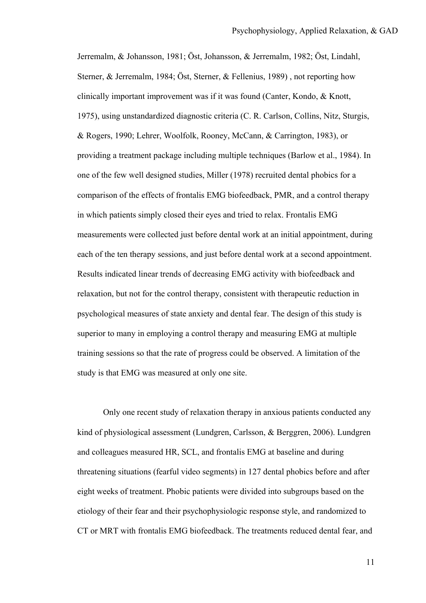Jerremalm, & Johansson, 1981; Öst, Johansson, & Jerremalm, 1982; Öst, Lindahl, Sterner, & Jerremalm, 1984; Öst, Sterner, & Fellenius, 1989) , not reporting how clinically important improvement was if it was found (Canter, Kondo, & Knott, 1975), using unstandardized diagnostic criteria (C. R. Carlson, Collins, Nitz, Sturgis, & Rogers, 1990; Lehrer, Woolfolk, Rooney, McCann, & Carrington, 1983), or providing a treatment package including multiple techniques (Barlow et al., 1984). In one of the few well designed studies, Miller (1978) recruited dental phobics for a comparison of the effects of frontalis EMG biofeedback, PMR, and a control therapy in which patients simply closed their eyes and tried to relax. Frontalis EMG measurements were collected just before dental work at an initial appointment, during each of the ten therapy sessions, and just before dental work at a second appointment. Results indicated linear trends of decreasing EMG activity with biofeedback and relaxation, but not for the control therapy, consistent with therapeutic reduction in psychological measures of state anxiety and dental fear. The design of this study is superior to many in employing a control therapy and measuring EMG at multiple training sessions so that the rate of progress could be observed. A limitation of the study is that EMG was measured at only one site.

Only one recent study of relaxation therapy in anxious patients conducted any kind of physiological assessment (Lundgren, Carlsson, & Berggren, 2006). Lundgren and colleagues measured HR, SCL, and frontalis EMG at baseline and during threatening situations (fearful video segments) in 127 dental phobics before and after eight weeks of treatment. Phobic patients were divided into subgroups based on the etiology of their fear and their psychophysiologic response style, and randomized to CT or MRT with frontalis EMG biofeedback. The treatments reduced dental fear, and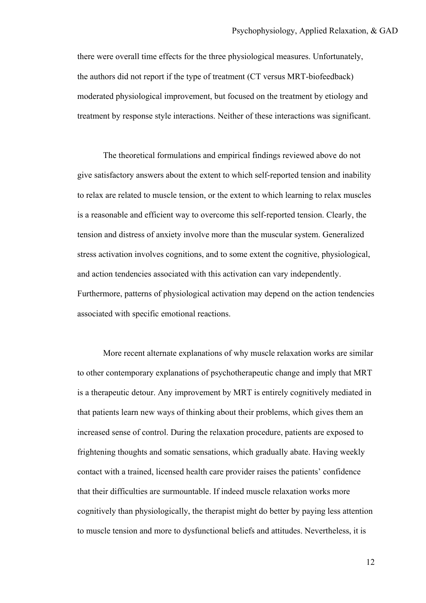there were overall time effects for the three physiological measures. Unfortunately, the authors did not report if the type of treatment (CT versus MRT-biofeedback) moderated physiological improvement, but focused on the treatment by etiology and treatment by response style interactions. Neither of these interactions was significant.

The theoretical formulations and empirical findings reviewed above do not give satisfactory answers about the extent to which self-reported tension and inability to relax are related to muscle tension, or the extent to which learning to relax muscles is a reasonable and efficient way to overcome this self-reported tension. Clearly, the tension and distress of anxiety involve more than the muscular system. Generalized stress activation involves cognitions, and to some extent the cognitive, physiological, and action tendencies associated with this activation can vary independently. Furthermore, patterns of physiological activation may depend on the action tendencies associated with specific emotional reactions.

More recent alternate explanations of why muscle relaxation works are similar to other contemporary explanations of psychotherapeutic change and imply that MRT is a therapeutic detour. Any improvement by MRT is entirely cognitively mediated in that patients learn new ways of thinking about their problems, which gives them an increased sense of control. During the relaxation procedure, patients are exposed to frightening thoughts and somatic sensations, which gradually abate. Having weekly contact with a trained, licensed health care provider raises the patients' confidence that their difficulties are surmountable. If indeed muscle relaxation works more cognitively than physiologically, the therapist might do better by paying less attention to muscle tension and more to dysfunctional beliefs and attitudes. Nevertheless, it is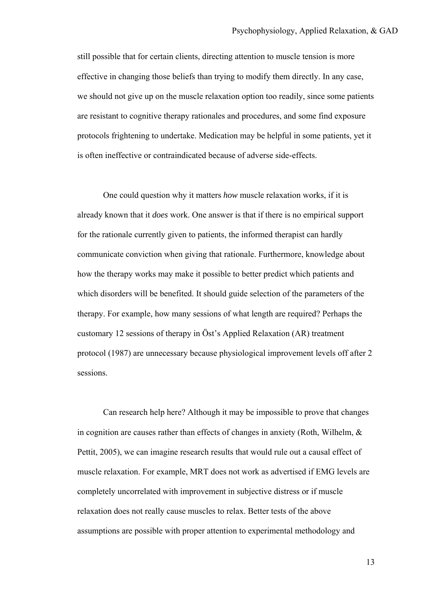still possible that for certain clients, directing attention to muscle tension is more effective in changing those beliefs than trying to modify them directly. In any case, we should not give up on the muscle relaxation option too readily, since some patients are resistant to cognitive therapy rationales and procedures, and some find exposure protocols frightening to undertake. Medication may be helpful in some patients, yet it is often ineffective or contraindicated because of adverse side-effects.

One could question why it matters *how* muscle relaxation works, if it is already known that it *does* work. One answer is that if there is no empirical support for the rationale currently given to patients, the informed therapist can hardly communicate conviction when giving that rationale. Furthermore, knowledge about how the therapy works may make it possible to better predict which patients and which disorders will be benefited. It should guide selection of the parameters of the therapy. For example, how many sessions of what length are required? Perhaps the customary 12 sessions of therapy in Öst's Applied Relaxation (AR) treatment protocol (1987) are unnecessary because physiological improvement levels off after 2 sessions.

Can research help here? Although it may be impossible to prove that changes in cognition are causes rather than effects of changes in anxiety (Roth, Wilhelm, & Pettit, 2005), we can imagine research results that would rule out a causal effect of muscle relaxation. For example, MRT does not work as advertised if EMG levels are completely uncorrelated with improvement in subjective distress or if muscle relaxation does not really cause muscles to relax. Better tests of the above assumptions are possible with proper attention to experimental methodology and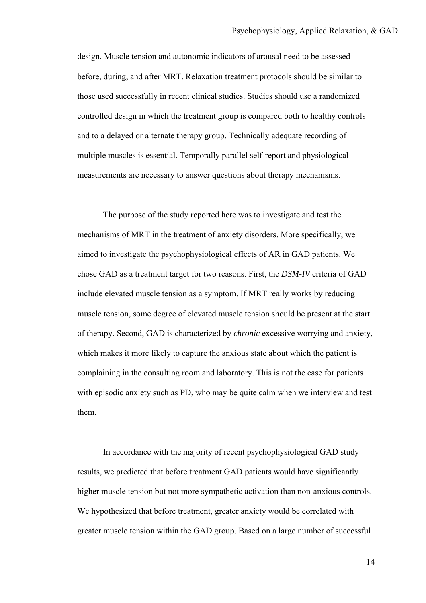design. Muscle tension and autonomic indicators of arousal need to be assessed before, during, and after MRT. Relaxation treatment protocols should be similar to those used successfully in recent clinical studies. Studies should use a randomized controlled design in which the treatment group is compared both to healthy controls and to a delayed or alternate therapy group. Technically adequate recording of multiple muscles is essential. Temporally parallel self-report and physiological measurements are necessary to answer questions about therapy mechanisms.

The purpose of the study reported here was to investigate and test the mechanisms of MRT in the treatment of anxiety disorders. More specifically, we aimed to investigate the psychophysiological effects of AR in GAD patients. We chose GAD as a treatment target for two reasons. First, the *DSM-IV* criteria of GAD include elevated muscle tension as a symptom. If MRT really works by reducing muscle tension, some degree of elevated muscle tension should be present at the start of therapy. Second, GAD is characterized by *chronic* excessive worrying and anxiety, which makes it more likely to capture the anxious state about which the patient is complaining in the consulting room and laboratory. This is not the case for patients with episodic anxiety such as PD, who may be quite calm when we interview and test them.

In accordance with the majority of recent psychophysiological GAD study results, we predicted that before treatment GAD patients would have significantly higher muscle tension but not more sympathetic activation than non-anxious controls. We hypothesized that before treatment, greater anxiety would be correlated with greater muscle tension within the GAD group. Based on a large number of successful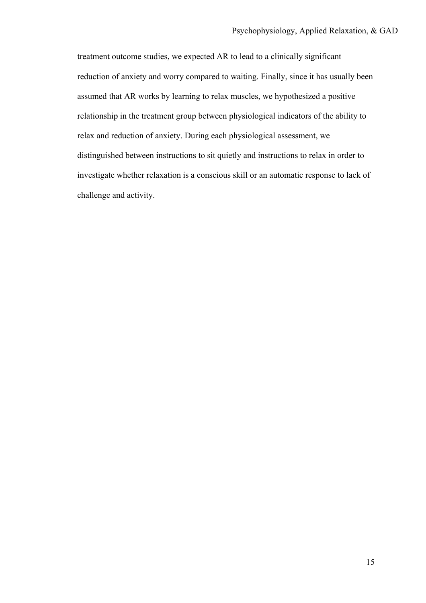treatment outcome studies, we expected AR to lead to a clinically significant reduction of anxiety and worry compared to waiting. Finally, since it has usually been assumed that AR works by learning to relax muscles, we hypothesized a positive relationship in the treatment group between physiological indicators of the ability to relax and reduction of anxiety. During each physiological assessment, we distinguished between instructions to sit quietly and instructions to relax in order to investigate whether relaxation is a conscious skill or an automatic response to lack of challenge and activity.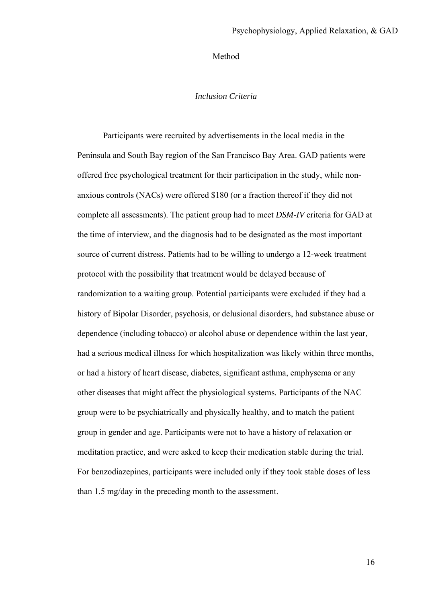#### Method

#### *Inclusion Criteria*

Participants were recruited by advertisements in the local media in the Peninsula and South Bay region of the San Francisco Bay Area. GAD patients were offered free psychological treatment for their participation in the study, while nonanxious controls (NACs) were offered \$180 (or a fraction thereof if they did not complete all assessments). The patient group had to meet *DSM-IV* criteria for GAD at the time of interview, and the diagnosis had to be designated as the most important source of current distress. Patients had to be willing to undergo a 12-week treatment protocol with the possibility that treatment would be delayed because of randomization to a waiting group. Potential participants were excluded if they had a history of Bipolar Disorder, psychosis, or delusional disorders, had substance abuse or dependence (including tobacco) or alcohol abuse or dependence within the last year, had a serious medical illness for which hospitalization was likely within three months, or had a history of heart disease, diabetes, significant asthma, emphysema or any other diseases that might affect the physiological systems. Participants of the NAC group were to be psychiatrically and physically healthy, and to match the patient group in gender and age. Participants were not to have a history of relaxation or meditation practice, and were asked to keep their medication stable during the trial. For benzodiazepines, participants were included only if they took stable doses of less than 1.5 mg/day in the preceding month to the assessment.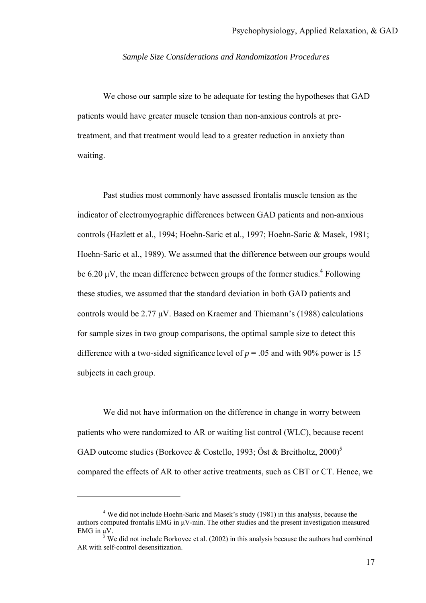#### *Sample Size Considerations and Randomization Procedures*

We chose our sample size to be adequate for testing the hypotheses that GAD patients would have greater muscle tension than non-anxious controls at pretreatment, and that treatment would lead to a greater reduction in anxiety than waiting.

Past studies most commonly have assessed frontalis muscle tension as the indicator of electromyographic differences between GAD patients and non-anxious controls (Hazlett et al., 1994; Hoehn-Saric et al., 1997; Hoehn-Saric & Masek, 1981; Hoehn-Saric et al., 1989). We assumed that the difference between our groups would be 6.20  $\mu$ V, the mean difference between groups of the former studies.<sup>4</sup> Following these studies, we assumed that the standard deviation in both GAD patients and controls would be 2.77 µV. Based on Kraemer and Thiemann's (1988) calculations for sample sizes in two group comparisons, the optimal sample size to detect this difference with a two-sided significance level of  $p = 0.05$  and with 90% power is 15 subjects in each group.

We did not have information on the difference in change in worry between patients who were randomized to AR or waiting list control (WLC), because recent GAD outcome studies (Borkovec & Costello, 1993; Öst & Breitholtz, 2000)<sup>5</sup> compared the effects of AR to other active treatments, such as CBT or CT. Hence, we

 $\overline{a}$ 

<sup>&</sup>lt;sup>4</sup> We did not include Hoehn-Saric and Masek's study (1981) in this analysis, because the authors computed frontalis EMG in µV-min. The other studies and the present investigation measured EMG in  $\mu$ V.

We did not include Borkovec et al. (2002) in this analysis because the authors had combined AR with self-control desensitization.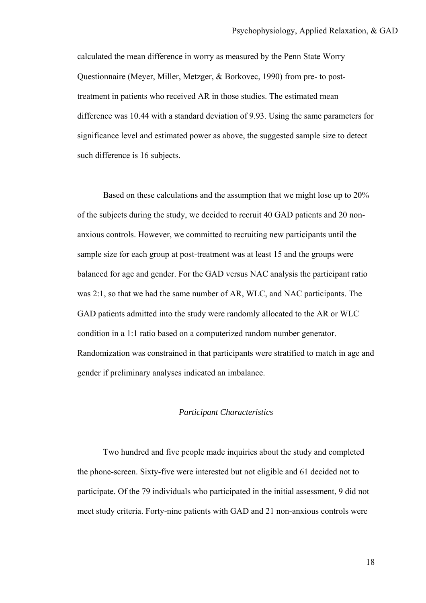calculated the mean difference in worry as measured by the Penn State Worry Questionnaire (Meyer, Miller, Metzger, & Borkovec, 1990) from pre- to posttreatment in patients who received AR in those studies. The estimated mean difference was 10.44 with a standard deviation of 9.93. Using the same parameters for significance level and estimated power as above, the suggested sample size to detect such difference is 16 subjects.

Based on these calculations and the assumption that we might lose up to 20% of the subjects during the study, we decided to recruit 40 GAD patients and 20 nonanxious controls. However, we committed to recruiting new participants until the sample size for each group at post-treatment was at least 15 and the groups were balanced for age and gender. For the GAD versus NAC analysis the participant ratio was 2:1, so that we had the same number of AR, WLC, and NAC participants. The GAD patients admitted into the study were randomly allocated to the AR or WLC condition in a 1:1 ratio based on a computerized random number generator. Randomization was constrained in that participants were stratified to match in age and gender if preliminary analyses indicated an imbalance.

#### *Participant Characteristics*

Two hundred and five people made inquiries about the study and completed the phone-screen. Sixty-five were interested but not eligible and 61 decided not to participate. Of the 79 individuals who participated in the initial assessment, 9 did not meet study criteria. Forty-nine patients with GAD and 21 non-anxious controls were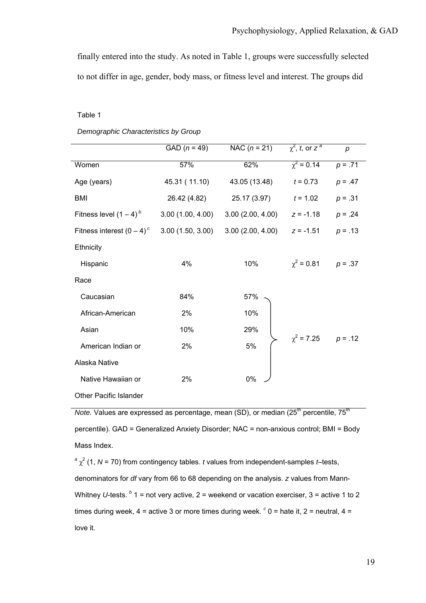finally entered into the study. As noted in Table 1, groups were successfully selected to not differ in age, gender, body mass, or fitness level and interest. The groups did

#### Table 1

|                               | GAD $(n = 49)$   | NAC $(n = 21)$                        | $\chi^2$ , t, or $z^a$ | $\boldsymbol{p}$ |
|-------------------------------|------------------|---------------------------------------|------------------------|------------------|
| Women                         | 57%              | $\chi^2 = 0.14$<br>62%                |                        | $p = .71$        |
| Age (years)                   | 45.31 (11.10)    | 43.05 (13.48)                         | $t = 0.73$             | $p = .47$        |
| BMI                           | 26.42 (4.82)     | 25.17 (3.97)                          | $t = 1.02$             | $p = .31$        |
| Fitness level $(1 – 4)^{b}$   |                  | $3.00(1.00, 4.00)$ $3.00(2.00, 4.00)$ | $z = -1.18$            | $p = .24$        |
| Fitness interest $(0 - 4)^c$  | 3.00(1.50, 3.00) | 3.00(2.00, 4.00)                      | $z = -1.51$            | $p = .13$        |
| Ethnicity                     |                  |                                       |                        |                  |
| Hispanic                      | 4%               | 10%                                   | $\gamma^2$ = 0.81      | $p = .37$        |
| Race                          |                  |                                       |                        |                  |
| Caucasian                     | 84%              | 57%                                   |                        |                  |
| African-American              | 2%               | 10%                                   |                        |                  |
| Asian                         | 10%              | 29%                                   |                        |                  |
| American Indian or            | 2%               | 5%                                    | $\chi^2$ = 7.25        | $p = .12$        |
| Alaska Native                 |                  |                                       |                        |                  |
| Native Hawaiian or            | 2%               | 0%                                    |                        |                  |
| <b>Other Pacific Islander</b> |                  |                                       |                        |                  |

*Demographic Characteristics by Group* 

*Note.* Values are expressed as percentage, mean (SD), or median  $(25<sup>th</sup>$  percentile,  $75<sup>th</sup>$ percentile). GAD = Generalized Anxiety Disorder; NAC = non-anxious control; BMI = Body Mass Index.

 $a \gamma^2$  (1, *N* = 70) from contingency tables. *t* values from independent-samples *t*–tests, denominators for *df* vary from 66 to 68 depending on the analysis. *z* values from Mann-Whitney U-tests. <sup>b</sup> 1 = not very active, 2 = weekend or vacation exerciser, 3 = active 1 to 2 times during week,  $4 =$  active 3 or more times during week.  $c$  0 = hate it, 2 = neutral,  $4 =$ love it.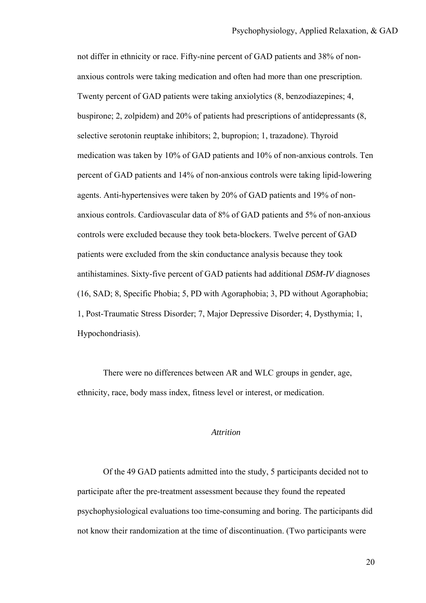not differ in ethnicity or race. Fifty-nine percent of GAD patients and 38% of nonanxious controls were taking medication and often had more than one prescription. Twenty percent of GAD patients were taking anxiolytics (8, benzodiazepines; 4, buspirone; 2, zolpidem) and 20% of patients had prescriptions of antidepressants (8, selective serotonin reuptake inhibitors; 2, bupropion; 1, trazadone). Thyroid medication was taken by 10% of GAD patients and 10% of non-anxious controls. Ten percent of GAD patients and 14% of non-anxious controls were taking lipid-lowering agents. Anti-hypertensives were taken by 20% of GAD patients and 19% of nonanxious controls. Cardiovascular data of 8% of GAD patients and 5% of non-anxious controls were excluded because they took beta-blockers. Twelve percent of GAD patients were excluded from the skin conductance analysis because they took antihistamines. Sixty-five percent of GAD patients had additional *DSM-IV* diagnoses (16, SAD; 8, Specific Phobia; 5, PD with Agoraphobia; 3, PD without Agoraphobia; 1, Post-Traumatic Stress Disorder; 7, Major Depressive Disorder; 4, Dysthymia; 1, Hypochondriasis).

There were no differences between AR and WLC groups in gender, age, ethnicity, race, body mass index, fitness level or interest, or medication.

#### *Attrition*

Of the 49 GAD patients admitted into the study, 5 participants decided not to participate after the pre-treatment assessment because they found the repeated psychophysiological evaluations too time-consuming and boring. The participants did not know their randomization at the time of discontinuation. (Two participants were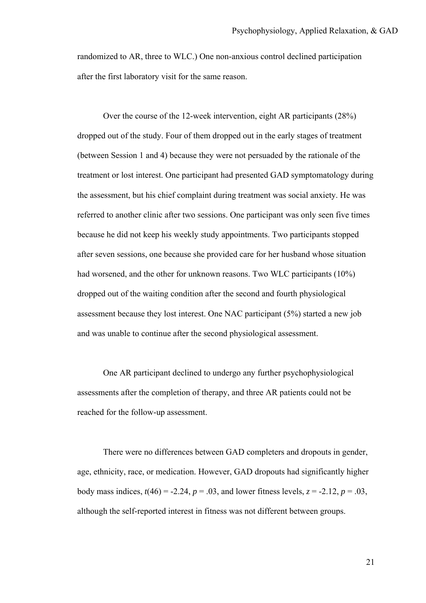randomized to AR, three to WLC.) One non-anxious control declined participation after the first laboratory visit for the same reason.

Over the course of the 12-week intervention, eight AR participants (28%) dropped out of the study. Four of them dropped out in the early stages of treatment (between Session 1 and 4) because they were not persuaded by the rationale of the treatment or lost interest. One participant had presented GAD symptomatology during the assessment, but his chief complaint during treatment was social anxiety. He was referred to another clinic after two sessions. One participant was only seen five times because he did not keep his weekly study appointments. Two participants stopped after seven sessions, one because she provided care for her husband whose situation had worsened, and the other for unknown reasons. Two WLC participants (10%) dropped out of the waiting condition after the second and fourth physiological assessment because they lost interest. One NAC participant (5%) started a new job and was unable to continue after the second physiological assessment.

One AR participant declined to undergo any further psychophysiological assessments after the completion of therapy, and three AR patients could not be reached for the follow-up assessment.

There were no differences between GAD completers and dropouts in gender, age, ethnicity, race, or medication. However, GAD dropouts had significantly higher body mass indices,  $t(46) = -2.24$ ,  $p = .03$ , and lower fitness levels,  $z = -2.12$ ,  $p = .03$ , although the self-reported interest in fitness was not different between groups.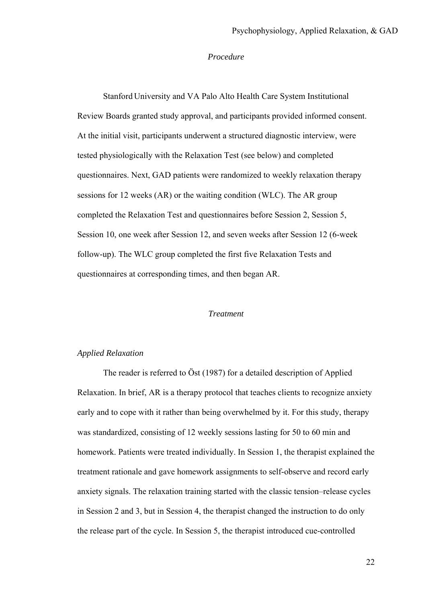### *Procedure*

Stanford University and VA Palo Alto Health Care System Institutional Review Boards granted study approval, and participants provided informed consent. At the initial visit, participants underwent a structured diagnostic interview, were tested physiologically with the Relaxation Test (see below) and completed questionnaires. Next, GAD patients were randomized to weekly relaxation therapy sessions for 12 weeks (AR) or the waiting condition (WLC). The AR group completed the Relaxation Test and questionnaires before Session 2, Session 5, Session 10, one week after Session 12, and seven weeks after Session 12 (6-week follow-up). The WLC group completed the first five Relaxation Tests and questionnaires at corresponding times, and then began AR.

# *Treatment*

# *Applied Relaxation*

The reader is referred to Öst (1987) for a detailed description of Applied Relaxation. In brief, AR is a therapy protocol that teaches clients to recognize anxiety early and to cope with it rather than being overwhelmed by it. For this study, therapy was standardized, consisting of 12 weekly sessions lasting for 50 to 60 min and homework. Patients were treated individually. In Session 1, the therapist explained the treatment rationale and gave homework assignments to self-observe and record early anxiety signals. The relaxation training started with the classic tension–release cycles in Session 2 and 3, but in Session 4, the therapist changed the instruction to do only the release part of the cycle. In Session 5, the therapist introduced cue-controlled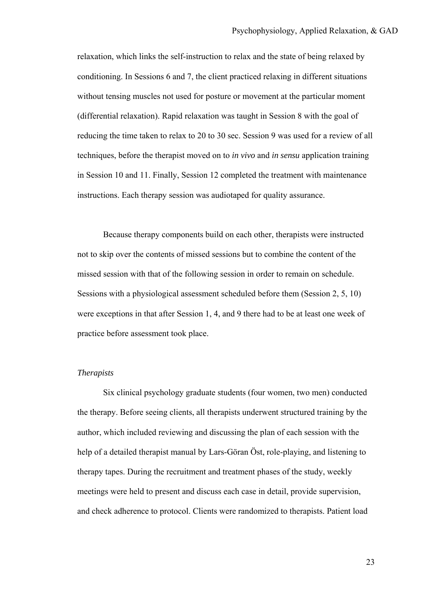relaxation, which links the self-instruction to relax and the state of being relaxed by conditioning. In Sessions 6 and 7, the client practiced relaxing in different situations without tensing muscles not used for posture or movement at the particular moment (differential relaxation). Rapid relaxation was taught in Session 8 with the goal of reducing the time taken to relax to 20 to 30 sec. Session 9 was used for a review of all techniques, before the therapist moved on to *in vivo* and *in sensu* application training in Session 10 and 11. Finally, Session 12 completed the treatment with maintenance instructions. Each therapy session was audiotaped for quality assurance.

Because therapy components build on each other, therapists were instructed not to skip over the contents of missed sessions but to combine the content of the missed session with that of the following session in order to remain on schedule. Sessions with a physiological assessment scheduled before them (Session 2, 5, 10) were exceptions in that after Session 1, 4, and 9 there had to be at least one week of practice before assessment took place.

# *Therapists*

Six clinical psychology graduate students (four women, two men) conducted the therapy. Before seeing clients, all therapists underwent structured training by the author, which included reviewing and discussing the plan of each session with the help of a detailed therapist manual by Lars-Göran Öst, role-playing, and listening to therapy tapes. During the recruitment and treatment phases of the study, weekly meetings were held to present and discuss each case in detail, provide supervision, and check adherence to protocol. Clients were randomized to therapists. Patient load

23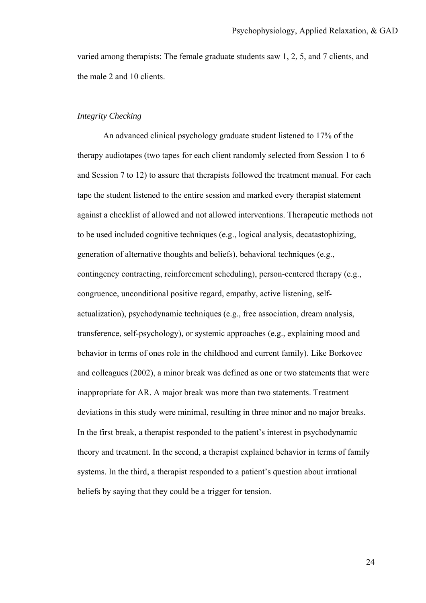varied among therapists: The female graduate students saw 1, 2, 5, and 7 clients, and the male 2 and 10 clients.

# *Integrity Checking*

An advanced clinical psychology graduate student listened to 17% of the therapy audiotapes (two tapes for each client randomly selected from Session 1 to 6 and Session 7 to 12) to assure that therapists followed the treatment manual. For each tape the student listened to the entire session and marked every therapist statement against a checklist of allowed and not allowed interventions. Therapeutic methods not to be used included cognitive techniques (e.g., logical analysis, decatastophizing, generation of alternative thoughts and beliefs), behavioral techniques (e.g., contingency contracting, reinforcement scheduling), person-centered therapy (e.g., congruence, unconditional positive regard, empathy, active listening, selfactualization), psychodynamic techniques (e.g., free association, dream analysis, transference, self-psychology), or systemic approaches (e.g., explaining mood and behavior in terms of ones role in the childhood and current family). Like Borkovec and colleagues (2002), a minor break was defined as one or two statements that were inappropriate for AR. A major break was more than two statements. Treatment deviations in this study were minimal, resulting in three minor and no major breaks. In the first break, a therapist responded to the patient's interest in psychodynamic theory and treatment. In the second, a therapist explained behavior in terms of family systems. In the third, a therapist responded to a patient's question about irrational beliefs by saying that they could be a trigger for tension.

24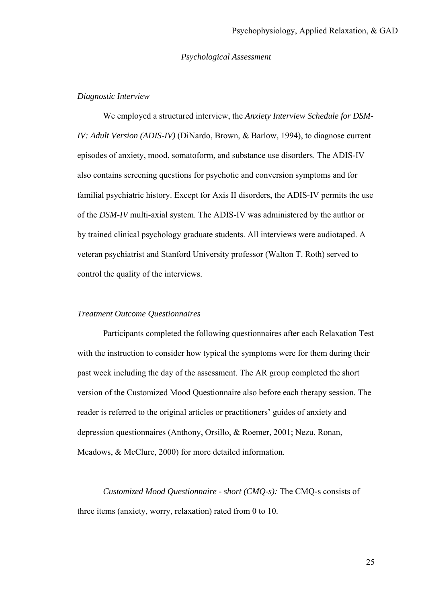# *Psychological Assessment*

# *Diagnostic Interview*

We employed a structured interview, the *Anxiety Interview Schedule for DSM-IV: Adult Version (ADIS-IV)* (DiNardo, Brown, & Barlow, 1994), to diagnose current episodes of anxiety, mood, somatoform, and substance use disorders. The ADIS-IV also contains screening questions for psychotic and conversion symptoms and for familial psychiatric history. Except for Axis II disorders, the ADIS-IV permits the use of the *DSM-IV* multi-axial system. The ADIS-IV was administered by the author or by trained clinical psychology graduate students. All interviews were audiotaped. A veteran psychiatrist and Stanford University professor (Walton T. Roth) served to control the quality of the interviews.

### *Treatment Outcome Questionnaires*

Participants completed the following questionnaires after each Relaxation Test with the instruction to consider how typical the symptoms were for them during their past week including the day of the assessment. The AR group completed the short version of the Customized Mood Questionnaire also before each therapy session. The reader is referred to the original articles or practitioners' guides of anxiety and depression questionnaires (Anthony, Orsillo, & Roemer, 2001; Nezu, Ronan, Meadows, & McClure, 2000) for more detailed information.

*Customized Mood Questionnaire - short (CMQ-s):* The CMQ-s consists of three items (anxiety, worry, relaxation) rated from 0 to 10.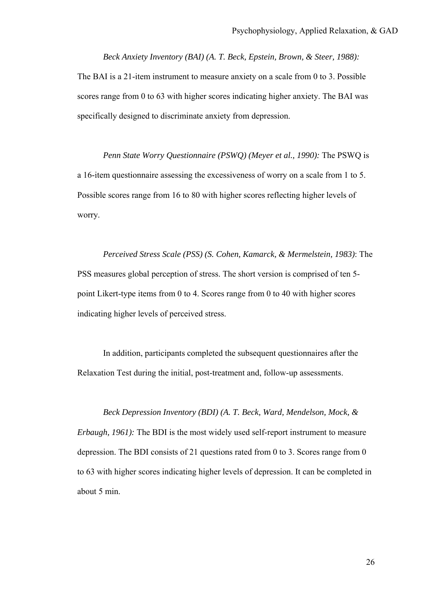*Beck Anxiety Inventory (BAI) (A. T. Beck, Epstein, Brown, & Steer, 1988):* The BAI is a 21-item instrument to measure anxiety on a scale from 0 to 3. Possible scores range from 0 to 63 with higher scores indicating higher anxiety. The BAI was specifically designed to discriminate anxiety from depression.

*Penn State Worry Questionnaire (PSWQ) (Meyer et al., 1990):* The PSWQ is a 16-item questionnaire assessing the excessiveness of worry on a scale from 1 to 5. Possible scores range from 16 to 80 with higher scores reflecting higher levels of worry.

*Perceived Stress Scale (PSS) (S. Cohen, Kamarck, & Mermelstein, 1983)*: The PSS measures global perception of stress. The short version is comprised of ten 5 point Likert-type items from 0 to 4. Scores range from 0 to 40 with higher scores indicating higher levels of perceived stress.

In addition, participants completed the subsequent questionnaires after the Relaxation Test during the initial, post-treatment and, follow-up assessments.

*Beck Depression Inventory (BDI) (A. T. Beck, Ward, Mendelson, Mock, & Erbaugh, 1961):* The BDI is the most widely used self-report instrument to measure depression. The BDI consists of 21 questions rated from 0 to 3. Scores range from 0 to 63 with higher scores indicating higher levels of depression. It can be completed in about 5 min.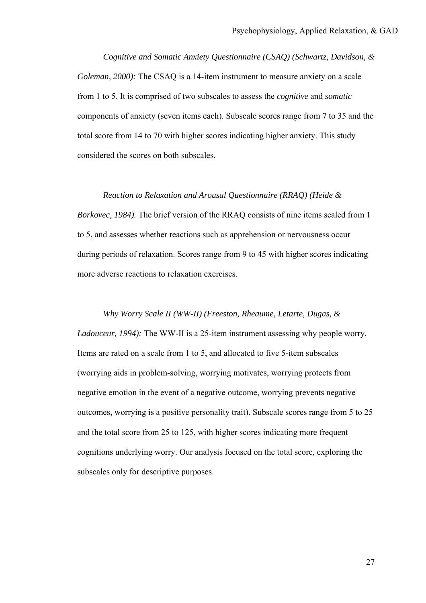*Cognitive and Somatic Anxiety Questionnaire (CSAQ) (Schwartz, Davidson, & Goleman, 2000):* The CSAQ is a 14-item instrument to measure anxiety on a scale from 1 to 5. It is comprised of two subscales to assess the *cognitive* and *somatic* components of anxiety (seven items each). Subscale scores range from 7 to 35 and the total score from 14 to 70 with higher scores indicating higher anxiety. This study considered the scores on both subscales.

*Reaction to Relaxation and Arousal Questionnaire (RRAQ) (Heide & Borkovec, 1984).* The brief version of the RRAQ consists of nine items scaled from 1 to 5, and assesses whether reactions such as apprehension or nervousness occur during periods of relaxation. Scores range from 9 to 45 with higher scores indicating more adverse reactions to relaxation exercises.

*Why Worry Scale II (WW-II) (Freeston, Rheaume, Letarte, Dugas, & Ladouceur, 1994):* The WW-II is a 25-item instrument assessing why people worry. Items are rated on a scale from 1 to 5, and allocated to five 5-item subscales (worrying aids in problem-solving, worrying motivates, worrying protects from negative emotion in the event of a negative outcome, worrying prevents negative outcomes, worrying is a positive personality trait). Subscale scores range from 5 to 25 and the total score from 25 to 125, with higher scores indicating more frequent cognitions underlying worry. Our analysis focused on the total score, exploring the subscales only for descriptive purposes.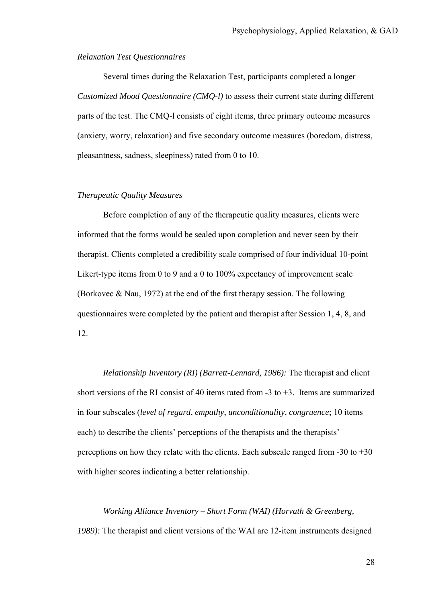### *Relaxation Test Questionnaires*

Several times during the Relaxation Test, participants completed a longer *Customized Mood Questionnaire (CMQ-l)* to assess their current state during different parts of the test. The CMQ-l consists of eight items, three primary outcome measures (anxiety, worry, relaxation) and five secondary outcome measures (boredom, distress, pleasantness, sadness, sleepiness) rated from 0 to 10.

# *Therapeutic Quality Measures*

Before completion of any of the therapeutic quality measures, clients were informed that the forms would be sealed upon completion and never seen by their therapist. Clients completed a credibility scale comprised of four individual 10-point Likert-type items from 0 to 9 and a 0 to 100% expectancy of improvement scale (Borkovec & Nau, 1972) at the end of the first therapy session. The following questionnaires were completed by the patient and therapist after Session 1, 4, 8, and 12.

*Relationship Inventory (RI) (Barrett-Lennard, 1986):* The therapist and client short versions of the RI consist of 40 items rated from  $-3$  to  $+3$ . Items are summarized in four subscales (*level of regard*, *empathy*, *unconditionality*, *congruence*; 10 items each) to describe the clients' perceptions of the therapists and the therapists' perceptions on how they relate with the clients. Each subscale ranged from  $-30$  to  $+30$ with higher scores indicating a better relationship.

*Working Alliance Inventory – Short Form (WAI) (Horvath & Greenberg, 1989):* The therapist and client versions of the WAI are 12-item instruments designed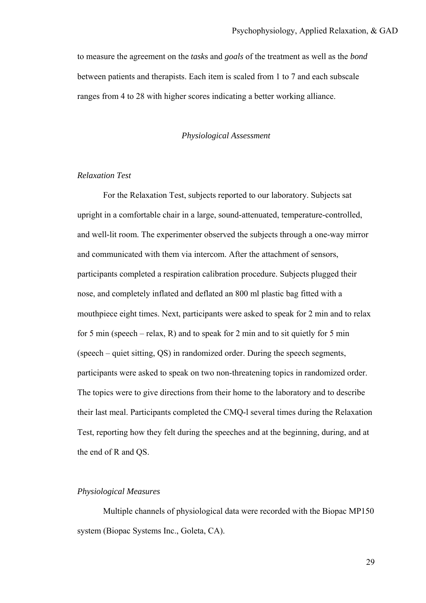to measure the agreement on the *task*s and *goals* of the treatment as well as the *bond* between patients and therapists. Each item is scaled from 1 to 7 and each subscale ranges from 4 to 28 with higher scores indicating a better working alliance.

#### *Physiological Assessment*

# *Relaxation Test*

For the Relaxation Test, subjects reported to our laboratory. Subjects sat upright in a comfortable chair in a large, sound-attenuated, temperature-controlled, and well-lit room. The experimenter observed the subjects through a one-way mirror and communicated with them via intercom. After the attachment of sensors, participants completed a respiration calibration procedure. Subjects plugged their nose, and completely inflated and deflated an 800 ml plastic bag fitted with a mouthpiece eight times. Next, participants were asked to speak for 2 min and to relax for 5 min (speech – relax, R) and to speak for 2 min and to sit quietly for 5 min (speech – quiet sitting, QS) in randomized order. During the speech segments, participants were asked to speak on two non-threatening topics in randomized order. The topics were to give directions from their home to the laboratory and to describe their last meal. Participants completed the CMQ-l several times during the Relaxation Test, reporting how they felt during the speeches and at the beginning, during, and at the end of R and QS.

# *Physiological Measures*

Multiple channels of physiological data were recorded with the Biopac MP150 system (Biopac Systems Inc., Goleta, CA).

29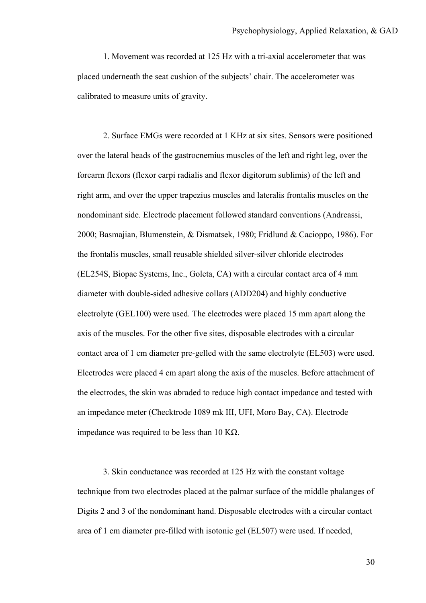1. Movement was recorded at 125 Hz with a tri-axial accelerometer that was placed underneath the seat cushion of the subjects' chair. The accelerometer was calibrated to measure units of gravity.

2. Surface EMGs were recorded at 1 KHz at six sites. Sensors were positioned over the lateral heads of the gastrocnemius muscles of the left and right leg, over the forearm flexors (flexor carpi radialis and flexor digitorum sublimis) of the left and right arm, and over the upper trapezius muscles and lateralis frontalis muscles on the nondominant side. Electrode placement followed standard conventions (Andreassi, 2000; Basmajian, Blumenstein, & Dismatsek, 1980; Fridlund & Cacioppo, 1986). For the frontalis muscles, small reusable shielded silver-silver chloride electrodes (EL254S, Biopac Systems, Inc., Goleta, CA) with a circular contact area of 4 mm diameter with double-sided adhesive collars (ADD204) and highly conductive electrolyte (GEL100) were used. The electrodes were placed 15 mm apart along the axis of the muscles. For the other five sites, disposable electrodes with a circular contact area of 1 cm diameter pre-gelled with the same electrolyte (EL503) were used. Electrodes were placed 4 cm apart along the axis of the muscles. Before attachment of the electrodes, the skin was abraded to reduce high contact impedance and tested with an impedance meter (Checktrode 1089 mk III, UFI, Moro Bay, CA). Electrode impedance was required to be less than 10 KΩ.

3. Skin conductance was recorded at 125 Hz with the constant voltage technique from two electrodes placed at the palmar surface of the middle phalanges of Digits 2 and 3 of the nondominant hand. Disposable electrodes with a circular contact area of 1 cm diameter pre-filled with isotonic gel (EL507) were used. If needed,

30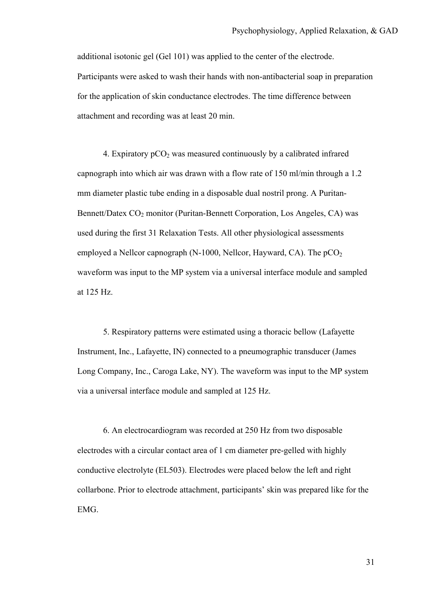additional isotonic gel (Gel 101) was applied to the center of the electrode. Participants were asked to wash their hands with non-antibacterial soap in preparation for the application of skin conductance electrodes. The time difference between attachment and recording was at least 20 min.

4. Expiratory  $pCO<sub>2</sub>$  was measured continuously by a calibrated infrared capnograph into which air was drawn with a flow rate of 150 ml/min through a 1.2 mm diameter plastic tube ending in a disposable dual nostril prong. A Puritan-Bennett/Datex CO<sub>2</sub> monitor (Puritan-Bennett Corporation, Los Angeles, CA) was used during the first 31 Relaxation Tests. All other physiological assessments employed a Nellcor capnograph (N-1000, Nellcor, Hayward, CA). The  $pCO<sub>2</sub>$ waveform was input to the MP system via a universal interface module and sampled at 125 Hz.

5. Respiratory patterns were estimated using a thoracic bellow (Lafayette Instrument, Inc., Lafayette, IN) connected to a pneumographic transducer (James Long Company, Inc., Caroga Lake, NY). The waveform was input to the MP system via a universal interface module and sampled at 125 Hz.

6. An electrocardiogram was recorded at 250 Hz from two disposable electrodes with a circular contact area of 1 cm diameter pre-gelled with highly conductive electrolyte (EL503). Electrodes were placed below the left and right collarbone. Prior to electrode attachment, participants' skin was prepared like for the EMG.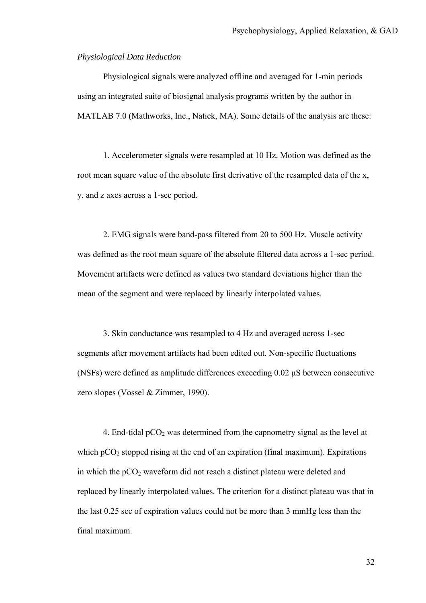#### *Physiological Data Reduction*

Physiological signals were analyzed offline and averaged for 1-min periods using an integrated suite of biosignal analysis programs written by the author in MATLAB 7.0 (Mathworks, Inc., Natick, MA). Some details of the analysis are these:

1. Accelerometer signals were resampled at 10 Hz. Motion was defined as the root mean square value of the absolute first derivative of the resampled data of the x, y, and z axes across a 1-sec period.

2. EMG signals were band-pass filtered from 20 to 500 Hz. Muscle activity was defined as the root mean square of the absolute filtered data across a 1-sec period. Movement artifacts were defined as values two standard deviations higher than the mean of the segment and were replaced by linearly interpolated values.

3. Skin conductance was resampled to 4 Hz and averaged across 1-sec segments after movement artifacts had been edited out. Non-specific fluctuations (NSFs) were defined as amplitude differences exceeding 0.02 µS between consecutive zero slopes (Vossel & Zimmer, 1990).

4. End-tidal  $pCO<sub>2</sub>$  was determined from the capnometry signal as the level at which  $pCO<sub>2</sub>$  stopped rising at the end of an expiration (final maximum). Expirations in which the  $pCO<sub>2</sub>$  waveform did not reach a distinct plateau were deleted and replaced by linearly interpolated values. The criterion for a distinct plateau was that in the last 0.25 sec of expiration values could not be more than 3 mmHg less than the final maximum.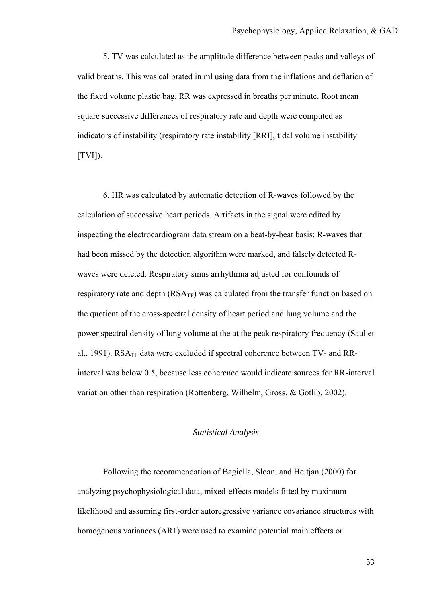5. TV was calculated as the amplitude difference between peaks and valleys of valid breaths. This was calibrated in ml using data from the inflations and deflation of the fixed volume plastic bag. RR was expressed in breaths per minute. Root mean square successive differences of respiratory rate and depth were computed as indicators of instability (respiratory rate instability [RRI], tidal volume instability  $[TVI]$ ).

6. HR was calculated by automatic detection of R-waves followed by the calculation of successive heart periods. Artifacts in the signal were edited by inspecting the electrocardiogram data stream on a beat-by-beat basis: R-waves that had been missed by the detection algorithm were marked, and falsely detected Rwaves were deleted. Respiratory sinus arrhythmia adjusted for confounds of respiratory rate and depth  $(RSA_{TF})$  was calculated from the transfer function based on the quotient of the cross-spectral density of heart period and lung volume and the power spectral density of lung volume at the at the peak respiratory frequency (Saul et al., 1991). RSA<sub>TF</sub> data were excluded if spectral coherence between TV- and RRinterval was below 0.5, because less coherence would indicate sources for RR-interval variation other than respiration (Rottenberg, Wilhelm, Gross, & Gotlib, 2002).

### *Statistical Analysis*

Following the recommendation of Bagiella, Sloan, and Heitjan (2000) for analyzing psychophysiological data, mixed-effects models fitted by maximum likelihood and assuming first-order autoregressive variance covariance structures with homogenous variances (AR1) were used to examine potential main effects or

33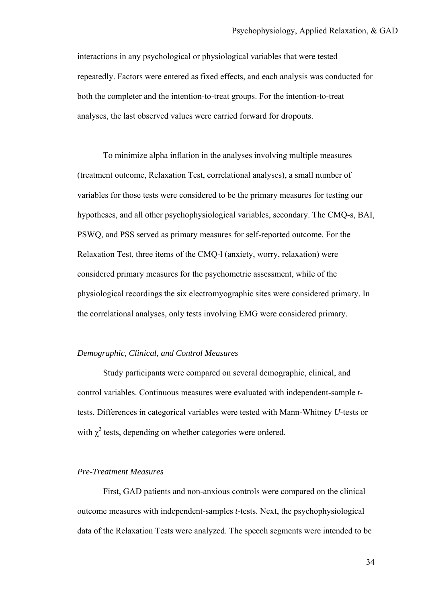interactions in any psychological or physiological variables that were tested repeatedly. Factors were entered as fixed effects, and each analysis was conducted for both the completer and the intention-to-treat groups. For the intention-to-treat analyses, the last observed values were carried forward for dropouts.

To minimize alpha inflation in the analyses involving multiple measures (treatment outcome, Relaxation Test, correlational analyses), a small number of variables for those tests were considered to be the primary measures for testing our hypotheses, and all other psychophysiological variables, secondary. The CMQ-s, BAI, PSWQ, and PSS served as primary measures for self-reported outcome. For the Relaxation Test, three items of the CMQ-l (anxiety, worry, relaxation) were considered primary measures for the psychometric assessment, while of the physiological recordings the six electromyographic sites were considered primary. In the correlational analyses, only tests involving EMG were considered primary.

# *Demographic, Clinical, and Control Measures*

Study participants were compared on several demographic, clinical, and control variables. Continuous measures were evaluated with independent-sample *t*tests. Differences in categorical variables were tested with Mann-Whitney *U*-tests or with  $\chi^2$  tests, depending on whether categories were ordered.

# *Pre-Treatment Measures*

First, GAD patients and non-anxious controls were compared on the clinical outcome measures with independent-samples *t*-tests. Next, the psychophysiological data of the Relaxation Tests were analyzed. The speech segments were intended to be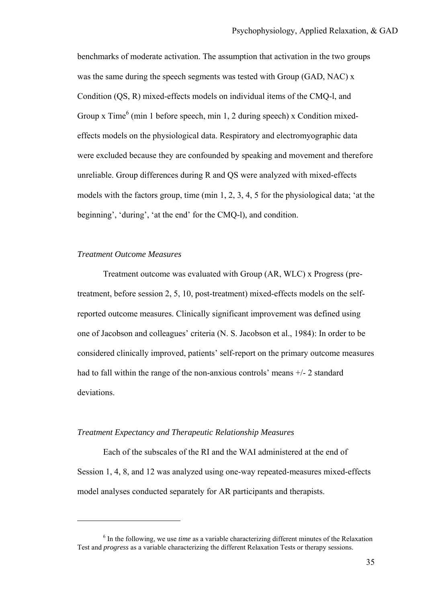benchmarks of moderate activation. The assumption that activation in the two groups was the same during the speech segments was tested with Group (GAD, NAC) x Condition (QS, R) mixed-effects models on individual items of the CMQ-l, and Group x  $Time<sup>6</sup>$  (min 1 before speech, min 1, 2 during speech) x Condition mixedeffects models on the physiological data. Respiratory and electromyographic data were excluded because they are confounded by speaking and movement and therefore unreliable. Group differences during R and QS were analyzed with mixed-effects models with the factors group, time (min 1, 2, 3, 4, 5 for the physiological data; 'at the beginning', 'during', 'at the end' for the CMQ-l), and condition.

# *Treatment Outcome Measures*

 $\overline{a}$ 

Treatment outcome was evaluated with Group (AR, WLC) x Progress (pretreatment, before session 2, 5, 10, post-treatment) mixed-effects models on the selfreported outcome measures. Clinically significant improvement was defined using one of Jacobson and colleagues' criteria (N. S. Jacobson et al., 1984): In order to be considered clinically improved, patients' self-report on the primary outcome measures had to fall within the range of the non-anxious controls' means +/- 2 standard deviations.

### *Treatment Expectancy and Therapeutic Relationship Measures*

Each of the subscales of the RI and the WAI administered at the end of Session 1, 4, 8, and 12 was analyzed using one-way repeated-measures mixed-effects model analyses conducted separately for AR participants and therapists.

<sup>&</sup>lt;sup>6</sup> In the following, we use *time* as a variable characterizing different minutes of the Relaxation Test and *progress* as a variable characterizing the different Relaxation Tests or therapy sessions.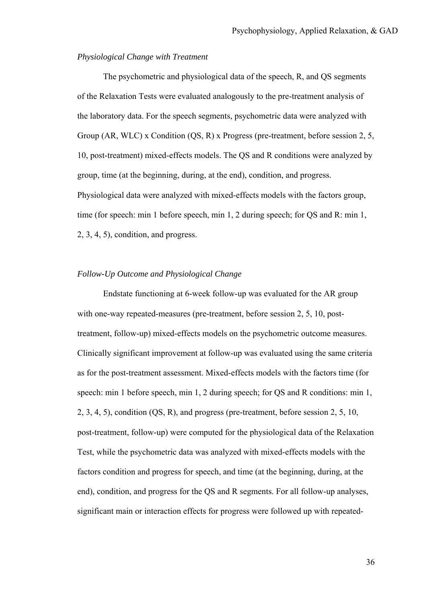# *Physiological Change with Treatment*

The psychometric and physiological data of the speech, R, and QS segments of the Relaxation Tests were evaluated analogously to the pre-treatment analysis of the laboratory data. For the speech segments, psychometric data were analyzed with Group (AR, WLC) x Condition (QS, R) x Progress (pre-treatment, before session 2, 5, 10, post-treatment) mixed-effects models. The QS and R conditions were analyzed by group, time (at the beginning, during, at the end), condition, and progress. Physiological data were analyzed with mixed-effects models with the factors group, time (for speech: min 1 before speech, min 1, 2 during speech; for QS and R: min 1, 2, 3, 4, 5), condition, and progress.

# *Follow-Up Outcome and Physiological Change*

Endstate functioning at 6-week follow-up was evaluated for the AR group with one-way repeated-measures (pre-treatment, before session 2, 5, 10, posttreatment, follow-up) mixed-effects models on the psychometric outcome measures. Clinically significant improvement at follow-up was evaluated using the same criteria as for the post-treatment assessment. Mixed-effects models with the factors time (for speech: min 1 before speech, min 1, 2 during speech; for QS and R conditions: min 1, 2, 3, 4, 5), condition (QS, R), and progress (pre-treatment, before session 2, 5, 10, post-treatment, follow-up) were computed for the physiological data of the Relaxation Test, while the psychometric data was analyzed with mixed-effects models with the factors condition and progress for speech, and time (at the beginning, during, at the end), condition, and progress for the QS and R segments. For all follow-up analyses, significant main or interaction effects for progress were followed up with repeated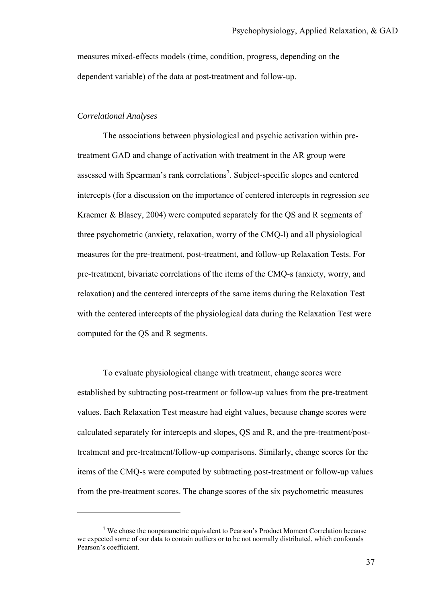measures mixed-effects models (time, condition, progress, depending on the dependent variable) of the data at post-treatment and follow-up.

# *Correlational Analyses*

 $\overline{a}$ 

The associations between physiological and psychic activation within pretreatment GAD and change of activation with treatment in the AR group were assessed with Spearman's rank correlations<sup>7</sup>. Subject-specific slopes and centered intercepts (for a discussion on the importance of centered intercepts in regression see Kraemer & Blasey, 2004) were computed separately for the QS and R segments of three psychometric (anxiety, relaxation, worry of the CMQ-l) and all physiological measures for the pre-treatment, post-treatment, and follow-up Relaxation Tests. For pre-treatment, bivariate correlations of the items of the CMQ-s (anxiety, worry, and relaxation) and the centered intercepts of the same items during the Relaxation Test with the centered intercepts of the physiological data during the Relaxation Test were computed for the QS and R segments.

To evaluate physiological change with treatment, change scores were established by subtracting post-treatment or follow-up values from the pre-treatment values. Each Relaxation Test measure had eight values, because change scores were calculated separately for intercepts and slopes, QS and R, and the pre-treatment/posttreatment and pre-treatment/follow-up comparisons. Similarly, change scores for the items of the CMQ-s were computed by subtracting post-treatment or follow-up values from the pre-treatment scores. The change scores of the six psychometric measures

 $7$  We chose the nonparametric equivalent to Pearson's Product Moment Correlation because we expected some of our data to contain outliers or to be not normally distributed, which confounds Pearson's coefficient.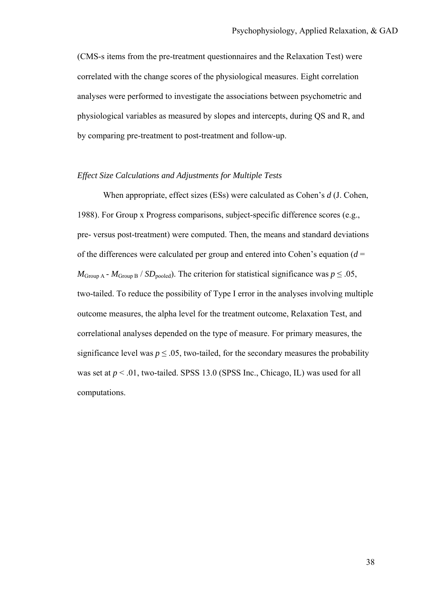(CMS-s items from the pre-treatment questionnaires and the Relaxation Test) were correlated with the change scores of the physiological measures. Eight correlation analyses were performed to investigate the associations between psychometric and physiological variables as measured by slopes and intercepts, during QS and R, and by comparing pre-treatment to post-treatment and follow-up.

### *Effect Size Calculations and Adjustments for Multiple Tests*

When appropriate, effect sizes (ESs) were calculated as Cohen's *d* (J. Cohen, 1988). For Group x Progress comparisons, subject-specific difference scores (e.g., pre- versus post-treatment) were computed. Then, the means and standard deviations of the differences were calculated per group and entered into Cohen's equation  $(d =$  $M_{\text{Group A}}$  -  $M_{\text{Group B}}$  /  $SD_{\text{pooled}}$ ). The criterion for statistical significance was  $p \leq .05$ , two-tailed. To reduce the possibility of Type I error in the analyses involving multiple outcome measures, the alpha level for the treatment outcome, Relaxation Test, and correlational analyses depended on the type of measure. For primary measures, the significance level was  $p \leq 0.05$ , two-tailed, for the secondary measures the probability was set at  $p < 0.01$ , two-tailed. SPSS 13.0 (SPSS Inc., Chicago, IL) was used for all computations.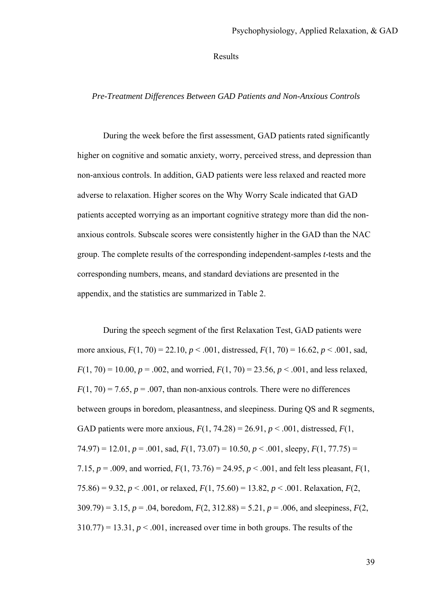Results

#### *Pre-Treatment Differences Between GAD Patients and Non-Anxious Controls*

During the week before the first assessment, GAD patients rated significantly higher on cognitive and somatic anxiety, worry, perceived stress, and depression than non-anxious controls. In addition, GAD patients were less relaxed and reacted more adverse to relaxation. Higher scores on the Why Worry Scale indicated that GAD patients accepted worrying as an important cognitive strategy more than did the nonanxious controls. Subscale scores were consistently higher in the GAD than the NAC group. The complete results of the corresponding independent-samples *t*-tests and the corresponding numbers, means, and standard deviations are presented in the appendix, and the statistics are summarized in Table 2.

During the speech segment of the first Relaxation Test, GAD patients were more anxious,  $F(1, 70) = 22.10$ ,  $p < .001$ , distressed,  $F(1, 70) = 16.62$ ,  $p < .001$ , sad,  $F(1, 70) = 10.00$ ,  $p = .002$ , and worried,  $F(1, 70) = 23.56$ ,  $p < .001$ , and less relaxed,  $F(1, 70) = 7.65$ ,  $p = .007$ , than non-anxious controls. There were no differences between groups in boredom, pleasantness, and sleepiness. During QS and R segments, GAD patients were more anxious,  $F(1, 74.28) = 26.91$ ,  $p < .001$ , distressed,  $F(1, 74.28)$ 74.97) = 12.01, *p* = .001, sad, *F*(1, 73.07) = 10.50, *p* < .001, sleepy, *F*(1, 77.75) = 7.15,  $p = .009$ , and worried,  $F(1, 73.76) = 24.95$ ,  $p < .001$ , and felt less pleasant,  $F(1, 73.76) = 24.95$ 75.86) = 9.32,  $p < .001$ , or relaxed,  $F(1, 75.60) = 13.82$ ,  $p < .001$ . Relaxation,  $F(2, 15.60) = 13.82$  $309.79$ ) = 3.15,  $p = .04$ , boredom,  $F(2, 312.88) = 5.21$ ,  $p = .006$ , and sleepiness,  $F(2, 12.88) = 5.21$  $310.77$ ) = 13.31,  $p < .001$ , increased over time in both groups. The results of the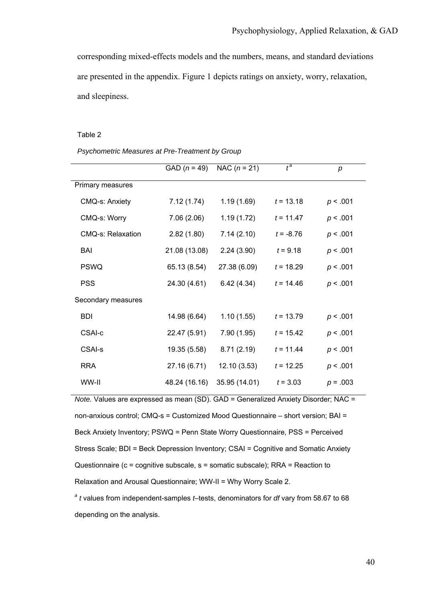corresponding mixed-effects models and the numbers, means, and standard deviations are presented in the appendix. Figure 1 depicts ratings on anxiety, worry, relaxation, and sleepiness.

#### Table 2

*Psychometric Measures at Pre-Treatment by Group* 

|                       | $GAD (n = 49)$ | NAC $(n = 21)$ | $t^a$       | p          |
|-----------------------|----------------|----------------|-------------|------------|
| Primary measures      |                |                |             |            |
| <b>CMQ-s: Anxiety</b> | 7.12(1.74)     | 1.19(1.69)     | $t = 13.18$ | p < .001   |
| CMQ-s: Worry          | 7.06(2.06)     | 1.19(1.72)     | $t = 11.47$ | p < .001   |
| CMQ-s: Relaxation     | 2.82(1.80)     | 7.14(2.10)     | $t = -8.76$ | p < .001   |
| BAI                   | 21.08 (13.08)  | 2.24(3.90)     | $t = 9.18$  | p < .001   |
| <b>PSWQ</b>           | 65.13 (8.54)   | 27.38 (6.09)   | $t = 18.29$ | p < .001   |
| <b>PSS</b>            | 24.30 (4.61)   | 6.42(4.34)     | $t = 14.46$ | p < .001   |
| Secondary measures    |                |                |             |            |
| <b>BDI</b>            | 14.98 (6.64)   | 1.10(1.55)     | $t = 13.79$ | p < .001   |
| <b>CSAI-c</b>         | 22.47 (5.91)   | 7.90 (1.95)    | $t = 15.42$ | p < .001   |
| <b>CSAI-s</b>         | 19.35 (5.58)   | 8.71(2.19)     | $t = 11.44$ | p < .001   |
| <b>RRA</b>            | 27.16 (6.71)   | 12.10 (3.53)   | $t = 12.25$ | p < .001   |
| WW-II                 | 48.24 (16.16)  | 35.95 (14.01)  | $t = 3.03$  | $p = .003$ |

*Note.* Values are expressed as mean (SD). GAD = Generalized Anxiety Disorder; NAC = non-anxious control; CMQ-s = Customized Mood Questionnaire – short version; BAI = Beck Anxiety Inventory; PSWQ = Penn State Worry Questionnaire, PSS = Perceived Stress Scale; BDI = Beck Depression Inventory; CSAI = Cognitive and Somatic Anxiety Questionnaire (c = cognitive subscale, s = somatic subscale); RRA = Reaction to Relaxation and Arousal Questionnaire; WW-II = Why Worry Scale 2.

*<sup>a</sup> t* values from independent-samples *t*–tests, denominators for *df* vary from 58.67 to 68 depending on the analysis.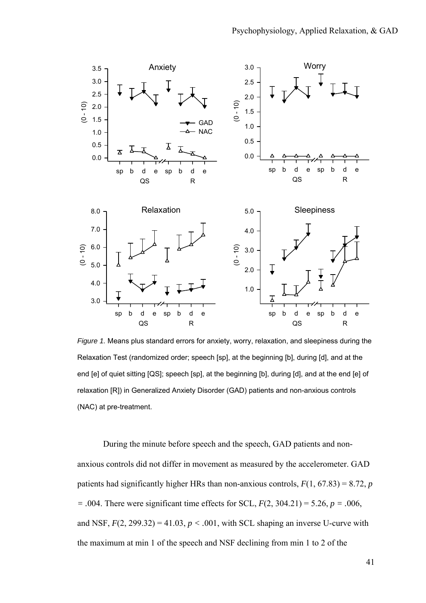

*Figure 1.* Means plus standard errors for anxiety, worry, relaxation, and sleepiness during the Relaxation Test (randomized order; speech [sp], at the beginning [b], during [d], and at the end [e] of quiet sitting [QS]; speech [sp], at the beginning [b], during [d], and at the end [e] of relaxation [R]) in Generalized Anxiety Disorder (GAD) patients and non-anxious controls (NAC) at pre-treatment.

During the minute before speech and the speech, GAD patients and nonanxious controls did not differ in movement as measured by the accelerometer. GAD patients had significantly higher HRs than non-anxious controls,  $F(1, 67.83) = 8.72$ , *p = .*004. There were significant time effects for SCL, *F*(2, 304.21) = 5.26, *p = .*006, and NSF,  $F(2, 299.32) = 41.03$ ,  $p < .001$ , with SCL shaping an inverse U-curve with the maximum at min 1 of the speech and NSF declining from min 1 to 2 of the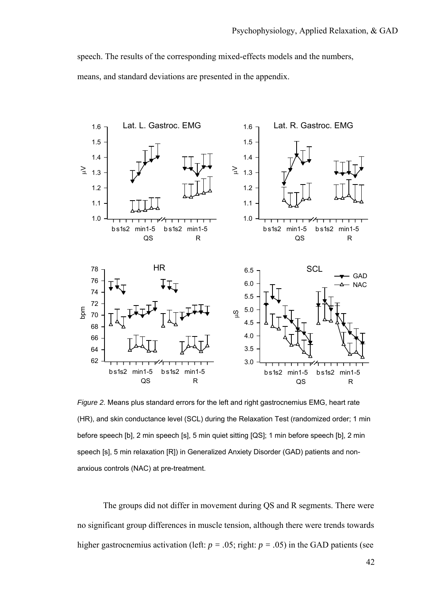speech. The results of the corresponding mixed-effects models and the numbers, means, and standard deviations are presented in the appendix.



*Figure 2.* Means plus standard errors for the left and right gastrocnemius EMG, heart rate (HR), and skin conductance level (SCL) during the Relaxation Test (randomized order; 1 min before speech [b], 2 min speech [s], 5 min quiet sitting [QS]; 1 min before speech [b], 2 min speech [s], 5 min relaxation [R]) in Generalized Anxiety Disorder (GAD) patients and nonanxious controls (NAC) at pre-treatment.

The groups did not differ in movement during QS and R segments. There were no significant group differences in muscle tension, although there were trends towards higher gastrocnemius activation (left:  $p = .05$ ; right:  $p = .05$ ) in the GAD patients (see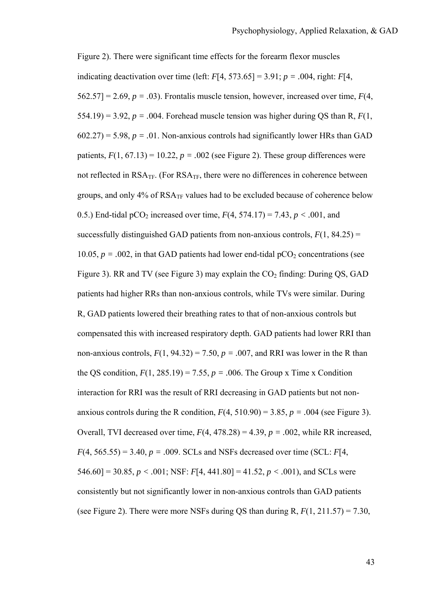Figure 2). There were significant time effects for the forearm flexor muscles indicating deactivation over time (left: *F*[4, 573.65] = 3.91; *p = .*004, right: *F*[4,  $562.57$ ] = 2.69,  $p = .03$ ). Frontalis muscle tension, however, increased over time,  $F(4)$ , 554.19) = 3.92,  $p = .004$ . Forehead muscle tension was higher during QS than R,  $F(1)$ ,  $602.27$ ) = 5.98,  $p = .01$ . Non-anxious controls had significantly lower HRs than GAD patients,  $F(1, 67.13) = 10.22$ ,  $p = .002$  (see Figure 2). These group differences were not reflected in  $RSA_{TF}$ . (For  $RSA_{TF}$ , there were no differences in coherence between groups, and only  $4\%$  of  $RSA_{TF}$  values had to be excluded because of coherence below 0.5.) End-tidal pCO<sub>2</sub> increased over time,  $F(4, 574.17) = 7.43$ ,  $p < .001$ , and successfully distinguished GAD patients from non-anxious controls,  $F(1, 84.25) =$ 10.05,  $p = .002$ , in that GAD patients had lower end-tidal  $pCO<sub>2</sub>$  concentrations (see Figure 3). RR and TV (see Figure 3) may explain the  $CO<sub>2</sub>$  finding: During QS, GAD patients had higher RRs than non-anxious controls, while TVs were similar. During R, GAD patients lowered their breathing rates to that of non-anxious controls but compensated this with increased respiratory depth. GAD patients had lower RRI than non-anxious controls,  $F(1, 94.32) = 7.50$ ,  $p = .007$ , and RRI was lower in the R than the QS condition,  $F(1, 285.19) = 7.55$ ,  $p = .006$ . The Group x Time x Condition interaction for RRI was the result of RRI decreasing in GAD patients but not nonanxious controls during the R condition,  $F(4, 510.90) = 3.85$ ,  $p = .004$  (see Figure 3). Overall, TVI decreased over time,  $F(4, 478.28) = 4.39$ ,  $p = .002$ , while RR increased,  $F(4, 565.55) = 3.40, p = .009$ . SCLs and NSFs decreased over time (SCL: *F*[4, 546.60] = 30.85,  $p < .001$ ; NSF:  $F[4, 441.80] = 41.52$ ,  $p < .001$ ), and SCLs were consistently but not significantly lower in non-anxious controls than GAD patients (see Figure 2). There were more NSFs during QS than during R,  $F(1, 211.57) = 7.30$ ,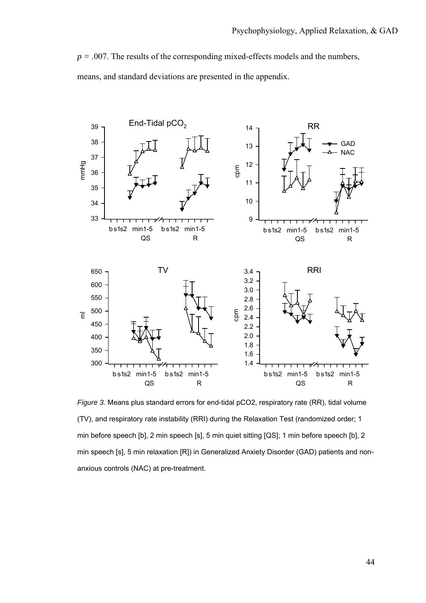$p = .007$ . The results of the corresponding mixed-effects models and the numbers, means, and standard deviations are presented in the appendix.



*Figure 3.* Means plus standard errors for end-tidal pCO2, respiratory rate (RR), tidal volume (TV), and respiratory rate instability (RRI) during the Relaxation Test (randomized order; 1 min before speech [b], 2 min speech [s], 5 min quiet sitting [QS]; 1 min before speech [b], 2 min speech [s], 5 min relaxation [R]) in Generalized Anxiety Disorder (GAD) patients and nonanxious controls (NAC) at pre-treatment.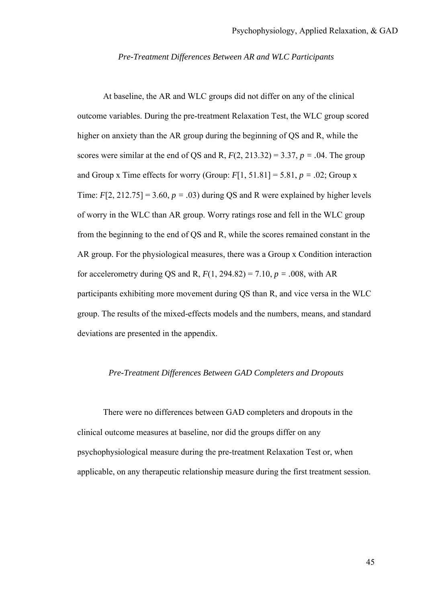### *Pre-Treatment Differences Between AR and WLC Participants*

At baseline, the AR and WLC groups did not differ on any of the clinical outcome variables. During the pre-treatment Relaxation Test, the WLC group scored higher on anxiety than the AR group during the beginning of QS and R, while the scores were similar at the end of QS and R,  $F(2, 213.32) = 3.37$ ,  $p = .04$ . The group and Group x Time effects for worry (Group:  $F[1, 51.81] = 5.81$ ,  $p = .02$ ; Group x Time:  $F[2, 212.75] = 3.60$ ,  $p = .03$ ) during QS and R were explained by higher levels of worry in the WLC than AR group. Worry ratings rose and fell in the WLC group from the beginning to the end of QS and R, while the scores remained constant in the AR group. For the physiological measures, there was a Group x Condition interaction for accelerometry during QS and R,  $F(1, 294.82) = 7.10$ ,  $p = .008$ , with AR participants exhibiting more movement during QS than R, and vice versa in the WLC group. The results of the mixed-effects models and the numbers, means, and standard deviations are presented in the appendix.

# *Pre-Treatment Differences Between GAD Completers and Dropouts*

There were no differences between GAD completers and dropouts in the clinical outcome measures at baseline, nor did the groups differ on any psychophysiological measure during the pre-treatment Relaxation Test or, when applicable, on any therapeutic relationship measure during the first treatment session.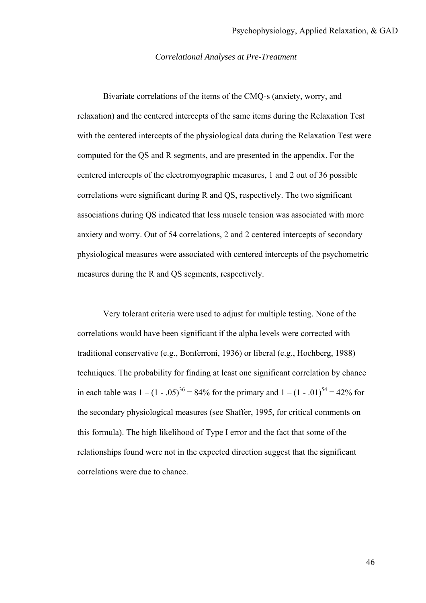### *Correlational Analyses at Pre-Treatment*

Bivariate correlations of the items of the CMQ-s (anxiety, worry, and relaxation) and the centered intercepts of the same items during the Relaxation Test with the centered intercepts of the physiological data during the Relaxation Test were computed for the QS and R segments, and are presented in the appendix. For the centered intercepts of the electromyographic measures, 1 and 2 out of 36 possible correlations were significant during R and QS, respectively. The two significant associations during QS indicated that less muscle tension was associated with more anxiety and worry. Out of 54 correlations, 2 and 2 centered intercepts of secondary physiological measures were associated with centered intercepts of the psychometric measures during the R and QS segments, respectively.

Very tolerant criteria were used to adjust for multiple testing. None of the correlations would have been significant if the alpha levels were corrected with traditional conservative (e.g., Bonferroni, 1936) or liberal (e.g., Hochberg, 1988) techniques. The probability for finding at least one significant correlation by chance in each table was  $1 - (1 - .05)^{36} = 84\%$  for the primary and  $1 - (1 - .01)^{54} = 42\%$  for the secondary physiological measures (see Shaffer, 1995, for critical comments on this formula). The high likelihood of Type I error and the fact that some of the relationships found were not in the expected direction suggest that the significant correlations were due to chance.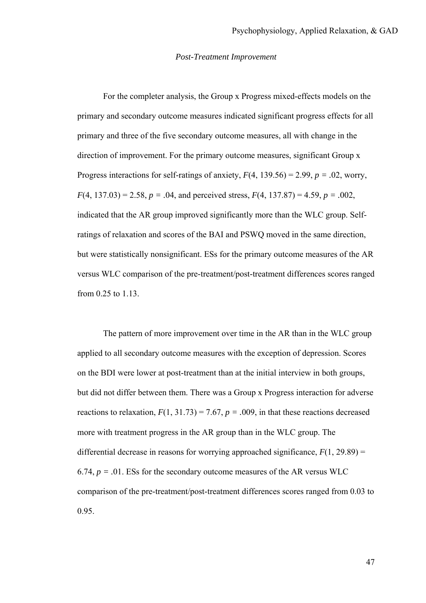#### *Post-Treatment Improvement*

For the completer analysis, the Group x Progress mixed-effects models on the primary and secondary outcome measures indicated significant progress effects for all primary and three of the five secondary outcome measures, all with change in the direction of improvement. For the primary outcome measures, significant Group x Progress interactions for self-ratings of anxiety,  $F(4, 139.56) = 2.99$ ,  $p = .02$ , worry,  $F(4, 137.03) = 2.58$ ,  $p = .04$ , and perceived stress,  $F(4, 137.87) = 4.59$ ,  $p = .002$ , indicated that the AR group improved significantly more than the WLC group. Selfratings of relaxation and scores of the BAI and PSWQ moved in the same direction, but were statistically nonsignificant. ESs for the primary outcome measures of the AR versus WLC comparison of the pre-treatment/post-treatment differences scores ranged from 0.25 to 1.13.

The pattern of more improvement over time in the AR than in the WLC group applied to all secondary outcome measures with the exception of depression. Scores on the BDI were lower at post-treatment than at the initial interview in both groups, but did not differ between them. There was a Group x Progress interaction for adverse reactions to relaxation,  $F(1, 31.73) = 7.67$ ,  $p = .009$ , in that these reactions decreased more with treatment progress in the AR group than in the WLC group. The differential decrease in reasons for worrying approached significance,  $F(1, 29.89) =$ 6.74,  $p = .01$ . ESs for the secondary outcome measures of the AR versus WLC comparison of the pre-treatment/post-treatment differences scores ranged from 0.03 to 0.95.

47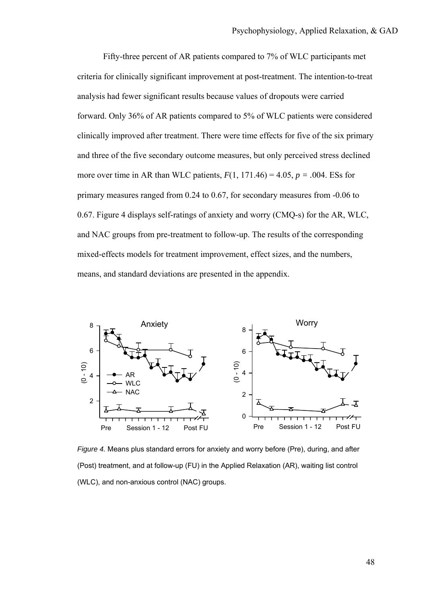Fifty-three percent of AR patients compared to 7% of WLC participants met criteria for clinically significant improvement at post-treatment. The intention-to-treat analysis had fewer significant results because values of dropouts were carried forward. Only 36% of AR patients compared to 5% of WLC patients were considered clinically improved after treatment. There were time effects for five of the six primary and three of the five secondary outcome measures, but only perceived stress declined more over time in AR than WLC patients,  $F(1, 171.46) = 4.05$ ,  $p = .004$ . ESs for primary measures ranged from 0.24 to 0.67, for secondary measures from -0.06 to 0.67. Figure 4 displays self-ratings of anxiety and worry (CMQ-s) for the AR, WLC, and NAC groups from pre-treatment to follow-up. The results of the corresponding mixed-effects models for treatment improvement, effect sizes, and the numbers, means, and standard deviations are presented in the appendix.



*Figure 4.* Means plus standard errors for anxiety and worry before (Pre), during, and after (Post) treatment, and at follow-up (FU) in the Applied Relaxation (AR), waiting list control (WLC), and non-anxious control (NAC) groups.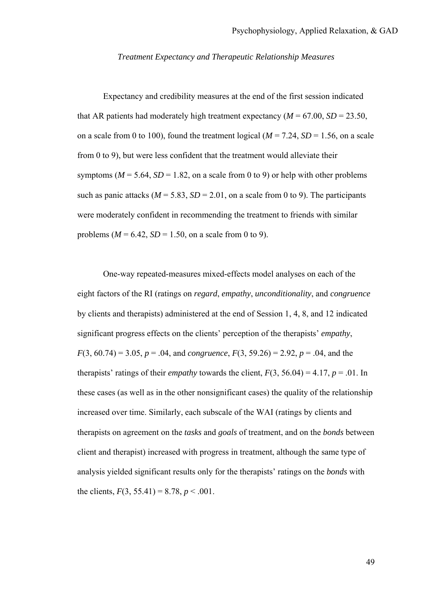### *Treatment Expectancy and Therapeutic Relationship Measures*

 Expectancy and credibility measures at the end of the first session indicated that AR patients had moderately high treatment expectancy  $(M = 67.00, SD = 23.50,$ on a scale from 0 to 100), found the treatment logical ( $M = 7.24$ ,  $SD = 1.56$ , on a scale from 0 to 9), but were less confident that the treatment would alleviate their symptoms ( $M = 5.64$ ,  $SD = 1.82$ , on a scale from 0 to 9) or help with other problems such as panic attacks ( $M = 5.83$ ,  $SD = 2.01$ , on a scale from 0 to 9). The participants were moderately confident in recommending the treatment to friends with similar problems ( $M = 6.42$ ,  $SD = 1.50$ , on a scale from 0 to 9).

One-way repeated-measures mixed-effects model analyses on each of the eight factors of the RI (ratings on *regard*, *empathy*, *unconditionality*, and *congruence* by clients and therapists) administered at the end of Session 1, 4, 8, and 12 indicated significant progress effects on the clients' perception of the therapists' *empathy*, *F*(3, 60.74) = 3.05, *p* = .04, and *congruence*, *F*(3, 59.26) = 2.92, *p* = .04, and the therapists' ratings of their *empathy* towards the client,  $F(3, 56.04) = 4.17$ ,  $p = .01$ . In these cases (as well as in the other nonsignificant cases) the quality of the relationship increased over time. Similarly, each subscale of the WAI (ratings by clients and therapists on agreement on the *tasks* and *goals* of treatment, and on the *bonds* between client and therapist) increased with progress in treatment, although the same type of analysis yielded significant results only for the therapists' ratings on the *bonds* with the clients,  $F(3, 55.41) = 8.78, p < .001$ .

49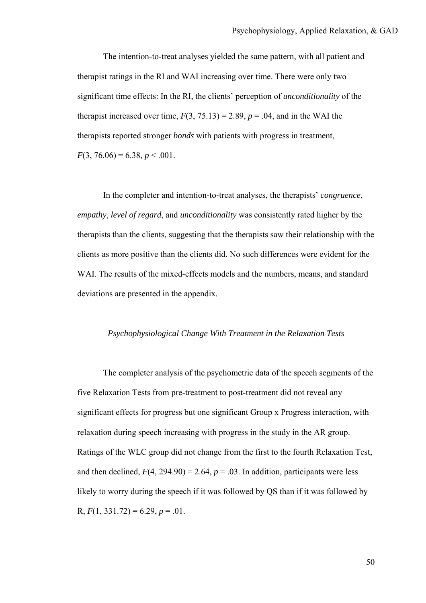The intention-to-treat analyses yielded the same pattern, with all patient and therapist ratings in the RI and WAI increasing over time. There were only two significant time effects: In the RI, the clients' perception of *unconditionality* of the therapist increased over time,  $F(3, 75.13) = 2.89$ ,  $p = .04$ , and in the WAI the therapists reported stronger *bonds* with patients with progress in treatment,  $F(3, 76.06) = 6.38, p < .001$ .

In the completer and intention-to-treat analyses, the therapists' *congruence*, *empathy*, *level of regard*, and *unconditionality* was consistently rated higher by the therapists than the clients, suggesting that the therapists saw their relationship with the clients as more positive than the clients did. No such differences were evident for the WAI. The results of the mixed-effects models and the numbers, means, and standard deviations are presented in the appendix.

# *Psychophysiological Change With Treatment in the Relaxation Tests*

The completer analysis of the psychometric data of the speech segments of the five Relaxation Tests from pre-treatment to post-treatment did not reveal any significant effects for progress but one significant Group x Progress interaction, with relaxation during speech increasing with progress in the study in the AR group. Ratings of the WLC group did not change from the first to the fourth Relaxation Test, and then declined,  $F(4, 294.90) = 2.64$ ,  $p = .03$ . In addition, participants were less likely to worry during the speech if it was followed by QS than if it was followed by R,  $F(1, 331.72) = 6.29, p = .01$ .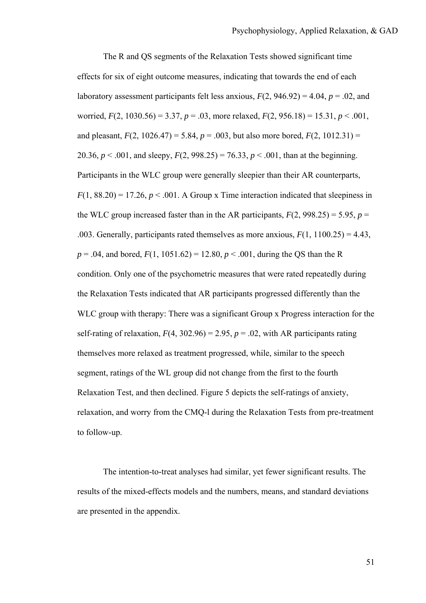The R and QS segments of the Relaxation Tests showed significant time effects for six of eight outcome measures, indicating that towards the end of each laboratory assessment participants felt less anxious,  $F(2, 946.92) = 4.04$ ,  $p = .02$ , and worried,  $F(2, 1030.56) = 3.37$ ,  $p = .03$ , more relaxed,  $F(2, 956.18) = 15.31$ ,  $p < .001$ , and pleasant,  $F(2, 1026.47) = 5.84$ ,  $p = .003$ , but also more bored,  $F(2, 1012.31) =$ 20.36,  $p < .001$ , and sleepy,  $F(2, 998.25) = 76.33$ ,  $p < .001$ , than at the beginning. Participants in the WLC group were generally sleepier than their AR counterparts,  $F(1, 88.20) = 17.26$ ,  $p < .001$ . A Group x Time interaction indicated that sleepiness in the WLC group increased faster than in the AR participants,  $F(2, 998.25) = 5.95$ ,  $p =$ .003. Generally, participants rated themselves as more anxious, *F*(1, 1100.25) = 4.43,  $p = .04$ , and bored,  $F(1, 1051.62) = 12.80$ ,  $p < .001$ , during the QS than the R condition. Only one of the psychometric measures that were rated repeatedly during the Relaxation Tests indicated that AR participants progressed differently than the WLC group with therapy: There was a significant Group x Progress interaction for the self-rating of relaxation,  $F(4, 302.96) = 2.95$ ,  $p = .02$ , with AR participants rating themselves more relaxed as treatment progressed, while, similar to the speech segment, ratings of the WL group did not change from the first to the fourth Relaxation Test, and then declined. Figure 5 depicts the self-ratings of anxiety, relaxation, and worry from the CMQ-l during the Relaxation Tests from pre-treatment to follow-up.

The intention-to-treat analyses had similar, yet fewer significant results. The results of the mixed-effects models and the numbers, means, and standard deviations are presented in the appendix.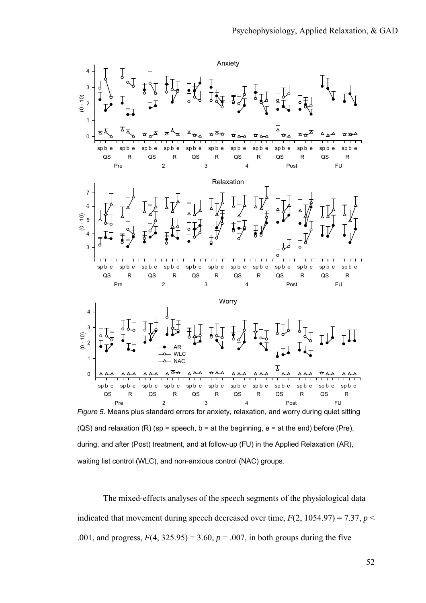

waiting list control (WLC), and non-anxious control (NAC) groups.

The mixed-effects analyses of the speech segments of the physiological data indicated that movement during speech decreased over time,  $F(2, 1054.97) = 7.37$ ,  $p <$ .001, and progress,  $F(4, 325.95) = 3.60$ ,  $p = .007$ , in both groups during the five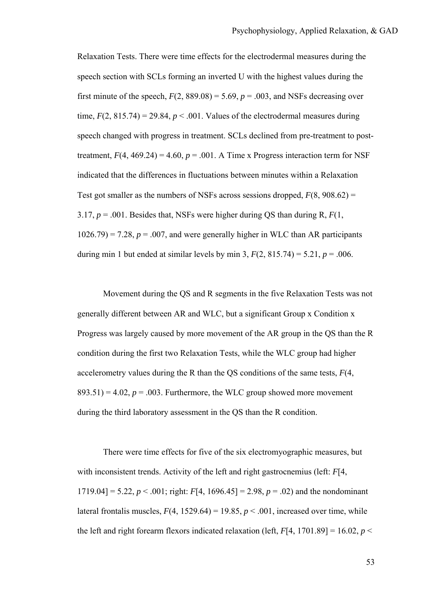Relaxation Tests. There were time effects for the electrodermal measures during the speech section with SCLs forming an inverted U with the highest values during the first minute of the speech,  $F(2, 889.08) = 5.69$ ,  $p = .003$ , and NSFs decreasing over time,  $F(2, 815.74) = 29.84$ ,  $p < .001$ . Values of the electrodermal measures during speech changed with progress in treatment. SCLs declined from pre-treatment to posttreatment,  $F(4, 469.24) = 4.60$ ,  $p = .001$ . A Time x Progress interaction term for NSF indicated that the differences in fluctuations between minutes within a Relaxation Test got smaller as the numbers of NSFs across sessions dropped,  $F(8, 908.62) =$ 3.17, *p* = .001. Besides that, NSFs were higher during QS than during R, *F*(1,  $1026.79$  = 7.28,  $p = 0.007$ , and were generally higher in WLC than AR participants during min 1 but ended at similar levels by min 3,  $F(2, 815.74) = 5.21$ ,  $p = .006$ .

Movement during the QS and R segments in the five Relaxation Tests was not generally different between AR and WLC, but a significant Group x Condition x Progress was largely caused by more movement of the AR group in the QS than the R condition during the first two Relaxation Tests, while the WLC group had higher accelerometry values during the R than the QS conditions of the same tests, *F*(4,  $893.51$ ) = 4.02,  $p = 0.003$ . Furthermore, the WLC group showed more movement during the third laboratory assessment in the QS than the R condition.

There were time effects for five of the six electromyographic measures, but with inconsistent trends. Activity of the left and right gastrocnemius (left: *F*[4, 1719.04] = 5.22,  $p < .001$ ; right:  $F[4, 1696.45] = 2.98$ ,  $p = .02$ ) and the nondominant lateral frontalis muscles,  $F(4, 1529.64) = 19.85$ ,  $p < .001$ , increased over time, while the left and right forearm flexors indicated relaxation (left,  $F[4, 1701.89] = 16.02$ ,  $p \le$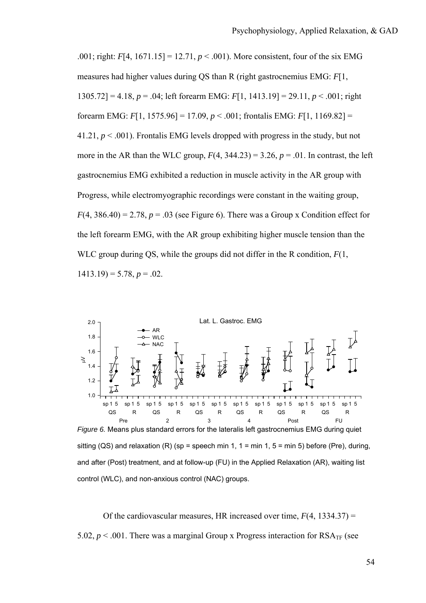.001; right:  $F[4, 1671.15] = 12.71$ ,  $p < .001$ ). More consistent, four of the six EMG measures had higher values during QS than R (right gastrocnemius EMG: *F*[1, 1305.72] = 4.18, *p* = .04; left forearm EMG: *F*[1, 1413.19] = 29.11, *p* < .001; right forearm EMG: *F*[1, 1575.96] = 17.09, *p* < .001; frontalis EMG: *F*[1, 1169.82] = 41.21,  $p < .001$ ). Frontalis EMG levels dropped with progress in the study, but not more in the AR than the WLC group,  $F(4, 344.23) = 3.26$ ,  $p = .01$ . In contrast, the left gastrocnemius EMG exhibited a reduction in muscle activity in the AR group with Progress, while electromyographic recordings were constant in the waiting group,  $F(4, 386.40) = 2.78$ ,  $p = .03$  (see Figure 6). There was a Group x Condition effect for the left forearm EMG, with the AR group exhibiting higher muscle tension than the WLC group during QS, while the groups did not differ in the R condition, *F*(1,  $1413.19$ ) = 5.78,  $p = .02$ .



*Figure 6.* Means plus standard errors for the lateralis left gastrocnemius EMG during quiet sitting (QS) and relaxation  $(R)$  (sp = speech min 1, 1 = min 1, 5 = min 5) before (Pre), during, and after (Post) treatment, and at follow-up (FU) in the Applied Relaxation (AR), waiting list control (WLC), and non-anxious control (NAC) groups.

Of the cardiovascular measures, HR increased over time, *F*(4, 1334.37) = 5.02,  $p < 0.001$ . There was a marginal Group x Progress interaction for  $RSA_{TF}$  (see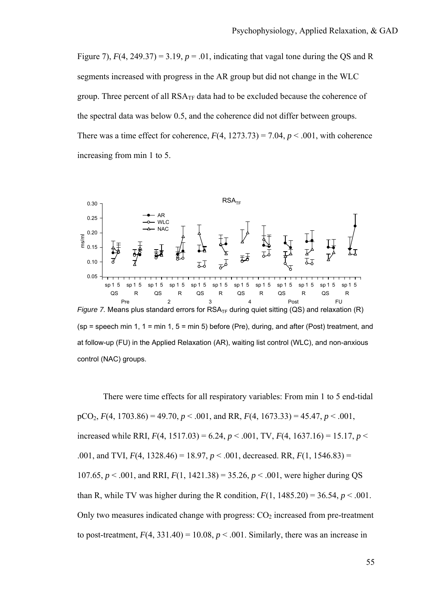Figure 7),  $F(4, 249.37) = 3.19$ ,  $p = .01$ , indicating that vagal tone during the QS and R segments increased with progress in the AR group but did not change in the WLC group. Three percent of all  $RSA_{TF}$  data had to be excluded because the coherence of the spectral data was below 0.5, and the coherence did not differ between groups. There was a time effect for coherence,  $F(4, 1273.73) = 7.04$ ,  $p < .001$ , with coherence increasing from min 1 to 5.



 $(sp = s^{\text{th}})$  = speech min 1, 1 = min 1, 5 = min 5) before (Pre), during, and after (Post) treatment, and at follow-up (FU) in the Applied Relaxation (AR), waiting list control (WLC), and non-anxious control (NAC) groups.

There were time effects for all respiratory variables: From min 1 to 5 end-tidal pCO2, *F*(4, 1703.86) = 49.70, *p* < .001, and RR, *F*(4, 1673.33) = 45.47, *p* < .001, increased while RRI,  $F(4, 1517.03) = 6.24, p < .001$ , TV,  $F(4, 1637.16) = 15.17, p < .001$ .001, and TVI,  $F(4, 1328.46) = 18.97$ ,  $p < .001$ , decreased. RR,  $F(1, 1546.83) =$ 107.65,  $p < .001$ , and RRI,  $F(1, 1421.38) = 35.26$ ,  $p < .001$ , were higher during OS than R, while TV was higher during the R condition,  $F(1, 1485.20) = 36.54$ ,  $p < .001$ . Only two measures indicated change with progress:  $CO<sub>2</sub>$  increased from pre-treatment to post-treatment,  $F(4, 331.40) = 10.08$ ,  $p < .001$ . Similarly, there was an increase in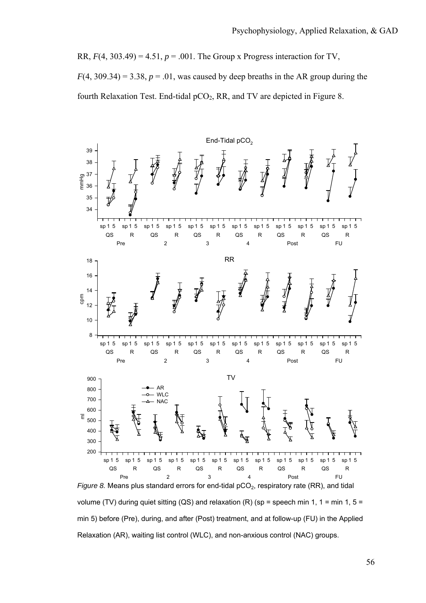RR,  $F(4, 303.49) = 4.51$ ,  $p = .001$ . The Group x Progress interaction for TV,  $F(4, 309.34) = 3.38, p = .01$ , was caused by deep breaths in the AR group during the fourth Relaxation Test. End-tidal  $pCO<sub>2</sub>$ , RR, and TV are depicted in Figure 8.



volume (TV) during quiet sitting (QS) and relaxation (R) (sp = speech min 1, 1 = min 1, 5 = min 5) before (Pre), during, and after (Post) treatment, and at follow-up (FU) in the Applied Relaxation (AR), waiting list control (WLC), and non-anxious control (NAC) groups.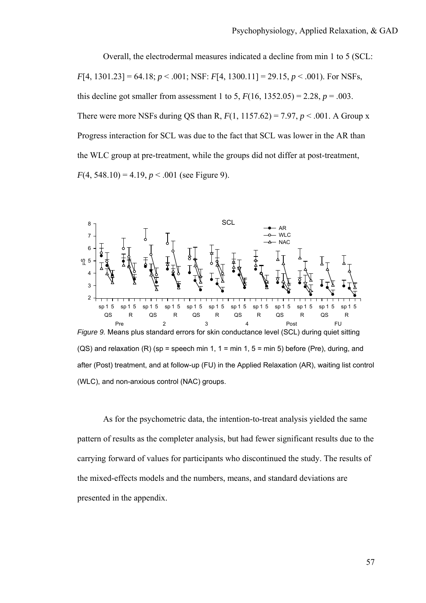Overall, the electrodermal measures indicated a decline from min 1 to 5 (SCL: *F*[4, 1301.23] = 64.18; *p* < .001; NSF: *F*[4, 1300.11] = 29.15, *p* < .001). For NSFs, this decline got smaller from assessment 1 to 5,  $F(16, 1352.05) = 2.28$ ,  $p = .003$ . There were more NSFs during QS than R,  $F(1, 1157.62) = 7.97$ ,  $p < .001$ . A Group x Progress interaction for SCL was due to the fact that SCL was lower in the AR than the WLC group at pre-treatment, while the groups did not differ at post-treatment,  $F(4, 548.10) = 4.19, p < .001$  (see Figure 9).



 $(QS)$  and relaxation  $(R)$  (sp = speech min 1, 1 = min 1, 5 = min 5) before (Pre), during, and after (Post) treatment, and at follow-up (FU) in the Applied Relaxation (AR), waiting list control (WLC), and non-anxious control (NAC) groups.

 As for the psychometric data, the intention-to-treat analysis yielded the same pattern of results as the completer analysis, but had fewer significant results due to the carrying forward of values for participants who discontinued the study. The results of the mixed-effects models and the numbers, means, and standard deviations are presented in the appendix.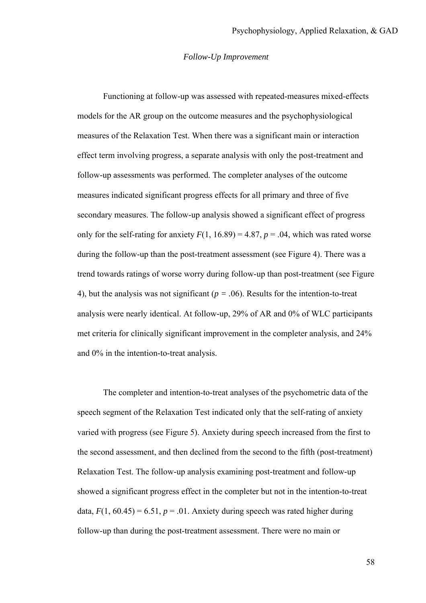#### *Follow-Up Improvement*

 Functioning at follow-up was assessed with repeated-measures mixed-effects models for the AR group on the outcome measures and the psychophysiological measures of the Relaxation Test. When there was a significant main or interaction effect term involving progress, a separate analysis with only the post-treatment and follow-up assessments was performed. The completer analyses of the outcome measures indicated significant progress effects for all primary and three of five secondary measures. The follow-up analysis showed a significant effect of progress only for the self-rating for anxiety  $F(1, 16.89) = 4.87$ ,  $p = .04$ , which was rated worse during the follow-up than the post-treatment assessment (see Figure 4). There was a trend towards ratings of worse worry during follow-up than post-treatment (see Figure 4), but the analysis was not significant (*p = .*06). Results for the intention-to-treat analysis were nearly identical. At follow-up, 29% of AR and 0% of WLC participants met criteria for clinically significant improvement in the completer analysis, and 24% and 0% in the intention-to-treat analysis.

 The completer and intention-to-treat analyses of the psychometric data of the speech segment of the Relaxation Test indicated only that the self-rating of anxiety varied with progress (see Figure 5). Anxiety during speech increased from the first to the second assessment, and then declined from the second to the fifth (post-treatment) Relaxation Test. The follow-up analysis examining post-treatment and follow-up showed a significant progress effect in the completer but not in the intention-to-treat data,  $F(1, 60.45) = 6.51$ ,  $p = .01$ . Anxiety during speech was rated higher during follow-up than during the post-treatment assessment. There were no main or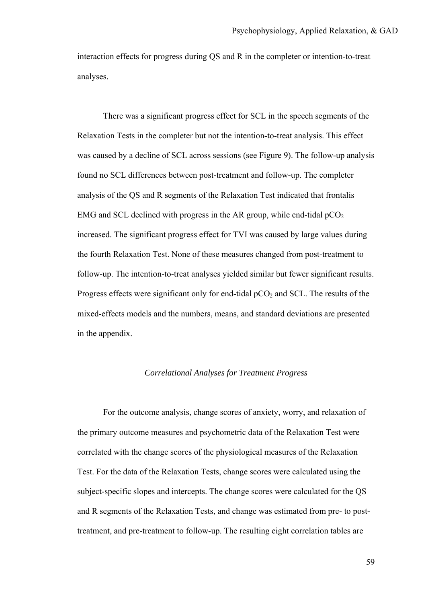interaction effects for progress during QS and R in the completer or intention-to-treat analyses.

 There was a significant progress effect for SCL in the speech segments of the Relaxation Tests in the completer but not the intention-to-treat analysis. This effect was caused by a decline of SCL across sessions (see Figure 9). The follow-up analysis found no SCL differences between post-treatment and follow-up. The completer analysis of the QS and R segments of the Relaxation Test indicated that frontalis EMG and SCL declined with progress in the AR group, while end-tidal  $pCO<sub>2</sub>$ increased. The significant progress effect for TVI was caused by large values during the fourth Relaxation Test. None of these measures changed from post-treatment to follow-up. The intention-to-treat analyses yielded similar but fewer significant results. Progress effects were significant only for end-tidal  $pCO<sub>2</sub>$  and SCL. The results of the mixed-effects models and the numbers, means, and standard deviations are presented in the appendix.

# *Correlational Analyses for Treatment Progress*

For the outcome analysis, change scores of anxiety, worry, and relaxation of the primary outcome measures and psychometric data of the Relaxation Test were correlated with the change scores of the physiological measures of the Relaxation Test. For the data of the Relaxation Tests, change scores were calculated using the subject-specific slopes and intercepts. The change scores were calculated for the QS and R segments of the Relaxation Tests, and change was estimated from pre- to posttreatment, and pre-treatment to follow-up. The resulting eight correlation tables are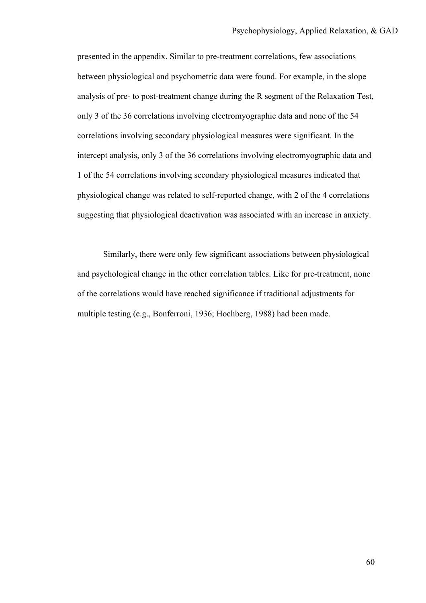presented in the appendix. Similar to pre-treatment correlations, few associations between physiological and psychometric data were found. For example, in the slope analysis of pre- to post-treatment change during the R segment of the Relaxation Test, only 3 of the 36 correlations involving electromyographic data and none of the 54 correlations involving secondary physiological measures were significant. In the intercept analysis, only 3 of the 36 correlations involving electromyographic data and 1 of the 54 correlations involving secondary physiological measures indicated that physiological change was related to self-reported change, with 2 of the 4 correlations suggesting that physiological deactivation was associated with an increase in anxiety.

Similarly, there were only few significant associations between physiological and psychological change in the other correlation tables. Like for pre-treatment, none of the correlations would have reached significance if traditional adjustments for multiple testing (e.g., Bonferroni, 1936; Hochberg, 1988) had been made.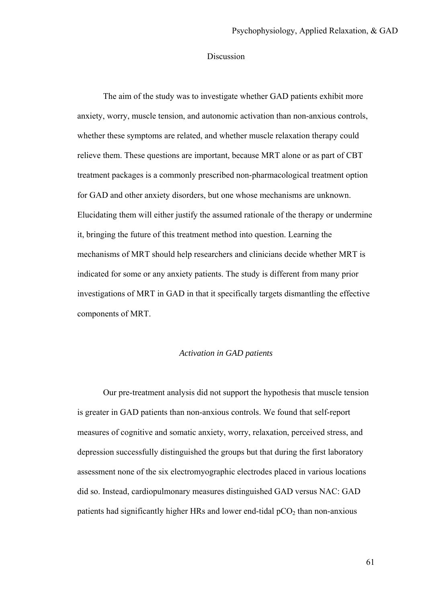#### Discussion

The aim of the study was to investigate whether GAD patients exhibit more anxiety, worry, muscle tension, and autonomic activation than non-anxious controls, whether these symptoms are related, and whether muscle relaxation therapy could relieve them. These questions are important, because MRT alone or as part of CBT treatment packages is a commonly prescribed non-pharmacological treatment option for GAD and other anxiety disorders, but one whose mechanisms are unknown. Elucidating them will either justify the assumed rationale of the therapy or undermine it, bringing the future of this treatment method into question. Learning the mechanisms of MRT should help researchers and clinicians decide whether MRT is indicated for some or any anxiety patients. The study is different from many prior investigations of MRT in GAD in that it specifically targets dismantling the effective components of MRT.

## *Activation in GAD patients*

Our pre-treatment analysis did not support the hypothesis that muscle tension is greater in GAD patients than non-anxious controls. We found that self-report measures of cognitive and somatic anxiety, worry, relaxation, perceived stress, and depression successfully distinguished the groups but that during the first laboratory assessment none of the six electromyographic electrodes placed in various locations did so. Instead, cardiopulmonary measures distinguished GAD versus NAC: GAD patients had significantly higher HRs and lower end-tidal  $pCO<sub>2</sub>$  than non-anxious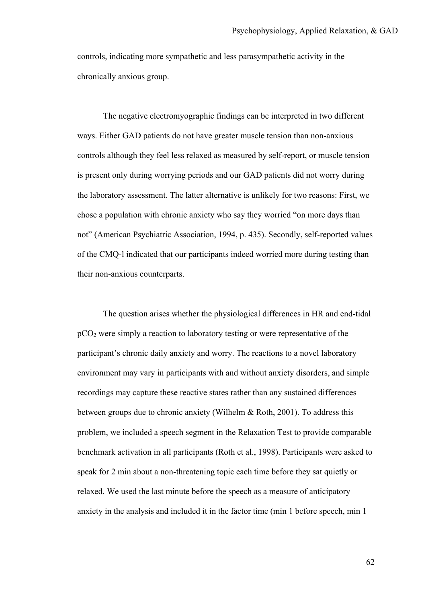controls, indicating more sympathetic and less parasympathetic activity in the chronically anxious group.

The negative electromyographic findings can be interpreted in two different ways. Either GAD patients do not have greater muscle tension than non-anxious controls although they feel less relaxed as measured by self-report, or muscle tension is present only during worrying periods and our GAD patients did not worry during the laboratory assessment. The latter alternative is unlikely for two reasons: First, we chose a population with chronic anxiety who say they worried "on more days than not" (American Psychiatric Association, 1994, p. 435). Secondly, self-reported values of the CMQ-l indicated that our participants indeed worried more during testing than their non-anxious counterparts.

The question arises whether the physiological differences in HR and end-tidal  $pCO<sub>2</sub>$  were simply a reaction to laboratory testing or were representative of the participant's chronic daily anxiety and worry. The reactions to a novel laboratory environment may vary in participants with and without anxiety disorders, and simple recordings may capture these reactive states rather than any sustained differences between groups due to chronic anxiety (Wilhelm & Roth, 2001). To address this problem, we included a speech segment in the Relaxation Test to provide comparable benchmark activation in all participants (Roth et al., 1998). Participants were asked to speak for 2 min about a non-threatening topic each time before they sat quietly or relaxed. We used the last minute before the speech as a measure of anticipatory anxiety in the analysis and included it in the factor time (min 1 before speech, min 1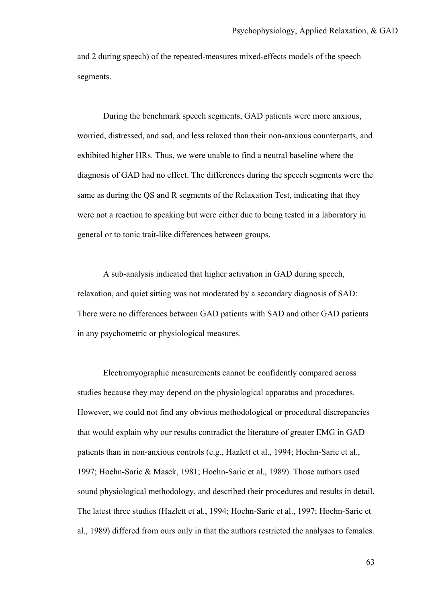and 2 during speech) of the repeated-measures mixed-effects models of the speech segments.

During the benchmark speech segments, GAD patients were more anxious, worried, distressed, and sad, and less relaxed than their non-anxious counterparts, and exhibited higher HRs. Thus, we were unable to find a neutral baseline where the diagnosis of GAD had no effect. The differences during the speech segments were the same as during the QS and R segments of the Relaxation Test, indicating that they were not a reaction to speaking but were either due to being tested in a laboratory in general or to tonic trait-like differences between groups.

A sub-analysis indicated that higher activation in GAD during speech, relaxation, and quiet sitting was not moderated by a secondary diagnosis of SAD: There were no differences between GAD patients with SAD and other GAD patients in any psychometric or physiological measures.

Electromyographic measurements cannot be confidently compared across studies because they may depend on the physiological apparatus and procedures. However, we could not find any obvious methodological or procedural discrepancies that would explain why our results contradict the literature of greater EMG in GAD patients than in non-anxious controls (e.g., Hazlett et al., 1994; Hoehn-Saric et al., 1997; Hoehn-Saric & Masek, 1981; Hoehn-Saric et al., 1989). Those authors used sound physiological methodology, and described their procedures and results in detail. The latest three studies (Hazlett et al., 1994; Hoehn-Saric et al., 1997; Hoehn-Saric et al., 1989) differed from ours only in that the authors restricted the analyses to females.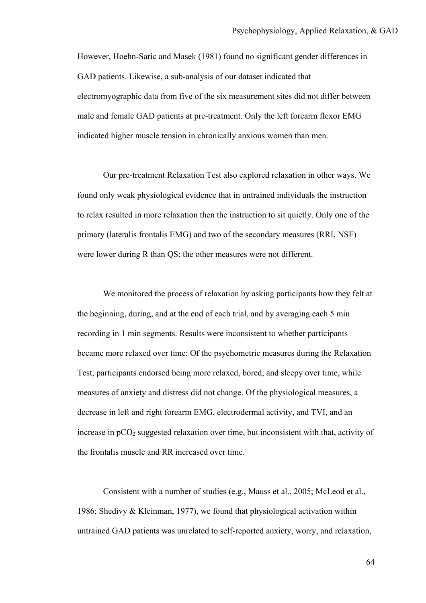However, Hoehn-Saric and Masek (1981) found no significant gender differences in GAD patients. Likewise, a sub-analysis of our dataset indicated that electromyographic data from five of the six measurement sites did not differ between male and female GAD patients at pre-treatment. Only the left forearm flexor EMG indicated higher muscle tension in chronically anxious women than men.

Our pre-treatment Relaxation Test also explored relaxation in other ways. We found only weak physiological evidence that in untrained individuals the instruction to relax resulted in more relaxation then the instruction to sit quietly. Only one of the primary (lateralis frontalis EMG) and two of the secondary measures (RRI, NSF) were lower during R than QS; the other measures were not different.

We monitored the process of relaxation by asking participants how they felt at the beginning, during, and at the end of each trial, and by averaging each 5 min recording in 1 min segments. Results were inconsistent to whether participants became more relaxed over time: Of the psychometric measures during the Relaxation Test, participants endorsed being more relaxed, bored, and sleepy over time, while measures of anxiety and distress did not change. Of the physiological measures, a decrease in left and right forearm EMG, electrodermal activity, and TVI, and an increase in  $pCO<sub>2</sub>$  suggested relaxation over time, but inconsistent with that, activity of the frontalis muscle and RR increased over time.

 Consistent with a number of studies (e.g., Mauss et al., 2005; McLeod et al., 1986; Shedivy & Kleinman, 1977), we found that physiological activation within untrained GAD patients was unrelated to self-reported anxiety, worry, and relaxation,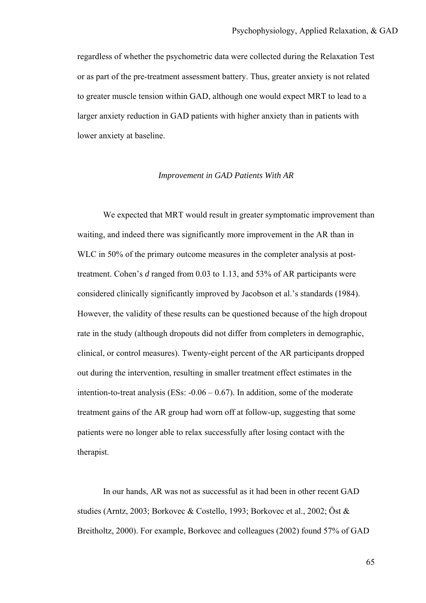regardless of whether the psychometric data were collected during the Relaxation Test or as part of the pre-treatment assessment battery. Thus, greater anxiety is not related to greater muscle tension within GAD, although one would expect MRT to lead to a larger anxiety reduction in GAD patients with higher anxiety than in patients with lower anxiety at baseline.

## *Improvement in GAD Patients With AR*

We expected that MRT would result in greater symptomatic improvement than waiting, and indeed there was significantly more improvement in the AR than in WLC in 50% of the primary outcome measures in the completer analysis at posttreatment. Cohen's *d* ranged from 0.03 to 1.13, and 53% of AR participants were considered clinically significantly improved by Jacobson et al.'s standards (1984). However, the validity of these results can be questioned because of the high dropout rate in the study (although dropouts did not differ from completers in demographic, clinical, or control measures). Twenty-eight percent of the AR participants dropped out during the intervention, resulting in smaller treatment effect estimates in the intention-to-treat analysis (ESs:  $-0.06 - 0.67$ ). In addition, some of the moderate treatment gains of the AR group had worn off at follow-up, suggesting that some patients were no longer able to relax successfully after losing contact with the therapist.

In our hands, AR was not as successful as it had been in other recent GAD studies (Arntz, 2003; Borkovec & Costello, 1993; Borkovec et al., 2002; Öst & Breitholtz, 2000). For example, Borkovec and colleagues (2002) found 57% of GAD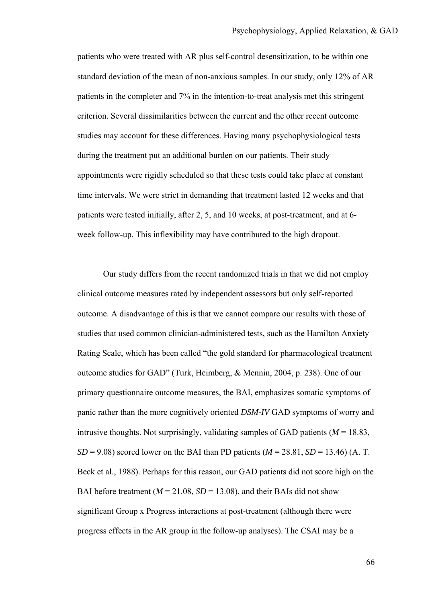patients who were treated with AR plus self-control desensitization, to be within one standard deviation of the mean of non-anxious samples. In our study, only 12% of AR patients in the completer and 7% in the intention-to-treat analysis met this stringent criterion. Several dissimilarities between the current and the other recent outcome studies may account for these differences. Having many psychophysiological tests during the treatment put an additional burden on our patients. Their study appointments were rigidly scheduled so that these tests could take place at constant time intervals. We were strict in demanding that treatment lasted 12 weeks and that patients were tested initially, after 2, 5, and 10 weeks, at post-treatment, and at 6 week follow-up. This inflexibility may have contributed to the high dropout.

Our study differs from the recent randomized trials in that we did not employ clinical outcome measures rated by independent assessors but only self-reported outcome. A disadvantage of this is that we cannot compare our results with those of studies that used common clinician-administered tests, such as the Hamilton Anxiety Rating Scale, which has been called "the gold standard for pharmacological treatment outcome studies for GAD" (Turk, Heimberg, & Mennin, 2004, p. 238). One of our primary questionnaire outcome measures, the BAI, emphasizes somatic symptoms of panic rather than the more cognitively oriented *DSM-IV* GAD symptoms of worry and intrusive thoughts. Not surprisingly, validating samples of GAD patients ( $M = 18.83$ ,  $SD = 9.08$ ) scored lower on the BAI than PD patients ( $M = 28.81$ ,  $SD = 13.46$ ) (A. T. Beck et al., 1988). Perhaps for this reason, our GAD patients did not score high on the BAI before treatment ( $M = 21.08$ ,  $SD = 13.08$ ), and their BAIs did not show significant Group x Progress interactions at post-treatment (although there were progress effects in the AR group in the follow-up analyses). The CSAI may be a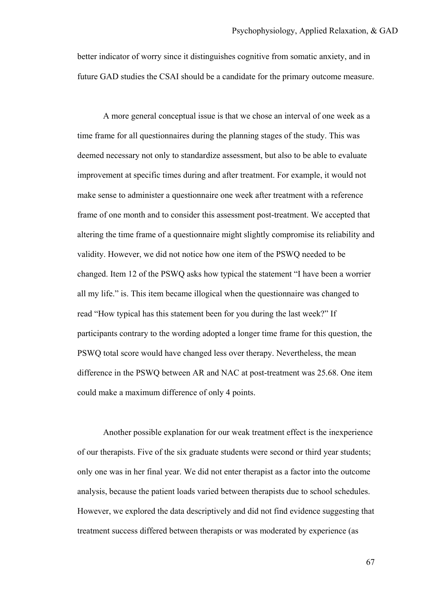better indicator of worry since it distinguishes cognitive from somatic anxiety, and in future GAD studies the CSAI should be a candidate for the primary outcome measure.

A more general conceptual issue is that we chose an interval of one week as a time frame for all questionnaires during the planning stages of the study. This was deemed necessary not only to standardize assessment, but also to be able to evaluate improvement at specific times during and after treatment. For example, it would not make sense to administer a questionnaire one week after treatment with a reference frame of one month and to consider this assessment post-treatment. We accepted that altering the time frame of a questionnaire might slightly compromise its reliability and validity. However, we did not notice how one item of the PSWQ needed to be changed. Item 12 of the PSWQ asks how typical the statement "I have been a worrier all my life." is. This item became illogical when the questionnaire was changed to read "How typical has this statement been for you during the last week?" If participants contrary to the wording adopted a longer time frame for this question, the PSWQ total score would have changed less over therapy. Nevertheless, the mean difference in the PSWQ between AR and NAC at post-treatment was 25.68. One item could make a maximum difference of only 4 points.

Another possible explanation for our weak treatment effect is the inexperience of our therapists. Five of the six graduate students were second or third year students; only one was in her final year. We did not enter therapist as a factor into the outcome analysis, because the patient loads varied between therapists due to school schedules. However, we explored the data descriptively and did not find evidence suggesting that treatment success differed between therapists or was moderated by experience (as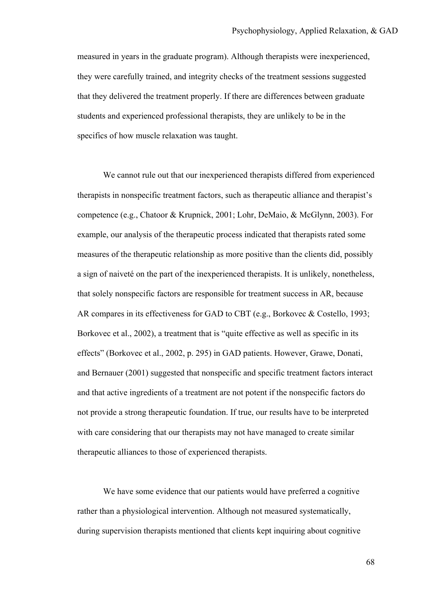measured in years in the graduate program). Although therapists were inexperienced, they were carefully trained, and integrity checks of the treatment sessions suggested that they delivered the treatment properly. If there are differences between graduate students and experienced professional therapists, they are unlikely to be in the specifics of how muscle relaxation was taught.

We cannot rule out that our inexperienced therapists differed from experienced therapists in nonspecific treatment factors, such as therapeutic alliance and therapist's competence (e.g., Chatoor & Krupnick, 2001; Lohr, DeMaio, & McGlynn, 2003). For example, our analysis of the therapeutic process indicated that therapists rated some measures of the therapeutic relationship as more positive than the clients did, possibly a sign of naiveté on the part of the inexperienced therapists. It is unlikely, nonetheless, that solely nonspecific factors are responsible for treatment success in AR, because AR compares in its effectiveness for GAD to CBT (e.g., Borkovec & Costello, 1993; Borkovec et al., 2002), a treatment that is "quite effective as well as specific in its effects" (Borkovec et al., 2002, p. 295) in GAD patients. However, Grawe, Donati, and Bernauer (2001) suggested that nonspecific and specific treatment factors interact and that active ingredients of a treatment are not potent if the nonspecific factors do not provide a strong therapeutic foundation. If true, our results have to be interpreted with care considering that our therapists may not have managed to create similar therapeutic alliances to those of experienced therapists.

We have some evidence that our patients would have preferred a cognitive rather than a physiological intervention. Although not measured systematically, during supervision therapists mentioned that clients kept inquiring about cognitive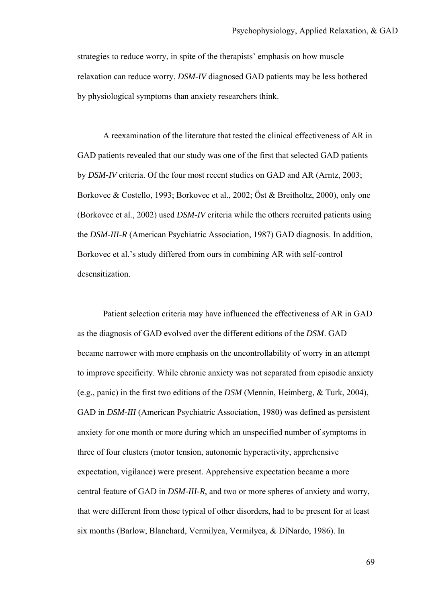strategies to reduce worry, in spite of the therapists' emphasis on how muscle relaxation can reduce worry. *DSM-IV* diagnosed GAD patients may be less bothered by physiological symptoms than anxiety researchers think.

A reexamination of the literature that tested the clinical effectiveness of AR in GAD patients revealed that our study was one of the first that selected GAD patients by *DSM-IV* criteria. Of the four most recent studies on GAD and AR (Arntz, 2003; Borkovec & Costello, 1993; Borkovec et al., 2002; Öst & Breitholtz, 2000), only one (Borkovec et al., 2002) used *DSM-IV* criteria while the others recruited patients using the *DSM-III-R* (American Psychiatric Association, 1987) GAD diagnosis. In addition, Borkovec et al.'s study differed from ours in combining AR with self-control desensitization.

Patient selection criteria may have influenced the effectiveness of AR in GAD as the diagnosis of GAD evolved over the different editions of the *DSM*. GAD became narrower with more emphasis on the uncontrollability of worry in an attempt to improve specificity. While chronic anxiety was not separated from episodic anxiety (e.g., panic) in the first two editions of the *DSM* (Mennin, Heimberg, & Turk, 2004), GAD in *DSM-III* (American Psychiatric Association, 1980) was defined as persistent anxiety for one month or more during which an unspecified number of symptoms in three of four clusters (motor tension, autonomic hyperactivity, apprehensive expectation, vigilance) were present. Apprehensive expectation became a more central feature of GAD in *DSM-III-R*, and two or more spheres of anxiety and worry, that were different from those typical of other disorders, had to be present for at least six months (Barlow, Blanchard, Vermilyea, Vermilyea, & DiNardo, 1986). In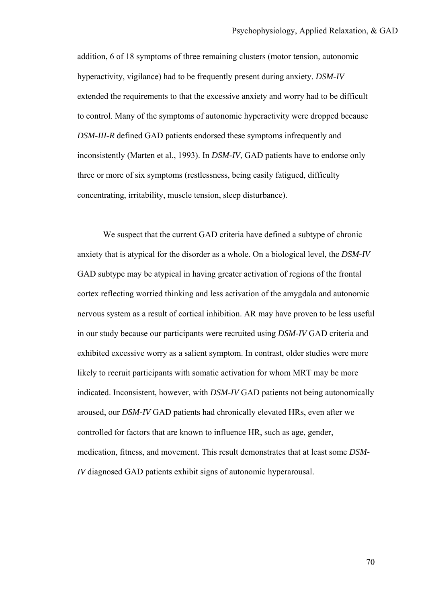addition, 6 of 18 symptoms of three remaining clusters (motor tension, autonomic hyperactivity, vigilance) had to be frequently present during anxiety. *DSM-IV* extended the requirements to that the excessive anxiety and worry had to be difficult to control. Many of the symptoms of autonomic hyperactivity were dropped because *DSM-III-R* defined GAD patients endorsed these symptoms infrequently and inconsistently (Marten et al., 1993). In *DSM-IV*, GAD patients have to endorse only three or more of six symptoms (restlessness, being easily fatigued, difficulty concentrating, irritability, muscle tension, sleep disturbance).

We suspect that the current GAD criteria have defined a subtype of chronic anxiety that is atypical for the disorder as a whole. On a biological level, the *DSM-IV* GAD subtype may be atypical in having greater activation of regions of the frontal cortex reflecting worried thinking and less activation of the amygdala and autonomic nervous system as a result of cortical inhibition. AR may have proven to be less useful in our study because our participants were recruited using *DSM-IV* GAD criteria and exhibited excessive worry as a salient symptom. In contrast, older studies were more likely to recruit participants with somatic activation for whom MRT may be more indicated. Inconsistent, however, with *DSM-IV* GAD patients not being autonomically aroused, our *DSM-IV* GAD patients had chronically elevated HRs, even after we controlled for factors that are known to influence HR, such as age, gender, medication, fitness, and movement. This result demonstrates that at least some *DSM-IV* diagnosed GAD patients exhibit signs of autonomic hyperarousal.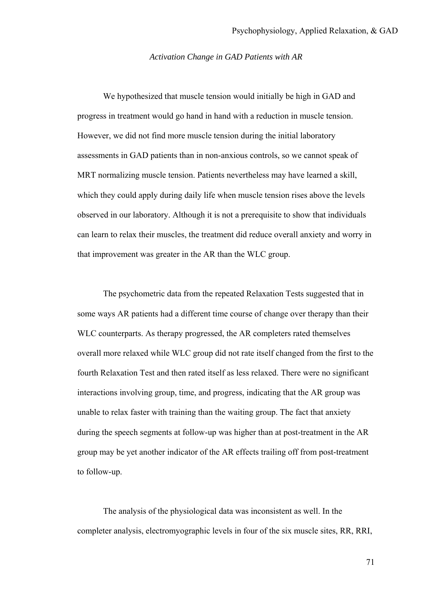#### *Activation Change in GAD Patients with AR*

 We hypothesized that muscle tension would initially be high in GAD and progress in treatment would go hand in hand with a reduction in muscle tension. However, we did not find more muscle tension during the initial laboratory assessments in GAD patients than in non-anxious controls, so we cannot speak of MRT normalizing muscle tension. Patients nevertheless may have learned a skill, which they could apply during daily life when muscle tension rises above the levels observed in our laboratory. Although it is not a prerequisite to show that individuals can learn to relax their muscles, the treatment did reduce overall anxiety and worry in that improvement was greater in the AR than the WLC group.

The psychometric data from the repeated Relaxation Tests suggested that in some ways AR patients had a different time course of change over therapy than their WLC counterparts. As therapy progressed, the AR completers rated themselves overall more relaxed while WLC group did not rate itself changed from the first to the fourth Relaxation Test and then rated itself as less relaxed. There were no significant interactions involving group, time, and progress, indicating that the AR group was unable to relax faster with training than the waiting group. The fact that anxiety during the speech segments at follow-up was higher than at post-treatment in the AR group may be yet another indicator of the AR effects trailing off from post-treatment to follow-up.

The analysis of the physiological data was inconsistent as well. In the completer analysis, electromyographic levels in four of the six muscle sites, RR, RRI,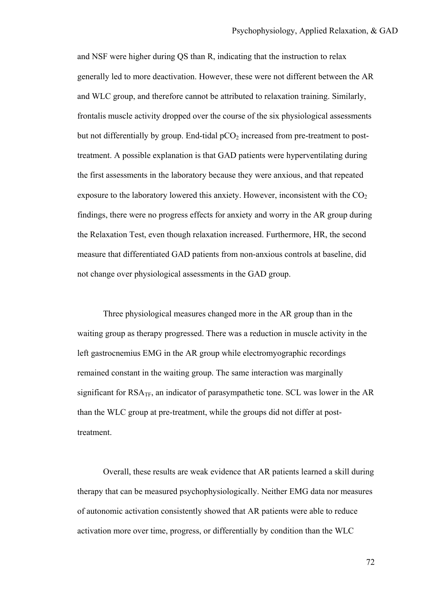and NSF were higher during QS than R, indicating that the instruction to relax generally led to more deactivation. However, these were not different between the AR and WLC group, and therefore cannot be attributed to relaxation training. Similarly, frontalis muscle activity dropped over the course of the six physiological assessments but not differentially by group. End-tidal  $pCO<sub>2</sub>$  increased from pre-treatment to posttreatment. A possible explanation is that GAD patients were hyperventilating during the first assessments in the laboratory because they were anxious, and that repeated exposure to the laboratory lowered this anxiety. However, inconsistent with the  $CO<sub>2</sub>$ findings, there were no progress effects for anxiety and worry in the AR group during the Relaxation Test, even though relaxation increased. Furthermore, HR, the second measure that differentiated GAD patients from non-anxious controls at baseline, did not change over physiological assessments in the GAD group.

 Three physiological measures changed more in the AR group than in the waiting group as therapy progressed. There was a reduction in muscle activity in the left gastrocnemius EMG in the AR group while electromyographic recordings remained constant in the waiting group. The same interaction was marginally significant for  $RSA_{TF}$ , an indicator of parasympathetic tone. SCL was lower in the AR than the WLC group at pre-treatment, while the groups did not differ at posttreatment.

Overall, these results are weak evidence that AR patients learned a skill during therapy that can be measured psychophysiologically. Neither EMG data nor measures of autonomic activation consistently showed that AR patients were able to reduce activation more over time, progress, or differentially by condition than the WLC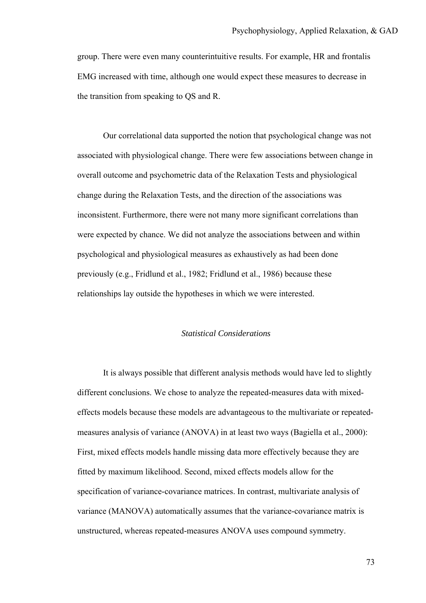group. There were even many counterintuitive results. For example, HR and frontalis EMG increased with time, although one would expect these measures to decrease in the transition from speaking to QS and R.

Our correlational data supported the notion that psychological change was not associated with physiological change. There were few associations between change in overall outcome and psychometric data of the Relaxation Tests and physiological change during the Relaxation Tests, and the direction of the associations was inconsistent. Furthermore, there were not many more significant correlations than were expected by chance. We did not analyze the associations between and within psychological and physiological measures as exhaustively as had been done previously (e.g., Fridlund et al., 1982; Fridlund et al., 1986) because these relationships lay outside the hypotheses in which we were interested.

## *Statistical Considerations*

It is always possible that different analysis methods would have led to slightly different conclusions. We chose to analyze the repeated-measures data with mixedeffects models because these models are advantageous to the multivariate or repeatedmeasures analysis of variance (ANOVA) in at least two ways (Bagiella et al., 2000): First, mixed effects models handle missing data more effectively because they are fitted by maximum likelihood. Second, mixed effects models allow for the specification of variance-covariance matrices. In contrast, multivariate analysis of variance (MANOVA) automatically assumes that the variance-covariance matrix is unstructured, whereas repeated-measures ANOVA uses compound symmetry.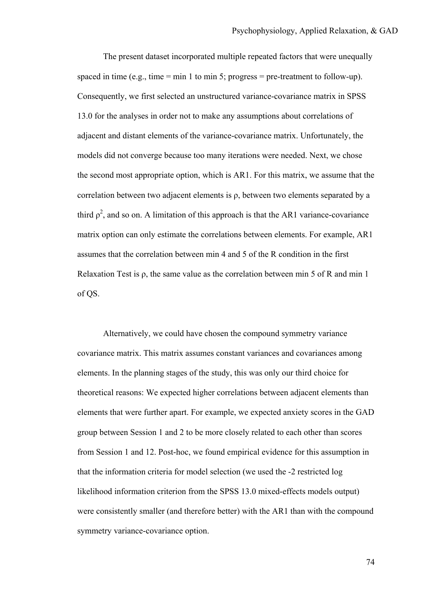The present dataset incorporated multiple repeated factors that were unequally spaced in time (e.g., time  $=$  min 1 to min 5; progress  $=$  pre-treatment to follow-up). Consequently, we first selected an unstructured variance-covariance matrix in SPSS 13.0 for the analyses in order not to make any assumptions about correlations of adjacent and distant elements of the variance-covariance matrix. Unfortunately, the models did not converge because too many iterations were needed. Next, we chose the second most appropriate option, which is AR1. For this matrix, we assume that the correlation between two adjacent elements is ρ, between two elements separated by a third  $\rho^2$ , and so on. A limitation of this approach is that the AR1 variance-covariance matrix option can only estimate the correlations between elements. For example, AR1 assumes that the correlation between min 4 and 5 of the R condition in the first Relaxation Test is  $\rho$ , the same value as the correlation between min 5 of R and min 1 of QS.

Alternatively, we could have chosen the compound symmetry variance covariance matrix. This matrix assumes constant variances and covariances among elements. In the planning stages of the study, this was only our third choice for theoretical reasons: We expected higher correlations between adjacent elements than elements that were further apart. For example, we expected anxiety scores in the GAD group between Session 1 and 2 to be more closely related to each other than scores from Session 1 and 12. Post-hoc, we found empirical evidence for this assumption in that the information criteria for model selection (we used the -2 restricted log likelihood information criterion from the SPSS 13.0 mixed-effects models output) were consistently smaller (and therefore better) with the AR1 than with the compound symmetry variance-covariance option.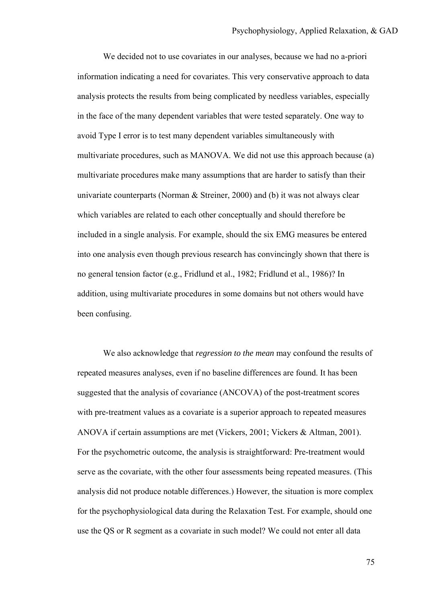We decided not to use covariates in our analyses, because we had no a-priori information indicating a need for covariates. This very conservative approach to data analysis protects the results from being complicated by needless variables, especially in the face of the many dependent variables that were tested separately. One way to avoid Type I error is to test many dependent variables simultaneously with multivariate procedures, such as MANOVA. We did not use this approach because (a) multivariate procedures make many assumptions that are harder to satisfy than their univariate counterparts (Norman  $&$  Streiner, 2000) and (b) it was not always clear which variables are related to each other conceptually and should therefore be included in a single analysis. For example, should the six EMG measures be entered into one analysis even though previous research has convincingly shown that there is no general tension factor (e.g., Fridlund et al., 1982; Fridlund et al., 1986)? In addition, using multivariate procedures in some domains but not others would have been confusing.

We also acknowledge that *regression to the mean* may confound the results of repeated measures analyses, even if no baseline differences are found. It has been suggested that the analysis of covariance (ANCOVA) of the post-treatment scores with pre-treatment values as a covariate is a superior approach to repeated measures ANOVA if certain assumptions are met (Vickers, 2001; Vickers & Altman, 2001). For the psychometric outcome, the analysis is straightforward: Pre-treatment would serve as the covariate, with the other four assessments being repeated measures. (This analysis did not produce notable differences.) However, the situation is more complex for the psychophysiological data during the Relaxation Test. For example, should one use the QS or R segment as a covariate in such model? We could not enter all data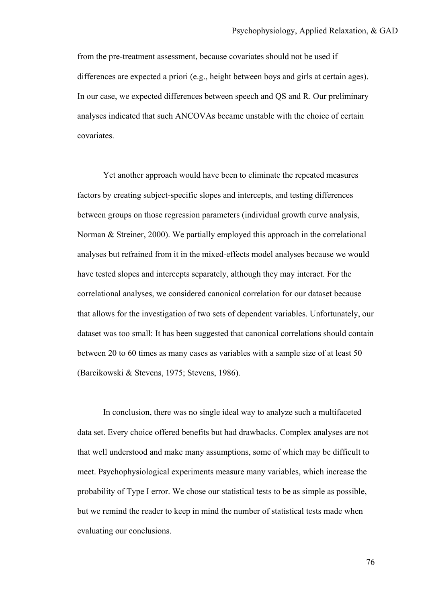from the pre-treatment assessment, because covariates should not be used if differences are expected a priori (e.g., height between boys and girls at certain ages). In our case, we expected differences between speech and QS and R. Our preliminary analyses indicated that such ANCOVAs became unstable with the choice of certain covariates.

Yet another approach would have been to eliminate the repeated measures factors by creating subject-specific slopes and intercepts, and testing differences between groups on those regression parameters (individual growth curve analysis, Norman & Streiner, 2000). We partially employed this approach in the correlational analyses but refrained from it in the mixed-effects model analyses because we would have tested slopes and intercepts separately, although they may interact. For the correlational analyses, we considered canonical correlation for our dataset because that allows for the investigation of two sets of dependent variables. Unfortunately, our dataset was too small: It has been suggested that canonical correlations should contain between 20 to 60 times as many cases as variables with a sample size of at least 50 (Barcikowski & Stevens, 1975; Stevens, 1986).

In conclusion, there was no single ideal way to analyze such a multifaceted data set. Every choice offered benefits but had drawbacks. Complex analyses are not that well understood and make many assumptions, some of which may be difficult to meet. Psychophysiological experiments measure many variables, which increase the probability of Type I error. We chose our statistical tests to be as simple as possible, but we remind the reader to keep in mind the number of statistical tests made when evaluating our conclusions.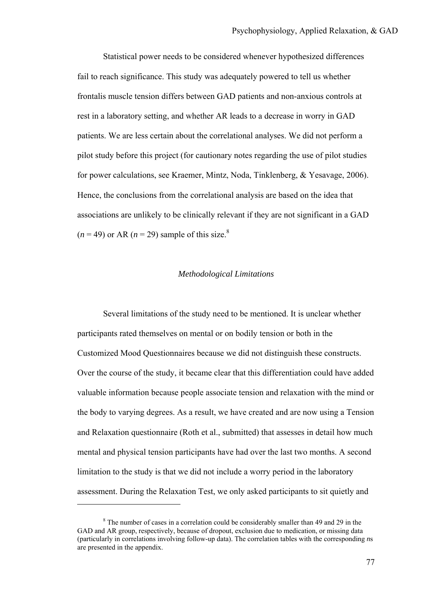Statistical power needs to be considered whenever hypothesized differences fail to reach significance. This study was adequately powered to tell us whether frontalis muscle tension differs between GAD patients and non-anxious controls at rest in a laboratory setting, and whether AR leads to a decrease in worry in GAD patients. We are less certain about the correlational analyses. We did not perform a pilot study before this project (for cautionary notes regarding the use of pilot studies for power calculations, see Kraemer, Mintz, Noda, Tinklenberg, & Yesavage, 2006). Hence, the conclusions from the correlational analysis are based on the idea that associations are unlikely to be clinically relevant if they are not significant in a GAD  $(n = 49)$  or AR  $(n = 29)$  sample of this size.<sup>8</sup>

## *Methodological Limitations*

Several limitations of the study need to be mentioned. It is unclear whether participants rated themselves on mental or on bodily tension or both in the Customized Mood Questionnaires because we did not distinguish these constructs. Over the course of the study, it became clear that this differentiation could have added valuable information because people associate tension and relaxation with the mind or the body to varying degrees. As a result, we have created and are now using a Tension and Relaxation questionnaire (Roth et al., submitted) that assesses in detail how much mental and physical tension participants have had over the last two months. A second limitation to the study is that we did not include a worry period in the laboratory assessment. During the Relaxation Test, we only asked participants to sit quietly and

 $\overline{a}$ 

<sup>&</sup>lt;sup>8</sup> The number of cases in a correlation could be considerably smaller than 49 and 29 in the GAD and AR group, respectively, because of dropout, exclusion due to medication, or missing data (particularly in correlations involving follow-up data). The correlation tables with the corresponding *n*s are presented in the appendix.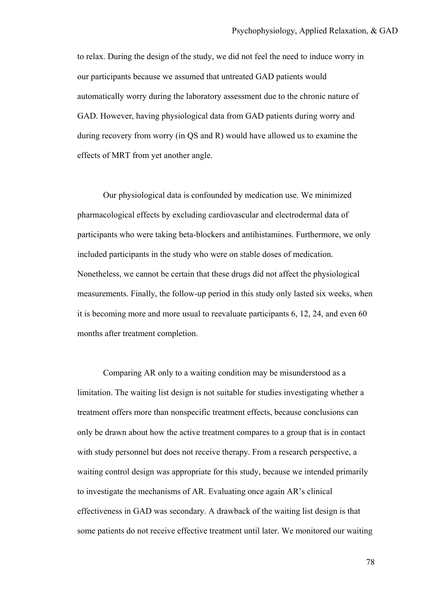to relax. During the design of the study, we did not feel the need to induce worry in our participants because we assumed that untreated GAD patients would automatically worry during the laboratory assessment due to the chronic nature of GAD. However, having physiological data from GAD patients during worry and during recovery from worry (in QS and R) would have allowed us to examine the effects of MRT from yet another angle.

Our physiological data is confounded by medication use. We minimized pharmacological effects by excluding cardiovascular and electrodermal data of participants who were taking beta-blockers and antihistamines. Furthermore, we only included participants in the study who were on stable doses of medication. Nonetheless, we cannot be certain that these drugs did not affect the physiological measurements. Finally, the follow-up period in this study only lasted six weeks, when it is becoming more and more usual to reevaluate participants 6, 12, 24, and even 60 months after treatment completion.

Comparing AR only to a waiting condition may be misunderstood as a limitation. The waiting list design is not suitable for studies investigating whether a treatment offers more than nonspecific treatment effects, because conclusions can only be drawn about how the active treatment compares to a group that is in contact with study personnel but does not receive therapy. From a research perspective, a waiting control design was appropriate for this study, because we intended primarily to investigate the mechanisms of AR. Evaluating once again AR's clinical effectiveness in GAD was secondary. A drawback of the waiting list design is that some patients do not receive effective treatment until later. We monitored our waiting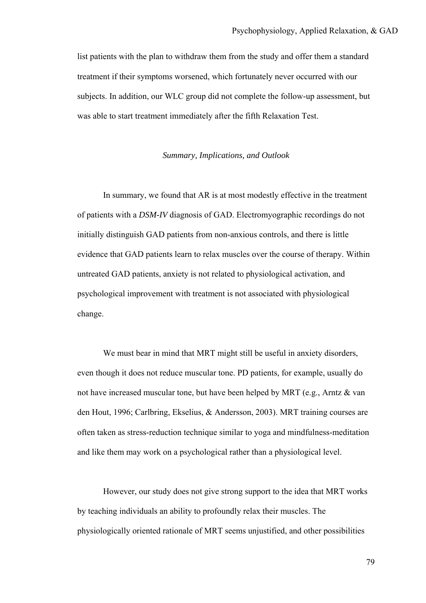list patients with the plan to withdraw them from the study and offer them a standard treatment if their symptoms worsened, which fortunately never occurred with our subjects. In addition, our WLC group did not complete the follow-up assessment, but was able to start treatment immediately after the fifth Relaxation Test.

## *Summary, Implications, and Outlook*

 In summary, we found that AR is at most modestly effective in the treatment of patients with a *DSM-IV* diagnosis of GAD. Electromyographic recordings do not initially distinguish GAD patients from non-anxious controls, and there is little evidence that GAD patients learn to relax muscles over the course of therapy. Within untreated GAD patients, anxiety is not related to physiological activation, and psychological improvement with treatment is not associated with physiological change.

We must bear in mind that MRT might still be useful in anxiety disorders, even though it does not reduce muscular tone. PD patients, for example, usually do not have increased muscular tone, but have been helped by MRT (e.g., Arntz & van den Hout, 1996; Carlbring, Ekselius, & Andersson, 2003). MRT training courses are often taken as stress-reduction technique similar to yoga and mindfulness-meditation and like them may work on a psychological rather than a physiological level.

However, our study does not give strong support to the idea that MRT works by teaching individuals an ability to profoundly relax their muscles. The physiologically oriented rationale of MRT seems unjustified, and other possibilities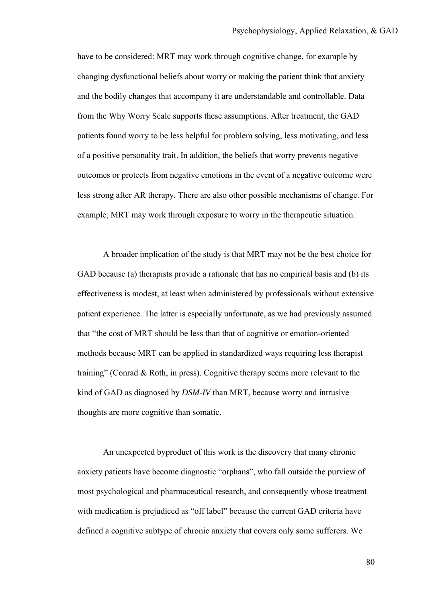have to be considered: MRT may work through cognitive change, for example by changing dysfunctional beliefs about worry or making the patient think that anxiety and the bodily changes that accompany it are understandable and controllable. Data from the Why Worry Scale supports these assumptions. After treatment, the GAD patients found worry to be less helpful for problem solving, less motivating, and less of a positive personality trait. In addition, the beliefs that worry prevents negative outcomes or protects from negative emotions in the event of a negative outcome were less strong after AR therapy. There are also other possible mechanisms of change. For example, MRT may work through exposure to worry in the therapeutic situation.

A broader implication of the study is that MRT may not be the best choice for GAD because (a) therapists provide a rationale that has no empirical basis and (b) its effectiveness is modest, at least when administered by professionals without extensive patient experience. The latter is especially unfortunate, as we had previously assumed that "the cost of MRT should be less than that of cognitive or emotion-oriented methods because MRT can be applied in standardized ways requiring less therapist training" (Conrad & Roth, in press). Cognitive therapy seems more relevant to the kind of GAD as diagnosed by *DSM-IV* than MRT, because worry and intrusive thoughts are more cognitive than somatic.

An unexpected byproduct of this work is the discovery that many chronic anxiety patients have become diagnostic "orphans", who fall outside the purview of most psychological and pharmaceutical research, and consequently whose treatment with medication is prejudiced as "off label" because the current GAD criteria have defined a cognitive subtype of chronic anxiety that covers only some sufferers. We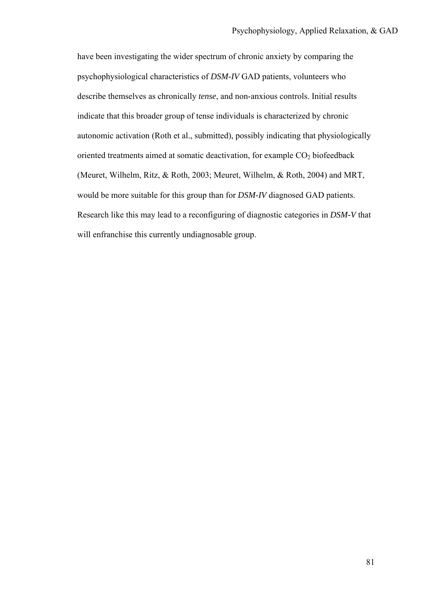have been investigating the wider spectrum of chronic anxiety by comparing the psychophysiological characteristics of *DSM-IV* GAD patients, volunteers who describe themselves as chronically *tense*, and non-anxious controls. Initial results indicate that this broader group of tense individuals is characterized by chronic autonomic activation (Roth et al., submitted), possibly indicating that physiologically oriented treatments aimed at somatic deactivation, for example  $CO<sub>2</sub>$  biofeedback (Meuret, Wilhelm, Ritz, & Roth, 2003; Meuret, Wilhelm, & Roth, 2004) and MRT, would be more suitable for this group than for *DSM-IV* diagnosed GAD patients. Research like this may lead to a reconfiguring of diagnostic categories in *DSM-V* that will enfranchise this currently undiagnosable group.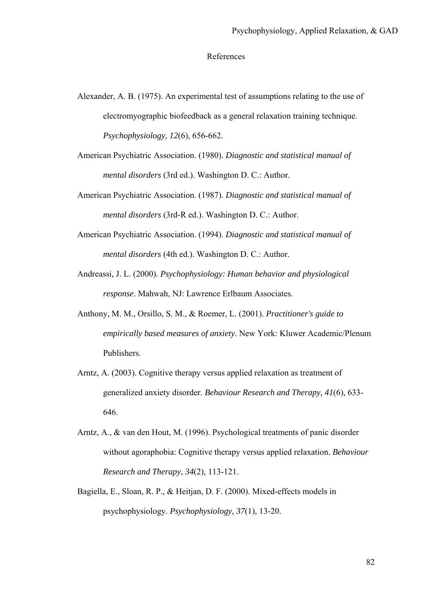#### References

- Alexander, A. B. (1975). An experimental test of assumptions relating to the use of electromyographic biofeedback as a general relaxation training technique. *Psychophysiology, 12*(6), 656-662.
- American Psychiatric Association. (1980). *Diagnostic and statistical manual of mental disorders* (3rd ed.). Washington D. C.: Author.
- American Psychiatric Association. (1987). *Diagnostic and statistical manual of mental disorders* (3rd-R ed.). Washington D. C.: Author.
- American Psychiatric Association. (1994). *Diagnostic and statistical manual of mental disorders* (4th ed.). Washington D. C.: Author.
- Andreassi, J. L. (2000). *Psychophysiology: Human behavior and physiological response*. Mahwah, NJ: Lawrence Erlbaum Associates.
- Anthony, M. M., Orsillo, S. M., & Roemer, L. (2001). *Practitioner's guide to empirically based measures of anxiety*. New York: Kluwer Academic/Plenum Publishers.
- Arntz, A. (2003). Cognitive therapy versus applied relaxation as treatment of generalized anxiety disorder. *Behaviour Research and Therapy, 41*(6), 633- 646.
- Arntz, A., & van den Hout, M. (1996). Psychological treatments of panic disorder without agoraphobia: Cognitive therapy versus applied relaxation. *Behaviour Research and Therapy, 34*(2), 113-121.
- Bagiella, E., Sloan, R. P., & Heitjan, D. F. (2000). Mixed-effects models in psychophysiology. *Psychophysiology, 37*(1), 13-20.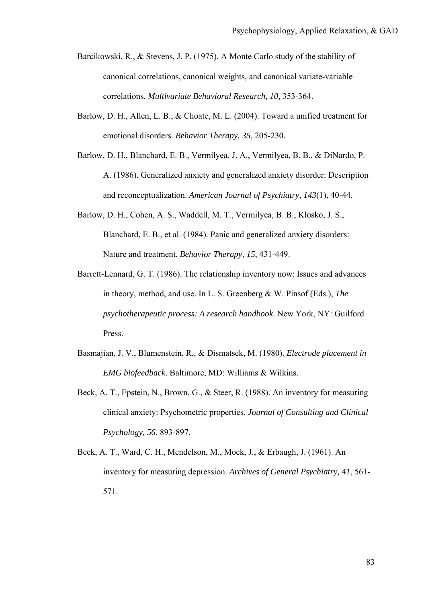- Barcikowski, R., & Stevens, J. P. (1975). A Monte Carlo study of the stability of canonical correlations, canonical weights, and canonical variate-variable correlations. *Multivariate Behavioral Research, 10*, 353-364.
- Barlow, D. H., Allen, L. B., & Choate, M. L. (2004). Toward a unified treatment for emotional disorders. *Behavior Therapy, 35*, 205-230.
- Barlow, D. H., Blanchard, E. B., Vermilyea, J. A., Vermilyea, B. B., & DiNardo, P. A. (1986). Generalized anxiety and generalized anxiety disorder: Description and reconceptualization. *American Journal of Psychiatry, 143*(1), 40-44.
- Barlow, D. H., Cohen, A. S., Waddell, M. T., Vermilyea, B. B., Klosko, J. S., Blanchard, E. B., et al. (1984). Panic and generalized anxiety disorders: Nature and treatment. *Behavior Therapy, 15*, 431-449.
- Barrett-Lennard, G. T. (1986). The relationship inventory now: Issues and advances in theory, method, and use. In L. S. Greenberg & W. Pinsof (Eds.), *The psychotherapeutic process: A research handbook*. New York, NY: Guilford Press.
- Basmajian, J. V., Blumenstein, R., & Dismatsek, M. (1980). *Electrode placement in EMG biofeedback*. Baltimore, MD: Williams & Wilkins.
- Beck, A. T., Epstein, N., Brown, G., & Steer, R. (1988). An inventory for measuring clinical anxiety: Psychometric properties. *Journal of Consulting and Clinical Psychology, 56*, 893-897.
- Beck, A. T., Ward, C. H., Mendelson, M., Mock, J., & Erbaugh, J. (1961). An inventory for measuring depression. *Archives of General Psychiatry, 41*, 561- 571.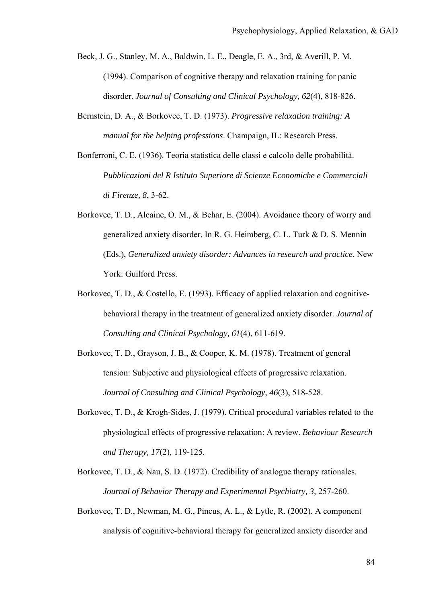Beck, J. G., Stanley, M. A., Baldwin, L. E., Deagle, E. A., 3rd, & Averill, P. M. (1994). Comparison of cognitive therapy and relaxation training for panic disorder. *Journal of Consulting and Clinical Psychology, 62*(4), 818-826.

- Bernstein, D. A., & Borkovec, T. D. (1973). *Progressive relaxation training: A manual for the helping professions*. Champaign, IL: Research Press.
- Bonferroni, C. E. (1936). Teoria statistica delle classi e calcolo delle probabilità. *Pubblicazioni del R Istituto Superiore di Scienze Economiche e Commerciali di Firenze, 8*, 3-62.
- Borkovec, T. D., Alcaine, O. M., & Behar, E. (2004). Avoidance theory of worry and generalized anxiety disorder. In R. G. Heimberg, C. L. Turk & D. S. Mennin (Eds.), *Generalized anxiety disorder: Advances in research and practice*. New York: Guilford Press.
- Borkovec, T. D., & Costello, E. (1993). Efficacy of applied relaxation and cognitivebehavioral therapy in the treatment of generalized anxiety disorder. *Journal of Consulting and Clinical Psychology, 61*(4), 611-619.
- Borkovec, T. D., Grayson, J. B., & Cooper, K. M. (1978). Treatment of general tension: Subjective and physiological effects of progressive relaxation. *Journal of Consulting and Clinical Psychology, 46*(3), 518-528.
- Borkovec, T. D., & Krogh-Sides, J. (1979). Critical procedural variables related to the physiological effects of progressive relaxation: A review. *Behaviour Research and Therapy, 17*(2), 119-125.
- Borkovec, T. D., & Nau, S. D. (1972). Credibility of analogue therapy rationales. *Journal of Behavior Therapy and Experimental Psychiatry, 3*, 257-260.
- Borkovec, T. D., Newman, M. G., Pincus, A. L., & Lytle, R. (2002). A component analysis of cognitive-behavioral therapy for generalized anxiety disorder and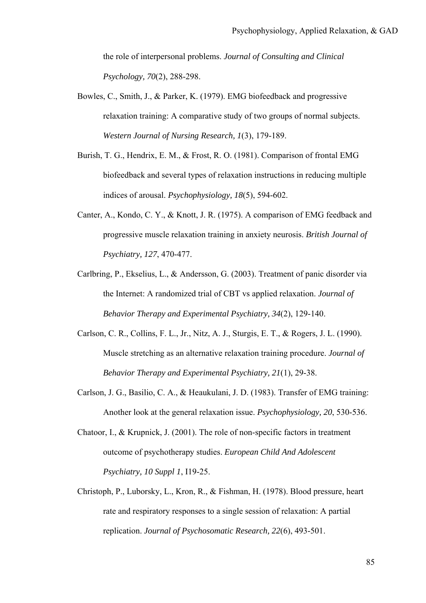the role of interpersonal problems. *Journal of Consulting and Clinical Psychology, 70*(2), 288-298.

- Bowles, C., Smith, J., & Parker, K. (1979). EMG biofeedback and progressive relaxation training: A comparative study of two groups of normal subjects. *Western Journal of Nursing Research, 1*(3), 179-189.
- Burish, T. G., Hendrix, E. M., & Frost, R. O. (1981). Comparison of frontal EMG biofeedback and several types of relaxation instructions in reducing multiple indices of arousal. *Psychophysiology, 18*(5), 594-602.
- Canter, A., Kondo, C. Y., & Knott, J. R. (1975). A comparison of EMG feedback and progressive muscle relaxation training in anxiety neurosis. *British Journal of Psychiatry, 127*, 470-477.
- Carlbring, P., Ekselius, L., & Andersson, G. (2003). Treatment of panic disorder via the Internet: A randomized trial of CBT vs applied relaxation. *Journal of Behavior Therapy and Experimental Psychiatry, 34*(2), 129-140.
- Carlson, C. R., Collins, F. L., Jr., Nitz, A. J., Sturgis, E. T., & Rogers, J. L. (1990). Muscle stretching as an alternative relaxation training procedure. *Journal of Behavior Therapy and Experimental Psychiatry, 21*(1), 29-38.
- Carlson, J. G., Basilio, C. A., & Heaukulani, J. D. (1983). Transfer of EMG training: Another look at the general relaxation issue. *Psychophysiology, 20*, 530-536.
- Chatoor, I., & Krupnick, J. (2001). The role of non-specific factors in treatment outcome of psychotherapy studies. *European Child And Adolescent Psychiatry, 10 Suppl 1*, I19-25.
- Christoph, P., Luborsky, L., Kron, R., & Fishman, H. (1978). Blood pressure, heart rate and respiratory responses to a single session of relaxation: A partial replication. *Journal of Psychosomatic Research, 22*(6), 493-501.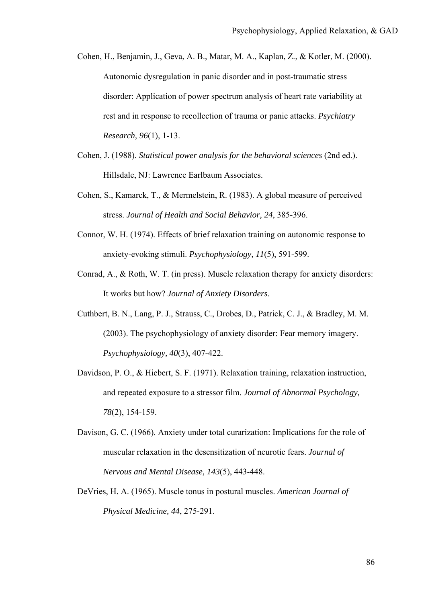- Cohen, H., Benjamin, J., Geva, A. B., Matar, M. A., Kaplan, Z., & Kotler, M. (2000). Autonomic dysregulation in panic disorder and in post-traumatic stress disorder: Application of power spectrum analysis of heart rate variability at rest and in response to recollection of trauma or panic attacks. *Psychiatry Research, 96*(1), 1-13.
- Cohen, J. (1988). *Statistical power analysis for the behavioral sciences* (2nd ed.). Hillsdale, NJ: Lawrence Earlbaum Associates.
- Cohen, S., Kamarck, T., & Mermelstein, R. (1983). A global measure of perceived stress. *Journal of Health and Social Behavior, 24*, 385-396.
- Connor, W. H. (1974). Effects of brief relaxation training on autonomic response to anxiety-evoking stimuli. *Psychophysiology, 11*(5), 591-599.
- Conrad, A., & Roth, W. T. (in press). Muscle relaxation therapy for anxiety disorders: It works but how? *Journal of Anxiety Disorders*.
- Cuthbert, B. N., Lang, P. J., Strauss, C., Drobes, D., Patrick, C. J., & Bradley, M. M. (2003). The psychophysiology of anxiety disorder: Fear memory imagery. *Psychophysiology, 40*(3), 407-422.
- Davidson, P. O., & Hiebert, S. F. (1971). Relaxation training, relaxation instruction, and repeated exposure to a stressor film. *Journal of Abnormal Psychology, 78*(2), 154-159.
- Davison, G. C. (1966). Anxiety under total curarization: Implications for the role of muscular relaxation in the desensitization of neurotic fears. *Journal of Nervous and Mental Disease, 143*(5), 443-448.
- DeVries, H. A. (1965). Muscle tonus in postural muscles. *American Journal of Physical Medicine, 44*, 275-291.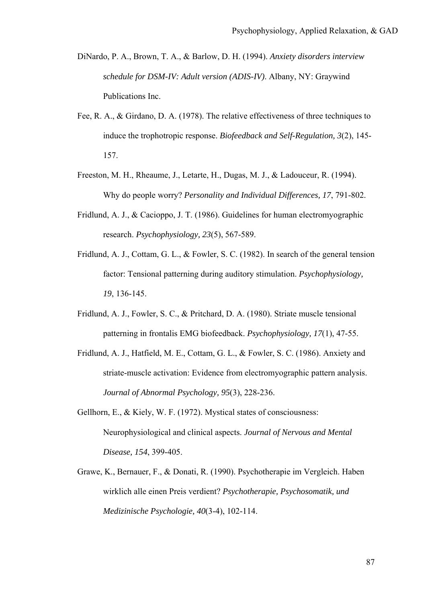- DiNardo, P. A., Brown, T. A., & Barlow, D. H. (1994). *Anxiety disorders interview schedule for DSM-IV: Adult version (ADIS-IV)*. Albany, NY: Graywind Publications Inc.
- Fee, R. A., & Girdano, D. A. (1978). The relative effectiveness of three techniques to induce the trophotropic response. *Biofeedback and Self-Regulation, 3*(2), 145- 157.
- Freeston, M. H., Rheaume, J., Letarte, H., Dugas, M. J., & Ladouceur, R. (1994). Why do people worry? *Personality and Individual Differences, 17*, 791-802.
- Fridlund, A. J., & Cacioppo, J. T. (1986). Guidelines for human electromyographic research. *Psychophysiology, 23*(5), 567-589.
- Fridlund, A. J., Cottam, G. L., & Fowler, S. C. (1982). In search of the general tension factor: Tensional patterning during auditory stimulation. *Psychophysiology, 19*, 136-145.
- Fridlund, A. J., Fowler, S. C., & Pritchard, D. A. (1980). Striate muscle tensional patterning in frontalis EMG biofeedback. *Psychophysiology, 17*(1), 47-55.
- Fridlund, A. J., Hatfield, M. E., Cottam, G. L., & Fowler, S. C. (1986). Anxiety and striate-muscle activation: Evidence from electromyographic pattern analysis. *Journal of Abnormal Psychology, 95*(3), 228-236.
- Gellhorn, E., & Kiely, W. F. (1972). Mystical states of consciousness: Neurophysiological and clinical aspects. *Journal of Nervous and Mental Disease, 154*, 399-405.
- Grawe, K., Bernauer, F., & Donati, R. (1990). Psychotherapie im Vergleich. Haben wirklich alle einen Preis verdient? *Psychotherapie, Psychosomatik, und Medizinische Psychologie, 40*(3-4), 102-114.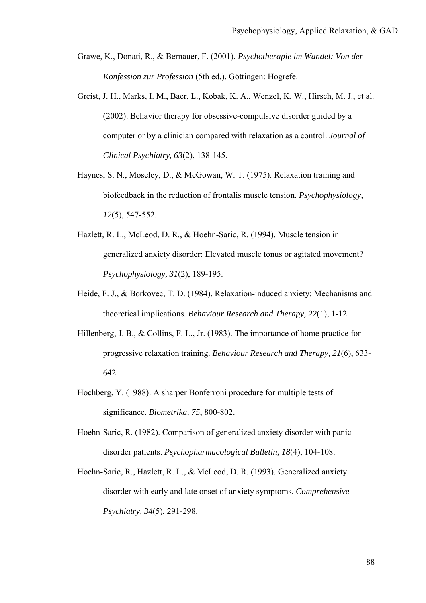- Grawe, K., Donati, R., & Bernauer, F. (2001). *Psychotherapie im Wandel: Von der Konfession zur Profession* (5th ed.). Göttingen: Hogrefe.
- Greist, J. H., Marks, I. M., Baer, L., Kobak, K. A., Wenzel, K. W., Hirsch, M. J., et al. (2002). Behavior therapy for obsessive-compulsive disorder guided by a computer or by a clinician compared with relaxation as a control. *Journal of Clinical Psychiatry, 63*(2), 138-145.
- Haynes, S. N., Moseley, D., & McGowan, W. T. (1975). Relaxation training and biofeedback in the reduction of frontalis muscle tension. *Psychophysiology, 12*(5), 547-552.
- Hazlett, R. L., McLeod, D. R., & Hoehn-Saric, R. (1994). Muscle tension in generalized anxiety disorder: Elevated muscle tonus or agitated movement? *Psychophysiology, 31*(2), 189-195.
- Heide, F. J., & Borkovec, T. D. (1984). Relaxation-induced anxiety: Mechanisms and theoretical implications. *Behaviour Research and Therapy, 22*(1), 1-12.
- Hillenberg, J. B., & Collins, F. L., Jr. (1983). The importance of home practice for progressive relaxation training. *Behaviour Research and Therapy, 21*(6), 633- 642.
- Hochberg, Y. (1988). A sharper Bonferroni procedure for multiple tests of significance. *Biometrika, 75*, 800-802.
- Hoehn-Saric, R. (1982). Comparison of generalized anxiety disorder with panic disorder patients. *Psychopharmacological Bulletin, 18*(4), 104-108.
- Hoehn-Saric, R., Hazlett, R. L., & McLeod, D. R. (1993). Generalized anxiety disorder with early and late onset of anxiety symptoms. *Comprehensive Psychiatry, 34*(5), 291-298.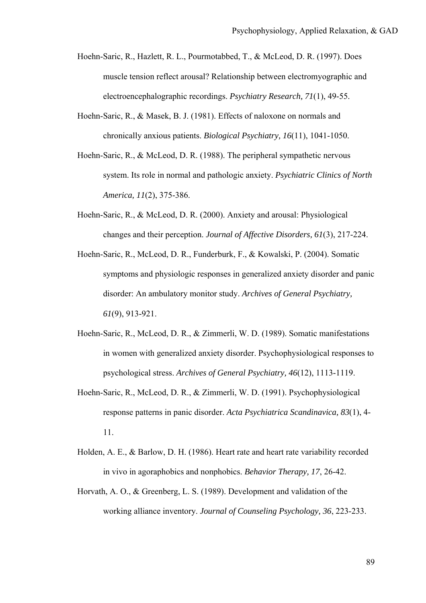- Hoehn-Saric, R., Hazlett, R. L., Pourmotabbed, T., & McLeod, D. R. (1997). Does muscle tension reflect arousal? Relationship between electromyographic and electroencephalographic recordings. *Psychiatry Research, 71*(1), 49-55.
- Hoehn-Saric, R., & Masek, B. J. (1981). Effects of naloxone on normals and chronically anxious patients. *Biological Psychiatry, 16*(11), 1041-1050.
- Hoehn-Saric, R., & McLeod, D. R. (1988). The peripheral sympathetic nervous system. Its role in normal and pathologic anxiety. *Psychiatric Clinics of North America, 11*(2), 375-386.
- Hoehn-Saric, R., & McLeod, D. R. (2000). Anxiety and arousal: Physiological changes and their perception. *Journal of Affective Disorders, 61*(3), 217-224.
- Hoehn-Saric, R., McLeod, D. R., Funderburk, F., & Kowalski, P. (2004). Somatic symptoms and physiologic responses in generalized anxiety disorder and panic disorder: An ambulatory monitor study. *Archives of General Psychiatry, 61*(9), 913-921.
- Hoehn-Saric, R., McLeod, D. R., & Zimmerli, W. D. (1989). Somatic manifestations in women with generalized anxiety disorder. Psychophysiological responses to psychological stress. *Archives of General Psychiatry, 46*(12), 1113-1119.
- Hoehn-Saric, R., McLeod, D. R., & Zimmerli, W. D. (1991). Psychophysiological response patterns in panic disorder. *Acta Psychiatrica Scandinavica, 83*(1), 4- 11.
- Holden, A. E., & Barlow, D. H. (1986). Heart rate and heart rate variability recorded in vivo in agoraphobics and nonphobics. *Behavior Therapy, 17*, 26-42.
- Horvath, A. O., & Greenberg, L. S. (1989). Development and validation of the working alliance inventory. *Journal of Counseling Psychology, 36*, 223-233.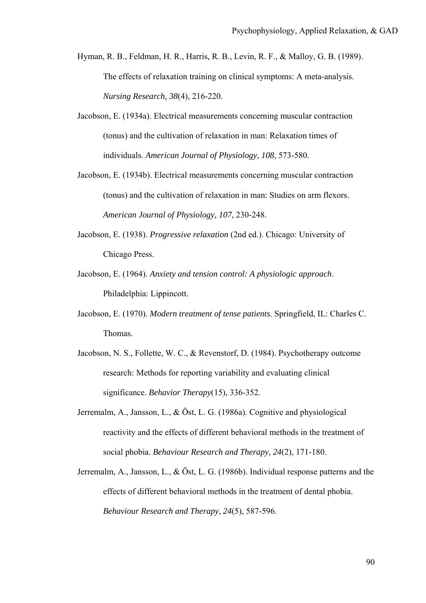- Hyman, R. B., Feldman, H. R., Harris, R. B., Levin, R. F., & Malloy, G. B. (1989). The effects of relaxation training on clinical symptoms: A meta-analysis. *Nursing Research, 38*(4), 216-220.
- Jacobson, E. (1934a). Electrical measurements concerning muscular contraction (tonus) and the cultivation of relaxation in man: Relaxation times of individuals. *American Journal of Physiology, 108*, 573-580.
- Jacobson, E. (1934b). Electrical measurements concerning muscular contraction (tonus) and the cultivation of relaxation in man: Studies on arm flexors. *American Journal of Physiology, 107*, 230-248.
- Jacobson, E. (1938). *Progressive relaxation* (2nd ed.). Chicago: University of Chicago Press.
- Jacobson, E. (1964). *Anxiety and tension control: A physiologic approach*. Philadelphia: Lippincott.
- Jacobson, E. (1970). *Modern treatment of tense patients*. Springfield, IL: Charles C. Thomas.
- Jacobson, N. S., Follette, W. C., & Revenstorf, D. (1984). Psychotherapy outcome research: Methods for reporting variability and evaluating clinical significance. *Behavior Therapy*(15), 336-352.
- Jerremalm, A., Jansson, L., & Öst, L. G. (1986a). Cognitive and physiological reactivity and the effects of different behavioral methods in the treatment of social phobia. *Behaviour Research and Therapy, 24*(2), 171-180.
- Jerremalm, A., Jansson, L., & Öst, L. G. (1986b). Individual response patterns and the effects of different behavioral methods in the treatment of dental phobia. *Behaviour Research and Therapy, 24*(5), 587-596.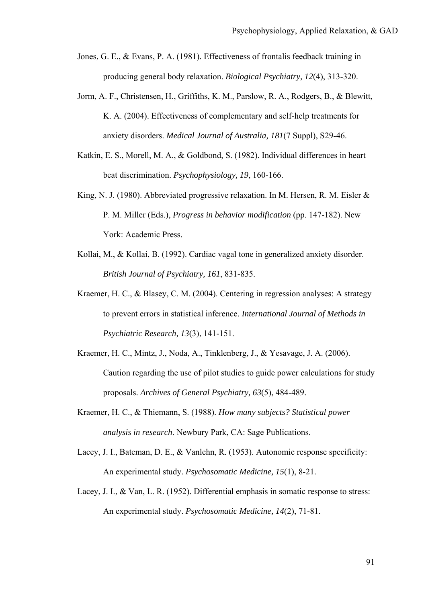- Jones, G. E., & Evans, P. A. (1981). Effectiveness of frontalis feedback training in producing general body relaxation. *Biological Psychiatry, 12*(4), 313-320.
- Jorm, A. F., Christensen, H., Griffiths, K. M., Parslow, R. A., Rodgers, B., & Blewitt, K. A. (2004). Effectiveness of complementary and self-help treatments for anxiety disorders. *Medical Journal of Australia, 181*(7 Suppl), S29-46.
- Katkin, E. S., Morell, M. A., & Goldbond, S. (1982). Individual differences in heart beat discrimination. *Psychophysiology, 19*, 160-166.
- King, N. J. (1980). Abbreviated progressive relaxation. In M. Hersen, R. M. Eisler & P. M. Miller (Eds.), *Progress in behavior modification* (pp. 147-182). New York: Academic Press.
- Kollai, M., & Kollai, B. (1992). Cardiac vagal tone in generalized anxiety disorder. *British Journal of Psychiatry, 161*, 831-835.
- Kraemer, H. C., & Blasey, C. M. (2004). Centering in regression analyses: A strategy to prevent errors in statistical inference. *International Journal of Methods in Psychiatric Research, 13*(3), 141-151.
- Kraemer, H. C., Mintz, J., Noda, A., Tinklenberg, J., & Yesavage, J. A. (2006). Caution regarding the use of pilot studies to guide power calculations for study proposals. *Archives of General Psychiatry, 63*(5), 484-489.
- Kraemer, H. C., & Thiemann, S. (1988). *How many subjects? Statistical power analysis in research*. Newbury Park, CA: Sage Publications.
- Lacey, J. I., Bateman, D. E., & Vanlehn, R. (1953). Autonomic response specificity: An experimental study. *Psychosomatic Medicine, 15*(1), 8-21.
- Lacey, J. I., & Van, L. R. (1952). Differential emphasis in somatic response to stress: An experimental study. *Psychosomatic Medicine, 14*(2), 71-81.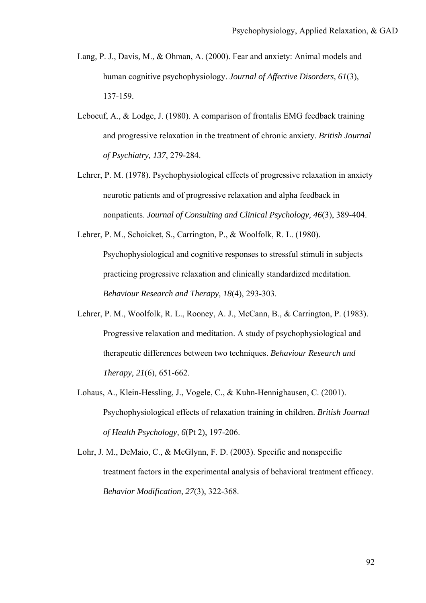- Lang, P. J., Davis, M., & Ohman, A. (2000). Fear and anxiety: Animal models and human cognitive psychophysiology. *Journal of Affective Disorders, 61*(3), 137-159.
- Leboeuf, A., & Lodge, J. (1980). A comparison of frontalis EMG feedback training and progressive relaxation in the treatment of chronic anxiety. *British Journal of Psychiatry, 137*, 279-284.
- Lehrer, P. M. (1978). Psychophysiological effects of progressive relaxation in anxiety neurotic patients and of progressive relaxation and alpha feedback in nonpatients. *Journal of Consulting and Clinical Psychology, 46*(3), 389-404.
- Lehrer, P. M., Schoicket, S., Carrington, P., & Woolfolk, R. L. (1980). Psychophysiological and cognitive responses to stressful stimuli in subjects practicing progressive relaxation and clinically standardized meditation. *Behaviour Research and Therapy, 18*(4), 293-303.
- Lehrer, P. M., Woolfolk, R. L., Rooney, A. J., McCann, B., & Carrington, P. (1983). Progressive relaxation and meditation. A study of psychophysiological and therapeutic differences between two techniques. *Behaviour Research and Therapy, 21*(6), 651-662.
- Lohaus, A., Klein-Hessling, J., Vogele, C., & Kuhn-Hennighausen, C. (2001). Psychophysiological effects of relaxation training in children. *British Journal of Health Psychology, 6*(Pt 2), 197-206.
- Lohr, J. M., DeMaio, C., & McGlynn, F. D. (2003). Specific and nonspecific treatment factors in the experimental analysis of behavioral treatment efficacy. *Behavior Modification, 27*(3), 322-368.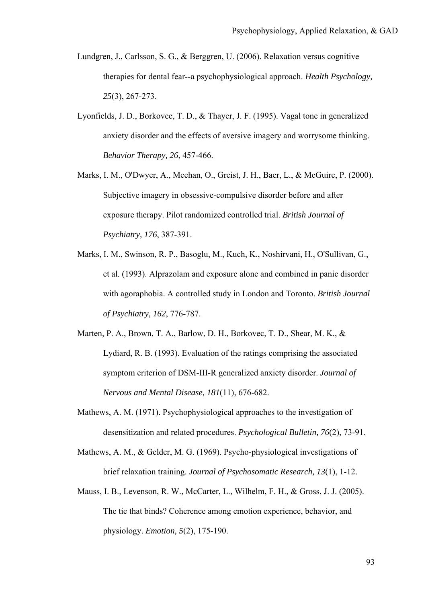- Lundgren, J., Carlsson, S. G., & Berggren, U. (2006). Relaxation versus cognitive therapies for dental fear--a psychophysiological approach. *Health Psychology, 25*(3), 267-273.
- Lyonfields, J. D., Borkovec, T. D., & Thayer, J. F. (1995). Vagal tone in generalized anxiety disorder and the effects of aversive imagery and worrysome thinking. *Behavior Therapy, 26*, 457-466.
- Marks, I. M., O'Dwyer, A., Meehan, O., Greist, J. H., Baer, L., & McGuire, P. (2000). Subjective imagery in obsessive-compulsive disorder before and after exposure therapy. Pilot randomized controlled trial. *British Journal of Psychiatry, 176*, 387-391.
- Marks, I. M., Swinson, R. P., Basoglu, M., Kuch, K., Noshirvani, H., O'Sullivan, G., et al. (1993). Alprazolam and exposure alone and combined in panic disorder with agoraphobia. A controlled study in London and Toronto. *British Journal of Psychiatry, 162*, 776-787.
- Marten, P. A., Brown, T. A., Barlow, D. H., Borkovec, T. D., Shear, M. K., & Lydiard, R. B. (1993). Evaluation of the ratings comprising the associated symptom criterion of DSM-III-R generalized anxiety disorder. *Journal of Nervous and Mental Disease, 181*(11), 676-682.
- Mathews, A. M. (1971). Psychophysiological approaches to the investigation of desensitization and related procedures. *Psychological Bulletin, 76*(2), 73-91.
- Mathews, A. M., & Gelder, M. G. (1969). Psycho-physiological investigations of brief relaxation training. *Journal of Psychosomatic Research, 13*(1), 1-12.
- Mauss, I. B., Levenson, R. W., McCarter, L., Wilhelm, F. H., & Gross, J. J. (2005). The tie that binds? Coherence among emotion experience, behavior, and physiology. *Emotion, 5*(2), 175-190.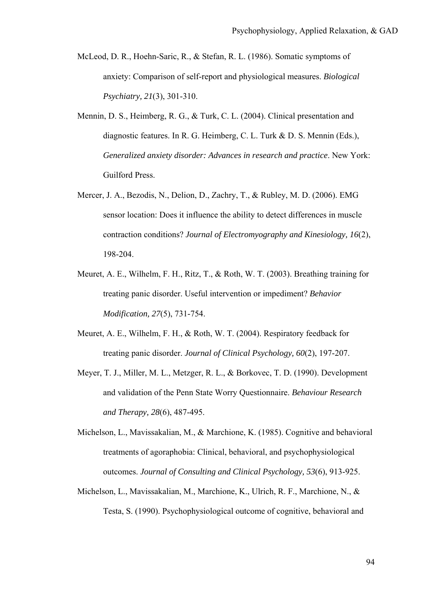- McLeod, D. R., Hoehn-Saric, R., & Stefan, R. L. (1986). Somatic symptoms of anxiety: Comparison of self-report and physiological measures. *Biological Psychiatry, 21*(3), 301-310.
- Mennin, D. S., Heimberg, R. G., & Turk, C. L. (2004). Clinical presentation and diagnostic features. In R. G. Heimberg, C. L. Turk & D. S. Mennin (Eds.), *Generalized anxiety disorder: Advances in research and practice*. New York: Guilford Press.
- Mercer, J. A., Bezodis, N., Delion, D., Zachry, T., & Rubley, M. D. (2006). EMG sensor location: Does it influence the ability to detect differences in muscle contraction conditions? *Journal of Electromyography and Kinesiology, 16*(2), 198-204.
- Meuret, A. E., Wilhelm, F. H., Ritz, T., & Roth, W. T. (2003). Breathing training for treating panic disorder. Useful intervention or impediment? *Behavior Modification, 27*(5), 731-754.
- Meuret, A. E., Wilhelm, F. H., & Roth, W. T. (2004). Respiratory feedback for treating panic disorder. *Journal of Clinical Psychology, 60*(2), 197-207.
- Meyer, T. J., Miller, M. L., Metzger, R. L., & Borkovec, T. D. (1990). Development and validation of the Penn State Worry Questionnaire. *Behaviour Research and Therapy, 28*(6), 487-495.
- Michelson, L., Mavissakalian, M., & Marchione, K. (1985). Cognitive and behavioral treatments of agoraphobia: Clinical, behavioral, and psychophysiological outcomes. *Journal of Consulting and Clinical Psychology, 53*(6), 913-925.
- Michelson, L., Mavissakalian, M., Marchione, K., Ulrich, R. F., Marchione, N., & Testa, S. (1990). Psychophysiological outcome of cognitive, behavioral and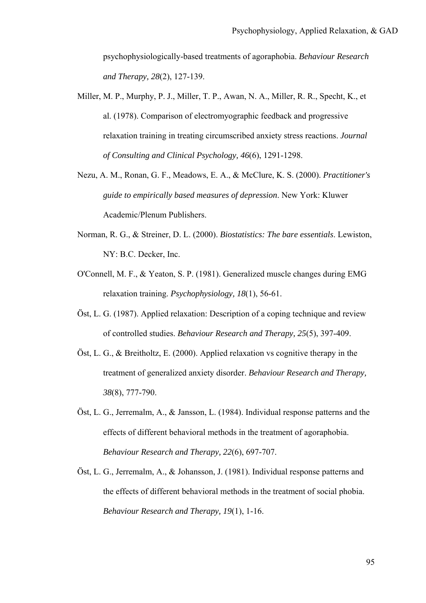psychophysiologically-based treatments of agoraphobia. *Behaviour Research and Therapy, 28*(2), 127-139.

- Miller, M. P., Murphy, P. J., Miller, T. P., Awan, N. A., Miller, R. R., Specht, K., et al. (1978). Comparison of electromyographic feedback and progressive relaxation training in treating circumscribed anxiety stress reactions. *Journal of Consulting and Clinical Psychology, 46*(6), 1291-1298.
- Nezu, A. M., Ronan, G. F., Meadows, E. A., & McClure, K. S. (2000). *Practitioner's guide to empirically based measures of depression*. New York: Kluwer Academic/Plenum Publishers.
- Norman, R. G., & Streiner, D. L. (2000). *Biostatistics: The bare essentials*. Lewiston, NY: B.C. Decker, Inc.
- O'Connell, M. F., & Yeaton, S. P. (1981). Generalized muscle changes during EMG relaxation training. *Psychophysiology, 18*(1), 56-61.
- Öst, L. G. (1987). Applied relaxation: Description of a coping technique and review of controlled studies. *Behaviour Research and Therapy, 25*(5), 397-409.
- Öst, L. G., & Breitholtz, E. (2000). Applied relaxation vs cognitive therapy in the treatment of generalized anxiety disorder. *Behaviour Research and Therapy, 38*(8), 777-790.
- Öst, L. G., Jerremalm, A., & Jansson, L. (1984). Individual response patterns and the effects of different behavioral methods in the treatment of agoraphobia. *Behaviour Research and Therapy, 22*(6), 697-707.
- Öst, L. G., Jerremalm, A., & Johansson, J. (1981). Individual response patterns and the effects of different behavioral methods in the treatment of social phobia. *Behaviour Research and Therapy, 19*(1), 1-16.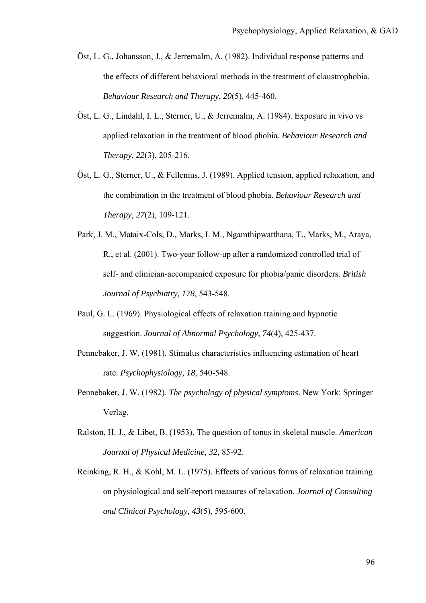- Öst, L. G., Johansson, J., & Jerremalm, A. (1982). Individual response patterns and the effects of different behavioral methods in the treatment of claustrophobia. *Behaviour Research and Therapy, 20*(5), 445-460.
- Öst, L. G., Lindahl, I. L., Sterner, U., & Jerremalm, A. (1984). Exposure in vivo vs applied relaxation in the treatment of blood phobia. *Behaviour Research and Therapy, 22*(3), 205-216.
- Öst, L. G., Sterner, U., & Fellenius, J. (1989). Applied tension, applied relaxation, and the combination in the treatment of blood phobia. *Behaviour Research and Therapy, 27*(2), 109-121.
- Park, J. M., Mataix-Cols, D., Marks, I. M., Ngamthipwatthana, T., Marks, M., Araya, R., et al. (2001). Two-year follow-up after a randomized controlled trial of self- and clinician-accompanied exposure for phobia/panic disorders. *British Journal of Psychiatry, 178*, 543-548.
- Paul, G. L. (1969). Physiological effects of relaxation training and hypnotic suggestion. *Journal of Abnormal Psychology, 74*(4), 425-437.
- Pennebaker, J. W. (1981). Stimulus characteristics influencing estimation of heart rate. *Psychophysiology, 18*, 540-548.
- Pennebaker, J. W. (1982). *The psychology of physical symptoms*. New York: Springer Verlag.
- Ralston, H. J., & Libet, B. (1953). The question of tonus in skeletal muscle. *American Journal of Physical Medicine, 32*, 85-92.
- Reinking, R. H., & Kohl, M. L. (1975). Effects of various forms of relaxation training on physiological and self-report measures of relaxation. *Journal of Consulting and Clinical Psychology, 43*(5), 595-600.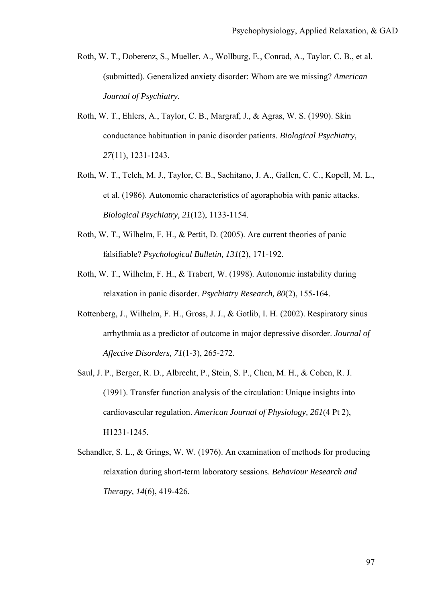- Roth, W. T., Doberenz, S., Mueller, A., Wollburg, E., Conrad, A., Taylor, C. B., et al. (submitted). Generalized anxiety disorder: Whom are we missing? *American Journal of Psychiatry*.
- Roth, W. T., Ehlers, A., Taylor, C. B., Margraf, J., & Agras, W. S. (1990). Skin conductance habituation in panic disorder patients. *Biological Psychiatry, 27*(11), 1231-1243.
- Roth, W. T., Telch, M. J., Taylor, C. B., Sachitano, J. A., Gallen, C. C., Kopell, M. L., et al. (1986). Autonomic characteristics of agoraphobia with panic attacks. *Biological Psychiatry, 21*(12), 1133-1154.
- Roth, W. T., Wilhelm, F. H., & Pettit, D. (2005). Are current theories of panic falsifiable? *Psychological Bulletin, 131*(2), 171-192.
- Roth, W. T., Wilhelm, F. H., & Trabert, W. (1998). Autonomic instability during relaxation in panic disorder. *Psychiatry Research, 80*(2), 155-164.
- Rottenberg, J., Wilhelm, F. H., Gross, J. J., & Gotlib, I. H. (2002). Respiratory sinus arrhythmia as a predictor of outcome in major depressive disorder. *Journal of Affective Disorders, 71*(1-3), 265-272.
- Saul, J. P., Berger, R. D., Albrecht, P., Stein, S. P., Chen, M. H., & Cohen, R. J. (1991). Transfer function analysis of the circulation: Unique insights into cardiovascular regulation. *American Journal of Physiology, 261*(4 Pt 2), H1231-1245.
- Schandler, S. L., & Grings, W. W. (1976). An examination of methods for producing relaxation during short-term laboratory sessions. *Behaviour Research and Therapy, 14*(6), 419-426.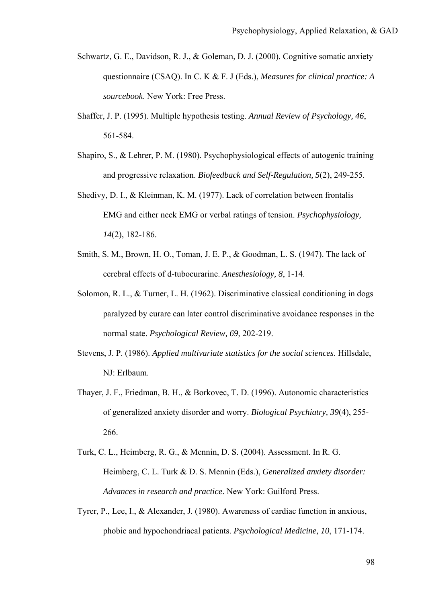- Schwartz, G. E., Davidson, R. J., & Goleman, D. J. (2000). Cognitive somatic anxiety questionnaire (CSAQ). In C. K & F. J (Eds.), *Measures for clinical practice: A sourcebook*. New York: Free Press.
- Shaffer, J. P. (1995). Multiple hypothesis testing. *Annual Review of Psychology, 46*, 561-584.
- Shapiro, S., & Lehrer, P. M. (1980). Psychophysiological effects of autogenic training and progressive relaxation. *Biofeedback and Self-Regulation, 5*(2), 249-255.
- Shedivy, D. I., & Kleinman, K. M. (1977). Lack of correlation between frontalis EMG and either neck EMG or verbal ratings of tension. *Psychophysiology, 14*(2), 182-186.
- Smith, S. M., Brown, H. O., Toman, J. E. P., & Goodman, L. S. (1947). The lack of cerebral effects of d-tubocurarine. *Anesthesiology, 8*, 1-14.
- Solomon, R. L., & Turner, L. H. (1962). Discriminative classical conditioning in dogs paralyzed by curare can later control discriminative avoidance responses in the normal state. *Psychological Review, 69*, 202-219.
- Stevens, J. P. (1986). *Applied multivariate statistics for the social sciences*. Hillsdale, NJ: Erlbaum.
- Thayer, J. F., Friedman, B. H., & Borkovec, T. D. (1996). Autonomic characteristics of generalized anxiety disorder and worry. *Biological Psychiatry, 39*(4), 255- 266.
- Turk, C. L., Heimberg, R. G., & Mennin, D. S. (2004). Assessment. In R. G. Heimberg, C. L. Turk & D. S. Mennin (Eds.), *Generalized anxiety disorder: Advances in research and practice*. New York: Guilford Press.
- Tyrer, P., Lee, I., & Alexander, J. (1980). Awareness of cardiac function in anxious, phobic and hypochondriacal patients. *Psychological Medicine, 10*, 171-174.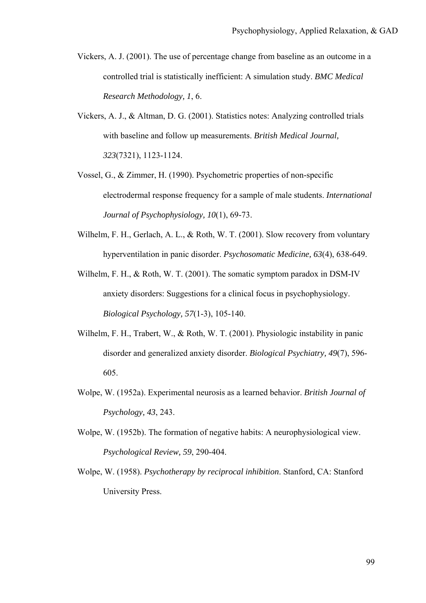- Vickers, A. J. (2001). The use of percentage change from baseline as an outcome in a controlled trial is statistically inefficient: A simulation study. *BMC Medical Research Methodology, 1*, 6.
- Vickers, A. J., & Altman, D. G. (2001). Statistics notes: Analyzing controlled trials with baseline and follow up measurements. *British Medical Journal, 323*(7321), 1123-1124.
- Vossel, G., & Zimmer, H. (1990). Psychometric properties of non-specific electrodermal response frequency for a sample of male students. *International Journal of Psychophysiology, 10*(1), 69-73.
- Wilhelm, F. H., Gerlach, A. L., & Roth, W. T. (2001). Slow recovery from voluntary hyperventilation in panic disorder. *Psychosomatic Medicine, 63*(4), 638-649.
- Wilhelm, F. H., & Roth, W. T. (2001). The somatic symptom paradox in DSM-IV anxiety disorders: Suggestions for a clinical focus in psychophysiology. *Biological Psychology, 57*(1-3), 105-140.
- Wilhelm, F. H., Trabert, W., & Roth, W. T. (2001). Physiologic instability in panic disorder and generalized anxiety disorder. *Biological Psychiatry, 49*(7), 596- 605.
- Wolpe, W. (1952a). Experimental neurosis as a learned behavior. *British Journal of Psychology, 43*, 243.
- Wolpe, W. (1952b). The formation of negative habits: A neurophysiological view. *Psychological Review, 59*, 290-404.
- Wolpe, W. (1958). *Psychotherapy by reciprocal inhibition*. Stanford, CA: Stanford University Press.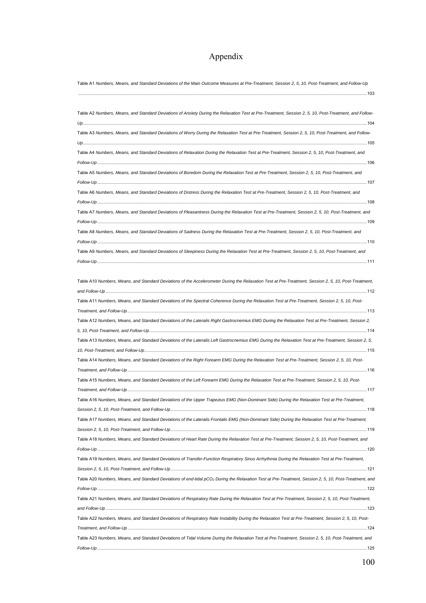## Appendix

| Table A1 Numbers, Means, and Standard Deviations of the Main Outcome Measures at Pre-Treatment, Session 2, 5, 10, Post-Treatment, and Follow-Up                    |
|--------------------------------------------------------------------------------------------------------------------------------------------------------------------|
|                                                                                                                                                                    |
| Table A2 Numbers, Means, and Standard Deviations of Anxiety During the Relaxation Test at Pre-Treatment, Session 2, 5, 10, Post-Treatment, and Follow-             |
| Table A3 Numbers, Means, and Standard Deviations of Worry During the Relaxation Test at Pre-Treatment, Session 2, 5, 10, Post-Treatment, and Follow-               |
| Table A4 Numbers, Means, and Standard Deviations of Relaxation During the Relaxation Test at Pre-Treatment, Session 2, 5, 10, Post-Treatment, and                  |
| Table A5 Numbers, Means, and Standard Deviations of Boredom During the Relaxation Test at Pre-Treatment, Session 2, 5, 10, Post-Treatment, and                     |
| Table A6 Numbers, Means, and Standard Deviations of Distress During the Relaxation Test at Pre-Treatment, Session 2, 5, 10, Post-Treatment, and                    |
| Table A7 Numbers, Means, and Standard Deviations of Pleasantness During the Relaxation Test at Pre-Treatment, Session 2, 5, 10, Post-Treatment, and                |
| Table A8 Numbers, Means, and Standard Deviations of Sadness During the Relaxation Test at Pre-Treatment, Session 2, 5, 10, Post-Treatment, and                     |
|                                                                                                                                                                    |
| Table A9 Numbers, Means, and Standard Deviations of Sleepiness During the Relaxation Test at Pre-Treatment, Session 2, 5, 10, Post-Treatment, and                  |
| Table A10 Numbers, Means, and Standard Deviations of the Accelerometer During the Relaxation Test at Pre-Treatment, Session 2, 5, 10, Post-Treatment,              |
|                                                                                                                                                                    |
| Table A11 Numbers, Means, and Standard Deviations of the Spectral Coherence During the Relaxation Test at Pre-Treatment, Session 2, 5, 10, Post-                   |
|                                                                                                                                                                    |
| Table A12 Numbers, Means, and Standard Deviations of the Lateralis Right Gastrocnemius EMG During the Relaxation Test at Pre-Treatment, Session 2,                 |
|                                                                                                                                                                    |
| Table A13 Numbers, Means, and Standard Deviations of the Lateralis Left Gastrocnemius EMG During the Relaxation Test at Pre-Treatment, Session 2, 5,               |
| Table A14 Numbers, Means, and Standard Deviations of the Right Forearm EMG During the Relaxation Test at Pre-Treatment, Session 2, 5, 10, Post-                    |
|                                                                                                                                                                    |
| Table A15 Numbers, Means, and Standard Deviations of the Left Forearm EMG During the Relaxation Test at Pre-Treatment, Session 2, 5, 10, Post-                     |
|                                                                                                                                                                    |
| Table A16 Numbers, Means, and Standard Deviations of the Upper Trapezius EMG (Non-Dominant Side) During the Relaxation Test at Pre-Treatment,                      |
|                                                                                                                                                                    |
| Table A17 Numbers, Means, and Standard Deviations of the Lateralis Frontalis EMG (Non-Dominant Side) During the Relaxation Test at Pre-Treatment,                  |
|                                                                                                                                                                    |
| Table A18 Numbers, Means, and Standard Deviations of Heart Rate During the Relaxation Test at Pre-Treatment, Session 2, 5, 10, Post-Treatment, and                 |
|                                                                                                                                                                    |
| Table A19 Numbers, Means, and Standard Deviations of Transfer-Function Respiratory Sinus Arrhythmia During the Relaxation Test at Pre-Treatment,                   |
|                                                                                                                                                                    |
| Table A20 Numbers, Means, and Standard Deviations of end-tidal pCO <sub>2</sub> During the Relaxation Test at Pre-Treatment, Session 2, 5, 10, Post-Treatment, and |
|                                                                                                                                                                    |
| Table A21 Numbers, Means, and Standard Deviations of Respiratory Rate During the Relaxation Test at Pre-Treatment, Session 2, 5, 10, Post-Treatment,               |
|                                                                                                                                                                    |
| Table A22 Numbers, Means, and Standard Deviations of Respiratory Rate Instability During the Relaxation Test at Pre-Treatment, Session 2, 5, 10, Post-             |
| Table A23 Numbers, Means, and Standard Deviations of Tidal Volume During the Relaxation Test at Pre-Treatment, Session 2, 5, 10, Post-Treatment, and               |
|                                                                                                                                                                    |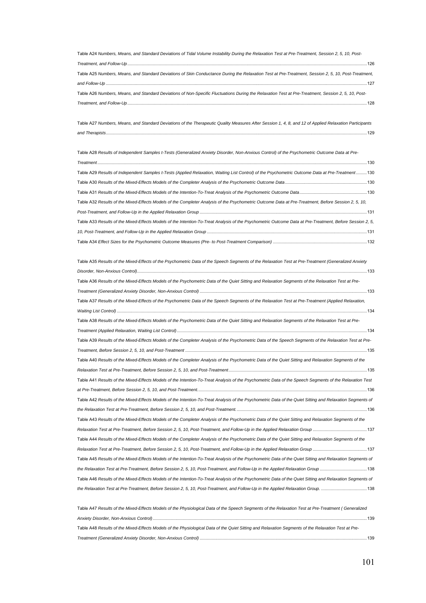| Table A24 Numbers, Means, and Standard Deviations of Tidal Volume Instability During the Relaxation Test at Pre-Treatment, Session 2, 5, 10, Post-                                                                                                                                                                                                        |
|-----------------------------------------------------------------------------------------------------------------------------------------------------------------------------------------------------------------------------------------------------------------------------------------------------------------------------------------------------------|
| $\textit{Treatment, and Follow Up\hspace{1.5em} \hspace{1.5em} \hspace{1.5em} \hspace{1.5em} \hspace{1.5em} \hspace{1.5em} \hspace{1.5em} \hspace{1.5em} \hspace{1.5em} \hspace{1.5em} \hspace{1.5em} \hspace{1.5em} \hspace{1.5em} \hspace{1.5em} \hspace{1.5em} \hspace{1.5em} \hspace{1.5em} \hspace{1.5em} \hspace{1.5em} \hspace{1.5em} \hspace{1.5$ |
| Table A25 Numbers, Means, and Standard Deviations of Skin Conductance During the Relaxation Test at Pre-Treatment, Session 2, 5, 10, Post-Treatment,                                                                                                                                                                                                      |
|                                                                                                                                                                                                                                                                                                                                                           |
| Table A26 Numbers, Means, and Standard Deviations of Non-Specific Fluctuations During the Relaxation Test at Pre-Treatment, Session 2, 5, 10, Post-                                                                                                                                                                                                       |
|                                                                                                                                                                                                                                                                                                                                                           |

Table A27 *Numbers, Means, and Standard Deviations of the Therapeutic Quality Measures After Session 1, 4, 8, and 12 of Applied Relaxation Participants and Therapists*.........................................................................................................................................................................................................................129

| Table A28 Results of Independent Samples t-Tests (Generalized Anxiety Disorder, Non-Anxious Control) of the Psychometric Outcome Data at Pre-             |
|-----------------------------------------------------------------------------------------------------------------------------------------------------------|
| Treatment                                                                                                                                                 |
| Table A29 Results of Independent Samples t-Tests (Applied Relaxation, Waiting List Control) of the Psychometric Outcome Data at Pre-Treatment130          |
|                                                                                                                                                           |
|                                                                                                                                                           |
| Table A32 Results of the Mixed-Effects Models of the Completer Analysis of the Psychometric Outcome Data at Pre-Treatment, Before Session 2, 5, 10,       |
|                                                                                                                                                           |
| Table A33 Results of the Mixed-Effects Models of the Intention-To-Treat Analysis of the Psychometric Outcome Data at Pre-Treatment, Before Session 2, 5,  |
|                                                                                                                                                           |
|                                                                                                                                                           |
| Table A35 Results of the Mixed-Effects of the Psychometric Data of the Speech Segments of the Relaxation Test at Pre-Treatment (Generalized Anxiety       |
|                                                                                                                                                           |
| Table A36 Results of the Mixed-Effects Models of the Psychometric Data of the Quiet Sitting and Relaxation Segments of the Relaxation Test at Pre-        |
|                                                                                                                                                           |
| Table A37 Results of the Mixed-Effects of the Psychometric Data of the Speech Segments of the Relaxation Test at Pre-Treatment (Applied Relaxation,       |
|                                                                                                                                                           |
| Table A38 Results of the Mixed-Effects Models of the Psychometric Data of the Quiet Sitting and Relaxation Segments of the Relaxation Test at Pre-        |
|                                                                                                                                                           |
| Table A39 Results of the Mixed-Effects Models of the Completer Analysis of the Psychometric Data of the Speech Segments of the Relaxation Test at Pre-    |
|                                                                                                                                                           |
| Table A40 Results of the Mixed-Effects Models of the Completer Analysis of the Psychometric Data of the Quiet Sitting and Relaxation Segments of the      |
|                                                                                                                                                           |
| Table A41 Results of the Mixed-Effects Models of the Intention-To-Treat Analysis of the Psychometric Data of the Speech Segments of the Relaxation Test   |
|                                                                                                                                                           |
| Table A42 Results of the Mixed-Effects Models of the Intention-To-Treat Analysis of the Psychometric Data of the Quiet Sitting and Relaxation Segments of |
|                                                                                                                                                           |
| Table A43 Results of the Mixed-Effects Models of the Completer Analysis of the Psychometric Data of the Quiet Sitting and Relaxation Segments of the      |
|                                                                                                                                                           |
| Table A44 Results of the Mixed-Effects Models of the Completer Analysis of the Psychometric Data of the Quiet Sitting and Relaxation Segments of the      |
|                                                                                                                                                           |
| Table A45 Results of the Mixed-Effects Models of the Intention-To-Treat Analysis of the Psychometric Data of the Quiet Sitting and Relaxation Segments of |
|                                                                                                                                                           |
| Table A46 Results of the Mixed-Effects Models of the Intention-To-Treat Analysis of the Psychometric Data of the Quiet Sitting and Relaxation Segments of |
|                                                                                                                                                           |
| Table A47 Results of the Mixed-Effects Models of the Physiological Data of the<br>of the Relaxation Test at Pre-Treatment (Generalized                    |

| Table At I Results of the Mixed-Lifects Models of the Frivsloidgical Data of the Speech Segments of the Relaxation Test at Fie-Treatment   Seneralized |  |
|--------------------------------------------------------------------------------------------------------------------------------------------------------|--|
|                                                                                                                                                        |  |
| Table A48 Results of the Mixed-Effects Models of the Physiological Data of the Quiet Sitting and Relaxation Segments of the Relaxation Test at Pre-    |  |
|                                                                                                                                                        |  |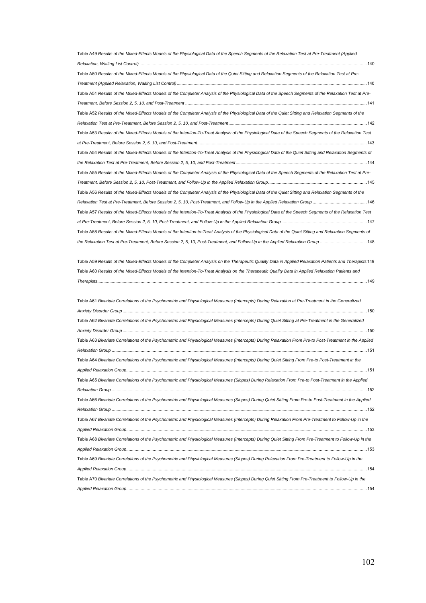| Table A49 Results of the Mixed-Effects Models of the Physiological Data of the Speech Segments of the Relaxation Test at Pre-Treatment (Applied                                                                                                                                                                  |      |
|------------------------------------------------------------------------------------------------------------------------------------------------------------------------------------------------------------------------------------------------------------------------------------------------------------------|------|
|                                                                                                                                                                                                                                                                                                                  |      |
| Table A50 Results of the Mixed-Effects Models of the Physiological Data of the Quiet Sitting and Relaxation Segments of the Relaxation Test at Pre-                                                                                                                                                              |      |
|                                                                                                                                                                                                                                                                                                                  |      |
| Table A51 Results of the Mixed-Effects Models of the Completer Analysis of the Physiological Data of the Speech Segments of the Relaxation Test at Pre-                                                                                                                                                          |      |
|                                                                                                                                                                                                                                                                                                                  |      |
| Table A52 Results of the Mixed-Effects Models of the Completer Analysis of the Physiological Data of the Quiet Sitting and Relaxation Segments of the                                                                                                                                                            |      |
|                                                                                                                                                                                                                                                                                                                  |      |
| Table A53 Results of the Mixed-Effects Models of the Intention-To-Treat Analysis of the Physiological Data of the Speech Segments of the Relaxation Test                                                                                                                                                         |      |
|                                                                                                                                                                                                                                                                                                                  |      |
| Table A54 Results of the Mixed-Effects Models of the Intention-To-Treat Analysis of the Physiological Data of the Quiet Sitting and Relaxation Segments of                                                                                                                                                       |      |
|                                                                                                                                                                                                                                                                                                                  |      |
| Table A55 Results of the Mixed-Effects Models of the Completer Analysis of the Physiological Data of the Speech Segments of the Relaxation Test at Pre-                                                                                                                                                          |      |
|                                                                                                                                                                                                                                                                                                                  |      |
| Table A56 Results of the Mixed-Effects Models of the Completer Analysis of the Physiological Data of the Quiet Sitting and Relaxation Segments of the                                                                                                                                                            |      |
|                                                                                                                                                                                                                                                                                                                  |      |
| Table A57 Results of the Mixed-Effects Models of the Intention-To-Treat Analysis of the Physiological Data of the Speech Segments of the Relaxation Test                                                                                                                                                         |      |
|                                                                                                                                                                                                                                                                                                                  |      |
| Table A58 Results of the Mixed-Effects Models of the Intention-to-Treat Analysis of the Physiological Data of the Quiet Sitting and Relaxation Segments of                                                                                                                                                       |      |
|                                                                                                                                                                                                                                                                                                                  |      |
| Table A59 Results of the Mixed-Effects Models of the Completer Analysis on the Therapeutic Quality Data in Applied Relaxation Patients and Therapists 149<br>Table A60 Results of the Mixed-Effects Models of the Intention-To-Treat Analysis on the Therapeutic Quality Data in Applied Relaxation Patients and |      |
|                                                                                                                                                                                                                                                                                                                  |      |
| Table A61 Bivariate Correlations of the Psychometric and Physiological Measures (Intercepts) During Relaxation at Pre-Treatment in the Generalized                                                                                                                                                               |      |
|                                                                                                                                                                                                                                                                                                                  |      |
| Table A62 Bivariate Correlations of the Psychometric and Physiological Measures (Intercepts) During Quiet Sitting at Pre-Treatment in the Generalized                                                                                                                                                            |      |
|                                                                                                                                                                                                                                                                                                                  |      |
| Table A63 Bivariate Correlations of the Psychometric and Physiological Measures (Intercepts) During Relaxation From Pre-to Post-Treatment in the Applied                                                                                                                                                         |      |
|                                                                                                                                                                                                                                                                                                                  |      |
| Table A64 Bivariate Correlations of the Psychometric and Physiological Measures (Intercepts) During Quiet Sitting From Pre-to Post-Treatment in the                                                                                                                                                              |      |
| Applied Relaxation Group                                                                                                                                                                                                                                                                                         | .151 |
| Table A65 Bivariate Correlations of the Psychometric and Physiological Measures (Slopes) During Relaxation From Pre-to Post-Treatment in the Applied                                                                                                                                                             |      |
|                                                                                                                                                                                                                                                                                                                  |      |
| Table A66 Bivariate Correlations of the Psychometric and Physiological Measures (Slopes) During Quiet Sitting From Pre-to Post-Treatment in the Applied                                                                                                                                                          |      |
|                                                                                                                                                                                                                                                                                                                  |      |
| Table A67 Bivariate Correlations of the Psychometric and Physiological Measures (Intercepts) During Relaxation From Pre-Treatment to Follow-Up in the                                                                                                                                                            |      |
|                                                                                                                                                                                                                                                                                                                  |      |
| Table A68 Bivariate Correlations of the Psychometric and Physiological Measures (Intercepts) During Quiet Sitting From Pre-Treatment to Follow-Up in the                                                                                                                                                         |      |
|                                                                                                                                                                                                                                                                                                                  |      |
| Table A69 Bivariate Correlations of the Psychometric and Physiological Measures (Slopes) During Relaxation From Pre-Treatment to Follow-Up in the                                                                                                                                                                |      |
|                                                                                                                                                                                                                                                                                                                  |      |
| Table A70 Bivariate Correlations of the Psychometric and Physiological Measures (Slopes) During Quiet Sitting From Pre-Treatment to Follow-Up in the                                                                                                                                                             |      |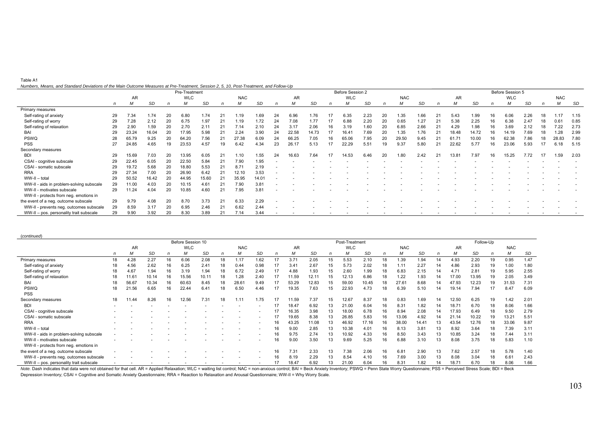| Table A1                                                                                                                               |  |
|----------------------------------------------------------------------------------------------------------------------------------------|--|
| Numbers, Means, and Standard Deviations of the Main Outcome Measures at Pre-Treatment, Session 2, 5, 10, Post-Treatment, and Follow-Up |  |

|                                          |    |       |       |    | Pre-Treatment |       |    |            |       |    |       |       |    | Before Session 2 |      |    |            |      |    |       |       |    | Before Session 5 |      |    |            |      |
|------------------------------------------|----|-------|-------|----|---------------|-------|----|------------|-------|----|-------|-------|----|------------------|------|----|------------|------|----|-------|-------|----|------------------|------|----|------------|------|
|                                          |    | AR    |       |    | <b>WLC</b>    |       |    | <b>NAC</b> |       |    | AR    |       |    | <b>WLC</b>       |      |    | <b>NAC</b> |      |    | AR    |       |    | <b>WLC</b>       |      |    | <b>NAC</b> |      |
|                                          | n  | м     | SD    |    |               | SD    |    |            | SD    |    | M     | SD    |    |                  | SD   |    | М          | SD   |    |       | SD    |    | м                | SD   |    | M          | SD   |
| Primary measures                         |    |       |       |    |               |       |    |            |       |    |       |       |    |                  |      |    |            |      |    |       |       |    |                  |      |    |            |      |
| Self-rating of anxiety                   | 29 | 7.34  | 1.74  | 20 | 6.80          | 1.74  |    | 1.19       | 1.69  | 24 | 6.96  | 1.76  |    | 6.35             | 2.23 | 20 | 1.35       | 1.66 |    | 5.43  | 1.99  |    | 6.06             | 2.26 | 18 | 1.17       | 1.15 |
| Self-rating of worry                     | 29 | 7.28  | 2.12  | 20 | 6.75          | 1.97  |    | .19        | 1.72  | 24 | 7.08  | 1.77  |    | 6.88             | 2.20 | 20 | 0.65       | 1.27 |    | 5.38  | 2.25  |    | 6.38             | 2.47 | 18 | 0.61       | 0.85 |
| Self-rating of relaxation                | 29 | 2.90  | 1.59  | 20 | 2.70          | 2.11  |    | 7.14       | 2.10  | 24 | 3.17  | 2.06  | 16 | 3.19             | 1.60 | 20 | 6.85       | 2.66 | 21 | 4.29  | 1.98  |    | 3.69             | 2.12 | 18 | 7.22       | 2.73 |
| BAI                                      | 29 | 23.24 | 16.04 | 20 | 17.95         | 5.98  | 21 | 2.24       | 3.90  | 24 | 22.58 | 14.73 | 17 | 16.41            | 7.69 | 20 | 1.35       | 1.76 | 21 | 18.48 | 14.72 |    | 14.19            | 7.69 | 18 | 1.28       | 2.99 |
| PSWQ                                     | 28 | 65.79 | 9.25  | 20 | 64.20         | 7.56  | 21 | 27.38      | 6.09  | 24 | 66.25 | 7.05  | 16 | 65.06            | 7.95 | 20 | 29.50      | 9.45 |    | 61.71 | 10.00 |    | 62.38            | 7.86 | 18 | 28.83      | 7.80 |
| <b>PSS</b>                               | 27 | 24.85 | 4.65  | 19 | 23.53         | 4.57  | 19 | 6.42       | 4.34  | 23 | 26.17 | 5.13  | 17 | 22.29            | 5.51 |    | 9.37       | 5.80 |    | 22.62 | 5.77  |    | 23.06            | 5.93 | 17 | 6.18       | 5.15 |
| Secondary measures                       |    |       |       |    |               |       |    |            |       |    |       |       |    |                  |      |    |            |      |    |       |       |    |                  |      |    |            |      |
| <b>BDI</b>                               | 29 | 15.69 | 7.03  | 20 | 13.95         | 6.05  |    | .10        | 1.55  | 24 | 16.63 | 7.64  | 17 | 14.53            | 6.46 | 20 | 1.80       | 2.42 | 21 | 13.81 | 7.97  | 16 | 15.25            | 7.72 | 17 | 1.59       | 2.03 |
| CSAI - cognitive subscale                | 29 | 22.45 | 6.05  | 20 | 22.50         | 5.84  |    | 7.90       | 1.95  |    |       |       |    |                  |      |    |            |      |    |       |       |    |                  |      |    |            |      |
| CSAI - somatic subscale                  | 29 | 19.72 | 5.68  | 20 | 18.80         | 5.53  |    | 8.71       | 2.19  |    |       |       |    |                  |      |    |            |      |    |       |       |    |                  |      |    |            |      |
| <b>RRA</b>                               | 29 | 27.34 | 7.00  | 20 | 26.90         | 6.42  |    | 12.10      | 3.53  |    |       |       |    |                  |      |    |            |      |    |       |       |    |                  |      |    |            |      |
| WW-II - total                            | 29 | 50.52 | 16.42 | 20 | 44.95         | 15.60 | 21 | 35.95      | 14.01 |    |       |       |    |                  |      |    |            |      |    |       |       |    |                  |      |    |            |      |
| WW-II - aids in problem-solving subscale | 29 | 11.00 | 4.03  | 20 | 10.15         | 4.61  |    | 7.90       | 3.81  |    |       |       |    |                  |      |    |            |      |    |       |       |    |                  |      |    |            |      |
| WW-II - motivates subscale               | 29 | 11.24 | 4.04  | 20 | 10.85         | 4.60  | 21 | 7.95       | 3.81  |    |       |       |    |                  |      |    |            |      |    |       |       |    |                  |      |    |            |      |
| WW-II - protects from neg. emotions in   |    |       |       |    |               |       |    |            |       |    |       |       |    |                  |      |    |            |      |    |       |       |    |                  |      |    |            |      |
| the event of a neg. outcome subscale     | 29 | 9.79  | 4.08  | 20 | 8.70          | 3.73  |    | 6.33       | 2.29  |    |       |       |    |                  |      |    |            |      |    |       |       |    |                  |      |    |            |      |
| WW-II - prevents neg. outcomes subscale  | 29 | 8.59  | 3.17  | 20 | 6.95          | 2.46  | 21 | 6.62       | 2.44  |    |       |       |    |                  |      |    |            |      |    |       |       |    |                  |      |    |            |      |
| WW-II - pos. personality trait subscale  | 29 | 9.90  | 3.92  | 20 | 8.30          | 3.89  | 21 | 7.14       | 3.44  |    |       |       |    |                  |      |    |            |      |    |       |       |    |                  |      |    |            |      |

(*continued*)

|                                          |    |           |       |    | Before Session 10 |       |    |            |      |              |           |       |    | Post-Treatment |           |    |            |           |    |       | Follow-Up |    |            |      |
|------------------------------------------|----|-----------|-------|----|-------------------|-------|----|------------|------|--------------|-----------|-------|----|----------------|-----------|----|------------|-----------|----|-------|-----------|----|------------|------|
|                                          |    | <b>AR</b> |       |    | <b>WLC</b>        |       |    | <b>NAC</b> |      |              | <b>AR</b> |       |    | <b>WLC</b>     |           |    | <b>NAC</b> |           |    | AR    |           |    | <b>NAC</b> |      |
|                                          |    |           | SD    |    |                   | SD    | n  | М          | SD   | $\mathsf{n}$ | м         | SD    | n  | М              | <b>SD</b> | n  | M          | <b>SD</b> | n  | М     | SD        | n  | М          | SD   |
| Primary measures                         | 18 | 4.28      | 2.27  | 16 | 6.06              | 2.08  | 18 | 1.17       | 1.62 | 17           | 3.71      | 2.05  | 15 | 5.53           | 2.10      | 18 | 1.39       | 1.94      | 14 | 4.93  | 2.20      | 19 | 0.95       | 1.47 |
| Self-rating of anxiety                   | 18 | 4.56      | 2.62  | 16 | 6.25              | 2.41  | 18 | 0.44       | 0.98 |              | 3.41      | 2.67  | 15 | 5.73           | 2.02      | 18 | 1.11       | 2.27      | 14 | 4.86  | 2.93      | 19 | 1.00       | 1.80 |
| Self-rating of worry                     | 18 | 4.67      | 1.94  | 16 | 3.19              | 1.94  | 18 | 6.72       | 2.49 |              | 4.88      | 1.93  | 15 | 2.60           | 1.99      |    | 6.83       | 2.15      | 14 | 4.71  | 2.81      | 19 | 5.95       | 2.55 |
| Self-rating of relaxation                | 18 | 11.61     | 10.14 | 16 | 15.56             | 10.11 | 18 | 1.28       | 2.40 | 17           | 11.59     | 12.11 | 15 | 12.13          | 6.86      | 18 | 1.22       | 1.93      |    | 17.00 | 13.95     | 19 | 2.05       | 3.49 |
| BAI                                      | 18 | 56.67     | 10.34 | 16 | 60.63             | 8.45  | 18 | 28.61      | 9.49 |              | 53.29     | 12.83 | 15 | 59.00          | 10.45     | 18 | 27.61      | 8.68      |    | 47.93 | 12.23     | 19 | 31.53      | 7.31 |
| <b>PSWQ</b>                              | 18 | 21.56     | 6.65  | 16 | 22.44             | 6.41  | 18 | 6.50       | 4.46 |              | 19.35     | 7.63  | 15 | 22.93          | 4.73      | 18 | 6.39       | 5.10      | 14 | 19.14 | 7.94      |    | 8.47       | 6.09 |
| <b>PSS</b>                               |    |           |       |    |                   |       |    |            |      |              |           |       |    |                |           |    |            |           |    |       |           |    |            |      |
| Secondary measures                       | 18 | 11.44     | 8.26  | 16 | 12.56             | 7.31  | 18 | 1.11       | 1.75 |              | 11.59     | 7.37  | 15 | 12.67          | 8.37      | 18 | 0.83       | 1.69      | 14 | 12.50 | 6.25      | 19 | 1.42       | 2.01 |
| <b>BDI</b>                               |    |           |       |    |                   |       |    |            |      |              | 18.47     | 6.92  | 13 | 21.00          | 6.04      | 16 | 8.31       | 1.82      | 14 | 18.71 | 6.70      |    | 8.06       | 1.66 |
| CSAI - cognitive subscale                |    |           |       |    |                   |       |    |            |      |              | 16.35     | 3.98  |    | 18.00          | 6.78      | 16 | 8.94       | 2.08      |    | 17.93 | 6.49      |    | 9.50       | 2.79 |
| CSAI - somatic subscale                  |    |           |       |    |                   |       |    |            |      | 17           | 19.65     | 8.38  | 13 | 26.85          | 5.83      | 16 | 13.06      | 4.92      |    | 21.14 | 10.22     | 19 | 13.21      | 5.51 |
| <b>RRA</b>                               |    |           |       |    |                   |       |    |            |      | 16           | 43.25     | 11.08 | 13 | 46.92          | 17.16     |    | 38.00      | 14.41     |    | 43.54 | 12.76     |    | 33.06      | 9.87 |
| WW-II - total                            |    |           |       |    |                   |       |    |            |      | 16           | 9.00      | 2.85  |    | 10.38          | 4.01      | 16 | 8.13       | 3.81      |    | 8.92  | 3.64      | 18 | 7.39       | 3.11 |
| WW-II - aids in problem-solving subscale |    |           |       |    |                   |       |    |            |      | 16           | 9.75      | 2.74  | 13 | 10.92          | 4.33      | 16 | 8.50       | 3.43      | 13 | 10.85 | 3.24      | 18 | 7.44       | 3.11 |
| WW-II - motivates subscale               |    |           |       |    |                   |       |    |            |      | 16           | 9.00      | 3.50  | 13 | 9.69           | 5.25      | 16 | 6.88       | 3.10      | 13 | 8.08  | 3.75      | 18 | 5.83       | 1.10 |
| WW-II - protects from neg. emotions in   |    |           |       |    |                   |       |    |            |      |              |           |       |    |                |           |    |            |           |    |       |           |    |            |      |
| the event of a neg. outcome subscale     |    |           |       |    |                   |       |    |            |      | 16           | 7.31      | 2.33  | 13 | 7.38           | 2.06      | 16 | 6.81       | 2.90      | 13 | 7.62  | 2.57      | 18 | 5.78       | 1.40 |
| WW-II - prevents neg. outcomes subscale  |    |           |       |    |                   |       |    |            |      | 16           | 8.19      | 2.29  | 13 | 8.54           | 4.10      | 16 | 7.69       | 3.00      |    | 8.08  | 3.04      |    | 6.61       | 2.43 |
| WW-II - pos. personality trait subscale  |    |           |       |    |                   |       |    |            |      |              | 18.47     | 6.92  |    | 21.00          | 6.04      | 16 | 8.31       | 1.82      |    | 18.71 | 6.70      | 18 | 8.06       | 1.66 |

Note. Dash indicates that data were not obtained for that cell. AR = Applied Relaxation; WLC = waiting list control; NAC = non-anxious control; BAI = Beck Anxiety Inventory; PSWQ = Penn State Worry Questionnaire; PSS = Per Depression Inventory; CSAI = Cognitive and Somatic Anxiety Questionnaire; RRA = Reaction to Relaxation and Arousal Questionnaire; WW-II = Why Worry Scale.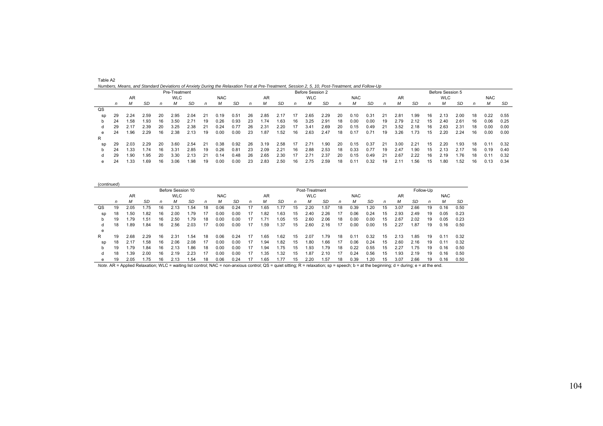|    |    |      |      |    |               |      |    | Numbers, Means, and Standard Deviations of Anxiety During the Relaxation Test at Pre-Treatment, Session 2, 5, 10, Post-Treatment, and Follow-Up |      |    |      |      |    |                  |       |    |               |      |    |      |      |    |                  |      |    |            |      |
|----|----|------|------|----|---------------|------|----|-------------------------------------------------------------------------------------------------------------------------------------------------|------|----|------|------|----|------------------|-------|----|---------------|------|----|------|------|----|------------------|------|----|------------|------|
|    |    |      |      |    | Pre-Treatment |      |    |                                                                                                                                                 |      |    |      |      |    | Before Session 2 |       |    |               |      |    |      |      |    | Before Session 5 |      |    |            |      |
|    |    | AR   |      |    | <b>WLC</b>    |      |    | <b>NAC</b>                                                                                                                                      |      |    | AR   |      |    | <b>WLC</b>       |       |    | <b>NAC</b>    |      |    | AR.  |      |    | <b>WLC</b>       |      |    | <b>NAC</b> |      |
|    | n  | м    | SD   | n  | м             | SD   | n  | М                                                                                                                                               | SD   | n  | М    | SD   | n  | м                | SD    | n  | М             | SD   | n  | м    | SD   |    | м                | SD   | n  | м          | SD   |
| QS |    |      |      |    |               |      |    |                                                                                                                                                 |      |    |      |      |    |                  |       |    |               |      |    |      |      |    |                  |      |    |            |      |
| sp | 29 | 2.24 | 2.59 | 20 | 2.95          | 2.04 |    | 0.19                                                                                                                                            | 0.51 | 26 | 2.85 | 2.17 |    | 2.65             | 2.29  | 20 | 0.10          | 0.31 | 21 | 2.81 | .99  | 16 | 2.13             | 2.00 | 18 | 0.22       | 0.55 |
| b. | 24 | .58  | 1.93 | 16 | 3.50          | 2.71 | 19 | 0.26                                                                                                                                            | 0.93 | 23 | 1.74 | 1.63 | 16 | 3.25             | 2.91  | 18 | 0.00          | 0.00 | 19 | 2.79 | 2.12 | 15 | 2.40             | 2.61 | 16 | 0.06       | 0.25 |
|    | 29 | 2.17 | 2.39 | 20 | 3.25          | 2.38 |    | 0.24                                                                                                                                            | 0.77 | 26 | 2.31 | 2.20 |    | 3.41             | 2.69  | 20 | 0.15          | 0.49 | 21 | 3.52 | 2.18 | 16 | 2.63             | 2.31 | 18 | 0.00       | 0.00 |
| e  | 24 | .96  | 2.29 | 16 | 2.38          | 2.13 | 19 | 0.00                                                                                                                                            | 0.00 | 23 | .87  | 1.52 | 16 | 2.63             | 2.47  | 18 | 0.17          | 0.71 | 19 | 3.26 | .73  | 15 | 2.20             | 2.24 | 16 | 0.00       | 0.00 |
| R  |    |      |      |    |               |      |    |                                                                                                                                                 |      |    |      |      |    |                  |       |    |               |      |    |      |      |    |                  |      |    |            |      |
| sp | 29 | 2.03 | 2.29 | 20 | 3.60          | 2.54 |    | 0.38                                                                                                                                            | 0.92 | 26 | 3.19 | 2.58 |    | $2.7^{\circ}$    | 90. ا | 20 | 0.15          | 0.37 | 21 | 3.00 | 2.21 | 15 | 2.20             | .93  | 18 | 0.11       | 0.32 |
| b  | 24 | .33  | 1.74 | 16 | 3.31          | 2.85 | 19 | 0.26                                                                                                                                            | 0.81 | 23 | 2.09 | 2.21 | 16 | 2.88             | 2.53  | 18 | 0.33          | 0.77 | 19 | 2.47 | .90  | 15 | 2.13             | 2.17 | 16 | 0.19       | 0.40 |
|    | 29 | .90  | 1.95 | 20 | 3.30          | 2.13 |    | 0.14                                                                                                                                            | 0.48 | 26 | 2.65 | 2.30 |    | 2.7'             | 2.37  | 20 | 0.15          | 0.49 | 21 | 2.67 | 2.22 | 16 | 2.19             | .76  | 18 | 0.11       | 0.32 |
| e  | 24 | 1.33 | 1.69 | 16 | 3.06          | 1.98 | 19 | 0.00                                                                                                                                            | 0.00 | 23 | 2.83 | 2.50 | 16 | 2.75             | 2.59  | 18 | $0.1^{\circ}$ | 0.32 | 19 | 2.11 | i.56 | 15 | 1.80             | 1.52 | 16 | 0.13       | 0.34 |

| (continued) |    |      |      |    |                   |      |    |            |      |    |      |      |    |                |      |    |            |      |    |      |      |           |            |      |
|-------------|----|------|------|----|-------------------|------|----|------------|------|----|------|------|----|----------------|------|----|------------|------|----|------|------|-----------|------------|------|
|             |    |      |      |    | Before Session 10 |      |    |            |      |    |      |      |    | Post-Treatment |      |    |            |      |    |      |      | Follow-Up |            |      |
|             |    | AR   |      |    | <b>WLC</b>        |      |    | <b>NAC</b> |      |    | AR   |      |    | <b>WLC</b>     |      |    | <b>NAC</b> |      |    | AR   |      |           | <b>NAC</b> |      |
|             | n  | М    | SD   | n  | м                 | SD   | n  | м          | SD   | n  | М    | SD   | n  | м              | -SD  | n  | М          | SD   | n  |      | SD   | n         | м          | SD   |
| QS          | 19 | 2.05 | .75  | 16 | 2.13              | .54  | 18 | 0.06       | 0.24 | 17 | 1.65 | 1.77 | 15 | 2.20           | 1.57 | 18 | 0.39       | .20  | 15 | 3.07 | 2.66 | 19        | 0.16       | 0.50 |
| sp          | 18 | .50  | .82  | 16 | 2.00              | 1.79 | 17 | 0.00       | 0.00 | 17 | 1.82 | 1.63 | 15 | 2.40           | 2.26 | 17 | 0.06       | 0.24 | 15 | 2.93 | 2.49 | 19        | 0.05       | 0.23 |
| b           | 19 | .79  | 1.51 | 16 | 2.50              | .79  | 18 | 0.00       | 0.00 | 17 | .71  | .05  | 15 | 2.60           | 2.06 | 18 | 0.00       | 0.00 | 15 | 2.67 | 2.02 | 19        | 0.05       | 0.23 |
|             | 18 | .89  | 1.84 | 16 | 2.56              | 2.03 | 17 | 0.00       | 0.00 | 17 | .59  | . 37 | 15 | 2.60           | 2.16 | 17 | 0.00       | 0.00 | 15 | 2.27 | 1.87 | 19        | 0.16       | 0.50 |
| е           |    |      |      |    |                   |      |    |            |      |    |      |      |    |                |      |    |            |      |    |      |      |           |            |      |
| R.          | 19 | 2.68 | 2.29 | 16 | $2.3^{\circ}$     | .54  | 18 | 0.06       | 0.24 | 17 | 1.65 | .62  | 15 | 2.07           | 1.79 | 18 | 0.11       | 0.32 | 15 | 2.13 | .85  | 19        | 0.11       | 0.32 |
| sp          | 18 | 2.17 | 1.58 | 16 | 2.06              | 2.08 | 17 | 0.00       | 0.00 | 17 | 1.94 | .82  | 15 | .80            | 1.66 | 17 | 0.06       | 0.24 | 15 | 2.60 | 2.16 | 19        | 0.11       | 0.32 |
| b           | 19 | .79  | 1.84 | 16 | 2.13              | .86  | 18 | 0.00       | 0.00 | 17 | .94  | 1.75 | 15 | .93            | 1.79 | 18 | 0.22       | 0.55 | 15 | 2.27 | .75  | 19        | 0.16       | 0.50 |
|             | 18 | .39  | 2.00 | 16 | 2.19              | 2.23 | 17 | 0.00       | 0.00 | 17 | . 35 | .32  | 15 | . 87           | 2.10 | 17 | 0.24       | 0.56 | 15 | .93  | 2.19 | 19        | 0.16       | 0.50 |
| е           | 19 | 2.05 | .75  | 16 | 2.13              | 54،، | 18 | 0.06       | 0.24 | 17 | 1.65 | 1.77 | 15 | 2.20           | 1.57 | 18 | 0.39       | 1.20 | 15 | 3.07 | 2.66 | 19        | 0.16       | 0.50 |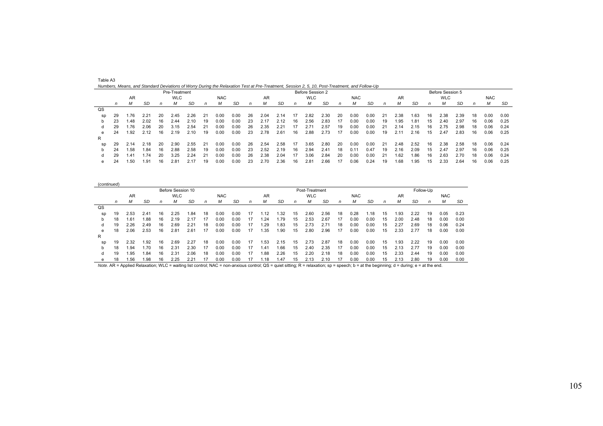|                |    |      |      |    | Pre-Treatment |      |    |            |      |    |      |      |    | Before Session 2 |      |    |            |      |    |      |      |    | Before Session 5 |      |    |            |      |
|----------------|----|------|------|----|---------------|------|----|------------|------|----|------|------|----|------------------|------|----|------------|------|----|------|------|----|------------------|------|----|------------|------|
|                |    | AR   |      |    | <b>WLC</b>    |      |    | <b>NAC</b> |      |    | AR.  |      |    | <b>WLC</b>       |      |    | <b>NAC</b> |      |    | AR   |      |    | <b>WLC</b>       |      |    | <b>NAC</b> |      |
|                | n  | М    | SD   | n  | м             | SD   | n  | м          | SD   | n  | М    | SD   | n  | М                | SD   | n  | м          | SD   | n  | М    | SD   | n  | м                | SD   | n  | м          | SD   |
| $_{\text{QS}}$ |    |      |      |    |               |      |    |            |      |    |      |      |    |                  |      |    |            |      |    |      |      |    |                  |      |    |            |      |
| sp             | 29 | .76  | 2.21 | 20 | 2.45          | 2.26 | 21 | 0.00       | 0.00 | 26 | 2.04 | 2.14 | 17 | 2.82             | 2.30 | 20 | 0.00       | 0.00 | 21 | 2.38 | 1.63 | 16 | 2.38             | 2.39 | 18 | 0.00       | 0.00 |
|                | 23 | .48  | 2.02 | 16 | 2.44          | 2.10 | 19 | 0.00       | 0.00 | 23 | 2.17 | 2.12 | 16 | 2.56             | 2.83 |    | 0.00       | 0.00 | 19 | .95  | 1.81 | 15 | 2.40             | 2.97 | 16 | 0.06       | 0.25 |
|                | 29 | .76  | 2.06 | 20 | 3.15          | 2.54 | 21 | 0.00       | 0.00 | 26 | 2.35 | 2.21 | 17 |                  | 2.57 | 19 | 0.00       | 0.00 |    | 2.14 | 2.15 | 16 | 2.75             | 2.98 | 18 | 0.06       | 0.24 |
| е              | 24 | .92  | 2.12 | 16 | 2.19          | 2.10 | 19 | 0.00       | 0.00 | 23 | 2.78 | 2.61 | 16 | 2.88             | 2.73 | 17 | 0.00       | 0.00 | 19 | 2.11 | 2.16 | 15 | 2.47             | 2.83 | 16 | 0.06       | 0.25 |
| R              |    |      |      |    |               |      |    |            |      |    |      |      |    |                  |      |    |            |      |    |      |      |    |                  |      |    |            |      |
| SD             | 29 | 2.14 | 2.18 | 20 | 2.90          | 2.55 | 21 | 0.00       | 0.00 | 26 | 2.54 | 2.58 | 17 | 3.65             | 2.80 | 20 | 0.00       | 0.00 | 21 | 2.48 | 2.52 | 16 | 2.38             | 2.58 | 18 | 0.06       | 0.24 |
|                | 24 | .58  | .84  | 16 | 2.88          | 2.58 | 19 | 0.00       | 0.00 | 23 | 2.52 | 2.19 | 16 | 2.94             | 2.41 | 18 | 0.11       | 0.47 | 19 | 2.16 | 2.09 | 15 | 2.47             | 2.97 | 16 | 0.06       | 0.25 |
|                | 29 | 1.41 | .74  | 20 | 3.25          | 2.24 | 21 | 0.00       | 0.00 | 26 | 2.38 | 2.04 | 17 | 3.06             | 2.84 | 20 | 0.00       | 0.00 | 21 | .62  | .86  | 16 | 2.63             | 2.70 | 18 | 0.06       | 0.24 |
| е              | 24 | 1.50 | .91  | 16 | 2.81          | 2.17 | 19 | 0.00       | 0.00 | 23 | 2.70 | 2.36 | 16 | 2.81             | 2.66 | 17 | 0.06       | 0.24 | 19 | 1.68 | 1.95 | 15 | 2.33             | 2.64 | 16 | 0.06       | 0.25 |

| いい |       |      |                   |      |                                 |      |      |  |  |  |  |  |  |                                                                                                                          |  |      |      |             |      |
|----|-------|------|-------------------|------|---------------------------------|------|------|--|--|--|--|--|--|--------------------------------------------------------------------------------------------------------------------------|--|------|------|-------------|------|
|    | sp 29 | 1.76 |                   |      | 2.21 20 2.45 2.26 21            |      | 0.00 |  |  |  |  |  |  | 0.00    26    2.04    2.14    17    2.82    2.30    20    0.00    0.00    21    2.38    1.63    16    2.38    2.39    18 |  |      |      | 0.00 0.00   |      |
|    | b 23  |      | 1.48 2.02         | - 16 | 2.44 2.10                       | - 19 | 0.00 |  |  |  |  |  |  | 0.00 23 2.17 2.12 16 2.56 2.83 17 0.00 0.00 19 1.95 1.81 15 2.40 2.97 16 0.06                                            |  |      |      |             | 0.25 |
|    | d 29  | 1.76 | 2.06              | - 20 | 3.15 2.54 21                    |      | 0.00 |  |  |  |  |  |  | 0.00    26    2.35    2.21    17    2.71    2.57    19    0.00    0.00    21    2.14    2.15    16    2.75               |  | 2.98 | - 18 | 0.06        | 0.24 |
|    |       |      |                   |      |                                 |      |      |  |  |  |  |  |  | e 24 1.92 2.12 16 2.19 2.10 19 0.00 0.00 23 2.78 2.61 16 2.88 2.73 17 0.00 0.00 19 2.11 2.16 15 2.47 2.83 16 0.06 0.25   |  |      |      |             |      |
|    |       |      |                   |      |                                 |      |      |  |  |  |  |  |  |                                                                                                                          |  |      |      |             |      |
|    |       |      |                   |      | sp 29 2.14 2.18 20 2.90 2.55 21 |      |      |  |  |  |  |  |  | 0.00 0.00 26  2.54  2.58  17  3.65  2.80  20  0.00  0.00  21  2.48  2.52  16  2.38  2.58  18                             |  |      |      | $0.06$ 0.24 |      |
|    |       |      | b 24 1.58 1.84 16 |      | 2.88 2.58 19                    |      | 0.00 |  |  |  |  |  |  | 0.00 23 2.52 2.19 16 2.94 2.41 18 0.11 0.47 19 2.16 2.09 15 2.47 2.97 16                                                 |  |      |      | $0.06$ 0.25 |      |
|    |       |      |                   |      | d 29 1.41 1.74 20 3.25 2.24 21  |      | 0.00 |  |  |  |  |  |  | 0.00    26    2.38    2.04    17    3.06    2.84    20    0.00    0.00    21    1.62    1.86    16    2.63    2.70    18 |  |      |      | 0.06        | 0.24 |
|    |       |      | e 24 1.50 1.91 16 |      | 2.81 2.17 19                    |      |      |  |  |  |  |  |  | 0.00 0.00 23 2.70 2.36 16 2.81 2.66 17 0.06 0.24 19 1.68 1.95 15 2.33 2.64 16                                            |  |      |      | $0.06$ 0.25 |      |
|    |       |      |                   |      |                                 |      |      |  |  |  |  |  |  |                                                                                                                          |  |      |      |             |      |

| (continued)    |    |      |      |    |                   |      |              |            |      |    |      |      |              |                |      |    |            |      |              |      |      |           |            |      |
|----------------|----|------|------|----|-------------------|------|--------------|------------|------|----|------|------|--------------|----------------|------|----|------------|------|--------------|------|------|-----------|------------|------|
|                |    |      |      |    | Before Session 10 |      |              |            |      |    |      |      |              | Post-Treatment |      |    |            |      |              |      |      | Follow-Up |            |      |
|                |    | AR   |      |    | <b>WLC</b>        |      |              | <b>NAC</b> |      |    | AR   |      |              | <b>WLC</b>     |      |    | <b>NAC</b> |      |              | AR   |      |           | <b>NAC</b> |      |
|                | n  | M    | SD   | n  | М                 | SD   | $\mathsf{n}$ | М          | SD   | n  | М    | SD   | $\mathsf{n}$ | М              | SD   | n  | М          | SD   | $\mathsf{n}$ | М    | SD   | n         | М          | SD   |
| $_{\text{QS}}$ |    |      |      |    |                   |      |              |            |      |    |      |      |              |                |      |    |            |      |              |      |      |           |            |      |
| sp             | 19 | 2.53 | 2.41 | 16 | 2.25              | .84  | 18           | 0.00       | 0.00 | 17 | .12  | .32  | 15           | 2.60           | 2.56 | 18 | 0.28       | .18  | 15           | 1.93 | 2.22 | 19        | 0.05       | 0.23 |
| b              | 18 | .61  | 1.88 | 16 | 2.19              |      | 17           | 0.00       | 0.00 | 17 | .24  | .79  | 15           | 2.53           | 2.67 | 17 | 0.00       | 0.00 | 15           | 2.00 | 2.48 | 18        | 0.00       | 0.00 |
|                | 19 | 2.26 | 2.49 | 16 | 2.69              | 2.21 | 18           | 0.00       | 0.00 | 17 | .29  | .83  | 15           | 2.73           | 2.71 | 18 | 0.00       | 0.00 | 15           | 2.27 | 2.69 | 18        | 0.06       | 0.24 |
| е              | 18 | 2.06 | 2.53 | 16 | 2.81              | 2.61 | 17           | 0.00       | 0.00 | 17 | .35  | 1.90 | 15           | 2.80           | 2.96 | 17 | 0.00       | 0.00 | 15           | 2.33 | 2.77 | 18        | 0.00       | 0.00 |
| R              |    |      |      |    |                   |      |              |            |      |    |      |      |              |                |      |    |            |      |              |      |      |           |            |      |
| SD             | 19 | 2.32 | 1.92 | 16 | 2.69              | 2.27 | 18           | 0.00       | 0.00 | 17 | .53  | 2.15 | 15           | 2.73           | 2.87 | 18 | 0.00       | 0.00 | 15           | 1.93 | 2.22 | 19        | 0.00       | 0.00 |
| b              | 18 | .94  | 1.70 | 16 | 2.31              | 2.30 | 17           | 0.00       | 0.00 | 17 | .41  | .66  | 15           | 2.40           | 2.35 | 17 | 0.00       | 0.00 | 15           | 2.13 | 2.77 | 19        | 0.00       | 0.00 |
|                | 19 | .95  | 1.84 | 16 | 2.31              | 2.06 | 18           | 0.00       | 0.00 | 17 | .88  | 2.26 | 15           | 2.20           | 2.18 | 18 | 0.00       | 0.00 | 15           | 2.33 | 2.44 | 19        | 0.00       | 0.00 |
| е              | 18 | .56  | 1.98 | 16 | 2.25              | 2.21 | 17           | 0.00       | 0.00 |    | .18، | .47  | 15           | 2.13           | 2.10 |    | 0.00       | 0.00 | 15           | 2.13 | 2.80 | 19        | 0.00       | 0.00 |

SD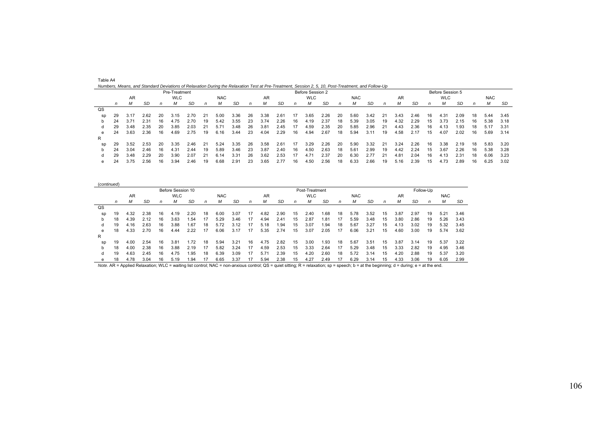|    |    |      |      |    | Pre-Treatment |      |    | Numbers, Means, and Standard Deviations of Relaxation During the Relaxation Test at Pre-Treatment, Session 2, 5, 10, Post-Treatment, and Follow-Up |      |    |           |      |    | Before Session 2 |      |    |            |           |    |      |      |    | Before Session 5 |           |    |            |      |
|----|----|------|------|----|---------------|------|----|----------------------------------------------------------------------------------------------------------------------------------------------------|------|----|-----------|------|----|------------------|------|----|------------|-----------|----|------|------|----|------------------|-----------|----|------------|------|
|    |    | AR   |      |    | <b>WLC</b>    |      |    | <b>NAC</b>                                                                                                                                         |      |    | <b>AR</b> |      |    | <b>WLC</b>       |      |    | <b>NAC</b> |           |    | AR   |      |    | <b>WLC</b>       |           |    | <b>NAC</b> |      |
|    | n  | м    | SD   | n  | м             | SD   | n  | М                                                                                                                                                  | SD   | n  | м         | SD   | n  | м                | SD   | n  | м          | <b>SD</b> | n  | М    | SD   | n  | М                | <b>SD</b> | n  | М          | SD   |
| QS |    |      |      |    |               |      |    |                                                                                                                                                    |      |    |           |      |    |                  |      |    |            |           |    |      |      |    |                  |           |    |            |      |
| sp | 29 | 3.17 | 2.62 | 20 | 3.15          | 2.70 | 21 | 5.00                                                                                                                                               | 3.36 | 26 | 3.38      | 2.61 | 17 | 3.65             | 2.26 | 20 | 5.60       | 3.42      | 21 | 3.43 | 2.46 | 16 | 4.31             | 2.09      | 18 | 5.44       | 3.45 |
|    | 24 | 3.71 | 2.31 | 16 | 4.75          | 2.70 | 19 | 5.42                                                                                                                                               | 3.55 | 23 | 3.74      | 2.26 | 16 | 4.19             | 2.37 | 18 | 5.39       | 3.05      | 19 | 4.32 | 2.29 | 15 | 3.73             | 2.15      | 16 | 5.38       | 3.18 |
|    | 29 | 3.48 | 2.35 | 20 | 3.85          | 2.03 | 21 | 5.71                                                                                                                                               | 3.48 | 26 | 3.81      | 2.45 |    | 4.59             | 2.35 | 20 | 5.85       | 2.96      |    | 4.43 | 2.36 | 16 | 4.13             | .93       | 18 | 5.17       | 3.31 |
| e  | 24 | 3.63 | 2.36 | 16 | 4.69          | 2.75 | 19 | 6.16                                                                                                                                               | 3.44 | 23 | 4.04      | 2.29 | 16 | 4.94             | 2.67 | 18 | 5.94       | 3.11      | 19 | 4.58 | 2.17 | 15 | 4.07             | 2.02      | 16 | 5.69       | 3.14 |
| R  |    |      |      |    |               |      |    |                                                                                                                                                    |      |    |           |      |    |                  |      |    |            |           |    |      |      |    |                  |           |    |            |      |
| sp | 29 | 3.52 | 2.53 | 20 | 3.35          | 2.46 | 21 | 5.24                                                                                                                                               | 3.35 | 26 | 3.58      | 2.61 |    | 3.29             | 2.26 | 20 | 5.90       | 3.32      | 21 | 3.24 | 2.26 | 16 | 3.38             | 2.19      | 18 | 5.83       | 3.20 |
|    | 24 | 3.04 | 2.46 | 16 | 4.31          | 2.44 | 19 | 5.89                                                                                                                                               | 3.46 | 23 | 3.87      | 2.40 | 16 | 4.50             | 2.63 |    | 5.61       | 2.99      | 19 | 4.42 | 2.24 | 15 | 3.67             | 2.26      | 16 | 5.38       | 3.28 |
|    | 29 | 3.48 | 2.29 | 20 | 3.90          | 2.07 | 21 | 6.14                                                                                                                                               | 3.31 | 26 | 3.62      | 2.53 |    | 4.71             | 2.37 | 20 | 6.30       | 2.77      |    | 4.81 | 2.04 | 16 | 4.13             | 2.31      | 18 | 6.06       | 3.23 |
| e  | 24 | 3.75 | 2.56 | 16 | 3.94          | 2.46 | 19 | 6.68                                                                                                                                               | 2.91 | 23 | 3.65      | 2.77 | 16 | 4.50             | 2.56 |    | 6.33       | 2.66      | 19 | 5.16 | 2.39 | 15 | 4.73             | 2.89      | 16 | 6.25       | 3.02 |

| (continued)    |    |      |      |    |                   |      |    |            |      |    |      |      |    |                |      |    |            |      |    |      |      |           |            |      |
|----------------|----|------|------|----|-------------------|------|----|------------|------|----|------|------|----|----------------|------|----|------------|------|----|------|------|-----------|------------|------|
|                |    |      |      |    | Before Session 10 |      |    |            |      |    |      |      |    | Post-Treatment |      |    |            |      |    |      |      | Follow-Up |            |      |
|                |    | AR   |      |    | <b>WLC</b>        |      |    | <b>NAC</b> |      |    | AR   |      |    | <b>WLC</b>     |      |    | <b>NAC</b> |      |    | AR   |      |           | <b>NAC</b> |      |
|                | n  | М    | SD   | n  | м                 | SD   | n  | М          | SD   | n  | М    | SD   | n  | М              | SD   | n  | М          | SD   | n  | М    | SD   | n         | м          | SD   |
| $_{\text{QS}}$ |    |      |      |    |                   |      |    |            |      |    |      |      |    |                |      |    |            |      |    |      |      |           |            |      |
| sp             | 19 | 4.32 | 2.38 | 16 | 4.19              | 2.20 | 18 | 6.00       | 3.07 | 17 | 4.82 | 2.90 | 15 | 2.40           | .68  | 18 | 5.78       | 3.52 | 15 | 3.87 | 2.97 | 19        | 5.21       | 3.46 |
| b              | 18 | 4.39 | 2.12 | 16 | 3.63              | 1.54 | 17 | 5.29       | 3.46 | 17 | 4.94 | 2.41 | 15 | 2.87           | .81  | 17 | 5.59       | 3.48 | 15 | 3.80 | 2.86 | 19        | 5.26       | 3.43 |
| d              | 19 | 4.16 | 2.63 | 16 | 3.88              | 1.67 | 18 | 5.72       | 3.12 | 17 | 5.18 | .94  | 15 | 3.07           | .94  | 18 | 5.67       | 3.27 | 15 | 4.13 | 3.02 | 19        | 5.32       | 3.45 |
| e              | 18 | 4.33 | 2.70 | 16 | 4.44              | 2.22 | 17 | 6.06       | 3.17 | 17 | 5.35 | 2.74 | 15 | 3.07           | 2.05 | 17 | 6.06       | 3.21 | 15 | 4.60 | 3.00 | 19        | 5.74       | 3.62 |
| R              |    |      |      |    |                   |      |    |            |      |    |      |      |    |                |      |    |            |      |    |      |      |           |            |      |
| sp             | 19 | 4.00 | 2.54 | 16 | 3.81              | 1.72 | 18 | 5.94       | 3.21 | 16 | 4.75 | 2.82 | 15 | 3.00           | .93  | 18 | 5.67       | 3.51 | 15 | 3.87 | 3.14 | 19        | 5.37       | 3.22 |
| b              | 18 | 4.00 | 2.38 | 16 | 3.88              | 2.19 | 17 | 5.82       | 3.24 | 17 | 4.59 | 2.53 | 15 | 3.33           | 2.64 | 17 | 5.29       | 3.48 | 15 | 3.33 | 2.82 | 19        | 4.95       | 3.46 |
| d              | 19 | 4.63 | 2.45 | 16 | 4.75              | .95  | 18 | 6.39       | 3.09 | 17 | 5.71 | 2.39 | 15 | 4.20           | 2.60 | 18 | 5.72       | 3.14 | 15 | 4.20 | 2.88 | 19        | 5.37       | 3.20 |
| е              | 18 | 4.78 | 3.04 | 16 | 5.19              | 1.94 | 17 | 6.65       | 3.37 | 17 | 5.94 | 2.38 | 15 | 4.27           | 2.49 |    | 6.29       | 3.14 | 15 | 4.33 | 3.06 | 19        | 6.05       | 2.99 |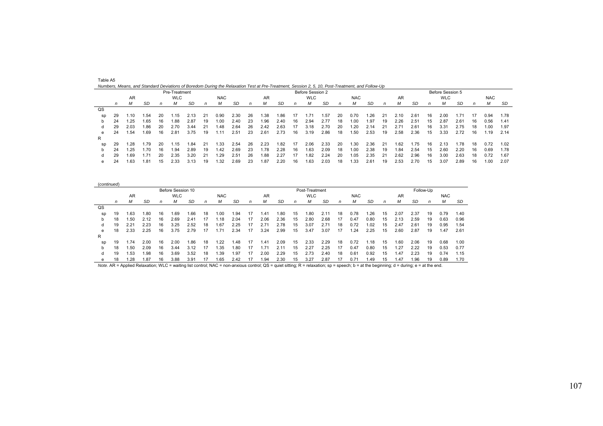|    |     |      |       |    |               |      |    | Numbers, Means, and Standard Deviations of Boredom During the Relaxation Test at Pre-Treatment, Session 2, 5, 10, Post-Treatment, and Follow-Up |      |    |      |      |    |                  |      |    |            |      |    |      |      |    |                  |       |    |            |      |
|----|-----|------|-------|----|---------------|------|----|-------------------------------------------------------------------------------------------------------------------------------------------------|------|----|------|------|----|------------------|------|----|------------|------|----|------|------|----|------------------|-------|----|------------|------|
|    |     |      |       |    | Pre-Treatment |      |    |                                                                                                                                                 |      |    |      |      |    | Before Session 2 |      |    |            |      |    |      |      |    | Before Session 5 |       |    |            |      |
|    |     | AR   |       |    | <b>WLC</b>    |      |    | <b>NAC</b>                                                                                                                                      |      |    | AR   |      |    | <b>WLC</b>       |      |    | <b>NAC</b> |      |    | AR   |      |    | <b>WLC</b>       |       |    | <b>NAC</b> |      |
|    | n   | М    | SD    | n  | м             | SD   |    |                                                                                                                                                 | SD   | n  | М    | SD   | n  | м                | SD   | n  | М          | SD   | n  | м    | SD   | n  | М                | SD    | n  | M          | SD   |
| QS |     |      |       |    |               |      |    |                                                                                                                                                 |      |    |      |      |    |                  |      |    |            |      |    |      |      |    |                  |       |    |            |      |
| sp | -29 | .10  | . .54 | 20 | .15           |      | 21 | 0.90                                                                                                                                            | 2.30 | 26 | .38  | 1.86 |    |                  | .57  | 20 | 0.70       | .26  | 21 | 2.10 | 2.61 | 16 | 2.00             | . 71  |    | 0.94       | 1.78 |
|    | 24  | .25  | .65   | 16 | ⊦.88          | 2.87 | 19 | 00. ا                                                                                                                                           | 2.40 | 23 | .96  | 2.40 | 16 | 2.94             | 2.77 | 18 | 0.00       | i.97 | 19 | 2.26 | 2.51 | 15 | 2.87             | 2.61  | 16 | 0.56       | 1.41 |
| d  | 29  | 2.03 | .86   | 20 | 2.70          | 3.44 | 21 | .48                                                                                                                                             | 2.64 | 26 | 2.42 | 2.63 | 17 | 3.18             | 2.70 | 20 | .20        | 2.14 | 21 |      | 2.61 | 16 | 3.3'             | 2.75  | 18 | .00        | 1.97 |
| e  | 24  | .54  | .69   | 16 | 2.81          | 3.75 | 19 | .11                                                                                                                                             | 2.51 | 23 | 2.61 | 2.73 | 16 | 3.19             | 2.86 | 18 | .50        | 2.53 | 19 | 2.58 | 2.36 | 15 | 3.33             | 2.72  | 16 | .19        | 2.14 |
| R  |     |      |       |    |               |      |    |                                                                                                                                                 |      |    |      |      |    |                  |      |    |            |      |    |      |      |    |                  |       |    |            |      |
| sp | 29  | .28  | 79ء   | 20 | .15           | .84، | 21 | .33                                                                                                                                             | 2.54 | 26 | 2.23 | 1.82 |    | 2.06             | 2.33 | 20 | 1.30       | 2.36 | 21 | 1.62 | 1.75 | 16 |                  | ، 78. | 18 | 0.72       | 1.02 |

 b 24 1.25 1.70 16 1.94 2.89 19 1.42 2.69 23 1.78 2.28 16 1.63 2.09 18 1.00 2.38 19 1.84 2.54 15 2.60 2.20 16 0.69 1.78 d 29 1.69 1.71 20 2.35 3.20 21 1.29 2.51 26 1.88 2.27 17 1.82 2.24 20 1.05 2.35 21 2.62 2.96 16 3.00 2.63 18 0.72 1.67 e 24 1.63 1.81 15 2.33 3.13 19 1.32 2.69 23 1.87 2.20 16 1.63 2.03 18 1.33 2.61 19 2.53 2.70 15 3.07 2.89 16 1.00 2.07

| Table A5                                                                                                                                        |  |  |
|-------------------------------------------------------------------------------------------------------------------------------------------------|--|--|
| Numbers, Means, and Standard Deviations of Boredom During the Relaxation Test at Pre-Treatment, Session 2, 5, 10, Post-Treatment, and Follow-Up |  |  |

| (continued)    |    |      |            |    |                   |      |    |                 |      |    |      |      |              |                |      |    |               |      |              |      |      |           |            |      |
|----------------|----|------|------------|----|-------------------|------|----|-----------------|------|----|------|------|--------------|----------------|------|----|---------------|------|--------------|------|------|-----------|------------|------|
|                |    |      |            |    | Before Session 10 |      |    |                 |      |    |      |      |              | Post-Treatment |      |    |               |      |              |      |      | Follow-Up |            |      |
|                |    | AR   |            |    | <b>WLC</b>        |      |    | <b>NAC</b>      |      |    | AR   |      |              | <b>WLC</b>     |      |    | <b>NAC</b>    |      |              | AR   |      |           | <b>NAC</b> |      |
|                | n  | М    | SD         | n  | M                 | SD   | n  | М               | SD   | n  | м    | SD   | $\mathsf{n}$ | м              | SD   | n  | М             | SD   | $\mathsf{n}$ | м    | SD   | n         | М          | SD   |
| $_{\text{QS}}$ |    |      |            |    |                   |      |    |                 |      |    |      |      |              |                |      |    |               |      |              |      |      |           |            |      |
| sp             | 19 | 1.63 | .80        | 16 | 1.69              | .66  | 18 | 1.00            | .94  |    | 1.41 | 1.80 | 15           | .80            | 2.11 | 18 | 0.78          | .26  | 15           | 2.07 | 2.37 | 19        | 0.79       | 1.40 |
| b              | 18 | .50  | 2.12       | 16 | 2.69              | 2.41 | 17 | $^{\prime}$ .18 | 2.04 | 17 | 2.06 | 2.36 | 15           | 2.80           | 2.68 | 17 | 0.47          | 0.80 | 15           | 2.13 | 2.59 | 19        | 0.63       | 0.96 |
|                | 19 | 2.21 | 2.23       | 16 | 3.25              | 2.52 | 18 | .67             | 2.25 | 17 | 2.71 | 2.78 | 15           | 3.07           | 2.71 | 18 | 0.72          | .02  | 15           | 2.47 | 2.61 | 19        | 0.95       | 1.54 |
| e              | 18 | 2.33 | 2.25       | 16 | 3.75              | 2.79 | 17 | 71،،            | 2.34 | 17 | 3.24 | 2.99 | 15           | 3.47           | 3.07 | 17 | .24           | 2.25 | 15           | 2.60 | 2.87 | 19        | 1.47       | 2.61 |
| R              |    |      |            |    |                   |      |    |                 |      |    |      |      |              |                |      |    |               |      |              |      |      |           |            |      |
| sp             | 19 | 1.74 | 2.00       | 16 | 2.00              | .86  | 18 | .22             | 48،، | 17 | 1.41 | 2.09 | 15           | 2.33           | 2.29 | 18 | 0.72          | . 18 | 15           | .60  | 2.06 | 19        | 0.68       | 1.00 |
| b              | 18 | 1.50 | 2.09       | 16 | 3.44              | 3.12 | 17 | .35             | .80  | 17 | .71  | 2.11 | 15           | 2.27           | 2.25 | 17 | 0.47          | 0.80 | 15           | .27  | 2.22 | 19        | 0.53       | 0.77 |
|                | 19 | 1.53 | <b>98.</b> | 16 | 3.69              | 3.52 | 18 | 39،،            | . 97 | 17 | 2.00 | 2.29 | 15           | 2.73           | 2.40 | 18 | 0.61          | 0.92 | 15           | . 47 | 2.23 | 19        | 0.74       | 1.15 |
| е              | 18 | .28  | i.87       | 16 | 3.88              | 3.91 | 17 | .65             | 2.42 |    | . 94 | 2.30 | 15           | 3.27           | 2.87 | 17 | $0.7^{\circ}$ | .49  | 15           | .47  | 96،، | 19        | 0.89       | 1.70 |

*Note.* AR = Applied Relaxation; WLC = waiting list control; NAC = non-anxious control; QS = quiet sitting; R = relaxation; sp = speech; b = at the beginning; d = during; e = at the end.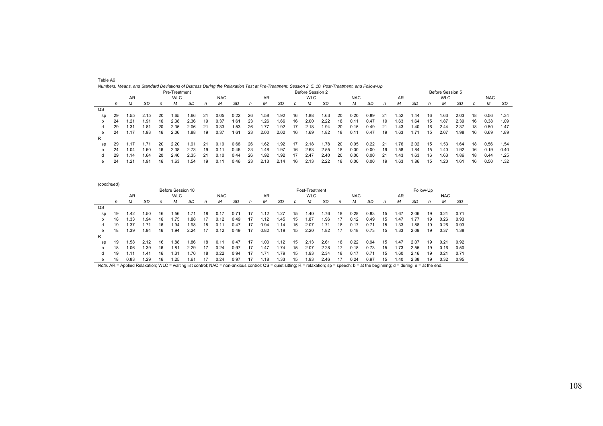|    |    |                   |       |    |               |      |    |            | Numbers, Means, and Standard Deviations of Distress During the Relaxation Test at Pre-Treatment, Session 2, 5, 10, Post-Treatment, and Follow-Up |    |           |      |    |                  |      |    |            |      |    |      |       |    |                  |      |    |            |      |
|----|----|-------------------|-------|----|---------------|------|----|------------|--------------------------------------------------------------------------------------------------------------------------------------------------|----|-----------|------|----|------------------|------|----|------------|------|----|------|-------|----|------------------|------|----|------------|------|
|    |    |                   |       |    | Pre-Treatment |      |    |            |                                                                                                                                                  |    |           |      |    | Before Session 2 |      |    |            |      |    |      |       |    | Before Session 5 |      |    |            |      |
|    |    | AR.               |       |    | <b>WLC</b>    |      |    | <b>NAC</b> |                                                                                                                                                  |    | <b>AR</b> |      |    | <b>WLC</b>       |      |    | <b>NAC</b> |      |    | AR   |       |    | <b>WLC</b>       |      |    | <b>NAC</b> |      |
|    | n  | м                 | SD    | n  | м             | SD   | n  | м          | SD                                                                                                                                               | n  | м         | SD   | n  | м                | SD   | n  | М          | -SD  | n  | М    | SD    | n  | М                | SD   | n  | М          | SD   |
| QS |    |                   |       |    |               |      |    |            |                                                                                                                                                  |    |           |      |    |                  |      |    |            |      |    |      |       |    |                  |      |    |            |      |
| SD | 29 | i .55             | 2.15  | 20 | 1.65          | 1.66 | 21 | 0.05       | 0.22                                                                                                                                             | 26 | 58.،      | 1.92 | 16 | 88، ا            | 1.63 | 20 | 0.20       | 0.89 | 21 | .52  | .44   | 16 | 1.63             | 2.03 | 18 | 0.56       | 1.34 |
|    | 24 | .21               | 1.91  | 16 | 2.38          | 2.36 | 19 | 0.37       | 1.61                                                                                                                                             | 23 | 1.26      | 1.66 | 16 | 2.00             | 2.22 | 18 | 0.11       | 0.47 | 19 | 1.63 | .64   | 15 | 1.87             | 2.39 | 16 | 0.38       | 1.09 |
| a  | 29 | 1.31              | 1.81  | 20 | 2.35          | 2.06 | 21 | 0.33       | 1.53                                                                                                                                             | 26 | 1.77      | 1.92 | 17 | 2.18             | .94  | 20 | 0.15       | 0.49 | 21 | 1.43 | 40. ا | 16 | 2.44             | 2.37 | 18 | 0.50       | 1.47 |
| e  | 24 | .17               | 1.93  | 16 | 2.06          | 1.88 | 19 | 0.37       | 1.61                                                                                                                                             | 23 | 2.00      | 2.02 | 16 | . 69             | 1.82 | 18 | 0.11       | 0.47 | 19 | 1.63 | 1.71  | 15 | 2.07             | 1.98 | 16 | 0.69       | 1.89 |
| R  |    |                   |       |    |               |      |    |            |                                                                                                                                                  |    |           |      |    |                  |      |    |            |      |    |      |       |    |                  |      |    |            |      |
| sp | 29 | 1.17              | . .71 | 20 | 2.20          | 1.91 | 21 | 0.19       | 0.68                                                                                                                                             | 26 | 1.62      | 1.92 | 17 | 2.18             | 1.78 | 20 | 0.05       | 0.22 | 21 | 1.76 | 2.02  | 15 | 1.53             | 1.64 | 18 | 0.56       | 1.54 |
|    | 24 | $\overline{0.04}$ | 1.60  | 16 | 2.38          | 2.73 | 19 | 0.11       | 0.46                                                                                                                                             | 23 | 1.48      | 1.97 | 16 | 2.63             | 2.55 | 18 | 0.00       | 0.00 | 19 | .58  | .84   | 15 | 1.40             | 1.92 | 16 | 0.19       | 0.40 |
| d  | 29 | .14               | 64،،  | 20 | 2.40          | 2.35 | 21 | 0.10       | 0.44                                                                                                                                             | 26 | 1.92      | 1.92 | 17 | 2.47             | 2.40 | 20 | 0.00       | 0.00 | 21 | 1.43 | .63   | 16 | 1.63             | 1.86 | 18 | 0.44       | 1.25 |
| e  | 24 | .21               | . 91  | 16 | 1.63          | 1.54 | 19 | 0.11       | 0.46                                                                                                                                             | 23 | 2.13      | 2.14 | 16 | 2.13             | 2.22 | 18 | 0.00       | 0.00 | 19 | 1.63 | .86   | 15 | .20              | 1.61 | 16 | 0.50       | 1.32 |

| (continued) |    |      |           |    |                   |      |    |            |      |    |      |      |    |                |           |    |            |      |              |      |      |           |            |      |
|-------------|----|------|-----------|----|-------------------|------|----|------------|------|----|------|------|----|----------------|-----------|----|------------|------|--------------|------|------|-----------|------------|------|
|             |    |      |           |    | Before Session 10 |      |    |            |      |    |      |      |    | Post-Treatment |           |    |            |      |              |      |      | Follow-Up |            |      |
|             |    | AR   |           |    | <b>WLC</b>        |      |    | <b>NAC</b> |      |    | AR   |      |    | <b>WLC</b>     |           |    | <b>NAC</b> |      |              | AR   |      |           | <b>NAC</b> |      |
|             | n  | М    | <b>SD</b> | n  | М                 | SD   | n  | М          | SD   | n  | М    | SD   | n  | м              | <b>SD</b> | n  | М          | SD   | $\mathsf{n}$ | М    | SD   | n         | М          | SD   |
| QS          |    |      |           |    |                   |      |    |            |      |    |      |      |    |                |           |    |            |      |              |      |      |           |            |      |
| sp          | 19 | 1.42 | 1.50      | 16 | .56               | 1.71 | 18 | 0.17       | 0.71 | 17 | . 12 | 1.27 | 15 | 40. ا          | 1.76      | 18 | 0.28       | 0.83 | 15           | .67  | 2.06 | 19        | 0.21       | 0.71 |
| b           | 18 | .33  | 1.94      | 16 | .75               | 88.1 | 17 | 0.12       | 0.49 | 17 | . 12 | .45  | 15 | .87            | 1.96      | 17 | 0.12       | 0.49 | 15           | .47  | 1.77 | 19        | 0.26       | 0.93 |
| d           | 19 | 1.37 | 1.71      | 16 | .94               | 1.98 | 18 | 0.11       | 0.47 | 17 | 0.94 | .14  | 15 | 2.07           | 1.71      | 18 | 0.17       | 0.71 | 15           | . 33 | i.88 | 19        | 0.26       | 0.93 |
| e           | 18 | .39  | 1.94      | 16 | .94               | 2.24 | 17 | 0.12       | 0.49 | 17 | 0.82 | .19  | 15 | 2.20           | 1.82      | 17 | 0.18       | 0.73 | 15           | .33  | 2.09 | 19        | 0.37       | 1.38 |
| R           |    |      |           |    |                   |      |    |            |      |    |      |      |    |                |           |    |            |      |              |      |      |           |            |      |
| SD          | 19 | 1.58 | 2.12      | 16 | .88               | 1.86 | 18 | 0.11       | 0.47 | 17 | .00  | .12  | 15 | 2.13           | 2.61      | 18 | 0.22       | 0.94 | 15           | .47  | 2.07 | 19        | 0.21       | 0.92 |
| b.          | 18 | 1.06 | 1.39      | 16 | 81.،              | 2.29 | 17 | 0.24       | 0.97 | 17 | 1.47 | 1.74 | 15 | 2.07           | 2.28      | 17 | 0.18       | 0.73 | 15           | 1.73 | 2.55 | 19        | 0.16       | 0.50 |

 d 19 1.11 1.41 16 1.31 1.70 18 0.22 0.94 17 1.71 1.79 15 1.93 2.34 18 0.17 0.71 15 1.60 2.16 19 0.21 0.71 e 18 0.83 1.29 16 1.25 1.61 17 0.24 0.97 17 1.18 1.33 15 1.93 2.46 17 0.24 0.97 15 1.40 2.38 19 0.32 0.95

Table A6

*Note*. AR = Applied Relaxation; WLC = waiting list control; NAC = non-anxious control; QS = quiet sitting; R = relaxation; sp = speech; b = at the beginning; d = during; e = at the end.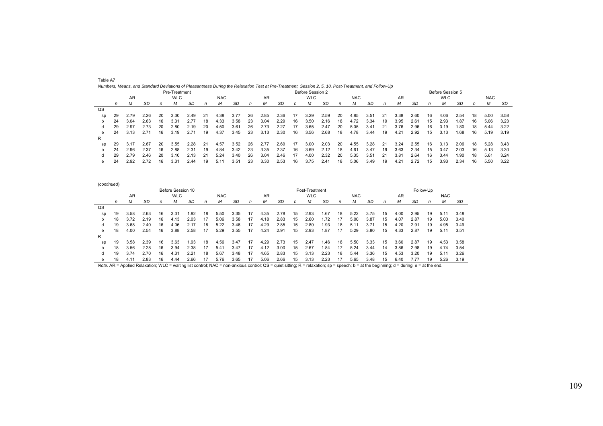|    |    |      | Numbers, Means, and Standard Deviations of Pleasantness During the Relaxation Test at Pre-Treatment, Session 2, 5, 10, Post-Treatment, and Follow-Up |    |               |      |    |            |      |    |      |      |    |                  |      |    |            |      |    |      |      |    |                  |      |    |            |      |
|----|----|------|------------------------------------------------------------------------------------------------------------------------------------------------------|----|---------------|------|----|------------|------|----|------|------|----|------------------|------|----|------------|------|----|------|------|----|------------------|------|----|------------|------|
|    |    |      |                                                                                                                                                      |    | Pre-Treatment |      |    |            |      |    |      |      |    | Before Session 2 |      |    |            |      |    |      |      |    | Before Session 5 |      |    |            |      |
|    |    | AR   |                                                                                                                                                      |    | <b>WLC</b>    |      |    | <b>NAC</b> |      |    | AR   |      |    | <b>WLC</b>       |      |    | <b>NAC</b> |      |    | AR   |      |    | <b>WLC</b>       |      |    | <b>NAC</b> |      |
|    | n  | м    | SD                                                                                                                                                   |    | м             | SD   | n  | м          | SD   | n  | м    | SD   | n  | м                | SD   | n  | М          | SD   | n  | М    | SD   | n  | М                | SD   | n  | М          | SD   |
| QS |    |      |                                                                                                                                                      |    |               |      |    |            |      |    |      |      |    |                  |      |    |            |      |    |      |      |    |                  |      |    |            |      |
| sp | 29 | 2.79 | 2.26                                                                                                                                                 | 20 | 3.30          | 2.49 | 21 | 4.38       | 3.77 | 26 | 2.85 | 2.36 |    | 3.29             | 2.59 | 20 | 4.85       | 3.51 | 21 | 3.38 | 2.60 | 16 | 4.06             | 2.54 | 18 | 5.00       | 3.58 |
|    | 24 | 3.04 | 2.63                                                                                                                                                 | 16 | $3.3^{\circ}$ |      | 18 | 4.33       | 3.58 | 23 | 3.04 | 2.29 | 16 | 3.50             | 2.16 | 18 | 4.72       | 3.34 | 19 | 3.95 | 2.61 | 15 | 2.93             | 1.87 | 16 | 5.06       | 3.23 |
|    | 29 | 2.97 | 2.73                                                                                                                                                 | 20 | 2.80          | 2.19 | 20 | 4.50       | 3.61 | 26 | 2.73 | 2.27 | 17 | 3.65             | 2.47 | 20 | 5.05       | 3.41 | 21 | 3.76 | 2.96 | 16 | 3.19             | 1.80 | 18 | 5.44       | 3.22 |
| е  | 24 | 3.13 | 2.71                                                                                                                                                 | 16 | 3.19          | 2.71 | 19 | 4.37       | 3.45 | 23 | 3.13 | 2.30 | 16 | 3.56             | 2.68 | 18 | 4.78       | 3.44 | 19 | 4.21 | 2.92 | 15 | 3.13             | 1.68 | 16 | 5.19       | 3.19 |
| R  |    |      |                                                                                                                                                      |    |               |      |    |            |      |    |      |      |    |                  |      |    |            |      |    |      |      |    |                  |      |    |            |      |
| sp | 29 | 3.1  | 2.67                                                                                                                                                 | 20 | 3.55          | 2.28 | 21 | 4.57       | 3.52 | 26 | 2.77 | 2.69 | 17 | 3.00             | 2.03 | 20 | 4.55       | 3.28 | 21 | 3.24 | 2.55 | 16 | 3.13             | 2.06 | 18 | 5.28       | 3.43 |
| b  | 24 | 2.96 | 2.37                                                                                                                                                 | 16 | 2.88          | 2.31 | 19 | 4.84       | 3.42 | 23 | 3.35 | 2.37 | 16 | 3.69             | 2.12 | 18 | 4.61       | 3.47 | 19 | 3.63 | 2.34 | 15 | 3.47             | 2.03 | 16 | 5.13       | 3.30 |

 d 29 2.79 2.46 20 3.10 2.13 21 5.24 3.40 26 3.04 2.46 17 4.00 2.32 20 5.35 3.51 21 3.81 2.64 16 3.44 1.90 18 5.61 3.24 e 24 2.92 2.72 16 3.31 2.44 19 5.11 3.51 23 3.30 2.53 16 3.75 2.41 18 5.06 3.49 19 4.21 2.72 15 3.93 2.34 16 5.50 3.22

| Table A7                                                                                                                                             |  |  |  |
|------------------------------------------------------------------------------------------------------------------------------------------------------|--|--|--|
| Numbers, Means, and Standard Deviations of Pleasantness During the Relaxation Test at Pre-Treatment, Session 2, 5, 10, Post-Treatment, and Follow-Up |  |  |  |

| (continued)    |    |           |      |    |                   |      |              |            |      |    |      |      |    |                |      |    |            |      |    |      |      |              |            |      |
|----------------|----|-----------|------|----|-------------------|------|--------------|------------|------|----|------|------|----|----------------|------|----|------------|------|----|------|------|--------------|------------|------|
|                |    |           |      |    | Before Session 10 |      |              |            |      |    |      |      |    | Post-Treatment |      |    |            |      |    |      |      | Follow-Up    |            |      |
|                |    | <b>AR</b> |      |    | <b>WLC</b>        |      |              | <b>NAC</b> |      |    | AR   |      |    | <b>WLC</b>     |      |    | <b>NAC</b> |      |    | AR   |      |              | <b>NAC</b> |      |
|                | n  | М         | SD   | n  | М                 | SD   | $\mathsf{n}$ | м          | SD   | n  | М    | SD   | n  | М              | SD   | n  | М          | SD   | n  | м    | SD   | $\mathsf{n}$ |            | SD   |
| $_{\text{QS}}$ |    |           |      |    |                   |      |              |            |      |    |      |      |    |                |      |    |            |      |    |      |      |              |            |      |
| SD             | 19 | 3.58      | 2.63 | 16 | 3.31              | 1.92 | 18           | 5.50       | 3.35 | 17 | 4.35 | 2.78 | 15 | 2.93           | 1.67 | 18 | 5.22       | 3.75 | 15 | 4.00 | 2.95 | 19           | 5.11       | 3.48 |
| b              | 18 | 3.72      | 2.19 | 16 | 4.13              | 2.03 | 17           | 5.06       | 3.58 | 17 | 4.18 | 2.83 | 15 | 2.60           | .72  |    | 5.00       | 3.87 | 15 | 4.07 | 2.87 | 19           | 5.00       | 3.40 |
| d              | 19 | 3.68      | 2.40 | 16 | 4.06              | 2.17 | 18           | 5.22       | 3.46 | 17 | 4.29 | 2.85 | 15 | 2.80           | .93  | 18 | 5.1'       | 3.71 | 15 | 4.20 | 2.91 | 19           | 4.95       | 3.49 |
| e              | 18 | 4.00      | 2.54 | 16 | 3.88              | 2.58 | 17           | 5.29       | 3.55 | 17 | 4.24 | 2.91 | 15 | 2.93           | .87  | 17 | 5.29       | 3.80 | 15 | 4.33 | 2.87 | 19           | 5.11       | 3.51 |
| R              |    |           |      |    |                   |      |              |            |      |    |      |      |    |                |      |    |            |      |    |      |      |              |            |      |
| sp             | 19 | 3.58      | 2.39 | 16 | 3.63              | 1.93 | 18           | 4.56       | 3.47 | 17 | 4.29 | 2.73 | 15 | 2.47           | .46  | 18 | 5.50       | 3.33 | 15 | 3.60 | 2.87 | 19           | 4.53       | 3.58 |
| b              | 18 | 3.56      | 2.28 | 16 | 3.94              | 2.38 | 17           | 5.41       | 3.47 | 17 | 4.12 | 3.00 | 15 | 2.67           | .84  | 17 | 5.24       | 3.44 | 14 | 3.86 | 2.98 | 19           | 4.74       | 3.54 |
| d              | 19 | 3.74      | 2.70 | 16 | 4.31              | 2.21 | 18           | 5.67       | 3.48 | 17 | 4.65 | 2.83 | 15 | 3.13           | 2.23 | 18 | 5.44       | 3.36 | 15 | 4.53 | 3.20 | 19           | 5.11       | 3.26 |
| е              | 18 | 4.11      | 2.83 | 16 | 4.44              | 2.66 |              | 5.76       | 3.65 |    | 5.06 | 2.66 | 15 | 3.13           | 2.23 |    | 5.65       | 3.48 | 15 | 6.40 | 1.77 | 19           | 5.26       | 3.19 |

*Note.* AR = Applied Relaxation; WLC = waiting list control; NAC = non-anxious control; QS = quiet sitting; R = relaxation; sp = speech; b = at the beginning; d = during; e = at the end.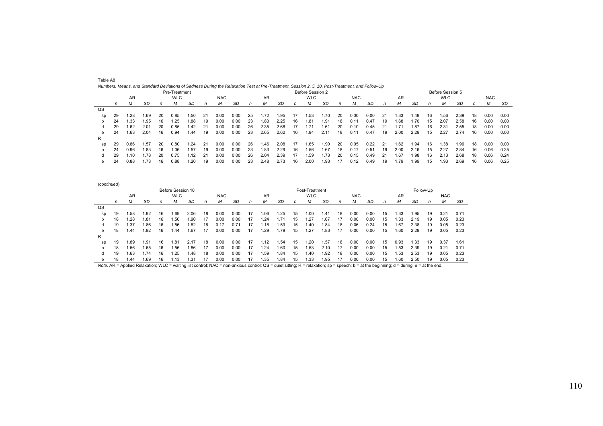|    |    | <u>numbers, means, and clanuard Deviations or cauness Danny the Neiaxation Test at Fie-Treatment, Cession 2, O, TO, Fost-Treatment, and Follow-Op</u> |      |    |               |      |    |            |      |    |      |      |    |                  |      |    |            |      |     |      |      |    |                  |      |    |            |      |
|----|----|-------------------------------------------------------------------------------------------------------------------------------------------------------|------|----|---------------|------|----|------------|------|----|------|------|----|------------------|------|----|------------|------|-----|------|------|----|------------------|------|----|------------|------|
|    |    |                                                                                                                                                       |      |    | Pre-Treatment |      |    |            |      |    |      |      |    | Before Session 2 |      |    |            |      |     |      |      |    | Before Session 5 |      |    |            |      |
|    |    | AR                                                                                                                                                    |      |    | <b>WLC</b>    |      |    | <b>NAC</b> |      |    | AR   |      |    | <b>WLC</b>       |      |    | <b>NAC</b> |      |     | AR   |      |    | <b>WLC</b>       |      |    | <b>NAC</b> |      |
|    | n  | М                                                                                                                                                     | SD   | n  | м             | SD   | n  | м          | SD   | n  | М    | SD   | n  | м                | SD   | n  | М          | SD   | n   | М    | SD   | n  | М                | SD   |    | М          | SD   |
| QS |    |                                                                                                                                                       |      |    |               |      |    |            |      |    |      |      |    |                  |      |    |            |      |     |      |      |    |                  |      |    |            |      |
| SD | 29 | 1.28                                                                                                                                                  | 1.69 | 20 | 0.85          | 1.50 | 21 | 0.00       | 0.00 | 25 | 1.72 | 1.95 | 17 | .53              | 1.70 | 20 | 0.00       | 0.00 | -21 | 1.33 | 49.ا | 16 | 1.56             | 2.39 | 18 | 0.00       | 0.00 |
|    | 24 | 1.33                                                                                                                                                  | 1.95 | 16 | 1.25          | 1.88 | 19 | 0.00       | 0.00 | 23 | 1.83 | 2.25 | 16 | 1.81             | 1.91 | 18 | 0.11       | 0.47 | 19  | 1.68 | 1.70 | 15 | 2.07             | 2.58 | 16 | 0.00       | 0.00 |
| d  | 29 | 1.62                                                                                                                                                  | 2.01 | 20 | 0.85          | 1.42 | 21 | 0.00       | 0.00 | 26 | 2.35 | 2.68 | 17 | i.71             | 1.61 | 20 | 0.10       | 0.45 | -21 | 1.71 | 1.87 | 16 | 2.31             | 2.55 | 18 | 0.00       | 0.00 |
| e  | 24 | 1.63                                                                                                                                                  | 2.04 | 16 | 0.94          | 1.44 | 19 | 0.00       | 0.00 | 23 | 2.65 | 2.62 | 16 | 1.94             | 2.11 | 18 | 0.11       | 0.47 | 19  | 2.00 | 2.29 | 15 | 2.27             | 2.74 | 16 | 0.00       | 0.00 |
| R  |    |                                                                                                                                                       |      |    |               |      |    |            |      |    |      |      |    |                  |      |    |            |      |     |      |      |    |                  |      |    |            |      |
| sp | 29 | 0.86                                                                                                                                                  | 1.57 | 20 | 0.80          | 1.24 | 21 | 0.00       | 0.00 | 26 | 1.46 | 2.08 | 17 | 1.65             | 1.90 | 20 | 0.05       | 0.22 | -21 | 1.62 | .94  | 16 | 1.38             | 1.96 | 18 | 0.00       | 0.00 |
|    | 24 | 0.96                                                                                                                                                  | 1.83 | 16 | 1.06          | 1.57 | 19 | 0.00       | 0.00 | 23 | 1.83 | 2.29 | 16 | .56              | 1.67 | 18 | 0.17       | 0.51 | 19  | 2.00 | 2.16 | 15 | 2.27             | 2.84 | 16 | 0.06       | 0.25 |
| n  | 29 | .10                                                                                                                                                   | i.78 | 20 | 0.75          | 1.12 | 21 | 0.00       | 0.00 | 26 | 2.04 | 2.39 | 17 | .59              | 1.73 | 20 | 0.15       | 0.49 | -21 | 1.67 | .98  | 16 | 2.13             | 2.68 | 18 | 0.06       | 0.24 |
| e  | 24 | 0.88                                                                                                                                                  | 1.73 | 16 | 0.88          | 1.20 | 19 | 0.00       | 0.00 | 23 | 2.48 | 2.73 | 16 | 2.00             | 1.93 |    | 0.12       | 0.49 | 19  | 1.79 | .99  | 15 | 1.93             | 2.69 | 16 | 0.06       | 0.25 |

| Numbers, Means, and Standard Deviations of Sadness During the Relaxation Test at Pre-Treatment, Session 2, 5, 10, Post-Treatment, and Follow-Up |               |              |                  |              |            |
|-------------------------------------------------------------------------------------------------------------------------------------------------|---------------|--------------|------------------|--------------|------------|
|                                                                                                                                                 | Pre-Treatment |              | Before Session 2 |              |            |
|                                                                                                                                                 | $\frac{1}{2}$ | $\mathbf{N}$ |                  | $\mathbf{N}$ | $\sqrt{2}$ |

Table A8

| (continued) |    |       |      |    |                   |       |              |            |      |    |      |      |    |                |      |    |            |      |    |           |      |           |            |      |
|-------------|----|-------|------|----|-------------------|-------|--------------|------------|------|----|------|------|----|----------------|------|----|------------|------|----|-----------|------|-----------|------------|------|
|             |    |       |      |    | Before Session 10 |       |              |            |      |    |      |      |    | Post-Treatment |      |    |            |      |    |           |      | Follow-Up |            |      |
|             |    | AR    |      |    | <b>WLC</b>        |       |              | <b>NAC</b> |      |    | AR   |      |    | <b>WLC</b>     |      |    | <b>NAC</b> |      |    | <b>AR</b> |      |           | <b>NAC</b> |      |
|             | n  | М     | SD   | n  | М                 | SD    | $\mathsf{n}$ | М          | SD   | n  | М    | SD   | n  | м              | SD   | n  | М          | SD   | n  | М         | SD   | n         | М          | SD   |
| QS          |    |       |      |    |                   |       |              |            |      |    |      |      |    |                |      |    |            |      |    |           |      |           |            |      |
| sp          | 19 | .58   | .92  | 16 | .69               | 2.06  | 18           | 0.00       | 0.00 | 17 | 1.06 | .25  | 15 | .00            | .41  | 18 | 0.00       | 0.00 | 15 | .33       | .95  | 19        | 0.21       | 0.71 |
| b           | 18 | .28   | .81  | 16 | .50               | 90. ا | 17           | 0.OO       | 0.00 |    | .24  |      | 15 | .27            | .67  |    | 0.00       | 0.00 | 15 | .33       | 2.19 | 19        | 0.05       | 0.23 |
|             | 19 | 37، ، | .86  | 16 | .56               | .82   | 18           | 0.17       | 0.71 | 17 | 1.18 | .59  | 15 | .40            | .84  | 18 | 0.06       | 0.24 | 15 | 67،،      | 2.38 | 19        | 0.05       | 0.23 |
| e           | 18 | 1.44  | .92  | 16 | .44               | i.67  | 17           | 0.00       | 0.00 | 17 | .29  | .79  | 15 | .27            | .83  | 17 | 0.00       | 0.00 | 15 | .60       | 2.29 | 19        | 0.05       | 0.23 |
| R           |    |       |      |    |                   |       |              |            |      |    |      |      |    |                |      |    |            |      |    |           |      |           |            |      |
| sp          | 19 | .89   | .91  | 16 | .81               | 2.17  | 18           | 0.00       | 0.00 | 17 | 1.12 | . 54 | 15 | .20            | .57  | 18 | 0.00       | 0.00 | 15 | 0.93      | . 33 | 19        | 0.37       | 1.61 |
| b           | 18 | .56   | 1.65 | 16 | .56               | 1.86  | 17           | 0.00       | 0.00 | 17 | .24  | 1.60 | 15 | .53            | 2.10 | 17 | 0.00       | 0.00 | 15 | .53       | 2.39 | 19        | 0.21       | 0.71 |
|             | 19 | .63   | .74  | 16 | .25               | .48   | 18           | 0.00       | 0.00 | 17 | .59  | 1.84 | 15 | .40            | .92  | 18 | 0.00       | 0.00 | 15 | .53       | 2.53 | 19        | 0.05       | 0.23 |
| е           | 18 | 1.44  | 1.69 | 16 | i.13              | 1.31  | 17           | 0.00       | 0.00 |    | .35  | 1.84 | 15 | 1.33           | .95  | 17 | 0.00       | 0.00 | 15 | 1.60      | 2.50 | 19        | 0.05       | 0.23 |

*Note.* AR = Applied Relaxation; WLC = waiting list control; NAC = non-anxious control; QS = quiet sitting; R = relaxation; sp = speech; b = at the beginning; d = during; e = at the end.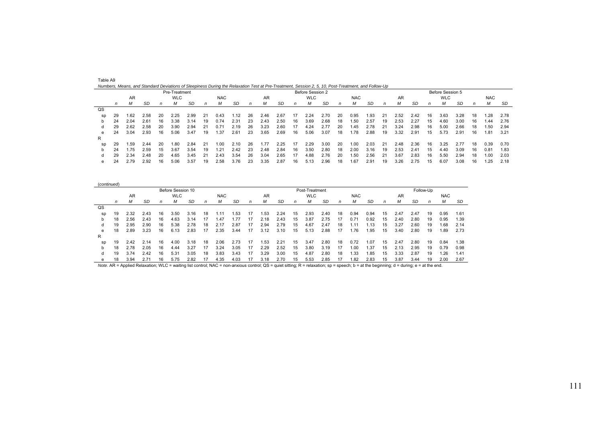|    |    |      |      |    | Pre-Treatment |      |    |            |      |    |      |      |    | Before Session 2 |      |    |            |      |    |      |      |    | Before Session 5 |      |    |            |      |
|----|----|------|------|----|---------------|------|----|------------|------|----|------|------|----|------------------|------|----|------------|------|----|------|------|----|------------------|------|----|------------|------|
|    |    | AR   |      |    | <b>WLC</b>    |      |    | <b>NAC</b> |      |    | AR   |      |    | <b>WLC</b>       |      |    | <b>NAC</b> |      |    | AR   |      |    | <b>WLC</b>       |      |    | <b>NAC</b> |      |
|    | n  | М    | SD   | n  |               | SD   | n  | М          | SD   | n  | м    | SD   | n  | М                | SD   | n  | м          | SD   | n  | М    | -SD  | n  | М                | SD   | n  | М          | SD   |
| QS |    |      |      |    |               |      |    |            |      |    |      |      |    |                  |      |    |            |      |    |      |      |    |                  |      |    |            |      |
| sp | 29 | .62، | 2.58 | 20 | 2.25          | 2.99 | 21 | 0.43       | 1.12 | 26 | 2.46 | 2.67 | 17 | 2.24             | 2.70 | 20 | 0.95       | 1.93 | 21 | 2.52 | 2.42 | 16 | 3.63             | 3.28 | 18 | 1.28       | 2.78 |
|    | 24 | 2.04 | 2.61 | 16 | 3.38          | 3.14 | 19 | 0.74       | 2.31 | 23 | 2.43 | 2.50 | 16 | 3.69             | 2.68 | 18 | .50        | 2.57 | 19 | 2.53 | 2.27 | 15 | 4.60             | 3.00 | 16 | 1.44       | 2.76 |
| α  | 29 | 2.62 | 2.58 | 20 | 3.90          | 2.94 | 21 | 0.71       | 2.19 | 26 | 3.23 | 2.60 | 17 | 4.24             | 2.77 | 20 | .45        | 2.78 |    | 3.24 | 2.98 | 16 | 5.00             | 2.66 | 18 | 1.50       | 2.94 |
| e  | 24 | 3.04 | 2.93 | 16 | 5.06          | 3.47 | 19 | . 37       | 2.61 | 23 | 3.65 | 2.69 | 16 | 5.06             | 3.07 | 18 | .78        | 2.88 | 19 | 3.32 | 2.91 | 15 | 5.73             | 2.91 | 16 | 1.81       | 3.21 |
| R  |    |      |      |    |               |      |    |            |      |    |      |      |    |                  |      |    |            |      |    |      |      |    |                  |      |    |            |      |
| sp | 29 | 59،، | 2.44 | 20 | .80           | 2.84 | 21 | .00        | 2.10 | 26 | .77  | 2.25 |    | 2.29             | 3.00 | 20 | 0.00       | 2.03 | 21 | 2.48 | 2.36 | 16 | 3.25             | 2.77 | 18 | 0.39       | 0.70 |
|    | 24 | .75  | 2.59 | 15 | 3.67          | 3.54 | 19 | .21        | 2.42 | 23 | 2.48 | 2.84 | 16 | 3.50             | 2.80 | 18 | 2.00       | 3.16 | 19 | 2.53 | 2.41 | 15 | 4.40             | 3.09 | 16 | 0.81       | 1.83 |
|    | 29 | 2.34 | 2.48 | 20 | 4.65          | 3.45 | 21 | 2.43       | 3.54 | 26 | 3.04 | 2.65 | 17 | 4.88             | 2.76 | 20 | .50        | 2.56 | 21 | 3.67 | 2.83 | 16 | 5.50             | 2.94 | 18 | 1.00       | 2.03 |
| e  | 24 | 2.79 | 2.92 | 16 | 5.06          | 3.57 | 19 | 2.58       | 3.76 | 23 | 3.35 | 2.87 | 16 | 5.13             | 2.96 | 18 | .67        | 2.91 | 19 | 3.26 | 2.75 | 15 | 6.07             | 3.08 | 16 | 1.25       | 2.18 |

| (continued) |    |      |      |    |                   |      |    |            |      |    |      |      |    |                |      |    |            |      |    |      |      |           |            |      |
|-------------|----|------|------|----|-------------------|------|----|------------|------|----|------|------|----|----------------|------|----|------------|------|----|------|------|-----------|------------|------|
|             |    |      |      |    | Before Session 10 |      |    |            |      |    |      |      |    | Post-Treatment |      |    |            |      |    |      |      | Follow-Up |            |      |
|             |    | AR   |      |    | <b>WLC</b>        |      |    | <b>NAC</b> |      |    | AR   |      |    | <b>WLC</b>     |      |    | <b>NAC</b> |      |    | AR   |      |           | <b>NAC</b> |      |
|             | n  | М    | SD   | n  | м                 | SD   | n  | м          | SD   | n  | М    | SD   | n  | М              | SD   | n  | М          | SD   | n  | М    | SD   | n         | м          | SD   |
| QS          |    |      |      |    |                   |      |    |            |      |    |      |      |    |                |      |    |            |      |    |      |      |           |            |      |
| sp          | 19 | 2.32 | 2.43 | 16 | 3.50              | 3.16 | 18 | . . 11     | .53  |    | . 53 | 2.24 | 15 | 2.93           | 2.40 | 18 | 0.94       | 0.94 | 15 | 2.47 | 2.47 | 19        | 0.95       | 1.61 |
| b           | 18 | 2.56 | 2.43 | 16 | 4.63              | 3.14 | 17 | .47        | .77  | 17 | 2.18 | 2.43 | 15 | 3.87           | 2.75 | 17 | 0.71       | 0.92 | 15 | 2.40 | 2.80 | 19        | 0.95       | 1.39 |
| d           | 19 | 2.95 | 2.90 | 16 | 5.38              | 2.78 | 18 | 2.17       | 2.87 | 17 | 2.94 | 2.79 | 15 | 4.67           | 2.47 | 18 |            | .13  | 15 | 3.27 | 2.60 | 19        | 1.68       | 2.14 |
| е           | 18 | 2.89 | 3.23 | 16 | 6.13              | 2.83 | 17 | 2.35       | 3.44 | 17 | 3.12 | 3.10 | 15 | 5.13           | 2.88 | 17 | .76        | .95  | 15 | 3.40 | 2.80 | 19        | 1.89       | 2.73 |
| R           |    |      |      |    |                   |      |    |            |      |    |      |      |    |                |      |    |            |      |    |      |      |           |            |      |
| sp          | 19 | 2.42 | 2.14 | 16 | 4.00              | 3.18 | 18 | 2.06       | 2.73 | 17 | 53،، | 2.21 | 15 | 3.47           | 2.80 | 18 | 0.72       | .07  | 15 | 2.47 | 2.80 | 19        | 0.84       | 1.38 |
| b           | 18 | 2.78 | 2.05 | 16 | 4.44              | 3.27 | 17 | 3.24       | 3.05 | 17 | 2.29 | 2.52 | 15 | 3.80           | 3.19 | 17 | 1.00       | .37  | 15 | 2.13 | 2.95 | 19        | 0.79       | 0.98 |
| d           | 19 | 3.74 | 2.42 | 16 | 5.31              | 3.05 | 18 | 3.83       | 3.43 | 17 | 3.29 | 3.00 | 15 | 4.87           | 2.80 | 18 | . 33       | .85  | 15 | 3.33 | 2.87 | 19        | 26. ا      | 1.41 |
| е           | 18 | 3.94 | 2.71 | 16 | 5.75              | 2.82 | 17 | 4.35       | 4.03 | 17 | 3.18 | 2.70 | 15 | 5.53           | 2.85 |    | 1.82       | 2.83 | 15 | 3.87 | 3.44 | 19        | 2.00       | 2.67 |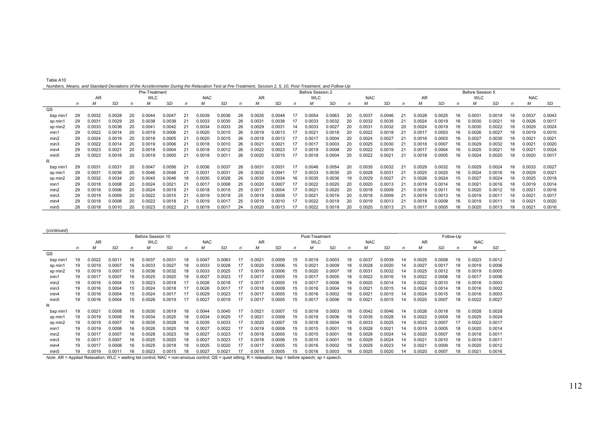| Table A10                                                                                                                                                 |
|-----------------------------------------------------------------------------------------------------------------------------------------------------------|
|                                                                                                                                                           |
| Numbers, Means, and Standard Deviations of the Accelerometer During the Relaxation Test at Pre-Treatment, Session 2, 5, 10, Post-Treatment, and Follow-Up |

|                  | Transfers, Mcana, and Olandard Deviations of the Accelerometer Damig the Relaxation Test at Fie-Heathem, Ocssion 2, 0, 10, 1 Ost-Heathem, and I oliow-Op<br>Pre-Treatment |        |        |    |            |        |    |                 |        |    |        |        |    | Before Session 2   |        |    |            |        |     |        |        |     | Before Session 5 |        |    |            |        |
|------------------|---------------------------------------------------------------------------------------------------------------------------------------------------------------------------|--------|--------|----|------------|--------|----|-----------------|--------|----|--------|--------|----|--------------------|--------|----|------------|--------|-----|--------|--------|-----|------------------|--------|----|------------|--------|
|                  |                                                                                                                                                                           | AR     |        |    | <b>WLC</b> |        |    | <b>NAC</b>      |        |    | AR     |        |    | <b>WLC</b>         |        |    | <b>NAC</b> |        |     | AR     |        |     | <b>WLC</b>       |        |    | <b>NAC</b> |        |
|                  |                                                                                                                                                                           | м      | SD     |    | М          | SD     |    | М               | SD     |    | М      | SD     | n  | м                  | SD     |    | м          | SD     |     | М      | SD     |     | M                | SD     |    | М          | SD     |
| QS               |                                                                                                                                                                           |        |        |    |            |        |    |                 |        |    |        |        |    |                    |        |    |            |        |     |        |        |     |                  |        |    |            |        |
| bsp min1         | 29                                                                                                                                                                        | 0.0032 | 0.0028 | 20 | 0.0044     | 0.0047 |    | 0.0039          | 0.0036 | 26 | 0.0035 | 0.0048 |    | 0.0054             | 0.0063 |    | 0.003      | 0.0046 |     | 0.0028 | 0.0025 |     | 0.003            | 0.0019 | 18 | 0.0037     | 0.0043 |
| sp min           | 29                                                                                                                                                                        | 0.0031 | 0.0029 | 20 | 0.0038     | 0.0039 |    | 0.0033          | 0.0035 | 26 | 0.0031 | 0.0038 |    | 0.0033             | 0.0032 |    | 0.0032     | 0.0035 |     | 0.0024 | 0.0019 |     | 0.0030           | 0.0021 | 18 | 0.0026     | 0.0017 |
| sp min2          | 29                                                                                                                                                                        | 0.0033 | 0.0036 | 20 | 0.004      | 0.0042 |    | 0.0034          | 0.0033 | 26 | 0.0029 | 0.0031 | 14 | 0.0033             | 0.0027 | 20 | 0.0031     | 0.0032 |     | 0.0024 | 0.0019 |     | 0.0030           | 0.0022 | 18 | 0.0029     | 0.0024 |
| min1             | 29                                                                                                                                                                        | 0.0022 | 0.0014 | 20 | 0.0019     | 0.0006 |    | 0.0020          | 0.0015 | 26 | 0.0019 | 0.0013 |    | 0.002 <sup>1</sup> | 0.0018 | 20 | 0.0022     | 0.0018 |     | 0.0017 | 0.0003 |     | 0.0026           | 0.0027 | 18 | 0.0019     | 0.0010 |
| min2             | 29                                                                                                                                                                        | 0.0024 | 0.0019 | 20 | 0.0018     | 0.0005 |    | 0.0020          | 0.0015 | 26 | 0.0018 | 0.0013 |    | 0.001              | 0.0004 | 20 | 0.0024     | 0.0027 |     | 0.0016 | 0.0003 |     | 0.0027           | 0.0030 | 18 | 0.0021     | 0.0021 |
| min3             | 29                                                                                                                                                                        | 0.0022 | 0.0014 | 20 | 0.0019     | 0.0006 |    | 0.0018          | 0.0010 | 26 | 0.0021 | 0.0021 |    | 0.001              | 0.0003 |    | 0.0025     | 0.0030 |     | 0.0018 | 0.0007 |     | 0.0029           | 0.0032 | 18 | 0.0021     | 0.0020 |
| min4             | 29                                                                                                                                                                        | 0.0023 | 0.0021 | 20 | 0.0018     | 0.0004 |    | 0.0018          | 0.0012 | 26 | 0.0022 | 0.0023 |    | 0.0019             | 0.0008 | 20 | 0.0022     | 0.0019 |     | 0.001  | 0.0004 |     | 0.0025           | 0.0021 | 18 | 0.0021     | 0.0024 |
| min <sub>5</sub> | 29                                                                                                                                                                        | 0.0023 | 0.0018 | 20 | 0.0019     | 0.0005 |    | 0.0018          | 0.001  | 26 | 0.0020 | 0.0015 | 17 | 0.0018             | 0.0004 | 20 | 0.0022     | 0.0021 |     | 0.0018 | 0.0005 | 16  | 0.0024           | 0.0020 | 18 | 0.0020     | 0.0017 |
| R                |                                                                                                                                                                           |        |        |    |            |        |    |                 |        |    |        |        |    |                    |        |    |            |        |     |        |        |     |                  |        |    |            |        |
| bsp min1         | 29                                                                                                                                                                        | 0.0031 | 0.0031 | 20 | 0.0047     | 0.0056 | 21 | 0.0036          | 0.0037 | 26 | 0.0031 | 0.0031 | 17 | 0.0046             | 0.0054 | 20 | 0.0035     | 0.0032 | -21 | 0.0029 | 0.0032 | 16. | 0.0029           | 0.0024 | 18 | 0.0033     | 0.0027 |
| sp min1          | 29                                                                                                                                                                        | 0.0031 | 0.0036 | 20 | 0.0046     | 0.0048 |    | $0.003^{\cdot}$ | 0.0031 | 26 | 0.0032 | 0.0041 | 17 | 0.0033             | 0.0030 | 20 | 0.0028     | 0.0031 |     | 0.0025 | 0.0020 |     | 0.0024           | 0.0016 | 18 | 0.0029     | 0.0021 |
| sp min2          | 28                                                                                                                                                                        | 0.0032 | 0.0034 | 20 | 0.0045     | 0.0046 | 18 | 0.0030          | 0.0026 | 26 | 0.0030 | 0.0034 | 16 | 0.0035             | 0.0036 |    | 0.0029     | 0.0027 |     | 0.0026 | 0.0024 |     | 0.0027           | 0.0024 | 16 | 0.0025     | 0.0018 |
| min1             | 29                                                                                                                                                                        | 0.0018 | 0.0008 | 20 | 0.0024     | 0.0021 |    | 0.0017          | 0.0008 | 25 | 0.0020 | 0.0007 |    | 0.0022             | 0.0020 |    | 0.0020     | 0.0013 |     | 0.0019 | 0.0014 |     | 0.002            | 0.0016 | 18 | 0.0019     | 0.0014 |
| min2             | 29                                                                                                                                                                        | 0.0018 | 0.0006 | 20 | 0.0024     | 0.0019 |    | 0.0018          | 0.0015 | 25 | 0.0017 | 0.0004 |    | 0.002              | 0.0020 | 20 | 0.0018     | 0.0009 |     | 0.0018 | 0.001  | 16  | 0.0020           | 0.0012 | 18 | 0.0021     | 0.0016 |
| min3             | 29                                                                                                                                                                        | 0.0019 | 0.0009 | 20 | 0.0022     | 0.0015 |    | 0.0019          | 0.0018 | 25 | 0.0019 | 0.0008 |    | 0.002 <sup>1</sup> | 0.0019 | 20 | 0.0018     | 0.0009 |     | 0.0019 | 0.0013 |     | 0.0019           | 0.0011 | 18 | 0.0021     | 0.0017 |
| min4             |                                                                                                                                                                           | 0.0018 | 0.0008 | 20 | 0.0022     | 0.0018 |    | 0.0019          | 0.0017 | 25 | 0.0019 | 0.0010 |    | 0.0022             | 0.0019 | 20 | 0.0019     | 0.0013 |     | 0.0018 | 0.0009 |     | 0.0019           | 0.0011 | 18 | 0.0021     | 0.0020 |
| min5             | 28                                                                                                                                                                        | 0.0018 | 0.0010 | 20 | 0.0023     | 0.0022 |    | 0.0019          | 0.0017 | 24 | 0.0020 | 0.0013 |    | 0.0022             | 0.0019 | 20 | 0.0020     | 0.0013 |     | 0.0017 | 0.0005 | 16  | 0.0020           | 0.0013 | 18 | 0.0021     | 0.0016 |

| (continued)      |    |        |        |    |                   |           |                                              |        |        |              |                    |        |    |                |                    |    |                 |                 |    |                    |           |    |            |        |
|------------------|----|--------|--------|----|-------------------|-----------|----------------------------------------------|--------|--------|--------------|--------------------|--------|----|----------------|--------------------|----|-----------------|-----------------|----|--------------------|-----------|----|------------|--------|
|                  |    |        |        |    | Before Session 10 |           |                                              |        |        |              |                    |        |    | Post-Treatment |                    |    |                 |                 |    |                    | Follow-Up |    |            |        |
|                  |    | AR     |        |    | <b>WLC</b>        |           | <b>NAC</b><br>AR<br><b>NAC</b><br><b>WLC</b> |        |        |              |                    |        |    |                |                    |    |                 |                 |    | AR                 |           |    | <b>NAC</b> |        |
|                  | n  | м      | SD     | n  | М                 | <b>SD</b> | n                                            | М      | SD     | n            | М                  | SD     | n  |                | <b>SD</b>          | n  | М               | SD              | n  | М                  | SD        | n  | M          | SD     |
| $_{\text{QS}}$   |    |        |        |    |                   |           |                                              |        |        |              |                    |        |    |                |                    |    |                 |                 |    |                    |           |    |            |        |
| bsp min          |    | 0.0022 | 0.001  | 16 | .0037             | 0.0031    | 18                                           | 0.0047 | 0.0063 | 17           | 0.002 <sup>1</sup> | 0.0009 | 15 | 0.0019         | 0.0003             | 18 | 0.0037          | 0.0039          | 14 | 0.0025             | 0.0008    | 18 | 0.0023     | 0.0012 |
| sp min1          | 19 | 0.0019 | 0.0007 | 16 | 0.0033            | 0.0027    | 18                                           | 0.0033 | 0.0028 | -11          | 0.0020             | 0.0006 | 15 | 0.0021         | 0.0009             |    | 0.0028          | 0.0020          |    | 0.0027             | 0.0017    | 18 | 0.0019     | 0.0006 |
| sp min2          | 19 | 0.0019 | 0.0007 | 15 | 0.0036            | 0.0032    | 18                                           | 0.0033 | 0.0025 | 1.           | 0.0019             | 0.0006 | 15 | 0.0020         | 0.0007             | 18 | 0.0031          | 0.0032          |    | 0.0025             | 0.0012    | 18 | 0.0019     | 0.0005 |
| min1             |    | 0.0017 | 0.0007 | 16 | 0.0025            | 0.0020    | 18                                           | 0.0027 | 0.0023 | 17           | 0.0017             | 0.0005 | 15 | 0.0017         | 0.0005             |    | 0.0022          | 0.0016          | 14 | 0.0022             | 0.0008    | 18 | 0.0017     | 0.0006 |
| min2             | 19 | 0.0016 | 0.0004 | 15 | 0.0023            | 0.0018    |                                              | 0.0026 | 0.0018 | 17           | 0.001              | 0.0005 | 15 | 0.0017         | 0.0006             |    | 0.0020          | 0.0014          |    | 0.0022             | 0.0010    | 18 | 0.0016     | 0.0003 |
| min3             | 19 | 0.0016 | 0.0004 | 15 | 0.0024            | 0.0018    |                                              | 0.0026 | 0.0017 | 17           | 0.0018             | 0.0008 | 15 | 0.0016         | 0.0004             | 18 | 0.0021          | 0.0015          | 14 | 0.0024             | 0.0014    | 18 | 0.0016     | 0.0002 |
| min4             |    | 0.0016 | 0.0004 | 15 | 0.0024            | 0.0017    |                                              | 0.0029 | 0.0023 | 17           | 0.001              | 0.0005 | 15 | 0.0016         | 0.0002             |    | 0.0021          | 0.0015          |    | 0.0024             | 0.0015    | 18 | 0.0016     | 0.0003 |
| min <sub>5</sub> | 19 | 0.0016 | 0.0004 | 15 | 0.0026            | 0.0019    |                                              | 0.0027 | 0.0019 | 17           | 0.0017             | 0.0005 | 15 | 0.0017         | 0.0006             | 18 | $0.002^{\circ}$ | 0.0015          | 14 | 0.0020             | 0.0007    | 18 | 0.0022     | 0.0027 |
| R                |    |        |        |    |                   |           |                                              |        |        |              |                    |        |    |                |                    |    |                 |                 |    |                    |           |    |            |        |
| bsp min          | 19 | 0.0021 | 0.0008 | 16 | 0.0030            | 0.0019    | 18                                           | 0.0044 | 0.0045 | 17           | 0.002 <sup>2</sup> | 0.0007 | 15 | 0.0018         | 0.0003             | 18 | 0.0042          | 0.0046          | 14 | 0.0026             | 0.0018    | 18 | 0.0028     | 0.0028 |
| sp min1          |    | 0.0019 | 0.0006 | 16 | 0.0034            | 0.0025    |                                              | 0.0034 | 0.0025 | $\mathbf{1}$ | 0.002 <sup>1</sup> | 0.0008 | 15 | 0.0018         | 0.0006             |    | 0.0035          | 0.0028          |    | 0.0022             | 0.0009    | 18 | 0.0025     | 0.0024 |
| sp min2          | 19 | 0.0019 | 0.0007 | 16 | 0.0035            | 0.0028    | 18                                           | 0.0035 | 0.0033 | 17           | 0.0020             | 0.0007 | 15 | 0.0018         | 0.0004             | 18 | 0.0033          | 0.0025          | 14 | 0.0022             | 0.0007    | 17 | 0.0022     | 0.0017 |
| min1             |    | 0.0019 | 0.0008 | 16 | 0.0026            | 0.0020    | 18                                           | 0.0027 | 0.0022 | -17          | 0.0019             | 0.0008 | 15 | 0.0015         | 0.0001             |    | 0.0028          | $0.002^{\circ}$ | 14 | 0.0019             | 0.0005    | 18 | 0.0020     | 0.0014 |
| min2             | 19 | 0.0017 | 0.0007 | 16 | 0.0028            | 0.0023    | 18                                           | 0.0027 | 0.0023 | $\mathbf{1}$ | 0.0018             | 0.0005 | 15 | 0.0015         | 0.0001             |    | 0.0028          | 0.0024          |    | 0.0020             | 0.0007    | 18 | 0.0018     | 0.0011 |
| min3             | 19 | 0.0017 | 0.0007 | 16 | 0.0025            | 0.0020    | 18                                           | 0.0027 | 0.0023 | $\mathbf{1}$ | 0.0018             | 0.0006 | 15 | 0.0015         | 0.000 <sub>1</sub> | 18 | 0.0029          | 0.0024          | 14 | 0.002              | 0.0010    | 18 | 0.0019     | 0.0011 |
| min4             | 19 | 0.0017 | 0.0008 | 16 | 0.0025            | 0.0018    | 18                                           | 0.0025 | 0.0020 | 17           | 0.001              | 0.0005 | 15 | 0.0016         | 0.0002             | 18 | 0.0029          | 0.0023          | 14 | 0.002 <sup>2</sup> | 0.0009    | 18 | 0.0020     | 0.0012 |
| min5             |    | 0.0019 | 0.0011 | 16 | 0.0023            | 0.0015    |                                              | 0.0027 | 0.0021 |              | 0.0018             | 0.0005 | 15 | 0.0016         | 0.0003             |    | 0.0025          | 0.0020          |    | 0.0020             | 0.0007    | 18 | 0.0021     | 0.0016 |

*Note.* AR = Applied Relaxation; WLC = waiting list control; NAC = non-anxious control; QS = quiet sitting; R = relaxation; bsp = before speech; sp = speech.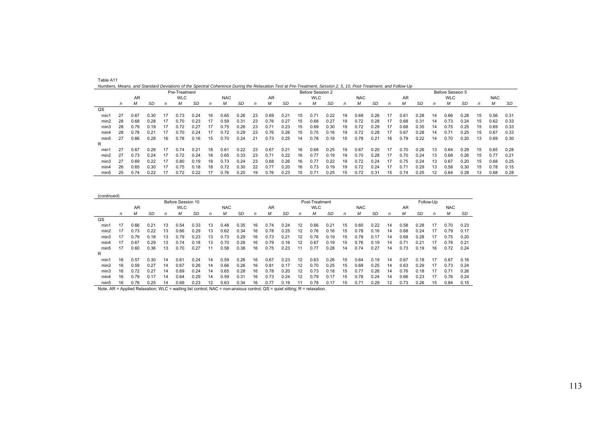|      | numbers, means, and clandard Deviations of the opectral conclements Danny the Helaxation Test at Fie-Treatment, Cession 2, O, To, Fost-Heatment, and Follow-Op-<br>Pre-Treatment |      |      |    |      |      |    |      |      |    |      |      |    | Before Session 2 |      |    |            |      |    |      |      |    | Before Session 5 |      |    |            |      |
|------|----------------------------------------------------------------------------------------------------------------------------------------------------------------------------------|------|------|----|------|------|----|------|------|----|------|------|----|------------------|------|----|------------|------|----|------|------|----|------------------|------|----|------------|------|
|      | <b>WLC</b><br><b>NAC</b><br>AR                                                                                                                                                   |      |      |    |      |      |    |      |      |    | AR   |      |    | <b>WLC</b>       |      |    | <b>NAC</b> |      |    | AR   |      |    | <b>WLC</b>       |      |    | <b>NAC</b> |      |
|      | n                                                                                                                                                                                | М    | SD   | n  | м    | SD   | n  | м    | SD   | n  | м    | SD   | n  | м                | SD   | n  | М          | SD   | n  | м    | SD   | n  | м                | SD   | n  | M          | SD   |
| QS   |                                                                                                                                                                                  |      |      |    |      |      |    |      |      |    |      |      |    |                  |      |    |            |      |    |      |      |    |                  |      |    |            |      |
| min1 | 27                                                                                                                                                                               | 0.67 | 0.30 | 17 | 0.73 | 0.24 | 16 | 0.65 | 0.26 | 23 | 0.69 | 0.21 | 15 | 0.71             | 0.22 | 19 | 0.69       | 0.26 | 17 | 0.61 | 0.28 | 14 | 0.66             | 0.28 | 15 | 0.56       | 0.31 |
| min2 | 28                                                                                                                                                                               | 0.68 | 0.28 | 17 | 0.70 | 0.23 | 17 | 0.59 | 0.31 | 23 | 0.76 | 0.27 | 15 | 0.68             | 0.27 | 19 | 0.72       | 0.28 | 17 | 0.68 | 0.31 | 14 | 0.73             | 0.24 | 15 | 0.62       | 0.33 |
| min3 | 28                                                                                                                                                                               | 0.79 | 0.19 | 17 | 0.72 | 0.27 | 17 | 0.75 | 0.26 | 23 | 0.71 | 0.23 | 15 | 0.69             | 0.30 | 19 | 0.72       | 0.29 | 17 | 0.68 | 0.35 | 14 | 0.75             | 0.25 | 15 | 0.69       | 0.33 |
| min4 | 28                                                                                                                                                                               | 0.78 | 0.21 |    | 0.70 | 0.24 | 17 | 0.72 | 0.29 | 23 | 0.76 | 0.26 | 15 | 0.75             | 0.16 | 19 | 0.72       | 0.28 | 17 | 0.67 | 0.28 | 14 | 0.71             | 0.25 | 15 | 0.67       | 0.33 |
| min5 | 27                                                                                                                                                                               | 0.66 | 0.28 | 16 | 0.78 | 0.16 | 15 | 0.70 | 0.24 | 21 | 0.73 | 0.25 | 14 | 0.78             | 0.18 | 15 | 0.78       | 0.21 | 16 | 0.79 | 0.22 | 14 | 0.70             | 0.20 | 13 | 0.69       | 0.30 |
| R    |                                                                                                                                                                                  |      |      |    |      |      |    |      |      |    |      |      |    |                  |      |    |            |      |    |      |      |    |                  |      |    |            |      |
| min1 | 27                                                                                                                                                                               | 0.67 | 0.28 | 17 | 0.74 | 0.21 | 18 | 0.61 | 0.22 | 23 | 0.67 | 0.21 | 16 | 0.68             | 0.25 | 19 | 0.67       | 0.20 | 17 | 0.70 | 0.26 | 13 | 0.64             | 0.29 | 15 | 0.65       | 0.28 |
| min2 | 27                                                                                                                                                                               | 0.73 | 0.24 | 17 | 0.72 | 0.24 | 18 | 0.65 | 0.33 | 23 | 0.71 | 0.22 | 16 | 0.77             | 0.19 | 19 | 0.70       | 0.28 | 17 | 0.70 | 0.24 | 13 | 0.68             | 0.26 | 15 | 0.77       | 0.21 |
| min3 | 27                                                                                                                                                                               | 0.69 | 0.22 |    | 0.80 | 0.19 | 18 | 0.73 | 0.24 | 23 | 0.68 | 0.26 | 16 | 0.77             | 0.22 | 19 | 0.72       | 0.24 | 17 | 0.75 | 0.24 | 13 | 0.67             | 0.20 | 15 | 0.68       | 0.25 |
| min4 | 26                                                                                                                                                                               | 0.65 | 0.30 |    | 0.75 | 0.18 | 18 | 0.72 | 0.30 | 22 | 0.77 | 0.20 | 16 | 0.73             | 0.19 | 19 | 0.72       | 0.24 | 17 | 0.71 | 0.29 | 13 | 0.58             | 0.30 | 15 | 0.78       | 0.15 |
| min5 | 25                                                                                                                                                                               | 0.74 | 0.22 |    | 0.72 | 0.22 |    | 0.76 | 0.20 | 19 | 0.76 | 0.23 | 15 | 0.71             | 0.25 | 15 | 0.72       | 0.31 | 15 | 0.74 | 0.25 | 12 | 0.64             | 0.28 | 13 | 0.68       | 0.28 |

| Table A11                                                                                                                                                      |  |
|----------------------------------------------------------------------------------------------------------------------------------------------------------------|--|
| Numbers, Means, and Standard Deviations of the Spectral Coherence During the Relaxation Test at Pre-Treatment, Session 2, 5, 10, Post-Treatment, and Follow-Up |  |

| (continued)      |    |      |      |    |                   |           |    |            |      |    |      |      |                   |                |      |              |            |      |    |      |      |           |            |      |
|------------------|----|------|------|----|-------------------|-----------|----|------------|------|----|------|------|-------------------|----------------|------|--------------|------------|------|----|------|------|-----------|------------|------|
|                  |    |      |      |    | Before Session 10 |           |    |            |      |    |      |      |                   | Post-Treatment |      |              |            |      |    |      |      | Follow-Up |            |      |
|                  |    | AR   |      |    | <b>WLC</b>        |           |    | <b>NAC</b> |      |    | AR   |      |                   | <b>WLC</b>     |      |              | <b>NAC</b> |      |    | AR   |      |           | <b>NAC</b> |      |
|                  | n  | м    | SD   | n  | M                 | <b>SD</b> | n  | М          | SD   | n  | м    | SD   | n                 | M              | SD   | $\mathsf{n}$ | M          | SD   | n  | М    | SD   | n         | М          | SD   |
| QS               |    |      |      |    |                   |           |    |            |      |    |      |      |                   |                |      |              |            |      |    |      |      |           |            |      |
| min1             |    | 0.66 | 0.21 | 13 | 0.54              | 0.33      | 13 | 0.48       | 0.35 | 16 | 0.74 | 0.24 | 12                | 0.66           | 0.21 | 15           | 0.60       | 0.22 | 14 | 0.58 | 0.28 | 17        | 0.70       | 0.23 |
| min2             |    | 0.73 | 0.22 | 13 | 0.66              | 0.29      | 13 | 0.62       | 0.34 | 16 | 0.78 | 0.25 | 12                | 0.76           | 0.16 | 15           | 0.78       | 0.16 | 14 | 0.68 | 0.24 | 17        | 0.79       | 0.17 |
| min3             |    | 0.79 | 0.18 | 13 | 0.79              | 0.23      | 13 | 0.73       | 0.29 | 16 | 0.73 | 0.21 | $12 \overline{ }$ | 0.78           | 0.19 | 15           | 0.78       | 0.17 | 14 | 0.68 | 0.28 |           | 0.75       | 0.20 |
| min4             |    | 0.67 | 0.29 | 13 | 0.74              | 0.18      | 13 | 0.70       | 0.28 | 16 | 0.79 | 0.16 | 12                | 0.67           | 0.19 | 15           | 0.76       | 0.19 | 14 | 0.71 | 0.21 |           | 0.78       | 0.21 |
| min <sub>5</sub> | 17 | 0.60 | 0.36 | 13 | 0.70              | 0.27      | 11 | 0.58       | 0.38 | 16 | 0.75 | 0.23 |                   | 0.77           | 0.28 | 14           | 0.74       | 0.27 | 14 | 0.73 | 0.19 | 16        | 0.72       | 0.24 |
| R                |    |      |      |    |                   |           |    |            |      |    |      |      |                   |                |      |              |            |      |    |      |      |           |            |      |
| min1             | 16 | 0.57 | 0.30 | 14 | 0.61              | 0.24      | 14 | 0.59       | 0.26 | 16 | 0.67 | 0.23 | 12                | 0.63           | 0.26 | 15           | 0.64       | 0.19 | 14 | 0.67 | 0.18 | 17        | 0.67       | 0.18 |
| min2             | 16 | 0.59 | 0.27 | 14 | 0.67              | 0.26      | 14 | 0.66       | 0.26 | 16 | 0.81 | 0.17 | 12                | 0.70           | 0.25 | 15           | 0.68       | 0.25 | 14 | 0.63 | 0.29 | 17        | 0.73       | 0.24 |
| min3             | 16 | 0.72 | 0.27 | 14 | 0.69              | 0.24      | 14 | 0.65       | 0.28 | 16 | 0.78 | 0.20 | 12                | 0.73           | 0.18 | 15           | 0.77       | 0.26 | 14 | 0.76 | 0.18 | 17        | 0.71       | 0.26 |
| min4             | 16 | 0.79 | 0.17 | 14 | 0.64              | 0.29      | 14 | 0.59       | 0.31 | 16 |      | 0.24 | 12                | 0.79           | 0.17 | 15           | 0.78       | 0.24 | 14 | 0.66 | 0.23 |           | 0.76       | 0.24 |
| min <sub>5</sub> | 16 | 0.76 | 0.25 | 14 | 0.69              | 0.23      | 12 | 0.63       | 0.34 | 16 | 0.77 | 0.19 |                   | 0.78           | 0.17 | 15           | 0.71       | 0.29 | 12 | 0.73 | 0.26 | 15        | 0.84       | 0.15 |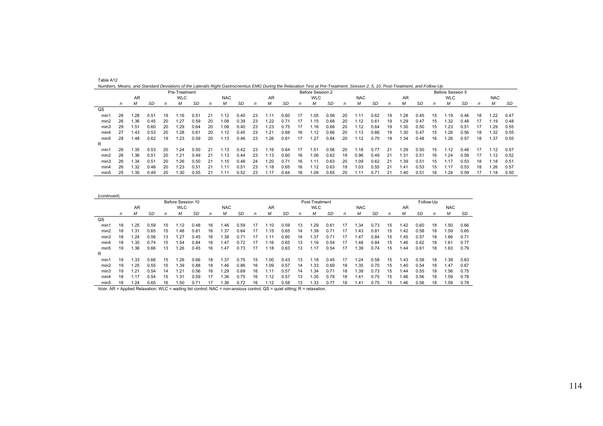| Numbers, Means, and Standard Deviations of the Lateralis Right Gastrocnemius EMG During the Relaxation Test at Pre-Treatment, Session 2, 5, 10, Post-Treatment, and Follow-Up |    |               |      |    |            |      |    |            |                                |    |      |      |    |                  |      |    |      |      |    |      |      |    |                  |      |    |            |      |
|-------------------------------------------------------------------------------------------------------------------------------------------------------------------------------|----|---------------|------|----|------------|------|----|------------|--------------------------------|----|------|------|----|------------------|------|----|------|------|----|------|------|----|------------------|------|----|------------|------|
|                                                                                                                                                                               |    | Pre-Treatment |      |    |            |      |    |            |                                |    |      |      |    | Before Session 2 |      |    |      |      |    |      |      |    | Before Session 5 |      |    |            |      |
|                                                                                                                                                                               |    | <b>AR</b>     |      |    | <b>WLC</b> |      |    | <b>NAC</b> | <b>WLC</b><br><b>NAC</b><br>AR |    |      |      |    |                  |      |    |      |      |    | AR   |      |    | <b>WLC</b>       |      |    | <b>NAC</b> |      |
|                                                                                                                                                                               | n. | м             | SD   | n  | М          | SD   | n  | м          | SD                             | n  | м    | SD   | n  | м                | SD   | n  | М    | SD   | n  | м    | SD   | n  | м                | SD   | n  | Μ          | SD   |
| $_{\text{QS}}$                                                                                                                                                                |    |               |      |    |            |      |    |            |                                |    |      |      |    |                  |      |    |      |      |    |      |      |    |                  |      |    |            |      |
| min1                                                                                                                                                                          | 26 | .28           | 0.51 | 19 | .16        | 0.51 | 21 | .12        | 0.40                           | 23 | .11  | 0.60 | 17 | I.O5             | 0.56 | 20 | 1.11 | 0.62 | 19 | .28  | 0.45 | 15 | 1.19             | 0.46 | 18 | .22        | 0.47 |
| min2                                                                                                                                                                          | 26 | 1.36          | 0.45 | 20 | .27        | 0.59 | 20 | .08        | 0.39                           | 23 | .22  | 0.71 | 17 | .15              | 0.68 | 20 | 1.12 | 0.61 | 19 | 1.29 | 0.47 | 15 | 1.32             | 0.48 |    | 1.19       | 0.48 |
| min3                                                                                                                                                                          | 29 | 1.51          | 0.60 | 20 | 1.29       | 0.64 | 20 | 0.08       | 0.40                           | 23 | 1.23 | 0.75 | 17 | 1.16             | 0.68 | 20 | 1.12 | 0.64 | 19 | 1.30 | 0.50 | 15 | 1.23             | 0.51 |    | .29        | 0.55 |
| min4                                                                                                                                                                          | 27 | 1.43          | 0.53 | 20 | 1.28       | 0.61 | 20 | .12        | 0.45                           | 23 | . 21 | 0.68 | 16 | 1.12             | 0.66 | 20 | 1.13 | 0.66 | 19 | .30  | 0.47 | 15 | 1.26             | 0.56 | 18 | 1.32       | 0.55 |
| min <sub>5</sub>                                                                                                                                                              | 28 | 1.48          | 0.62 | 19 | 1.23       | 0.59 | 20 | .13        | 0.46                           | 23 | .26  | 0.81 | 17 | 1.27             | 0.84 | 20 | 1.12 | 0.70 | 19 | .34  | 0.48 | 16 | 1.26             | 0.57 | 18 | 1.37       | 0.55 |
| R                                                                                                                                                                             |    |               |      |    |            |      |    |            |                                |    |      |      |    |                  |      |    |      |      |    |      |      |    |                  |      |    |            |      |
| min'                                                                                                                                                                          | 26 | 1.35          | 0.53 | 20 | .24        | 0.50 | 21 | l.13       | 0.42                           | 23 | 1.16 | 0.64 | 17 | 1.01             | 0.56 | 20 | 1.18 | 0.77 | 21 | 1.29 | 0.50 | 15 | 1.12             | 0.48 | 17 | 1.12       | 0.57 |
| min2                                                                                                                                                                          | 26 | 1.36          | 0.51 | 20 | 1.21       | 0.49 | 21 | .13        | 0.44                           | 23 | 1.13 | 0.60 | 16 | 1.06             | 0.62 | 19 | 0.96 | 0.49 | 21 | 1.31 | 0.51 | 16 | 1.24             | 0.59 | 17 | .12        | 0.52 |
| min3                                                                                                                                                                          | 26 | 1.34          | 0.51 | 20 | .26        | 0.50 | 21 | .15        | 0.48                           | 24 | 1.20 | 0.71 | 16 | 1.11             | 0.63 | 20 | 1.09 | 0.62 | 21 | 1.39 | 0.51 | 15 | 1.17             | 0.53 | 18 | l.18       | 0.51 |
| min4                                                                                                                                                                          | 26 | 1.32          | 0.48 | 20 | 1.23       | 0.51 | 21 | 11ء ا      | 0.51                           | 23 | 1.18 | 0.65 | 16 | 1.12             | 0.63 | 19 | 1.03 | 0.55 | 21 | 1.41 | 0.53 | 15 | 1.17             | 0.53 | 18 | .26        | 0.57 |
| min5                                                                                                                                                                          | 25 | 1.35          | 0.49 | 20 | 1.30       | 0.55 | 21 | 1.1'       | 0.52                           | 23 | 1.17 | 0.64 | 16 | 1.09             | 0.65 | 20 | 1.11 | 0.71 | 21 | 1.40 | 0.51 | 16 | 1.24             | 0.59 |    | 1.18       | 0.50 |

|                  |                                |      |      |    | Before Session 10 |      |    |      |           |              |      |      |    | Post-Treatment |               |    |            |           |    |           |      | Follow-Up    |            |      |
|------------------|--------------------------------|------|------|----|-------------------|------|----|------|-----------|--------------|------|------|----|----------------|---------------|----|------------|-----------|----|-----------|------|--------------|------------|------|
|                  | <b>WLC</b><br><b>NAC</b><br>AR |      |      |    |                   |      |    |      |           |              | AR   |      |    | <b>WLC</b>     |               |    | <b>NAC</b> |           |    | <b>AR</b> |      |              | <b>NAC</b> |      |
|                  | n                              | М    | SD   | n  | М                 | SD   | n  | М    | <b>SD</b> | $\mathsf{n}$ | м    | SD   | n  | М              | SD            | n  | M          | <b>SD</b> | n  | М         | SD   | $\mathsf{n}$ | м          | SD   |
| QS               |                                |      |      |    |                   |      |    |      |           |              |      |      |    |                |               |    |            |           |    |           |      |              |            |      |
| min1             | 18                             | .25  | 0.59 | 15 | 1.12              | 0.48 | 16 | .46  | 0.59      | 17           | 1.10 | 0.59 | 13 | .29            | $0.6^{\circ}$ | 17 | .34        | 0.73      | 15 | .42       | 0.60 | 18           | .50        | 0.66 |
| min2             | 18                             | .31  | 0.65 | 15 | 1.48              | 0.81 | 16 | .37  | 0.64      | 17           | 1.15 | 0.65 | 14 | .39            | $0.7^{\circ}$ | 17 | 1.43       | 0.81      | 15 | .42       | 0.58 | 18           | 1.59       | 0.65 |
| min3             | 18                             | .24  | 0.56 | 13 | . 27              | 0.45 | 16 | .38  | 0.71      | 17           | 1.11 | 0.60 | 14 | 1.37           | $0.7^{\circ}$ | 17 | 1.47       | 0.84      | 15 | .45       | 0.57 | 18           | 1.66       | 0.71 |
| min4             | 18                             | .35  | 0.74 | 15 | 54ء ،             | 0.84 | 16 | 1.47 | 0.72      | 17           | 1.16 | 0.65 | 13 | 1.16           | 0.54          | 17 | 1.48       | 0.84      | 15 | .46       | 0.62 | 18           | 1.61       | 0.77 |
| min <sub>5</sub> | 19                             | .36  | 0.66 | 13 | .26               | 0.45 | 16 | 1.47 | 0.73      | 17           | 1.18 | 0.63 | 13 | 1.17           | 0.54          | 17 | 1.39       | 0.74      | 15 | .44       | 0.61 | 18           | 1.63       | 0.79 |
| R                |                                |      |      |    |                   |      |    |      |           |              |      |      |    |                |               |    |            |           |    |           |      |              |            |      |
| min1             | 19                             | 1.33 | 0.66 | 15 | .26               | 0.66 | 18 | 1.37 | 0.75      | 15           | 1.00 | 0.43 | 13 | 1.18           | 0.45          | 17 | 1.24       | 0.58      | 15 | .43       | 0.58 | 18           | 1.39       | 0.63 |
| min2             | 19                             | .25  | 0.55 | 15 | .39               | 0.88 | 18 | 1.46 | 0.86      | 16           | 1.09 | 0.57 | 14 | 1.33           | 0.69          | 18 | .35        | 0.70      | 15 | .40       | 0.54 | 18           | 1.47       | 0.67 |
| min3             | 19                             | 1.21 | 0.54 | 14 | 1.21              | 0.56 | 16 | 1.29 | 0.69      | 16           | 1.11 | 0.57 | 14 | .34            | 0.71          | 18 | 1.39       | 0.73      | 15 | .44       | 0.55 | 18           | 1.56       | 0.75 |
| min4             | 18                             | 1.17 | 0.54 | 15 | 1.31              | 0.59 | 17 | .36  | 0.75      | 16           | 1.12 | 0.57 | 13 | .35            | 0.78          | 18 | 1.41       | 0.75      | 15 | .46       | 0.56 | 18           | 1.59       | 0.78 |
| min <sub>5</sub> | 18                             | .24  | 0.65 | 16 | 1.50              | 0.71 | 17 | 1.36 | 0.72      | 16           | 1.12 | 0.58 | 13 | 1.33           | 0.77          | 18 | 1.41       | 0.75      | 15 | 1.46      | 0.56 | 18           | 1.59       | 0.78 |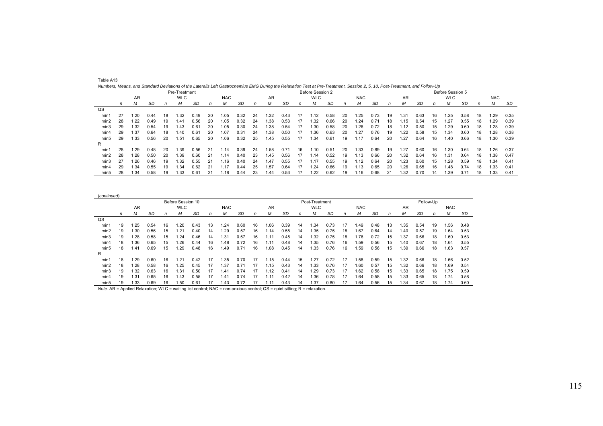| Table A13                                                                                                                                                                    |
|------------------------------------------------------------------------------------------------------------------------------------------------------------------------------|
| Numbers, Means, and Standard Deviations of the Lateralis Left Gastrocnemius EMG During the Relaxation Test at Pre-Treatment, Session 2, 5, 10, Post-Treatment, and Follow-Up |

|                |    |           |           |     | Pre-Treatment |      |    |            |      |    |      |      |    | Before Session 2 |      |    |            |      |    |           |      |    | Before Session 5 |      |    |            |      |
|----------------|----|-----------|-----------|-----|---------------|------|----|------------|------|----|------|------|----|------------------|------|----|------------|------|----|-----------|------|----|------------------|------|----|------------|------|
|                |    | <b>AR</b> |           |     | <b>WLC</b>    |      |    | <b>NAC</b> |      |    | AR   |      |    | <b>WLC</b>       |      |    | <b>NAC</b> |      |    | <b>AR</b> |      |    | <b>WLC</b>       |      |    | <b>NAC</b> |      |
|                | n  | м         | <b>SD</b> |     | М             | SD   | n  | м          | SD   | n  |      | SD   | n  | м                | SD   | n  | м          | SD   | n  | м         | SD   | n  | М                | -SD  |    | М          | SD   |
| $_{\text{QS}}$ |    |           |           |     |               |      |    |            |      |    |      |      |    |                  |      |    |            |      |    |           |      |    |                  |      |    |            |      |
| min1           | 27 | 1.20      | 0.44      | 18  | 1.32          | 0.49 | 20 | l.05       | 0.32 | 24 | 1.32 | 0.43 |    | 1.12             | 0.58 | 20 | 25. ا      | 0.73 | 19 | .31       | 0.63 | 16 | .25              | 0.58 | 18 | 1.29       | 0.35 |
| min2           | 28 | 1.22      | 0.49      | 19  | 1.41          | 0.56 | 20 | 1.05       | 0.32 | 24 | .38  | 0.53 | 17 | 1.32             | 0.66 | 20 | .24        | 0.71 | 18 | .15       | 0.54 | 15 | .27              | 0.55 | 18 | 1.29       | 0.39 |
| min3           | 29 | 1.32      | 0.54      | 19  | 43، ا         | 0.61 | 20 | 1.05       | 0.30 | 24 | .38  | 0.54 |    | 30،،             | 0.58 | 20 | 1.26       | 0.72 | 18 | 1.12      | 0.50 | 15 | .29              | 0.60 | 18 | 1.28       | 0.39 |
| min4           | 29 | 1.37      | 0.64      | 18  | .40           | 0.61 | 20 | 1.07       | 0.31 | 24 | .38  | 0.50 | 17 | 36،،             | 0.63 | 20 | 1.27       | 0.76 | 19 | 1.22      | 0.58 | 15 | .34              | 0.60 | 18 | 1.28       | 0.38 |
| min5           | 29 | 1.33      | 0.56      | 20  | 1.51          | 0.65 | 20 | 1.06       | 0.32 | 25 | .45  | 0.55 | 17 | .34              | 0.61 | 19 | 1.17       | 0.64 | 20 | 1.27      | 0.64 | 16 | .40              | 0.66 | 18 | 1.30       | 0.39 |
| R              |    |           |           |     |               |      |    |            |      |    |      |      |    |                  |      |    |            |      |    |           |      |    |                  |      |    |            |      |
| min1           | 28 | 1.29      | 0.48      | -20 | 1.39          | 0.56 | 21 | .14        | 0.39 | 24 | 1.58 | 0.71 | 16 | 1.10             | 0.51 | 20 | 1.33       | 0.89 | 19 | 1.27      | 0.60 | 16 | .30              | 0.64 | 18 | 1.26       | 0.37 |
| min2           | 28 | 1.28      | 0.50      | 20  | 1.39          | 0.60 | 21 | .14        | 0.40 | 23 | .45  | 0.56 |    | 1.14             | 0.52 | 19 | 1.13       | 0.66 | 20 | 1.32      | 0.64 | 16 | .31              | 0.64 | 18 | 1.38       | 0.47 |
| min3           | 27 | 1.26      | 0.46      | 19  | 1.32          | 0.55 | 21 | .16        | 0.40 | 24 | 1.47 | 0.55 |    | 1.17             | 0.55 | 19 | 1.12       | 0.64 | 20 | 1.23      | 0.60 | 15 | .28              | 0.59 | 18 | 1.34       | 0.41 |
| min4           | 29 | 1.34      | 0.55      | 19  | 34،،          | 0.62 |    | .17        | 0.44 | 25 | .57  | 0.64 |    | .24              | 0.66 | 19 | .13        | 0.65 | 20 | .26       | 0.65 | 16 | .48              | 0.74 |    | 1.33       | 0.41 |
| min5           | 28 | 1.34      | 0.58      |     | 1.33          | 0.61 | 21 | .18        | 0.44 | 23 | 1.44 | 0.53 |    | .22              | 0.62 | 19 | 1.16       | 0.68 |    | .32       | 0.70 |    | .39              | 0.71 | 18 | 1.33       | 0.41 |

|                  |    |       |      |    | Before Session 10 |      |    |            |           |    |      |           |    | Post-Treatment |           |    |            |           |              |      | Follow-Up |    |            |      |
|------------------|----|-------|------|----|-------------------|------|----|------------|-----------|----|------|-----------|----|----------------|-----------|----|------------|-----------|--------------|------|-----------|----|------------|------|
|                  |    | AR    |      |    | <b>WLC</b>        |      |    | <b>NAC</b> |           |    | AR   |           |    | <b>WLC</b>     |           |    | <b>NAC</b> |           |              | AR   |           |    | <b>NAC</b> |      |
|                  | n  | М     | SD   | n  | м                 | SD   | n  | М          | <b>SD</b> | n  | м    | <b>SD</b> | n  | М              | <b>SD</b> | n  | М          | <b>SD</b> | $\mathsf{n}$ |      | SD        | n  | М          | SD   |
| $_{\text{QS}}$   |    |       |      |    |                   |      |    |            |           |    |      |           |    |                |           |    |            |           |              |      |           |    |            |      |
| min1             | 19 | .25   | 0.54 | 16 | .20               | 0.43 | 13 | .24        | 0.60      | 16 | 1.06 | 0.39      | 14 | 1.34           | 0.73      | 17 | .49        | 0.48      | 13           | .35  | 0.54      | 19 | .56        | 0.48 |
| min2             | 19 | .30   | 0.56 | 15 | .21               | 0.40 | 14 | .29        | 0.57      | 16 | .14  | 0.55      | 14 | 1.35           | 0.75      | 18 | .67        | 0.64      | 14           | .40  | 0.57      | 19 | .64        | 0.53 |
| min3             | 19 | .28   | 0.58 | 15 | .24               | 0.46 | 14 | .31        | 0.57      | 16 | 1.11 | 0.45      | 14 | 1.32           | 0.75      | 18 | 1.76       | 0.72      | 15           | 1.37 | 0.66      | 18 | .60        | 0.53 |
| min4             | 18 | .36   | 0.65 | 15 | .26               | 0.44 | 16 | 1.48       | 0.72      | 16 | 11،  | 0.48      | 14 | 1.35           | 0.76      | 16 | .59        | 0.56      | 15           | 1.40 | 0.67      | 18 | 1.64       | 0.55 |
| min <sub>5</sub> | 18 | .41   | 0.69 | 15 | .29               | 0.48 | 16 | .49        | 0.71      | 16 | 0.08 | 0.45      | 14 | 1.33           | 0.76      | 16 | .59        | 0.56      | 15           | .39  | 0.66      | 18 | .63        | 0.57 |
| R                |    |       |      |    |                   |      |    |            |           |    |      |           |    |                |           |    |            |           |              |      |           |    |            |      |
| min1             | 18 | .29   | 0.60 | 16 | 1.21              | 0.42 | 17 | .35        | 0.70      | 17 | .15  | 0.44      | 15 | .27            | 0.72      | 17 | .58        | 0.59      | 15           | .32  | 0.66      | 18 | .66        | 0.52 |
| min2             | 18 | .28   | 0.58 | 16 | 1.25              | 0.45 | 17 | 1.37       | 0.71      |    | .15  | 0.43      | 14 | 1.33           | 0.76      | 17 | 1.60       | 0.57      | 15           | .32  | 0.66      | 18 | 1.69       | 0.54 |
| min3             | 19 | 1.32  | 0.63 | 16 | 1.31              | 0.50 | 17 | .41        | 0.74      | 17 | 1.12 | 0.41      | 14 | 1.29           | 0.73      | 17 | .62        | 0.58      | 15           | .33  | 0.65      | 18 | 75         | 0.59 |
| min4             | 19 | . .31 | 0.65 | 16 | 43، ،             | 0.55 |    | .41        | 0.74      |    | .11  | 0.42      | 14 | .36            | 0.78      | 17 | .64        | 0.58      | 15           | .33  | 0.65      | 18 | .74        | 0.58 |
| min5             | 19 | 1.33  | 0.69 | 16 | .50               | 0.61 |    | 1.43       | 0.72      |    | 1.11 | 0.43      | 14 | 1.37           | 0.80      |    | .64        | 0.56      | 15           | .34  | 0.67      | 18 | 1.74       | 0.60 |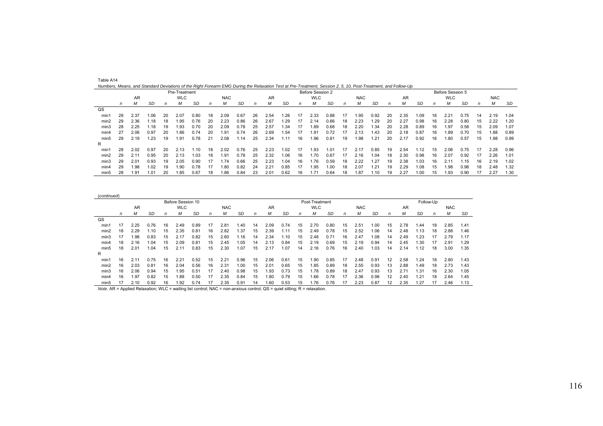|                |    |           |      |    | Pre-Treatment |      |    |            |      |    |      |      |    | Before Session 2 |      |    |            |      |    |      |      |    | Before Session 5 |      |    |            |      |
|----------------|----|-----------|------|----|---------------|------|----|------------|------|----|------|------|----|------------------|------|----|------------|------|----|------|------|----|------------------|------|----|------------|------|
|                |    | <b>AR</b> |      |    | <b>WLC</b>    |      |    | <b>NAC</b> |      |    | AR   |      |    | <b>WLC</b>       |      |    | <b>NAC</b> |      |    | AR   |      |    | <b>WLC</b>       |      |    | <b>NAC</b> |      |
|                | n  | м         | SD   | n  |               | SD   |    | м          | SD   |    | м    | SD   |    | м                | SD   |    | м          | SD   | n  | м    | SD   | n  | м                | SD   | n  | М          | SD   |
| $_{\text{QS}}$ |    |           |      |    |               |      |    |            |      |    |      |      |    |                  |      |    |            |      |    |      |      |    |                  |      |    |            |      |
| min1           | 29 | 2.37      | 1.06 | 20 | 2.07          | 0.80 | 18 | 2.09       | 0.67 | 26 | 2.54 | 1.26 | 17 | 2.33             | 0.88 | 17 | 95،،       | 0.92 | 20 | 2.35 | 1.09 | 16 | 2.21             | 0.75 | 14 | 2.19       | 1.04 |
| min2           | 29 | 2.36      | . 18 | 18 | 1.95          | 0.76 | 20 | 2.23       | 0.86 | 26 | 2.67 | 1.29 | 17 | 2.14             | 0.66 | 18 | 2.23       | 1.29 | 20 | 2.27 | 0.98 | 16 | 2.28             | 0.80 | 15 | 2.22       | 1.20 |
| min3           | 28 | 2.25      | .18  | 19 | 1.93          | 0.70 | 20 | 2.09       | 0.78 | 25 | 2.57 | 1.34 | 17 | .89              | 0.68 | 18 | 2.20       | 1.34 | 20 | 2.28 | 0.89 | 16 | 1.97             | 0.58 | 15 | 2.09       | 1.07 |
| min4           | 27 | 2.06      | 0.97 | 20 | 1.86          | 0.74 | 20 | 1.91       | 0.74 | 26 | 2.69 | 1.54 | 17 | . 91             | 0.72 | 17 | 2.13       | 1.43 | 20 | 2.18 | 0.87 | 16 | 1.89             | 0.70 | 15 | 88.1       | 0.89 |
| min5           | 29 | 2.19      | 1.23 | 19 | 1.91          | 0.78 | 21 | 2.08       | .14  | 25 | 2.34 | 1.11 | 16 | .96              | 0.81 | 19 | 98.        | 1.21 | 20 | 2.17 | 0.92 | 16 | 1.80             | 0.57 | 15 | 1.98       | 0.99 |
| R              |    |           |      |    |               |      |    |            |      |    |      |      |    |                  |      |    |            |      |    |      |      |    |                  |      |    |            |      |
| min1           | 28 | 2.02      | 0.97 | 20 | 2.13          | .10  | 18 | 2.02       | 0.76 | 25 | 2.23 | 1.02 | 17 | .93              | 1.01 |    | 2.17       | 0.85 | 19 | 2.54 | .12  | 15 | 2.06             | 0.75 | 17 | 2.28       | 0.96 |
| min2           | 29 | 2.11      | 0.95 | 20 | 2.13          | 1.03 | 18 | 1.91       | 0.78 | 25 | 2.32 | 1.06 | 16 | 1.70             | 0.67 | 17 | 2.16       | 1.04 | 18 | 2.30 | 0.98 | 16 | 2.07             | 0.92 |    | 2.26       | 1.01 |
| min3           | 29 | 2.01      | 0.93 | 19 | 2.05          | 0.90 | 17 | 1.74       | 0.66 | 25 | 2.23 | 1.04 | 16 | . 76             | 0.59 | 18 | 2.22       | 1.27 | 19 | 2.38 | 1.03 | 16 | 2.11             | 1.15 | 16 | 2.19       | 1.02 |
| min4           | 29 | 1.98      | 1.02 | 19 | 1.90          | 0.78 | 17 | 1.80       | 0.82 | 24 | 2.21 | 0.85 | 17 | 1.95             | 1.00 | 18 | 2.07       | 1.21 | 19 | 2.29 | 1.08 | 15 | 1.98             | 0.98 | 18 | 2.48       | 1.32 |
| min5           | 28 | 1.91      | 1.01 | 20 | 1.85          | 0.67 | 18 | 1.86       | 0.84 | 23 | 2.01 | 0.62 | 16 | 1.71             | 0.64 | 18 | 1.87       | 1.10 | 19 | 2.27 | 1.00 | 15 | 1.93             | 0.90 |    | 2.27       | 1.30 |

| Numbers, Means, and Standard Deviations of the Right Forearm EMG During the Relaxation Test at Pre-Treatment, Session 2, 5, 10, Post-Treatment, and Follow-Up |  |  |
|---------------------------------------------------------------------------------------------------------------------------------------------------------------|--|--|
|                                                                                                                                                               |  |  |

| (continued)      |    |      |      |    |                   |      |    |            |      |    |      |               |    |                |           |              |            |      |    |      |        |           |            |      |
|------------------|----|------|------|----|-------------------|------|----|------------|------|----|------|---------------|----|----------------|-----------|--------------|------------|------|----|------|--------|-----------|------------|------|
|                  |    |      |      |    | Before Session 10 |      |    |            |      |    |      |               |    | Post-Treatment |           |              |            |      |    |      |        | Follow-Up |            |      |
|                  |    | AR   |      |    | <b>WLC</b>        |      |    | <b>NAC</b> |      |    | AR   |               |    | <b>WLC</b>     |           |              | <b>NAC</b> |      |    | AR   |        |           | <b>NAC</b> |      |
|                  | n  | М    | SD   | n  | М                 | SD   | n  | м          | SD   | n  | М    | SD            | n  | M              | <b>SD</b> | $\mathsf{n}$ | M          | SD   | n  | М    | SD     | n         | М          | SD   |
| QS               |    |      |      |    |                   |      |    |            |      |    |      |               |    |                |           |              |            |      |    |      |        |           |            |      |
| min1             | 17 | 2.25 | 0.76 | 16 | 2.49              | 0.89 | 17 | 2.81       | .40  | 14 | 2.09 | 0.74          | 15 | 2.70           | 0.80      | 15           | 2.51       | 1.00 | 15 | 2.78 | .44    | 18        | 2.85       | 1.41 |
| min2             | 18 | 2.29 | .10  | 15 | 2.35              | 0.81 | 16 | 2.82       | .37  | 15 | 2.39 | $1.1^{\circ}$ | 15 | 2.49           | 0.78      | 15           | 2.52       | 1.06 | 14 | 2.48 | 1.13   | 18        | 2.88       | 1.46 |
| min3             | 17 | 98.1 | 0.83 | 15 | 2.17              | 0.82 | 15 | 2.60       | .16  | 14 | 2.34 | 1.10          | 15 | 2.48           | 0.71      | 16           | 2.47       | 1.08 | 14 | 2.49 | .23    |           | 2.79       | 1.17 |
| min4             | 18 | 2.16 | .04  | 15 | 2.09              | 0.81 | 15 | 2.45       | .05  | 14 | 2.13 | 0.84          | 15 | 2.19           | 0.69      | 15           | 2.19       | 0.94 | 14 | 2.45 | . . 30 |           | 2.91       | 1.29 |
| min <sub>5</sub> | 18 | 2.01 | .04  | 15 | 2.11              | 0.83 | 15 | 2.30       | .07  | 15 | 2.17 | .07           | 14 | 2.16           | 0.76      | 16           | 2.40       | 1.03 | 14 | 2.14 | 1.12   | 18        | 3.00       | 1.35 |
| R                |    |      |      |    |                   |      |    |            |      |    |      |               |    |                |           |              |            |      |    |      |        |           |            |      |
| min1             | 16 | 2.11 | 0.75 | 16 | 2.21              | 0.52 | 15 | 2.21       | 0.96 | 15 | 2.06 | 0.61          | 15 | 1.90           | 0.85      | 17           | 2.48       | 0.91 | 12 | 2.58 | .24    | 18        | 2.80       | 1.43 |
| min2             | 16 | 2.03 | 0.81 | 16 | 2.04              | 0.56 | 16 | 2.31       | .00  | 15 | 2.01 | 0.65          | 15 | 1.85           | 0.89      | 18           | 2.55       | 0.93 | 13 | 2.88 | 1.49   | 18        | 2.73       | 1.43 |
| min3             | 16 | 2.06 | 0.94 | 15 | .95               | 0.51 | 17 | 2.40       | 0.98 | 15 | .93  | 0.73          | 15 | 1.78           | 0.89      | 18           | 2.47       | 0.93 | 13 | 271  | 1.31   | 16        | 2.30       | 1.05 |
| min4             | 16 | 1.97 | 0.82 | 15 | .88               | 0.50 | 17 | 2.35       | 0.84 | 15 | .80  | 0.79          | 15 | 1.66           | 0.78      | 17           | 2.36       | 0.98 | 12 | 2.40 | .21    | 18        | 2.64       | 1.45 |
| min <sub>5</sub> | 17 | 2.10 | 0.92 | 16 | 1.92              | 0.74 | 17 | 2.35       | 0.91 | 14 | 1.60 | 0.53          | 15 | 1.76           | 0.76      | 17           | 2.23       | 0.87 | 12 | 2.35 | 1.27   |           | 2.46       | 1.13 |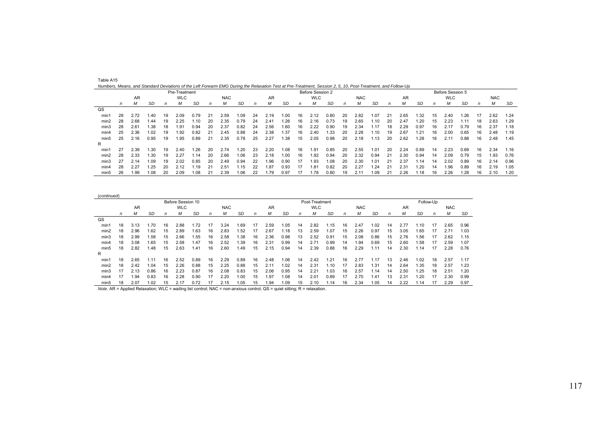|      |    |           |       |    | Pre-Treatment |      |    | numbers, means, and clandard Deviations of the Left Forearm Livio Danny the Neidxation Fest at Fre-Freatment, Cession 2, O, TO, Fost-Heatment, and Follow-Op |      |    |      |      |    | Before Session 2 |      |    |            |      |    |      |      |    | Before Session 5 |      |    |            |      |
|------|----|-----------|-------|----|---------------|------|----|--------------------------------------------------------------------------------------------------------------------------------------------------------------|------|----|------|------|----|------------------|------|----|------------|------|----|------|------|----|------------------|------|----|------------|------|
|      |    | <b>AR</b> |       |    | <b>WLC</b>    |      |    | <b>NAC</b>                                                                                                                                                   |      |    | AR   |      |    | <b>WLC</b>       |      |    | <b>NAC</b> |      |    | AR   |      |    | <b>WLC</b>       |      |    | <b>NAC</b> |      |
|      | n  | М         | SD    | n  | м             | SD   | n  | М                                                                                                                                                            | SD   | n  | м    | SD   | n  | м                | SD   | n  | М          | SD   | n  | м    | SD   | n  | М                | SD   | n  | М          | SD   |
| QS   |    |           |       |    |               |      |    |                                                                                                                                                              |      |    |      |      |    |                  |      |    |            |      |    |      |      |    |                  |      |    |            |      |
| min1 | 29 | 2.72      | 1.40  | 19 | 2.09          | 0.79 | 21 | 2.59                                                                                                                                                         | 09،، | 24 | 2.19 | 1.00 | 16 | 2.12             | 0.80 | 20 | 2.82       | 1.07 | 21 | 2.65 | 1.32 | 15 | 2.40             | 1.26 |    | 2.62       | 1.24 |
| min2 | 28 | 2.68      | 44. ، | 19 | 2.25          | .10  | 20 | 2.35                                                                                                                                                         | 0.79 | 24 | 2.41 | .26  | 16 | 2.16             | 0.73 | 19 | 2.65       | 1.10 | 20 | 2.47 | 1.20 | 15 | 2.23             | 1.11 | 18 | 2.63       | 1.29 |
| min3 | 28 | 2.61      | 1.38  | 18 | 1.91          | 0.94 | 20 | 2.37                                                                                                                                                         | 0.82 | 24 | 2.56 | 1.60 | 16 | 2.22             | 0.90 | 19 | 2.34       | 1.17 | 18 | 2.29 | 0.97 | 16 | 2.17             | 0.79 | 16 | 2.37       | 1.18 |
| min4 | 25 | 2.36      | 1.02  | 19 | 1.92          | 0.82 | 21 | 2.45                                                                                                                                                         | 0.88 | 24 | 2.38 | 1.37 | 16 | 2.40             | 1.33 | 20 | 2.28       | 1.10 | 19 | 2.67 | 1.21 | 16 | 2.00             | 0.65 | 16 | 2.48       | 1.19 |
| min5 | 25 | 2.16      | 0.95  | 19 | 1.95          | 0.89 | 21 | 2.35                                                                                                                                                         | 0.78 | 25 | 2.27 | .38  | 15 | 2.05             | 0.98 | 20 | 2.18       | 1.13 | 20 | 2.62 | 1.28 | 16 | 2.11             | 0.88 | 16 | 2.48       | 1.45 |
| R    |    |           |       |    |               |      |    |                                                                                                                                                              |      |    |      |      |    |                  |      |    |            |      |    |      |      |    |                  |      |    |            |      |
| min1 |    | 2.39      | .30   | 19 | 2.40          | .26  | 20 | 2.74                                                                                                                                                         | .20  | 23 | 2.20 | 1.08 | 16 | 1.91             | 0.85 | 20 | 2.55       | 1.01 | 20 | 2.24 | 0.89 | 14 | 2.23             | 0.69 | 16 | 2.34       | 1.16 |
| min2 | 28 | 2.33      | 1.30  | 19 | 2.27          | 1.14 | 20 | 2.66                                                                                                                                                         | 1.06 | 23 | 2.18 | 1.00 | 16 | 1.92             | 0.94 | 20 | 2.32       | 0.94 | 21 | 2.30 | 0.94 | 14 | 2.09             | 0.79 | 15 | 1.93       | 0.76 |
| min3 | 27 | 2.14      | 1.09  | 19 | 2.02          | 0.85 | 20 | 2.49                                                                                                                                                         | 0.94 | 22 | 1.96 | 0.90 | 17 | 1.93             | 1.08 | 20 | 2.30       | 1.01 | 21 | 2.37 | .14  | 14 | 2.02             | 0.89 | 16 | 2.14       | 0.96 |
| min4 | 28 | 2.27      | 1.25  | 20 | 2.12          | .19  | 21 | 2.51                                                                                                                                                         | .15  | 22 | 1.87 | 0.93 | 17 | 1.81             | 0.82 | 20 | 2.27       | 1.24 | 21 | 2.31 | 1.20 | 14 | .96              | 0.89 | 16 | 2.19       | 1.05 |
| min5 | 26 | 1.99      | 1.08  | 20 | 2.09          | 1.08 | 21 | 2.39                                                                                                                                                         | 1.06 | 22 | 1.79 | 0.97 |    | 1.78             | 0.80 | 19 | 2.11       | 1.09 | 21 | 2.26 | 1.18 | 16 | 2.26             | 1.28 | 16 | 2.10       | 1.20 |

| Table A15                                                                                                                                                    |  |
|--------------------------------------------------------------------------------------------------------------------------------------------------------------|--|
| Numbers, Means, and Standard Deviations of the Left Forearm EMG During the Relaxation Test at Pre-Treatment, Session 2, 5, 10, Post-Treatment, and Follow-Up |  |

| (continued)      |    |      |      |    |                   |      |    |            |      |    |      |      |    |                |           |    |            |      |    |      |      |           |            |      |
|------------------|----|------|------|----|-------------------|------|----|------------|------|----|------|------|----|----------------|-----------|----|------------|------|----|------|------|-----------|------------|------|
|                  |    |      |      |    | Before Session 10 |      |    |            |      |    |      |      |    | Post-Treatment |           |    |            |      |    |      |      | Follow-Up |            |      |
|                  |    | AR   |      |    | <b>WLC</b>        |      |    | <b>NAC</b> |      |    | AR   |      |    | <b>WLC</b>     |           |    | <b>NAC</b> |      |    | AR   |      |           | <b>NAC</b> |      |
|                  | n  | М    | SD   | n  | М                 | SD   | n  | м          | SD   | n  | М    | SD   | n  | M              | <b>SD</b> | n  | М          | SD   | n  | М    | SD   | n         | М          | SD   |
| QS               |    |      |      |    |                   |      |    |            |      |    |      |      |    |                |           |    |            |      |    |      |      |           |            |      |
| min1             | 18 | 3.13 | .70  | 16 | 2.88              | 1.72 | 17 | 3.24       | .69  |    | 2.59 | 1.05 | 14 | 2.82           | 1.15      | 16 | 2.47       | 1.02 | 14 | 2.77 | 10،، | 17        | 2.65       | 0.96 |
| min2             | 18 | 2.96 | .62  | 15 | 2.89              | 1.63 | 16 | 2.83       | .52  |    | 2.67 | 1.18 | 13 | 2.59           | 1.07      | 15 | 2.26       | 0.97 | 15 | 3.05 | .65  | 17        | 2.71       | 1.03 |
| min3             | 18 | 2.99 | .58  | 15 | 2.66              | 1.55 | 16 | 2.58       | .38  | 16 | 2.36 | 0.98 | 13 | 2.52           | 0.91      | 15 | 2.08       | 0.86 | 15 | 2.76 | 1.56 |           | 2.62       | 1.15 |
| min4             | 18 | 3.08 | .65  | 15 | 2.58              | 1.47 | 16 | 2.52       | .39  | 16 | 2.31 | 0.99 | 14 | 2.71           | 0.99      | 14 | 1.94       | 0.69 | 15 | 2.60 | 1.58 |           | 2.59       | 1.07 |
| min <sub>5</sub> | 18 | 2.82 | .48  | 15 | 2.63              | 1.41 | 16 | 2.60       | .49  | 15 | 2.15 | 0.94 | 14 | 2.39           | 0.88      | 16 | 2.29       | 1.11 | 14 | 2.30 | 1.14 | 17        | 2.28       | 0.76 |
| R                |    |      |      |    |                   |      |    |            |      |    |      |      |    |                |           |    |            |      |    |      |      |           |            |      |
| min1             | 18 | 2.65 | 1.11 | 16 | 2.52              | 0.89 | 16 | 2.29       | 0.89 | 16 | 2.48 | 1.06 | 14 | 2.42           | 1.21      | 16 | 2.77       | 1.17 | 13 | 2.46 | 1.02 | 18        | 2.57       | 1.17 |
| min2             | 18 | 2.42 | .04  | 15 | 2.26              | 0.88 | 15 | 2.25       | 0.88 | 15 | 2.1  | 1.02 | 14 | 2.31           | 1.10      | 17 | 2.83       | 1.31 | 14 | 2.64 | .35  | 18        | 2.57       | 1.23 |
| min3             | 17 | 2.13 | 0.86 | 16 | 2.23              | 0.87 | 16 | 2.08       | 0.83 | 15 | 2.06 | 0.95 | 14 | 2.21           | 1.03      | 16 | 2.57       | .14  | 14 | 2.50 | .25  | 18        | 2.51       | 1.20 |
| min4             | 17 | 1.94 | 0.83 | 16 | 2.28              | 0.90 | 17 | 2.20       | .00  | 15 | 1.97 | 0.08 | 14 | 2.01           | 0.89      | 17 | 2.70       | 1.41 | 13 | 2.31 | .20  |           | 2.30       | 0.99 |
| min <sub>5</sub> | 18 | 2.07 | 1.02 | 15 | 2.17              | 0.72 | 17 | 2.15       | .05  | 15 | 1.94 | 1.09 | 15 | 2.10           | 1.14      | 16 | 2.34       | 1.05 | 14 | 2.22 | 1.14 |           | 2.29       | 0.97 |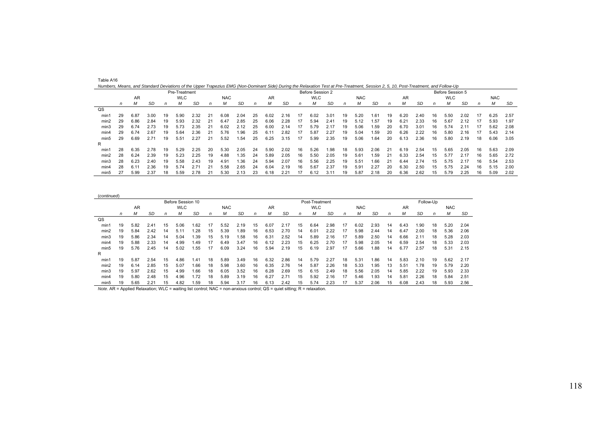| ,,,,,,,,,,,<br>Numbers, Means, and Standard Deviations of the Upper Trapezius EMG (Non-Dominant Side) During the Relaxation Test at Pre-Treatment, Session 2, 5, 10, Post-Treatment, and Follow-Up |    |      |      |    |               |      |    |            |      |    |      |      |    |                  |      |    |            |      |    |      |      |    |                  |      |    |            |      |
|----------------------------------------------------------------------------------------------------------------------------------------------------------------------------------------------------|----|------|------|----|---------------|------|----|------------|------|----|------|------|----|------------------|------|----|------------|------|----|------|------|----|------------------|------|----|------------|------|
|                                                                                                                                                                                                    |    |      |      |    | Pre-Treatment |      |    |            |      |    |      |      |    | Before Session 2 |      |    |            |      |    |      |      |    | Before Session 5 |      |    |            |      |
|                                                                                                                                                                                                    |    | AR   |      |    | <b>WLC</b>    |      |    | <b>NAC</b> |      |    | AR   |      |    | <b>WLC</b>       |      |    | <b>NAC</b> |      |    | AR   |      |    | <b>WLC</b>       |      |    | <b>NAC</b> |      |
|                                                                                                                                                                                                    | n  | М    | SD   | n  | М             | SD   | n  | М          | SD   |    | М    | SD   | n  | м                | SD   | n  | м          | SD   | n  | м    | SD   | n  | м                | SD   | n  | M          | SD   |
| QS                                                                                                                                                                                                 |    |      |      |    |               |      |    |            |      |    |      |      |    |                  |      |    |            |      |    |      |      |    |                  |      |    |            |      |
| min1                                                                                                                                                                                               | 29 | 6.87 | 3.00 | 19 | 5.90          | 2.32 | 21 | 6.08       | 2.04 | 25 | 6.02 | 2.16 | 17 | 6.02             | 3.01 | 19 | 5.20       | 1.61 | 19 | 6.20 | 2.40 | 16 | 5.50             | 2.02 | 17 | 6.25       | 2.57 |
| min2                                                                                                                                                                                               | 29 | 6.86 | 2.84 | 19 | 5.93          | 2.32 | 21 | 6.47       | 2.85 | 25 | 6.06 | 2.28 | 17 | 5.94             | 2.41 | 19 | 5.12       | 1.57 | 19 | 6.21 | 2.33 | 16 | 5.67             | 2.12 |    | 5.93       | 1.97 |
| min3                                                                                                                                                                                               | 29 | 6.74 | 2.73 | 19 | 5.73          | 2.35 | 21 | 6.02       | 2.12 | 25 | 6.00 | 2.14 | 17 | 5.79             | 2.17 | 19 | 5.06       | .59  | 20 | 6.70 | 3.01 | 16 | 5.74             | 2.11 |    | 5.62       | 2.08 |
| min4                                                                                                                                                                                               | 29 | 6.74 | 2.67 | 19 | 5.64          | 2.36 | 21 | 5.76       | .96  | 25 | 6.11 | 2.82 | 17 | 5.87             | 2.27 | 19 | 5.04       | 1.59 | 20 | 6.26 | 2.22 | 16 | 5.80             | 2.16 |    | 5.43       | 2.14 |
| min5                                                                                                                                                                                               | 29 | 6.69 | 2.71 | 19 | 5.51          | 2.27 | 21 | 5.52       | .54  | 25 | 6.25 | 3.15 | 17 | 5.99             | 2.35 | 19 | 5.06       | 1.64 | 20 | 6.13 | 2.36 | 16 | 5.80             | 2.19 | 18 | 6.06       | 3.05 |
| R                                                                                                                                                                                                  |    |      |      |    |               |      |    |            |      |    |      |      |    |                  |      |    |            |      |    |      |      |    |                  |      |    |            |      |
| min1                                                                                                                                                                                               | 28 | 6.35 | 2.78 | 19 | 5.29          | 2.25 | 20 | 5.30       | 2.05 | 24 | 5.90 | 2.02 | 16 | 5.26             | 1.98 | 18 | 5.93       | 2.06 | 21 | 6.19 | 2.54 | 15 | 5.65             | 2.05 | 16 | 5.63       | 2.09 |
| min2                                                                                                                                                                                               | 28 | 6.24 | 2.39 | 19 | 5.23          | 2.25 | 19 | 4.88       | .35  | 24 | 5.89 | 2.05 | 16 | 5.50             | 2.05 | 19 | 5.61       | .59  | 21 | 6.33 | 2.54 | 15 | 5.77             | 2.17 | 16 | 5.65       | 2.72 |
| min3                                                                                                                                                                                               | 28 | 6.23 | 2.40 | 19 | 5.58          | 2.43 | 19 | 4.91       | .36  | 24 | 5.94 | 2.07 | 16 | 5.56             | 2.25 | 19 | 5.51       | 1.66 | 21 | 6.44 | 2.74 | 15 | 5.75             | 2.17 | 16 | 5.54       | 2.53 |
| min4                                                                                                                                                                                               | 28 | 6.11 | 2.36 | 19 | 5.74          | 2.71 | 21 | 5.58       | 2.65 | 24 | 6.04 | 2.19 | 16 | 5.67             | 2.37 | 19 | 5.91       | 2.27 | 20 | 6.30 | 2.50 | 15 | 5.75             | 2.24 | 16 | 5.15       | 2.00 |
| min5                                                                                                                                                                                               |    | 5.99 | 2.37 | 18 | 5.59          | 2.78 |    | 5.30       | 2.13 | 23 | 6.18 | 2.21 |    | 6.12             | 3.11 | 19 | 5.87       | 2.18 | 20 | 6.36 | 2.62 | 15 | 5.79             | 2.25 | 16 | 5.09       | 2.02 |

| (continued)      |    |      |      |    |                   |      |    |            |      |    |      |      |    |                |      |    |            |      |    |           |           |    |            |      |
|------------------|----|------|------|----|-------------------|------|----|------------|------|----|------|------|----|----------------|------|----|------------|------|----|-----------|-----------|----|------------|------|
|                  |    |      |      |    | Before Session 10 |      |    |            |      |    |      |      |    | Post-Treatment |      |    |            |      |    |           | Follow-Up |    |            |      |
|                  |    | AR   |      |    | <b>WLC</b>        |      |    | <b>NAC</b> |      |    | AR   |      |    | <b>WLC</b>     |      |    | <b>NAC</b> |      |    | <b>AR</b> |           |    | <b>NAC</b> |      |
|                  | n  | М    | SD   | n  | м                 | SD   | n  | М          | SD   | n  | М    | SD   | n  | м              | SD   | n  | M          | SD   | n  | М         | SD        | n  | М          | SD   |
| QS               |    |      |      |    |                   |      |    |            |      |    |      |      |    |                |      |    |            |      |    |           |           |    |            |      |
| min1             | 19 | 5.82 | 2.41 | 15 | 5.06              | 1.62 | 17 | 5.52       | 2.19 | 15 | 6.07 | 2.17 | 15 | 6.64           | 2.98 | 17 | 6.02       | 2.93 | 14 | 6.43      | .90       | 18 | 5.20       | 2.04 |
| min2             | 19 | 5.84 | 2.42 | 14 | 5.11              | .28  | 15 | 5.39       | .89  | 16 | 6.53 | 2.70 | 14 | 6.01           | 2.22 | 17 | 5.98       | 2.44 | 14 | 6.47      | 2.00      | 18 | 5.36       | 2.06 |
| min3             | 19 | 5.86 | 2.34 | 14 | 5.04              | .39  | 15 | 5.19       | .58  | 16 | 6.3' | 2.52 | 14 | 5.89           | 2.16 |    | 5.89       | 2.50 | 14 | 6.66      | 2.11      | 18 | 5.28       | 2.03 |
| min4             | 19 | 5.88 | 2.33 | 14 | 4.99              | .49  | 17 | 6.49       | 3.47 | 16 | 6.12 | 2.23 | 15 | 6.25           | 2.70 | 17 | 5.98       | 2.05 | 14 | 6.59      | 2.54      | 18 | 5.33       | 2.03 |
| min <sub>5</sub> | 19 | 5.76 | 2.45 | 14 | 5.02              | .55  | 17 | 6.09       | 3.24 | 16 | 5.94 | 2.19 | 15 | 6.19           | 2.97 | 17 | 5.66       | .88  | 14 | 6.77      | 2.57      | 18 | 5.31       | 2.15 |
| R                |    |      |      |    |                   |      |    |            |      |    |      |      |    |                |      |    |            |      |    |           |           |    |            |      |
| min1             | 19 | 5.87 | 2.54 | 15 | 4.86              | 1.41 | 18 | 5.89       | 3.49 | 16 | 6.32 | 2.86 | 14 | 5.79           | 2.27 | 18 | 5.31       | .86  | 14 | 5.83      | 2.10      | 19 | 5.62       | 2.17 |
| min2             | 19 | 6.14 | 2.85 | 15 | 5.07              | 1.66 | 18 | 5.98       | 3.60 | 16 | 6.35 | 2.76 | 14 | 5.87           | 2.26 | 18 | 5.33       | 1.95 | 13 | 5.51      | 1.78      | 19 | 5.79       | 2.20 |
| min3             | 19 | 5.97 | 2.62 | 15 | 4.99              | 1.66 | 18 | 6.05       | 3.52 | 16 | 6.28 | 2.69 | 15 | 6.15           | 2.49 | 18 | 5.56       | 2.05 | 14 | 5.85      | 2.22      | 19 | 5.93       | 2.33 |
| min4             | 19 | 5.80 | 2.48 | 15 | 4.96              | 1.72 | 18 | 5.89       | 3.19 | 16 | 6.27 | 2.71 | 15 | 5.92           | 2.16 |    | 5.46       | .93  | 14 | 5.81      | 2.26      | 18 | 5.84       | 2.51 |
| min <sub>5</sub> | 19 | 5.65 | 2.21 | 15 | 4.82              | 1.59 | 18 | 5.94       | 3.17 | 16 | 6.13 | 2.42 | 15 | 5.74           | 2.23 | 17 | 5.37       | 2.06 | 15 | 6.08      | 2.43      | 18 | 5.93       | 2.56 |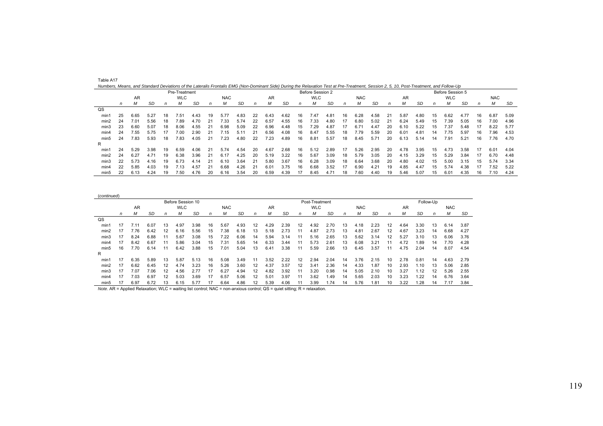| Table A1 |
|----------|
|----------|

*Numbers, Means, and Standard Deviations of the Lateralis Frontalis EMG (Non-Dominant Side) During the Relaxation Test at Pre-Treatment, Session 2, 5, 10, Post-Treatment, and Follow-Up* 

|                |    |           |      |    | Pre-Treatment |      |    |            |      |     |      |      |    | Before Session 2 |      |    |            |      |    |      |      |    | Before Session 5 |      |     |            |      |
|----------------|----|-----------|------|----|---------------|------|----|------------|------|-----|------|------|----|------------------|------|----|------------|------|----|------|------|----|------------------|------|-----|------------|------|
|                |    | <b>AR</b> |      |    | <b>WLC</b>    |      |    | <b>NAC</b> |      |     | AR   |      |    | <b>WLC</b>       |      |    | <b>NAC</b> |      |    | AR   |      |    | <b>WLC</b>       |      |     | <b>NAC</b> |      |
|                | n  | М         | SD   | n  | М             | SD   | n  | М          | SD   | n   | м    | SD   | n  | м                | SD   | n  | М          | SD   | n  | м    | SD   | n  | М                | SD   | n   | М          | SD   |
| $_{\text{QS}}$ |    |           |      |    |               |      |    |            |      |     |      |      |    |                  |      |    |            |      |    |      |      |    |                  |      |     |            |      |
| min1           | 25 | 6.65      | 5.27 | 18 | 7.51          | 4.43 | 19 | 5.77       | 4.83 | 22  | 6.43 | 4.62 | 16 | 7.47             | 4.81 | 16 | 6.28       | 4.58 | 21 | 5.87 | 4.80 | 15 | 6.62             | 4.77 | 16  | 6.87       | 5.09 |
| min2           | 24 | 7.01      | 5.56 | 18 | 7.89          | 4.70 | 21 | 7.33       | 5.74 | 22  | 6.57 | 4.55 | 16 | 7.33             | 4.80 | 17 | 6.80       | 5.02 | 21 | 6.24 | 5.49 | 15 | 7.39             | 5.05 | 16  | 7.00       | 4.96 |
| min3           | 23 | 6.60      | 5.07 | 18 | 8.06          | 4.55 | 21 | 6.98       | 5.09 | 22  | 6.96 | 4.48 | 15 | 7.29             | 4.87 |    | 6.71       | 4.47 | 20 | 6.10 | 5.22 | 15 | 7.37             | 5.48 |     | 8.22       | 5.77 |
| min4           | 24 | 7.55      | 5.75 | 17 | 7.00          | 2.90 | 21 | 7.15       | 5.11 | 21  | 6.56 | 4.08 | 16 | 8.47             | 5.55 | 18 | 7.79       | 5.59 | 20 | 6.01 | 4.81 | 14 | 7.75             | 5.97 | 16  | 7.96       | 4.53 |
| min5           | 24 | 7.83      | 5.93 | 18 | 7.83          | 4.05 | 21 | 7.23       | 4.80 | 22  | 7.23 | 4.89 | 16 | 8.81             | 5.57 | 18 | 8.45       | 5.71 | 20 | 6.13 | 5.14 | 14 | 7.91             | 5.21 | 16  | 7.76       | 4.70 |
| R              |    |           |      |    |               |      |    |            |      |     |      |      |    |                  |      |    |            |      |    |      |      |    |                  |      |     |            |      |
| min1           | 24 | 5.29      | 3.98 | 19 | 6.59          | 4.06 | 21 | 5.74       | 4.54 | 20  | 4.67 | 2.68 | 16 | 5.12             | 2.89 | 17 | 5.26       | 2.95 | 20 | 4.78 | 3.95 | 15 | 4.73             | 3.58 | -17 | 6.01       | 4.04 |
| min2           | 24 | 6.27      | 4.71 | 19 | 6.38          | 3.96 | 21 | 6.17       | 4.25 | 20  | 5.19 | 3.22 | 16 | 5.67             | 3.09 | 18 | 5.79       | 3.05 | 20 | 4.15 | 3.29 | 15 | 5.29             | 3.84 |     | 6.70       | 4.48 |
| min3           | 22 | 5.73      | 4.16 | 19 | 6.73          | 4.14 | 21 | 6.10       | 3.64 | -21 | 5.80 | 3.67 | 16 | 6.28             | 3.09 | 18 | 6.64       | 3.68 | 20 | 4.80 | 4.02 | 15 | 5.00             | 3.15 | 15  | 5.74       | 3.34 |
| min4           | 22 | 5.85      | 4.03 | 19 | 7.13          | 4.57 | 21 | 6.68       | 4.26 | 21  | 6.01 | 3.75 | 16 | 6.68             | 3.52 | 17 | 6.90       | 4.21 | 19 | 4.85 | 4.47 | 15 | 5.74             | 4.38 |     | 7.52       | 5.22 |
| min5           | 22 | 6.13      | 4.24 | 19 | 7.50          | 4.76 | 20 | 6.16       | 3.54 | 20  | 6.59 | 4.39 |    | 8.45             | 4.71 | 18 | 7.60       | 4.40 | 19 | 5.46 | 5.07 | 15 | 6.01             | 4.35 | 16  | 7.10       | 4.24 |

| (continued)      |    |      |      |    |                   |      |    |                 |      |    |               |      |    |                |      |    |            |      |    |           |      |           |            |      |
|------------------|----|------|------|----|-------------------|------|----|-----------------|------|----|---------------|------|----|----------------|------|----|------------|------|----|-----------|------|-----------|------------|------|
|                  |    |      |      |    | Before Session 10 |      |    |                 |      |    |               |      |    | Post-Treatment |      |    |            |      |    |           |      | Follow-Up |            |      |
|                  |    | AR   |      |    | <b>WLC</b>        |      |    | <b>NAC</b>      |      |    | AR            |      |    | <b>WLC</b>     |      |    | <b>NAC</b> |      |    | <b>AR</b> |      |           | <b>NAC</b> |      |
|                  | n  | M    | SD   | n  | М                 | SD   | n  | М               | SD   | n  | М             | SD   | n  | M              | SD   | n  | Μ          | SD   | n  | М         | SD   | n         | M          | SD   |
| $_{\text{QS}}$   |    |      |      |    |                   |      |    |                 |      |    |               |      |    |                |      |    |            |      |    |           |      |           |            |      |
| min1             | 17 | 7.11 | 6.07 | 13 | 4.97              | 3.98 | 16 | 5.67            | 4.93 | 12 | 4.29          | 2.39 | 12 | 4.92           | 2.70 | 13 | 4.18       | 2.23 | 12 | 4.64      | 3.30 | 13        | 6.14       | 3.87 |
| min2             | 17 | 7.76 | 6.42 | 12 | 6.16              | 5.56 | 15 | $^{\prime}$ .38 | 6.18 | 13 | 5.18          |      |    | 4.87           | 2.73 | 13 | 4.81       | 2.67 | 12 | 4.67      | 3.23 | 14        | 6.68       | 4.27 |
| min3             | 17 | 8.24 | 6.88 |    | 5.67              | 3.08 | 15 | '.22            | 6.06 | 14 | 5.94          | 3.14 |    | 5.16           | 2.65 | 13 | 5.62       | 3.14 | 12 | 5.27      | 3.10 | 13        | 6.06       | 3.76 |
| min4             | 17 | 8.42 | 6.67 |    | 5.86              | 3.04 | 15 | 7.31            | 5.65 | 14 | 6.33          | 3.44 |    | 5.73           | 2.61 | 13 | 6.08       | 3.21 |    | 4.72      | .89  | 14        | 7.70       | 4.28 |
| min <sub>5</sub> | 16 | 7.70 | 6.14 |    | 6.42              | 3.88 | 15 | 01.'            | 5.04 | 13 | 6.41          | 3.38 |    | 5.59           | 2.66 | 13 | 6.45       | 3.57 |    | 4.75      | 2.04 | 14        | 8.07       | 4.54 |
| R                |    |      |      |    |                   |      |    |                 |      |    |               |      |    |                |      |    |            |      |    |           |      |           |            |      |
| min1             | 17 | 6.35 | 5.89 | 13 | 5.87              | 5.13 | 16 | 5.08            | 3.49 | 11 | 3.52          | 2.22 | 12 | 2.94           | 2.04 | 14 | 3.76       | 2.15 | 10 | 2.78      | 0.81 | 14        | 4.63       | 2.79 |
| min2             | 17 | 6.62 | 6.45 | 12 | 4.74              | 3.23 | 16 | 5.26            | 3.60 | 12 | 4.37          | 3.57 | 12 | $3.4^{\circ}$  | 2.36 | 14 | 4.33       | 1.87 | 10 | 2.93      | .10  | 13        | 5.06       | 2.85 |
| min3             | 17 | 7.07 | 7.06 | 12 | 4.56              | 2.77 | 17 | 6.27            | 4.94 | 12 | 4.82          | 3.92 |    | 3.20           | 0.98 | 14 | 5.05       | 2.10 | 10 | 3.27      | .12  | 12        | 5.26       | 2.55 |
| min4             |    | 7.03 | 6.97 | 12 | 5.03              | 3.69 |    | 6.57            | 5.06 | 12 | $5.0^{\circ}$ | 3.97 |    | 3.62           | 1.49 | 14 | 5.65       | 2.03 | 10 | 3.23      | .22  | 14        | 6.76       | 3.64 |
| min <sub>5</sub> | 17 | 6.97 | 6.72 | 13 | 6.15              | 5.77 | 17 | 6.64            | 4.86 | 12 | 5.39          | 4.06 |    | 3.99           | 1.74 | 14 | 5.76       | 1.81 | 10 | 3.22      | .28  | 14        | 7.17       | 3.84 |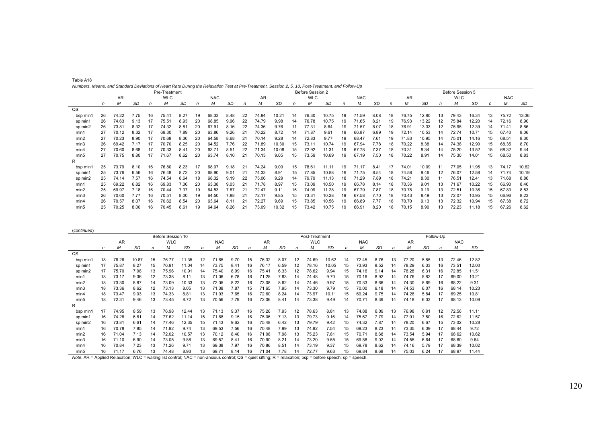| Table A18                                                                                                                                          |  |  |
|----------------------------------------------------------------------------------------------------------------------------------------------------|--|--|
| Numbers, Means, and Standard Deviations of Heart Rate During the Relaxation Test at Pre-Treatment, Session 2, 5, 10, Post-Treatment, and Follow-Up |  |  |

| $1.4$ and $1.5$ and $1.6$ and $1.6$ and $1.6$ and $1.6$ and $1.6$ and $1.6$ and $1.6$ and $1.6$ and $1.6$ and $1.6$ and $1.6$ and $1.6$ and $1.6$ and $1.6$ and $1.6$ and $1.6$ and $1.6$ and $1.6$ and $1.6$ and $1.6$ and | Pre-Treatment |       |      |    |            |               |    |            |      |    |       |       |    | Before Session 2 |                |    |            |      |    |       |           |    | Before Session 5 |                   |    |                |       |
|-----------------------------------------------------------------------------------------------------------------------------------------------------------------------------------------------------------------------------|---------------|-------|------|----|------------|---------------|----|------------|------|----|-------|-------|----|------------------|----------------|----|------------|------|----|-------|-----------|----|------------------|-------------------|----|----------------|-------|
|                                                                                                                                                                                                                             |               | AR    |      |    | <b>WLC</b> |               |    | <b>NAC</b> |      |    | AR    |       |    | <b>WLC</b>       |                |    | <b>NAC</b> |      |    | AR    |           |    | <b>WLC</b>       |                   |    | <b>NAC</b>     |       |
|                                                                                                                                                                                                                             | n             | M     | SD   | n  | м          | <b>SD</b>     | n  | М          | SD   | n  | М     | SD    | n  | М                | SD             | n  | М          | SD   | n  | М     | <b>SD</b> | n  | М                | <b>SD</b>         |    | M              | SD    |
| QS                                                                                                                                                                                                                          |               |       |      |    |            |               |    |            |      |    |       |       |    |                  |                |    |            |      |    |       |           |    |                  |                   |    |                |       |
| bsp min1                                                                                                                                                                                                                    | 26            | 74.22 | 7.75 | 16 | 75.41      | 8.27          | 19 | 68.33      | 8.48 | 22 | 74.94 | 10.21 | 14 | 76.30            | 10.75          | 19 | 71.59      | 8.08 | 18 | 76.75 | 12.80     | 13 | 79.43            | 16.34             |    | 75.72          | 13.36 |
| sp min1                                                                                                                                                                                                                     | 26            | 74.63 | 9.13 |    | 75.51      | 8.93          | 20 | 68.85      | 9.96 | 22 | 74.79 | 9.98  | 14 | 76.78            | 10.75          | 19 | 71.65      | 8.21 |    | 76.93 | 13.22     |    | 75.84            | 12.20             |    | 72.16          | 8.90  |
| sp min2                                                                                                                                                                                                                     | 26            | 73.81 | 8.32 |    | 74.32      | 8.81          | 20 | 67.9'      | 8.16 | 22 | 74.36 | 9.76  |    | 77.31            | 8.64           | 19 | 71.57      | 8.07 | 18 | 76.91 | 13.33     |    | 75.95            | 12.39             | 14 | 71.41          | 8.86  |
| min1                                                                                                                                                                                                                        | 27            | 70.12 | 8.32 |    | 69.30      | 7.89          | 20 | 63.86      | 9.26 | 21 | 70.22 | 8.72  | 14 | 71.87            | 9.61           | 19 | 66.87      | 6.89 | 19 | 72.14 | 10.53     | 14 | 72.74            | 10.7 <sup>7</sup> | 15 | 67.40          | 8.06  |
| min2                                                                                                                                                                                                                        | 27            | 70.23 | 8.90 |    | 70.68      | 8.30          | 20 | 64.58      | 8.68 | 21 | 70.14 | 9.28  | 14 | 72.83            | 9.77           | 19 | 68.47      | 7.61 |    | 71.83 | 10.95     | 14 | 75.01            | 14.16             | 15 | $68.5^{\circ}$ | 8.30  |
| min3                                                                                                                                                                                                                        | 26            | 69.42 | 7.17 |    | 70.70      | 8.25          | 20 | 64.52      | 7.76 | 22 | 1.89  | 10.30 | 15 | 73.11            | 10.74          | 19 | 67.94      | 7.78 |    | 70.22 | 8.38      | 14 | 74.38            | 12.90             | 15 | 68.35          | 8.70  |
| min4                                                                                                                                                                                                                        | 27            | 70.60 | 8.68 |    | 70.33      | $8.4^{\circ}$ | 20 | 63.7'      | 8.51 | 22 | 71.34 | 10.08 | 15 | 72.92            | 11.31          | 19 | 67.78      | 7.37 | 18 | 70.31 | 8.34      | 14 | 75.20            | 13.52             | 15 | 68.32          | 9.44  |
| min5                                                                                                                                                                                                                        |               | 70.75 | 8.80 | 17 | 71.67      | 8.62          | 20 | 63.74      | 8.10 | 21 | 70.13 | 9.05  | 15 | 73.59            | 10.69          | 19 | 67.19      | 7.50 | 18 | 70.22 | 8.91      | 14 | 75.30            | 14.01             | 15 | 68.50          | 8.83  |
| R                                                                                                                                                                                                                           |               |       |      |    |            |               |    |            |      |    |       |       |    |                  |                |    |            |      |    |       |           |    |                  |                   |    |                |       |
| bsp min                                                                                                                                                                                                                     | 25            | 73.79 | 8.10 | 16 | 76.80      | 8.23          |    | 68.07      | 9.18 | 21 | 74.24 | 9.00  | 15 | 78.61            | $11.1^{\circ}$ | 19 | 71.17      | 8.41 |    | 74.01 | 10.09     |    | 77.05            | 11.95             | 13 | 74.17          | 10.62 |
| sp min1                                                                                                                                                                                                                     | 25            | 73.76 | 6.56 | 16 | 76.48      | 8.72          | 20 | 68.90      | 9.01 | 21 | 74.33 | 8.91  | 15 | 77.85            | 10.88          | 19 | 71.75      | 8.54 | 18 | 74.58 | 9.46      | 12 | 76.07            | 12.58             | 14 | 71.74          | 10.19 |
| sp min2                                                                                                                                                                                                                     | 25            | 74.14 | 7.57 | 16 | 74.54      | 8.64          | 18 | 68.32      | 9.19 | 22 | 75.06 | 9.29  | 14 | 79.79            | 11.13          | 18 | 71.29      | 7.89 | 18 | 74.21 | 8.30      |    | 76.51            | $12.4^{\circ}$    |    | 71.68          | 8.86  |
| min1                                                                                                                                                                                                                        | 25            | 69.22 | 6.82 | 16 | 69.83      | 7.06          | 20 | 63.38      | 9.03 | 21 | 71.78 | 8.97  | 15 | 73.09            | 10.50          | 19 | 66.78      | 8.14 | 18 | 70.36 | 9.01      | 13 | 71.67            | 10.22             | 15 | 66.90          | 8.40  |
| min2                                                                                                                                                                                                                        | 25            | 69.97 | 7.18 | 16 | 70.44      | 7.37          | 19 | 64.53      | 7.87 |    | 72.47 | 9.11  | 15 | 74.09            | 11.28          | 19 | 67.79      | 7.87 | 18 | 70.78 | 9.19      | 13 | 72.51            | 10.36             | 15 | 67.83          | 8.53  |
| min3                                                                                                                                                                                                                        | 26            | 70.60 | 7.77 | 16 | 70.51      | 8.00          | 19 | 64.50      | 7.88 | 21 | 72.17 | 9.85  | 15 | 73.31            | 10.28          | 19 | 67.58      | 7.70 | 18 | 70.43 | 8.49      | 13 | 72.07            | 10.95             | 15 | 66.96          | 8.23  |
| min4                                                                                                                                                                                                                        | 26            | 70.57 | 8.07 | 16 | 70.62      | 8.54          | 20 | 63.64      | 8.11 | 21 | 72.27 | 9.69  | 15 | 73.85            | 10.56          | 19 | 66.89      | 7.77 | 18 | 70.70 | 9.13      | 13 | 72.32            | 10.94             | 15 | 67.38          | 8.72  |
| min <sub>5</sub>                                                                                                                                                                                                            | 25            | 70.25 | 8.00 | 16 | 70.45      | 8.61          | 19 | 64.64      | 8.26 | 21 | 73.09 | 10.32 | 15 | 73.42            | 10.75          | 19 | 66.91      | 8.20 | 18 | 70.15 | 8.90      | 13 | 72.23            | 11.18             | 15 | 67.26          | 8.62  |

| (continued)    |    |           |           |    |                   |           |    |            |               |    |           |           |    |                |       |    |            |           |    |           |           |           |            |       |
|----------------|----|-----------|-----------|----|-------------------|-----------|----|------------|---------------|----|-----------|-----------|----|----------------|-------|----|------------|-----------|----|-----------|-----------|-----------|------------|-------|
|                |    |           |           |    | Before Session 10 |           |    |            |               |    |           |           |    | Post-Treatment |       |    |            |           |    |           |           | Follow-Up |            |       |
|                |    | <b>AR</b> |           |    | <b>WLC</b>        |           |    | <b>NAC</b> |               |    | <b>AR</b> |           |    | <b>WLC</b>     |       |    | <b>NAC</b> |           |    | <b>AR</b> |           |           | <b>NAC</b> |       |
|                | n  | М         | <b>SD</b> | n  | м                 | <b>SD</b> | n  | М          | SD            | n  | М         | <b>SD</b> | n  | м              | SD    | n  | М          | <b>SD</b> | n  | М         | <b>SD</b> | n         | м          | SD    |
| $_{\text{QS}}$ |    |           |           |    |                   |           |    |            |               |    |           |           |    |                |       |    |            |           |    |           |           |           |            |       |
| bsp min1       | 18 | 76.26     | 10.87     | 15 | 76.77             | 11.35     | 12 | 71.65      | 9.70          | 15 | 76.32     | 8.07      | 12 | 74.69          | 10.62 | 14 | 72.45      | 8.76      | 13 | 77.20     | 5.85      | 13        | 72.46      | 12.82 |
| sp min1        | 17 | 75.87     | 8.27      | 15 | 76.91             | 11.04     | 14 | 73.75      | $8.4^{\circ}$ | 16 | 76.17     | 6.59      | 12 | 78.16          | 10.05 | 15 | 73.93      | 8.52      | 14 | 78.29     | 6.33      | 16        | 73.51      | 12.00 |
| sp min2        | 17 | 75.70     | 7.08      | 13 | 75.96             | 10.91     | 14 | 75.40      | 8.99          | 16 | 75.41     | 6.33      | 12 | 78.62          | 9.94  | 15 | 74.16      | 9.14      | 14 | 78.28     | 6.31      | 16        | 72.85      | 11.51 |
| min1           | 18 | 73.17     | 9.36      | 12 | 73.38             | 8.11      | 13 | 71.06      | 6.78          | 16 | 71.25     | 7.83      | 14 | 74.48          | 9.70  | 15 | 70.16      | 8.92      | 14 | 74.76     | 5.82      | 17        | 69.00      | 10.21 |
| min2           | 18 | 73.30     | 8.87      | 14 | 73.09             | 10.33     | 13 | 72.05      | 8.22          | 16 | 73.08     | 8.62      | 14 | 74.46          | 9.97  | 15 | 70.33      | 8.66      | 14 | 74.30     | 5.69      | 16        | 68.22      | 9.31  |
| min3           | 18 | 73.36     | 8.62      | 12 | 73.13             | 8.05      | 13 | 71.38      | 7.87          | 15 | 71.65     | 7.95      | 14 | 73.30          | 9.79  | 15 | 70.00      | 9.18      | 14 | 74.53     | 6.07      | 16        | 68.14      | 10.23 |
| min4           | 18 | 73.47     | 9.03      | 13 | 74.33             | 8.81      | 13 | 71.03      | 7.65          | 16 | 72.60     | 8.24      | 14 | 73.97          | 10.11 | 15 | 69.24      | 9.75      | 14 | 74.28     | 5.84      | 17        | 69.25      | 10.81 |
| min5           | 18 | 72.31     | 9.46      | 13 | 73.45             | 8.72      | 13 | 70.56      | 7.79          | 16 | 72.06     | 8.41      | 14 | 73.38          | 9.49  | 14 | 70.71      | 8.39      | 14 | 74.18     | 6.03      |           | 68.13      | 10.09 |
| R              |    |           |           |    |                   |           |    |            |               |    |           |           |    |                |       |    |            |           |    |           |           |           |            |       |
| bsp min1       | 17 | 74.95     | 8.59      | 13 | 76.98             | 12.44     | 13 | 71.13      | 9.37          | 16 | 75.26     | 7.93      | 12 | 78.63          | 8.81  | 13 | 74.88      | 8.09      | 13 | 76.98     | 6.91      | 12        | 72.56      | 11.11 |
| sp min1        | 16 | 74.28     | 6.81      | 14 | 77.62             | 11.14     | 15 | 71.68      | 9.15          | 16 | 75.06     | 7.13      | 13 | 79.73          | 9.16  | 14 | 75.67      | 7.79      | 14 | 77.91     | 7.50      | 16        | 72.62      | 11.57 |
| sp min2        | 16 | 73.81     | 6.61      | 14 | 77.46             | 12.35     | 15 | 71.43      | 9.62          | 16 | 75.48     | 6.42      | 13 | 79.79          | 9.42  | 15 | 74.32      | 7.87      | 14 | 78.20     | 6.67      | 15        | 73.02      | 10.28 |
| min1           | 16 | 70.78     | 7.85      | 14 | 71.92             | 9.74      | 13 | 69.53      | 7.56          | 16 | 70.48     | 7.99      | 13 | 74.92          | 7.54  | 15 | 69.23      | 8.23      | 14 | 73.35     | 6.09      | 17        | 68.44      | 9.72  |
| min2           | 16 | 71.04     | 7.13      | 14 | 72.02             | 10.57     | 13 | 70.12      | 8.40          | 16 | 71.08     | 7.98      | 13 | 75.23          | 7.81  | 15 | 70.71      | 8.68      | 14 | 73.54     | 5.94      |           | 68.62      | 10.62 |
| min3           | 16 | 71.10     | 6.90      | 14 | 73.05             | 9.88      | 13 | 69.57      | $8.4^{\circ}$ | 16 | 70.90     | 8.21      | 14 | 73.20          | 9.55  | 15 | 69.88      | 9.02      | 14 | 74.55     | 6.64      |           | 68.60      | 9.64  |
| min4           | 16 | 70.84     | 7.23      | 13 | 71.26             | 9.71      | 13 | 69.38      | 7.97          | 16 | 70.86     | 8.51      | 14 | 73.19          | 9.37  | 15 | 69.78      | 8.62      | 14 | 74.16     | 5.79      |           | 68.39      | 10.02 |
| min5           | 16 | 71.17     | 6.76      | 13 | 74.48             | 8.93      | 13 | 69.71      | 8.14          | 16 | 71.04     | 7.78      | 14 | 72.77          | 9.63  | 15 | 69.84      | 8.68      | 14 | 75.03     | 6.24      | 17        | 68.97      | 11.44 |

*Note*. AR = Applied Relaxation; WLC = waiting list control; NAC = non-anxious control; QS = quiet sitting; R = relaxation; bsp = before speech; sp = speech.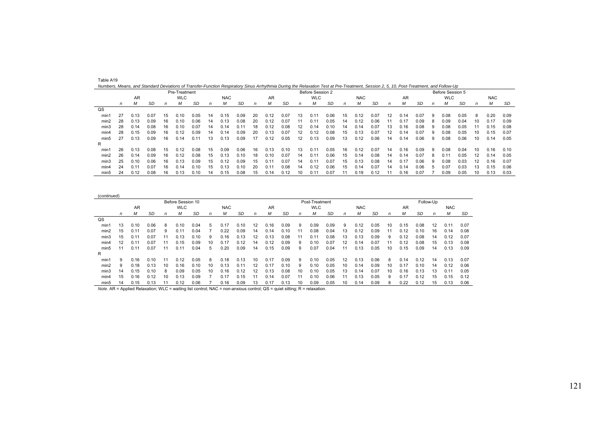| Numbers, Means, and Standard Deviations of Transfer-Function Respiratory Sinus Arrhythmia During the Relaxation Test at Pre-Treatment, Session 2, 5, 10, Post-Treatment, and Follow-Up |    |               |      |    |               |      |    |            |      |    |      |      |    |                  |      |    |            |      |    |      |      |   |                  |      |     |            |      |
|----------------------------------------------------------------------------------------------------------------------------------------------------------------------------------------|----|---------------|------|----|---------------|------|----|------------|------|----|------|------|----|------------------|------|----|------------|------|----|------|------|---|------------------|------|-----|------------|------|
|                                                                                                                                                                                        |    |               |      |    | Pre-Treatment |      |    |            |      |    |      |      |    | Before Session 2 |      |    |            |      |    |      |      |   | Before Session 5 |      |     |            |      |
|                                                                                                                                                                                        |    | AR            |      |    | <b>WLC</b>    |      |    | <b>NAC</b> |      |    | AR   |      |    | <b>WLC</b>       |      |    | <b>NAC</b> |      |    | AR   |      |   | <b>WLC</b>       |      |     | <b>NAC</b> |      |
|                                                                                                                                                                                        | n  | М             | SD   | n  | M             | SD   | n  | М          | SD   | n  | М    | SD   | n  | м                | SD   | n  | М          | SD   | n  | М    | SD   | n | М                | SD   | n   | М          | SD   |
| $_{\text{QS}}$                                                                                                                                                                         |    |               |      |    |               |      |    |            |      |    |      |      |    |                  |      |    |            |      |    |      |      |   |                  |      |     |            |      |
| min1                                                                                                                                                                                   | 27 | 0.13          | 0.07 | 15 | 0.10          | 0.05 | 14 | 0.15       | 0.09 | 20 | 0.12 | 0.07 | 13 | $0.1^{\circ}$    | 0.06 | 15 | 0.12       | 0.07 | 12 | 0.14 | 0.07 | 9 | 0.08             | 0.05 | 8   | 0.20       | 0.09 |
| min2                                                                                                                                                                                   | 28 | 0.13          | 0.09 | 16 | 0.10          | 0.06 | 14 | 0.13       | 0.08 | 20 | 0.12 | 0.07 |    | $0.1^{\circ}$    | 0.05 | 14 | 0.12       | 0.06 |    | 0.17 | 0.09 |   | 0.09             | 0.04 |     | 0.17       | 0.09 |
| min3                                                                                                                                                                                   | 28 | 0.14          | 0.08 | 16 | 0.10          | 0.07 | 14 | 0.14       | 0.11 | 18 | 0.12 | 0.08 | 12 | 0.14             | 0.10 | 14 | 0.14       | 0.07 | 13 | 0.16 | 0.08 |   | 0.08             | 0.05 |     | 0.15       | 0.08 |
| min4                                                                                                                                                                                   | 28 | 0.15          | 0.09 | 16 | 0.12          | 0.09 | 14 | 0.14       | 0.09 | 20 | 0.13 | 0.07 | 12 | 0.12             | 0.08 | 15 | 0.13       | 0.07 | 12 | 0.14 | 0.07 | 9 | 0.08             | 0.05 |     | 0.15       | 0.07 |
| min <sub>5</sub>                                                                                                                                                                       | 27 | 0.13          | 0.09 | 16 | 0.14          | 0.11 | 13 | 0.13       | 0.09 | 17 | 0.12 | 0.05 | 12 | 0.13             | 0.09 | 13 | 0.12       | 0.06 | 14 | 0.14 | 0.06 | 9 | 0.08             | 0.06 |     | 0.14       | 0.05 |
| R                                                                                                                                                                                      |    |               |      |    |               |      |    |            |      |    |      |      |    |                  |      |    |            |      |    |      |      |   |                  |      |     |            |      |
| min'                                                                                                                                                                                   | 26 | 0.13          | 0.08 | 15 | 0.12          | 0.08 | 15 | 0.09       | 0.06 | 16 | 0.13 | 0.10 | 13 | $0.1^{\circ}$    | 0.05 | 16 | 0.12       | 0.07 | 14 | 0.16 | 0.09 | 9 | 0.08             | 0.04 | 10. | 0.16       | 0.10 |
| min2                                                                                                                                                                                   | 26 | 0.14          | 0.09 | 16 | 0.12          | 0.08 | 15 | 0.13       | 0.10 | 18 | 0.10 | 0.07 | 14 | $0.1^{\circ}$    | 0.06 | 15 | 0.14       | 0.08 | 14 | 0.14 | 0.07 | 8 | 0.11             | 0.05 | 12  | 0.14       | 0.05 |
| min3                                                                                                                                                                                   | 25 | 0.10          | 0.06 | 16 | 0.13          | 0.09 | 15 | 0.12       | 0.09 | 15 | 0.11 | 0.07 | 14 | $0.1^{\circ}$    | 0.07 | 15 | 0.13       | 0.08 | 14 | 0.17 | 0.06 |   | 0.08             | 0.03 |     | 0.16       | 0.07 |
| min4                                                                                                                                                                                   | 24 | $0.1^{\circ}$ | 0.07 | 16 | 0.14          | 0.10 | 15 | 0.13       | 0.10 | 20 | 0.11 | 0.08 | 14 | 0.12             | 0.06 | 15 | 0.14       | 0.07 | 14 | 0.14 | 0.06 | h | 0.07             | 0.03 | 13  | 0.15       | 0.06 |
| min5                                                                                                                                                                                   | 24 | 0.12          | 0.08 | 16 | 0.13          | 0.10 | 14 | 0.15       | 0.08 |    | 0.14 | 0.12 | 10 | $0.1^{\circ}$    | 0.07 |    | 0.19       | 0.12 |    | 0.16 | 0.07 |   | 0.09             | 0.05 | 10. | 0.13       | 0.03 |

| (continued)      |    |               |           |    |                   |           |    |            |           |    |      |      |    |                |           |    |            |           |              |           |           |    |            |      |
|------------------|----|---------------|-----------|----|-------------------|-----------|----|------------|-----------|----|------|------|----|----------------|-----------|----|------------|-----------|--------------|-----------|-----------|----|------------|------|
|                  |    |               |           |    | Before Session 10 |           |    |            |           |    |      |      |    | Post-Treatment |           |    |            |           |              |           | Follow-Up |    |            |      |
|                  |    | AR            |           |    | <b>WLC</b>        |           |    | <b>NAC</b> |           |    | AR   |      |    | <b>WLC</b>     |           |    | <b>NAC</b> |           |              | <b>AR</b> |           |    | <b>NAC</b> |      |
|                  | n  | М             | <b>SD</b> | n  | M                 | <b>SD</b> | n  | М          | <b>SD</b> | n  | м    | SD   | n  | м              | <b>SD</b> | n  | М          | <b>SD</b> | $\mathsf{n}$ |           | SD        | n  | М          | SD   |
| QS               |    |               |           |    |                   |           |    |            |           |    |      |      |    |                |           |    |            |           |              |           |           |    |            |      |
| min1             | 13 | 0.10          | 0.06      | 8  | 0.10              | 0.04      | 5  | 0.17       | 0.10      | 12 | 0.16 | 0.09 | 9  | 0.09           | 0.09      | 9  | 0.12       | 0.05      | 10           | 0.15      | 0.08      | 12 | 0.11       | 0.07 |
| min2             | 15 | $0.1^{\circ}$ | 0.07      | 9  | 0.11              | 0.04      |    | 0.22       | 0.09      | 14 | 0.14 | 0.10 | 11 | 0.08           | 0.04      | 13 | 0.12       | 0.09      | 11           | 0.12      | 0.10      | 16 | 0.14       | 0.08 |
| min3             | 15 | $0.1^{\circ}$ | 0.07      | 11 | 0.13              | 0.10      | 9  | 0.16       | 0.13      | 12 | 0.13 | 0.08 | 11 | 0.11           | 0.08      | 13 | 0.13       | 0.09      | 9            | 0.12      | 0.08      | 14 | 0.12       | 0.07 |
| min4             | 12 | 0.11          | 0.07      | 11 | 0.15              | 0.09      | 10 | 0.17       | 0.12      | 14 | 0.12 | 0.09 | 9  | 0.10           | 0.07      | 12 | 0.14       | 0.07      | 11           | 0.12      | 0.08      | 15 | 0.13       | 0.08 |
| min <sub>5</sub> | 11 | 0.11          | 0.07      | 11 | 0.1               | 0.04      | 5  | 0.20       | 0.09      | 14 | 0.15 | 0.09 | 9  | 0.07           | 0.04      | 11 | 0.13       | 0.05      | 10           | 0.15      | 0.09      | 14 | 0.13       | 0.09 |
| R                |    |               |           |    |                   |           |    |            |           |    |      |      |    |                |           |    |            |           |              |           |           |    |            |      |
| min1             | 9  | 0.16          | 0.10      | 11 | 0.12              | 0.05      | 8  | 0.18       | 0.13      | 10 | 0.17 | 0.09 | 9  | 0.10           | 0.05      | 12 | 0.13       | 0.06      | 8            | 0.14      | 0.12      | 14 | 0.13       | 0.07 |
| min2             | 9  | 0.18          | 0.13      | 10 | 0.16              | 0.10      | 10 | 0.13       | 0.1'      | 12 | 0.17 | 0.10 | 9  | 0.10           | 0.05      | 10 | 0.14       | 0.09      | 10           | 0.17      | 0.10      | 14 | 0.12       | 0.06 |
| min3             | 14 | 0.15          | 0.10      | 8  | 0.09              | 0.05      | 10 | 0.16       | 0.12      | 12 | 0.13 | 0.08 | 10 | 0.10           | 0.05      | 13 | 0.14       | 0.07      | 10           | 0.16      | 0.13      | 3  | 0.11       | 0.05 |
| min4             | 15 | 0.16          | 0.12      | 10 | 0.13              | 0.09      |    |            | 0.15      |    |      | 0.07 |    | 0.10           | 0.06      |    | 0.13       | 0.05      | 9            | 0.17      | 0.12      | 15 | 0.15       | 0.12 |
| min <sub>5</sub> | 14 | 0.15          | 0.13      | 11 | 0.12              | 0.06      |    | 0.16       | 0.09      | 13 | 0.17 | 0.13 | 10 | 0.09           | 0.05      | 10 | 0.14       | 0.09      | 8            | 0.22      | 0.12      | 15 | 0.13       | 0.06 |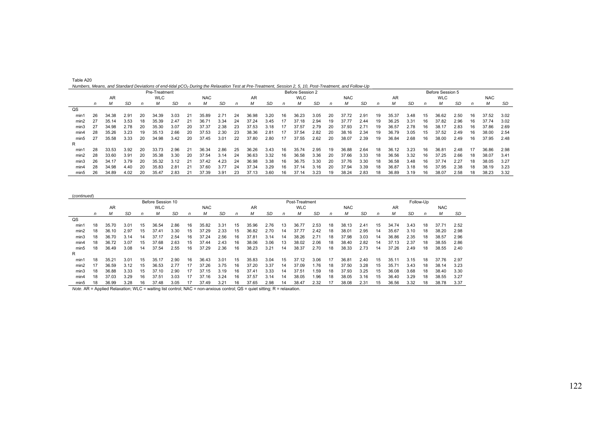| Table A20                                                                                                                                                          |  |  |
|--------------------------------------------------------------------------------------------------------------------------------------------------------------------|--|--|
| Numbers, Means, and Standard Deviations of end-tidal pCO <sub>2</sub> During the Relaxation Test at Pre-Treatment, Session 2, 5, 10, Post-Treatment, and Follow-Up |  |  |

|                  |    |           |      |    | Pre-Treatment |      |    |            |      |    |       |      |    | Before Session 2 |      |    |            |      |    |       |      |    | Before Session 5 |      |    |            |      |
|------------------|----|-----------|------|----|---------------|------|----|------------|------|----|-------|------|----|------------------|------|----|------------|------|----|-------|------|----|------------------|------|----|------------|------|
|                  |    | <b>AR</b> |      |    | <b>WLC</b>    |      |    | <b>NAC</b> |      |    | AR    |      |    | <b>WLC</b>       |      |    | <b>NAC</b> |      |    | AR    |      |    | <b>WLC</b>       |      |    | <b>NAC</b> |      |
|                  | n  | М         | SD   |    |               | SD   |    | Μ          | SD   | n  | м     | SD   | n  | м                | SD   |    | М          | SD   | n  | м     | SD   | n  | М                | SD   |    | М          | SD   |
| QS               |    |           |      |    |               |      |    |            |      |    |       |      |    |                  |      |    |            |      |    |       |      |    |                  |      |    |            |      |
| min1             | 26 | 34.38     | 2.91 | 20 | 34.39         | 3.03 | 21 | 35.89      | 2.71 | 24 | 36.98 | 3.20 | 16 | 36.23            | 3.05 | 20 | 37.72      | 2.91 | 19 | 35.37 | 3.48 | 15 | 36.62            | 2.50 | 16 | 37.52      | 3.02 |
| min2             | 27 | 35.14     | 3.53 | 18 | 35.39         | 2.47 | 21 | 36.71      | 3.34 | 24 | 37.24 | 3.45 | 17 | 37.18            | 2.94 | 19 | 37.77      | 2.44 | 19 | 36.25 | 3.31 | 16 | 37.82            | 2.96 | 16 | 37.74      | 3.02 |
| min3             | 27 | 34.98     | 2.78 | 20 | 35.30         | 3.07 | 20 | 37.37      | 2.38 | 23 | 37.53 | 3.18 | 17 | 37.57            | 2.79 | 20 | 37.93      | 2.71 | 19 | 36.57 | 2.78 | 16 | 38.17            | 2.83 | 16 | 37.86      | 2.69 |
| min4             | 28 | 35.26     | 3.23 | 19 | 35.13         | 2.66 | 20 | 37.53      | 2.30 | 23 | 38.36 | 2.81 | 17 | 37.54            | 2.82 | 20 | 38.16      | 2.34 | 19 | 36.79 | 3.05 | 15 | 37.52            | 2.49 | 16 | 38.00      | 2.54 |
| min5             | 27 | 35.58     | 3.33 | 20 | 34.98         | 3.42 | 20 | 37.45      | 3.01 | 22 | 37.80 | 2.80 | 17 | 37.55            | 2.62 | 20 | 38.07      | 2.39 | 19 | 36.84 | 2.68 | 16 | 38.00            | 2.49 | 16 | 37.95      | 2.48 |
| R                |    |           |      |    |               |      |    |            |      |    |       |      |    |                  |      |    |            |      |    |       |      |    |                  |      |    |            |      |
| min1             | 28 | 33.53     | 3.92 | 20 | 33.73         | 2.96 | 21 | 36.34      | 2.86 | 25 | 36.26 | 3.43 | 16 | 35.74            | 2.95 | 19 | 36.88      | 2.64 | 18 | 36.12 | 3.23 | 16 | 36.81            | 2.48 | 17 | 36.86      | 2.98 |
| min2             | 28 | 33.60     | 3.91 | 20 | 35.38         | 3.30 | 20 | 37.54      | 3.14 | 24 | 36.63 | 3.32 | 16 | 36.58            | 3.36 | 20 | 37.66      | 3.33 | 18 | 36.56 | 3.32 | 16 | 37.25            | 2.66 | 18 | 38.07      | 3.41 |
| min <sub>3</sub> | 26 | 34.17     | 3.79 | 20 | 35.32         | 3.12 | 21 | 37.42      | 4.23 | 24 | 36.98 | 3.38 | 16 | 36.75            | 3.30 | 20 | 37.76      | 3.30 | 18 | 36.58 | 3.48 | 16 | 37.74            | 2.27 | 18 | 38.05      | 3.27 |
| min4             | 28 | 34.98     | 4.40 | 20 | 35.83         | 2.81 | 21 | 37.60      | 3.77 | 24 | 37.34 | 3.29 | 16 | 37.14            | 3.16 | 20 | 37.94      | 3.39 | 18 | 36.87 | 3.18 | 16 | 37.95            | 2.38 | 18 | 38.19      | 3.23 |
| min <sub>5</sub> | 26 | 34.89     | 4.02 | 20 | 35.47         | 2.83 | 21 | 37.39      | 3.91 | 23 | 37.13 | 3.60 | 16 | 37.14            | 3.23 | 19 | 38.24      | 2.83 | 18 | 36.89 | 3.19 | 16 | 38.07            | 2.58 | 18 | 38.23      | 3.32 |

(*continued*)

|                |    |                          |      |    | Before Session 10 |      |    |            |      |                      |       |        |    | Post-Treatment |      |    |            |      |    |       |           | Follow-Up |            |      |
|----------------|----|--------------------------|------|----|-------------------|------|----|------------|------|----------------------|-------|--------|----|----------------|------|----|------------|------|----|-------|-----------|-----------|------------|------|
|                |    | AR                       |      |    | <b>WLC</b>        |      |    | <b>NAC</b> |      |                      | AR    |        |    | <b>WLC</b>     |      |    | <b>NAC</b> |      |    | AR    |           |           | <b>NAC</b> |      |
|                | n  | М                        | SD   | n  | м                 | SD   | n  | м          | SD   | n                    | м     | SD     | n  | М              | SD   | n  | M          | SD   | n  | М     | <b>SD</b> | n         | М          | SD   |
| $_{\text{QS}}$ |    |                          |      |    |                   |      |    |            |      |                      |       |        |    |                |      |    |            |      |    |       |           |           |            |      |
| min'           | 18 | 35.70                    | 3.01 | 15 | 36.54             | 2.86 | 16 | 35.82      | 3.31 | 15                   | 35.96 | 2.76   | 13 | 36.77          | 2.53 | 18 | 38.13      | 2.41 | 15 | 34.74 | 3.43      | 18        | 37.71      | 2.52 |
| min2           | 18 | 36.10                    | 2.97 | 15 | 37.41             | 3.30 | 15 | 37.29      | 2.33 | 15                   | 36.82 | 2.70   | 14 | 37.77          | 2.42 | 18 | 38.01      | 2.95 | 14 | 35.67 | 3.10      | 18        | 38.20      | 2.98 |
| min3           | 18 | 36.70                    | 3.14 | 14 | 37.17             | 2.54 | 16 | 37.24      | 2.56 | 16                   | 37.81 | 3.14   | 14 | 38.26          | 2.71 | 18 | 37.98      | 3.03 | 14 | 36.86 | 2.35      | 18        | 38.57      | 2.96 |
| min4           | 18 | 36.72                    | 3.07 | 15 | 37.68             | 2.63 | 15 | 37.44      | 2.43 | 16                   | 38.06 | 3.06   | 13 | 38.02          | 2.06 | 18 | 38.40      | 2.82 | 14 | 37.13 | 2.37      | 18        | 38.55      | 2.86 |
| min5           | 18 | 36.49                    | 3.08 | 14 | 37.54             | 2.55 | 16 | 37.29      | 2.36 | 16                   | 38.23 | 3.21   | 14 | 38.37          | 2.70 | 18 | 38.33      | 2.73 | 14 | 37.26 | 2.49      | 18        | 38.55      | 2.40 |
| R              |    |                          |      |    |                   |      |    |            |      |                      |       |        |    |                |      |    |            |      |    |       |           |           |            |      |
| min1           | 18 | 35.21                    | 3.01 | 15 | 35.17             | 2.90 | 16 | 36.43      | 3.01 | 15                   | 35.83 | 3.04   | 15 | 37.12          | 3.06 | 17 | 36.81      | 2.40 | 15 | 35.11 | 3.15      | 18        | 37.76      | 2.97 |
| min2           | 17 | 36.59                    | 3.12 | 15 | 36.53             | 2.77 | 17 | 37.26      | 3.75 | 16                   | 37.20 | 3.37   | 14 | 37.09          | 1.76 | 18 | 37.50      | 3.28 | 15 | 35.71 | 3.43      | 18        | 38.14      | 3.23 |
| min3           | 18 | 36.88                    | 3.33 | 15 | 37.10             | 2.90 | 17 | 37.15      | 3.19 | 16                   | 37.41 | 3.33   | 14 | 37.51          | 1.59 | 18 | 37.93      | 3.25 | 15 | 36.08 | 3.68      | 18        | 38.40      | 3.30 |
| min4           | 18 | 37.03                    | 3.29 | 16 | 37.51             | 3.03 |    | 37.16      | 3.24 | 16                   | 37.57 | 3.14   | 14 | 38.05          | 1.96 | 18 | 38.05      | 3.16 | 15 | 36.40 | 3.29      | 18        | 38.55      | 3.27 |
| min5           | 18 | 36.99                    | 3.28 | 16 | 37.48             | 3.05 |    | 37.49      | 3.21 | 16                   | 37.65 | 2.98   | 14 | 38.47          | 2.32 |    | 38.08      | 2.31 | 15 | 36.56 | 3.32      | 18        | 38.78      | 3.37 |
| .              |    | $\overline{\phantom{a}}$ |      |    |                   |      | .  |            |      | $\sim$ $\sim$ $\sim$ |       | $\sim$ |    |                |      |    |            |      |    |       |           |           |            |      |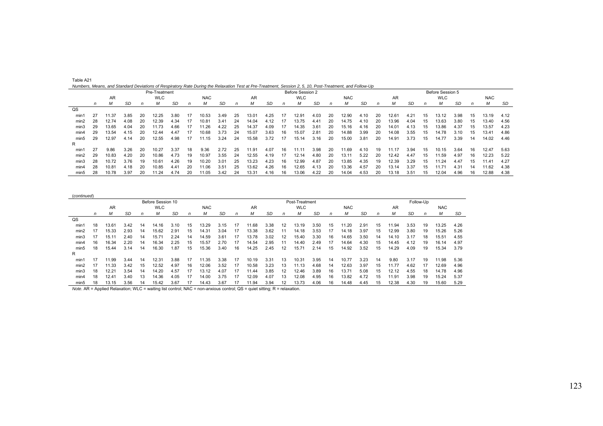| Table A21                                                                                                                                                |  |  |
|----------------------------------------------------------------------------------------------------------------------------------------------------------|--|--|
| Numbers, Means, and Standard Deviations of Respiratory Rate During the Relaxation Test at Pre-Treatment, Session 2, 5, 10, Post-Treatment, and Follow-Up |  |  |

|                  |    |       |      |    | Pre-Treatment |      |    |            |      |    |       |      |    | Before Session 2 |      |    |            |      |    |       |      |    | Before Session 5 |      |    |            |      |
|------------------|----|-------|------|----|---------------|------|----|------------|------|----|-------|------|----|------------------|------|----|------------|------|----|-------|------|----|------------------|------|----|------------|------|
|                  |    | AR    |      |    | <b>WLC</b>    |      |    | <b>NAC</b> |      |    | AR    |      |    | <b>WLC</b>       |      |    | <b>NAC</b> |      |    | AR    |      |    | <b>WLC</b>       |      |    | <b>NAC</b> |      |
|                  | n  | М     | SD   | n  | м             | SD   | n  | м          | SD   | n  | м     | SD   | n  | м                | SD   | n  | М          | SD   | n  | м     | SD   | n  | M                | SD   | n  | M          | SD   |
| $_{\text{QS}}$   |    |       |      |    |               |      |    |            |      |    |       |      |    |                  |      |    |            |      |    |       |      |    |                  |      |    |            |      |
| min1             | 27 | 11.37 | 3.85 | 20 | 12.25         | 3.80 | 17 | 10.53      | 3.49 | 25 | 13.01 | 4.25 | 17 | 12.91            | 4.03 | 20 | 12.90      | 4.10 | 20 | 12.61 | 4.21 | 15 | 13.12            | 3.98 | 15 | 13.19      | 4.12 |
| min2             | 28 | 12.74 | 4.08 | 20 | 12.39         | 4.34 | 17 | 10.81      | 3.41 | 24 | 14.04 | 4.12 | 17 | 13.75            | 4.41 | 20 | 14.75      | 4.10 | 20 | 13.96 | 4.04 | 15 | 13.63            | 3.80 | 15 | 13.40      | 4.56 |
| min3             | 29 | 13.65 | 4.04 | 20 | 11.73         | 4.66 | 17 | 11.26      | 4.22 | 25 | 14.37 | 4.09 | 17 | 14.35            | 3.61 | 20 | 15.16      | 4.16 | 20 | 14.01 | 4.13 | 15 | 13.86            | 4.37 | 15 | 13.57      | 4.23 |
| min4             | 29 | 13.54 | 4.15 | 20 | 12.44         | 4.47 | 17 | 10.68      | 3.73 | 24 | 15.07 | 3.63 | 16 | 15.07            | 2.81 | 20 | 14.88      | 3.99 | 20 | 14.08 | 3.55 | 15 | 14.78            | 3.10 | 15 | 13.41      | 4.86 |
| min <sub>5</sub> | 29 | 12.97 | 4.14 | 20 | 12.55         | 4.98 |    | 11.15      | 3.24 | 24 | 15.58 | 3.72 | 17 | 15.14            | 3.16 | 20 | 15.00      | 3.81 | 20 | 14.91 | 3.73 | 15 | 14.77            | 3.39 | 14 | 14.02      | 4.46 |
| R                |    |       |      |    |               |      |    |            |      |    |       |      |    |                  |      |    |            |      |    |       |      |    |                  |      |    |            |      |
| min1             | 27 | 9.86  | 3.26 | 20 | 10.27         | 3.37 | 18 | 9.36       | 2.72 | 25 | 11.91 | 4.07 | 16 | 11.11            | 3.98 | 20 | 11.69      | 4.10 | 19 | 11.17 | 3.94 | 15 | 10.15            | 3.64 | 16 | 12.47      | 5.63 |
| min2             | 29 | 10.83 | 4.20 | 20 | 10.86         | 4.73 | 19 | 10.97      | 3.55 | 24 | 12.55 | 4.19 | 17 | 12.14            | 4.80 | 20 | 13.11      | 5.22 | 20 | 12.42 | 4.47 | 15 | 11.59            | 4.97 | 16 | 12.23      | 5.22 |
| min3             | 28 | 10.72 | 3.76 | 19 | 10.61         | 4.26 | 19 | 10.20      | 3.01 | 25 | 13.23 | 4.23 | 16 | 12.99            | 4.87 | 20 | 13.85      | 4.35 | 19 | 12.39 | 3.29 | 15 | 11.24            | 4.47 | 15 | 11.41      | 4.27 |
| min4             | 28 | 10.8  | 4.18 | 20 | 10.85         | 4.41 | 20 | 11.06      | 3.51 | 25 | 13.62 | 4.26 | 16 | 12.65            | 4.13 | 20 | 13.36      | 4.57 | 20 | 13.14 | 3.37 | 15 | 11.71            | 4.31 | 14 | 11.62      | 4.38 |
| min5             | 28 | 10.78 | 3.97 | 20 | 1.24          | 4.74 | 20 | 11.05      | 3.42 | 24 | 13.31 | 4.16 | 16 | 13.06            | 4.22 | 20 | 14.04      | 4.53 | 20 | 13.18 | 3.51 | 15 | 12.04            | 4.96 | 16 | 12.88      | 4.38 |

(*continued*)

|                  |    |                          |      |    | Before Session 10 |      |    |            |      |                      |       |        |    | Post-Treatment |      |    |            |      |    |       |           | Follow-Up |            |      |
|------------------|----|--------------------------|------|----|-------------------|------|----|------------|------|----------------------|-------|--------|----|----------------|------|----|------------|------|----|-------|-----------|-----------|------------|------|
|                  |    | AR                       |      |    | <b>WLC</b>        |      |    | <b>NAC</b> |      |                      | AR    |        |    | <b>WLC</b>     |      |    | <b>NAC</b> |      |    | AR    |           |           | <b>NAC</b> |      |
|                  | n  | М                        | SD   | n  | М                 | SD   | n  | м          | SD   | n                    | м     | SD     | n  | М              | SD   | n  | М          | SD   | n  | М     | <b>SD</b> | n         | М          | SD   |
| $_{\text{QS}}$   |    |                          |      |    |                   |      |    |            |      |                      |       |        |    |                |      |    |            |      |    |       |           |           |            |      |
| min'             | 18 | 13.61                    | 3.42 | 14 | 14.16             | 3.10 | 15 | 13.29      | 3.15 | 17                   | 11.68 | 3.38   | 12 | 13.19          | 3.50 | 15 | 11.20      | 2.91 | 15 | 11.94 | 3.53      | 19        | 13.25      | 4.26 |
| min2             |    | 15.33                    | 2.93 | 14 | 15.62             | 2.91 | 15 | 14.31      | 3.04 | 17                   | 13.38 | 3.62   | 11 | 14.18          | 3.53 | 17 | 14.18      | 3.97 | 15 | 12.99 | 3.80      | 19        | 15.26      | 5.26 |
| min3             |    | 15.11                    | 2.40 | 14 | 15.71             | 2.24 | 14 | 14.59      | 3.61 | 17                   | 13.78 | 3.02   | 12 | 15.40          | 3.30 | 16 | 14.65      | 3.50 | 14 | 14.10 | 3.17      | 18        | 15.51      | 4.55 |
| min4             | 16 | 16.34                    | 2.20 | 14 | 16.34             | 2.25 | 15 | 15.57      | 2.70 | 17                   | 14.54 | 2.95   |    | 14.40          | 2.49 | 17 | 14.64      | 4.30 | 15 | 14.45 | 4.12      | 19        | 16.14      | 4.97 |
| min5             | 18 | 15.44                    | 3.14 | 14 | 16.30             | 1.87 | 15 | 15.36      | 3.40 | 16                   | 14.25 | 2.45   | 12 | 15.71          | 2.14 | 15 | 14.92      | 3.52 | 15 | 14.29 | 4.09      | 19        | 15.34      | 3.79 |
| R                |    |                          |      |    |                   |      |    |            |      |                      |       |        |    |                |      |    |            |      |    |       |           |           |            |      |
| min <sup>-</sup> | 17 | 11.99                    | 3.44 | 14 | 12.31             | 3.88 | 17 | 11.35      | 3.38 | 17                   | 10.19 | 3.31   | 13 | 10.31          | 3.95 | 14 | 10.77      | 3.23 | 14 | 9.80  | 3.17      | 19        | 11.98      | 5.36 |
| min2             | 17 | 11.33                    | 3.42 | 15 | 12.52             | 4.97 | 16 | 12.06      | 3.52 | 17                   | 10.58 | 3.23   | 13 | 11.13          | 4.68 | 14 | 12.63      | 3.97 | 15 | 11.77 | 4.62      | 17        | 12.69      | 4.96 |
| min3             | 18 | 12.21                    | 3.54 | 14 | 14.20             | 4.57 | 17 | 13.12      | 4.07 | 17                   | 11.44 | 3.85   | 12 | 12.46          | 3.89 | 16 | 13.71      | 5.08 | 15 | 12.12 | 4.55      | 18        | 14.78      | 4.96 |
| min4             | 18 | 12.41                    | 3.40 | 13 | 14.36             | 4.05 |    | 14.00      | 3.75 | 17                   | 12.09 | 4.07   | 13 | 12.08          | 4.95 | 16 | 13.82      | 4.72 | 15 | 11.91 | 3.98      | 19        | 15.24      | 5.37 |
| min5             | 18 | 13.15                    | 3.56 | 14 | 15.42             | 3.67 |    | 14.43      | 3.67 |                      | 11.94 | 3.94   |    | 13.73          | 4.06 | 16 | 14.48      | 4.45 | 15 | 12.38 | 4.30      | 19        | 15.60      | 5.29 |
| .                |    | $\overline{\phantom{a}}$ |      |    |                   |      | .  |            |      | $\sim$ $\sim$ $\sim$ |       | $\sim$ |    |                |      |    |            |      |    |       |           |           |            |      |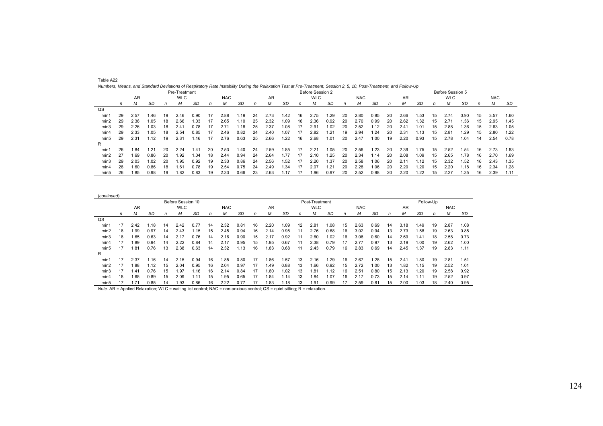| Numbers, Means, and Standard Deviations of Respiratory Rate Instability During the Relaxation Test at Pre-Treatment, Session 2, 5, 10, Post-Treatment, and Follow-Up |    |      |      |    |               |      |    |            |      |    |      |      |    |                  |      |    |            |      |    |               |      |    |                  |           |    |            |      |
|----------------------------------------------------------------------------------------------------------------------------------------------------------------------|----|------|------|----|---------------|------|----|------------|------|----|------|------|----|------------------|------|----|------------|------|----|---------------|------|----|------------------|-----------|----|------------|------|
|                                                                                                                                                                      |    |      |      |    | Pre-Treatment |      |    |            |      |    |      |      |    | Before Session 2 |      |    |            |      |    |               |      |    | Before Session 5 |           |    |            |      |
|                                                                                                                                                                      |    | AR   |      |    | <b>WLC</b>    |      |    | <b>NAC</b> |      |    | AR   |      |    | <b>WLC</b>       |      |    | <b>NAC</b> |      |    | AR            |      |    | <b>WLC</b>       |           |    | <b>NAC</b> |      |
|                                                                                                                                                                      | n  | М    | SD   | n  | М             | SD   | n  | М          | SD   | n  | м    | SD   | n  | М                | SD   | n  | М          | SD   | n  | м             | SD   | n  | М                | <b>SD</b> | n  | М          | SD   |
| QS                                                                                                                                                                   |    |      |      |    |               |      |    |            |      |    |      |      |    |                  |      |    |            |      |    |               |      |    |                  |           |    |            |      |
| min1                                                                                                                                                                 | 29 | 2.57 | .46  | 19 | 2.46          | 0.90 | 17 | 2.88       | .19  | 24 | 2.73 | 1.42 | 16 | 2.75             | .29  | 20 | 2.80       | 0.85 | 20 | 2.66          | 1.53 | 15 | 2.74             | 0.90      | 15 | 3.57       | 1.60 |
| min2                                                                                                                                                                 | 29 | 2.36 | 1.05 | 18 | 2.66          | 1.03 | 17 | 2.65       | 1.10 | 25 | 2.32 | 1.09 | 16 | 2.36             | 0.92 | 20 | 2.70       | 0.99 | 20 | 2.62          | 1.32 | 15 | 2.71             | 1.36      | 15 | 2.95       | 1.45 |
| min3                                                                                                                                                                 | 29 | 2.26 | 1.03 | 18 | 2.41          | 0.78 | 17 | 2.71       | 1.18 | 25 | 2.37 | 1.08 | 17 | 2.91             | .02  | 20 | 2.52       | .12  | 20 | 2.41          | 1.01 | 15 | 2.88             | 1.36      | 15 | 2.63       | 1.05 |
| min4                                                                                                                                                                 | 29 | 2.33 | 1.05 | 18 | 2.54          | 0.85 | 17 | 2.46       | 0.82 | 24 | 2.40 | 1.07 | 17 | 2.82             | .21  | 19 | 2.94       | .24  | 20 | 2.31          | 1.13 | 15 | 2.81             | 1.29      | 15 | 2.80       | 1.22 |
| min5                                                                                                                                                                 | 29 | 2.31 | 1.12 | 19 | 2.31          | .16  |    | 2.76       | 0.63 | 25 | 2.66 | 1.22 | 16 | 2.68             | 1.01 | 20 | 2.47       | 1.00 | 19 | 2.20          | 0.93 | 15 | 2.78             | 1.04      | 14 | 2.54       | 0.78 |
| R                                                                                                                                                                    |    |      |      |    |               |      |    |            |      |    |      |      |    |                  |      |    |            |      |    |               |      |    |                  |           |    |            |      |
| min1                                                                                                                                                                 | 26 | 1.84 | 1.21 | 20 | 2.24          | .41  | 20 | 2.53       | 1.40 | 24 | 2.59 | 1.85 | 17 | 2.21             | .05  | 20 | 2.56       | 1.23 | 20 | 2.39          | 1.75 | 15 | 2.52             | 1.54      | 16 | 2.73       | 1.83 |
| min2                                                                                                                                                                 | 27 | 1.69 | 0.86 | 20 | 1.92          | 1.04 | 18 | 2.44       | 0.94 | 24 | 2.64 | 1.77 | 17 | 2.10             | .25  | 20 | 2.34       | .14  | 20 | 2.08          | 1.09 | 15 | 2.65             | 1.78      | 16 | 2.70       | 1.69 |
| min3                                                                                                                                                                 | 29 | 2.03 | 1.02 | 20 | .95           | 0.92 | 19 | 2.33       | 0.86 | 24 | 2.56 | 1.52 | 17 | 2.20             | .37  | 20 | 2.58       | 1.06 | 20 | $2.1^{\circ}$ | 1.12 | 15 | 2.32             | 1.52      | 16 | 2.43       | 1.35 |
| min4                                                                                                                                                                 | 28 | 1.60 | 0.86 | 18 | 1.61          | 0.78 | 19 | 2.54       | 0.75 | 24 | 2.49 | 1.34 | 17 | 2.07             | .21  | 20 | 2.28       | 1.06 | 20 | 2.20          | 1.20 | 15 | 2.20             | 1.18      | 16 | 2.34       | 1.28 |
| min5                                                                                                                                                                 | 26 | 1.85 | 0.98 | 19 | .82           | 0.83 | 19 | 2.33       | 0.66 | 23 | 2.63 | 1.17 |    | .96              | 0.97 | 20 | 2.52       | 0.98 | 20 | 2.20          | 1.22 | 15 | 2.27             | 1.35      | 16 | 2.39       | 1.11 |

| (continued)      |    |      |      |    |                   |      |    |            |      |    |      |      |    |                |      |    |            |      |    |      |      |           |            |      |
|------------------|----|------|------|----|-------------------|------|----|------------|------|----|------|------|----|----------------|------|----|------------|------|----|------|------|-----------|------------|------|
|                  |    |      |      |    | Before Session 10 |      |    |            |      |    |      |      |    | Post-Treatment |      |    |            |      |    |      |      | Follow-Up |            |      |
|                  |    | AR   |      |    | <b>WLC</b>        |      |    | <b>NAC</b> |      |    | AR   |      |    | <b>WLC</b>     |      |    | <b>NAC</b> |      |    | AR   |      |           | <b>NAC</b> |      |
|                  | n  | М    | SD   | n  | м                 | SD   | n  | М          | SD   | n  | м    | SD   | n  | М              | SD   | n  | М          | SD   | n  | М    | SD   | n         | М          | SD   |
| $_{\text{QS}}$   |    |      |      |    |                   |      |    |            |      |    |      |      |    |                |      |    |            |      |    |      |      |           |            |      |
| min1             | 17 | 2.42 | .18  | 14 | 2.42              | 0.77 | 14 | 2.32       | 0.81 | 16 | 2.20 | .09  | 12 | 2.81           | 1.08 | 15 | 2.63       | 0.69 | 14 | 3.18 | .49  | 19        | 2.87       | 1.08 |
| min2             | 18 | l.99 | 0.97 | 14 | 2.43              | 1.15 | 15 | 2.45       | 0.94 | 16 | 2.14 | 0.95 |    | 2.76           | 0.68 | 16 | 3.02       | 0.94 | 13 |      | .58  | 19        | 2.63       | 0.85 |
| min3             | 18 | 1.65 | 0.63 | 14 | 2.17              | 0.76 | 14 | 2.16       | 0.90 | 15 | 2.17 | 0.92 |    | 2.60           | 1.02 | 16 | 3.06       | 0.60 | 14 | 2.69 | 1.41 | 18        | 2.58       | 0.73 |
| min4             |    | .89  | 0.94 | 14 | 2.22              | 0.84 | 14 | 2.17       | 0.95 | 15 | 1.95 | 0.67 |    | 2.38           | 0.79 | 17 | 2.77       | 0.97 | 13 | 2.19 | 1.00 | 19        | 2.62       | 1.00 |
| min <sub>5</sub> | 17 | .81  | 0.76 | 13 | 2.38              | 0.63 | 14 | 2.32       | .13  | 16 | .83  | 0.68 |    | 2.43           | 0.79 | 16 | 2.83       | 0.69 | 14 | .45  | .37  | 19        | 2.83       | 1.11 |
| R                |    |      |      |    |                   |      |    |            |      |    |      |      |    |                |      |    |            |      |    |      |      |           |            |      |
| min1             | 17 | 2.37 | .16  | 14 | 2.15              | 0.94 | 16 | .85        | 0.80 | 17 | 1.86 | . 57 | 13 | 2.16           | .29  | 16 | 2.67       | .28  | 15 | 2.41 | .80  | 19        | 2.81       | 1.51 |
| min2             | 17 | .88  | .12  | 15 | 2.04              | 0.95 | 16 | 2.04       | 0.97 | 17 | .49  | 0.88 | 13 | .66            | 0.92 | 15 | 2.72       | 1.00 | 13 | .82  | 1.15 | 19        | 2.52       | 1.01 |
| min3             | 17 | 1.41 | 0.76 | 15 | .97               | 1.16 | 16 | 2.14       | 0.84 | 17 | 1.80 | .02  |    | .81            | .12  | 16 | 2.51       | 0.80 | 15 | 2.13 | .20  | 19        | 2.58       | 0.92 |
| min4             | 18 | 1.65 | 0.89 | 15 | 2.09              | 1.11 | 15 | .95        | 0.65 |    | .84  | .14  | 13 | .84            | 1.07 | 16 | 2.17       | 0.73 | 15 | 2.14 | 1.11 | 19        | 2.52       | 0.97 |
| min <sub>5</sub> |    | 1.71 | 0.85 | 14 | 1.93              | 0.86 | 16 | 2.22       | 0.77 | 17 | 1.83 | 1.18 | 13 | 1.91           | 0.99 | 17 | 2.59       | 0.81 | 15 | 2.00 | 1.03 | 18        | 2.40       | 0.95 |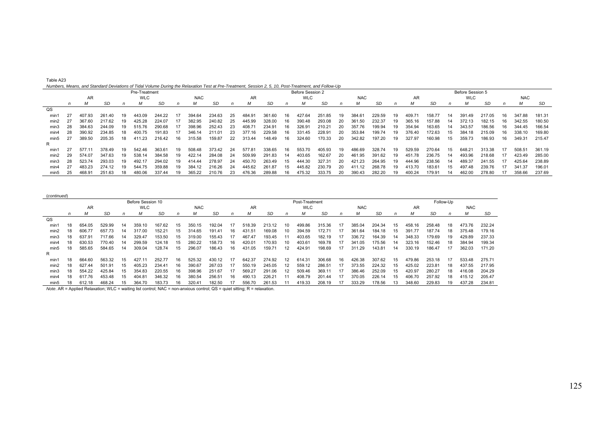| Table A23                                                                                                                                            |
|------------------------------------------------------------------------------------------------------------------------------------------------------|
| Numbers, Means, and Standard Deviations of Tidal Volume During the Relaxation Test at Pre-Treatment, Session 2, 5, 10, Post-Treatment, and Follow-Up |

|                  |    |        |        |    | Pre-Treatment |        |     |            |        |    |        |        |     | Before Session 2 |        |     |            |        |     |        |        |    | Before Session 5 |        |     |            |        |
|------------------|----|--------|--------|----|---------------|--------|-----|------------|--------|----|--------|--------|-----|------------------|--------|-----|------------|--------|-----|--------|--------|----|------------------|--------|-----|------------|--------|
|                  |    | AR     |        |    | <b>WLC</b>    |        |     | <b>NAC</b> |        |    | AR     |        |     | <b>WLC</b>       |        |     | <b>NAC</b> |        |     | AR     |        |    | <b>WLC</b>       |        |     | <b>NAC</b> |        |
|                  |    |        | SD     |    |               | SD     |     | м          | SD     |    |        | SD     |     |                  | SD     |     | м          | SD     |     | м      | SD     |    |                  | SD     |     | М          | SD     |
| QS               |    |        |        |    |               |        |     |            |        |    |        |        |     |                  |        |     |            |        |     |        |        |    |                  |        |     |            |        |
| min'             |    | 407.93 | 261.40 | 19 | 443.09        | 244.22 |     | 394.64     | 234.63 | 25 | 484.91 | 361.60 | 16. | 427.64           | 251.85 | 19. | 384.61     | 229.59 | 19  | 409.71 | 158.77 | 14 | 391.49           | 217.05 | 16. | 347.88     | 181.31 |
| min2             |    | 367.60 | 217.62 | 19 | 425.28        | 224.07 |     | 382.95     | 240.82 | 25 | 445.99 | 328.00 | 16  | 390.48           | 293.08 | 20  | 361.50     | 232.37 | 19  | 365.16 | 157.88 | 14 | 372.13           | 182.15 | 16. | 342.55     | 180.50 |
| min3             | 28 | 384.63 | 244.09 | 19 | 515.76        | 290.68 |     | 398.96     | 252.43 | 23 | 408.71 | 234.91 | 16  | 326.91           | 210.21 | -20 | 357.76     | 199.94 | 19  | 354.94 | 163.65 | 14 | 343.57           | 186.56 |     | 344.45     | 166.54 |
| min4             | 28 | 390.92 | 234.85 | 18 | 400.75        | 191.83 |     | 346.14     | 211.01 | 23 | 377.16 | 229.58 | 16  | 331.45           | 228.91 | 20  | 353.84     | 199.74 | -19 | 376.40 | 172.63 |    | 384.18           | 215.09 | 16. | 338.10     | 169.80 |
| min <sub>5</sub> |    | 389.50 | 205.35 | 18 | 411.23        | 216.42 | 16  | 315.58     | 159.87 | 22 | 313.44 | 148.49 | 16  | 324.60           | 170.33 | 20  | 342.82     | 197.20 |     | 327.97 | 160.98 |    | 359.73           | 186.93 |     | 349.31     | 215.47 |
| R                |    |        |        |    |               |        |     |            |        |    |        |        |     |                  |        |     |            |        |     |        |        |    |                  |        |     |            |        |
| min              |    | 577.11 | 378.49 | 19 | 542.46        | 363.61 | 19. | 508.48     | 373.42 | 24 | 577.81 | 338.65 | 16  | 553.70           | 405.93 | 19  | 486.69     | 328.74 | -19 | 529.59 | 270.64 |    | 648.21           | 313.38 | -17 | 508.51     | 361.19 |
| min2             | 29 | 574.07 | 347.63 | 19 | 538.14        | 384.58 | 19. | 422.14     | 284.08 | 24 | 509.99 | 291.83 | 14  | 403.65           | 162.67 | -20 | 461.95     | 391.62 | 19  | 451.78 | 236.75 | 14 | 493.96           | 218.68 |     | 423.49     | 285.00 |
| min3             | 28 | 523.74 | 293.03 | 19 | 492.17        | 294.02 | 19  | 414.44     | 278.97 | 24 | 450.70 | 263.49 | 15  | 444.30           | 327.31 | 20  | 421.23     | 264.95 | 19  | 444.96 | 238.56 | 14 | 489.37           | 241.55 |     | 425.64     | 238.89 |
| min4             |    | 483.23 | 274.12 | 19 | 544.75        | 359.88 | 19. | 384.12     | 216.26 | 24 | 445.62 | 261.87 | 15  | 445.82           | 230.79 | 20  | 411.12     | 268.78 | 19  | 413.70 | 183.61 |    | 497.48           | 239.76 |     | 341.37     | 196.01 |
| min5             | 25 | 468.91 | 251.63 | 18 | 480.06        | 337.44 | 19. | 365.22     | 210.76 | 23 | 476.36 | 289.88 | 16. | 475.32           | 333.75 | -20 | 390.43     | 282.20 |     | 400.24 | 179.91 | 14 | 462.00           | 278.80 |     | 358.66     | 237.69 |

(*continued*)

|      |    |           |        |    | Before Session 10 |        |    |            |        |    |        |        |    | Post-Treatment |        |    |            |        |    |        | Follow-Up |    |            |        |
|------|----|-----------|--------|----|-------------------|--------|----|------------|--------|----|--------|--------|----|----------------|--------|----|------------|--------|----|--------|-----------|----|------------|--------|
|      |    | <b>AR</b> |        |    | <b>WLC</b>        |        |    | <b>NAC</b> |        |    | AR     |        |    | <b>WLC</b>     |        |    | <b>NAC</b> |        |    | AR     |           |    | <b>NAC</b> |        |
|      | n  | М         | SD     |    |                   | SD     | n  | М          | SD     |    | М      | SD     | n  | М              | SD     | n  | М          | SD     |    | м      | SD        | n  |            | SD     |
| QS   |    |           |        |    |                   |        |    |            |        |    |        |        |    |                |        |    |            |        |    |        |           |    |            |        |
| min  | 18 | 654.05    | 529.99 | 14 | 359.10            | 167.62 | 15 | 350.15     | 192.04 | 17 | 518.39 | 213.12 | 10 | 499.86         | 315.36 | 17 | 385.04     | 204.34 | 15 | 458.16 | 258.48    | 18 | 473.76     | 232.24 |
| min2 | 18 | 606.77    | 657.73 | 14 | 317.00            | 152.21 | 15 | 314.65     | 191.41 | 16 | 431.51 | 169.08 | 10 | 394.59         | 172.71 |    | 361.64     | 184.18 | 15 | 391.77 | 187.74    | 18 | 375.48     | 179.16 |
| min3 | 18 | 637.91    | 717.66 | 14 | 329.47            | 153.50 | 15 | 319.00     | 155.43 |    | 467.47 | 193.45 |    | 403.65         | 182.19 |    | 336.72     | 164.39 | 14 | 348.33 | 179.69    | 19 | 429.89     | 237.33 |
| min4 | 18 | 630.53    | 770.40 | 14 | 299.59            | 124.18 | 15 | 280.22     | 158.73 | 16 | 420.01 | 170.93 | 10 | 403.61         | 169.78 |    | 341.05     | 175.56 | 14 | 323.16 | 152.46    | 18 | 384.94     | 199.34 |
| min5 | 18 | 585.65    | 584.65 | 14 | 309.04            | 128.74 | 15 | 296.07     | 186.43 | 16 | 431.05 | 159.71 | 12 | 424.91         | 198.69 |    | 311.29     | 143.81 | 14 | 330.19 | 186.47    |    | 362.03     | 171.20 |
| R    |    |           |        |    |                   |        |    |            |        |    |        |        |    |                |        |    |            |        |    |        |           |    |            |        |
| min  | 18 | 664.60    | 563.32 | 15 | 427.1             | 252.77 | 16 | 525.32     | 430.12 |    | 642.37 | 274.92 | 12 | 614.31         | 306.68 | 16 | 426.38     | 307.62 | 15 | 479.86 | 253.18    | 17 | 533.48     | 275.71 |
| min2 | 18 | 627.44    | 501.91 | 15 | 405.23            | 234.41 | 16 | 390.67     | 267.03 |    | 550.19 | 245.05 | 12 | 559.12         | 286.51 |    | 373.55     | 224.32 | 15 | 425.02 | 223.81    | 18 | 437.55     | 217.95 |
| min3 | 18 | 554.22    | 425.84 | 15 | 354.83            | 220.55 | 16 | 398.96     | 251.67 |    | 569.27 | 291.06 | 12 | 509.46         | 369.11 |    | 386.46     | 252.09 | 15 | 420.97 | 280.27    | 18 | 416.08     | 204.29 |
| min4 | 18 | 617.76    | 453.48 | 15 | 404.81            | 346.32 | 16 | 380.54     | 256.51 | 16 | 490.13 | 226.21 |    | 408.79         | 201.44 |    | 370.05     | 226.14 | 15 | 406.70 | 257.92    | 18 | 415.12     | 205.47 |
| min5 | 18 | 612.18    | 468.24 | 15 | 364.70            | 183.73 | 16 | 320.41     | 182.50 |    | 556.70 | 261.53 |    | 419.33         | 208.19 |    | 333.29     | 178.56 | 13 | 348.60 | 229.83    | 19 | 437.28     | 234.81 |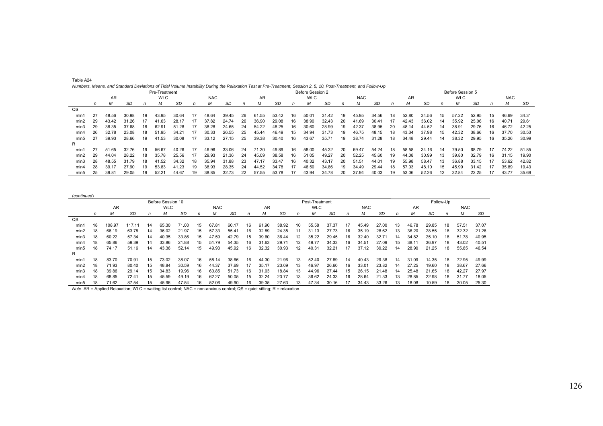| Table A24                                                                                                                                                        |  |
|------------------------------------------------------------------------------------------------------------------------------------------------------------------|--|
| Numbers, Means, and Standard Deviations of Tidal Volume Instability During the Relaxation Test at Pre-Treatment, Session 2, 5, 10, Post-Treatment, and Follow-Up |  |

|      |    |           |       |    | Pre-Treatment  |       |    |            |       |    |           |           |    | Before Session 2 |       |    |            |       |     |       |           |    | Before Session 5 |       |     |            |       |
|------|----|-----------|-------|----|----------------|-------|----|------------|-------|----|-----------|-----------|----|------------------|-------|----|------------|-------|-----|-------|-----------|----|------------------|-------|-----|------------|-------|
|      |    | <b>AR</b> |       |    | <b>WLC</b>     |       |    | <b>NAC</b> |       |    | <b>AR</b> |           |    | <b>WLC</b>       |       |    | <b>NAC</b> |       |     | AR    |           |    | <b>WLC</b>       |       |     | <b>NAC</b> |       |
|      | n  | М         | SD    | n  | м              | SD    | n  | М          | SD    | n  | м         | <b>SD</b> | n  | M                | SD    | n  | м          | SD    | n   | м     | <b>SD</b> | n  | М                | SD    |     | м          | SD    |
| QS   |    |           |       |    |                |       |    |            |       |    |           |           |    |                  |       |    |            |       |     |       |           |    |                  |       |     |            |       |
| min1 | 27 | 48.56     | 30.98 | 19 | 43.95          | 30.64 |    | 48.64      | 39.45 | 26 | 61.55     | 53.42     | 16 | 50.01            | 31.42 | 19 | 45.95      | 34.56 | 18  | 52.80 | 34.56     | 15 | 57.22            | 52.95 | 15  | 46.69      | 34.31 |
| min2 | 29 | 43.42     | 31.26 | 17 | 41.63          | 28.17 | 17 | 37.82      | 24.74 | 26 | 36.90     | 29.08     | 16 | 38.90            | 32.43 | 20 | 41.69      | 30.41 | 17  | 42.43 | 36.02     | 14 | 35.92            | 25.06 | 16. | 40.71      | 29.61 |
| min3 | 29 | 38.35     | 37.68 | 18 | 62.91          | 51.28 |    | 38.28      | 24.65 | 24 | 54.22     | 48.25     | 16 | 30.60            | 28.99 | 19 | 42.37      | 38.95 | 20  | 48.14 | 44.52     | 14 | 38.91            | 29.76 | 16  | 46.72      | 42.25 |
| min4 | 26 | 32.78     | 23.08 | 18 | 51.95          | 34.21 |    | 30.33      | 26.55 | 25 | 45.44     | 46.49     | 15 | 34.94            | 31.73 | 19 | 46.75      | 48.15 | 18  | 43.34 | 37.98     | 15 | 42.32            | 38.66 | 16  | 37.70      | 30.53 |
| min5 | 27 | 39.93     | 28.66 | 19 | 41.53          | 30.08 | 17 | 33.12      | 27.15 | 25 | 39.38     | 30.40     | 16 | 43.67            | 35.71 | 19 | 38.74      | 31.28 | 18  | 34.48 | 29.44     | 14 | 38.32            | 29.95 | 16  | 35.26      | 30.99 |
| R    |    |           |       |    |                |       |    |            |       |    |           |           |    |                  |       |    |            |       |     |       |           |    |                  |       |     |            |       |
| min1 | 27 | 51.65     | 32.76 | 19 | 56.67          | 40.26 |    | 46.96      | 33.06 | 24 | 71.30     | 49.89     | 16 | 58.00            | 45.32 | 20 | 69.47      | 54.24 | 18  | 58.58 | 34.16     | 14 | 79.50            | 68.79 |     | 74.22      | 51.85 |
| min2 | 29 | 44.04     | 28.22 | 18 | 35.78          | 25.56 | 17 | 29.93      | 21.36 | 24 | 45.09     | 38.58     | 16 | 51.05            | 49.27 | 20 | 52.25      | 45.60 | 19  | 44.08 | 30.99     | 13 | 39.80            | 32.79 | 16  | 31.15      | 19.90 |
| min3 | 28 | 48.55     | 31.79 | 18 | 41.52          | 34.32 | 18 | 35.94      | 31.88 | 23 | 47.17     | 33.47     | 16 | 40.32            | 43.17 | 20 | 51.51      | 44.01 | 19  | 55.98 | 58.47     | 13 | 36.88            | 33.15 |     | 53.62      | 42.82 |
| min4 | 28 | 39.17     | 27.90 | 19 | 53.83          | 41.23 | 19 | 38.93      | 28.35 | 24 | 44.52     | 34.78     | 17 | 46.50            | 34.86 | 19 | 34.49      | 29.44 | 18  | 57.03 | 48.10     | 15 | 45.99            | 31.42 |     | 35.89      | 19.43 |
| min5 | 25 | 39.81     | 29.05 | 19 | $52.2^{\circ}$ | 44.67 |    | 38.85      | 32.73 |    | 57.55     | 53.78     |    | 43.94            | 34.78 | 20 | 37.94      | 40.03 | 19. | 53.06 | 52.26     |    | 32.84            | 22.25 |     | 43.77      | 35.69 |

(*continued*) Before Session 10 **Post-Treatment** Post-Treatment **Post-Treatment** Follow-Up AR WLC NAC AR WLC NAC AR NAC **NAC** *n M SD n M SD n M SD n M SD n M SD n M SD n M SD n M SD* SD QS min1 18 108.97 117.11 14 65.30 71.00 15 67.81 60.17 16 61.90 38.92 10 55.58 37.37 17 45.49 27.00 13 46.78 29.85 18 57.51 37.07 37.07 min2 18 66.19 63.78 14 36.02 21.97 15 57.33 55.41 16 32.89 24.35 11 31.13 27.73 16 35.19 28.62 13 36.20 28.55 18 32.32 21.2621.26 min3 18 60.22 57.34 14 40.35 33.86 15 47.59 42.79 15 39.60 36.44 12 35.22 29.45 16 32.40 32.71 14 34.82 25.10 18 51.78 40.95j min4 18 65.86 59.39 14 33.86 21.88 15 51.79 54.35 16 31.63 29.71 12 49.77 34.33 16 34.51 27.09 15 38.11 36.97 18 43.02 40.51 min5 18 74.17 51.16 14 43.36 52.14 15 49.93 45.92 16 32.32 30.93 12 40.31 32.21 17 37.12 39.22 14 28.90 21.25 18 55.85 46.5446.54 R min1 18 83.70 70.91 15 73.02 38.07 16 58.14 38.66 16 44.30 21.96 13 52.40 27.89 14 40.43 29.38 14 31.09 14.35 18 72.95 49.9949.99<br>27.66 min2 18 71.93 80.40 15 48.84 30.59 16 44.37 37.69 17 35.17 23.09 13 46.97 26.60 16 33.01 23.82 14 27.25 19.60 18 38.67 27.6627.97 min3 18 39.86 29.14 15 34.83 19.96 16 60.85 51.73 16 31.03 18.84 13 44.96 27.44 15 26.15 21.48 14 25.48 21.65 18 42.27 27.97 min4 18 68.85 72.41 15 45.59 49.19 16 62.27 50.05 15 32.24 23.77 13 36.62 24.33 16 28.64 21.33 13 28.85 22.98 18 31.77 18.0518.05 min5 18 71.62 87.54 15 45.96 47.54 16 52.06 49.90 16 39.35 27.63 13 47.34 30.16 17 34.43 33.26 13 18.08 10.59 18 30.05 25.3025.30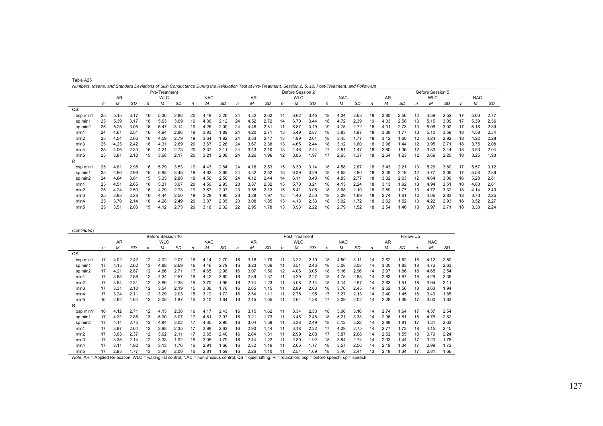| Table A25                                                                                                                                                |  |
|----------------------------------------------------------------------------------------------------------------------------------------------------------|--|
| Numbers, Means, and Standard Deviations of Skin Conductance During the Relaxation Test at Pre-Treatment, Session 2, 5, 10, Post-Treatment, and Follow-Up |  |

|          |    |      |      |    | Pre-Treatment |           |    |            |           |    |      |      |    | Before Session 2 |           |    | $\frac{1}{2}$ $\frac{1}{2}$ $\frac{1}{2}$ $\frac{1}{2}$ $\frac{1}{2}$ $\frac{1}{2}$ $\frac{1}{2}$ $\frac{1}{2}$ $\frac{1}{2}$ $\frac{1}{2}$ $\frac{1}{2}$ $\frac{1}{2}$ $\frac{1}{2}$ $\frac{1}{2}$ $\frac{1}{2}$ $\frac{1}{2}$ $\frac{1}{2}$ $\frac{1}{2}$ $\frac{1}{2}$ $\frac{1}{2}$ $\frac{1}{2}$ $\frac{1}{2}$ |           |    |      |      |    | Before Session 5 |           |    |            |      |
|----------|----|------|------|----|---------------|-----------|----|------------|-----------|----|------|------|----|------------------|-----------|----|---------------------------------------------------------------------------------------------------------------------------------------------------------------------------------------------------------------------------------------------------------------------------------------------------------------------|-----------|----|------|------|----|------------------|-----------|----|------------|------|
|          |    | AR   |      |    | <b>WLC</b>    |           |    | <b>NAC</b> |           |    | AR   |      |    | <b>WLC</b>       |           |    | <b>NAC</b>                                                                                                                                                                                                                                                                                                          |           |    | AR   |      |    | <b>WLC</b>       |           |    | <b>NAC</b> |      |
|          | n  | м    | SD   | n  | М             | <b>SD</b> | n  | м          | <b>SD</b> | n  | м    | SD   | n  | M                | <b>SD</b> | n  | М                                                                                                                                                                                                                                                                                                                   | <b>SD</b> | n  | М    | SD   | n  | M                | <b>SD</b> | n  | M          | SD   |
| QS       |    |      |      |    |               |           |    |            |           |    |      |      |    |                  |           |    |                                                                                                                                                                                                                                                                                                                     |           |    |      |      |    |                  |           |    |            |      |
| bsp min1 | 25 | 5.15 | 3.17 | 16 | 5.30          | 2.86      | 20 | 4.48       | 3.26      | 24 | 4.32 | 2.62 | 14 | 6.62             | 3.45      | 18 | 4.34                                                                                                                                                                                                                                                                                                                | 2.68      | 19 | 3.80 | 2.56 | 12 | 4.59             | 2.52      |    | 5.06       | 2.77 |
| sp min1  | 25 | 5.39 | 3.17 | 16 | 5.63          | 3.09      | 19 | 4.36       | 2.12      | 24 | 4.52 | 2.72 | 14 | 6.70             | 3.44      | 18 | 4.72                                                                                                                                                                                                                                                                                                                | 2.39      | 19 | 4.03 | 2.58 | 13 | 5.15             | 3.09      |    | 5.39       | 2.56 |
| sp min2  | 25 | 5.25 | 3.06 | 16 | 5.47          | 3.14      | 19 | 4.26       | 2.00      | 24 | 4.46 | 2.81 |    | 6.87             | 3.19      | 19 | 4.75                                                                                                                                                                                                                                                                                                                | 2.72      | 18 | 4.01 | 2.73 | 13 | 5.08             | 3.02      |    | 5.16       | 2.39 |
| min1     | 24 | 4.6' | 2.51 | 16 | 4.94          | 2.86      | 19 | 3.93       | l.89      | 24 | 4.20 | 2.71 | 13 | 5.49             | 2.87      | 18 | 3.83                                                                                                                                                                                                                                                                                                                | 1.97      | 18 | 3.39 | 1.77 | 13 | 5.10             | 3.59      | 18 | 4.58       | 2.34 |
| min2     | 25 | 4.54 | 2.66 | 16 | 4.59          | 2.79      | 19 | 3.64       | 1.82      | 24 | 3.83 | 2.47 | 13 | 4.99             | 2.61      | 18 | 3.45                                                                                                                                                                                                                                                                                                                | 1.77      | 18 | 3.12 | 1.60 | 12 | 4.24             | 2.92      | 18 | 4.22       | 2.28 |
| min3     | 25 | 4.25 | 2.42 | 16 | 4.31          | 2.69      | 20 | 3.67       | 2.26      | 24 | 3.67 | 2.38 | 13 | 4.65             | 2.44      | 18 | 3.12                                                                                                                                                                                                                                                                                                                | 1.60      | 18 | 2.96 | .44  | 12 | 3.95             | 2.71      | 18 | 3.75       | 2.08 |
| min4     | 25 | 4.06 | 2.30 | 16 | 4.21          | 2.73      | 20 | 3.37       | 2.11      | 24 | 3.43 | 2.10 | 13 | 4.46             | 2.44      | 17 | 2.81                                                                                                                                                                                                                                                                                                                | 1.47      | 18 | 2.80 | 1.36 | 12 | 3.80             | 2.44      | 18 | 3.53       | 2.04 |
| min5     | 25 | 3.81 | 2.10 | 15 | 3.68          | 2.17      | 20 | 3.21       | 2.08      | 24 | 3.26 | 1.96 | 12 | 3.86             | 1.97      | 17 | 2.65                                                                                                                                                                                                                                                                                                                | 1.37      | 18 | 2.64 | 1.23 | 12 | 3.69             | 2.20      | 18 | 3.25       | 1.93 |
| R        |    |      |      |    |               |           |    |            |           |    |      |      |    |                  |           |    |                                                                                                                                                                                                                                                                                                                     |           |    |      |      |    |                  |           |    |            |      |
| bsp min1 | 25 | 4.81 | 2.95 | 16 | 5.79          | 3.53      | 19 | 4.47       | 2.84      | 24 | 4.18 | 2.53 | 15 | 6.30             | 3.14      | 18 | 4.58                                                                                                                                                                                                                                                                                                                | 2.87      | 18 | 3.43 | 2.21 | 13 | 5.26             | 3.80      |    | 5.57       | 3.12 |
| sp min1  | 25 | 4.96 | 2.96 | 16 | 5.98          | 3.45      | 19 | 4.62       | 2.66      | 24 | 4.32 | 2.52 | 15 | 6.39             | 3.29      | 18 | 4.68                                                                                                                                                                                                                                                                                                                | 2.80      | 18 | 3.48 | 2.19 | 12 | 4.77             | 3.06      |    | 5.58       | 2.89 |
| sp min2  | 24 | 4.84 | 3.01 | 15 | 5.33          | 2.88      | 18 | 4.56       | 2.50      | 24 | 4.12 | 2.44 | 14 | 6.11             | 3.40      | 18 | 4.85                                                                                                                                                                                                                                                                                                                | 2.77      | 18 | 3.32 | 2.03 | 12 | 4.64             | 3.06      | 16 | 5.28       | 2.81 |
| min1     | 25 | 4.51 | 2.65 | 16 | 5.31          | 3.07      | 20 | 4.50       | 2.95      | 23 | 3.87 | 2.32 | 15 | 5.78             | 3.21      | 18 | 4.13                                                                                                                                                                                                                                                                                                                | 2.24      | 18 | 3.13 | 1.92 | 13 | 4.94             | 3.51      | 18 | 4.63       | 2.61 |
| min2     | 25 | 4.24 | 2.50 | 16 | 4.79          | 2.73      | 19 | 3.67       | 2.07      | 23 | 3.55 | 2.13 | 15 | 5.41             | 3.06      | 18 | 3.68                                                                                                                                                                                                                                                                                                                | 2.10      | 18 | 2.89 | 1.77 | 13 | 4.72             | 3.32      | 18 | 4.14       | 2.40 |
| min3     | 25 | 3.93 | 2.28 | 16 | 4.44          | 2.50      | 19 | 3.29       | 1.90      | 23 | 3.28 | 1.97 | 13 | 4.40             | 2.50      | 18 | 3.29                                                                                                                                                                                                                                                                                                                | 1.89      | 18 | 2.74 | 1.61 | 12 | 4.06             | 2.83      | 18 | 3.73       | 2.25 |
| min4     | 25 | 3.70 | 2.14 | 16 | 4.28          | 2.49      | 20 | 3.37       | 2.35      | 23 | 3.08 | 1.85 | 13 | 4.13             | 2.33      | 18 | 3.02                                                                                                                                                                                                                                                                                                                | 1.72      | 18 | 2.62 | 1.52 | 13 | 4.22             | 2.93      | 18 | 3.52       | 2.27 |
| min5     | 25 | 3.51 | 2.03 | 15 | 4.12          | 2.73      | 20 | 3.18       | 2.32      | 22 | 2.95 | 1.78 | 13 | 3.93             | 2.22      | 18 | 2.79                                                                                                                                                                                                                                                                                                                | 1.52      | 18 | 2.54 | 1.46 | 13 | 3.97             | 2.71      | 18 | 3.33       | 2.24 |

| (continued)      |    |           |           |              |                   |           |    |            |           |    |           |           |    |                |           |    |            |           |    |      |           |           |            |      |
|------------------|----|-----------|-----------|--------------|-------------------|-----------|----|------------|-----------|----|-----------|-----------|----|----------------|-----------|----|------------|-----------|----|------|-----------|-----------|------------|------|
|                  |    |           |           |              | Before Session 10 |           |    |            |           |    |           |           |    | Post-Treatment |           |    |            |           |    |      |           | Follow-Up |            |      |
|                  |    | <b>AR</b> |           |              | <b>WLC</b>        |           |    | <b>NAC</b> |           |    | <b>AR</b> |           |    | <b>WLC</b>     |           |    | <b>NAC</b> |           |    | AR   |           |           | <b>NAC</b> |      |
|                  | n  | M         | <b>SD</b> | $\mathsf{n}$ | м                 | <b>SD</b> | n  | М          | <b>SD</b> | n  | м         | <b>SD</b> | n  | М              | <b>SD</b> | n  | M          | <b>SD</b> | n  | М    | <b>SD</b> | n         | M          | SD   |
| $_{\text{QS}}$   |    |           |           |              |                   |           |    |            |           |    |           |           |    |                |           |    |            |           |    |      |           |           |            |      |
| bsp min1         | 17 | 4.02      | 2.42      | 12           | 4.02              | 2.07      | 16 | 4.14       | 2.70      | 16 | 3.18      | 1.79      | 11 | 3.22           | 2.19      | 18 | 4.50       | 3.11      | 14 | 2.62 | 1.52      | 18        | 4.12       | 2.50 |
| sp min1          | 17 | 4.15      | 2.62      | 13           | 4.88              | 2.69      | 16 | 4.46       | 2.79      | 16 | 3.23      | 1.66      | 11 | 3.51           | 2.46      | 18 | 5.08       | 3.03      | 14 | 3.00 | 1.83      | 18        | 4.72       | 2.63 |
| sp min2          | 17 | 4.21      | 2.87      | 12           | 4.86              | 2.71      | 17 | 4.65       | 2.98      | 16 | 3.07      | 1.50      | 12 | 4.06           | 3.05      | 18 | 5.16       | 2.96      | 14 | 2.97 | 1.86      | 18        | 4.65       | 2.54 |
| min1             | 17 | 3.85      | 2.58      | 12           | 4.34              | 2.57      | 16 | 4.42       | 2.60      | 16 | 2.89      | 1.37      | 11 | 3.29           | 2.27      | 18 | 4.75       | 2.85      | 14 | 2.83 | 1.67      | 18        | 4.29       | 2.36 |
| min2             | 17 | 3.54      | 2.31      | 12           | 3.89              | 2.38      | 15 | 3.70       | .96       | 16 | 2.74      | 1.23      | 11 | 3.08           | 2.14      | 18 | 4.14       | 2.57      | 14 | 2.63 | 1.51      | 18        | 3.94       | 2.11 |
| min3             | 17 | 3.31      | 2.10      | 12           | 3.54              | 2.19      | 15 | 3.36       | 1.76      | 16 | 2.65      | 1.15      | 11 | 2.89           | 2.03      | 18 | 3.76       | 2.45      | 14 | 2.52 | 1.56      | 18        | 3.63       | 1.94 |
| min4             | 17 | 3.24      | 2.11      | 12           | 3.29              | 2.03      | 15 | 3.19       | 1.72      | 16 | 2.54      | 1.11      | 11 | 2.75           | 1.95      | 17 | 3.27       | 2.13      | 14 | 2.40 | 1.45      | 18        | 3.40       | 1.85 |
| min5             | 16 | 2.82      | 1.64      | 12           | 3.08              | 1.87      | 15 | 3.10       | .64       | 16 | 2.45      | 1.05      | 11 | 2.64           | 1.88      | 17 | 3.09       | 2.02      | 14 | 2.28 | 1.39      | 17        | 3.00       | 1.63 |
| R                |    |           |           |              |                   |           |    |            |           |    |           |           |    |                |           |    |            |           |    |      |           |           |            |      |
| bsp min1         | 16 | 4.12      | 2.71      | 12           | 4.15              | 2.38      | 16 | 4.17       | 2.43      | 16 | 3.15      | 1.62      | 11 | 3.34           | 2.33      | 18 | 5.06       | 3.16      | 14 | 2.74 | .64       | 17        | 4.37       | 2.54 |
| sp min1          | 17 | 4.31      | 2.85      | 13           | 5.00              | 3.07      | 17 | 4.61       | 3.07      | 16 | 3.21      | 1.73      | 11 | 3.46           | 2.48      | 18 | 5.21       | 3.33      | 14 | 2.96 | 1.81      | 18        | 4.76       | 2.82 |
| sp min2          | 17 | 4.14      | 2.75      | 13           | 4.84              | 3.02      | 17 | 4.35       | 2.90      | 16 | 3.04      | 1.59      | 11 | 3.38           | 2.49      | 18 | 5.12       | 3.22      | 14 | 2.89 | .81       | 17        | 4.31       | 2.63 |
| min1             | 17 | 3.97      | 2.64      | 12           | 3.98              | 2.35      | 17 | 3.98       | 2.63      | 16 | 2.90      | 1.44      | 11 | 3.18           | 2.22      | 17 | 4.29       | 2.75      | 14 | 2.77 | 1.73      | 18        | 4.15       | 2.45 |
| min2             | 17 | 3.63      | 2.37      | 12           | 3.62              | 2.11      | 17 | 3.65       | 2.40      | 16 | 2.64      | 1.31      | 11 | 2.99           | 2.08      | 17 | 3.87       | 2.68      | 14 | 2.52 | 1.55      | 18        | 3.79       | 2.24 |
| min3             | 17 | 3.35      | 2.14      | 12           | 3.33              | 1.92      | 16 | 3.05       | 1.79      | 16 | 2.44      | 1.22      | 11 | 2.80           | 1.92      | 18 | 3.84       | 2.74      | 14 | 2.33 | 1.44      | 17        | 3.20       | 1.78 |
| min4             | 17 | 3.11      | 1.92      | 12           | 3.13              | 1.76      | 16 | 2.91       | .66       | 16 | 2.32      | 1.16      | 11 | 2.66           | 1.77      | 18 | 3.57       | 2.56      | 14 | 2.19 | 1.34      | 17        | 2.98       | 1.72 |
| min <sub>5</sub> | 17 | 2.93      | 1.77      | 13           | 3.30              | 2.00      | 16 | 2.81       | .59       | 16 | 2.26      | 1.10      | 11 | 2.54           | 1.69      | 18 | 3.40       | 2.41      | 13 | 2.18 | 1.34      |           | 2.81       | 1.66 |

*Note*. AR = Applied Relaxation; WLC = waiting list control; NAC = non-anxious control; QS = quiet sitting; R = relaxation; bsp = before speech; sp = speech.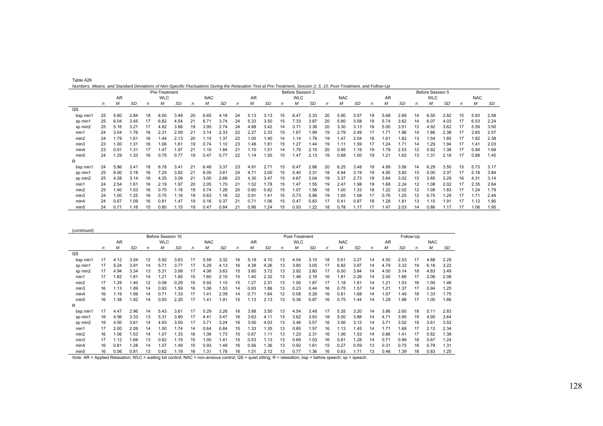| Table A26                                                                                                                                                         |  |  |
|-------------------------------------------------------------------------------------------------------------------------------------------------------------------|--|--|
| Numbers, Means, and Standard Deviations of Non-Specific Fluctuations During the Relaxation Test at Pre-Treatment, Session 2, 5, 10, Post-Treatment, and Follow-Up |  |  |

|          | Pre-Treatment |      |           |    |            |               |    |            |           |              |      |      |    | Before Session 2 |           |    |            | Before Session 5 |    |      |           |    |            |           |    |            |      |
|----------|---------------|------|-----------|----|------------|---------------|----|------------|-----------|--------------|------|------|----|------------------|-----------|----|------------|------------------|----|------|-----------|----|------------|-----------|----|------------|------|
|          |               | AR   |           |    | <b>WLC</b> |               |    | <b>NAC</b> |           |              | AR   |      |    | <b>WLC</b>       |           |    | <b>NAC</b> |                  |    | AR   |           |    | <b>WLC</b> |           |    | <b>NAC</b> |      |
|          | n             | M    | <b>SD</b> | n  | М          | <b>SD</b>     | n  | м          | <b>SD</b> | $\mathsf{n}$ | М    | SD   | n  | M                | <b>SD</b> | n  | M          | <b>SD</b>        | n  | М    | <b>SD</b> | n  | м          | <b>SD</b> | n  | M          | SD   |
| QS       |               |      |           |    |            |               |    |            |           |              |      |      |    |                  |           |    |            |                  |    |      |           |    |            |           |    |            |      |
| bsp min1 | 25            | 5.80 | 2.84      | 18 | 6.50       | 3.49          | 20 | 6.65       | 4.18      | 24           | 5.13 | 3.13 | 15 | 6.47             | 2.33      | 20 | 5.90       | 3.57             | 19 | 5.68 | 2.89      | 14 | 6.50       | 2.82      | 15 | 5.93       | 2.58 |
| sp min1  | 25            | 6.04 | 3.45      |    | 6.82       | 4.54          | 21 | 6.71       | 3.74      | 24           | 5.33 | 3.50 | 15 | 7.33             | 3.87      | 20 | 5.80       | 3.58             | 19 | 5.74 | 3.62      | 14 | 6.07       | 4.03      |    | 6.53       | 2.24 |
| sp min2  | 25            | 5.16 | 3.21      |    | 4.82       | 3.88          | 19 | 3.95       | 2.74      | 24           | 4.88 | 3.42 | 14 | 3.71             | 3.38      | 20 | 3.30       | 3.13             | 18 | 5.00 | 3.51      | 13 | 4.92       | 3.62      |    | 5.59       | 3.50 |
| min1     | 24            | 3.04 | 1.76      | 16 | 2.31       | 2.09          | 21 | 3.14       | 2.33      | 22           | 2.27 | 2.33 | 15 | 1.67             | 1.99      | 19 | 2.79       | 2.49             | 17 |      | 1.96      | 14 | 1.86       | 2.38      |    | 2.65       | 2.57 |
| min2     | 24            | 1.79 | 1.61      | 16 | .44        | 2.13          | 20 | 1.10       | 1.37      | 22           | 1.05 | 1.40 | 14 | 1.14             | 1.79      |    | 1.47       | 2.04             | 18 | .61  | 1.82      | 13 | 1.54       | 1.85      |    | 1.82       | 2.38 |
| min3     | 23            | 1.00 | 1.31      | 16 | 1.06       | .61           | 19 | 0.74       | 1.10      | 23           | i.48 | 1.81 | 15 | 1.27             | .44       |    | 1.11       | 1.59             |    | .24  | 1.71      | 14 | 1.29       | 1.94      |    | 1.41       | 2.03 |
| min4     | 23            | 0.91 | 1.31      |    | 1.47       | .97           | 21 | 1.10       | 1.84      | 21           |      | 1.51 | 14 | 1.79             | 2.15      | 20 | 0.95       | 1.19             | 19 | 1.79 | 2.53      | 12 | 0.92       | 1.38      |    | 0.94       | 1.68 |
| min5     | 24            | 1.29 | 1.33      | 16 | 0.75       | 0.77          | 19 | 0.47       | 0.77      | 22           | 1.14 | 1.55 | 15 | 1.47             | 2.13      | 19 | 0.68       | 1.00             | 19 | .21  | 1.62      | 13 | 1.31       | 2.18      | 17 | 0.88       | 1.45 |
| R        |               |      |           |    |            |               |    |            |           |              |      |      |    |                  |           |    |            |                  |    |      |           |    |            |           |    |            |      |
| bsp min1 | 24            | 5.96 | 3.41      | 18 | 6.78       | $3.4^{\circ}$ | 21 | 6.48       | 3.37      | 23           | 4.91 | 2.71 | 15 | 6.47             | 2.88      | 20 | 6.25       | 3.48             | 19 | 4.89 | 3.56      | 14 | 6.29       | 3.50      | 15 | 5.73       | 3.17 |
| sp min1  | 25            | 6.00 | 3.18      | 16 | 7.25       | 3.82          | 21 | 6.05       | 3.61      | 24           | 4.71 | 3.00 | 15 | 5.40             | 3.31      | 18 | 4.94       | 3.19             | 19 | 4.95 | 3.82      | 13 | 5.00       | 3.37      | 17 | 5.18       | 3.84 |
| sp min2  | 25            | 4.28 | 3.14      | 16 | 4.25       | 3.09          | 21 | 3.00       | 2.66      | 23           | 4.30 | 3.47 | 15 | 4.67             | 3.04      | 19 | 3.37       | 2.73             | 19 | 3.84 | 3.02      | 13 | 3.85       | 3.29      | 16 | 4.31       | 3.14 |
| min1     | 24            | 2.54 | 1.61      | 16 | 2.19       | .97           | 20 | 2.05       | 1.70      | 21           | .52  | 1.78 | 15 | 1.47             | 1.55      | 19 | 2.47       | 1.98             | 19 | .68  | 2.24      | 12 | 1.08       | 2.02      |    | 2.35       | 2.64 |
| min2     | 25            | 1.40 | 1.53      | 16 | 0.75       | .18           | 19 | 0.74       | 1.28      | 20           | 0.60 | 0.82 | 15 | 1.07             | 1.58      | 18 | 00. ا      | 1.33             | 18 | .22  | 2.02      | 12 | 1.08       | 1.83      |    | 1.24       | 1.79 |
| min3     | 24            | 1.00 | 1.25      | 16 | 0.75       | .18           | 19 | 0.63       | 1.16      | 22           | 0.91 | 1.41 | 15 | 0.73             | 0.88      | 19 | 1.05       | 1.58             | 17 | 0.76 | 1.25      | 12 | 0.75       | .29       |    | 1.71       | 2.49 |
| min4     | 24            | 0.67 | 1.09      | 16 | 0.81       | .47           | 19 | 0.16       | 0.37      | 21           | 0.71 | 1.06 | 15 | 0.47             | 0.83      | 17 | 0.41       | 0.87             | 18 | .28  | 1.81      | 13 | 1.15       | 1.91      |    | 1.12       | 1.90 |
| min5     | 24            | 0.71 | 1.16      | 15 | 0.80       | .15           | 19 | 0.47       | 0.84      | 21           | 0.86 | 1.24 | 15 | 0.93             | 1.22      | 18 | 0.78       | 1.17             |    | .47  | 2.03      | 14 | 0.86       | 1.17      |    | 1.06       | 1.95 |

|                | Before Session 10 |      |      |            |      |      |    |            |           |    |      |      |    | Post-Treatment | Follow-Up |            |      |           |           |      |           |    |            |      |
|----------------|-------------------|------|------|------------|------|------|----|------------|-----------|----|------|------|----|----------------|-----------|------------|------|-----------|-----------|------|-----------|----|------------|------|
|                | AR                |      |      | <b>WLC</b> |      |      |    | <b>NAC</b> |           |    | AR   |      |    | <b>WLC</b>     |           | <b>NAC</b> |      |           | <b>AR</b> |      |           |    | <b>NAC</b> |      |
|                | n                 | М    | SD   | n          | м    | SD   | n  | М          | <b>SD</b> | n  | м    | SD   | n  | М              | SD        | n          | М    | <b>SD</b> | n         | М    | <b>SD</b> | n  | М          | SD   |
| $_{\text{QS}}$ |                   |      |      |            |      |      |    |            |           |    |      |      |    |                |           |            |      |           |           |      |           |    |            |      |
| bsp min1       | 17                | 4.12 | 3.04 | 12         | 5.92 | 3.63 | 17 | 5.59       | 3.32      | 16 | 5.19 | 4.10 | 13 | 4.54           | 3.15      | 18         | 5.61 | 3.27      | 14        | 4.50 | 2.53      | 17 | 4.88       | 2.29 |
| sp min1        |                   | 5.24 | 3.91 | 14         | 5.71 | 3.77 | 17 | 5.29       | 4.13      | 16 | 4.38 | 4.26 | 13 | 3.85           | 3.05      | 17         | 6.82 | 3.97      | 14        | 4.79 | 3.33      | 19 | 6.16       | 3.22 |
| sp min2        | 17                | 4.94 | 3.34 | 13         | 5.31 | 3.99 | 17 | 4.06       | 3.63      | 15 | 3.60 | 3.72 | 13 | 3.92           | 3.80      | 17         | 6.00 | 3.84      | 14        | 4.00 | 3.14      | 18 | 4.83       | 3.49 |
| min1           | 17                | 1.82 | 1.81 | 14         | 1.21 | 1.85 | 15 | .60        | 2.10      | 15 | 1.40 | 2.32 | 13 | .46            | 2.18      | 16         | 1.81 | 2.26      | 14        | 2.00 | 1.66      | 17 | 2.06       | 2.08 |
| min2           | 17                | .29  | 1.40 | 12         | 0.08 | 0.29 | 15 | 0.93       | 1.10      | 15 | 1.27 | 2.31 | 13 | 1.00           | 1.87      | 17         | 1.18 | 1.81      | 14        | 1.21 | 1.53      | 16 | 1.00       | 1.46 |
| min3           | 16                | 1.13 | .89  | 14         | 0.93 | 1.59 | 16 | .06        | 1.53      | 14 | 0.93 | 1.86 | 13 | 0.23           | 0.44      | 16         | 0.75 | 1.57      | 14        | 1.21 | 1.37      | 17 | 0.94       | 1.25 |
| min4           | 16                | 1.19 | .56  | 14         | 0.71 | 1.33 | 17 | .41        | 2.09      | 14 | 0.71 | 1.64 | 12 | 0.08           | 0.29      | 16         | 0.81 | 1.68      | 14        | 1.07 | 1.49      | 18 | 1.33       | 1.75 |
| min5           | 16                | .38  | .82  | 14         | 0.93 | 2.20 | 17 | 1.41       | 1.91      | 15 | 1.13 | 2.13 | 13 | 0.38           | 0.87      | 16         | 0.75 | .44       | 14        | 1.29 | 1.98      | 17 | 1.00       | 1.66 |
| R              |                   |      |      |            |      |      |    |            |           |    |      |      |    |                |           |            |      |           |           |      |           |    |            |      |
| bsp min1       | 17                | 4.47 | 2.96 | 14         | 5.43 | 3.61 | 17 | 5.29       | 3.26      | 16 | 3.88 | 3.50 | 13 | 4.54           | 3.48      | 17         | 5.35 | 3.20      | 14        | 3.86 | 2.60      | 18 | 5.11       | 2.83 |
| sp min1        | 16                | 4.56 | 3.33 | 13         | 5.31 | 3.90 | 17 | 4.41       | 3.47      | 16 | 3.63 | 4.11 | 13 | 3.62           | 3.93      | 18         | 5.00 | 3.88      | 14        | 4.71 | 3.95      | 19 | 4.95       | 3.64 |
| sp min2        | 16                | 4.50 | 3.61 | 14         | 4.93 | 3.50 | 17 | 3.71       | 3.24      | 16 | 3.50 | 4.03 | 13 | 3.46           | 3.57      | 16         | 3.56 | 3.12      | 14        | 3.71 | 3.02      | 18 | 3.61       | 3.52 |
| min1           | 17                | 2.00 | 2.09 | 14         | 1.50 | 1.74 | 14 | 0.64       | 0.84      | 15 | 1.33 | 1.35 | 13 | 0.85           | 1.57      | 16         | 1.13 | 1.45      | 14        | 1.71 | 1.68      | 17 | 2.12       | 2.34 |
| min2           | 16                | 1.06 | 1.53 | 14         | 1.07 | 1.33 | 16 | .06        | 1.73      | 15 | 0.67 | 1.11 | 13 | .23            | 2.31      | 16         | 1.06 | 1.53      | 14        | 0.86 | 1.41      | 17 | 0.82       | 1.38 |
| min3           | 17                | 1.12 | 1.69 | 13         | 0.62 | 1.19 | 15 | 1.00       | 1.41      | 15 | 0.53 | 1.13 | 13 | 0.69           | 1.03      | 16         | 0.81 | 1.28      | 14        | 0.71 | 0.99      | 18 | 0.67       | 1.24 |
| min4           | 16                | 0.81 | 1.28 | 14         | 1.07 | 1.49 | 15 | 0.93       | 1.49      | 16 | 0.56 | 1.36 | 13 | 0.92           | 1.61      | 15         | 0.27 | 0.59      | 13        | 0.31 | 0.75      | 18 | 0.78       | 1.31 |
| min5           | 16                | 0.56 | 0.81 | 13         | 0.62 | 1.19 | 16 | .31        | .78       | 16 | .31  | 2.12 | 13 | 0.77           | .36       | 16         | 0.63 | .71       | 13        | 0.46 | .39       | 18 | 0.83       | .25  |

*Note*. AR = Applied Relaxation; WLC = waiting list control; NAC = non-anxious control; QS = quiet sitting; R = relaxation; bsp = before speech; sp = speech.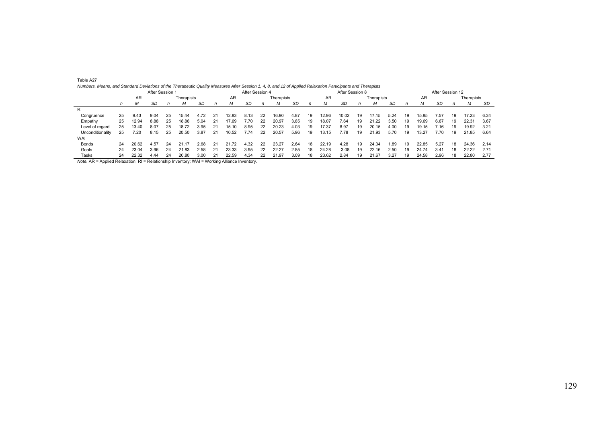| Table A27                                                                                                                                                   |                                |               |                                                              |                 |                  |  |  |
|-------------------------------------------------------------------------------------------------------------------------------------------------------------|--------------------------------|---------------|--------------------------------------------------------------|-----------------|------------------|--|--|
| Numbers, Means, and Standard Deviations of the Therapeutic Quality Measures After Session 1, 4, 8, and 12 of Applied Relaxation Participants and Therapists |                                |               |                                                              |                 |                  |  |  |
|                                                                                                                                                             | After Session 1                |               | After Session 4                                              | After Session 8 | After Session 12 |  |  |
| <b>AF</b>                                                                                                                                                   | The compositor to the <b>T</b> | $\sim$ $\sim$ | The concept of contract and the <b>The contract of the T</b> | アレーションジェキュー     |                  |  |  |

|                  |              |       | After Session 1 |    |            |      | After Session 4 |       |      |    |            |      |    | After Session 8 |       |    |            |      |    |       | After Session 12 |            |       |      |  |  |
|------------------|--------------|-------|-----------------|----|------------|------|-----------------|-------|------|----|------------|------|----|-----------------|-------|----|------------|------|----|-------|------------------|------------|-------|------|--|--|
|                  | <b>AR</b>    |       |                 |    | Therapists |      |                 | AR    |      |    | Therapists |      |    | AR              |       |    | Therapists |      | AR |       |                  | Therapists |       |      |  |  |
|                  | $\mathsf{n}$ | м     | SD              | n  | M          | SD   |                 | м     | SD   | n  | М          | SD   | n  | м               | SD    |    |            | SD   | n  |       | SD               | n          | м     | SD   |  |  |
| <b>RI</b>        |              |       |                 |    |            |      |                 |       |      |    |            |      |    |                 |       |    |            |      |    |       |                  |            |       |      |  |  |
| Congruence       | 25           | 9.43  | 9.04            | 25 | 15.44      | 4.72 | 21              | 12.83 | 8.13 | 22 | 16.90      | 4.87 | 19 | 12.96           | 10.02 | 19 | 17.15      | 5.24 | 19 | 15.85 | .57              | 19         | 17.23 | 6.34 |  |  |
| Empathy          | 25           | 12.94 | 8.88            | 25 | 18.86      | 5.04 | 21              | 17.69 | 7.70 | 22 | 20.97      | 3.85 | 19 | 18.07           | 7.64  | 19 | 21.22      | 3.50 | 19 | 19.69 | 6.67             | 19         | 22.31 | 3.67 |  |  |
| Level of regard  | 25           | 13.40 | 8.07            | 25 | 18.72      | 3.95 | 21              | 15.10 | 8.95 | 22 | 20.23      | 4.03 | 19 | 17.37           | 8.97  | 19 | 20.15      | 4.00 | 19 | 19.15 | .16              | 19         | 19.92 | 3.21 |  |  |
| Unconditionality | 25           | 7.20  | 8.15            | 25 | 20.50      | 3.87 | 21              | 10.52 | 7.74 | 22 | 20.57      | 5.96 | 19 | 13.15           | 7.78  | 19 | 21.93      | 5.70 | 19 | 13.27 | 70.              | 19         | 21.85 | 6.64 |  |  |
| WAI              |              |       |                 |    |            |      |                 |       |      |    |            |      |    |                 |       |    |            |      |    |       |                  |            |       |      |  |  |
| Bonds            | 24           | 20.62 | 4.57            | 24 | 21.17      | 2.68 | 21              | 21.72 | 4.32 | 22 | 23.27      | 2.64 | 18 | 22.19           | 4.28  | 19 | 24.04      | 1.89 | 19 | 22.85 | 5.27             | 18         | 24.36 | 2.14 |  |  |
| Goals            | 24           | 23.04 | 3.96            | 24 | 21.83      | 2.58 | 21              | 23.33 | 3.95 | 22 | 22.27      | 2.85 | 18 | 24.28           | 3.08  | 19 | 22.16      | 2.50 | 19 | 24.74 | 3.41             | 18         | 22.22 | 2.71 |  |  |
| Tasks            | 24           | 22.32 | 4.44            | 24 | 20.80      | 3.00 | 21              | 22.59 | 4.34 |    | 21.97      | 3.09 | 18 | 23.62           | 2.84  | 19 | 21.67      | 3.27 | 19 | 24.58 | 2.96             |            | 22.80 | 2.77 |  |  |

*Note.* AR = Applied Relaxation; RI = Relationship Inventory; WAI = Working Alliance Inventory.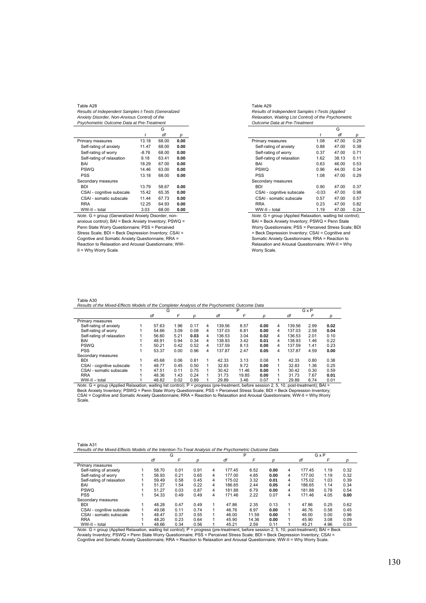*Results of Independent Samples t-Tests (Generalized Anxiety Disorder, Non-Anxious Control) of the Psychometric Outcome Data at Pre-Treatment* 

|                           |         | G     |      |
|---------------------------|---------|-------|------|
|                           | t       | df    | р    |
| Primary measures          | 13.18   | 68.00 | 0.00 |
| Self-rating of anxiety    | 11.47   | 68.00 | 0.00 |
| Self-rating of worry      | $-8.76$ | 68.00 | 0.00 |
| Self-rating of relaxation | 9.18    | 63.41 | 0.00 |
| BAI                       | 18.29   | 67.00 | 0.00 |
| <b>PSWO</b>               | 14.46   | 63.00 | 0.00 |
| PSS                       | 13.18   | 68.00 | 0.00 |
| Secondary measures        |         |       |      |
| <b>BDI</b>                | 13.79   | 58.67 | 0.00 |
| CSAI - cognitive subscale | 15.42   | 65.35 | 0.00 |
| CSAI - somatic subscale   | 11.44   | 67.73 | 0.00 |
| <b>RRA</b>                | 12.25   | 64.93 | 0.00 |
| WW-II - total             | 3.03    | 68.00 | 0.00 |

*Note*. G = group (Generalized Anxiety Disorder, nonanxious control); BAI = Beck Anxiety Inventory; PSWQ = Penn State Worry Questionnaire; PSS = Perceived Stress Scale; BDI = Beck Depression Inventory; CSAI = Cognitive and Somatic Anxiety Questionnaire; RRA = Reaction to Relaxation and Arousal Questionnaire; WW-II = Why Worry Scale.

Table A29 *Results of Independent Samples t-Tests (Applied Relaxation, Waiting List Control) of the Psychometric Outcome Data at Pre-Treatment* 

|                           |         | G     |      |
|---------------------------|---------|-------|------|
|                           | t       | df    | р    |
| Primary measures          | 1.08    | 47.00 | 0.29 |
| Self-rating of anxiety    | 0.88    | 47.00 | 0.38 |
| Self-rating of worry      | 0.37    | 47.00 | 0.71 |
| Self-rating of relaxation | 1.62    | 38.13 | 0.11 |
| BAI                       | 0.63    | 46.00 | 0.53 |
| <b>PSWO</b>               | 0.96    | 44.00 | 0.34 |
| <b>PSS</b>                | 1.08    | 47.00 | 0.29 |
| Secondary measures        |         |       |      |
| <b>BDI</b>                | 0.90    | 47.00 | 0.37 |
| CSAI - cognitive subscale | $-0.03$ | 47.00 | 0.98 |
| CSAI - somatic subscale   | 0.57    | 47.00 | 0.57 |
| <b>RRA</b>                | 0.23    | 47.00 | 0.82 |
| WW-II - total             | 1.19    | 47.00 | 0.24 |

*Note*. G = group (Applied Relaxation, waiting list control); BAI = Beck Anxiety Inventory; PSWQ = Penn State Worry Questionnaire; PSS = Perceived Stress Scale; BDI = Beck Depression Inventory; CSAI = Cognitive and Somatic Anxiety Questionnaire; RRA = Reaction to Relaxation and Arousal Questionnaire; WW-II = Why Worry Scale.

# Table A30

|                           | G |       |      |      | P |        |       | GxP  |   |        |      |      |
|---------------------------|---|-------|------|------|---|--------|-------|------|---|--------|------|------|
|                           |   | df    | F    | D    |   | df     | F     |      |   | df     | F    | D    |
| Primary measures          |   |       |      |      |   |        |       |      |   |        |      |      |
| Self-rating of anxiety    |   | 57.63 | 1.96 | 0.17 | 4 | 139.56 | 8.57  | 0.00 | 4 | 139.56 | 2.99 | 0.02 |
| Self-rating of worry      |   | 54.66 | 3.09 | 0.08 | 4 | 137.03 | 6.81  | 0.00 | 4 | 137.03 | 2.58 | 0.04 |
| Self-rating of relaxation |   | 56.60 | 5.21 | 0.03 | 4 | 136.53 | 3.04  | 0.02 | 4 | 136.53 | 2.01 | 0.10 |
| BAI                       |   | 48.91 | 0.94 | 0.34 | 4 | 138.93 | 3.42  | 0.01 | 4 | 138.93 | 1.46 | 0.22 |
| <b>PSWO</b>               |   | 50.21 | 0.42 | 0.52 | 4 | 137.59 | 8.13  | 0.00 | 4 | 137.59 | 1.41 | 0.23 |
| <b>PSS</b>                |   | 53.37 | 0.00 | 0.96 | 4 | 137.87 | 2.47  | 0.05 | 4 | 137.87 | 4.59 | 0.00 |
| Secondary measures        |   |       |      |      |   |        |       |      |   |        |      |      |
| <b>BDI</b>                |   | 45.68 | 0.06 | 0.81 |   | 42.33  | 3.13  | 0.08 |   | 42.33  | 0.80 | 0.38 |
| CSAI - cognitive subscale |   | 48.77 | 0.45 | 0.50 |   | 32.83  | 9.72  | 0.00 |   | 32.83  | 1.36 | 0.25 |
| CSAI - somatic subscale   |   | 47.51 | 0.11 | 0.75 |   | 30.42  | 11.46 | 0.00 |   | 30.42  | 0.30 | 0.59 |
| <b>RRA</b>                |   | 48.36 | 1.43 | 0.24 |   | 31.73  | 19.85 | 0.00 |   | 31.73  | 7.67 | 0.01 |
| WW-II - total             |   | 48.82 | 0.02 | 0.89 |   | 29.89  | 3.46  | 0.07 |   | 29.89  | 6.74 | 0.01 |

 $\frac{WW-II - total}{Note. G = group (Applied Relaxation, waiting list control); P = progress (presentent, before. G = group) (Applied Relaxation) and (Method 1) of the G = group (Appplied Relaxation). The G = group (Appplied Relaxation) is 1.5, 10, post-reatement, 10, 11.6, 12.7, 13.7, 14.7, 15.7, 16.7, 17.7, 18.7, 19.7, 19.7, 19.7, 19.7, 19.7, 19.7, 19.7, 19.7, 19.7, 19.7, 19.7, 19.7, 19.7, 19.$ Scale.

| Table A31                                                                                               |  |
|---------------------------------------------------------------------------------------------------------|--|
| Results of the Mixed-Effects Models of the Intention-To-Treat Analysis of the Psychometric Outcome Data |  |

|                           | G     |      |      |   | P      |       |      |   | GxP    |      |      |
|---------------------------|-------|------|------|---|--------|-------|------|---|--------|------|------|
|                           | df    | F    | D    |   | df     |       | D    |   | df     | F    | D    |
| Primary measures          |       |      |      |   |        |       |      |   |        |      |      |
| Self-rating of anxiety    | 58.70 | 0.01 | 0.91 | 4 | 177.45 | 6.52  | 0.00 | 4 | 177.45 | 1.19 | 0.32 |
| Self-rating of worry      | 56.93 | 0.21 | 0.65 | 4 | 177.00 | 4.85  | 0.00 | 4 | 177.00 | 1.19 | 0.32 |
| Self-rating of relaxation | 59.49 | 0.58 | 0.45 | 4 | 175.02 | 3.32  | 0.01 | 4 | 175.02 | 1.03 | 0.39 |
| BAI                       | 51.27 | 1.54 | 0.22 | 4 | 186.65 | 2.44  | 0.05 | 4 | 186.65 | 1.14 | 0.34 |
| <b>PSWQ</b>               | 51.27 | 0.03 | 0.87 | 4 | 181.88 | 6.79  | 0.00 | 4 | 181.88 | 0.78 | 0.54 |
| <b>PSS</b>                | 54.33 | 0.49 | 0.49 | 4 | 171.46 | 2.22  | 0.07 | 4 | 171.46 | 4.05 | 0.00 |
| Secondary measures        |       |      |      |   |        |       |      |   |        |      |      |
| <b>BDI</b>                | 48.28 | 0.47 | 0.49 |   | 47.86  | 2.35  | 0.13 | 1 | 47.86  | 0.25 | 0.62 |
| CSAI - cognitive subscale | 49.08 | 0.11 | 0.74 |   | 46.76  | 8.97  | 0.00 |   | 46.76  | 0.58 | 0.45 |
| CSAI - somatic subscale   | 48.47 | 0.37 | 0.55 |   | 46.00  | 11.59 | 0.00 |   | 46.00  | 0.00 | 0.96 |
| <b>RRA</b>                | 48.20 | 0.23 | 0.64 |   | 45.90  | 14.36 | 0.00 |   | 45.90  | 3.08 | 0.09 |
| WW-II - total             | 48.66 | 0.34 | 0.56 |   | 45.21  | 2.59  | 0.11 |   | 45.21  | 4.96 | 0.03 |

WW-II – total 1 and 56 and 1 and 66 and 10.56 and 5.21 and 5.21 and 5.21 and 5.21 and 5.21 and 5.21 4.96 and 5.03 and 5.21 and 5.21 and 5.21 and 5.21 and 5.21 and 5.21 and 5.21 and 5.21 and 5.03 and 5.03 and 5.03 and 5.21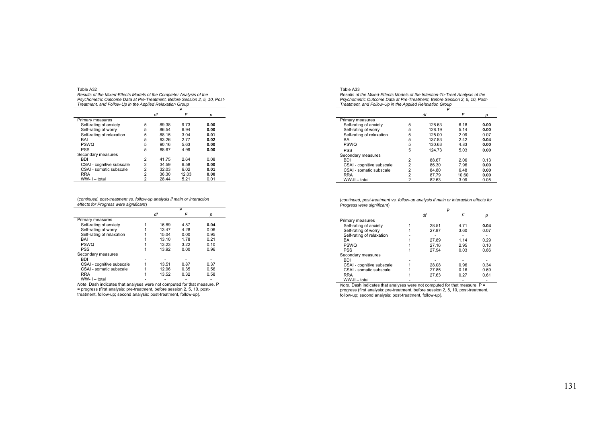*Results of the Mixed-Effects Models of the Completer Analysis of the Psychometric Outcome Data at Pre-Treatment, Before Session 2, 5, 10, Post-Treatment, and Follow-Up in the Applied Relaxation Group* 

|                           |                | df    | F     | n    |  |
|---------------------------|----------------|-------|-------|------|--|
| Primary measures          |                |       |       |      |  |
| Self-rating of anxiety    | 5              | 89.38 | 9.73  | 0.00 |  |
| Self-rating of worry      | 5              | 86.54 | 6.94  | 0.00 |  |
| Self-rating of relaxation | 5              | 88.15 | 3.04  | 0.01 |  |
| <b>BAI</b>                | 5              | 93.26 | 2.77  | 0.02 |  |
| <b>PSWO</b>               | 5              | 90.16 | 5.63  | 0.00 |  |
| <b>PSS</b>                | 5              | 88.67 | 4.99  | 0.00 |  |
| Secondary measures        |                |       |       |      |  |
| <b>BDI</b>                | 2              | 41.75 | 2.64  | 0.08 |  |
| CSAI - cognitive subscale | 2              | 34.59 | 6.58  | 0.00 |  |
| CSAI - somatic subscale   | $\overline{2}$ | 32.03 | 6.02  | 0.01 |  |
| <b>RRA</b>                | 2              | 36.30 | 12.03 | 0.00 |  |
| WW-II - total             | $\overline{2}$ | 28.44 | 5.21  | 0.01 |  |

(*continued, post-treatment vs. follow-up analysis if main or interaction effects for Progress were significant*)

|                           | P     |      |      |  |  |
|---------------------------|-------|------|------|--|--|
|                           | df    | F    |      |  |  |
| Primary measures          |       |      |      |  |  |
| Self-rating of anxiety    | 16.89 | 4.87 | 0.04 |  |  |
| Self-rating of worry      | 13.47 | 4.28 | 0.06 |  |  |
| Self-rating of relaxation | 15.04 | 0.00 | 0.95 |  |  |
| BAI                       | 13.10 | 1.78 | 0.21 |  |  |
| <b>PSWO</b>               | 13.23 | 3.22 | 0.10 |  |  |
| <b>PSS</b>                | 13.92 | 0.00 | 0.96 |  |  |
| Secondary measures        |       |      |      |  |  |
| <b>BDI</b>                |       |      |      |  |  |
| CSAI - cognitive subscale | 13.51 | 0.87 | 0.37 |  |  |
| CSAI - somatic subscale   | 12.96 | 0.35 | 0.56 |  |  |
| <b>RRA</b>                | 13.52 | 0.32 | 0.58 |  |  |
| WW-II - total             |       |      |      |  |  |

WW-II – total<br>*Note.* Dash indicates that analyses were not computed for that measure. P<br>= progress (first analysis: pre-treatment, before session 2, 5, 10, post-<br>treatment, follow-up; second analysis: post-treatment, foll

| Table A33                                                                     |
|-------------------------------------------------------------------------------|
| Results of the Mixed-Effects Models of the Intention-To-Treat Analysis of the |
| Psychometric Outcome Data at Pre-Treatment, Before Session 2, 5, 10, Post-    |
| Treatment, and Follow-Up in the Applied Relaxation Group                      |

|                           |                | P      |       |      |
|---------------------------|----------------|--------|-------|------|
|                           |                | df     | F     |      |
| Primary measures          |                |        |       |      |
| Self-rating of anxiety    | 5              | 128.63 | 6.18  | 0.00 |
| Self-rating of worry      | 5              | 128.19 | 5.14  | 0.00 |
| Self-rating of relaxation | 5              | 125.00 | 2.09  | 0.07 |
| BAI                       | 5              | 137.83 | 2.42  | 0.04 |
| <b>PSWQ</b>               | 5              | 130.63 | 4.83  | 0.00 |
| <b>PSS</b>                | 5              | 124.73 | 5.03  | 0.00 |
| Secondary measures        |                |        |       |      |
| <b>BDI</b>                | $\overline{2}$ | 88.67  | 2.06  | 0.13 |
| CSAI - cognitive subscale | $\overline{2}$ | 86.30  | 7.96  | 0.00 |
| CSAI - somatic subscale   | $\overline{2}$ | 84.80  | 6.48  | 0.00 |
| <b>RRA</b>                | $\overline{2}$ | 87.79  | 10.60 | 0.00 |
| WW-II - total             | 2              | 82.63  | 3.09  | 0.05 |

(*continued, post-treatment vs. follow-up analysis if main or interaction effects for Progress were significant*)

|                           | P     |      |      |
|---------------------------|-------|------|------|
|                           | df    | F    |      |
| Primary measures          |       |      |      |
| Self-rating of anxiety    | 28.51 | 4.71 | 0.04 |
| Self-rating of worry      | 27.87 | 3.60 | 0.07 |
| Self-rating of relaxation |       |      |      |
| BAI                       | 27.89 | 1.14 | 0.29 |
| <b>PSWO</b>               | 27.16 | 2.95 | 0.10 |
| <b>PSS</b>                | 27.94 | 0.03 | 0.86 |
| Secondary measures        |       |      |      |
| <b>BDI</b>                |       |      |      |
| CSAI - cognitive subscale | 28.08 | 0.96 | 0.34 |
| CSAI - somatic subscale   | 27.85 | 0.16 | 0.69 |
| <b>RRA</b>                | 27.63 | 0.27 | 0.61 |
| WW-II - total             |       |      |      |

*Note*. Dash indicates that analyses were not computed for that measure. P = progress (first analysis: pre-treatment, before session 2, 5, 10, post-treatment, follow-up; second analysis: post-treatment, follow-up).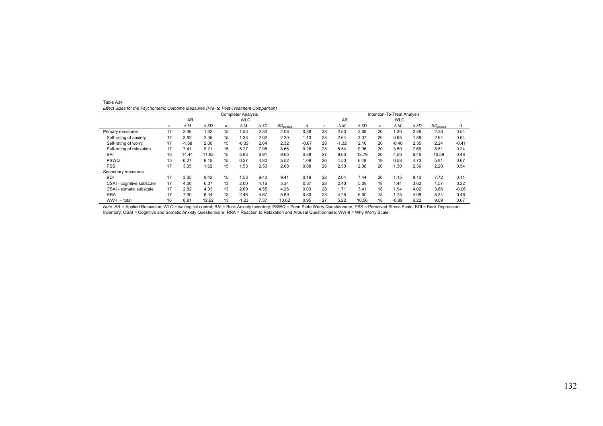| Table A34                                                                              |  |
|----------------------------------------------------------------------------------------|--|
| Effect Sizes for the Psychometric Outcome Measures (Pre- to Post-Treatment Comparison) |  |

|                                   |    |            |                |                  | <b>Completer Analysis</b> |                |               |         |    |            |                |                  | Intention-To-Treat Analysis |             |               |         |
|-----------------------------------|----|------------|----------------|------------------|---------------------------|----------------|---------------|---------|----|------------|----------------|------------------|-----------------------------|-------------|---------------|---------|
|                                   |    | <b>AR</b>  |                |                  | <b>WLC</b>                |                |               |         |    | <b>AR</b>  |                |                  | <b>WLC</b>                  |             |               |         |
|                                   | n  | $\Delta M$ | $\triangle$ SD | $\boldsymbol{n}$ | $\Delta M$                | $\triangle$ SD | $SD_{pooled}$ | d       | n  | $\Delta M$ | $\triangle$ SD | $\boldsymbol{n}$ | $\Delta M$                  | $\Delta SD$ | $SD_{pooled}$ | d       |
| Primary measures                  | 17 | 3.35       | 1.62           | 15               | 1.53                      | 2.50           | 2.08          | 0.88    | 28 | 2.50       | 2.08           | 20               | .30                         | 2.36        | 2.20          | 0.54    |
| Self-rating of anxiety            | 17 | 3.82       | 2.35           | 15               | 1.33                      | 2.02           | 2.20          | 1.13    | 28 | 2.64       | 3.07           | 20               | 0.95                        | 1.88        | 2.64          | 0.64    |
| Self-rating of worry              | 17 | $-1.88$    | 2.00           | 15               | $-0.33$                   | 2.64           | 2.32          | $-0.67$ | 28 | $-1.32$    | 2.16           | 20               | $-0.40$                     | 2.35        | 2.24          | $-0.41$ |
| Self-rating of relaxation         | 17 | 7.41       | 9.21           | 15               | 5.27                      | 7.98           | 8.66          | 0.25    | 28 | 5.54       | 9.06           | 20               | 3.50                        | 7.66        | 8.51          | 0.24    |
| BAI                               | 16 | 14.44      | 11.63          | 15               | 5.93                      | 6.91           | 9.65          | 0.88    | 27 | 9.63       | 12.79          | 20               | 4.50                        | 6.46        | 10.59         | 0.48    |
| <b>PSWQ</b>                       | 15 | 6.27       | 6.15           | 15               | 0.27                      | 4.80           | 5.52          | 1.09    | 26 | 4.50       | 6.48           | 19               | 0.58                        | 4.73        | 5.81          | 0.67    |
| <b>PSS</b>                        | 17 | 3.35       | 1.62           | 15               | 1.53                      | 2.50           | 2.08          | 0.88    | 28 | 2.50       | 2.08           | 20               | .30                         | 2.36        | 2.20          | 0.54    |
| Secondary measures                |    |            |                |                  |                           |                |               |         |    |            |                |                  |                             |             |               |         |
| <b>BDI</b>                        | 17 | 3.35       | 9.42           | 15               | 1.53                      | 9.40           | 9.41          | 0.19    | 28 | 2.04       | 7.44           | 20               | 1.15                        | 8.10        | 7.72          | 0.11    |
| CSAI - cognitive subscale         | 17 | 4.00       | 6.07           | 13               | 2.00                      | 4.16           | 5.34          | 0.37    | 28 | 2.43       | 5.08           | 18               | 1.44                        | 3.62        | 4.57          | 0.22    |
| <b>CSAI</b><br>- somatic subscale | 17 | 2.82       | 4.03           | 13               | 2.69                      | 4.55           | 4.26          | 0.03    | 28 | 1.71       | 3.41           | 18               | .94                         | 4.02        | 3.66          | $-0.06$ |
| <b>RRA</b>                        | 17 | 7.00       | 6.34           | 13               | 2.46                      | 4.67           | 5.69          | 0.80    | 28 | 4.25       | 6.00           | 18               | 1.78                        | 4.08        | 5.34          | 0.46    |
| WW-II - total                     | 16 | 8.81       | 12.62          | 13               | $-1.23$                   | 7.37           | 10.62         | 0.95    | 27 | 5.22       | 10.56          | 18               | $-0.89$                     | 6.22        | 9.09          | 0.67    |

*Note.* AR = Applied Relaxation; WLC = waiting list control; BAI = Beck Anxiety Inventory; PSWQ = Penn State Worry Questionnaire; PSS = Perceived Stress Scale; BDI = Beck Depression Inventory; CSAI = Cognitive and Somatic Anxiety Questionnaire; RRA = Reaction to Relaxation and Arousal Questionnaire; WW-II = Why Worry Scale.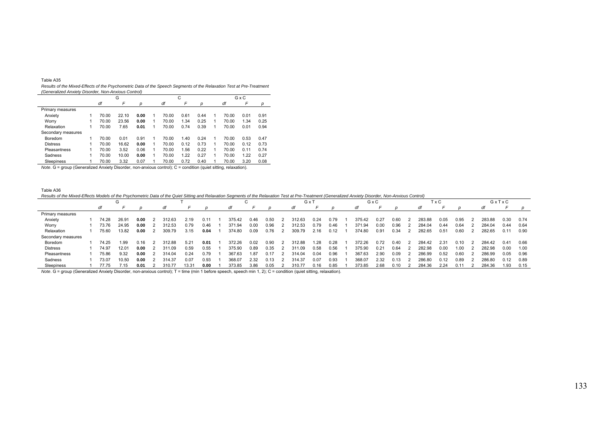|  |  | "able A35 |
|--|--|-----------|
|--|--|-----------|

 *Results of the Mixed-Effects of the Psychometric Data of the Speech Segments of the Relaxation Test at Pre-Treatment (Generalized Anxiety Disorder, Non-Anxious Control)* 

|                    |   |       | G     |      |       | С    |      |   |       | GxC  |      |
|--------------------|---|-------|-------|------|-------|------|------|---|-------|------|------|
|                    |   | df    | F     | D    | df    | F    | р    |   | df    | F    | p    |
| Primary measures   |   |       |       |      |       |      |      |   |       |      |      |
| Anxiety            |   | 70.00 | 22.10 | 0.00 | 70.00 | 0.61 | 0.44 | 1 | 70.00 | 0.01 | 0.91 |
| Worry              |   | 70.00 | 23.56 | 0.00 | 70.00 | 1.34 | 0.25 | 1 | 70.00 | 1.34 | 0.25 |
| Relaxation         | 1 | 70.00 | 7.65  | 0.01 | 70.00 | 0.74 | 0.39 | 1 | 70.00 | 0.01 | 0.94 |
| Secondary measures |   |       |       |      |       |      |      |   |       |      |      |
| Boredom            | 1 | 70.00 | 0.01  | 0.91 | 70.00 | 1.40 | 0.24 |   | 70.00 | 0.53 | 0.47 |
| <b>Distress</b>    | 1 | 70.00 | 16.62 | 0.00 | 70.00 | 0.12 | 0.73 | 1 | 70.00 | 0.12 | 0.73 |
| Pleasantness       | 1 | 70.00 | 3.52  | 0.06 | 70.00 | 1.56 | 0.22 | 1 | 70.00 | 0.11 | 0.74 |
| Sadness            | 1 | 70.00 | 10.00 | 0.00 | 70.00 | 1.22 | 0.27 | 1 | 70.00 | 1.22 | 0.27 |
| Sleepiness         |   | 70.00 | 3.32  | 0.07 | 70.00 | 0.72 | 0.40 |   | 70.00 | 3.20 | 0.08 |

*Note*. G = group (Generalized Anxiety Disorder, non-anxious control); C = condition (quiet sitting, relaxation).

Table A36

*Results of the Mixed-Effects Models of the Psychometric Data of the Quiet Sitting and Relaxation Segments of the Relaxation Test at Pre-Treatment (Generalized Anxiety Disorder, Non-Anxious Control)* 

|                    |       | G     |      |        |       |      |        |      |      | G x 1  |      |      |        | GxC  |      |        | ГхC  |      |        | GxTxC |      |
|--------------------|-------|-------|------|--------|-------|------|--------|------|------|--------|------|------|--------|------|------|--------|------|------|--------|-------|------|
|                    | df    |       |      |        |       |      | dt     |      |      | dt     |      |      | dt     |      |      |        |      |      |        |       |      |
| Primary measures   |       |       |      |        |       |      |        |      |      |        |      |      |        |      |      |        |      |      |        |       |      |
| Anxiety            | 74.28 | 26.9' | 0.00 | 312.63 | 2.19  | 0.11 | 375.42 | 0.46 | 0.50 | 312.63 | 0.24 | 0.79 | 375.42 | 0.27 | 0.60 | 283.88 | 0.05 | 0.95 | 283.88 | 0.30  | 0.74 |
| Worry              | 73.76 | 24.95 | 0.00 | 312.53 | 0.79  | 0.46 | 371.94 | 0.00 | 0.96 | 312.53 | 0.79 | 0.46 | 371.94 | 0.00 | 0.96 | 284.04 | 0.44 | 0.64 | 284.04 | 0.44  | 0.64 |
| Relaxation         | 75.60 | 13.82 | 0.00 | 309.79 | 3.15  | 0.04 | 374.80 | 0.09 | 0.76 | 309.79 | 2.16 | 0.12 | 374.80 | 0.91 | 0.34 | 282.65 | 0.51 | 0.60 | 282.65 | 0.11  | 0.90 |
| Secondary measures |       |       |      |        |       |      |        |      |      |        |      |      |        |      |      |        |      |      |        |       |      |
| Boredom            | 74.25 | 1.99  | 0.16 | 312.88 | 5.21  | 0.01 | 372.26 | 0.02 | 0.90 | 312.88 | 1.28 | 0.28 | 372.26 | 0.72 | 0.40 | 284.42 | 2.31 | 0.10 | 284.42 | 0.41  | 0.66 |
| Distress           | 74.97 | 12.01 | 0.00 | 311.09 | 0.59  | 0.55 | 375.90 | 0.89 | 0.35 | 311.09 | 0.58 | 0.56 | 375.90 | 0.21 | 0.64 | 282.98 | 0.00 | .00  | 282.98 | 0.00  | 1.00 |
| Pleasantness       | 75.86 | 9.32  | 0.00 | 314.04 | 0.24  | 0.79 | 367.63 | 1.87 | 0.17 | 314.04 | 0.04 | 0.96 | 367.63 | 2.90 | 0.09 | 286.99 | 0.52 | 0.60 | 286.99 | 0.05  | 0.96 |
| Sadness            | 73.07 | 10.50 | 0.00 | 314.37 | 0.07  | 0.93 | 368.07 | 2.32 | 0.13 | 314.37 | 0.07 | 0.93 | 368.07 | 2.32 | 0.13 | 286.80 | 0.12 | 0.89 | 286.80 | 0.12  | 0.89 |
| Sleepiness         | 77.75 | 7.15  | 0.01 |        | 13.31 | 0.00 | 373.85 | 3.86 | 0.05 | 310.77 | 0.16 | 0.85 | 373.85 | 2.68 | 0.10 | 284.36 | 2.24 |      | 284.36 | .93   | 0.15 |

*Note*. G = group (Generalized Anxiety Disorder, non-anxious control); T = time (min 1 before speech, speech min 1, 2); C = condition (quiet sitting, relaxation).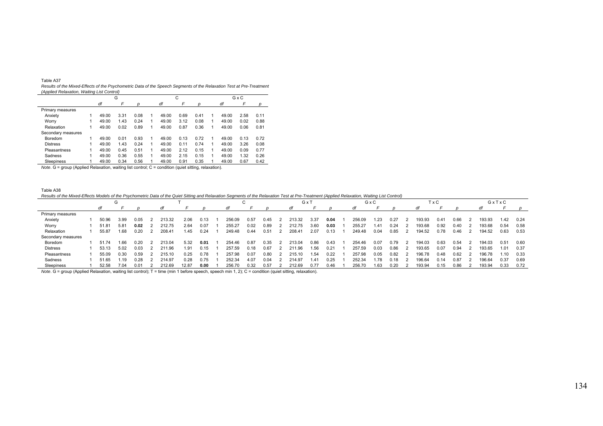| `able A37 |  |
|-----------|--|
|-----------|--|

 *Results of the Mixed-Effects of the Psychometric Data of the Speech Segments of the Relaxation Test at Pre-Treatment (Applied Relaxation, Waiting List Control)*   $\overline{\phantom{a}}$ 

| $\cdots$           |   |       | G    |      |       | С    |      |   |       | GxC  |      |
|--------------------|---|-------|------|------|-------|------|------|---|-------|------|------|
|                    |   | df    | F    | р    | df    | F    | р    |   | df    | F    | р    |
| Primary measures   |   |       |      |      |       |      |      |   |       |      |      |
| Anxiety            |   | 49.00 | 3.31 | 0.08 | 49.00 | 0.69 | 0.41 | 1 | 49.00 | 2.58 | 0.11 |
| Worry              |   | 49.00 | 1.43 | 0.24 | 49.00 | 3.12 | 0.08 | 1 | 49.00 | 0.02 | 0.88 |
| Relaxation         |   | 49.00 | 0.02 | 0.89 | 49.00 | 0.87 | 0.36 | 1 | 49.00 | 0.06 | 0.81 |
| Secondary measures |   |       |      |      |       |      |      |   |       |      |      |
| Boredom            | 1 | 49.00 | 0.01 | 0.93 | 49.00 | 0.13 | 0.72 | 1 | 49.00 | 0.13 | 0.72 |
| <b>Distress</b>    |   | 49.00 | 1.43 | 0.24 | 49.00 | 0.11 | 0.74 | 1 | 49.00 | 3.26 | 0.08 |
| Pleasantness       |   | 49.00 | 0.45 | 0.51 | 49.00 | 2.12 | 0.15 | 1 | 49.00 | 0.09 | 0.77 |
| Sadness            |   | 49.00 | 0.36 | 0.55 | 49.00 | 2.15 | 0.15 | 1 | 49.00 | 1.32 | 0.26 |
| Sleepiness         |   | 49.00 | 0.34 | 0.56 | 49.00 | 0.91 | 0.35 | 1 | 49.00 | 0.67 | 0.42 |

*Note*. G = group (Applied Relaxation, waiting list control; C = condition (quiet sitting, relaxation).

Table A38

*Results of the Mixed-Effects Models of the Psychometric Data of the Quiet Sitting and Relaxation Segments of the Relaxation Test at Pre-Treatment (Applied Relaxation, Waiting List Control)* 

|                    |       | G    |      |        |       |      |        | ◡    |      |        | G x 1 |      |        | GxC   |      |        | TxC  |      |        | GxTxC |      |
|--------------------|-------|------|------|--------|-------|------|--------|------|------|--------|-------|------|--------|-------|------|--------|------|------|--------|-------|------|
|                    | df    |      |      |        |       |      |        |      |      | at     |       |      | dt     |       |      |        |      |      | at     |       |      |
| Primary measures   |       |      |      |        |       |      |        |      |      |        |       |      |        |       |      |        |      |      |        |       |      |
| Anxiety            | 50.96 | 3.99 | 0.05 | 213.32 | 2.06  | 0.13 | 256.09 | 0.57 | 0.45 | 213.32 | 3.37  | 0.04 | 256.09 | .23   | 0.27 | 193.93 | 0.41 | 0.66 | 193.93 | 1.42  | 0.24 |
| Worry              | 51.81 | 5.81 | 0.02 | 212.75 | 2.64  | 0.07 | 255.27 | 0.02 | 0.89 | 212.75 | 3.60  | 0.03 | 255.27 | 41، ، | 0.24 | 193.68 | 0.92 | 0.40 | 193.68 | 0.54  | 0.58 |
| Relaxation         | 55.87 | .68  | 0.20 | 208.41 | .45   | 0.24 | 249.48 | 0.44 | 0.51 | 208.41 | 2.07  | 0.13 | 249.48 | 0.04  | 0.85 | 194.52 | 0.78 | 0.46 | 194.52 | 0.63  | 0.53 |
| Secondary measures |       |      |      |        |       |      |        |      |      |        |       |      |        |       |      |        |      |      |        |       |      |
| Boredom            | 51.74 | .66  | 0.20 | 213.04 | 5.32  | 0.01 | 254.46 | 0.87 | 0.35 | 213.04 | 0.86  | 0.43 | 254.46 | 0.07  | 0.79 | 194.03 | 0.63 | 0.54 | 94.03  | 0.51  | 0.60 |
| Distress           | 53.13 | 5.02 | 0.03 | 211.96 | .91   | 0.15 | 257.59 | 0.18 | 0.67 | 211.96 | 1.56  | 0.21 | 257.59 | 0.03  | 0.86 | 193.65 | 0.07 | 0.94 | 193.65 | 1.01  | 0.37 |
| Pleasantness       | 55.09 | 0.30 | 0.59 | 215.10 | 0.25  | 0.78 | 257.98 | 0.07 | 0.80 | 215.10 | .54   | 0.22 | 257.98 | 0.05  | 0.82 | 196.78 | 0.48 | 0.62 | 96.78  | .10   | 0.33 |
| Sadness            | 51.65 | 19   | 0.28 | 214.97 | 0.28  | 0.75 | 252.34 | 4.07 | 0.04 | 214.97 | .41   | 0.25 | 252.34 | .78   | 0.18 | 196.64 | 0.14 | 0.87 | 96.64  | 0.37  | 0.69 |
| Sleepiness         | 52.58 | .04  | 0.01 | 212.69 | 12.87 | 0.00 | 256.70 | 0.32 | 0.57 | 212.69 | 0.77  | 0.46 | 256.7  | .63   | 0.20 | 193.94 | 0.15 | 0.86 | 193.94 | 0.33  | 0.72 |

*Note*. G = group (Applied Relaxation, waiting list control); T = time (min 1 before speech, speech min 1, 2); C = condition (quiet sitting, relaxation).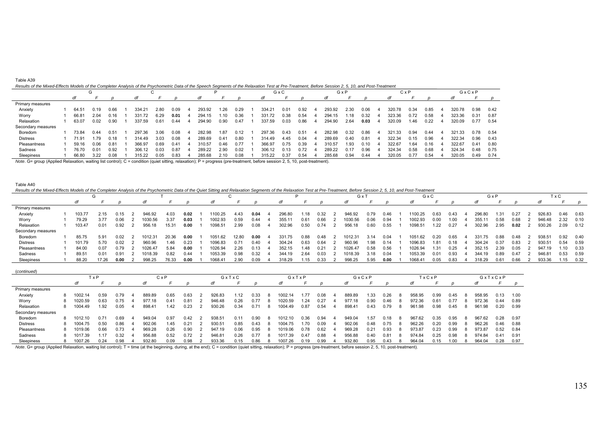| Table A39                                                                                                                                                                                          |  |
|----------------------------------------------------------------------------------------------------------------------------------------------------------------------------------------------------|--|
| Results of the Mixed-Effects Models of the Completer Analysis of the Psychometric Data of the Speech Segments of the Relaxation Test at Pre-Treatment. Before Session 2, 5, 10, and Post-Treatment |  |

|                    | G |       |      |      |  |        |      |      |        |      | GxC  |        |      | GxP           |        |      | CxP  |        |      | GxCxP |        |      |      |
|--------------------|---|-------|------|------|--|--------|------|------|--------|------|------|--------|------|---------------|--------|------|------|--------|------|-------|--------|------|------|
|                    |   | df    |      |      |  | αı     |      |      | di     |      |      | dt     |      |               | dt     |      |      | dt     |      |       |        |      |      |
| Primary measures   |   |       |      |      |  |        |      |      |        |      |      |        |      |               |        |      |      |        |      |       |        |      |      |
| Anxiety            |   | 64.51 | 0.19 | 0.66 |  | 334.21 | 2.80 | 0.09 | 293.92 | .26  | 0.29 | 334.21 | 0.01 | 0.92          | 293.92 | 2.30 | 0.06 | 320.78 | 0.34 | 0.85  | 320.78 | 0.98 | 0.42 |
| Worry              |   | 66.81 | 2.04 | 0.16 |  | 331.72 | 6.29 | 0.01 | 294.15 | .10  | 0.36 | 331.72 | 0.38 | 0.54          | 294.15 | .18  | 0.32 | 323.36 | 0.72 | 0.58  | 323.36 | 0.31 | 0.87 |
| Relaxation         |   | 63.07 | 0.02 | 0.90 |  | 337.59 | 0.61 | 0.44 | 294.90 | 0.90 | 0.47 | 337.59 | 0.03 | 0.86          | 294.90 | 2.64 | 0.03 | 320.09 | 1.46 | 0.22  | 320.09 | 0.77 | 0.54 |
| Secondary measures |   |       |      |      |  |        |      |      |        |      |      |        |      |               |        |      |      |        |      |       |        |      |      |
| Boredom            |   | 73.84 | 0.44 | 0.51 |  | 297.36 | 3.06 | 0.08 | 282.98 | 1.87 | 0.12 | 297.36 | 0.43 | $0.5^{\circ}$ | 282.98 | 0.32 | 0.86 | 321.33 | 0.94 | 0.44  | 321.33 | 0.78 | 0.54 |
| Distress           |   | 71.91 | 1.79 | 0.18 |  | 314.49 | 3.03 | 0.08 | 289.69 | 0.41 | 0.80 | 314.49 | 4.45 | 0.04          | 289.69 | 0.40 | 0.81 | 322.34 | 0.15 | 0.96  | 322.34 | 0.96 | 0.43 |
| Pleasantness       |   | 59.16 | 0.06 | 0.81 |  | 366.97 | 0.69 | 0.41 | 310.57 | 0.46 | 0.77 | 366.97 | 0.75 | 0.39          | 310.57 | 1.93 | .10  | 322.67 | 1.64 | 0.16  | 322.67 | 0.41 | 0.80 |
| Sadness            |   | 76.70 | 0.01 | 0.92 |  | 306.12 | 0.03 | 0.87 | 289.22 | 2.90 | 0.02 | 306.12 | 0.13 | 0.72          | 289.22 | 0.17 | 0.96 | 324.34 | 0.58 | 0.68  | 324.34 | 0.48 | 0.75 |
| Sleepiness         |   | 66.80 | 3.22 | 0.08 |  | 315.22 | 0.05 | 0.83 | 285.68 | 2.10 | 0.08 | 315.22 | 0.37 | 0.54          | 285.68 | 0.94 | 0.44 | 320.05 | 0.77 | 0.54  | 320.05 | 0.49 | 0.74 |

*Note*. G= group (Applied Relaxation, waiting list control); C = condition (quiet sitting, relaxation); P = progress (pre-treatment, before session 2, 5, 10, post-treatment).

#### Table A40

(*continued*)

| Results of the Mixed-Effects Models of the Completer Analysis of the Psychometric Data of the Quiet Sitting and Relaxation Segments of the Relaxation Test at Pre-Treatment, Before Session 2, 5, 10, and Post-Treatment |
|--------------------------------------------------------------------------------------------------------------------------------------------------------------------------------------------------------------------------|
|--------------------------------------------------------------------------------------------------------------------------------------------------------------------------------------------------------------------------|

| Results of the Mixed-Enects Models of the Completer Analysis of the Psychometric Data of the Quiet Situng and Relaxation Segments of the Relaxation Test at Pre-Treatment, Before Session 2, 5, 10, and Post-Treatment |        |       |      |        |       |      |         |       |      |        |      |      |         |       |      |                  |                 |      |        |      |      |        |      |      |
|------------------------------------------------------------------------------------------------------------------------------------------------------------------------------------------------------------------------|--------|-------|------|--------|-------|------|---------|-------|------|--------|------|------|---------|-------|------|------------------|-----------------|------|--------|------|------|--------|------|------|
|                                                                                                                                                                                                                        |        |       |      |        |       |      |         |       |      |        |      |      | G x "   |       |      |                  | GxC             |      |        | GxP  |      |        | TxC  |      |
|                                                                                                                                                                                                                        | dt     |       |      | df     |       |      |         |       |      | dt     |      |      | df      |       |      | dt               |                 |      | dt     |      |      |        |      |      |
| Primary measures                                                                                                                                                                                                       |        |       |      |        |       |      |         |       |      |        |      |      |         |       |      |                  |                 |      |        |      |      |        |      |      |
| Anxiety                                                                                                                                                                                                                | 103.77 | 2.15  |      | 946.92 | 4.03  | 0.02 | 1100.25 | 4.43  | 0.04 | 296.80 | .18  | 0.32 | 946.92  | 0.79  | 0.46 | 1100.25          | 0.63            | 0.43 | 296.80 | 1.31 | 0.27 | 926.83 | 0.46 | 0.63 |
| Worry                                                                                                                                                                                                                  | 79.29  |       | 06.۱ | 030.56 | 3.37  | 0.03 | 1002.93 | 0.59  | 0.44 | 355.11 | ว.61 | 0.66 | 1030.56 | 0.06  | 0.94 | 002.93           | 0.00            |      | 355.1' | 0.58 | 0.68 | 946.48 | 2.32 | 0.10 |
| Relaxation                                                                                                                                                                                                             | 103.47 | 0.01  | 0.92 | 956.18 | 15.31 | 0.00 | 1098.51 | 2.99  | 0.08 | 302.96 | 0.50 | 0.74 | 956.18  | 0.60  | 0.55 | $1098.5^{\circ}$ | $^{\prime}$ .22 | 0.27 | 302.96 | 2.95 | 0.02 | 930.26 | 2.09 | 0.12 |
| Secondary measures                                                                                                                                                                                                     |        |       |      |        |       |      |         |       |      |        |      |      |         |       |      |                  |                 |      |        |      |      |        |      |      |
| Boredom                                                                                                                                                                                                                | 85.75  | 5.91  | 1.02 | 1012.3 | 20.36 | 0.00 | 1051.62 | 12.80 | 0.00 | 331.75 | 0.88 | 0.48 | 1012.31 | 3.14  | 0.04 | 1051.62          | 0.20            | 0.65 | 331.75 | 0.88 | 0.48 | 938.51 | 0.92 | 0.40 |
| Distress                                                                                                                                                                                                               | 101.79 | 5.70  | 0.02 | 960.96 | 1.46  | 0.23 | 1096.83 | 0.71  | 0.40 | 304.24 | 0.63 | 0.64 | 960.96  | 1.98  | 0.14 | 1096.83          | .81             | .18  | 304.24 | 0.37 | 0.83 | 930.51 | 0.54 | 0.59 |
| Pleasantness                                                                                                                                                                                                           | 84.00  | 0.07  | 0.79 | 026.4  | 5.84  | 0.00 | 1026.94 | 2.26  | 0.13 | 352.15 | 1.48 | 0.21 | 1026.47 | 0.58  | 0.56 | 1026.94          | .31             | 0.25 | 352.15 | 2.39 | 0.05 | 947.19 | 1.10 | 0.33 |
| Sadness                                                                                                                                                                                                                | 89.51  |       | 0.91 | 018.39 | 0.82  | 0.44 | 1053.39 | 0.98  | 0.32 | 344.19 | 2.64 | 0.03 | 1018.39 | -3.18 | 0.04 | 1053.39          | 0.01            | J.93 | 344.19 | 0.89 | 0.47 | 94681  | 0.53 | 0.59 |
| Sleepiness                                                                                                                                                                                                             | 88.20  | 17.26 | 0.00 | 998.25 | 76.33 | 0.00 | 1068.41 | 2.90  | 0.09 | 318.29 | . 15 | 0.33 | 998.25  | 5.95  | 0.00 | 068.4            | 0.05            | ა.83 | 318.29 | 0.61 | 0.66 | 933.36 | 1.15 | 0.32 |

| ( <i>commen)</i>   |         |      |      |        |      |      |        |                  |      |         |      |      |        |      |      |        |        |       |      |   |        |         |      |
|--------------------|---------|------|------|--------|------|------|--------|------------------|------|---------|------|------|--------|------|------|--------|--------|-------|------|---|--------|---------|------|
|                    |         | TxP  |      |        | CxP  |      |        | GxTxC            |      | GxTxP   |      |      | GxCxP  |      |      |        |        | TxCxP |      |   |        | GxTxCxP |      |
|                    |         |      |      |        |      |      |        |                  |      |         |      |      |        |      |      |        |        |       |      |   |        |         |      |
| Primary measures   |         |      |      |        |      |      |        |                  |      |         |      |      |        |      |      |        |        |       |      |   |        |         |      |
| Anxiety            | 1002.14 | 0.59 | 0.79 | 889.89 | 0.65 | 0.63 | 926.83 | .12              | 0.33 | 1002.14 | 1.77 | 0.08 | 889.89 | 1.33 | 0.26 | -8     | 958.95 | 0.99  | 0.45 | 8 | 958.95 | 0.13    | 1.00 |
| Worry              | 1020.59 | 0.63 | 0.75 | 977.18 | 0.41 | 0.81 | 946.48 | 0.26             | 0.77 | 1020.59 | .24  | 0.27 | 977.18 | 0.90 | 0.46 | -8     | 972.36 | 0.61  | 0.77 |   | 972.36 | 0.44    | 0.89 |
| Relaxation         | 1004.49 | 1.92 | 0.05 | 898.41 | 1.42 | 0.23 | 930.26 | 0.34             | 0.71 | 1004.49 | 0.87 | 0.54 | 898.41 | 0.43 | 0.79 | -8     | 961.98 | 0.98  | 0.45 | 8 | 961.98 | 0.20    | 0.99 |
| Secondary measures |         |      |      |        |      |      |        |                  |      |         |      |      |        |      |      |        |        |       |      |   |        |         |      |
| Boredom            | 1012.10 | 0 71 | 0.69 | 949.04 | 0.97 | 0.42 | 938.51 | 0.1 <sup>4</sup> | 0.90 | 1012.10 | 0.36 | 0.94 | 949.04 | 1.57 | 0.18 | -8     | 967.62 | 0.35  | 0.95 | 8 | 967.62 | 0.28    | 0.97 |
| Distress           | 1004.75 | 0.50 | 0.86 | 902.06 | 1.45 | 0.21 | 930.51 | 0.85             | 0.43 | 1004.75 | .70  | 0.09 | 902.06 | 0.48 | 0.75 | -8     | 962.26 | 0.20  | 0.99 | 8 | 962.26 | 0.46    | 0.88 |
| Pleasantness       | 1019.06 | 0.66 | 0.73 | 969.28 | 0.26 | 0.90 | 947.19 | 0.06             | 0.95 | 1019.06 | 0.78 | 0.62 | 969.28 | 0.21 | 0.93 | - 21   | 973.87 | 0.23  | 0.99 | 8 | 973.87 | 0.52    | 0.84 |
| Sadness            | 1017.39 | .17  | 0.32 | 956.88 | 0.52 | 0.72 | 946.81 | 0.26             | 0.77 | 1017.39 | 0.47 | 0.88 | 956.88 | 0.40 | 0.81 | -8     | 974.84 | 0.25  | 0.98 | 8 | 974.84 | 0.41    | 0.91 |
| Sleepiness         | 1007.26 | 0.24 | 0.98 | 932.80 | 0.09 | 0.98 | 933.36 | 0.15             | 0.86 | 1007.26 | 0.19 | 0.99 | 932.80 | 0.95 | 0.43 | $\sim$ | 964.04 | 0.15  | .00  | 8 | 964.04 | 0.28    | 0.97 |

Note. G= group (Applied Relaxation, waiting list control); T = time (at the beginning, during, at the end); C = condition (quiet sitting, relaxation); P = progress (pre-treatment, before session 2, 5, 10, post-treatment).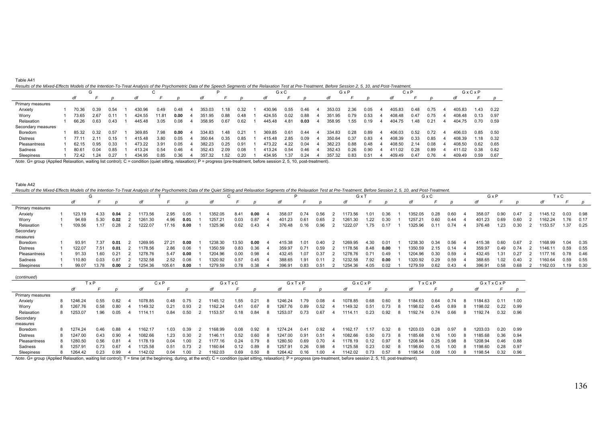| Results of the Mixed-Effects Models of the Intention-To-Treat Analysis of the Psychometric Data of the Speech Segments of the Relaxation Test at Pre-Treatment, Before Session 2, 5, 10, and Post-Treatment. |  |  |
|--------------------------------------------------------------------------------------------------------------------------------------------------------------------------------------------------------------|--|--|
|                                                                                                                                                                                                              |  |  |

| Results of the Mixed-Effects Models of the Internion-TO-Treat Analysis of the Esychometric Data of the Speech Segments of the Relaxation Test at FT |                   |      |      |        |       |      |   |        |      |      |        |      |      |    | re-Treament, belore Session 2, 9, |      |      | <i>to, and Fost-Headment.</i> |              |      |        |       |      |
|-----------------------------------------------------------------------------------------------------------------------------------------------------|-------------------|------|------|--------|-------|------|---|--------|------|------|--------|------|------|----|-----------------------------------|------|------|-------------------------------|--------------|------|--------|-------|------|
|                                                                                                                                                     |                   |      |      |        | ι.    |      |   |        |      |      |        | GxC  |      |    |                                   | GxP  |      |                               | $C \times P$ |      |        | GxCxP |      |
|                                                                                                                                                     | di                |      |      | dt     |       |      |   | dt     |      |      |        |      |      |    |                                   |      |      |                               |              |      |        |       |      |
| Primary measures                                                                                                                                    |                   |      |      |        |       |      |   |        |      |      |        |      |      |    |                                   |      |      |                               |              |      |        |       |      |
| Anxiety                                                                                                                                             | 70.36             | 0.39 | 0.54 | 430.96 | 0.49  | 0.48 | Δ | 353.03 | 1.18 | 0.32 | 430.96 | 0.55 | 0.46 |    | 353.03                            | 2.36 | 0.05 | 405.83                        | 0.48         | 0.75 | 405.83 | 1.43  | 0.22 |
| Worry                                                                                                                                               | 73.65             | 2.67 | 0.11 | 424.55 | 11.81 | 0.00 |   | 351.95 | 0.88 | 0.48 | 424.55 | 0.02 | 0.88 |    | 351.95                            | 0.79 | 0.53 | 408.48                        | 0.47         | 0.75 | 408.48 | .13   | 0.97 |
| Relaxation                                                                                                                                          | 66.26             | 0.63 | 0.43 | 445.48 | 3.05  | 0.08 |   | 358.95 | 0.67 | 0.62 | 445.48 | 4.81 | 0.03 |    | 358.95                            | 1.55 | 0.19 | 404.75                        | 1.48         | 0.21 | 404.75 | 0.70  | 0.59 |
| Secondary measures                                                                                                                                  |                   |      |      |        |       |      |   |        |      |      |        |      |      |    |                                   |      |      |                               |              |      |        |       |      |
| Boredom                                                                                                                                             | 85.32             | 0.32 | 0.57 | 369.85 | 7.98  | 0.00 |   | 334.83 | 1.48 | 0.21 | 369.85 | 0.61 | 0.44 | -4 | 334.83                            | 0.28 | 0.89 | 406.03                        | 0.52         | 0.72 | 406.03 | 0.85  | 0.50 |
| <b>Distress</b>                                                                                                                                     | 77.1 <sup>.</sup> | 2.11 | 0.15 | 415.48 | 3.80  | 0.05 |   | 350.64 | 0.35 | 0.85 | 415.48 | 2.85 | 0.09 |    | 350.64                            | 0.37 | 0.83 | 408.39                        | 0.33         | 0.85 | 408.39 | i.18  | 0.32 |
| Pleasantness                                                                                                                                        | 62.15             | 0.95 | 0.33 | 473.22 | 3.91  | 0.05 |   | 382.23 | 0.25 | 0.91 | 473.22 | 4.22 | 0.04 |    | 382.23                            | 0.88 | 0.48 | 408.50                        | 2.14         | 0.08 | 408.50 | 0.62  | 0.65 |
| Sadness                                                                                                                                             | 80.61             | 0.04 | 0.85 | 413.24 | 0.54  | 0.46 |   | 352.43 | 2.09 | 0.08 | 413.24 | 0.54 | 0.46 |    | 352.43                            | 0.26 | 0.90 | 411.02                        | 0.28         | 0.89 | 411.02 | 0.38  | 0.82 |
| Sleepiness                                                                                                                                          | 72.42             | 1.24 | 0.27 | 434.95 | 0.85  | 0.36 |   | 357.32 | 1.52 | 0.20 | 434.95 | . 37 | 0.24 |    | 357.32                            | 0.83 | 0.51 | 409.49                        | 0.47         | 0.76 | 409.49 | 0.59  | 0.67 |

*Note*. G= group (Applied Relaxation, waiting list control); C = condition (quiet sitting, relaxation); P = progress (pre-treatment, before session 2, 5, 10, post-treatment).

#### Table A42

Table A41

| Results of the Mixed-Effects Models of the Intention-To-Treat Analysis of the Psychometric Data of the Quiet Sitting and Relaxation Segments of the Relaxation Test at Pre-Treatment, Before Session 2, 5, 10, and Post-Treatm |  |  |
|--------------------------------------------------------------------------------------------------------------------------------------------------------------------------------------------------------------------------------|--|--|
|                                                                                                                                                                                                                                |  |  |

|                  |        |       |      |         |       |      |         |       |      |        |      |      | G x     |      |      | GxC     |      |      | GxP    |      |      |         | ГxС  |      |
|------------------|--------|-------|------|---------|-------|------|---------|-------|------|--------|------|------|---------|------|------|---------|------|------|--------|------|------|---------|------|------|
|                  | dt     |       |      |         |       |      | df      |       |      |        |      |      |         |      |      |         |      |      |        |      |      |         |      |      |
| Primary measures |        |       |      |         |       |      |         |       |      |        |      |      |         |      |      |         |      |      |        |      |      |         |      |      |
| Anxiety          | 123.19 | 4.33  | 0.04 | 1173.56 | 2.95  | 0.05 | 1352.05 | 8.41  | 0.00 | 358.07 | 0.74 | 0.56 | 1173.56 | .01  | 0.36 | 1352.05 | 0.28 | 0.60 | 358.07 | 0.90 | 0.47 | 1145.12 | 0.03 | 0.98 |
| Worry            | 94.69  | 5.3C  | 0.02 | 1261.30 | 4.96  | 0.01 | 257.21  | 0.03  | 0.87 | 401.23 | 0.61 | 0.65 | 1261.30 | .22  | 0.30 | 1257.2  | 0.60 | 0.44 | 401.23 | 0.69 | 0.60 | 162.24  | .76  | 0.17 |
| Relaxation       | 109.56 | 1.17  | 0.28 | 1222.07 | 17.16 | 0.00 | 1325.96 | 0.62  | 0.43 | 376.48 | 0.16 | 0.96 | 1222.07 | .75  | 0.17 | 1325.96 | 0.11 | 0.74 | 376.48 | 1.23 | 0.30 | 1153.57 | 1.37 | 0.25 |
| Secondary        |        |       |      |         |       |      |         |       |      |        |      |      |         |      |      |         |      |      |        |      |      |         |      |      |
| measures         |        |       |      |         |       |      |         |       |      |        |      |      |         |      |      |         |      |      |        |      |      |         |      |      |
| Boredom          | 93.91  | 7.37  | 0.01 | 269.95  | 27.21 | 0.00 | 1238.30 | 13.50 | 0.00 | 415.38 | 1.01 | 0.40 | 1269.95 | 4.30 | 0.01 | 1238.30 | 0.34 | 0.56 | 415.38 | 0.60 | 0.67 | 1168.99 | 1.04 | 0.35 |
| <b>Distress</b>  | 122.0  | 7.51  | 0.01 | 1178.56 | 2.86  | 0.06 | 1350.59 | 0.83  | 0.36 | 359.97 | 0.71 | 0.59 | 1178.56 | 8.48 | 0.00 | 1350.59 | 2.15 | 0.14 | 359.97 | 0.49 | 0.74 | 1146.11 | 0.59 | 0.55 |
| Pleasantness     | 91.33  | 1.60  | 0.21 | 1278.76 | 5.47  | 0.00 | 1204.96 | 0.00  | 0.98 | 432.45 | 1.07 | 0.37 | 1278.76 | 0.71 | 0.49 | 1204.96 | 0.30 | 0.59 | 432.45 | 1.31 | 0.27 | 1177.16 | 0.78 | 0.46 |
| Sadness          | 110.80 | 0.03  | 0.87 | 1232.58 | 2.52  | 0.08 | 1320.92 | 0.57  | 0.45 | 388.65 | !.91 | 0.11 | 1232.58 | 7.92 | 0.00 | 1320.92 | 0.29 | 0.59 | 388.65 | 1.02 | 0.40 | 160.64  | 0.59 | 0.55 |
| Sleepiness       | 99.0   | 13.78 | 0.00 | 1254.36 | 105.6 | 0.00 | 1279.59 | 0.78  | 0.38 | 396.9  | 0.83 |      | 1254.36 | 4.05 | 0.02 | 1279.59 | 0.62 | 0.43 | 396.91 | 0.58 | 0.68 | 1162.03 | 1.19 | 0.30 |

| (continued)      |   |         |       |      |         |      |      |         |      |      |    |         |      |      |         |      |      |   |         |      |      |         |      |      |
|------------------|---|---------|-------|------|---------|------|------|---------|------|------|----|---------|------|------|---------|------|------|---|---------|------|------|---------|------|------|
|                  |   |         | í x P |      | CxP     |      |      | GxTxC   |      |      |    | GxTxP   |      |      | GxCxP   |      |      |   | TxCxP   |      |      | GxTxCxP |      |      |
|                  |   | df      |       |      |         |      |      |         |      |      |    |         |      |      |         |      |      |   |         |      |      |         |      | D    |
| Primary measures |   |         |       |      |         |      |      |         |      |      |    |         |      |      |         |      |      |   |         |      |      |         |      |      |
| Anxiety          |   | 1246.24 | 0.55  | 0.82 | 1078.85 | 0.48 | 0.75 | 145.12  | .55  | 0.21 | 8  | 1246.24 | 1.79 | 0.08 | 1078.85 | 0.68 | 0.60 |   | 184.63  | 0.64 | 0.74 | 184.63  | 0.11 | 1.00 |
| Worry            |   | 1267.76 | 0.58  | 0.80 | 149.32  | 0.21 | 0.93 | 162.24  | 0.41 | 0.67 | -8 | 1267.76 | 0.89 | 0.52 | 149.32  | 0.51 | ነ.73 |   | 198.02  | 0.45 | 0.89 | 198.02  | 0.22 | 0.99 |
| Relaxation       | 8 | 1253.07 | 1.96  | 0.05 | 114.11  | 0.84 | 0.50 | 1153.57 | 0.18 | 0.84 | 8  | 1253.07 | 0.73 | 0.67 | 1114.11 | 0.23 | 0.92 |   | 1192.74 | 0.74 | 0.66 | 192.74  | 0.32 | 0.96 |
| Secondary        |   |         |       |      |         |      |      |         |      |      |    |         |      |      |         |      |      |   |         |      |      |         |      |      |
| measures         |   |         |       |      |         |      |      |         |      |      |    |         |      |      |         |      |      |   |         |      |      |         |      |      |
| Boredom          | 8 | 1274.24 | 0.46  | 0.88 | 162.17  | 1.03 | 0.39 | 1168.99 | 0.08 | 0.92 | -8 | 1274.24 | 0.41 | 0.92 | 162.17  | .17  | 0.32 | 8 | 1203.03 | 0.28 | 0.97 | 203.03  | 0.20 | 0.99 |
| <b>Distress</b>  |   | 1247.00 | 0.43  | 0.90 | 1082.66 | 1.23 | 0.30 | 1146.11 | 0.52 | 0.60 | -8 | 1247.00 | 0.91 | 0.51 | 1082.66 | 0.50 | 0.73 |   | 1185.68 | 0.16 | 1.00 | 185.68  | 0.36 | 0.94 |
| Pleasantness     |   | 1280.50 | 0.56  | 0.81 | 178.19  | 0.04 | 0.00 | 1177.16 | 0.24 | 0.79 | -8 | 1280.50 | 0.69 | 0.70 | 1178.19 | 0.12 | 0.97 | 8 | 1208.94 | 0.25 | 0.98 | 1208.94 | 0.46 | 0.88 |
| Sadness          | 8 | 1257.91 | 0.73  | 0.67 | 125.58  | 0.51 | 0.73 | 160.64  | 0.12 | 0.89 | -8 | 1257.9  | 0.26 | 0.98 | 125.58  | 0.23 | 0.92 |   | 1198.60 | 0.16 | 00.1 | 198.60  | 0.28 | 0.97 |
| Sleepiness       |   | 1264.42 | 0.23  | 0.99 | 142.02  | 0.04 | .00  | 1162.03 | 0.69 | 0.50 | -8 | 1264.42 | 0.16 | .00  | 142.02  | ነ 73 | ა.57 |   | 1198.54 | 0.08 | 1.00 | 198.54  | 0.32 | 0.96 |

Note. G= group (Applied Relaxation, waiting list control); T = time (at the beginning, during, at the end); C = condition (quiet sitting, relaxation); P = progress (pre-treatment, before session 2, 5, 10, post-treatment).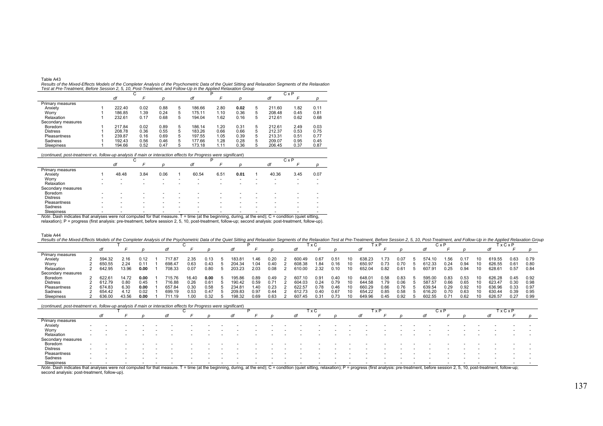| Table A43                                                                                                                                             |
|-------------------------------------------------------------------------------------------------------------------------------------------------------|
| Results of the Mixed-Effects Models of the Completer Analysis of the Psychometric Data of the Quiet Sitting and Relaxation Segments of the Relaxation |
| Test at Pre-Treatment, Before Session 2, 5, 10, Post-Treatment, and Follow-Up in the Applied Relaxation Group                                         |

|                    |        | ι,   |      |   |        |      |      |   |        | $C \times P$ |      |
|--------------------|--------|------|------|---|--------|------|------|---|--------|--------------|------|
|                    | df     |      |      |   | df     |      |      |   | df     |              |      |
| Primary measures   |        |      |      |   |        |      |      |   |        |              |      |
| Anxiety            | 222.40 | 0.02 | 0.88 | 5 | 186.66 | 2.80 | 0.02 | 5 | 211.60 | 1.82         | 0.11 |
| Worry              | 186.85 | 1.39 | 0.24 | 5 | 175.11 | 1.10 | 0.36 | 5 | 208.48 | 0.45         | 0.81 |
| Relaxation         | 232.61 | 0.17 | 0.68 | 5 | 194.04 | 1.62 | 0.16 | 5 | 212.61 | 0.62         | 0.68 |
| Secondary measures |        |      |      |   |        |      |      |   |        |              |      |
| Boredom            | 217.84 | 0.02 | 0.89 | 5 | 186.14 | 1.20 | 0.31 | 5 | 212.61 | 2.49         | 0.03 |
| <b>Distress</b>    | 208.78 | 0.36 | 0.55 | 5 | 183.26 | 0.66 | 0.66 | 5 | 212.37 | 0.53         | 0.75 |
| Pleasantness       | 239.87 | 0.16 | 0.69 | 5 | 197.55 | 1.05 | 0.39 | 5 | 213.31 | 0.51         | 0.77 |
| Sadness            | 192.43 | 0.56 | 0.46 | 5 | 177.66 | 1.28 | 0.28 | 5 | 209.07 | 0.95         | 0.45 |
| Sleepiness         | 194.66 | 0.52 | 0.47 | 5 | 173.18 | 1.11 | 0.36 | 5 | 206.45 | 0.37         | 0.87 |

(*continued, post-treatment vs. follow-up analysis if main or interaction effects for Progress were significant*)

| (continued, post-treatment vs. follow-up analysis if main or interaction effects for Progress were significant) |          |       |      |                          |   |       |      |      |   |       |              |      |
|-----------------------------------------------------------------------------------------------------------------|----------|-------|------|--------------------------|---|-------|------|------|---|-------|--------------|------|
|                                                                                                                 |          |       | u    |                          |   |       |      |      |   |       | $C \times P$ |      |
|                                                                                                                 |          | df    |      |                          |   | df    |      |      |   | df    |              |      |
| Primary measures                                                                                                |          |       |      |                          |   |       |      |      |   |       |              |      |
| Anxiety                                                                                                         |          | 48.48 | 3.84 | 0.06                     |   | 60.54 | 6.51 | 0.01 |   | 40.36 | 3.45         | 0.07 |
| Worry                                                                                                           | <b>.</b> | ۰     | -    | $\overline{\phantom{a}}$ | - |       | -    | -    |   |       |              |      |
| Relaxation                                                                                                      |          | -     |      |                          |   |       |      |      |   |       |              |      |
| Secondary measures                                                                                              |          |       |      |                          |   |       |      |      |   |       |              |      |
| Boredom                                                                                                         |          | -     | -    | $\overline{\phantom{a}}$ |   |       |      |      |   |       |              |      |
| <b>Distress</b>                                                                                                 |          | -     | -    | -                        | - | -     | -    | -    | - |       |              |      |
| Pleasantness                                                                                                    | -        | -     | -    | $\overline{\phantom{a}}$ | - |       | -    |      |   |       |              |      |
| Sadness                                                                                                         | -        | -     | -    | -                        | - | -     | -    | -    | - |       |              |      |
| Sleepiness                                                                                                      |          |       |      |                          |   |       |      |      |   |       |              |      |

\_Sleepiness<br>Note. Dash indicates that analyses were not computed for that measure. T = time (at the beginning, during, at the end); C = condition (quiet sitting,<br>relaxation); P = progress (first analysis: pre-treatment, be

| Table A44                                                                                                                                                                                                                      |  |
|--------------------------------------------------------------------------------------------------------------------------------------------------------------------------------------------------------------------------------|--|
| Results of the Mixed-Effects Models of the Completer Analysis of the Psychometric Data of the Quiet Sitting and Relaxation Segments of the Relaxation Test at Pre-Treatment, Before Session 2, 5, 10, Post-Treatment, and Foll |  |

|                    |        |       |                  |        |      |      |                 |      |       |            | ∣x C |               |        | хP   |      | <b>UX</b> | $\overline{ }$ |      |    |        | <b>xCxP</b> |      |
|--------------------|--------|-------|------------------|--------|------|------|-----------------|------|-------|------------|------|---------------|--------|------|------|-----------|----------------|------|----|--------|-------------|------|
|                    |        |       |                  |        |      |      |                 |      |       |            |      |               |        |      |      |           |                |      |    |        |             |      |
| Primary measures   |        |       |                  |        |      |      |                 |      |       |            |      |               |        |      |      |           |                |      |    |        |             |      |
| Anxiety            | 594.32 | 2.16  | 0.12             | 717 R. | 2.35 | 0.13 | $183.8^{\circ}$ | .46  | 0.20  | 60<br>1.49 | 0.67 | 0.51          | 638.23 | .73  |      | 574.1t    | .56            | :3.1 |    | 619.55 | 0.63        | 0.79 |
| Worry              | 650.55 | 2.24  | 0.1 <sup>4</sup> | 698.47 | 0.63 | 0.43 | 204.34          | .04  | .ነ 4Ր | 608.38     | .84  |               | 650.9  |      |      | 612.33    | 0.24           | 0.94 |    | 626.55 | 0.61        | 0.80 |
| Relaxation         | 642.95 | 13.96 | 0.00             | 708.33 | 0.07 | 0.80 | 203.23          | 2.03 | 0.08  | 610.00     | 2.32 | 0.10          | 652.04 | 0.82 | J.61 |           | 25.(           | 0.94 |    | 628.6' | 0.57        | 0.84 |
| Secondary measures |        |       |                  |        |      |      |                 |      |       |            |      |               |        |      |      |           |                |      |    |        |             |      |
| Boredom            | 622.61 | 14.72 | 0.00             | 715.76 | 6.40 | 0.00 | 195.86          | 0.89 | 0.49  | 607.10     | 0.91 | 0.40          | 648.01 | 0.58 | 83.ر | 595.00    | 0.83           | 0.53 |    | 626.28 | 0.45        | 0.92 |
| <b>Distress</b>    | 612.79 | 0.80  | 0.4              | 716.88 | 0.26 | 0.61 | 190.42          | 0.59 |       | 604.03     | 0.24 | 0.79          | 644.58 |      |      | 587.57    | 0.66           | 0.65 |    | 623.47 | 0.30        | 0.98 |
| Pleasantness       | 674.83 | 6.3C  | 0.00             | 657.84 | 0.30 | 0.58 | 234.81          | .40  | 1.23  | 622.5      | 0.78 | 0.46          | 660.29 | 0.66 |      | 639.54    | 25             | 0.92 |    | 636.96 | 0.33        | 0.97 |
| Sadness            | 654.42 | 4.12  | 0.02             | 699.19 | 0.53 | 0.47 | 209.83          | 0.97 | 1.44  | 612.73     | 0.40 | $0.6^{\circ}$ | 654.22 | 0.85 |      | 616.20    | 0.70           | 0.63 |    | 630.44 | 0.39        | 0.95 |
| Sleepiness         | 636.00 | 43.56 | 0.00             | 711 19 | .00  | 0.32 | 198.32          | 0.69 | 0.63  | 607.45     | 0.31 | 0.73          | 649.96 | 0.45 | ገ.92 | 602.55    | ገ 71           | 0.62 | 10 | 626.57 | 0.27        | 0.99 |

### (*continued, post-treatment vs. follow-up analysis if main or interaction effects for Progress were significant*)

| Note Doob indicates that analyses were not computed for that meseure $T = \text{time of the homomion}$ during during during of the analy $C =$ condition (quick eitting relayation); $D =$ pregrape (first analysis; are tractment, before account |
|----------------------------------------------------------------------------------------------------------------------------------------------------------------------------------------------------------------------------------------------------|

Note. Dash indicates that analyses were not computed for that measure. T = time (at the beginning, during, at the end); C = condition (quiet sitting, relaxation); P = progress (first analysis: pre-treatment, before session second analysis: post-treatment, follow-up).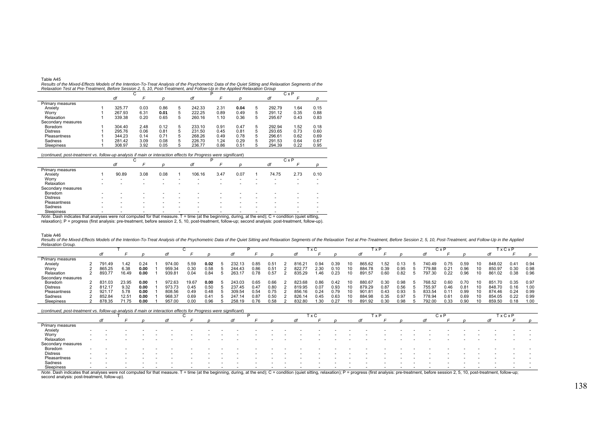| Table A45                                                                                                                                           |
|-----------------------------------------------------------------------------------------------------------------------------------------------------|
| Results of the Mixed-Effects Models of the Intention-To-Treat Analysis of the Psychometric Data of the Quiet Sitting and Relaxation Segments of the |
| Relaxation Test at Pre-Treatment. Before Session 2. 5. 10. Post-Treatment. and Follow-Up in the Applied Relaxation Group                            |

|                         |        |      |      |   |        |      |      |   |        | CxP  |      |
|-------------------------|--------|------|------|---|--------|------|------|---|--------|------|------|
|                         | df     |      |      |   | df     |      |      |   | df     |      |      |
| <b>Primary measures</b> |        |      |      |   |        |      |      |   |        |      |      |
| Anxiety                 | 325.77 | 0.03 | 0.86 | 5 | 242.33 | 2.31 | 0.04 | 5 | 292.79 | 1.64 | 0.15 |
| Worry                   | 267.93 | 6.31 | 0.01 | 5 | 222.25 | 0.89 | 0.49 | 5 | 291.12 | 0.35 | 0.88 |
| Relaxation              | 339.38 | 0.20 | 0.65 | 5 | 260.16 | 1.10 | 0.36 | 5 | 295.67 | 0.43 | 0.83 |
| Secondary measures      |        |      |      |   |        |      |      |   |        |      |      |
| Boredom                 | 304.40 | 2.48 | 0.12 | 5 | 233.10 | 0.91 | 0.47 | 5 | 292.94 | 1.52 | 0.18 |
| <b>Distress</b>         | 295.76 | 0.06 | 0.81 | 5 | 231.50 | 0.45 | 0.81 | 5 | 293.65 | 0.73 | 0.60 |
| Pleasantness            | 344.23 | 0.14 | 0.71 | 5 | 268.26 | 0.49 | 0.78 | 5 | 296.61 | 0.62 | 0.69 |
| Sadness                 | 281.42 | 3.09 | 0.08 | 5 | 226.70 | 1.24 | 0.29 | 5 | 291.53 | 0.64 | 0.67 |
| Sleepiness              | 308.97 | 3.92 | 0.05 | 5 | 236.77 | 0.86 | 0.51 | 5 | 294.39 | 0.22 | 0.95 |

(*continued, post-treatment vs. follow-up analysis if main or interaction effects for Progress were significant*)

|                    |   |       | ι,                       |                          |   |        |                          |                          |   |                          | $C \times P$ |      |
|--------------------|---|-------|--------------------------|--------------------------|---|--------|--------------------------|--------------------------|---|--------------------------|--------------|------|
|                    |   | df    |                          |                          |   | df     |                          |                          |   | df                       |              |      |
| Primary measures   |   |       |                          |                          |   |        |                          |                          |   |                          |              |      |
| Anxiety            |   | 90.89 | 3.08                     | 0.08                     |   | 106.16 | 3.47                     | 0.07                     |   | 74.75                    | 2.73         | 0.10 |
| Worry              | - | -     | $\overline{\phantom{a}}$ | $\,$                     | - | $\,$   | $\overline{\phantom{a}}$ | $\overline{\phantom{a}}$ | ۰ | $\overline{\phantom{a}}$ |              |      |
| Relaxation         |   |       |                          |                          |   |        |                          |                          |   |                          |              |      |
| Secondary measures |   |       |                          |                          |   |        |                          |                          |   |                          |              |      |
| <b>Boredom</b>     |   |       |                          |                          |   |        | -                        |                          |   |                          |              |      |
| <b>Distress</b>    |   |       |                          | $\overline{\phantom{a}}$ |   | -      | $\overline{\phantom{a}}$ | -                        | - |                          |              |      |
| Pleasantness       |   |       |                          |                          |   | -      | $\overline{\phantom{a}}$ | $\overline{\phantom{a}}$ | - |                          |              |      |
| Sadness            |   |       |                          |                          |   |        |                          | -                        | - |                          |              |      |
| Sleepiness         |   |       |                          |                          |   |        |                          |                          |   |                          |              |      |

\_Sleepiness<br>Note. Dash indicates that analyses were not computed for that measure. T = time (at the beginning, during, at the end); C = condition (quiet sitting,<br>relaxation); P = progress (first analysis: pre-treatment, be

Table A46

Results of the Mixed-Effects Models of the Intention-To-Treat Analysis of the Psychometric Data of the Quiet Sitting and Relaxation Segments of the Relaxation Test at Pre-Treatment, Before Session 2, 5, 10, Post-Treatment, *Relaxation Group.*

|                    |        |                |      |        |       |      |        |      |      |        | " x C |       | i x P         |      |      | C x I  |      |      |     |        | <b>xCxP</b> |      |
|--------------------|--------|----------------|------|--------|-------|------|--------|------|------|--------|-------|-------|---------------|------|------|--------|------|------|-----|--------|-------------|------|
|                    |        |                |      |        |       |      |        |      |      |        |       |       |               |      |      |        |      |      |     |        |             |      |
| Primary measures   |        |                |      |        |       |      |        |      |      |        |       |       |               |      |      |        |      |      |     |        |             |      |
| Anxiety            | 791.49 | 42، ،          | 0.24 | 974.00 | 5.59  | 0.02 | 232.13 | 0.85 | 0.51 | 16.2   | 0.94  | 39. ( | 365.62        | 52   |      | 740.49 | 1.75 | 0.59 | 10  | 848.02 | 0.41        | 0.94 |
| Worry              | 865.25 | 6.38           | 0.00 | 959.34 | J.30  | 0.58 | 244.43 | 0.86 | 0.51 | 822.7  | 2.30  | .10   | 384.78        | 0.39 | 0.95 | 779.88 | 0.21 | 0.96 | 10  | 850.97 | 0.30        | 0.98 |
| Relaxation         | 893.77 | 16.49          | 0.00 | 939.81 | 0.04  | 0.84 | 263.17 | 0.78 | 0.57 | 835.29 | .46   | 0.23  | 891.57        | 0.60 | 0.82 | 797.30 | 0.22 | 0.96 | 10  | 861.02 | 0.38        | 0.96 |
| Secondary measures |        |                |      |        |       |      |        |      |      |        |       |       |               |      |      |        |      |      |     |        |             |      |
| Boredom            |        | 23.95          | 0.00 | 972.63 | 19.67 | 0.00 | 243.03 | 0.65 | 0.66 | 823.68 | 0.86  | 0.42  | 380.6         | 0.30 | 0.98 | 768.52 | 0.6C | 0.70 |     |        | 0.35        | 0.97 |
| <b>Distress</b>    | 812.17 | 9.32           | 0.00 | 973.73 | .14F  | 0.50 | 237.45 | 0.47 | 0.80 | 319.95 | 0.07  | 0.93  | 979.29        | 0.87 | 0.56 | 755.9  | 0.46 | 0.81 |     | 848.70 | 0.16        | 1.00 |
| Pleasantness       | 921.17 | 5.78           | 0.00 | 808.56 | ) 49  | 0.48 | 309.54 | 0.54 | 0.75 | 856.16 | 0.24  | .79   | 901.81        | 0.43 | 0.93 | 933.54 | 0.1' | 0.99 | 10  | 874.46 | 0.24        | 0.99 |
| Sadness            | 852.84 | $12.5^{\circ}$ | 0.00 | 968.37 | 0.69  | 0.41 | 247.14 | 0.87 | 0.50 | 926.14 | 0.45  | 0.63  | <b>984.96</b> | 0.35 | 0.97 | 778.94 | 0.61 | 0.69 | 10  | 854.05 | 0.22        | 0.99 |
| Sleepiness         | 878.35 |                | 0.00 | 957.00 |       | 0.96 | 258.19 | ገ 76 |      | 832.80 | .30   | N 27  | 891.92        | 0.30 | 0.98 | 792.00 | 0.33 | 0.90 | 10. | 859.5  | 0.18        | 1.00 |

(*continued, post-treatment vs. follow-up analysis if main or interaction effects for Progress were significant*)

Sleepiness<br>Note. Dash indicates that analyses were not computed for that measure. T = time (at the beginning, during, at the end); C = condition (quiet sitting, relaxation); P = progress (first analysis: pre-treatment, bef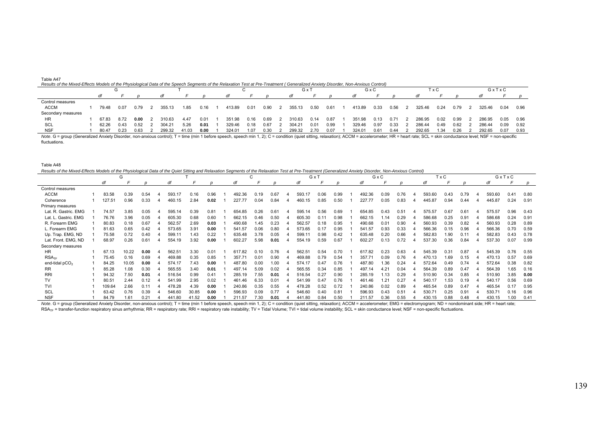| Table A47                                                                                                                                                                         |  |  |
|-----------------------------------------------------------------------------------------------------------------------------------------------------------------------------------|--|--|
| Results of the Mixed-Effects Models of the Physiological Data of the Speech Segments of the Relaxation Test at Pre-Treatment ( Generalized Anxiety Disorder, Non-Anxious Control) |  |  |

|                    |       |      |      |        |       |      |        |      |      | G x    |      |      |        | GxC  |      |        | 'x C |      |        | GxTxC |      |
|--------------------|-------|------|------|--------|-------|------|--------|------|------|--------|------|------|--------|------|------|--------|------|------|--------|-------|------|
|                    |       |      |      |        |       |      |        |      |      |        |      |      | dt     |      |      |        |      |      |        |       |      |
| Control measures   |       |      |      |        |       |      |        |      |      |        |      |      |        |      |      |        |      |      |        |       |      |
| <b>ACCM</b>        | 79.48 | 0.07 | 0.79 | 355.13 | 1.85  | 0.16 | 413.89 | 0.01 | 0.90 | 355.13 | 0.50 | 0.61 | 413.89 | 0.33 | 0.56 | 325.46 | 0.24 | 0.79 | 325.46 | 0.04  | 0.96 |
| Secondary measures |       |      |      |        |       |      |        |      |      |        |      |      |        |      |      |        |      |      |        |       |      |
| <b>HR</b>          | 67.83 | 8.72 | 0.00 | 310.63 | 4.47  | 0.01 | 351.98 | 0.16 | 0.69 | 310.63 | 0.14 | 0.87 | 351.98 | 0.13 | 0.71 | 286.95 | 0.02 | 0.99 | 286.95 | 0.05  | 0.96 |
| SCL                | 62.26 | 0.43 | 0.52 | 304.21 | 5.26  | 0.01 | 329.46 | 0.18 | 0.67 | 304.21 | 0.01 | 0.99 | 329.46 | 0.97 | 0.33 | 286.44 | 0.49 | 0.62 | 286.44 | 0.09  | 0.92 |
| <b>NSF</b>         | 80.47 | 0.23 | 0.63 | 299.32 | 41.03 | 0.00 | 324.01 | 1.07 | 0.30 | 299.32 | 2.70 | 0.07 | 324.01 | 0.61 | 0.44 | 292.65 | 1.34 | 0.26 | 292.65 | 0.07  | 0.93 |

Note. G = group (Generalized Anxiety Disorder, non-anxious control); T = time (min 1 before speech, speech min 1, 2); C = condition (quiet sitting, relaxation); ACCM = accelerometer; HR = heart rate; SCL = skin conductance fluctuations.

| Table A48                                                                                                                                                                                              |        |       |      |        |       |               |        |      |      |        |      |      |        |      |      |        |       |               |        |       |      |
|--------------------------------------------------------------------------------------------------------------------------------------------------------------------------------------------------------|--------|-------|------|--------|-------|---------------|--------|------|------|--------|------|------|--------|------|------|--------|-------|---------------|--------|-------|------|
| Results of the Mixed-Effects Models of the Physiological Data of the Quiet Sitting and Relaxation Segments of the Relaxation Test at Pre-Treatment (Generalized Anxiety Disorder, Non-Anxious Control) |        |       |      |        |       |               |        |      |      |        |      |      |        |      |      |        |       |               |        |       |      |
|                                                                                                                                                                                                        |        | G     |      |        |       |               |        | ◡    |      | GxT    |      |      |        | GxC  |      |        | T x C |               |        | GxTxC |      |
|                                                                                                                                                                                                        | df     |       |      | df     |       |               | d      |      |      |        |      |      | di     |      |      | đ      |       |               | d      |       |      |
| Control measures                                                                                                                                                                                       |        |       |      |        |       |               |        |      |      |        |      |      |        |      |      |        |       |               |        |       |      |
| <b>ACCM</b>                                                                                                                                                                                            | 83.58  | 0.39  | 0.54 | 593.17 | 0.16  | 0.96          | 492.36 | 0.19 | 0.67 | 593.17 | 0.06 | 0.99 | 492.36 | 0.09 | 0.76 | 593.60 | 0.43  | 0.79          | 593.60 | 0.41  | 0.80 |
| Coherence                                                                                                                                                                                              | 127.51 | 0.96  | 0.33 | 460.15 | 2.84  | 0.02          | 227.77 | 0.04 | 0.84 | 460.15 | 0.85 | 0.50 | 227.77 | 0.05 | 0.83 | 445.87 | 0.94  | 0.44          | 445.87 | 0.24  | 0.91 |
| Primary measures                                                                                                                                                                                       |        |       |      |        |       |               |        |      |      |        |      |      |        |      |      |        |       |               |        |       |      |
| Lat. R. Gastric. EMG                                                                                                                                                                                   | 74.57  | 3.85  | 0.05 | 595.14 | 0.39  | 0.81          | 654.85 | 0.26 | 0.61 | 595.14 | 0.56 | 0.69 | 654.85 | 0.43 | 0.51 | 575.57 | 0.67  | 0.61          | 575.57 | 0.96  | 0.43 |
| Lat. L. Gastric. EMG                                                                                                                                                                                   | 76.76  | 3.96  | 0.05 | 605.30 | 0.68  | 0.60          | 662.15 | 0.46 | 0.50 | 605.30 | 0.11 | 0.98 | 662.15 | 1.14 | 0.29 | 586.68 | 0.25  | 0.91          | 586.68 | 0.24  | 0.91 |
| R. Forearm EMG                                                                                                                                                                                         | 80.83  | 0.18  | 0.67 | 562.57 | 2.69  | 0.03          | 490.68 | 1.45 | 0.23 | 562.57 | 0.18 | 0.95 | 490.68 | 0.01 | 0.90 | 560.93 | 0.39  | 0.82          | 560.93 | 0.28  | 0.89 |
| L. Forearm EMG                                                                                                                                                                                         | 81.63  | 0.65  | 0.42 | 573.65 | 3.91  | 0.00          | 541.57 | 0.06 | 0.80 | 573.65 | 0.17 | 0.95 | 541.57 | 0.93 | 0.33 | 566.36 | 0.15  | 0.96          | 566.36 | 0.70  | 0.59 |
| Up. Trap. EMG, ND                                                                                                                                                                                      | 75.58  | 0.72  | 0.40 | 599.1  | 1.43  | 0.22          | 635.48 | 3.78 | 0.05 | 599.11 | 0.98 | 0.42 | 635.48 | 0.20 | 0.66 | 582.83 | 1.90  | 0.11          | 582.83 | 0.43  | 0.78 |
| Lat. Front. EMG, ND                                                                                                                                                                                    | 68.97  | 0.26  | 0.61 | 554.19 | 3.92  | 0.00          | 602.27 | 5.98 | 0.01 | 554.19 | 0.59 | 0.67 | 602.27 | 0.13 | 0.72 | 537.30 | 0.36  | 0.84          | 537.30 | 0.07  | 0.99 |
| Secondary measures                                                                                                                                                                                     |        |       |      |        |       |               |        |      |      |        |      |      |        |      |      |        |       |               |        |       |      |
| <b>HR</b>                                                                                                                                                                                              | 67.13  | 10.22 | 0.00 | 562.51 | 3.30  | 0.01          | 617.82 | 0.10 | 0.76 | 562.51 | 0.54 | 0.70 | 617.82 | 0.23 | 0.63 | 545.39 | 0.31  | 0.87          | 545.39 | 0.76  | 0.55 |
| RSA <sub>TE</sub>                                                                                                                                                                                      | 75.45  | 0.16  | 0.69 | 469.88 | 0.35  | 0.85          | 357.71 | 0.01 | 0.90 | 469.88 | 0.79 | 0.54 | 357.71 | 0.09 | 0.76 | 470.13 | 1.69  | 0.15          | 470.13 | 0.57  | 0.69 |
| end-tidal $pCO2$                                                                                                                                                                                       | 84.25  | 10.05 | 0.00 | 574.17 | 7.43  | 0.00          | 487.80 | 0.00 | 1.00 | 574.17 | 0.47 | 0.76 | 487.80 | 1.36 | 0.24 | 572.64 | 0.49  | 0 74          | 572.64 | 0.38  | 0.82 |
| <b>RR</b>                                                                                                                                                                                              | 85.28  | 1.08  | 0.30 | 565.55 | 3.40  | 0.01          | 497.14 | 5.09 | 0.02 | 565.55 | 0.34 | 0.85 | 497.14 | 4.21 | 0.04 | 564.39 | 0.89  | 0.47          | 564.39 | 1.65  | 0.16 |
| <b>RRI</b>                                                                                                                                                                                             | 94.32  | 7.50  | 0.01 | 516.54 | 0.99  | $0.4^{\circ}$ | 285.19 | 7.55 | 0.01 | 516.54 | 0.27 | 0.90 | 285.19 | 1.13 | 0.29 | 510.90 | 0.34  | 0.85          | 510.90 | 3.85  | 0.00 |
| TV                                                                                                                                                                                                     | 80.51  | 2.44  | 0.12 | 541.99 | 2.95  | 0.02          | 461.46 | 6.33 | 0.01 | 541.99 | 0.47 | 0.76 | 461.46 | 1.21 | 0.27 | 540.17 | 1.53  | 0.19          | 540.17 | 0.56  | 0.69 |
| <b>TVI</b>                                                                                                                                                                                             | 109.64 | 2.66  | 0.11 | 478.28 | 4.39  | 0.00          | 240.86 | 0.35 | 0.55 | 478.28 | 0.52 | 0.72 | 240.86 | 0.02 | 0.89 | 465.54 | 0.89  | 0.47          | 465.54 | 0.17  | 0.95 |
| SCL                                                                                                                                                                                                    | 63.42  | 0.76  | 0.39 | 546.60 | 30.85 | 0.00          | 596.93 | 0.09 | 0.77 | 546.60 | 0.40 | 0.81 | 596.93 | 0.43 | 0.51 | 530.71 | 0.25  | $0.9^{\circ}$ | 530.71 | 0.16  | 0.96 |
| <b>NSF</b>                                                                                                                                                                                             | 84.79  | 1.61  | 0.21 | 441.80 | 41.52 | 0.00          | 211.57 | 7.30 | 0.01 | 441.80 | 0.84 | 0.50 | 211.57 | 0.36 | 0.55 | 430.15 | 0.88  | 0.48          | 430.15 | 1.00  | 0.41 |

Note. G = group (Generalized Anxiety Disorder, non-anxious control); T = time (min 1 before speech, speech min 1, 2); C = condition (quiet sitting, relaxation); ACCM = accelerometer; EMG = electromyogram; ND = nondominant RSA<sub>TF</sub> = transfer-function respiratory sinus arrhythmia; RR = respiratory rate; RRI = respiratory rate instability; TV = Tidal Volume; TVI = tidal volume instability; SCL = skin conductance level; NSF = non-specific fluct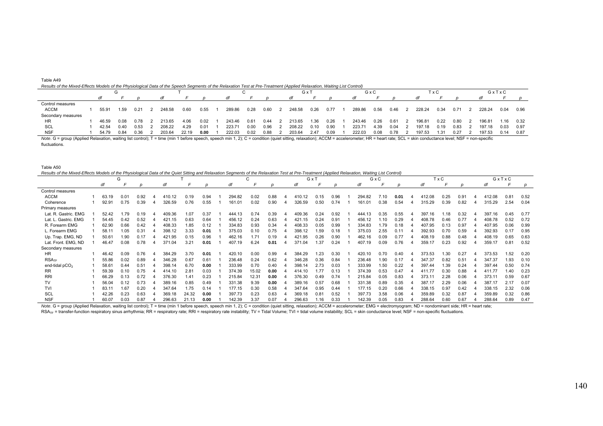| Table A49                                                                                                                                                               |  |
|-------------------------------------------------------------------------------------------------------------------------------------------------------------------------|--|
| Results of the Mixed-Effects Models of the Physiological Data of the Speech Segments of the Relaxation Test at Pre-Treatment (Applied Relaxation, Waiting List Control) |  |

|                    |       |      |      |        |       |      |        |      |      | G x    |      |      |        | GxC  |      |        | ГxС  |      |        | GxTxC |      |
|--------------------|-------|------|------|--------|-------|------|--------|------|------|--------|------|------|--------|------|------|--------|------|------|--------|-------|------|
|                    |       |      |      |        |       |      |        |      |      | dt     |      |      | dt     |      |      |        |      |      |        |       |      |
| Control measures   |       |      |      |        |       |      |        |      |      |        |      |      |        |      |      |        |      |      |        |       |      |
| <b>ACCM</b>        | 55.91 | 1.59 | 0.21 | 248.58 | 0.60  | 0.55 | 289.86 | 0.28 | 0.60 | 248.58 | 0.26 | 0.77 | 289.86 | 0.56 | 0.46 | 228.24 | 0.34 | 0.71 | 228.24 | 0.04  | 0.96 |
| Secondary measures |       |      |      |        |       |      |        |      |      |        |      |      |        |      |      |        |      |      |        |       |      |
| <b>HR</b>          | 46.59 | 0.08 | 0.78 | 213.65 | 4.06  | 0.02 | 243.46 | 0.61 | 0.44 | 213.65 | 1.36 | 0.26 | 243.46 | 0.26 | 0.61 | 196.81 | 0.22 | 0.80 | 196.81 | 1.16  | 0.32 |
| SCL                | 42.54 | 0.40 | 0.53 | 208.22 | 4.29  | 0.01 | 223.71 | 0.00 | 0.96 | 208.22 | 0.10 | 0.90 | 223.71 | 4.39 | 0.04 | 197.18 | 0.19 | 0.83 | 197.18 | 0.03  | 0.97 |
| <b>NSF</b>         | 54.79 | 0.84 | 0.36 | 203.64 | 22.19 | 0.00 | 222.03 | 0.02 | 0.88 | 203.64 | 2.47 | 0.09 | 222.03 | 0.08 | 0.78 | 197.53 | .31  | 0.27 | 197.53 | 0.14  | 0.87 |

Note. G = group (Applied Relaxation, waiting list control); T = time (min 1 before speech, speech min 1, 2); C = condition (quiet sitting, relaxation); ACCM = accelerometer; HR = heart rate; SCL = skin conductance level; N fluctuations.

| Table A50                                                                                                                                                                                     |  |
|-----------------------------------------------------------------------------------------------------------------------------------------------------------------------------------------------|--|
| Results of the Mixed-Effects Models of the Physiological Data of the Quiet Sitting and Relaxation Segments of the Relaxation Test at Pre-Treatment (Applied Relaxation, Waiting List Control, |  |

|                      |       | G    |      |        |       |      |        | C     |      |        | GxT  |      |        | GxC  |      |        | T x C |      |        | GxTxC |      |
|----------------------|-------|------|------|--------|-------|------|--------|-------|------|--------|------|------|--------|------|------|--------|-------|------|--------|-------|------|
|                      | df    |      |      |        |       |      |        |       |      |        |      |      |        |      |      |        |       |      |        |       |      |
| Control measures     |       |      |      |        |       |      |        |       |      |        |      |      |        |      |      |        |       |      |        |       |      |
| <b>ACCM</b>          | 63.19 | 0.01 | 0.92 | 410.12 | 0.19  | 0.94 | 294.82 | 0.02  | 0.88 | 410.12 | 0.15 | 0.96 | 294.82 | 7.10 | 0.01 | 412.08 | 0.25  | 0.91 | 412.08 | 0.81  | 0.52 |
| Coherence            | 92.91 | 0.75 | 0.39 | 326.59 | 0.76  | 0.55 | 161.01 | 0.02  | 0.90 | 326.59 | 0.50 | 0.74 | 161.01 | 0.38 | 0.54 | 315.29 | 0.39  | 0.82 | 315.29 | 2.54  | 0.04 |
| Primary measures     |       |      |      |        |       |      |        |       |      |        |      |      |        |      |      |        |       |      |        |       |      |
| Lat. R. Gastric. EMG | 52.42 | 1.79 | 0.19 | 409.36 | 1.07  | 0.37 | 444.13 | 0.74  | 0.39 | 409.36 | 0.24 | 0.92 | 444.13 | 0.35 | 0.55 | 397.16 | 1.18  | 0.32 | 397.16 | 0.45  | 0.77 |
| Lat. L. Gastric. EMG | 54.45 | 0.42 | 0.52 | 421.15 | 0.63  | 0.64 | 456.12 | 0.24  | 0.63 | 421.15 | 0.24 | 0.91 | 456.12 | 1.10 | 0.29 | 408.78 | 0.46  | 0.77 | 408.78 | 0.52  | 0.72 |
| R. Forearm EMG       | 62.90 | 0.66 | 0.42 | 408.33 | 1.85  | 0.12 | 334.83 | 0.93  | 0.34 | 408.33 | 0.05 | 0.99 | 334.83 | 1.79 | 0.18 | 407.95 | 0.13  | 0.97 | 407.95 | 0.06  | 0.99 |
| L. Forearm EMG       | 58.1  | 1.05 | 0.31 | 398.12 | 3.33  | 0.01 | 375.03 | 0.10  | 0.75 | 398.12 | 1.59 | 0.18 | 375.03 | 2.55 | 0.1' | 392.93 | 0.70  | 0.59 | 392.93 | 0.17  | 0.95 |
| Up. Trap. EMG, ND    | 50.61 | 1.90 | 0.17 | 421.95 | 0.15  | 0.96 | 462.16 | 1.71  | 0.19 | 421.95 | 0.26 | 0.90 | 462.16 | 0.09 | 0.77 | 408.19 | 0.88  | 0.48 | 408.19 | 0.65  | 0.63 |
| Lat. Front. EMG, ND  | 46.47 | 0.08 | 0.78 | 371.04 | 3.21  | 0.01 | 407.19 | 6.24  | 0.01 | 371.04 | 1.37 | 0.24 | 407.19 | 0.09 | 0.76 | 359.17 | 0.23  | 0.92 | 359.17 | 0.81  | 0.52 |
| Secondary measures   |       |      |      |        |       |      |        |       |      |        |      |      |        |      |      |        |       |      |        |       |      |
| <b>HR</b>            | 46.42 | 0.09 | 0.76 | 384.29 | 3.70  | 0.01 | 420.10 | 0.00  | 0.99 | 384.29 | 1.23 | 0.30 | 420.10 | 0.70 | 0.40 | 373.53 | 1.30  | 0.27 | 373.53 | 1.52  | 0.20 |
| RSA <sub>TF</sub>    | 55.86 | 0.02 | 0.89 | 346.28 | 0.67  | 0.61 | 236.48 | 0.24  | 0.62 | 346.28 | 0.36 | 0.84 | 236.48 | 1.90 | 0.17 | 347.37 | 0.82  | 0.51 | 347.37 | 1.93  | 0.10 |
| end-tidal $pCO2$     | 58.61 | 0.44 | 0.51 | 398.14 | 6.70  | 0.00 | 333.99 | 0.70  | 0.40 | 398.14 | 2.73 | 0.03 | 333.99 | 1.50 | 0.22 | 397.44 | 1.39  | 0.24 | 397.44 | 0.50  | 0.74 |
| <b>RR</b>            | 59.39 | 0.10 | 0.75 | 414.10 | 2.81  | 0.03 | 374.39 | 15.02 | 0.00 | 414.10 | 1.77 | 0.13 | 374.39 | 0.53 | 0.47 | 41177  | 0.30  | 0.88 | 411.77 | 1.40  | 0.23 |
| <b>RRI</b>           | 66.29 | 0.13 | 0.72 | 376.30 | 1.41  | 0.23 | 215.84 | 12.31 | 0.00 | 376.30 | 0.49 | 0.74 | 215.84 | 0.05 | 0.83 | 373.11 | 2.28  | 0.06 | 373.11 | 0.59  | 0.67 |
| TV                   | 56.04 | 0.12 | 0.73 | 389.16 | 0.85  | 0.49 | 331.38 | 9.39  | 0.00 | 389.16 | 0.57 | 0.68 | 331.38 | 0.89 | 0.35 | 387.17 | 2.29  | 0.06 | 387.17 | 2.17  | 0.07 |
| <b>TVI</b>           | 83.1  | 1.67 | 0.20 | 347.64 | 1.75  | 0.14 | 177.15 | 0.30  | 0.58 | 347.64 | 0.95 | 0.44 | 177.15 | 0.20 | 0.66 | 338.15 | 0.97  | 0.42 | 338.15 | 2.32  | 0.06 |
| <b>SCL</b>           | 42.26 | 0.23 | 0.63 | 369.18 | 24.32 | 0.00 | 397.73 | 0.23  | 0.63 | 369.18 | 0.81 | 0.52 | 397.73 | 3.58 | 0.06 | 359.89 | 0.32  | 0.87 | 359.89 | 0.32  | 0.86 |
| <b>NSF</b>           | 60.07 | 0.03 | 0.87 | 296.63 | 21.13 | 0.00 | 142.39 | 3.37  | 0.07 | 296.63 | 1.16 | 0.33 | 142.39 | 0.05 | 0.83 | 288.64 | 0.60  | 0.67 | 288.64 | 0.89  | 0.47 |

Note. G = group (Applied Relaxation, waiting list control); T = time (min 1 before speech, speech min 1, 2); C = condition (quiet sitting, relaxation); ACCM = accelerometer; EMG = electromyogram; ND = nondominant side; HR RSA<sub>TF</sub> = transfer-function respiratory sinus arrhythmia; RR = respiratory rate; RRI = respiratory rate; RRI = respiratory rate instability; TV = Tidal Volume; TVI = tidal volume instability; SCL = skin conductance level;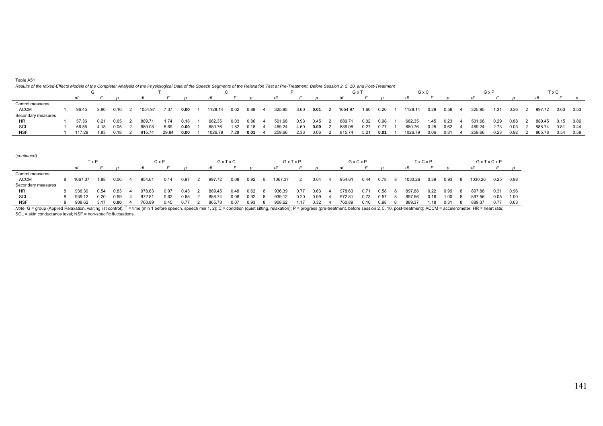## *Results of the Mixed-Effects Models of the Completer Analysis of the Physiological Data of the Speech Segments of the Relaxation Test at Pre-Treatment, Before Session 2, 5, 10, and Post-Treatment*

|                    |  |        |      |      |         |       |      |         |      |      |        |      | G x  |         |      | GxC  |         |      | GxP  |        |      |      | ГхС    |             |      |
|--------------------|--|--------|------|------|---------|-------|------|---------|------|------|--------|------|------|---------|------|------|---------|------|------|--------|------|------|--------|-------------|------|
|                    |  |        |      |      |         |       |      |         |      |      |        |      |      |         |      |      |         |      |      |        |      |      |        |             |      |
| Control measures   |  |        |      |      |         |       |      |         |      |      |        |      |      |         |      |      |         |      |      |        |      |      |        |             |      |
| <b>ACCM</b>        |  | 96.45  | 2.80 | 0.10 | 1054.97 | 7.37  | 0.00 | 1128.14 | 0.02 | 0.89 | 325.95 | 3.60 | 0.01 | 1054.97 | 1.60 | 0.20 | 1128.14 | 0.29 | 0.59 | 325.95 | 1.31 | 0.26 | 997.72 | 0.63 0.53   |      |
| Secondary measures |  |        |      |      |         |       |      |         |      |      |        |      |      |         |      |      |         |      |      |        |      |      |        |             |      |
| нк                 |  | 57.36  | 0.21 | 0.65 | 889.71  | 1.74  | 0.18 | 682.35  | 0.03 | 0.86 | 501.68 | 0.93 | 0.45 | 889.71  | 0.02 | 0.98 | 682.35  | 1.45 | 0.23 | 501.68 | 0.29 | 0.88 | 889.45 | $0.15$ 0.86 |      |
| SCL                |  | 56.56  | 4.18 | 0.05 | 889.08  | 5.69  | 0.00 | 680.76  | 1.82 | 0.18 | 469.24 | 4.60 | 0.00 | 889.08  | 0.27 | 0.77 | 680.76  | 0.25 | 0.62 | 469.24 | 2.73 | 0.03 | 888.74 | 0.81        | 0.44 |
| <b>NSF</b>         |  | 117.29 | 183  | 0.18 | 815.74  | 29.84 | 0.00 | 1026.79 | 7.28 | 0.01 | 259.66 | 2.33 | 0.06 | 815.74  | 5.21 | 0.01 | 1026.79 | 0.06 | 0.81 | 259.66 | 0.23 | 0.92 | 865.78 | 0.54        | 0.58 |

| (continued)        |            |         |      |      |  |        |      |      |  |        |      |      |         |      |      |     |        |      |      |    |         |      |      |     |         |         |      |
|--------------------|------------|---------|------|------|--|--------|------|------|--|--------|------|------|---------|------|------|-----|--------|------|------|----|---------|------|------|-----|---------|---------|------|
|                    | CxP<br>TxP |         |      |      |  |        |      |      |  | GxTxC  |      |      | GxTxP   |      |      |     | GxCxP  |      |      |    | TxCxP   |      |      |     |         | GxTxCxP |      |
|                    |            |         |      |      |  | dt     |      |      |  |        |      |      |         |      |      |     |        |      |      |    | dt      |      |      |     |         |         | D.   |
| Control measures   |            |         |      |      |  |        |      |      |  |        |      |      |         |      |      |     |        |      |      |    |         |      |      |     |         |         |      |
| <b>ACCM</b>        |            | 1067.37 | 1.88 | 0.06 |  | 954.61 | 0.14 | 0.97 |  | 997.72 | 0.08 | 0.92 | 1067.37 |      | 0.04 | - 4 | 954.61 | 0.44 | 0.78 |    | 1030.26 | 0.39 | 0.93 | - 8 | 1030.26 | 0.25    | 0.98 |
| Secondary measures |            |         |      |      |  |        |      |      |  |        |      |      |         |      |      |     |        |      |      |    |         |      |      |     |         |         |      |
| HR                 |            | 936.39  | 0.54 | 0.83 |  | 978.63 | 0.97 | 0.43 |  | 889.45 | 0.48 | 0.62 | 936.39  | 0.77 | 0.63 |     | 978.63 | 0.71 | 0.58 | -8 | 897.88  | 0.22 | 0.99 | -8  | 897.88  | 0.31    | 0.96 |
| SCL                |            | 939.12  | 0.20 | 0.99 |  | 972.81 | 0.62 | 0.65 |  | 888.74 | 0.08 | 0.92 | 939.12  | 0.20 | 0.99 |     | 972.81 | 0.73 | 0.57 |    | 897.56  | 0.16 | 1.00 | - 8 | 897.56  | 0.05    | 1.00 |
| <b>NSF</b>         |            | 908.62  | 3.17 | 0.00 |  | 760.89 | 0.45 | 0.77 |  | 865.78 | 0.07 | 0.93 | 908.62  | 1.17 | 0.32 |     | 760.89 | 0.10 | 0.98 |    | 889.37  | í.18 | 0.31 |     | 889.37  | 0.77    | 0.63 |

Note. G = group (Applied Relaxation, waiting list control); T = time (min 1 before speech, speech min 1, 2); C = condition (quiet sitting, relaxation); P = progress (pre-treatment, before session 2, 5, 10, post-treatment);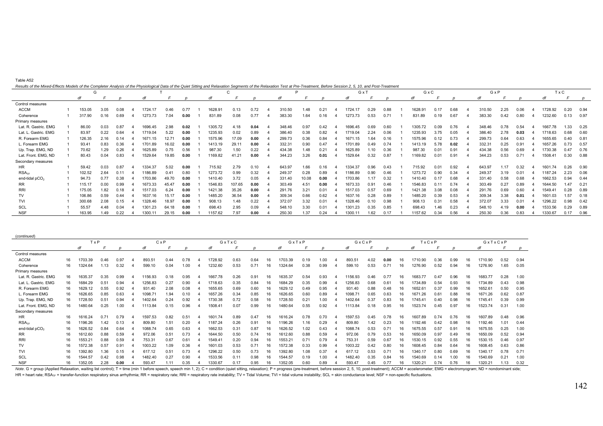|  | ıhlı<br>۹ | ж. |
|--|-----------|----|
|--|-----------|----|

| Results of the Mixed-Effects Models of the Completer Analysis of the Physiological Data of the Quiet Sitting and Relaxation Segments of the Relaxation Test at Pre-Treatment, Before Session 2, 5, 10, and Post-Treatment |  |  |  |
|---------------------------------------------------------------------------------------------------------------------------------------------------------------------------------------------------------------------------|--|--|--|
|                                                                                                                                                                                                                           |  |  |  |

|                      | G      |      |      |                  |       |      |         |        |      |        |       |      | GxT              |      |               | GxC     |      |      | GxP    |      |      | T x C   |      |      |
|----------------------|--------|------|------|------------------|-------|------|---------|--------|------|--------|-------|------|------------------|------|---------------|---------|------|------|--------|------|------|---------|------|------|
|                      | di     |      |      |                  |       |      |         |        |      |        |       |      |                  |      |               |         |      |      |        |      |      |         |      |      |
| Control measures     |        |      |      |                  |       |      |         |        |      |        |       |      |                  |      |               |         |      |      |        |      |      |         |      |      |
| <b>ACCM</b>          | 153.05 | 3.05 | 0.08 | 1724.17          | 0.46  | 0.77 | 1628.9  | 0.13   | 0.72 | 310.50 | 1.48  | 0.21 | 1724.17          | 0.29 | 0.88          | 1628.9  | 0.17 | 0.68 | 310.50 | 2.25 | 0.06 | 1728.92 | 0.20 | 0.94 |
| Coherence            | 317.90 | 0.16 | 0.69 | 1273.73          | 7.04  | 0.00 | 831.89  | 0.08   | 0.77 | 383.30 | 1.64  | 0.16 | 1273.73          | 0.53 | $0.7^{\circ}$ | 831.89  | 0.19 | 0.67 | 383.30 | 0.42 | 0.80 | 1232.60 | 0.13 | 0.97 |
| Primary measures     |        |      |      |                  |       |      |         |        |      |        |       |      |                  |      |               |         |      |      |        |      |      |         |      |      |
| Lat. R. Gastric. EMG | 86.00  | 0.03 | 0.87 | 1696.45          | 2.98  | 0.02 | 1305.72 | 4.18   | 0.04 | 348.46 | 0.97  | 0.42 | 1696.45          | 0.69 | 0.60          | 1305.72 | 0.09 | 0.76 | 348.46 | 0.78 | 0.54 | 1667.78 | .33  | 0.25 |
| Lat. L. Gastric. EMG | 83.97  | 0.22 | 0.64 | 1719.04          | 5.22  | 0.00 | 1235.93 | 0.02   | 0.89 | 386.40 | 0.38  | 0.82 | 1719.04          | 2.24 | 0.06          | 1235.93 | 3.75 | 0.05 | 386.40 | 2.78 | 0.03 | 1718.63 | 0.68 | 0.60 |
| R. Forearm EMG       | 126.35 | 2.16 | 0.14 | 1671.15          | 12.71 | 0.00 | 1575.96 | 17.09  | 0.00 | 299.73 | 0.36  | 0.84 | 1671.15          | 1.64 | 0.16          | 1575.96 | 0.12 |      | 299.73 | 0.64 | 0.63 | 1655.65 | 0.40 | 0.81 |
| L. Forearm EMG       | 93.41  | 0.83 | 0.36 | 1701.89          | 16.02 | 0.00 | 1413.19 | 29.11  | 0.00 | 332.31 | 0.90  | 0.47 | 1701.89          | 0.49 | 0.74          | 1413.19 | 5.78 | 0.02 | 332.31 | 0.25 | 0.91 | 1657.26 | 0.73 | 0.57 |
| Up. Trap. EMG, ND    | 70.62  | 1.29 | 0.26 | 1625.89          | 0.75  | 0.56 | 987.30  | 1.50   | 0.22 | 434.38 | 1.48  | 0.21 | 1625.89          | 1.10 | 0.36          | 987.30  | 0.01 | 0.91 | 434.38 | 0.56 | 0.69 | 1730.38 | 0.47 | 0.76 |
| Lat. Front. EMG, ND  | 80.43  | 0.04 | 0.83 | 1529.64          | 19.85 | 0.00 | 1169.82 | 41.21  | 0.00 | 344.23 | 3.26  | 0.01 | 1529.64          | 0.32 | 0.87          | 1169.82 | 0.01 | 0.91 | 344.23 | 0.53 | 0.71 | 1508.41 | 0.30 | 0.88 |
| Secondary measures   |        |      |      |                  |       |      |         |        |      |        |       |      |                  |      |               |         |      |      |        |      |      |         |      |      |
| HR.                  | 59.42  | 0.03 | 0.87 | 1334.37          | 5.02  | 0.00 | 715.92  | 2.79   | 0.10 | 643.97 | 1.66  | 0.16 | 1334.37          | 0.96 | 0.43          | 715.92  | 0.01 | 0.92 | 643.97 | 1.17 | 0.32 | 1601.74 | 0.26 | 0.90 |
| RSA <sub>TF</sub>    | 102.52 | 2.64 |      | 1186.89          | 0.41  | 0.80 | 1273.72 | 0.99   | 0.32 | 249.37 | 0.28  | 0.89 | 186.89           | 0.90 | 0.46          | 1273.72 | 0.90 | 0.34 | 249.37 | 3.19 | 0.01 | 1187.24 | 2.23 | 0.06 |
| end-tidal $pCO2$     | 94.73  | 0.77 | 0.38 | 1703.86          | 49.70 | 0.00 | 1410.40 | 3.72   | 0.05 | 331.40 | 10.08 | 0.00 | 1703.86          | 1.17 | 0.32          | 1410.40 |      | 0.68 | 331.40 | 0.58 | 0.68 | 1662.53 | 0.94 | 0.44 |
| RR                   | 115.17 | 0.00 | 0.99 | 1673.33          | 45.47 | 0.00 | 1546.83 | 107.65 | 0.00 | 303.49 | 4.51  | 0.00 | 1673.33          | 0.91 | 0.46          | 1546.83 | 0.11 | 0.74 | 303.49 | 0.27 | 0.89 | 1644.50 | 1.47 | 0.21 |
| <b>RRI</b>           | 175.05 | 1.82 | 0.18 | 1517.03          | 6.24  | 0.00 | 1421.38 | 35.26  | 0.00 | 291.76 | 3.21  | 1.01 | 1517.03          | 0.57 | 0.69          | 1421.38 | 3.08 | 0.08 | 291.76 | 0.69 | 0.60 | 1549.41 | 0.28 | 0.89 |
| TV                   | 106.86 | 0.59 | 0.44 | 1637.16          | 15.17 | 0.00 | 1485.20 | 36.54  | 0.00 | 309.34 | 0.66  | 0.62 | 1637.16          | 0.28 | 0.89          | 1485.20 | 0.39 | 0.53 | 309.34 | 3.38 | 0.01 | 1601.03 | .57  | 0.18 |
| <b>TVI</b>           | 300.68 | 2.08 | 0.15 | 1328.46          | 18.97 | 0.00 | 908.13  | 1.48   | 0.22 | 372.07 | 3.32  | 0.01 | 1328.46          | 0.10 | 0.98          | 908.13  | 0.31 | 0.58 | 372.07 | 3.33 | 0.01 | 1296.22 | 0.98 | 0.42 |
| <b>SCL</b>           | 55.57  | 4.48 | 0.04 | 1301.23          | 64.18 | 0.00 | 698.43  | 2.95   | 0.09 | 548.10 | 3.30  | D.O1 | 1301.23          | 0.35 | 0.85          | 698.43  | .46  | 0.23 | 548.10 | 4.19 | 0.00 | 1533.56 | 0.29 | 0.89 |
| <b>NSF</b>           | 163.95 | 1.49 | 0.22 | $1300.1^{\circ}$ | 29.15 | 0.00 | 1157.62 | 7.97   | 0.00 | 250.30 | 1.37  | 0.24 | $1300.1^{\circ}$ | 1.62 | 0.17          | 1157.62 | 0.34 | 0.56 | 250.30 | 0.36 | 0.83 | 1330.67 |      | 0.96 |

| (continued)                |    |            |      |      |         |              |      |         |       |      |    |         |       |      |         |       |      |    |         |      |      |    |         |              |      |
|----------------------------|----|------------|------|------|---------|--------------|------|---------|-------|------|----|---------|-------|------|---------|-------|------|----|---------|------|------|----|---------|--------------|------|
|                            |    | <b>TxP</b> |      |      |         | $C \times P$ |      |         | GxTxC |      |    |         | GxTxP |      |         | GxCxP |      |    | TxCxP   |      |      |    | GxTxCxP |              |      |
|                            |    | df         |      |      |         |              |      |         |       |      |    |         |       |      |         |       |      |    |         |      |      |    |         |              |      |
| Control measures           |    |            |      |      |         |              |      |         |       |      |    |         |       |      |         |       |      |    |         |      |      |    |         |              |      |
| <b>ACCM</b>                | 16 | 1703.39    | 0.46 | 0.97 | 893.51  | 0.44         | 0.78 | 1728.92 | 0.63  | 0.64 | 16 | 1703.39 | 0.19  | .00  | 893.51  | 4.02  | 0.00 | 16 | 1710.90 | 0.36 | 0.99 | 16 | 1710.90 | 0.52         | 0.94 |
| Coherence                  | 16 | 1324.64    | 1.13 | 0.32 | 599.10  | 0.04         | 0.00 | 1232.60 | 0.53  | 0.71 | 16 | 1324.64 | 0.38  | 0.99 | 599.10  | 0.53  | 0.71 | 16 | 1276.90 | 0.52 | 0.94 | 16 | 1276.90 | 1.65         | 0.05 |
| Primary measures           |    |            |      |      |         |              |      |         |       |      |    |         |       |      |         |       |      |    |         |      |      |    |         |              |      |
| Lat. R. Gastric. EMG       | 16 | 1635.37    | 0.35 | 0.99 | 1156.93 | 0.18         | 0.95 | 1667.78 | 0.26  | 0.91 | 16 | 1635.37 | 0.54  | 0.93 | 156.93  | 0.46  | 0.77 | 16 | 1683.77 | 0.47 | 0.96 | 16 | 1683.77 | 0.28         | 1.00 |
| Lat. L. Gastric. EMG       | 16 | 1684.29    | 0.51 | 0.94 | 1256.83 | 0.27         | 0.90 | 1718.63 | 0.35  | 0.84 | 16 | 1684.29 | 0.35  | 0.99 | 1256.83 | 0.68  | 0.61 |    | 1734.89 | 0.54 | 0.93 | 16 | 1734.89 | 0.43         | 0.98 |
| R. Forearm EMG             | 16 | 1629.12    | 0.55 | 0.92 | 931.40  | 2.08         | 0.08 | 1655.65 | 0.69  | 0.60 | 16 | 1629.12 | 0.49  | 0.95 | 931.40  | 0.88  | 0.48 |    | 1652.61 | 0.37 | 0.99 |    | 1652.61 | 0.50         | 0.95 |
| L. Forearm EMG             | 16 | 1626.65    | 0.85 | 0.63 | 1098.71 | 1.94         | 0.10 | 1657.26 | 0.34  | 0.85 | 16 | 1626.65 | 0.60  | 0.89 | 1098.7  | 0.65  | 0.63 | 16 | 1671.26 | 0.6  | 0.88 |    | 1671.26 | 0.62         | 0.87 |
| Up. Trap. EMG, ND          | 16 | 1728.50    | 0.51 | 0.94 | 1402.64 | 0.24         | 0.92 | 1730.38 | 0.72  | 0.58 | 16 | 1728.50 | 0.21  | 0.00 | 1402.64 | 0.37  | 0.83 | 16 | 1745.41 | 0.40 | 0.98 | 16 | 1745.41 | 0.39         | 0.99 |
| Lat. Front. EMG, ND        | 16 | 1480.64    | 0.25 | 1.00 | 1113.84 | 0.15         | 0.96 | 1508.41 | 0.07  | 0.99 | 16 | 1480.64 | 0.55  | 0.92 | 1113.84 | 0.18  | 0.95 | 16 | 1523.74 | 0.45 | 0.97 |    | 1523.74 | 0.31         | 1.00 |
| Secondary measures         |    |            |      |      |         |              |      |         |       |      |    |         |       |      |         |       |      |    |         |      |      |    |         |              |      |
| HR                         | 16 | 1616.24    | 0.71 | 0.79 | 1597.53 | 0.82         | 0.51 | 1601.74 | 0.89  | 0.47 | 16 | 1616.24 | 0.78  | 0.70 | 1597.53 | 0.45  | 0.78 | 16 | 1607.89 | 0.74 | 0.76 | 16 | 1607.89 | 0.48         | 0.96 |
| RSA <sub>TE</sub>          |    | 1196.26    | 1.42 | 0.13 | 809.80  | 1.51         | 0.20 | 1187.24 | 0.26  | 0.91 | 16 | 1196.26 | 1.16  | 0.29 | 809.80  | 1.42  | 0.23 |    | 192.46  | 0.42 | 0.98 |    | 1192.46 | $.0^{\circ}$ | 0.44 |
| end-tidal pCO <sub>2</sub> | 16 | 1626.52    | 0.84 | 0.64 | 1088.74 | 0.65         | 0.63 | 1662.53 | 0.31  | 0.87 | 16 | 1626.52 | 1.02  | 0.43 | 1088.74 | 0.53  | 0.71 | 16 | 1675.55 | 0.57 | 0.91 | 16 | 1675.55 | 0.25         | 1.00 |
| RR                         | 16 | 1612.60    | 0.88 | 0.59 | 972.06  | 0.51         | 0.73 | 1644.50 | 0.50  | 0.74 | 16 | 1612.60 | 0.88  | 0.59 | 972.06  | 0.79  | 0.53 |    | 1650.09 | 0.97 | 0.49 |    | 1650.09 | 0.52         | 0.94 |
| <b>RRI</b>                 |    | 1553.21    | 0.88 | 0.59 | 753.31  | 0.67         | 0.61 | 1549.41 | 0.20  | 0.94 | 16 | 1553.21 | 0.71  | 0.79 | 753.31  | 0.59  | 0.67 |    | 1530.15 | 0.92 | 0.55 |    | 1530.15 | 0.46         | 0.97 |
| TV                         | 16 | 1572.38    | 0.57 | 0.91 | 1003.22 | 1.09         | 0.36 | 1601.03 | 0.53  | 0.71 | 16 | 1572.38 | 0.33  | 0.99 | 1003.22 | 0.42  | 0.80 |    | 1608.45 | 0.84 | 0.64 | 16 | 1608.45 | 0.63         | 0.86 |
| <b>TVI</b>                 | 16 | 1392.80    | 1.36 | 0.15 | 617.12  | 0.51         | 0.73 | 1296.22 | 0.50  | 0.73 | 16 | 1392.80 | 1.08  | 0.37 | 617.12  | 0.53  | 0.71 |    | 1340.17 | 0.80 | 0.69 |    | 1340.17 | 0.78         | 0.71 |
| SCL                        |    | 1544.57    | 0.42 | 0.98 | 1482.40 | 0.27         | 0.90 | 1533.56 | 0.11  | 0.98 | 16 | 1544.57 | 0.19  | .00  | 1482.40 | 0.35  | 0.84 |    | 1540.69 |      | 1.00 |    | 1540.69 | 0.21         | 1.00 |
| <b>NSF</b>                 | 16 | 1352.05    | 2.28 | 0.00 | 593.47  | .11          | 0.35 | 1330.67 | 0.17  | 0.95 | 16 | 1352.05 | 0.60  | 0.89 | 593.47  | 0.45  | 0.77 |    | 1320.21 | 0.74 | 0.76 | 16 | 1320.21 | .13          | 0.32 |

Note. G = group (Applied Relaxation, waiting list control); T = time (min 1 before speech, speech min 1, 2); C = condition (quiet sitting, relaxation); P = progress (pre-treatment, before session 2, 5, 10, post-treatment); HR = heart rate; RSA<sub>TF</sub> = transfer-function respiratory sinus arrhythmia; RR = respiratory rate; RRI = respiratory rate instability; TV = Tidal Volume; TVI = tidal volume instability; SCL = skin conductance level; NSF =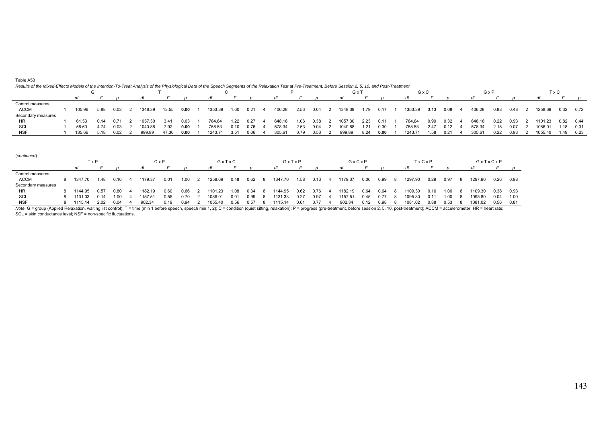|  | Table A53 |  |
|--|-----------|--|
|--|-----------|--|

## *Results of the Mixed-Effects Models of the Intention-To-Treat Analysis of the Physiological Data of the Speech Segments of the Relaxation Test at Pre-Treatment, Before Session 2, 5, 10, and Post-Treatment*

|                    |  |        |      |      |  |         |       |      |         |        |      |        | Gx   |      |         | GxC  |      |         | GxF  |      |        | ТхC  |      |         |             |            |
|--------------------|--|--------|------|------|--|---------|-------|------|---------|--------|------|--------|------|------|---------|------|------|---------|------|------|--------|------|------|---------|-------------|------------|
|                    |  |        |      |      |  |         |       |      |         |        |      |        |      |      |         |      |      |         |      |      |        |      |      |         |             |            |
| Control measures   |  |        |      |      |  |         |       |      |         |        |      |        |      |      |         |      |      |         |      |      |        |      |      |         |             |            |
| <b>ACCM</b>        |  | 105.96 | 5.88 | 0.02 |  | 1348.39 | 13.55 | 0.00 | 1353.39 | 1.60   | 0.21 | 406.28 | 2.53 | 0.04 | 1348.39 | 1.79 | 0.17 | 1353.39 | 3.13 | 0.08 | 406.28 | 0.88 | 0.48 | 1258.69 | $0.32$ 0.72 |            |
| Secondary measures |  |        |      |      |  |         |       |      |         |        |      |        |      |      |         |      |      |         |      |      |        |      |      |         |             |            |
| HR                 |  | 61.53  | 0.14 | 0.71 |  | 057.30  | 341   | 0.03 | 784.64  | 1.22   | 0.27 | 648.18 | 1.06 | 0.38 | 1057.30 | 2.23 | 0.11 | 784.64  | 0.99 | 0.32 | 648.18 | 0.22 | 0.93 | 1101.23 | $0.82$ 0.44 |            |
| SCL                |  | 58.60  | 4.74 | 0.03 |  | 1040.88 | 7.92  | 0.00 | 758.53  | 0.10   | 0.76 | 578.34 | 2.53 | 0.04 | 1040.88 | 1.21 | 0.30 | 758.53  | 2.47 | 0.12 | 578.34 | 2.18 | 0.07 | 1086.01 |             | 1.18  0.31 |
| <b>NSF</b>         |  | 135.66 | 5.18 | 0.02 |  | 999.89  | 47.30 | 0.00 | 1243.71 | - 3.51 | 0.06 | 305.61 | 0.79 | 0.53 | 999.89  | 8.24 | 0.00 | 1243.71 | 1.58 | 0.21 | 305.61 | 0.22 | 0.93 | 1055.40 | .49         | 0.23       |

| (continued)        |           |      |              |         |      |       |         |      |       |         |      |      |       |         |      |       |         |      |         |         |      |      |
|--------------------|-----------|------|--------------|---------|------|-------|---------|------|-------|---------|------|------|-------|---------|------|-------|---------|------|---------|---------|------|------|
|                    | TxP       |      | $C \times P$ |         |      | GxTxC |         |      | GxTxP |         |      |      | GxCxP |         |      | TXCXP |         |      | GxTxCxP |         |      |      |
|                    |           |      |              | dt      |      |       |         |      |       |         |      |      |       |         |      |       | dt      |      |         |         |      |      |
| Control measures   |           |      |              |         |      |       |         |      |       |         |      |      |       |         |      |       |         |      |         |         |      |      |
| <b>ACCM</b>        | 1347.70   | 1.48 | 0.16         | 1179.37 | 0.01 | 1.00  | 1258.69 | 0.48 | 0.62  | 1347.70 | 1.58 | 0.13 | 4     | 1179.37 | 0.06 | 0.99  | 1297.90 | 0.29 | 0.97    | 1297.90 | 0.26 | 0.98 |
| Secondary measures |           |      |              |         |      |       |         |      |       |         |      |      |       |         |      |       |         |      |         |         |      |      |
| HR                 | 8 1144.95 | 0.57 | 0.80         | 1182.19 | 0.60 | 0.66  | 1101.23 | 1.08 | 0.34  | 1144.95 | 0.62 | 0.76 |       | 1182.19 | 0.64 | 0.64  | 1109.30 | 0.16 | 1.00    | 1109.30 | 0.38 | 0.93 |
| SCL                | 8 1131.33 | 0.14 | 1.00         | 1157.51 | 0.55 | 0.70  | 1086.01 | 0.01 | 0.99  | 1131.33 | 0.27 | 0.97 |       | 1157.51 | 0.45 | 0.77  | 1095.80 | 0.11 | 1.00    | 1095.80 | 0.04 | 1.00 |
| <b>NSF</b>         | 1115.14   | 2.02 | 0.04         | 902.34  | 0.19 | 0.94  | 1055.40 | 0.56 | 0.57  | 1115.14 | 0.61 | 0.77 |       | 902.34  | 0.12 | 0.98  | 1081.02 | 0.88 | 0.53    | 1081.02 | 0.56 | 0.81 |

Note. G = group (Applied Relaxation, waiting list control); T = time (min 1 before speech, speech min 1, 2); C = condition (quiet sitting, relaxation); P = progress (pre-treatment, before session 2, 5, 10, post-treatment);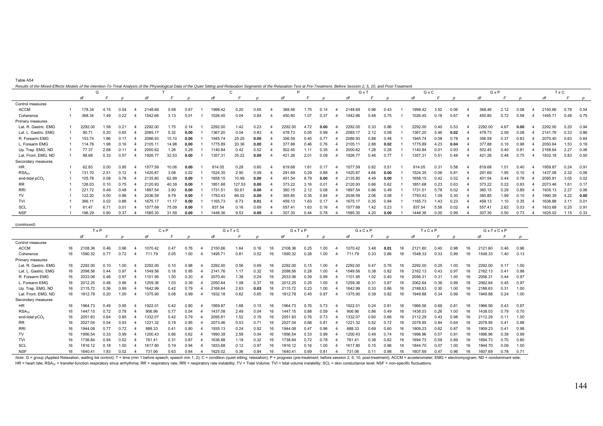| Table A54                                                                                                                                                                                                                      |  |
|--------------------------------------------------------------------------------------------------------------------------------------------------------------------------------------------------------------------------------|--|
| Results of the Mixed-Effects Models of the Intention-To-Treat Analysis of the Physiological Data of the Quiet Sitting and Relaxation Segments of the Relaxation Test at Pre-Treatment. Before Session 2, 5, 10, and Post-Treat |  |

(*continued*)

| nesuns or the mixed-Lheuts models or the mierition-To-Treat Analysis or the Fhysiological Data or the Quiet citumg and neiaxation ceginemis or the neiaxation Test at Fre-Heathem, Denore clession 2, 0, 10, and Fost-Heathem | G       |      |      |         |       |      |         | C      |      | P       |      |      | GxT     |      |      | GxC     |      |      | GxP     |      |      | TxC     |      |                  |
|-------------------------------------------------------------------------------------------------------------------------------------------------------------------------------------------------------------------------------|---------|------|------|---------|-------|------|---------|--------|------|---------|------|------|---------|------|------|---------|------|------|---------|------|------|---------|------|------------------|
|                                                                                                                                                                                                                               | df      |      |      |         |       |      |         |        |      |         |      |      | αı      |      |      |         |      |      |         |      |      | di      |      | $\boldsymbol{p}$ |
| Control measures                                                                                                                                                                                                              |         |      |      |         |       |      |         |        |      |         |      |      |         |      |      |         |      |      |         |      |      |         |      |                  |
| <b>ACCM</b>                                                                                                                                                                                                                   | 178.34  | 4.15 | 0.04 | 2148.69 | 0.58  | 0.67 | 1998.42 | 0.20   | 0.65 | 368.46  | 1.75 |      | 2148.69 | 0.96 | 0.43 | 1998.42 | 3.52 | 0.06 | 368.46  | 2.12 | 0.08 | 2150.66 | 0.78 | 0.54             |
| Coherence                                                                                                                                                                                                                     | 368.34  | 1.49 | 0.22 | 1542.66 | 3.13  | 0.01 | 1026.45 | 0.04   | 0.84 | 450.80  | 1.07 | 0.37 | 1542.66 | 0.48 | 0.75 | 1026.45 | 0.18 | 0.67 | 450.80  | 0.72 | 0.58 | 1495.71 | 0.48 | 0.75             |
| Primary measures                                                                                                                                                                                                              |         |      |      |         |       |      |         |        |      |         |      |      |         |      |      |         |      |      |         |      |      |         |      |                  |
| Lat. R. Gastric. EMG                                                                                                                                                                                                          | 2292.00 | 1.58 | 0.21 | 2292.00 | 1.75  | 0.14 | 2292.00 | 1.42   | 0.23 | 2292.00 | 4.72 | 0.00 | 2292.00 | 0.33 | 0.86 | 2292.00 | 0.40 | 0.53 | 2292.00 | 4.67 | 0.00 | 2292.00 | 0.20 | 0.94             |
| Lat. L. Gastric. EMG                                                                                                                                                                                                          | 90.71   | 0.20 | 0.65 | 2085.17 | 5.32  | 0.00 | 1367.20 | 0.04   | 0.83 | 478.73  | 0.05 | 0.99 | 2085.17 | 2.12 | 0.08 | 1367.20 | 5.46 | 0.02 | 478.73  | 2.09 | 0.08 | 2141.76 | 0.33 | 0.86             |
| R. Forearm EMG                                                                                                                                                                                                                | 153.74  | 1.86 |      | 2086.93 | 15.10 | 0.00 | 1945.74 | 25.20  | 0.00 | 356.59  | 0.45 | 0.77 | 2086.93 | 0.88 | 0.48 | 1945.74 | 0.08 | 0.78 | 356.59  | 0.37 | 0.83 | 2070.40 | 0.63 | 0.64             |
| L. Forearm EMG                                                                                                                                                                                                                | 114.76  | 1.98 | 0.16 | 2105.11 | 14.98 | 0.00 | 1775.89 | 20.36  | 0.00 | 377.88  | 0.46 | 0.76 | 2105.11 | 2.88 | 0.02 | 1775.89 | 4.23 | 0.04 | 377.88  | 0.10 | 0.98 | 2050.64 | 1.53 | 0.19             |
| Up. Trap. EMG, ND                                                                                                                                                                                                             | 77.37   | 2.68 | 0.11 | 2000.62 | 1.26  | 0.28 | 1140.84 | 0.42   | 0.52 | 502.45  |      | 0.35 | 2000.62 | .28  | 0.28 | 1140.84 | 0.01 | 0.93 | 502.45  | 0.40 | 0.81 | 2168.64 | 2.27 | 0.06             |
| Lat. Front. EMG, ND                                                                                                                                                                                                           | 88.68   | 0.33 | 0.57 | 1926.77 | 32.53 | 0.00 | 1357.31 | 35.22  | 0.00 | 421.26  | 2.01 | 0.09 | 1926.77 | 0.46 | 0.77 | 1357.31 | 0.51 | 0.48 | 421.26  | 0.48 | 0.75 | 1932.18 | 0.83 | 0.50             |
| Secondary measures                                                                                                                                                                                                            |         |      |      |         |       |      |         |        |      |         |      |      |         |      |      |         |      |      |         |      |      |         |      |                  |
| HR                                                                                                                                                                                                                            | 62.83   | 0.00 | 0.95 | 1577.59 | 10.06 | 0.00 | 814.05  | 0.28   | 0.60 | 819.68  | 1.61 | 0.17 | 1577.59 | 0.82 | 0.51 | 814.05  | 0.31 | 0.58 | 819.68  | 1.01 | 0.40 | 1959.87 | 0.24 | 0.91             |
| RSA <sub>TE</sub>                                                                                                                                                                                                             | 131.70  | 2.51 | 0.12 | 1420.87 | 3.08  | 0.02 | 1524.35 | 2.90   | 0.09 | 291.69  | 0.29 | 0.88 | 1420.87 | 4.66 | 0.00 | 1524.35 | 0.06 | 0.81 | 291.69  | 1.95 | 0.10 | 1437.08 | 2.32 | 0.06             |
| end-tidal $pCO2$                                                                                                                                                                                                              | 105.78  | 0.08 | 0.78 | 2135.80 | 62.99 | 0.00 | 1658.15 | 10.99  | 0.00 | 401.54  | 8.79 | 0.00 | 2135.80 | 4.49 | 0.00 | 1658.15 | 0.42 | 0.52 | 401.54  | 0.44 | 0.78 | 2095.8  | 3.05 | 0.02             |
| RR.                                                                                                                                                                                                                           | 126.03  | 0.10 | 0.75 | 2120.93 | 40.39 | 0.00 | 1851.68 | 127.53 | 0.00 | 373.22  | 3.16 | 0.01 | 2120.93 | 0.66 | 0.62 | 1851.68 | 0.23 | 0.63 | 373.22  | 0.22 | 0.93 | 2073.46 | 1.61 | 0.17             |
| RRI                                                                                                                                                                                                                           | 221.72  | 0.49 | 0.48 | 1897.54 | 3.90  | 0.00 | 1731.51 | 50.61  | 0.00 | 360.15  | 2.12 | 0.08 | 1897.54 | 0.86 | 0.49 | 1731.51 | 5.78 | 0.02 | 360.15  | 0.29 | 0.89 | 1935.13 | 2.27 | 0.06             |
| TV                                                                                                                                                                                                                            | 122.20  | 0.00 | 0.96 | 2036.59 | 9.79  | 0.00 | 1793.43 | 66.02  | 0.00 | 365.85  | 0.35 | 0.84 | 2036.59 | 2.06 | 0.08 | 1793.43 | 1.09 | 0.30 | 365.85  | 1.99 | 0.10 | 1990.39 | 4.22 | 0.00             |
| <b>TVI</b>                                                                                                                                                                                                                    | 366.11  | 0.02 | 0.88 | 1675.17 | 11.17 | 0.00 | 1165.73 | 6.73   | 0.01 | 459.13  | 1.63 | 0.17 | 1675.17 | 0.35 | 0.84 | 1165.73 | 1.43 | 0.23 | 459.13  | 1.10 | 0.35 | 1636.88 | 3.1' | 0.01             |
| SCL                                                                                                                                                                                                                           | 61.47   | 6.71 | 0.01 | 1577.69 | 75.09 | 0.00 | 837.54  | 0.16   | 0.69 | 557.41  | 1.63 | 0.16 | 1577.69 | .42  | 0.23 | 837.54  | 5.58 | 0.02 | 557.41  | 2.62 | 0.03 | 1833.68 | 0.25 | 0.91             |
| <b>NSF</b>                                                                                                                                                                                                                    | 196.29  | 0.80 | 0.37 | 1585.30 | 31.59 | 0.00 | 1448.36 | 9.53   | 0.00 | 307.30  | 0.44 | 0.78 | 1585.30 | 4.20 | 0.00 | 1448.36 | 0.00 | 0.99 | 307.30  | 0.50 | 0.73 | 1625.02 | 1.15 | 0.33             |

| (continued)          |                |             |       |      |              |      |      |         |       |      |    |         |      |      |         |      |      |    |         |      |      |    |         |      |      |
|----------------------|----------------|-------------|-------|------|--------------|------|------|---------|-------|------|----|---------|------|------|---------|------|------|----|---------|------|------|----|---------|------|------|
|                      |                | <b>T</b> xP |       |      | $C \times P$ |      |      |         | GxTxC |      |    | GxTxP   |      |      | GxCxP   |      |      |    | TxCxP   |      |      |    | GxTxCxP |      |      |
|                      |                |             |       |      |              |      |      |         |       |      |    |         |      |      |         |      |      |    |         |      |      |    |         |      |      |
| Control measures     |                |             |       |      |              |      |      |         |       |      |    |         |      |      |         |      |      |    |         |      |      |    |         |      |      |
| <b>ACCM</b>          | 16             | 2108.36     | 0.46  | 0.96 | 1070.42      | 0.47 | 0.76 | 2150.66 | 1.64  | 0.16 | 16 | 2108.36 | 0.25 | 1.00 | 1070.42 | 3.48 | 0.01 | 16 | 2121.60 | 0.40 | 0.98 |    | 2121.60 | 0.46 | 0.96 |
| Coherence            | 16             | 1590.32     | 0.77  | 0.72 | 711.79       | 0.05 | 1.00 | 1495.71 | 0.81  | 0.52 | 16 | 1590.32 | 0.28 | 1.00 | 711.79  | 0.33 | 0.86 | 16 | 1548.33 | 0.33 | 0.99 |    | 1548.33 | 1.40 | 0.13 |
| Primary measures     |                |             |       |      |              |      |      |         |       |      |    |         |      |      |         |      |      |    |         |      |      |    |         |      |      |
| Lat. R. Gastric. EMG | 16             | 2292.00     | 0.10  | 0.00 | 2292.00      | 0.10 | 0.98 | 2292.00 | 0.56  | 0.69 | 16 | 2292.00 | 0.15 | 1.00 | 2292.00 | 0.47 | 0.76 | 16 | 2292.00 | 0.25 | 1.00 |    | 2292.00 | 0.17 | 1.00 |
| Lat. L. Gastric. EMG | 16             | 2098.56     | 0.44  | 0.97 | 1549.56      | 0.18 | 0.95 | 2141.76 | 1.17  | 0.32 | 16 | 2098.56 | 0.28 | 1.00 | 1549.56 | 0.38 | 0.82 | 16 | 2162.13 | 0.43 | 0.97 |    | 2162.13 | 0.41 | 0.98 |
| R. Forearm EMG       | 16             | 2033.06     | 0.46  | 0.97 | 1101.95      | 1.50 | 0.20 | 2070.40 | 1.38  | 0.24 |    | 2033.06 | 0.39 | 0.99 | 1101.95 | 1.02 | 0.40 |    | 2056.31 | 0.31 | 1.00 |    | 2056.31 | 0.44 | 0.97 |
| L. Forearm EMG       | 16             | 2012.25     | 0.48  | 0.96 | 1259.36      | 1.03 | 0.39 | 2050.64 | 1.08  | 0.37 |    | 2012.25 | 0.25 | 1.00 | 1259.36 | 0.31 | 0.87 | 16 | 2062.64 | 0.36 | 0.99 |    | 2062.64 | 0.45 | 0.97 |
| Up. Trap. EMG, ND    | 16             | 2115.72     | 0.36  | 0.99 | 1642.99      | 0.42 | 0.79 | 2168.64 | 2.63  | 0.03 | 16 | 2115.72 | 0.23 | .00  | 1642.99 | 0.33 | 0.86 | 16 | 2188.63 | 0.30 | 1.00 |    | 2188.63 | 0.31 | 1.00 |
| Lat. Front. EMG, ND  | 16             | 1912.78     | 0.20  | 1.00 | 1375.90      | 0.08 | 0.99 | 1932.18 | 0.62  | 0.65 |    | 1912.78 | 0.45 | 0.97 | 1375.90 | 0.39 | 0.82 | 16 | 1949.88 | 0.34 | 0.99 |    | 1949.88 | 0.24 | 1.00 |
| Secondary measures   |                |             |       |      |              |      |      |         |       |      |    |         |      |      |         |      |      |    |         |      |      |    |         |      |      |
| HR.                  | 16             | 1964.73     | 0.49  | 0.95 | 1922.0       | 0.42 | 0.80 | 1959.87 | 1.68  | 0.15 | 16 | 1964.73 | 0.76 | 0.73 | 1922.01 | 0.24 | 0.91 | 16 | 1966.56 | 0.69 | 0.81 |    | 1966.56 | 0.43 | 0.97 |
| RSA <sub>TF</sub>    | 16             | 1447.15     | 0.72  | 0.78 | 906.96       | 0.77 | 0.54 | 1437.08 | 2.49  | 0.04 | 16 | 1447.15 | 0.88 | 0.59 | 906.96  | 0.86 | 0.49 | 16 | 1438.03 | 0.26 | 1.00 |    | 1438.03 | 0.79 | 0.70 |
| end-tidal $pCO2$     | 16             | 2051.83     | 0.64  | 0.85 | 332.0        | 0.42 | 0.79 | 2095.81 | 1.52  | 0.19 |    | 2051.83 | 0.76 | 0.73 | 332.07  | 0.60 | 0.66 | 16 | 2112.29 | 0.43 | 0.98 |    | 2112.29 |      | 1.00 |
| RR.                  | 16             | 2027.04     | 0.54  | 0.93 | 1221.32      | 0.19 | 0.95 | 2073.46 | 0.53  | 0.71 | 16 | 2027.04 | 0.68 | 0.81 | 1221.32 | 0.52 | 0.72 | 16 | 2078.95 | 0.84 | 0.64 |    | 2078.95 | 0.41 | 0.98 |
| <b>RRI</b>           | 16             | 1944.08     | 0.77  | 0.72 | 888.33       | 0.41 | 0.80 | 1935.13 | 0.24  | 0.92 |    | 1944.08 | 0.47 | 0.96 | 888.33  | 0.69 | 0.60 | 16 | 1909.23 | 0.62 | 0.87 |    | 1909.23 | 0.41 | 0.98 |
| <b>TV</b>            | 16             | 1956.54     | 0.33  | 0.99 | 1200.43      | 0.66 | 0.62 | 1990.39 | 2.58  | 0.04 |    | 1956.54 | 0.33 | 0.99 | 1200.43 | 0.49 | 0.74 |    | 1996.96 | 0.57 | 0.91 |    | 996.96  | 0.39 | 0.99 |
| <b>TVI</b>           | 16             | 1738.84     | 0.94  | 0.52 | 761.41       | 0.31 | 0.87 | 1636.88 | 1.18  | 0.32 |    | 1738.84 | 0.72 | 0.78 | 761.41  | 0.38 | 0.82 | 16 | 1694.73 | 0.59 | 0.89 |    | 1694.73 | 0.70 | 0.80 |
| SCL                  | 16             | 1816.12     | 0.18  | 0.00 | 1617.80      | 0.19 | 0.94 | 1833.68 | 0.12  | 0.97 |    | 1816.12 | 0.16 | 1.00 | 1617.80 | 0.15 | 0.96 | 16 | 1844.70 | 0.07 | 1.00 |    | 1844.70 | 0.09 | 1.00 |
| <b>NICE</b>          | 1 <sup>2</sup> | 1610.11     | 1 9 2 | 0.02 | 721 0G       | n es | 0.64 | 162502  | 26    | 0.94 |    | 161011  | 0.60 | 0.91 | 721.06  | 0.11 | 0.09 |    | 160760  | 0.47 | 0.06 | 16 | 160760  | 0.79 | Q 71 |

NSF 1690,000 16 1640.41 1.83 0.02 4 731.06 0.63 0.64 4 1625.02 0.36 0.84 16 1640.41 0.69 0.81 4 731.06 0.11 0.98 16 1607.69 0.47 0.96 16 1607.69 0.78 0.78 0.78 0.71 0.98 16 1607.69 1.640.41 1697.69 0.78 0.71 0.98 16 1607.6 HR = heart rate; RSA<sub>TF</sub> = transfer-function respiratory sinus arrhythmia; RR = respiratory rate; RRI = respiratory rate instability; TV = Tidal Volume; TVI = tidal volume instability; SCL = skin conductance level; NSF = n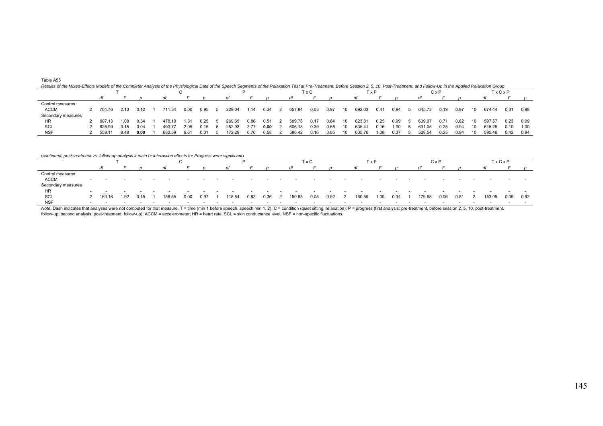Results of the Mixed-Effects Models of the Completer Analysis of the Physiological Data of the Speech Segments of the Relaxation Test at Pre-Treatment, Before Session 2, 5, 10, Post-Treatment, and Follow-Up in the Applied

|                    |        |      |      |        |      |      |        |      |      |        | TxC  |      |    |        | TxP           |      |        | CxP  |      |     |        | TxCxP |      |
|--------------------|--------|------|------|--------|------|------|--------|------|------|--------|------|------|----|--------|---------------|------|--------|------|------|-----|--------|-------|------|
|                    |        |      |      |        |      |      |        |      |      |        |      |      |    |        |               |      |        |      |      |     | dt     |       |      |
| Control measures   |        |      |      |        |      |      |        |      |      |        |      |      |    |        |               |      |        |      |      |     |        |       |      |
| ACCM               | 704.76 | 2.13 | 0.12 | 711.34 | 0.00 | 0.95 | 229.04 | 1.14 | 0.34 | 657.84 | 0.03 | 0.97 | 10 | 692.03 | $0.4^{\circ}$ | 0.94 | 645.73 | 0.19 | 0.97 | 10  | 674.44 | 0.31  | 0.98 |
| Secondary measures |        |      |      |        |      |      |        |      |      |        |      |      |    |        |               |      |        |      |      |     |        |       |      |
| <b>HR</b>          | 607.13 | 1.08 | 0.34 | 478.19 | 1.31 | 0.25 | 269.65 | 0.86 | 0.51 | 589.78 | 0.17 | 0.84 | 10 | 623.31 | 0.25          | 0.99 | 639.07 | 0.71 | 0.62 | 10  | 597.57 | 0.23  | 0.99 |
| SCL                | 625.99 | 3.15 | 0.04 | 493.77 | 2.05 | 0.15 | 252.93 | 3.77 | 0.00 | 606.18 | 0.39 | 0.68 | 10 | 635.41 | 0.16          | 1.00 | 531.05 | 0.25 | 0.94 | 10. | 615.25 | 0.10  | 1.00 |
| <b>NSF</b>         | 559.11 | 9.48 | 0.00 | 682.59 | 6.61 | 0.01 | 172.29 | 0.76 | 0.58 | 580.42 | 0.16 | 0.85 | 10 | 605.76 | 1.08          | 0.37 | 528.54 | 0.25 | 0.94 | 10. | 595.46 | 0.42  | 0.94 |

(*continued, post-treatment vs. follow-up analysis if main or interaction effects for Progress were significant*)

|                    |          |      |      |        |      |      |        |      |      |     |        | TxC  |      |   | TxP    |      |      |        | CxP  |      |                                                                                                                 | TxCxP |      |
|--------------------|----------|------|------|--------|------|------|--------|------|------|-----|--------|------|------|---|--------|------|------|--------|------|------|-----------------------------------------------------------------------------------------------------------------|-------|------|
|                    |          |      |      |        |      |      |        |      |      |     |        |      |      |   |        |      |      |        |      |      |                                                                                                                 |       |      |
| Control measures   |          |      |      |        |      |      |        |      |      |     |        |      |      |   |        |      |      |        |      |      |                                                                                                                 |       |      |
| <b>ACCM</b>        |          |      |      |        |      |      |        |      |      |     |        |      |      |   |        |      |      |        |      |      |                                                                                                                 |       |      |
| Secondary measures |          |      |      |        |      |      |        |      |      |     |        |      |      |   |        |      |      |        |      |      |                                                                                                                 |       |      |
| HR                 |          |      |      |        |      |      |        |      |      |     |        |      |      |   |        |      |      |        |      |      |                                                                                                                 |       |      |
| SCL                | 2 163.16 | 1.92 | 0.15 | 158.55 | 0.00 | 0.97 | 118.84 | 0.83 | 0.36 | - 2 | 150.85 | 0.08 | 0.92 | 2 | 160.59 | 1.09 | 0.34 | 179.68 | 0.06 | 0.81 | 153.05                                                                                                          | 0.09  | 0.92 |
| <b>NSF</b>         |          |      |      |        |      |      |        |      |      |     |        |      |      |   |        |      |      |        |      |      |                                                                                                                 |       |      |
|                    |          |      |      |        |      |      |        |      | .    |     |        |      |      |   |        |      |      |        |      |      | the contract of the contract of the contract of the contract of the contract of the contract of the contract of |       |      |

Note. Dash indicates that analyses were not computed for that measure. T = time (min 1 before speech, speech min 1, 2); C = condition (quiet sitting, relaxation); P = progress (first analysis: pre-treatment, before session follow-up; second analysis: post-treatment, follow-up); ACCM = accelerometer; HR = heart rate; SCL = skin conductance level; NSF = non-specific fluctuations.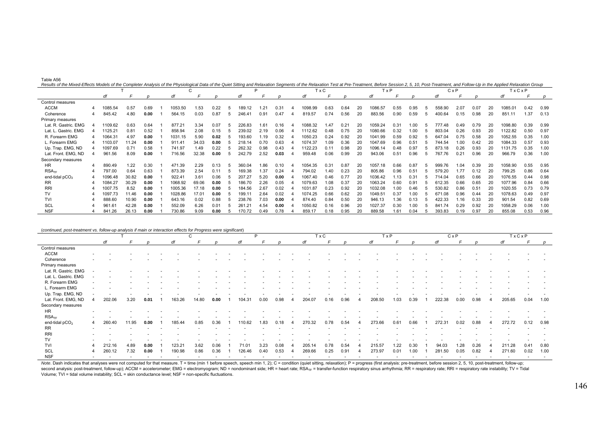|  |  | Results of the Mixed-Effects Models of the Completer Analysis of the Physiological Data of the Quiet Sitting and Relaxation Segments of the Relaxation Test at Pre-Treatment, Before Session 2, 5, 10, Post-Treatment, and Fol |
|--|--|--------------------------------------------------------------------------------------------------------------------------------------------------------------------------------------------------------------------------------|
|  |  |                                                                                                                                                                                                                                |

|                      |         |       |      |         | ◡     |      |        | D    |      |         | T x C |      |    | <b>T</b> x P |      |                  |        | $C \times P$ |      |    | TxCxP   |      |      |
|----------------------|---------|-------|------|---------|-------|------|--------|------|------|---------|-------|------|----|--------------|------|------------------|--------|--------------|------|----|---------|------|------|
|                      | df      |       |      |         |       |      |        |      |      |         |       |      |    |              |      |                  |        |              |      |    |         |      |      |
| Control measures     |         |       |      |         |       |      |        |      |      |         |       |      |    |              |      |                  |        |              |      |    |         |      |      |
| <b>ACCM</b>          | 085.54  | 0.57  | 0.69 | 1053.50 | 1.53  | 0.22 | 189.12 | .21  | 0.31 | 098.99  | 0.63  | 0.64 | 20 | 1086.57      | 0.55 | 0.95             | 558.90 | 2.07         | 0.07 | 20 | 1085.01 | 0.42 | 0.99 |
| Coherence            | 845.42  | 4.80  | 0.00 | 564.15  | 0.03  | 0.87 | 246.41 | 0.91 | 0.47 | 819.57  | 0.74  | 0.56 | 20 | 883.56       | 0.90 | 0.59             | 400.64 | 0.15         | 0.98 | 20 | 851.11  | 1.37 | 0.13 |
| Primary measures     |         |       |      |         |       |      |        |      |      |         |       |      |    |              |      |                  |        |              |      |    |         |      |      |
| Lat. R. Gastric. EMG | 109.62  | 0.63  | 0.64 | 877.21  | 3.34  | 0.07 | 226.83 | 1.61 | 0.16 | 088.32  | 1.47  | 0.21 | 20 | 1059.24      | 0.31 | 0.0 <sup>c</sup> | 777.48 | 0.49         | 0.79 | 20 | 1098.80 | 0.39 | 0.99 |
| Lat. L. Gastric. EMG | 1125.21 | 0.81  | 0.52 | 858.94  | 2.08  | 0.15 | 239.02 | 2.19 | 0.06 | 112.62  | 0.48  | 0.75 | 20 | 1080.66      | 0.32 | 1.00             | 803.04 | 0.26         | 0.93 | 20 | 1122.82 | 0.50 | 0.97 |
| R. Forearm EMG       | 1064.31 | 4.97  | 0.00 | 1031.15 | 5.90  | 0.02 | 93.60  | .19  | 0.32 | 1050.23 | 0.24  | 0.92 | 20 | 1041.99      | 0.59 | 0.92             | 647.04 | 0.75         | 0.58 | 20 | 1052.55 | 0.35 | 1.00 |
| L. Forearm EMG       | 1103.07 | 11.24 | 0.00 | 911.41  | 34.03 | 0.00 | 218.14 | 0.70 | 0.63 | 1074.37 | 1.09  | 0.36 | 20 | 1047.69      | 0.96 | 0.51             | 744.54 | 1.00         | 0.42 | 20 | 1084.33 | 0.57 | 0.93 |
| Up. Trap. EMG, ND    | 1097.69 | 0.71  | 0.58 | 741.97  | 1.49  | 0.22 | 262.32 | 0.98 | 0.43 | 122.23  | 0.11  | 0.98 | 20 | 1096.14      | 0.48 | 0.97             | 873.18 | 0.26         | 0.93 | 20 | 1131.75 | 0.35 | 1.00 |
| Lat. Front. EMG, ND  | 961.56  | 8.09  | 0.00 | 716.56  | 32.38 | 0.00 | 242.79 | 2.52 | 0.03 | 959.48  | 0.06  | 0.99 | 20 | 943.06       | 0.51 | 0.96             | 767.76 | 0.21         | 0.96 | 20 | 966.79  | 0.36 | 1.00 |
| Secondary measures   |         |       |      |         |       |      |        |      |      |         |       |      |    |              |      |                  |        |              |      |    |         |      |      |
| <b>HR</b>            | 890.49  | 1.22  | 0.30 | 471.39  | 2.29  | 0.13 | 360.04 | 1.86 | 0.10 | 1054.35 | 0.31  | 0.87 | 20 | 1057.18      | 0.66 | 0.87             | 999.76 | 1.04         | 0.39 | 20 | 1058.90 | 0.55 | 0.95 |
| RSA <sub>TF</sub>    | 797.00  | 0.64  | 0.63 | 873.39  | 2.54  | 0.11 | 169.38 | 1.37 | 0.24 | 794.02  | 1.40  | 0.23 | 20 | 805.86       | 0.96 | 0.51             | 579.20 | 1.77         | 0.12 | 20 | 799.25  | 0.86 | 0.64 |
| end-tidal $pCO2$     | 1096.48 | 30.82 | 0.00 | 922.41  | 3.61  | 0.06 | 207.27 | 5.20 | 0.00 | 1067.40 | 0.46  | 0.77 | 20 | 1036.42      | 1.13 | 0.31             | 714.04 | 0.65         | 0.66 | 20 | 1076.55 | 0.44 | 0.98 |
| <b>RR</b>            | 084.27  | 30.29 | 0.00 | 1068.92 | 69.06 | 0.00 | 86.70  | 2.26 | 0.05 | 079.63  | 1.08  | 0.37 | 20 | 1063.24      | 0.60 | 0.91             | 612.35 | 0.66         | 0.65 | 20 | 1077.96 | 0.84 | 0.66 |
| <b>RRI</b>           | 1007.75 | 8.52  | 0.00 | 1005.36 | 17.18 | 0.00 | 184.56 | 2.67 | 0.02 | 1031.87 | 0.23  | 0.92 | 20 | 1032.08      | 1.00 | 0.46             | 530.82 | 0.86         | 0.51 | 20 | 1020.55 | 0.73 | 0.79 |
| TV                   | 1097.73 | 11.46 | 0.00 | 1028.86 | 17.01 | 0.00 | 99.11  | 2.64 | 0.02 | 1074.25 | 0.66  | 0.62 | 20 | 1049.51      | 0.37 | 1.00             | 671.08 | 0.96         | 0.44 | 20 | 1078.63 | 0.49 | 0.97 |
| <b>TVI</b>           | 888.60  | 10.90 | 0.00 | 643.16  | 0.02  | 0.88 | 238.76 | 7.03 | 0.00 | 874.40  | 0.84  | 0.50 | 20 | 946.13       | 1.36 | 0.13             | 422.33 | .16          | .33  |    | 901.54  | 0.82 | 0.69 |
| SCL                  | 961.61  | 42.28 | 0.00 | 552.09  | 6.26  | 0.01 | 261.21 | 4.54 | 0.00 | 1050.82 | 0.16  | 0.96 | 20 | 1027.37      | 0.30 | 1.00             | 841.74 | 0.29         | 0.92 | 20 | 1058.29 | 0.06 | 1.00 |
| <b>NSF</b>           | 841.26  | 26.13 | 0.00 | 730.86  | 9.09  | 0.00 | 170.72 | 0.49 | 0.78 | 859.17  | 0.18  | 0.95 | 20 | 889.58       | 1.61 | 0.04             | 393.83 | 0.19         | 0.97 | 20 | 855.08  | 0.53 | 0.96 |

| (continued, post-treatment vs. follow-up analysis if main or interaction effects for Progress were significant) |                          |                          |                          |                          |                          | C                        |                          |                          |                          | P      |                          |          |                          | T x C                    |                          |        |                          | T x P                    |                          |                          |                          | CxP                      |                          |                          | TxCxP                    |      |
|-----------------------------------------------------------------------------------------------------------------|--------------------------|--------------------------|--------------------------|--------------------------|--------------------------|--------------------------|--------------------------|--------------------------|--------------------------|--------|--------------------------|----------|--------------------------|--------------------------|--------------------------|--------|--------------------------|--------------------------|--------------------------|--------------------------|--------------------------|--------------------------|--------------------------|--------------------------|--------------------------|------|
|                                                                                                                 |                          | df                       |                          |                          | df                       |                          |                          |                          | df                       |        |                          |          | dt                       |                          |                          |        | df                       |                          |                          |                          | df                       |                          |                          | dt                       |                          |      |
| Control measures                                                                                                |                          |                          |                          |                          |                          |                          |                          |                          |                          |        |                          |          |                          |                          |                          |        |                          |                          |                          |                          |                          |                          |                          |                          |                          |      |
| <b>ACCM</b>                                                                                                     |                          |                          |                          |                          |                          |                          |                          |                          |                          |        |                          |          |                          |                          |                          |        |                          |                          |                          |                          |                          |                          |                          |                          |                          |      |
| Coherence                                                                                                       |                          |                          |                          |                          |                          |                          |                          |                          |                          |        |                          |          |                          |                          |                          |        |                          |                          |                          |                          |                          |                          |                          |                          |                          |      |
| Primary measures                                                                                                |                          |                          |                          |                          |                          |                          |                          |                          |                          |        |                          |          |                          |                          |                          |        |                          |                          |                          |                          |                          |                          |                          |                          |                          |      |
| Lat. R. Gastric. EMG                                                                                            |                          |                          |                          |                          |                          |                          |                          |                          |                          |        |                          |          |                          |                          |                          |        |                          |                          |                          |                          |                          |                          |                          |                          |                          |      |
| Lat. L. Gastric. EMG                                                                                            |                          |                          |                          |                          |                          |                          |                          |                          |                          |        |                          |          |                          |                          |                          |        |                          |                          |                          |                          |                          |                          |                          |                          |                          |      |
| R. Forearm EMG                                                                                                  |                          |                          |                          |                          |                          |                          |                          |                          |                          |        |                          |          |                          |                          |                          |        |                          |                          |                          |                          |                          |                          |                          |                          |                          |      |
| L. Forearm EMG                                                                                                  |                          |                          |                          |                          |                          |                          |                          |                          |                          |        |                          |          |                          |                          |                          |        |                          |                          |                          |                          |                          |                          |                          |                          |                          |      |
| Up. Trap. EMG, ND                                                                                               |                          |                          |                          |                          |                          |                          |                          |                          |                          |        |                          |          |                          |                          |                          |        |                          |                          |                          |                          |                          |                          |                          |                          |                          |      |
| Lat. Front. EMG, ND                                                                                             | $\Delta$                 | 202.06                   | 3.20                     | 0.01                     | 163.26                   | 14.80                    | 0.00                     |                          | 104.31                   | 0.00   | 0.98                     | $\Delta$ | 204.07                   | 0.16                     | 0.96                     |        | 208.50                   | 1.03                     | 0.39                     |                          | 222.38                   | 0.00                     | 0.98                     | 205.65                   | 0.04                     | 1.00 |
| Secondary measures                                                                                              |                          |                          |                          |                          |                          |                          |                          |                          |                          |        |                          |          |                          |                          |                          |        |                          |                          |                          |                          |                          |                          |                          |                          |                          |      |
| <b>HR</b>                                                                                                       |                          |                          |                          |                          |                          |                          |                          |                          |                          |        |                          |          |                          |                          |                          |        |                          |                          |                          |                          |                          |                          |                          |                          |                          |      |
| RSA <sub>TF</sub>                                                                                               |                          |                          |                          |                          |                          |                          |                          |                          |                          |        |                          |          |                          |                          |                          |        |                          |                          |                          |                          |                          |                          |                          |                          |                          |      |
| end-tidal $pCO2$                                                                                                | 4                        | 260.40                   | 11.95                    | 0.00                     | 185.44                   | 0.85                     | 0.36                     |                          | 110.62                   | 1.83   | 0.18                     | 4        | 270.32                   | 0.78                     | 0.54                     |        | 273.66                   | 0.61                     | 0.66                     |                          | 272.31                   | 0.02                     | 0.88                     | 272.72                   | 0.12                     | 0.98 |
| <b>RR</b>                                                                                                       |                          |                          |                          |                          |                          |                          |                          |                          |                          |        |                          |          |                          |                          |                          |        |                          |                          |                          |                          |                          |                          |                          |                          |                          |      |
| <b>RRI</b>                                                                                                      |                          |                          |                          |                          |                          |                          |                          |                          |                          |        |                          |          |                          |                          |                          |        |                          |                          |                          |                          |                          |                          |                          |                          |                          |      |
| TV                                                                                                              |                          |                          |                          |                          |                          |                          |                          |                          |                          |        |                          |          |                          |                          |                          |        |                          |                          |                          |                          |                          |                          |                          |                          |                          |      |
| TVI                                                                                                             |                          | 212.16                   | 4.89                     | 0.00                     | 123.21                   | 3.62                     | 0.06                     |                          | 71.01                    | 3.23   | 0.08                     |          | 205.14                   | 0.78                     | 0.54                     |        | 215.57                   | 1.22                     | 0.30                     |                          | 94.03                    | 1.28                     | 0.26                     | 211.28                   | 0.41                     | 0.80 |
| SCL                                                                                                             |                          | 260.12                   | 7.32                     | 0.00                     | 190.98                   | 0.86                     | 0.36                     |                          | 126.46                   | 0.40   | 0.53                     |          | 269.66                   | 0.25                     | 0.91                     |        | 273.97                   | 0.01                     | 1.00                     |                          | 281.50                   | 0.05                     | 0.82                     | 271.60                   | 0.02                     | 1.00 |
| <b>NSF</b>                                                                                                      | $\overline{\phantom{a}}$ | $\overline{\phantom{a}}$ | $\overline{\phantom{a}}$ | $\overline{\phantom{a}}$ | $\overline{\phantom{a}}$ | $\overline{\phantom{a}}$ | $\overline{\phantom{a}}$ | $\overline{\phantom{a}}$ | $\overline{\phantom{a}}$ | $\sim$ | $\overline{\phantom{a}}$ |          | $\overline{\phantom{a}}$ | $\overline{\phantom{a}}$ | $\overline{\phantom{a}}$ | $\sim$ | $\overline{\phantom{a}}$ | $\overline{\phantom{a}}$ | $\overline{\phantom{a}}$ | $\overline{\phantom{a}}$ | $\overline{\phantom{a}}$ | $\overline{\phantom{a}}$ | $\overline{\phantom{a}}$ | $\overline{\phantom{a}}$ | $\overline{\phantom{a}}$ |      |

Note. Dash indicates that analyses were not computed for that measure. T = time (min 1 before speech, speech min 1, 2); C = condition (quiet sitting, relaxation); P = progress (first analysis: pre-treatment, before session second analysis: post-treatment, follow-up); ACCM = accelerometer; EMG = electromyogram; ND = nondominant side; HR = heart rate; RSA<sub>TF</sub> = transfer-function respiratory sinus arrhythmia; RR = respiratory rate; RRI = respir Volume; TVI = tidal volume instability; SCL = skin conductance level; NSF = non-specific fluctuations.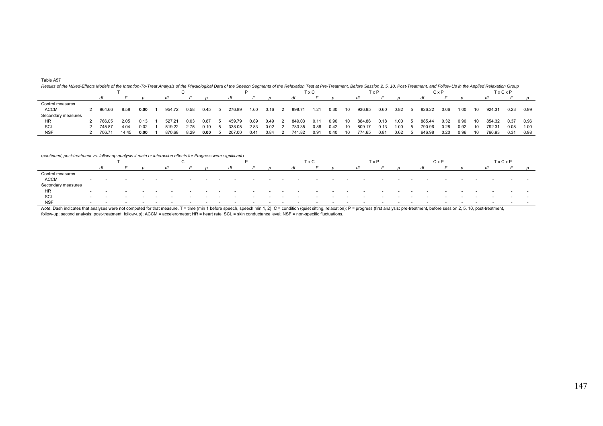| Results of the Mixed-Effects Models of the Intention-To-Treat Analysis of the Physiological Data of the Speech Segments of the Relaxation Test at Pre-Treatment, Before Session 2, 5, 10, Post-Treatment, and Follow-Up in the |        |       |      |        |      |       |        |      |      |        |      |      |    |            |      |      |        |      |      |     |        |       |      |
|--------------------------------------------------------------------------------------------------------------------------------------------------------------------------------------------------------------------------------|--------|-------|------|--------|------|-------|--------|------|------|--------|------|------|----|------------|------|------|--------|------|------|-----|--------|-------|------|
|                                                                                                                                                                                                                                |        |       |      |        |      |       |        |      |      |        | 「x C |      |    | <b>TxP</b> |      |      |        | СхF  |      |     |        | TxCxP |      |
|                                                                                                                                                                                                                                |        |       |      |        |      |       | dt     |      |      | αt     |      |      |    |            |      |      |        |      |      |     |        |       |      |
| Control measures                                                                                                                                                                                                               |        |       |      |        |      |       |        |      |      |        |      |      |    |            |      |      |        |      |      |     |        |       |      |
| <b>ACCM</b>                                                                                                                                                                                                                    | 964.66 | 8.58  | 0.00 | 954.72 | 0.58 | 0.45  | 276.89 | 1.60 | 0.16 | 898.71 | 1.21 | 0.30 | 10 | 936.95     | 0.60 | 0.82 | 826 22 | 0.06 | 1.00 | 10  | 924.31 | 0.23  | 0.99 |
| Secondary measures                                                                                                                                                                                                             |        |       |      |        |      |       |        |      |      |        |      |      |    |            |      |      |        |      |      |     |        |       |      |
| <b>HR</b>                                                                                                                                                                                                                      | 766.05 | 2.05  | 0.13 | 527.21 | 0.03 | 0.87  | 459.79 | 0.89 | 0.49 | 849.03 | 0.11 | 0.90 | 10 | 884.86     | 0.18 |      | 885.44 | 0.32 | 0.90 | 10. | 854.32 | 0.37  | 0.96 |
| SCL                                                                                                                                                                                                                            | 745.87 | 4.04  | 0.02 | 519.22 | 2.75 | 0. 10 | 338.05 | 2.83 | 0.02 | 783.35 | 0.88 | 0.42 | 10 | 809.17     | 0.13 |      | 790.96 | 0.28 | 0.92 | 10. | 792.31 | 0.08  | 1.00 |
| <b>NSF</b>                                                                                                                                                                                                                     | 706.71 | 14.45 | 0.00 | 870.68 | 8.29 | 0.00  | 207.00 | 0.41 | 0.84 | 741.82 | 0.91 | 0.40 |    | 774.65     | 0.81 | 0.62 | 646.98 | 0.20 | 0.96 | 10. | 766.93 | 0.31  | 0.98 |

## (*continued, post-treatment vs. follow-up analysis if main or interaction effects for Progress were significant*)

|                    |                          |                          |        |                          |  |        |  |                          |                          |        |        | ГхС                      |                          | T x P  |                          |                          |                          | C x P                    |                          |        |                          | <b>TxCxP</b> |                          |
|--------------------|--------------------------|--------------------------|--------|--------------------------|--|--------|--|--------------------------|--------------------------|--------|--------|--------------------------|--------------------------|--------|--------------------------|--------------------------|--------------------------|--------------------------|--------------------------|--------|--------------------------|--------------|--------------------------|
|                    |                          |                          |        |                          |  |        |  |                          |                          |        |        |                          |                          |        |                          |                          |                          |                          |                          |        |                          |              |                          |
| Control measures   |                          |                          |        |                          |  |        |  |                          |                          |        |        |                          |                          |        |                          |                          |                          |                          |                          |        |                          |              |                          |
| <b>ACCM</b>        |                          | $\overline{\phantom{a}}$ |        |                          |  |        |  |                          |                          | $\sim$ |        |                          |                          |        |                          |                          |                          |                          |                          |        | $\overline{\phantom{a}}$ | $\sim$       | $\overline{\phantom{a}}$ |
| Secondary measures |                          |                          |        |                          |  |        |  |                          |                          |        |        |                          |                          |        |                          |                          |                          |                          |                          |        |                          |              |                          |
| HR                 | $\sim$                   | $\overline{\phantom{a}}$ |        |                          |  |        |  |                          |                          |        |        |                          |                          |        |                          |                          |                          |                          |                          |        |                          |              |                          |
| SCL                | $\overline{\phantom{a}}$ | $\overline{\phantom{a}}$ | $\sim$ | $\overline{\phantom{a}}$ |  | $\sim$ |  | $\overline{\phantom{a}}$ | $\overline{\phantom{a}}$ | $\sim$ | $\sim$ | $\overline{\phantom{a}}$ | $\overline{\phantom{a}}$ | $\sim$ | $\overline{\phantom{a}}$ | $\overline{\phantom{a}}$ | $\overline{\phantom{a}}$ | $\overline{\phantom{a}}$ | $\overline{\phantom{a}}$ | $\sim$ | $\sim$                   | $\sim$       |                          |
| <b>NSF</b>         | $\sim$                   | $\overline{\phantom{a}}$ |        |                          |  |        |  |                          |                          |        |        |                          |                          |        |                          |                          |                          |                          |                          |        | $\overline{\phantom{a}}$ |              |                          |

Note. Dash indicates that analyses were not computed for that measure. T = time (min 1 before speech, speech min 1, 2); C = condition (quiet sitting, relaxation); P = progress (first analysis: pre-treatment, before session follow-up; second analysis: post-treatment, follow-up); ACCM = accelerometer; HR = heart rate; SCL = skin conductance level; NSF = non-specific fluctuations.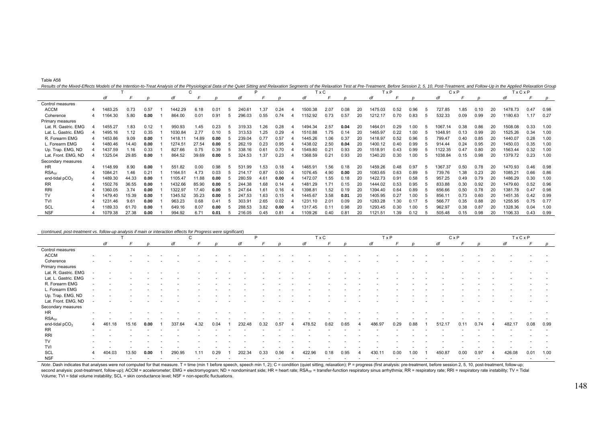|  | Results of the Mixed-Effects Models of the Intention-to-Treat Analysis of the Physiological Data of the Quiet Sitting and Relaxation Segments of the Relaxation Test at Pre-Treatment, Before Session 2, 5, 10, Post-Treatment |  |  |  |
|--|--------------------------------------------------------------------------------------------------------------------------------------------------------------------------------------------------------------------------------|--|--|--|
|--|--------------------------------------------------------------------------------------------------------------------------------------------------------------------------------------------------------------------------------|--|--|--|

|                      |         |       |      |         | C     |      |                    | P    |      |         | T x C |      |    | <b>T</b> x P |      |      |    |            | $C \times P$ |      |    | TxCxP   |      |      |
|----------------------|---------|-------|------|---------|-------|------|--------------------|------|------|---------|-------|------|----|--------------|------|------|----|------------|--------------|------|----|---------|------|------|
|                      | df      |       |      | df      |       |      | dt                 |      |      |         |       |      |    | df           |      |      |    |            |              |      |    | di      |      |      |
| Control measures     |         |       |      |         |       |      |                    |      |      |         |       |      |    |              |      |      |    |            |              |      |    |         |      |      |
| <b>ACCM</b>          | 1483.25 | 0.73  | 0.57 | 1442.29 | 6.18  | 0.01 | 240.6 <sup>.</sup> | .37  | 0.24 | 1500.38 | 2.07  | 0.08 | 20 | 1475.03      | 0.52 | 0.96 |    | 727.85     | .85          | 0.10 | 20 | 1478.73 | 0.47 | 0.98 |
| Coherence            | 1164.30 | 5.80  | 0.00 | 864.00  | 0.01  | 0.91 | 296.03             | 0.55 | 0.74 | 1152.92 | 0.73  | 0.57 | 20 | 1212.17      | 0.70 | 0.83 | .5 | 532.33     | 0.09         | 0.99 | 20 | 1180.63 | 1.17 | 0.27 |
| Primary measures     |         |       |      |         |       |      |                    |      |      |         |       |      |    |              |      |      |    |            |              |      |    |         |      |      |
| Lat. R. Gastric. EMG | 1455.27 | 1.83  | 0.12 | 950.93  | 1.45  | 0.23 | 319.33             | .26  | 0.28 | 494.34  | 2.57  | 0.04 | 20 | 1464.01      | 0.29 | .00  |    | 1067<br>14 | 0.38         | 0.86 |    | 1508.08 | 0.33 | 1.00 |
| Lat. L. Gastric. EMG | 1495.16 | 1.12  | 0.35 | 1030.84 | 2.77  | 0.10 | 313.53             | .25  | 0.29 | 1510.88 | 1.75  | 0.14 | 20 | 1465.97      | 0.22 | 1.00 |    | 1048.91    | 0.13         | 0.99 | 20 | 1525.26 | 0.34 | 1.00 |
| R. Forearm EMG       | 1453.86 | 9.09  | 0.00 | 1418.1' | 14.89 | 0.00 | 239.04             | 0.77 | 0.57 | 1445.26 | 1.06  | 0.37 | 20 | 1418.97      | 0.52 | 0.96 |    | 799.47     | 0.40         | 0.85 |    | 1440.07 | 0.28 | 1.00 |
| L. Forearm EMG       | 1480.46 | 14.40 | 0.00 | 1274.51 | 27.54 | 0.00 | 262.19             | 0.23 | 0.95 | 1438.02 | 2.50  | 0.04 | 20 | 1400.12      | 0.40 | 0.99 |    | 914.44     | 0.24         | 0.95 |    | 1450.03 | 0.35 | 1.00 |
| Up. Trap. EMG, ND    | 1437.59 | 1.16  | 0.33 | 827.66  | 0.75  | 0.39 | 338.16             | 0.61 | 0.70 | 1549.80 | 0.21  | 0.93 | 20 | 1518.91      | 0.43 | 0.99 |    | 122.35     | 0.47         | 0.80 |    | 1563.44 | 0.32 | 1.00 |
| Lat. Front. EMG, ND  | 1325.04 | 29.85 | 0.00 | 864.52  | 39.69 | 0.00 | 324.53             | .37  | 0.23 | 368.59  | 0.21  | 0.93 | 20 | 1340.20      | 0.30 | 1.00 |    | 1038.84    | 0.15         | 0.98 | 20 | 1379.72 | 0.23 | 1.00 |
| Secondary measures   |         |       |      |         |       |      |                    |      |      |         |       |      |    |              |      |      |    |            |              |      |    |         |      |      |
| <b>HR</b>            | 1148.99 | 8.90  | 0.00 | 551.82  | 0.00  | 0.98 | 531.99             | .53  | 0.18 | 1465.91 | 1.56  | 0.18 | 20 | 1459.26      | 0.48 | 0.97 |    | 367.37     | 0.50         | 0.78 | 20 | 1470.93 | 0.46 | 0.98 |
| RSA <sub>TE</sub>    | 1084.21 | 1.46  | 0.21 | 1164.51 | 4.73  | 0.03 | 214.17             | 0.87 | 0.50 | 1076.45 | 4.90  | 0.00 | 20 | 1083.65      | 0.63 | 0.89 |    | 739.76     | 1.38         | 0.23 | 20 | 1085.21 | 0.66 | 0.86 |
| end-tidal $pCO2$     | 1489.30 | 44.33 | 0.00 | 1105.47 | 11.88 | 0.00 | 280.59             | 4.61 | 0.00 | 1472.07 | 1.55  | 0.18 | 20 | 1422.73      | 0.91 | 0.58 |    | 957.25     | 0.49         | 0.79 |    | 1486.29 | 0.30 | 1.00 |
| <b>RR</b>            | 1502.76 | 36.55 | 0.00 | 1432.66 | 85.90 | 0.00 | 244.38             | .68  | 0.14 | 1481.29 | 1.71  | 0.15 | 20 | 1444.02      | 0.53 | 0.95 |    | 833.88     | 0.30         | 0.92 |    | 1479.60 | 0.52 | 0.96 |
| <b>RRI</b>           | 1360.05 | 3.74  | 0.00 | 1322.97 | 17.40 | 0.00 | 247.64             | .61  | 0.16 | 398.8   | 1.52  | 0.19 | 20 | 394.40       | 0.64 | 0.89 |    | 656.66     | 0.50         | 0.78 | 20 | 1381.78 | 0.47 | 0.98 |
| <b>TV</b>            | 1479.40 | 15.39 | 0.00 | 1345.52 | 35.23 | 0.00 | 247.53             | .63  | 0.15 | 1445.67 | 3.58  | 0.01 | 20 | 1405.95      | 0.27 | 1.00 |    | 856.11     | 0.73         | 0.60 |    | 1451.35 | 0.42 | 0.99 |
| TVI                  | 1231.46 | 9.61  | 0.00 | 963.23  | 0.68  | 0.41 | 303.91             | 2.65 | 0.02 | 1231.10 | 2.01  | 0.09 | 20 | 1283.28      | .30  | 0.17 |    | 566.77     | 0.35         | 0.88 |    | 1255.95 | 0.75 | 0.77 |
| <b>SCL</b>           | 1189.33 | 61.70 | 0.00 | 649.16  | 8.07  | 0.00 | 288.53             | 3.82 | 0.00 | 1317.45 | 0.11  | 0.98 | 20 | 1293.45      | 0.30 | 1.00 |    | 962.97     | 0.38         | 0.87 |    | 1328.36 | 0.04 | 1.00 |
| <b>NSF</b>           | 1079.38 | 27.38 | 0.00 | 994.92  | 6.71  | 0.01 | 216.05             | 0.45 | 0.81 | 109.26  | 0.40  | 0.81 | 20 | 1121.51      | 1.39 | 0.12 |    | 505.48     | 0.15         | 0.98 | 20 | 1106.33 | 0.43 | 0.99 |

|                      |                          |                          |        |                          |        |        | C      |                          |        |        | P                        |        |        |        | T x C  |        |        | TxP    |                          |        |                          |        | CxP                      |      |        |        | TxCxP                    |                          |
|----------------------|--------------------------|--------------------------|--------|--------------------------|--------|--------|--------|--------------------------|--------|--------|--------------------------|--------|--------|--------|--------|--------|--------|--------|--------------------------|--------|--------------------------|--------|--------------------------|------|--------|--------|--------------------------|--------------------------|
|                      |                          | df                       |        |                          |        | dt     |        |                          |        | dt     |                          |        |        | di     |        |        |        | df     |                          |        |                          |        |                          |      |        | df     |                          |                          |
| Control measures     |                          |                          |        |                          |        |        |        |                          |        |        |                          |        |        |        |        |        |        |        |                          |        |                          |        |                          |      |        |        |                          |                          |
| <b>ACCM</b>          |                          |                          |        |                          |        |        |        |                          |        |        |                          |        |        |        |        |        |        |        |                          |        |                          |        |                          |      |        |        |                          |                          |
| Coherence            |                          |                          |        |                          |        |        |        |                          |        |        |                          |        |        |        |        |        |        |        |                          |        |                          |        |                          |      |        |        |                          |                          |
| Primary measures     |                          |                          |        |                          |        |        |        |                          |        |        |                          |        |        |        |        |        |        |        |                          |        |                          |        |                          |      |        |        |                          |                          |
| Lat. R. Gastric. EMG |                          |                          |        |                          |        |        |        |                          |        |        |                          |        |        |        |        |        |        |        |                          |        |                          |        |                          |      |        |        |                          |                          |
| Lat. L. Gastric. EMG |                          |                          |        |                          |        |        |        |                          |        |        |                          |        |        |        |        |        |        |        |                          |        |                          |        |                          |      |        |        |                          |                          |
| R. Forearm EMG       |                          |                          |        |                          |        |        |        |                          |        |        |                          |        |        |        |        |        |        |        |                          |        |                          |        |                          |      |        |        |                          |                          |
| L. Forearm EMG       |                          |                          |        |                          |        |        |        |                          |        |        |                          |        |        |        |        |        |        |        |                          |        |                          |        |                          |      |        |        |                          |                          |
| Up. Trap. EMG, ND    |                          |                          |        |                          |        |        |        |                          |        |        |                          |        |        |        |        |        |        |        |                          |        |                          |        |                          |      |        |        |                          |                          |
| Lat. Front. EMG, ND  |                          |                          |        |                          |        |        |        |                          |        |        |                          |        |        |        |        |        |        |        |                          |        |                          |        |                          |      |        |        |                          |                          |
| Secondary measures   |                          |                          |        |                          |        |        |        |                          |        |        |                          |        |        |        |        |        |        |        |                          |        |                          |        |                          |      |        |        |                          |                          |
| <b>HR</b>            |                          |                          |        |                          |        |        |        |                          |        |        |                          |        |        |        |        |        |        |        |                          |        |                          |        |                          |      |        |        |                          |                          |
| RSA <sub>TF</sub>    |                          |                          |        |                          |        |        |        |                          |        |        |                          |        |        |        |        |        |        |        |                          |        |                          |        |                          |      |        |        |                          |                          |
| end-tidal $pCO2$     | 4                        | 461.18                   | 15.16  | 0.00                     |        | 337.64 | 4.32   | 0.04                     |        | 232.48 | 0.32                     | 0.57   |        | 478.52 | 0.62   | 0.65   |        | 486.97 | 0.29                     | 0.88   |                          | 512.17 | 0.11                     | 0.74 |        | 482.17 | 0.08                     | 0.99                     |
| <b>RR</b>            | $\overline{\phantom{a}}$ |                          |        |                          |        |        |        |                          |        |        |                          |        |        |        |        |        |        |        |                          |        |                          |        |                          |      |        |        |                          |                          |
| RRI                  |                          |                          |        |                          |        |        |        |                          |        |        |                          |        |        |        |        |        |        |        |                          |        |                          |        |                          |      |        |        |                          |                          |
| <b>TV</b>            |                          |                          |        |                          |        |        |        |                          |        |        |                          |        |        |        |        |        |        |        |                          |        |                          |        |                          |      |        |        |                          |                          |
| TVI                  |                          |                          |        |                          |        |        |        |                          |        |        |                          |        |        |        |        |        |        |        |                          |        |                          |        |                          |      |        |        |                          |                          |
| SCL                  | 4                        | 404.03                   | 13.50  | 0.00                     |        | 290.95 | 1.11   | 0.29                     |        | 202.34 | 0.33                     | 0.56   |        | 422.96 | 0.18   | 0.95   |        | 430.11 | 0.00                     | 1.00   |                          | 450.87 | 0.00                     | 0.97 |        | 426.08 | 0.01                     | 1.00                     |
| <b>NSF</b>           | $\sim$                   | $\overline{\phantom{a}}$ | $\sim$ | $\overline{\phantom{a}}$ | $\sim$ | $\sim$ | $\sim$ | $\overline{\phantom{a}}$ | $\sim$ | $\sim$ | $\overline{\phantom{a}}$ | $\sim$ | $\sim$ | $\sim$ | $\sim$ | $\sim$ | $\sim$ | $\sim$ | $\overline{\phantom{a}}$ | $\sim$ | $\overline{\phantom{a}}$ | $\sim$ | $\overline{\phantom{a}}$ |      | $\sim$ | $\sim$ | $\overline{\phantom{a}}$ | $\overline{\phantom{a}}$ |

Note. Dash indicates that analyses were not computed for that measure. T = time (min 1 before speech, speech min 1, 2); C = condition (quiet sitting, relaxation); P = progress (first analysis: pre-treatment, before session second analysis: post-treatment, follow-up); ACCM = accelerometer; EMG = electromyogram; ND = nondominant side; HR = heart rate; RSA<sub>TF</sub> = transfer-function respiratory sinus arrhythmia; RR = respiratory rate; RRI = respir Volume; TVI = tidal volume instability; SCL = skin conductance level; NSF = non-specific fluctuations.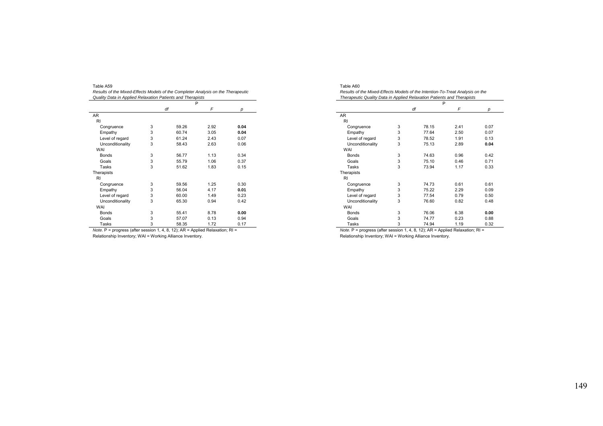| Table A59                                                                        |
|----------------------------------------------------------------------------------|
| Results of the Mixed-Effects Models of the Completer Analysis on the Therapeutic |
|                                                                                  |
| Quality Data in Applied Relaxation Patients and Therapists                       |

|                  |   | P     |      |      |
|------------------|---|-------|------|------|
|                  |   | df    | F    | р    |
| <b>AR</b>        |   |       |      |      |
| RI               |   |       |      |      |
| Congruence       | 3 | 59.26 | 2.92 | 0.04 |
| Empathy          | 3 | 60.74 | 3.05 | 0.04 |
| Level of regard  | 3 | 61.24 | 2.43 | 0.07 |
| Unconditionality | 3 | 58.43 | 2.63 | 0.06 |
| WAI              |   |       |      |      |
| <b>Bonds</b>     | 3 | 56.77 | 1.13 | 0.34 |
| Goals            | 3 | 55.79 | 1.06 | 0.37 |
| Tasks            | 3 | 51.62 | 1.83 | 0.15 |
| Therapists       |   |       |      |      |
| RI               |   |       |      |      |
| Congruence       | 3 | 59.56 | 1.25 | 0.30 |
| Empathy          | 3 | 56.04 | 4.17 | 0.01 |
| Level of regard  | 3 | 60.00 | 1.49 | 0.23 |
| Unconditionality | 3 | 65.30 | 0.94 | 0.42 |
| WAI              |   |       |      |      |
| <b>Bonds</b>     | 3 | 55.41 | 8.78 | 0.00 |
| Goals            | 3 | 57.07 | 0.13 | 0.94 |
| Tasks            | 3 | 58.35 | 1.72 | 0.17 |

| Table A60                                                                     |  |
|-------------------------------------------------------------------------------|--|
| Results of the Mixed-Effects Models of the Intention-To-Treat Analysis on the |  |
| Therapeutic Quality Data in Applied Relaxation Patients and Therapists        |  |
|                                                                               |  |
|                                                                               |  |

|                                                | Р |                            |                                                                            |      |
|------------------------------------------------|---|----------------------------|----------------------------------------------------------------------------|------|
|                                                |   | df                         | F                                                                          | р    |
| AR.                                            |   |                            |                                                                            |      |
| <b>RI</b>                                      |   |                            |                                                                            |      |
| Congruence                                     | 3 | 78.15                      | 2.41                                                                       | 0.07 |
| Empathy                                        | 3 | 77.64                      | 2.50                                                                       | 0.07 |
| Level of regard                                | 3 | 78.52                      | 1.91                                                                       | 0.13 |
| Unconditionality                               | 3 | 75.13                      | 2.89                                                                       | 0.04 |
| WAI                                            |   |                            |                                                                            |      |
| <b>Bonds</b>                                   | 3 | 74.63                      | 0.96                                                                       | 0.42 |
| Goals                                          | 3 | 75.10                      | 0.46                                                                       | 0.71 |
| Tasks                                          | 3 | 73.94                      | 1.17                                                                       | 0.33 |
| Therapists                                     |   |                            |                                                                            |      |
| <b>RI</b>                                      |   |                            |                                                                            |      |
| Congruence                                     | 3 | 74.73                      | 0.61                                                                       | 0.61 |
| Empathy                                        | 3 | 75.22                      | 2.29                                                                       | 0.09 |
| Level of regard                                | 3 | 77.54                      | 0.79                                                                       | 0.50 |
| Unconditionality                               | 3 | 76.60                      | 0.82                                                                       | 0.48 |
| WAI                                            |   |                            |                                                                            |      |
| <b>Bonds</b>                                   | 3 | 76.06                      | 6.38                                                                       | 0.00 |
| Goals                                          | 3 | 74.77                      | 0.23                                                                       | 0.88 |
| <b>Tasks</b>                                   | 3 | 74.94                      | 1.19                                                                       | 0.32 |
| $\sim$<br>$\overline{\phantom{a}}$<br>$\cdots$ |   | $\sim$<br>$\sim$<br>$\sim$ | $\cdots$<br>$\overline{\phantom{a}}$<br>$\sim$<br>$\overline{\phantom{a}}$ | - -  |

*Note.* P = progress (after session 1, 4, 8, 12); AR = Applied Relaxation; RI = Relationship Inventory; WAI = Working Alliance Inventory.

*Note.* P = progress (after session 1, 4, 8, 12); AR = Applied Relaxation; RI = Relationship Inventory; WAI = Working Alliance Inventory.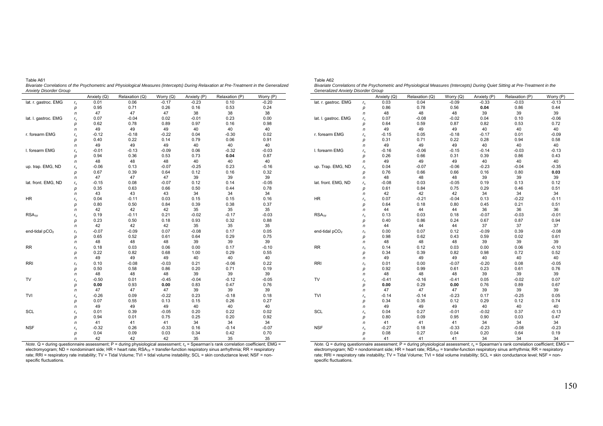| Annoy Disoruci Oroup       |              | Anxiety (Q) | Relaxation (Q) | Worry (Q) | Anxiety (P) | Relaxation (P) | Worry (P) |
|----------------------------|--------------|-------------|----------------|-----------|-------------|----------------|-----------|
| lat. r. gastroc. EMG       | $r_{\rm s}$  | 0.01        | 0.06           | $-0.17$   | $-0.23$     | 0.10           | $-0.20$   |
|                            | р            | 0.95        | 0.71           | 0.26      | 0.16        | 0.53           | 0.24      |
|                            | $\mathsf{n}$ | 47          | 47             | 47        | 38          | 38             | 38        |
| lat. I. gastroc. EMG       | $r_{\rm s}$  | 0.07        | $-0.04$        | 0.02      | $-0.01$     | 0.23           | 0.00      |
|                            | р            | 0.62        | 0.78           | 0.89      | 0.97        | 0.16           | 0.98      |
|                            | n            | 49          | 49             | 49        | 40          | 40             | 40        |
| r. forearm EMG             | $r_{\rm s}$  | $-0.12$     | $-0.18$        | $-0.22$   | 0.04        | $-0.30$        | 0.02      |
|                            | р            | 0.40        | 0.22           | 0.14      | 0.79        | 0.06           | 0.91      |
|                            | n            | 49          | 49             | 49        | 40          | 40             | 40        |
| I. forearm EMG             | $r_{\rm s}$  | $-0.01$     | $-0.13$        | $-0.09$   | 0.06        | $-0.32$        | $-0.03$   |
|                            | р            | 0.94        | 0.36           | 0.53      | 0.73        | 0.04           | 0.87      |
|                            | n            | 48          | 48             | 48        | 40          | 40             | 40        |
| up. trap. EMG, ND          | $r_{\rm s}$  | $-0.06$     | 0.13           | $-0.07$   | $-0.25$     | 0.23           | $-0.16$   |
|                            | р            | 0.67        | 0.39           | 0.64      | 0.12        | 0.16           | 0.32      |
|                            | n            | 47          | 47             | 47        | 39          | 39             | 39        |
| lat. front. EMG, ND        | $r_{\rm s}$  | $-0.15$     | 0.08           | $-0.07$   | 0.12        | 0.14           | $-0.05$   |
|                            | р            | 0.35        | 0.63           | 0.66      | 0.50        | 0.44           | 0.78      |
|                            | n            | 43          | 43             | 43        | 34          | 34             | 34        |
| <b>HR</b>                  | $r_{\rm s}$  | 0.04        | $-0.11$        | 0.03      | 0.15        | 0.15           | 0.16      |
|                            | р            | 0.80        | 0.50           | 0.84      | 0.39        | 0.38           | 0.37      |
|                            | n            | 42          | 42             | 42        | 35          | 35             | 35        |
| RSA <sub>TF</sub>          | $r_{\rm s}$  | 0.19        | $-0.11$        | 0.21      | $-0.02$     | $-0.17$        | $-0.03$   |
|                            | р            | 0.23        | 0.50           | 0.18      | 0.93        | 0.32           | 0.88      |
|                            | n            | 42          | 42             | 42        | 35          | 35             | 35        |
| end-tidal pCO <sub>2</sub> | $r_{\rm s}$  | $-0.07$     | $-0.09$        | 0.07      | $-0.08$     | 0.17           | 0.05      |
|                            | p            | 0.65        | 0.52           | 0.61      | 0.64        | 0.29           | 0.75      |
|                            | n            | 48          | 48             | 48        | 39          | 39             | 39        |
| <b>RR</b>                  |              | 0.18        | 0.03           | 0.06      | 0.00        | 0.17           | $-0.10$   |
|                            | $r_{\rm s}$  | 0.22        | 0.82           | 0.68      | 1.00        | 0.29           | 0.55      |
|                            | р            | 49          | 49             | 49        |             | 40             |           |
|                            | n            |             |                |           | 40          |                | 40        |
| <b>RRI</b>                 | $r_{\rm s}$  | 0.10        | $-0.08$        | $-0.03$   | 0.21        | $-0.06$        | 0.22      |
|                            | р            | 0.50        | 0.58           | 0.86      | 0.20        | 0.71<br>39     | 0.19      |
|                            | n            | 48          | 48             | 48        | 39          |                | 39        |
| TV                         | $r_{\rm s}$  | $-0.50$     | 0.01           | $-0.45$   | $-0.04$     | $-0.12$        | $-0.05$   |
|                            | р            | 0.00        | 0.93           | 0.00      | 0.83        | 0.47           | 0.76      |
|                            | n            | 47          | 47             | 47        | 39          | 39             | 39        |
| TVI                        | $r_{\rm s}$  | $-0.26$     | 0.09           | $-0.22$   | 0.23        | $-0.18$        | 0.18      |
|                            | р            | 0.07        | 0.55           | 0.13      | 0.15        | 0.26           | 0.27      |
|                            | n            | 49          | 49             | 49        | 40          | 40             | 40        |
| SCL                        | $r_{\rm s}$  | 0.01        | 0.39           | $-0.05$   | 0.20        | 0.22           | 0.02      |
|                            | р            | 0.94        | 0.01           | 0.75      | 0.25        | 0.20           | 0.92      |
|                            | n            | 41          | 41             | 41        | 34          | 34             | 34        |
| <b>NSF</b>                 | $r_{\rm s}$  | $-0.32$     | 0.26           | $-0.33$   | 0.16        | $-0.14$        | $-0.07$   |
|                            | р            | 0.04        | 0.09           | 0.03      | 0.34        | 0.42           | 0.70      |
|                            | n            | 42          | 42             | 42        | 35          | 35             | 35        |

Table A61 *Bivariate Correlations of the Psychometric and Physiological Measures (Intercepts) During Relaxation at Pre-Treatment in the Generalized Anxiety Disorder Group* 

| Table A62                                                                                                                       |
|---------------------------------------------------------------------------------------------------------------------------------|
| Bivariate Correlations of the Psychometric and Physiological Measures (Intercepts) During Quiet Sitting at Pre-Treatment in the |
| Generalized Anxiety Disorder Group                                                                                              |

| lat. r. gastroc. EMG<br>0.04<br>0.03<br>$-0.09$<br>$-0.33$<br>$-0.03$<br>$-0.13$<br>$r_{\rm s}$<br>0.86<br>0.78<br>0.56<br>0.04<br>0.86<br>0.44<br>р<br>39<br>48<br>48<br>48<br>39<br>39<br>n<br>0.04<br>0.10<br>$-0.06$<br>lat. I. gastroc. EMG<br>0.07<br>$-0.08$<br>$-0.02$<br>$r_{\rm s}$<br>0.59<br>0.87<br>0.82<br>0.53<br>0.72<br>0.64<br>р<br>40<br>40<br>40<br>49<br>49<br>49<br>n<br>r. forearm EMG<br>$-0.15$<br>0.05<br>$-0.18$<br>$-0.17$<br>0.01<br>$-0.09$<br>$r_{\rm s}$<br>0.31<br>0.71<br>0.22<br>0.28<br>0.94<br>0.58<br>р<br>40<br>40<br>49<br>49<br>49<br>40<br>n<br>I. forearm EMG<br>$-0.16$<br>$-0.06$<br>$-0.15$<br>$-0.14$<br>$-0.03$<br>$-0.13$<br>$r_{\rm s}$<br>0.26<br>0.31<br>0.39<br>0.86<br>0.66<br>0.43<br>р<br>49<br>49<br>49<br>40<br>40<br>40<br>n<br>up. Trap. EMG, ND<br>0.04<br>$-0.07$<br>$-0.06$<br>$-0.23$<br>$-0.04$<br>$-0.35$<br>$r_{\rm s}$<br>0.76<br>0.66<br>0.66<br>0.16<br>0.80<br>0.03<br>р<br>48<br>48<br>39<br>39<br>39<br>48<br>n<br>lat. front. EMG, ND<br>$-0.08$<br>0.03<br>$-0.05$<br>0.19<br>0.13<br>0.12<br>$r_{\rm s}$<br>0.29<br>0.46<br>0.61<br>0.84<br>0.75<br>0.51<br>р<br>42<br>42<br>42<br>34<br>34<br>34<br>n<br>$-0.04$<br>0.13<br>HR.<br>0.07<br>$-0.21$<br>$-0.22$<br>$-0.11$<br>$r_{\rm s}$<br>0.21<br>0.51<br>0.64<br>0.18<br>0.80<br>0.45<br>р<br>36<br>44<br>36<br>36<br>44<br>44<br>n<br>RSA <sub>TF</sub><br>0.13<br>0.03<br>0.18<br>$-0.07$<br>$-0.03$<br>$-0.01$<br>$r_{\rm s}$<br>0.40<br>0.86<br>0.24<br>0.67<br>0.87<br>0.94<br>р<br>37<br>44<br>44<br>44<br>37<br>37<br>n<br>end-tidal pCO <sub>2</sub><br>0.00<br>0.07<br>$-0.09$<br>0.39<br>$-0.08$<br>0.12<br>$r_{\rm s}$<br>0.98<br>0.62<br>0.59<br>0.02<br>0.61<br>0.43<br>р<br>39<br>48<br>48<br>48<br>39<br>39<br>n<br><b>RR</b><br>0.00<br>0.06<br>0.14<br>0.12<br>0.03<br>$-0.10$<br>$r_{\rm s}$<br>0.72<br>0.34<br>0.39<br>0.82<br>0.98<br>0.52<br>p<br>40<br>49<br>49<br>49<br>40<br>40<br>n<br><b>RRI</b><br>0.00<br>$-0.07$<br>$-0.20$<br>0.08<br>$-0.05$<br>0.01<br>$r_{\rm s}$<br>0.92<br>0.99<br>0.61<br>0.23<br>0.61<br>0.76<br>р<br>48<br>48<br>48<br>39<br>39<br>39<br>n<br>TV<br>$-0.41$<br>$-0.16$<br>$-0.41$<br>0.05<br>$-0.02$<br>0.07<br>$r_{\rm s}$<br>0.89<br>0.00<br>0.29<br>0.00<br>0.76<br>0.67<br>p<br>39<br>39<br>39<br>47<br>47<br>47<br>n<br>TVI<br>$-0.14$<br>$-0.14$<br>$-0.23$<br>0.17<br>$-0.25$<br>0.05<br>$r_{\rm s}$<br>0.34<br>0.35<br>0.12<br>0.29<br>0.12<br>0.74<br>р<br>40<br>40<br>40<br>49<br>49<br>49<br>n<br><b>SCL</b><br>0.04<br>0.27<br>$-0.01$<br>$-0.02$<br>0.37<br>$-0.13$<br>$r_{\rm s}$<br>0.80<br>0.09<br>0.95<br>0.90<br>0.03<br>0.47<br>р<br>34<br>34<br>34<br>41<br>41<br>41<br>n<br><b>NSF</b><br>$-0.23$<br>$-0.08$<br>$-0.23$<br>$-0.27$<br>0.18<br>$-0.33$<br>$r_{\rm s}$<br>0.08<br>0.27<br>0.20<br>0.64<br>0.19<br>0.04<br>р<br>$\overline{r}$ |  | Anxiety (Q) | Relaxation (Q) | Worry (Q) | Anxiety (P) | Relaxation (P) | Worry (P) |
|-------------------------------------------------------------------------------------------------------------------------------------------------------------------------------------------------------------------------------------------------------------------------------------------------------------------------------------------------------------------------------------------------------------------------------------------------------------------------------------------------------------------------------------------------------------------------------------------------------------------------------------------------------------------------------------------------------------------------------------------------------------------------------------------------------------------------------------------------------------------------------------------------------------------------------------------------------------------------------------------------------------------------------------------------------------------------------------------------------------------------------------------------------------------------------------------------------------------------------------------------------------------------------------------------------------------------------------------------------------------------------------------------------------------------------------------------------------------------------------------------------------------------------------------------------------------------------------------------------------------------------------------------------------------------------------------------------------------------------------------------------------------------------------------------------------------------------------------------------------------------------------------------------------------------------------------------------------------------------------------------------------------------------------------------------------------------------------------------------------------------------------------------------------------------------------------------------------------------------------------------------------------------------------------------------------------------------------------------------------------------------------------------------------------------------------------------------------------------------------------------------------------------------------------------------------------------------------------------------------------------------------------------------------------------------------------------------------------------------------------------------------------------------------------------------------------------------------------------------|--|-------------|----------------|-----------|-------------|----------------|-----------|
|                                                                                                                                                                                                                                                                                                                                                                                                                                                                                                                                                                                                                                                                                                                                                                                                                                                                                                                                                                                                                                                                                                                                                                                                                                                                                                                                                                                                                                                                                                                                                                                                                                                                                                                                                                                                                                                                                                                                                                                                                                                                                                                                                                                                                                                                                                                                                                                                                                                                                                                                                                                                                                                                                                                                                                                                                                                       |  |             |                |           |             |                |           |
|                                                                                                                                                                                                                                                                                                                                                                                                                                                                                                                                                                                                                                                                                                                                                                                                                                                                                                                                                                                                                                                                                                                                                                                                                                                                                                                                                                                                                                                                                                                                                                                                                                                                                                                                                                                                                                                                                                                                                                                                                                                                                                                                                                                                                                                                                                                                                                                                                                                                                                                                                                                                                                                                                                                                                                                                                                                       |  |             |                |           |             |                |           |
|                                                                                                                                                                                                                                                                                                                                                                                                                                                                                                                                                                                                                                                                                                                                                                                                                                                                                                                                                                                                                                                                                                                                                                                                                                                                                                                                                                                                                                                                                                                                                                                                                                                                                                                                                                                                                                                                                                                                                                                                                                                                                                                                                                                                                                                                                                                                                                                                                                                                                                                                                                                                                                                                                                                                                                                                                                                       |  |             |                |           |             |                |           |
|                                                                                                                                                                                                                                                                                                                                                                                                                                                                                                                                                                                                                                                                                                                                                                                                                                                                                                                                                                                                                                                                                                                                                                                                                                                                                                                                                                                                                                                                                                                                                                                                                                                                                                                                                                                                                                                                                                                                                                                                                                                                                                                                                                                                                                                                                                                                                                                                                                                                                                                                                                                                                                                                                                                                                                                                                                                       |  |             |                |           |             |                |           |
|                                                                                                                                                                                                                                                                                                                                                                                                                                                                                                                                                                                                                                                                                                                                                                                                                                                                                                                                                                                                                                                                                                                                                                                                                                                                                                                                                                                                                                                                                                                                                                                                                                                                                                                                                                                                                                                                                                                                                                                                                                                                                                                                                                                                                                                                                                                                                                                                                                                                                                                                                                                                                                                                                                                                                                                                                                                       |  |             |                |           |             |                |           |
|                                                                                                                                                                                                                                                                                                                                                                                                                                                                                                                                                                                                                                                                                                                                                                                                                                                                                                                                                                                                                                                                                                                                                                                                                                                                                                                                                                                                                                                                                                                                                                                                                                                                                                                                                                                                                                                                                                                                                                                                                                                                                                                                                                                                                                                                                                                                                                                                                                                                                                                                                                                                                                                                                                                                                                                                                                                       |  |             |                |           |             |                |           |
|                                                                                                                                                                                                                                                                                                                                                                                                                                                                                                                                                                                                                                                                                                                                                                                                                                                                                                                                                                                                                                                                                                                                                                                                                                                                                                                                                                                                                                                                                                                                                                                                                                                                                                                                                                                                                                                                                                                                                                                                                                                                                                                                                                                                                                                                                                                                                                                                                                                                                                                                                                                                                                                                                                                                                                                                                                                       |  |             |                |           |             |                |           |
|                                                                                                                                                                                                                                                                                                                                                                                                                                                                                                                                                                                                                                                                                                                                                                                                                                                                                                                                                                                                                                                                                                                                                                                                                                                                                                                                                                                                                                                                                                                                                                                                                                                                                                                                                                                                                                                                                                                                                                                                                                                                                                                                                                                                                                                                                                                                                                                                                                                                                                                                                                                                                                                                                                                                                                                                                                                       |  |             |                |           |             |                |           |
|                                                                                                                                                                                                                                                                                                                                                                                                                                                                                                                                                                                                                                                                                                                                                                                                                                                                                                                                                                                                                                                                                                                                                                                                                                                                                                                                                                                                                                                                                                                                                                                                                                                                                                                                                                                                                                                                                                                                                                                                                                                                                                                                                                                                                                                                                                                                                                                                                                                                                                                                                                                                                                                                                                                                                                                                                                                       |  |             |                |           |             |                |           |
|                                                                                                                                                                                                                                                                                                                                                                                                                                                                                                                                                                                                                                                                                                                                                                                                                                                                                                                                                                                                                                                                                                                                                                                                                                                                                                                                                                                                                                                                                                                                                                                                                                                                                                                                                                                                                                                                                                                                                                                                                                                                                                                                                                                                                                                                                                                                                                                                                                                                                                                                                                                                                                                                                                                                                                                                                                                       |  |             |                |           |             |                |           |
|                                                                                                                                                                                                                                                                                                                                                                                                                                                                                                                                                                                                                                                                                                                                                                                                                                                                                                                                                                                                                                                                                                                                                                                                                                                                                                                                                                                                                                                                                                                                                                                                                                                                                                                                                                                                                                                                                                                                                                                                                                                                                                                                                                                                                                                                                                                                                                                                                                                                                                                                                                                                                                                                                                                                                                                                                                                       |  |             |                |           |             |                |           |
|                                                                                                                                                                                                                                                                                                                                                                                                                                                                                                                                                                                                                                                                                                                                                                                                                                                                                                                                                                                                                                                                                                                                                                                                                                                                                                                                                                                                                                                                                                                                                                                                                                                                                                                                                                                                                                                                                                                                                                                                                                                                                                                                                                                                                                                                                                                                                                                                                                                                                                                                                                                                                                                                                                                                                                                                                                                       |  |             |                |           |             |                |           |
|                                                                                                                                                                                                                                                                                                                                                                                                                                                                                                                                                                                                                                                                                                                                                                                                                                                                                                                                                                                                                                                                                                                                                                                                                                                                                                                                                                                                                                                                                                                                                                                                                                                                                                                                                                                                                                                                                                                                                                                                                                                                                                                                                                                                                                                                                                                                                                                                                                                                                                                                                                                                                                                                                                                                                                                                                                                       |  |             |                |           |             |                |           |
|                                                                                                                                                                                                                                                                                                                                                                                                                                                                                                                                                                                                                                                                                                                                                                                                                                                                                                                                                                                                                                                                                                                                                                                                                                                                                                                                                                                                                                                                                                                                                                                                                                                                                                                                                                                                                                                                                                                                                                                                                                                                                                                                                                                                                                                                                                                                                                                                                                                                                                                                                                                                                                                                                                                                                                                                                                                       |  |             |                |           |             |                |           |
|                                                                                                                                                                                                                                                                                                                                                                                                                                                                                                                                                                                                                                                                                                                                                                                                                                                                                                                                                                                                                                                                                                                                                                                                                                                                                                                                                                                                                                                                                                                                                                                                                                                                                                                                                                                                                                                                                                                                                                                                                                                                                                                                                                                                                                                                                                                                                                                                                                                                                                                                                                                                                                                                                                                                                                                                                                                       |  |             |                |           |             |                |           |
|                                                                                                                                                                                                                                                                                                                                                                                                                                                                                                                                                                                                                                                                                                                                                                                                                                                                                                                                                                                                                                                                                                                                                                                                                                                                                                                                                                                                                                                                                                                                                                                                                                                                                                                                                                                                                                                                                                                                                                                                                                                                                                                                                                                                                                                                                                                                                                                                                                                                                                                                                                                                                                                                                                                                                                                                                                                       |  |             |                |           |             |                |           |
|                                                                                                                                                                                                                                                                                                                                                                                                                                                                                                                                                                                                                                                                                                                                                                                                                                                                                                                                                                                                                                                                                                                                                                                                                                                                                                                                                                                                                                                                                                                                                                                                                                                                                                                                                                                                                                                                                                                                                                                                                                                                                                                                                                                                                                                                                                                                                                                                                                                                                                                                                                                                                                                                                                                                                                                                                                                       |  |             |                |           |             |                |           |
|                                                                                                                                                                                                                                                                                                                                                                                                                                                                                                                                                                                                                                                                                                                                                                                                                                                                                                                                                                                                                                                                                                                                                                                                                                                                                                                                                                                                                                                                                                                                                                                                                                                                                                                                                                                                                                                                                                                                                                                                                                                                                                                                                                                                                                                                                                                                                                                                                                                                                                                                                                                                                                                                                                                                                                                                                                                       |  |             |                |           |             |                |           |
|                                                                                                                                                                                                                                                                                                                                                                                                                                                                                                                                                                                                                                                                                                                                                                                                                                                                                                                                                                                                                                                                                                                                                                                                                                                                                                                                                                                                                                                                                                                                                                                                                                                                                                                                                                                                                                                                                                                                                                                                                                                                                                                                                                                                                                                                                                                                                                                                                                                                                                                                                                                                                                                                                                                                                                                                                                                       |  |             |                |           |             |                |           |
|                                                                                                                                                                                                                                                                                                                                                                                                                                                                                                                                                                                                                                                                                                                                                                                                                                                                                                                                                                                                                                                                                                                                                                                                                                                                                                                                                                                                                                                                                                                                                                                                                                                                                                                                                                                                                                                                                                                                                                                                                                                                                                                                                                                                                                                                                                                                                                                                                                                                                                                                                                                                                                                                                                                                                                                                                                                       |  |             |                |           |             |                |           |
|                                                                                                                                                                                                                                                                                                                                                                                                                                                                                                                                                                                                                                                                                                                                                                                                                                                                                                                                                                                                                                                                                                                                                                                                                                                                                                                                                                                                                                                                                                                                                                                                                                                                                                                                                                                                                                                                                                                                                                                                                                                                                                                                                                                                                                                                                                                                                                                                                                                                                                                                                                                                                                                                                                                                                                                                                                                       |  |             |                |           |             |                |           |
|                                                                                                                                                                                                                                                                                                                                                                                                                                                                                                                                                                                                                                                                                                                                                                                                                                                                                                                                                                                                                                                                                                                                                                                                                                                                                                                                                                                                                                                                                                                                                                                                                                                                                                                                                                                                                                                                                                                                                                                                                                                                                                                                                                                                                                                                                                                                                                                                                                                                                                                                                                                                                                                                                                                                                                                                                                                       |  |             |                |           |             |                |           |
|                                                                                                                                                                                                                                                                                                                                                                                                                                                                                                                                                                                                                                                                                                                                                                                                                                                                                                                                                                                                                                                                                                                                                                                                                                                                                                                                                                                                                                                                                                                                                                                                                                                                                                                                                                                                                                                                                                                                                                                                                                                                                                                                                                                                                                                                                                                                                                                                                                                                                                                                                                                                                                                                                                                                                                                                                                                       |  |             |                |           |             |                |           |
|                                                                                                                                                                                                                                                                                                                                                                                                                                                                                                                                                                                                                                                                                                                                                                                                                                                                                                                                                                                                                                                                                                                                                                                                                                                                                                                                                                                                                                                                                                                                                                                                                                                                                                                                                                                                                                                                                                                                                                                                                                                                                                                                                                                                                                                                                                                                                                                                                                                                                                                                                                                                                                                                                                                                                                                                                                                       |  |             |                |           |             |                |           |
|                                                                                                                                                                                                                                                                                                                                                                                                                                                                                                                                                                                                                                                                                                                                                                                                                                                                                                                                                                                                                                                                                                                                                                                                                                                                                                                                                                                                                                                                                                                                                                                                                                                                                                                                                                                                                                                                                                                                                                                                                                                                                                                                                                                                                                                                                                                                                                                                                                                                                                                                                                                                                                                                                                                                                                                                                                                       |  |             |                |           |             |                |           |
|                                                                                                                                                                                                                                                                                                                                                                                                                                                                                                                                                                                                                                                                                                                                                                                                                                                                                                                                                                                                                                                                                                                                                                                                                                                                                                                                                                                                                                                                                                                                                                                                                                                                                                                                                                                                                                                                                                                                                                                                                                                                                                                                                                                                                                                                                                                                                                                                                                                                                                                                                                                                                                                                                                                                                                                                                                                       |  |             |                |           |             |                |           |
|                                                                                                                                                                                                                                                                                                                                                                                                                                                                                                                                                                                                                                                                                                                                                                                                                                                                                                                                                                                                                                                                                                                                                                                                                                                                                                                                                                                                                                                                                                                                                                                                                                                                                                                                                                                                                                                                                                                                                                                                                                                                                                                                                                                                                                                                                                                                                                                                                                                                                                                                                                                                                                                                                                                                                                                                                                                       |  |             |                |           |             |                |           |
|                                                                                                                                                                                                                                                                                                                                                                                                                                                                                                                                                                                                                                                                                                                                                                                                                                                                                                                                                                                                                                                                                                                                                                                                                                                                                                                                                                                                                                                                                                                                                                                                                                                                                                                                                                                                                                                                                                                                                                                                                                                                                                                                                                                                                                                                                                                                                                                                                                                                                                                                                                                                                                                                                                                                                                                                                                                       |  |             |                |           |             |                |           |
|                                                                                                                                                                                                                                                                                                                                                                                                                                                                                                                                                                                                                                                                                                                                                                                                                                                                                                                                                                                                                                                                                                                                                                                                                                                                                                                                                                                                                                                                                                                                                                                                                                                                                                                                                                                                                                                                                                                                                                                                                                                                                                                                                                                                                                                                                                                                                                                                                                                                                                                                                                                                                                                                                                                                                                                                                                                       |  |             |                |           |             |                |           |
|                                                                                                                                                                                                                                                                                                                                                                                                                                                                                                                                                                                                                                                                                                                                                                                                                                                                                                                                                                                                                                                                                                                                                                                                                                                                                                                                                                                                                                                                                                                                                                                                                                                                                                                                                                                                                                                                                                                                                                                                                                                                                                                                                                                                                                                                                                                                                                                                                                                                                                                                                                                                                                                                                                                                                                                                                                                       |  |             |                |           |             |                |           |
|                                                                                                                                                                                                                                                                                                                                                                                                                                                                                                                                                                                                                                                                                                                                                                                                                                                                                                                                                                                                                                                                                                                                                                                                                                                                                                                                                                                                                                                                                                                                                                                                                                                                                                                                                                                                                                                                                                                                                                                                                                                                                                                                                                                                                                                                                                                                                                                                                                                                                                                                                                                                                                                                                                                                                                                                                                                       |  |             |                |           |             |                |           |
|                                                                                                                                                                                                                                                                                                                                                                                                                                                                                                                                                                                                                                                                                                                                                                                                                                                                                                                                                                                                                                                                                                                                                                                                                                                                                                                                                                                                                                                                                                                                                                                                                                                                                                                                                                                                                                                                                                                                                                                                                                                                                                                                                                                                                                                                                                                                                                                                                                                                                                                                                                                                                                                                                                                                                                                                                                                       |  |             |                |           |             |                |           |
|                                                                                                                                                                                                                                                                                                                                                                                                                                                                                                                                                                                                                                                                                                                                                                                                                                                                                                                                                                                                                                                                                                                                                                                                                                                                                                                                                                                                                                                                                                                                                                                                                                                                                                                                                                                                                                                                                                                                                                                                                                                                                                                                                                                                                                                                                                                                                                                                                                                                                                                                                                                                                                                                                                                                                                                                                                                       |  |             |                |           |             |                |           |
|                                                                                                                                                                                                                                                                                                                                                                                                                                                                                                                                                                                                                                                                                                                                                                                                                                                                                                                                                                                                                                                                                                                                                                                                                                                                                                                                                                                                                                                                                                                                                                                                                                                                                                                                                                                                                                                                                                                                                                                                                                                                                                                                                                                                                                                                                                                                                                                                                                                                                                                                                                                                                                                                                                                                                                                                                                                       |  |             |                |           |             |                |           |
|                                                                                                                                                                                                                                                                                                                                                                                                                                                                                                                                                                                                                                                                                                                                                                                                                                                                                                                                                                                                                                                                                                                                                                                                                                                                                                                                                                                                                                                                                                                                                                                                                                                                                                                                                                                                                                                                                                                                                                                                                                                                                                                                                                                                                                                                                                                                                                                                                                                                                                                                                                                                                                                                                                                                                                                                                                                       |  |             |                |           |             |                |           |
|                                                                                                                                                                                                                                                                                                                                                                                                                                                                                                                                                                                                                                                                                                                                                                                                                                                                                                                                                                                                                                                                                                                                                                                                                                                                                                                                                                                                                                                                                                                                                                                                                                                                                                                                                                                                                                                                                                                                                                                                                                                                                                                                                                                                                                                                                                                                                                                                                                                                                                                                                                                                                                                                                                                                                                                                                                                       |  |             |                |           |             |                |           |
|                                                                                                                                                                                                                                                                                                                                                                                                                                                                                                                                                                                                                                                                                                                                                                                                                                                                                                                                                                                                                                                                                                                                                                                                                                                                                                                                                                                                                                                                                                                                                                                                                                                                                                                                                                                                                                                                                                                                                                                                                                                                                                                                                                                                                                                                                                                                                                                                                                                                                                                                                                                                                                                                                                                                                                                                                                                       |  |             |                |           |             |                |           |
|                                                                                                                                                                                                                                                                                                                                                                                                                                                                                                                                                                                                                                                                                                                                                                                                                                                                                                                                                                                                                                                                                                                                                                                                                                                                                                                                                                                                                                                                                                                                                                                                                                                                                                                                                                                                                                                                                                                                                                                                                                                                                                                                                                                                                                                                                                                                                                                                                                                                                                                                                                                                                                                                                                                                                                                                                                                       |  |             |                |           |             |                |           |
|                                                                                                                                                                                                                                                                                                                                                                                                                                                                                                                                                                                                                                                                                                                                                                                                                                                                                                                                                                                                                                                                                                                                                                                                                                                                                                                                                                                                                                                                                                                                                                                                                                                                                                                                                                                                                                                                                                                                                                                                                                                                                                                                                                                                                                                                                                                                                                                                                                                                                                                                                                                                                                                                                                                                                                                                                                                       |  |             |                |           |             |                |           |
|                                                                                                                                                                                                                                                                                                                                                                                                                                                                                                                                                                                                                                                                                                                                                                                                                                                                                                                                                                                                                                                                                                                                                                                                                                                                                                                                                                                                                                                                                                                                                                                                                                                                                                                                                                                                                                                                                                                                                                                                                                                                                                                                                                                                                                                                                                                                                                                                                                                                                                                                                                                                                                                                                                                                                                                                                                                       |  |             |                |           |             |                |           |
|                                                                                                                                                                                                                                                                                                                                                                                                                                                                                                                                                                                                                                                                                                                                                                                                                                                                                                                                                                                                                                                                                                                                                                                                                                                                                                                                                                                                                                                                                                                                                                                                                                                                                                                                                                                                                                                                                                                                                                                                                                                                                                                                                                                                                                                                                                                                                                                                                                                                                                                                                                                                                                                                                                                                                                                                                                                       |  |             |                |           |             |                |           |
|                                                                                                                                                                                                                                                                                                                                                                                                                                                                                                                                                                                                                                                                                                                                                                                                                                                                                                                                                                                                                                                                                                                                                                                                                                                                                                                                                                                                                                                                                                                                                                                                                                                                                                                                                                                                                                                                                                                                                                                                                                                                                                                                                                                                                                                                                                                                                                                                                                                                                                                                                                                                                                                                                                                                                                                                                                                       |  |             |                |           |             |                |           |
|                                                                                                                                                                                                                                                                                                                                                                                                                                                                                                                                                                                                                                                                                                                                                                                                                                                                                                                                                                                                                                                                                                                                                                                                                                                                                                                                                                                                                                                                                                                                                                                                                                                                                                                                                                                                                                                                                                                                                                                                                                                                                                                                                                                                                                                                                                                                                                                                                                                                                                                                                                                                                                                                                                                                                                                                                                                       |  |             |                |           |             |                |           |
|                                                                                                                                                                                                                                                                                                                                                                                                                                                                                                                                                                                                                                                                                                                                                                                                                                                                                                                                                                                                                                                                                                                                                                                                                                                                                                                                                                                                                                                                                                                                                                                                                                                                                                                                                                                                                                                                                                                                                                                                                                                                                                                                                                                                                                                                                                                                                                                                                                                                                                                                                                                                                                                                                                                                                                                                                                                       |  |             |                |           |             |                |           |
|                                                                                                                                                                                                                                                                                                                                                                                                                                                                                                                                                                                                                                                                                                                                                                                                                                                                                                                                                                                                                                                                                                                                                                                                                                                                                                                                                                                                                                                                                                                                                                                                                                                                                                                                                                                                                                                                                                                                                                                                                                                                                                                                                                                                                                                                                                                                                                                                                                                                                                                                                                                                                                                                                                                                                                                                                                                       |  | 41          | 41             | 41        | 34          | 34             | 34        |

*Note.* Q = during questionnaire assessment; P = during physiological assessment; r<sub>s</sub> = Spearman's rank correlation coefficient; EMG = electromyogram; ND = nondominant side; HR = heart rate;  $RSA_{TF}$  = transfer-function respiratory sinus arrhythmia; RR = respiratory rate; RRI = respiratory rate instability; TV = Tidal Volume; TVI = tidal volume instability; SCL = skin conductance level; NSF = nonspecific fluctuations.

*Note.* Q = during questionnaire assessment; P = during physiological assessment; r<sub>s</sub> = Spearman's rank correlation coefficient; EMG = electromyogram; ND = nondominant side; HR = heart rate;  $RSA_{TF}$  = transfer-function respiratory sinus arrhythmia; RR = respiratory rate; RRI = respiratory rate instability; TV = Tidal Volume; TVI = tidal volume instability; SCL = skin conductance level; NSF = nonspecific fluctuations.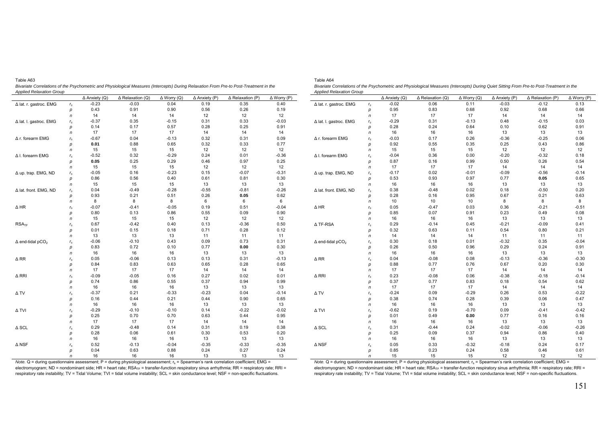| Lable Ab3                                                                                                                              |  |
|----------------------------------------------------------------------------------------------------------------------------------------|--|
| Bivariate Correlations of the Psychometric and Physiological Measures (Intercepts) During Relaxation From Pre-to Post-Treatment in the |  |
| Applied Relaxation Group                                                                                                               |  |

|                                     |             | $\Delta$ Anxiety (Q) | $\Delta$ Relaxation (Q) | $\Delta$ Worry (Q) | $\Delta$ Anxiety (P) | $\Delta$ Relaxation (P) | $\Delta$ Worry (P) |
|-------------------------------------|-------------|----------------------|-------------------------|--------------------|----------------------|-------------------------|--------------------|
| ∆ lat. r. gastroc. EMG              | $r_{\rm s}$ | $-0.23$              | $-0.03$                 | 0.04               | 0.19                 | 0.35                    | 0.40               |
|                                     | р           | 0.43                 | 0.91                    | 0.90               | 0.56                 | 0.26                    | 0.19               |
|                                     | $\sqrt{n}$  | 14                   | 14                      | 14                 | 12                   | 12                      | 12                 |
| Δ lat. I. gastroc. EMG              | $r_{\rm s}$ | $-0.37$              | 0.35                    | $-0.15$            | 0.31                 | 0.33                    | $-0.03$            |
|                                     | р           | 0.14                 | 0.17                    | 0.57               | 0.28                 | 0.25                    | 0.91               |
|                                     | $\sqrt{n}$  | 17                   | 17                      | 17                 | 14                   | 14                      | 14                 |
| Δ r. forearm EMG                    | $r_{\rm s}$ | $-0.67$              | 0.04                    | $-0.13$            | 0.32                 | 0.31                    | 0.09               |
|                                     | р           | 0.01                 | 0.88                    | 0.65               | 0.32                 | 0.33                    | 0.77               |
|                                     | n           | 15                   | 15                      | 15                 | 12                   | 12                      | 12                 |
| Δ I. forearm EMG                    | $r_{\rm s}$ | $-0.52$              | 0.32                    | $-0.29$            | 0.24                 | 0.01                    | $-0.36$            |
|                                     | p           | 0.05                 | 0.25                    | 0.29               | 0.46                 | 0.97                    | 0.25               |
|                                     | $\sqrt{n}$  | 15                   | 15                      | 15                 | 12                   | 12                      | 12                 |
| Δ up. trap. EMG, ND                 | $r_{\rm s}$ | $-0.05$              | 0.16                    | $-0.23$            | 0.15                 | $-0.07$                 | $-0.31$            |
|                                     | р           | 0.86                 | 0.56                    | 0.40               | 0.61                 | 0.81                    | 0.30               |
|                                     | $\sqrt{n}$  | 15                   | 15                      | 15                 | 13                   | 13                      | 13                 |
| Δ lat. front. EMG, ND               | $r_{\rm s}$ | 0.04                 | $-0.49$                 | $-0.28$            | $-0.55$              | $-0.81$                 | $-0.26$            |
|                                     | р           | 0.93                 | 0.21                    | 0.51               | 0.26                 | 0.05                    | 0.62               |
|                                     | $\sqrt{n}$  | 8                    | 8                       | 8                  | 6                    | 6                       | 6                  |
| $\Delta$ HR                         | $r_{\rm s}$ | $-0.07$              | $-0.41$                 | $-0.05$            | 0.19                 | 0.51                    | $-0.04$            |
|                                     | р           | 0.80                 | 0.13                    | 0.86               | 0.55                 | 0.09                    | 0.90               |
|                                     | $\sqrt{n}$  | 15                   | 15                      | 15                 | 12                   | 12                      | 12                 |
| RSA <sub>TF</sub>                   | $r_{\rm s}$ | 0.67                 | $-0.42$                 | 0.40               | 0.13                 | $-0.36$                 | 0.50               |
|                                     | p           | 0.01                 | 0.15                    | 0.18               | 0.71                 | 0.28                    | 0.12               |
|                                     | $\sqrt{n}$  | 13                   | 13                      | 13                 | 11                   | 11                      | 11                 |
| $\Delta$ end-tidal pCO <sub>2</sub> | $r_{\rm s}$ | $-0.06$              | $-0.10$                 | 0.43               | 0.09                 | 0.73                    | 0.31               |
|                                     | р           | 0.83                 | 0.72                    | 0.10               | 0.77                 | 0.00                    | 0.30               |
|                                     | n           | 16                   | 16                      | 16                 | 13                   | 13                      | 13                 |
| $\Delta$ RR                         | $r_{\rm s}$ | 0.05                 | $-0.06$                 | 0.13               | 0.13                 | 0.31                    | $-0.13$            |
|                                     | р           | 0.84                 | 0.83                    | 0.63               | 0.65                 | 0.28                    | 0.65               |
|                                     | n           | 17                   | 17                      | 17                 | 14                   | 14                      | 14                 |
| ∆ RRI                               | $r_{\rm s}$ | $-0.09$              | $-0.05$                 | 0.16               | 0.27                 | 0.02                    | 0.01               |
|                                     | р           | 0.74                 | 0.86                    | 0.55               | 0.37                 | 0.94                    | 0.99               |
|                                     | $\sqrt{n}$  | 16                   | 16                      | 16                 | 13                   | 13                      | 13                 |
| ΔTV                                 | $r_{\rm s}$ | $-0.37$              | 0.21                    | $-0.33$            | $-0.23$              | 0.04                    | $-0.14$            |
|                                     | p           | 0.16                 | 0.44                    | 0.21               | 0.44                 | 0.90                    | 0.65               |
|                                     | $\sqrt{n}$  | 16                   | 16                      | 16                 | 13                   | 13                      | 13                 |
| Δ TVI                               | $r_{\rm s}$ | $-0.29$              | $-0.10$                 | $-0.10$            | 0.14                 | $-0.22$                 | $-0.02$            |
|                                     | p           | 0.25                 | 0.70                    | 0.70               | 0.63                 | 0.44                    | 0.95               |
|                                     | n           | 17                   | 17                      | 17                 | 14                   | 14                      | 14                 |
| $\Delta$ SCL                        | $r_{\rm s}$ | 0.29                 | $-0.48$                 | 0.14               | 0.31                 | 0.19                    | 0.38               |
|                                     | p           | 0.28                 | 0.06                    | 0.61               | 0.30                 | 0.53                    | 0.20               |
|                                     | n           | 16                   | 16                      | 16                 | 13                   | 13                      | 13                 |
| $\Delta$ NSF                        | $r_{\rm s}$ | 0.52                 | $-0.13$                 | $-0.04$            | $-0.35$              | $-0.33$                 | $-0.35$            |
|                                     | р           | 0.04                 | 0.63                    | 0.88               | 0.24                 | 0.27                    | 0.24               |
|                                     | $\sqrt{n}$  | 16                   | 16                      | 16                 | 13                   | 13                      | 13                 |

| Table A64                                                                                                                                 |
|-------------------------------------------------------------------------------------------------------------------------------------------|
| Bivariate Correlations of the Psychometric and Physiological Measures (Intercepts) During Quiet Sitting From Pre-to Post-Treatment in the |
| <b>Applied Relaxation Group</b>                                                                                                           |

|                                     |             | $\Delta$ Anxiety (Q) | $\Delta$ Relaxation (Q) | $\Delta$ Worry (Q) | $\Delta$ Anxiety (P) | $\Delta$ Relaxation (P) | $\Delta$ Worry (P) |
|-------------------------------------|-------------|----------------------|-------------------------|--------------------|----------------------|-------------------------|--------------------|
| ∆ lat. r. gastroc. EMG              | $r_{\rm s}$ | $-0.02$              | 0.06                    | 0.11               | $-0.03$              | $-0.12$                 | 0.13               |
|                                     | р           | 0.95                 | 0.83                    | 0.68               | 0.92                 | 0.68                    | 0.66               |
|                                     | $\sqrt{n}$  | 17                   | 17                      | 17                 | 14                   | 14                      | 14                 |
| ∆ lat. I. gastroc. EMG              | $r_{\rm s}$ | $-0.29$              | 0.31                    | $-0.13$            | 0.48                 | $-0.15$                 | 0.03               |
|                                     | р           | 0.28                 | 0.24                    | 0.64               | 0.10                 | 0.62                    | 0.91               |
|                                     | $\sqrt{n}$  | 16                   | 16                      | 16                 | 13                   | 13                      | 13                 |
| Δ r. forearm EMG                    | $r_{\rm s}$ | $-0.03$              | 0.17                    | 0.26               | $-0.36$              | $-0.25$                 | 0.06               |
|                                     | р           | 0.92                 | 0.55                    | 0.35               | 0.25                 | 0.43                    | 0.86               |
|                                     | n           | 15                   | 15                      | 15                 | 12                   | 12                      | 12                 |
| Δ I. forearm EMG                    | $r_{\rm s}$ | $-0.04$              | 0.36                    | 0.00               | $-0.20$              | $-0.32$                 | 0.18               |
|                                     | р           | 0.87                 | 0.16                    | 0.99               | 0.50                 | 0.26                    | 0.54               |
|                                     | n           | 17                   | 17                      | 17                 | 14                   | 14                      | 14                 |
| Δ up. trap. EMG, ND                 | $r_{\rm s}$ | $-0.17$              | 0.02                    | $-0.01$            | $-0.09$              | $-0.56$                 | $-0.14$            |
|                                     | р           | 0.53                 | 0.93                    | 0.97               | 0.77                 | 0.05                    | 0.65               |
|                                     | n           | 16                   | 16                      | 16                 | 13                   | 13                      | 13                 |
| Δ lat. front. EMG, ND               | $r_{\rm s}$ | 0.38                 | $-0.48$                 | 0.02               | 0.18                 | $-0.50$                 | 0.20               |
|                                     | р           | 0.28                 | 0.16                    | 0.95               | 0.67                 | 0.21                    | 0.63               |
|                                     | $\sqrt{n}$  | 10                   | 10                      | 10                 | 8                    | 8                       | 8                  |
| $\Delta$ HR                         | $r_{\rm s}$ | 0.05                 | $-0.47$                 | 0.03               | 0.36                 | $-0.21$                 | $-0.51$            |
|                                     | р           | 0.85                 | 0.07                    | 0.91               | 0.23                 | 0.49                    | 0.08               |
|                                     | n           | 16                   | 16                      | 16                 | 13                   | 13                      | 13                 |
| Δ TF-RSA                            | $r_{\rm s}$ | 0.29                 | $-0.14$                 | 0.45               | $-0.21$              | $-0.09$                 | 0.41               |
|                                     | р           | 0.32                 | 0.63                    | 0.11               | 0.54                 | 0.80                    | 0.21               |
|                                     | $\sqrt{n}$  | 14                   | 14                      | 14                 | 11                   | 11                      | 11                 |
| $\Delta$ end-tidal pCO <sub>2</sub> | $r_{\rm s}$ | 0.30                 | 0.18                    | 0.01               | $-0.32$              | 0.35                    | $-0.04$            |
|                                     | р           | 0.26                 | 0.50                    | 0.96               | 0.29                 | 0.24                    | 0.91               |
|                                     | n           | 16                   | 16                      | 16                 | 13                   | 13                      | 13                 |
| $\Delta$ RR                         | $r_{\rm s}$ | 0.04                 | $-0.08$                 | 0.08               | $-0.13$              | $-0.36$                 | $-0.30$            |
|                                     | р           | 0.88                 | 0.77                    | 0.76               | 0.67                 | 0.20                    | 0.30               |
|                                     | n           | 17                   | 17                      | 17                 | 14                   | 14                      | 14                 |
| $\Delta$ RRI                        | $r_{\rm s}$ | 0.23                 | $-0.08$                 | 0.06               | $-0.38$              | $-0.18$                 | $-0.14$            |
|                                     | р           | 0.37                 | 0.77                    | 0.83               | 0.18                 | 0.54                    | 0.62               |
|                                     | n           | 17                   | 17                      | 17                 | 14                   | 14                      | 14                 |
| $\Delta$ TV                         | $r_{\rm s}$ | $-0.24$              | 0.09                    | $-0.29$            | 0.26                 | 0.53                    | $-0.22$            |
|                                     | р           | 0.38                 | 0.74                    | 0.28               | 0.39                 | 0.06                    | 0.47               |
|                                     | $\sqrt{n}$  | 16                   | 16                      | 16                 | 13                   | 13                      | 13                 |
| Δ TVI                               | $r_{\rm s}$ | $-0.62$              | 0.19                    | $-0.70$            | 0.09                 | $-0.41$                 | $-0.42$            |
|                                     | р           | 0.01                 | 0.49                    | 0.00               | 0.77                 | 0.16                    | 0.16               |
|                                     | $\sqrt{n}$  | 16                   | 16                      | 16                 | 13                   | 13                      | 13                 |
| $\Delta$ SCL                        | $r_{\rm s}$ | 0.31                 | $-0.44$                 | 0.24               | $-0.02$              | $-0.06$                 | $-0.26$            |
|                                     | р           | 0.25                 | 0.09                    | 0.37               | 0.94                 | 0.86                    | 0.40               |
|                                     | $\sqrt{n}$  | 16                   | 16                      | 16                 | 13                   | 13                      | 13                 |
| $\Delta$ NSF                        | $r_{\rm s}$ | 0.05                 | 0.33                    | $-0.32$            | $-0.18$              | 0.24                    | 0.17               |
|                                     | р           | 0.85                 | 0.23                    | 0.24               | 0.58                 | 0.46                    | 0.61               |

*Note.* Q = during questionnaire assessment; P = during physiological assessment; r<sub>s</sub> = Spearman's rank correlation coefficient; EMG =<br>electromyogram; ND = nondominant side; HR = heart rate; RSA<sub>TF</sub> = transfer-function re respiratory rate instability; TV = Tidal Volume; TVI = tidal volume instability; SCL = skin conductance level; NSF = non-specific fluctuations.

Note. Q = during questionnaire assessment; P = during physiological assessment; r<sub>s</sub> = Spearman's rank correlation coefficient; EMG =<br>electromyogram; ND = nondominant side; HR = heart rate; RSA<sub>TF</sub> = transfer-function resp respiratory rate instability; TV = Tidal Volume; TVI = tidal volume instability; SCL = skin conductance level; NSF = non-specific fluctuations.

*n* 15 15 15 12 12 12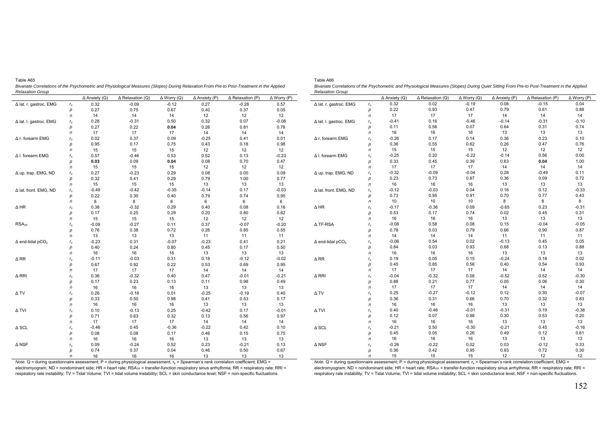|                                     |             | $\Delta$ Anxiety (Q) | $\Delta$ Relaxation (Q) | $\Delta$ Worry (Q) | $\Delta$ Anxiety (P) | $\Delta$ Relaxation (P) | $\Delta$ Worry (P) |             |
|-------------------------------------|-------------|----------------------|-------------------------|--------------------|----------------------|-------------------------|--------------------|-------------|
| Δ lat. r. gastroc. EMG              | $r_{\rm s}$ | 0.32                 | $-0.09$                 | $-0.12$            | 0.27                 | $-0.28$                 | 0.57               | $\Delta$ la |
|                                     | p           | 0.27                 | 0.75                    | 0.67               | 0.40                 | 0.37                    | 0.05               |             |
|                                     | n           | 14                   | 14                      | 14                 | 12                   | 12                      | 12                 |             |
| Δ lat. I. gastroc. EMG              | $r_{\rm s}$ | 0.28                 | $-0.31$                 | 0.50               | 0.32                 | 0.07                    | $-0.08$            | $\Delta$ la |
|                                     | p           | 0.27                 | 0.22                    | 0.04               | 0.26                 | 0.81                    | 0.78               |             |
|                                     | n           | 17                   | 17                      | 17                 | 14                   | 14                      | 14                 |             |
| Δ r. forearm EMG                    | $r_{\rm s}$ | 0.02                 | 0.37                    | 0.09               | $-0.25$              | 0.41                    | 0.01               | Δr.         |
|                                     | р           | 0.95                 | 0.17                    | 0.75               | 0.43                 | 0.18                    | 0.98               |             |
|                                     | n           | 15                   | 15                      | 15                 | 12                   | 12                      | 12                 |             |
| Δ I. forearm EMG                    | $r_{\rm s}$ | 0.57                 | $-0.46$                 | 0.53               | 0.52                 | 0.13                    | $-0.23$            | Δ I.        |
|                                     | p           | 0.03                 | 0.09                    | 0.04               | 0.08                 | 0.70                    | 0.47               |             |
|                                     | n           | 15                   | 15                      | 15                 | 12                   | 12                      | 12                 |             |
| $\Delta$ up. trap. EMG, ND          | $r_{\rm s}$ | 0.27                 | $-0.23$                 | 0.29               | 0.08                 | 0.00                    | 0.09               | Δu          |
|                                     | p           | 0.32                 | 0.41                    | 0.29               | 0.79                 | 1.00                    | 0.77               |             |
|                                     | n           | 15                   | 15                      | 15                 | 13                   | 13                      | 13                 |             |
| Δ lat. front. EMG, ND               | $r_{\rm s}$ | $-0.49$              | $-0.42$                 | $-0.35$            | $-0.14$              | 0.17                    | $-0.03$            | $\Delta$ la |
|                                     | р           | 0.22                 | 0.30                    | 0.40               | 0.79                 | 0.74                    | 0.95               |             |
|                                     | $\sqrt{n}$  | 8                    | 8                       | 8                  | 6                    | 6                       | 6                  |             |
| $\Delta$ HR                         | $r_{\rm s}$ | 0.38                 | $-0.32$                 | 0.29               | 0.40                 | 0.08                    | 0.16               | $\Delta$ H  |
|                                     | p           | 0.17                 | 0.25                    | 0.29               | 0.20                 | 0.80                    | 0.62               |             |
|                                     | n           | 15                   | 15                      | 15                 | 12                   | 12                      | 12                 |             |
| RSA <sub>TF</sub>                   | $r_{\rm s}$ | $-0.09$              | $-0.27$                 | 0.11               | 0.37                 | $-0.07$                 | $-0.20$            | $\Delta$ T  |
|                                     | p           | 0.76                 | 0.38                    | 0.72               | 0.26                 | 0.85                    | 0.55               |             |
|                                     | n           | 13                   | 13                      | 13                 | 11                   | 11                      | 11                 |             |
| $\Delta$ end-tidal pCO <sub>2</sub> | $r_{\rm s}$ | $-0.23$              | 0.31                    | $-0.07$            | $-0.23$              | 0.41                    | 0.21               | $\Delta$ e  |
|                                     | p           | 0.40                 | 0.24                    | 0.80               | 0.45                 | 0.17                    | 0.50               |             |
|                                     | n           | 16                   | 16                      | 16                 | 13                   | 13                      | 13                 |             |
| $\Delta$ RR                         | $r_{\rm s}$ | $-0.11$              | $-0.03$                 | 0.31               | 0.18                 | $-0.12$                 | $-0.02$            | $\Delta$ R  |
|                                     | р           | 0.67                 | 0.92                    | 0.22               | 0.53                 | 0.69                    | 0.95               |             |
|                                     | n           | 17                   | 17                      | 17                 | 14                   | 14                      | 14                 |             |
| $\Delta$ RRI                        | $r_{\rm s}$ | 0.36                 | $-0.32$                 | 0.40               | 0.47                 | $-0.01$                 | $-0.21$            | $\Delta$ R  |
|                                     | р           | 0.17                 | 0.23                    | 0.13               | 0.11                 | 0.98                    | 0.49               |             |
|                                     | n           | 16                   | 16                      | 16                 | 13                   | 13                      | 13                 |             |
| ΔTV                                 | $r_{\rm s}$ | 0.26                 | $-0.18$                 | 0.01               | $-0.25$              | $-0.19$                 | 0.40               | $\Delta$ T  |
|                                     | p           | 0.33                 | 0.50                    | 0.98               | 0.41                 | 0.53                    | 0.17               |             |
|                                     | $\sqrt{n}$  | 16                   | 16                      | 16                 | 13                   | 13                      | 13                 |             |
| Δ TVI                               | $r_{\rm s}$ | 0.10                 | $-0.13$                 | 0.25               | $-0.42$              | 0.17                    | $-0.01$            | ΔT          |
|                                     | р           | 0.71                 | 0.63                    | 0.32               | 0.13                 | 0.56                    | 0.97               |             |
|                                     | n           | 17                   | 17                      | 17                 | 14                   | 14                      | 14                 |             |
| $\Delta$ SCL                        | $r_{\rm s}$ | $-0.46$              | 0.45                    | $-0.36$            | $-0.22$              | 0.42                    | 0.10               | $\Delta$ S  |
|                                     | p           | 0.08                 | 0.08                    | 0.17               | 0.46                 | 0.15                    | 0.75               |             |
|                                     | n           | 16                   | 16                      | 16                 | 13                   | 13                      | 13                 |             |
| $\Delta$ NSF                        | $r_{\rm s}$ | 0.09                 | $-0.24$                 | 0.52               | 0.23                 | $-0.21$                 | 0.13               | $\Delta$ N  |
|                                     | р           | 0.74                 | 0.37                    | 0.04               | 0.46                 | 0.50                    | 0.67               |             |
|                                     | $\sqrt{n}$  | 16                   | 16                      | 16                 | 13                   | 13                      | 13                 |             |

Table A65 *Bivariate Correlations of the Psychometric and Physiological Measures (Slopes) During Relaxation From Pre-to Post-Treatment in the Applied Relaxation Group* 

Table A66 *Bivariate Correlations of the Psychometric and Physiological Measures (Slopes) During Quiet Sitting From Pre-to Post-Treatment in the Applied Relaxation Group* 

|                                     |                | $\Delta$ Anxiety (Q) | $\Delta$ Relaxation (Q) | $\Delta$ Worry (Q) | $\Delta$ Anxiety (P) | $\Delta$ Relaxation (P) | $\Delta$ Worry (P) |
|-------------------------------------|----------------|----------------------|-------------------------|--------------------|----------------------|-------------------------|--------------------|
| ∆ lat. r. gastroc. EMG              | $r_{\rm s}$    | 0.32                 | 0.02                    | $-0.19$            | 0.08                 | $-0.15$                 | 0.04               |
|                                     | p              | 0.22                 | 0.93                    | 0.47               | 0.79                 | 0.61                    | 0.88               |
|                                     | $\sqrt{n}$     | 17                   | 17                      | 17                 | 14                   | 14                      | 14                 |
| ∆ lat. I. gastroc. EMG              | $r_{\rm s}$    | $-0.41$              | 0.16                    | $-0.46$            | $-0.14$              | $-0.31$                 | $-0.10$            |
|                                     | p              | 0.11                 | 0.56                    | 0.07               | 0.64                 | 0.31                    | 0.74               |
|                                     | $\sqrt{n}$     | 16                   | 16                      | 16                 | 13                   | 13                      | 13                 |
| ∆ r. forearm EMG                    | $r_{\rm s}$    | $-0.26$              | 0.17                    | 0.14               | 0.36                 | 0.23                    | 0.10               |
|                                     | p              | 0.36                 | 0.55                    | 0.62               | 0.26                 | 0.47                    | 0.76               |
|                                     | n              | 15                   | 15                      | 15                 | 12                   | 12                      | 12                 |
| ∆ I. forearm EMG                    | $r_{\rm s}$    | $-0.25$              | 0.20                    | $-0.22$            | $-0.14$              | 0.56                    | 0.00               |
|                                     | p              | 0.33                 | 0.45                    | 0.39               | 0.63                 | 0.04                    | 1.00               |
|                                     | $\sqrt{n}$     | 17                   | 17                      | 17                 | 14                   | 14                      | 14                 |
| △ up. trap. EMG, ND                 | $r_{\rm s}$    | $-0.32$              | $-0.09$                 | $-0.04$            | 0.28                 | $-0.49$                 | 0.11               |
|                                     | p              | 0.23                 | 0.73                    | 0.87               | 0.36                 | 0.09                    | 0.72               |
|                                     | $\sqrt{n}$     | 16                   | 16                      | 16                 | 13                   | 13                      | 13                 |
| △ lat. front. EMG, ND               | $r_{\rm s}$    | $-0.12$              | $-0.03$                 | 0.04               | 0.16                 | 0.12                    | $-0.33$            |
|                                     | p              | 0.73                 | 0.95                    | 0.91               | 0.70                 | 0.77                    | 0.43               |
|                                     | $\sqrt{n}$     | 10                   | 10                      | 10                 | 8                    | 8                       | 8                  |
| $\Delta$ HR                         | $r_{\rm s}$    | $-0.17$              | $-0.36$                 | 0.09               | $-0.65$              | 0.23                    | $-0.31$            |
|                                     | p              | 0.53                 | 0.17                    | 0.74               | 0.02                 | 0.45                    | 0.31               |
|                                     | $\sqrt{n}$     | 16                   | 16                      | 16                 | 13                   | 13                      | 13                 |
| ∆ TF-RSA                            | $r_{\rm s}$    | $-0.08$              | 0.58                    | 0.08               | 0.15                 | $-0.04$                 | $-0.05$            |
|                                     | p              | 0.78                 | 0.03                    | 0.79               | 0.66                 | 0.90                    | 0.87               |
|                                     | $\sqrt{n}$     | 14                   | 14                      | 14                 | 11                   | 11                      | 11                 |
| $\Delta$ end-tidal pCO <sub>2</sub> | $r_{\rm s}$    | $-0.06$              | 0.54                    | 0.02               | $-0.13$              | 0.45                    | 0.05               |
|                                     | p              | 0.84                 | 0.03                    | 0.93               | 0.68                 | 0.13                    | 0.88               |
|                                     | $\sqrt{n}$     | 16                   | 16                      | 16                 | 13                   | 13                      | 13                 |
| $\Delta$ RR                         | $r_{\rm s}$    | 0.19                 | 0.05                    | 0.15               | $-0.24$              | 0.18                    | 0.02               |
|                                     | p              | 0.45                 | 0.85                    | 0.56               | 0.40                 | 0.54                    | 0.93               |
|                                     | $\overline{r}$ | 17                   | 17                      | 17                 | 14                   | 14                      | 14                 |
| ∆ RRI                               | $r_{\rm s}$    | $-0.04$              | $-0.32$                 | 0.08               | $-0.52$              | 0.52                    | $-0.30$            |
|                                     | p              | 0.88                 | 0.21                    | 0.77               | 0.05                 | 0.06                    | 0.30               |
|                                     | $\sqrt{n}$     | 17                   | 17                      | 17                 | 14                   | 14                      | 14                 |
| ΔTV                                 | $r_{\rm s}$    | 0.25                 | $-0.27$                 | $-0.12$            | 0.12                 | 0.30                    | $-0.07$            |
|                                     | p              | 0.36                 | 0.31                    | 0.66               | 0.70                 | 0.32                    | 0.83               |
|                                     | $\sqrt{n}$     | 16                   | 16                      | 16                 | 13                   | 13                      | 13                 |
| Δ TVI                               | $r_{\rm s}$    | 0.40                 | $-0.46$                 | $-0.01$            | $-0.31$              | 0.19                    | $-0.38$            |
|                                     | p              | 0.12                 | 0.07                    | 0.98               | 0.30                 | 0.53                    | 0.20               |
|                                     | $\sqrt{n}$     | 16                   | 16                      | 16                 | 13                   | 13                      | 13                 |
| $\triangle$ SCL                     | $r_{\rm s}$    | $-0.21$              | 0.50                    | $-0.30$            | $-0.21$              | 0.45                    | $-0.16$            |
|                                     | p              | 0.45                 | 0.05                    | 0.26               | 0.49                 | 0.12                    | 0.61               |
|                                     | $\sqrt{n}$     | 16                   | 16                      | 16                 | 13                   | 13                      | 13                 |
| $\Delta$ NSF                        | $r_{\rm s}$    | $-0.26$              | $-0.22$                 | 0.02               | 0.03                 | $-0.12$                 | 0.33               |
|                                     | p              | 0.36                 | 0.42                    | 0.95               | 0.93                 | 0.72                    | 0.30               |
|                                     | n              | 15                   | 15                      | 15                 | 12                   | $12 \overline{ }$       | 12                 |

*Note.* Q = during questionnaire assessment; P = during physiological assessment; r<sub>s</sub> = Spearman's rank correlation coefficient; EMG = electromyogram; ND = nondominant side; HR = heart rate;  $RSA<sub>TF</sub>$  = transfer-function respiratory sinus arrhythmia; RR = respiratory rate; RRI = respiratory rate instability; TV = Tidal Volume; TVI = tidal volume instability; SCL = skin conductance level; NSF = non-specific fluctuations.

*Note.* Q = during questionnaire assessment; P = during physiological assessment; r<sub>s</sub> = Spearman's rank correlation coefficient; EMG = electromyogram; ND = nondominant side; HR = heart rate; RSA<sub>TF</sub> = transfer-function respiratory sinus arrhythmia; RR = respiratory rate; RRI = respiratory rate instability; TV = Tidal Volume; TVI = tidal volume instability; SCL = skin conductance level; NSF = non-specific fluctuations.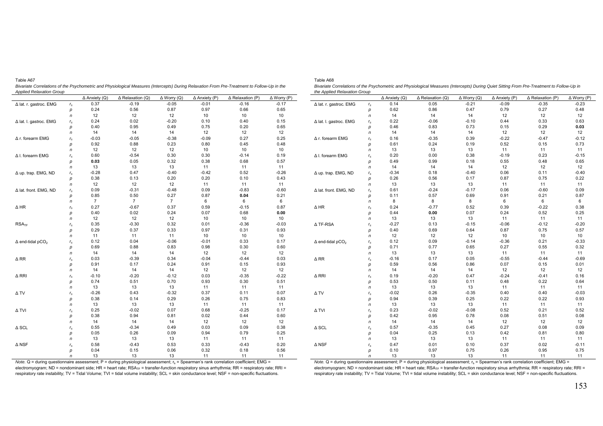| n                                   |             | $\Delta$ Anxiety (Q) | $\Delta$ Relaxation (Q) | $\Delta$ Worry (Q) | $\Delta$ Anxiety (P) | $\Delta$ Relaxation (P) | $\Delta$ Worry (P) |  |
|-------------------------------------|-------------|----------------------|-------------------------|--------------------|----------------------|-------------------------|--------------------|--|
| Δ lat. r. gastroc. EMG              | $r_{\rm s}$ | 0.37                 | $-0.19$                 | $-0.05$            | $-0.01$              | $-0.16$                 | $-0.17$            |  |
|                                     | р           | 0.24                 | 0.56                    | 0.87               | 0.97                 | 0.66                    | 0.65               |  |
|                                     | n           | 12                   | 12                      | 12                 | 10                   | 10                      | 10                 |  |
| Δ lat. I. gastroc. EMG              | $r_{\rm s}$ | 0.24                 | 0.02                    | $-0.20$            | 0.10                 | 0.40                    | 0.15               |  |
|                                     | p           | 0.40                 | 0.95                    | 0.49               | 0.75                 | 0.20                    | 0.65               |  |
|                                     | n           | 14                   | 14                      | 14                 | 12                   | 12                      | 12                 |  |
| Δ r. forearm EMG                    | $r_{\rm s}$ | $-0.03$              | $-0.05$                 | $-0.38$            | $-0.09$              | 0.27                    | 0.25               |  |
|                                     | p           | 0.92                 | 0.88                    | 0.23               | 0.80                 | 0.45                    | 0.48               |  |
|                                     | n           | 12                   | 12                      | 12                 | 10                   | 10                      | 10                 |  |
| Δ I. forearm EMG                    | $r_{\rm s}$ | 0.60                 | $-0.54$                 | 0.30               | 0.30                 | $-0.14$                 | 0.19               |  |
|                                     | р           | 0.03                 | 0.05                    | 0.32               | 0.38                 | 0.68                    | 0.57               |  |
|                                     | n           | 13                   | 13                      | 13                 | 11                   | 11                      | 11                 |  |
| Δ up. trap. EMG, ND                 | $r_{\rm s}$ | $-0.28$              | 0.47                    | $-0.40$            | $-0.42$              | 0.52                    | $-0.26$            |  |
|                                     | р           | 0.38                 | 0.13                    | 0.20               | 0.20                 | 0.10                    | 0.43               |  |
|                                     | n           | 12                   | 12                      | 12                 | 11                   | 11                      | 11                 |  |
| Δ lat. front. EMG, ND               | $r_{\rm s}$ | 0.09                 | $-0.31$                 | $-0.48$            | 0.09                 | $-0.83$                 | $-0.60$            |  |
|                                     | р           | 0.85                 | 0.50                    | 0.27               | 0.87                 | 0.04                    | 0.21               |  |
|                                     | n           | $\overline{7}$       | $\overline{7}$          | $\overline{7}$     | 6                    | 6                       | 6                  |  |
| $\Delta$ HR                         | $r_{\rm s}$ | 0.27                 | $-0.67$                 | 0.37               | 0.59                 | $-0.15$                 | 0.87               |  |
|                                     | р           | 0.40                 | 0.02                    | 0.24               | 0.07                 | 0.68                    | 0.00               |  |
|                                     | n           | 12                   | 12                      | 12                 | 10                   | 10                      | 10                 |  |
| RSA <sub>TF</sub>                   | $r_{\rm s}$ | 0.35                 | $-0.30$                 | 0.32               | 0.01                 | $-0.36$                 | $-0.03$            |  |
|                                     | р           | 0.29                 | 0.37                    | 0.33               | 0.97                 | 0.31                    | 0.93               |  |
|                                     | n           | 11                   | 11                      | 11                 | 10                   | 10                      | 10                 |  |
| $\Delta$ end-tidal pCO <sub>2</sub> | $r_{\rm s}$ | 0.12                 | 0.04                    | $-0.06$            | $-0.01$              | 0.33                    | 0.17               |  |
|                                     | p           | 0.69                 | 0.88                    | 0.83               | 0.98                 | 0.30                    | 0.60               |  |
|                                     | n           | 14                   | 14                      | 14                 | 12                   | 12                      | 12                 |  |
| $\Delta$ RR                         | $r_{\rm s}$ | 0.03                 | $-0.39$                 | 0.34               | $-0.04$              | $-0.44$                 | 0.03               |  |
|                                     | р           | 0.91                 | 0.17                    | 0.24               | 0.91                 | 0.15                    | 0.93               |  |
|                                     | n           | 14                   | 14                      | 14                 | 12                   | 12                      | 12                 |  |
| ∆ RRI                               | $r_{\rm s}$ | $-0.10$              | $-0.20$                 | $-0.12$            | 0.03                 | $-0.35$                 | $-0.22$            |  |
|                                     | р           | 0.74                 | 0.51                    | 0.70               | 0.93                 | 0.30                    | 0.51               |  |
|                                     | n           | 13                   | 13                      | 13                 | 11                   | 11                      | 11                 |  |
| $\Delta$ TV                         | $r_{\rm s}$ | $-0.26$              | 0.43                    | $-0.32$            | 0.37                 | 0.11                    | 0.07               |  |
|                                     | р           | 0.38                 | 0.14                    | 0.29               | 0.26                 | 0.75                    | 0.83               |  |
|                                     | n           | 13                   | 13                      | 13                 | 11                   | 11                      | 11                 |  |
| $\Delta$ TVI                        | $r_{\rm s}$ | 0.25                 | $-0.02$                 | 0.07               | 0.68                 | $-0.25$                 | 0.17               |  |
|                                     | р           | 0.38                 | 0.94                    | 0.81               | 0.02                 | 0.44                    | 0.60               |  |
|                                     | n           | 14                   | 14                      | 14                 | 12                   | 12                      | 12                 |  |
| $\Delta$ SCL                        | $r_{\rm s}$ | 0.55                 | $-0.34$                 | 0.49               | 0.03                 | 0.09                    | 0.38               |  |
|                                     | р           | 0.05                 | 0.26                    | 0.09               | 0.94                 | 0.79                    | 0.25               |  |
|                                     | n           | 13                   | 13                      | 13                 | 11                   | 11                      | 11                 |  |
| $\Delta$ NSF                        | $r_{\rm s}$ | 0.58                 | $-0.43$                 | 0.53               | 0.33                 | $-0.43$                 | 0.20               |  |
|                                     | р           | 0.04                 | 0.15                    | 0.06               | 0.32                 | 0.18                    | 0.56               |  |
|                                     | n           | 13                   | 13                      | 13                 | 11                   | 11                      | 11                 |  |

Table A67 *Bivariate Correlations of the Psychometric and Physiological Measures (Intercepts) During Relaxation From Pre-Treatment to Follow-Up in the Applied Relaxation Group* 

Table A68 *Bivariate Correlations of the Psychometric and Physiological Measures (Intercepts) During Quiet Sitting From Pre-Treatment to Follow-Up in the Applied Relaxation Group* 

|                                     |                | $\Delta$ Anxiety (Q) | $\Delta$ Relaxation (Q) | $\Delta$ Worry (Q) | $\Delta$ Anxiety (P) | $\Delta$ Relaxation (P) | $\Delta$ Worry (P) |
|-------------------------------------|----------------|----------------------|-------------------------|--------------------|----------------------|-------------------------|--------------------|
| ∆ lat. r. gastroc. EMG              | $r_{\rm s}$    | 0.14                 | 0.05                    | $-0.21$            | $-0.09$              | $-0.35$                 | $-0.23$            |
|                                     | р              | 0.62                 | 0.86                    | 0.47               | 0.79                 | 0.27                    | 0.48               |
|                                     | n              | 14                   | 14                      | 14                 | 12                   | 12                      | 12                 |
| ∆ lat. I. gastroc. EMG              | $r_{\rm s}$    | 0.22                 | $-0.06$                 | $-0.10$            | 0.44                 | 0.33                    | 0.63               |
|                                     | p              | 0.46                 | 0.83                    | 0.73               | 0.15                 | 0.29                    | 0.03               |
|                                     | n              | 14                   | 14                      | 14                 | 12                   | 12                      | $12 \overline{ }$  |
| ∆ r. forearm EMG                    | $r_{\rm s}$    | 0.16                 | $-0.35$                 | 0.39               | $-0.22$              | $-0.47$                 | $-0.12$            |
|                                     | р              | 0.61                 | 0.24                    | 0.19               | 0.52                 | 0.15                    | 0.73               |
|                                     | n              | 13                   | 13                      | 13                 | 11                   | 11                      | 11                 |
| ∆ I. forearm EMG                    | $r_{\rm s}$    | 0.20                 | 0.00                    | 0.38               | $-0.19$              | 0.23                    | $-0.15$            |
|                                     | p              | 0.49                 | 0.99                    | 0.18               | 0.55                 | 0.48                    | 0.65               |
|                                     | n              | 14                   | 14                      | 14                 | 12                   | 12                      | 12                 |
| ∆ up. trap. EMG, ND                 | $r_{\rm s}$    | $-0.34$              | 0.18                    | $-0.40$            | 0.06                 | 0.11                    | $-0.40$            |
|                                     | р              | 0.26                 | 0.56                    | 0.17               | 0.87                 | 0.75                    | 0.22               |
|                                     | n              | 13                   | 13                      | 13                 | 11                   | 11                      | 11                 |
| ∆ lat. front. EMG, ND               | $r_{\rm s}$    | 0.61                 | $-0.24$                 | $-0.17$            | 0.06                 | $-0.60$                 | 0.09               |
|                                     | р              | 0.11                 | 0.57                    | 0.69               | 0.91                 | 0.21                    | 0.87               |
|                                     | n              | 8                    | 8                       | 8                  | 6                    | 6                       | 6                  |
| $\Delta$ HR                         | $r_{\rm s}$    | 0.24                 | $-0.77$                 | 0.52               | 0.39                 | $-0.22$                 | 0.38               |
|                                     | р              | 0.44                 | 0.00                    | 0.07               | 0.24                 | 0.52                    | 0.25               |
|                                     | n              | 13                   | 13                      | 13                 | 11                   | 11                      | 11                 |
| $\Delta$ TF-RSA                     | $r_{\rm s}$    | $-0.27$              | 0.13                    | $-0.15$            | $-0.06$              | $-0.12$                 | $-0.20$            |
|                                     | р              | 0.40                 | 0.69                    | 0.64               | 0.87                 | 0.75                    | 0.57               |
|                                     | n              | 12                   | 12                      | 12                 | 10                   | 10                      | 10                 |
| $\Delta$ end-tidal pCO <sub>2</sub> | $r_{\rm s}$    | 0.12                 | 0.09                    | $-0.14$            | $-0.36$              | 0.21                    | $-0.33$            |
|                                     | р              | 0.71                 | 0.77                    | 0.65               | 0.27                 | 0.55                    | 0.32               |
|                                     | n              | 13                   | 13                      | 13                 | 11                   | 11                      | 11                 |
| $\Delta$ RR                         | $r_{\rm s}$    | $-0.16$              | 0.17                    | 0.05               | $-0.55$              | $-0.44$                 | $-0.69$            |
|                                     | р              | 0.59                 | 0.56                    | 0.86               | 0.07                 | 0.15                    | 0.01               |
|                                     | $\overline{r}$ | 14                   | 14                      | 14                 | 12                   | 12                      | 12                 |
| ∆ RRI                               | $r_{\rm s}$    | 0.19                 | $-0.20$                 | 0.47               | $-0.24$              | $-0.41$                 | 0.16               |
|                                     | р              | 0.53                 | 0.50                    | 0.11               | 0.48                 | 0.22                    | 0.64               |
|                                     | n              | 13                   | 13                      | 13                 | 11                   | 11                      | 11                 |
| ΔTV                                 | $r_{\rm s}$    | $-0.02$              | 0.26                    | $-0.35$            | 0.40                 | 0.40                    | $-0.03$            |
|                                     | р              | 0.94                 | 0.39                    | 0.25               | 0.22                 | 0.22                    | 0.93               |
|                                     | n              | 13                   | 13                      | 13                 | 11                   | 11                      | 11                 |
| Δ TVI                               | $r_{\rm s}$    | 0.23                 | $-0.02$                 | $-0.08$            | 0.52                 | 0.21                    | 0.52               |
|                                     | p              | 0.42                 | 0.95                    | 0.78               | 0.08                 | 0.51                    | 0.08               |
|                                     | n              | 14                   | 14                      | 14                 | 12                   | 12                      | 12                 |
| $\triangle$ SCL                     | $r_{\rm s}$    | 0.57                 | $-0.35$                 | 0.45               | 0.27                 | 0.08                    | 0.09               |
|                                     | р              | 0.04                 | 0.25                    | 0.13               | 0.42                 | 0.81                    | 0.80               |
|                                     | n              | 13                   | 13                      | 13                 | 11                   | 11                      | 11                 |
| $\Delta$ NSF                        | $r_{\rm s}$    | 0.47                 | 0.01                    | 0.10               | 0.37                 | 0.02                    | $-0.11$            |
|                                     | р              | 0.10                 | 0.97                    | 0.75               | 0.26                 | 0.95                    | 0.75               |
|                                     | n              | 13                   | 13                      | 13                 | 11                   | 11                      | 11                 |

*Note.* Q = during questionnaire assessment; P = during physiological assessment; r<sub>s</sub> = Spearman's rank correlation coefficient; EMG = electromyogram; ND = nondominant side; HR = heart rate;  $RSA<sub>TF</sub>$  = transfer-function respiratory sinus arrhythmia; RR = respiratory rate; RRI = respiratory rate instability; TV = Tidal Volume; TVI = tidal volume instability; SCL = skin conductance level; NSF = non-specific fluctuations.

*Note.* Q = during questionnaire assessment; P = during physiological assessment; r<sub>s</sub> = Spearman's rank correlation coefficient; EMG = electromyogram; ND = nondominant side; HR = heart rate;  $RSA<sub>TF</sub>$  = transfer-function respiratory sinus arrhythmia; RR = respiratory rate; RRI = respiratory rate instability; TV = Tidal Volume; TVI = tidal volume instability; SCL = skin conductance level; NSF = non-specific fluctuations.